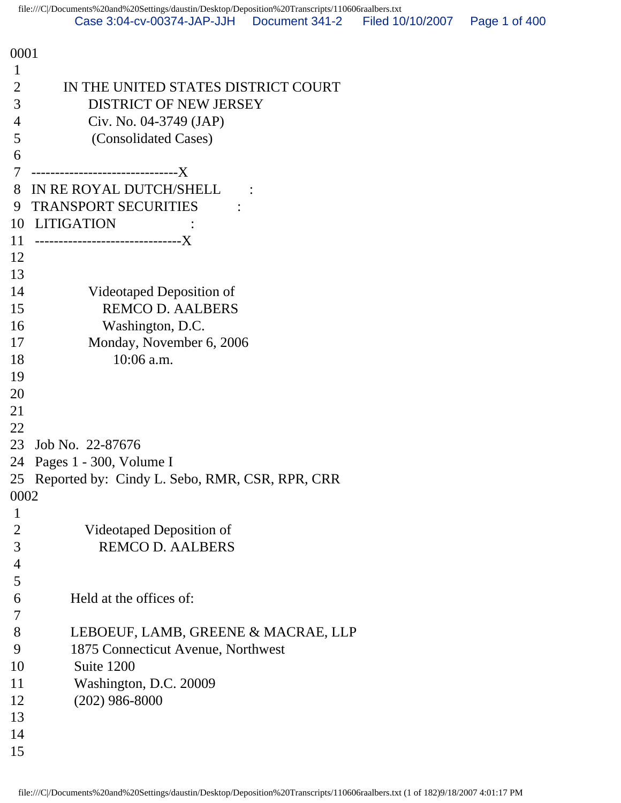| 0001           |                                                |
|----------------|------------------------------------------------|
| $\mathbf{1}$   |                                                |
| $\overline{2}$ | IN THE UNITED STATES DISTRICT COURT            |
| 3              | DISTRICT OF NEW JERSEY                         |
| 4              | Civ. No. 04-3749 (JAP)                         |
| 5              | (Consolidated Cases)                           |
| 6              |                                                |
| 7              |                                                |
| 8              | IN RE ROYAL DUTCH/SHELL                        |
| 9              | <b>TRANSPORT SECURITIES</b>                    |
| 10             | <b>LITIGATION</b>                              |
| 11             | --------------------------------X              |
| 12             |                                                |
| 13             |                                                |
| 14             | Videotaped Deposition of                       |
| 15             | <b>REMCO D. AALBERS</b>                        |
| 16             | Washington, D.C.                               |
| 17             | Monday, November 6, 2006                       |
| 18             | 10:06 a.m.                                     |
| 19             |                                                |
| 20             |                                                |
| 21             |                                                |
| 22             |                                                |
| 23             | Job No. 22-87676                               |
| 24             | Pages 1 - 300, Volume I                        |
| 25<br>0002     | Reported by: Cindy L. Sebo, RMR, CSR, RPR, CRR |
|                |                                                |
| 1<br>2         | Videotaped Deposition of                       |
| 3              | <b>REMCO D. AALBERS</b>                        |
| 4              |                                                |
| 5              |                                                |
| 6              | Held at the offices of:                        |
| 7              |                                                |
| 8              | LEBOEUF, LAMB, GREENE & MACRAE, LLP            |
| 9              | 1875 Connecticut Avenue, Northwest             |
| 10             | Suite 1200                                     |
| 11             | Washington, D.C. 20009                         |
| 12             | $(202)$ 986-8000                               |
| 13             |                                                |
| 14             |                                                |
| 15             |                                                |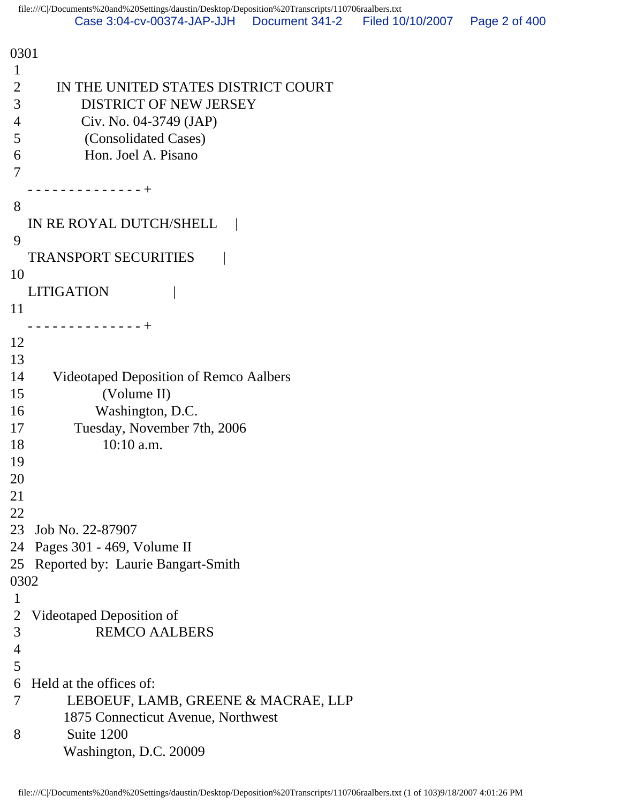0301 1 2 IN THE UNITED STATES DISTRICT COURT 3 DISTRICT OF NEW JERSEY 4 Civ. No. 04-3749 (JAP) 5 (Consolidated Cases) 6 Hon. Joel A. Pisano 7 - - - - - - - - - - - - - - + 8 IN RE ROYAL DUTCH/SHELL 9 TRANSPORT SECURITIES | 10 LITIGATION | 11 - - - - - - - - - - - - - - + 12 13 14 Videotaped Deposition of Remco Aalbers 15 (Volume II) 16 Washington, D.C. 17 Tuesday, November 7th, 2006 18 10:10 a.m. 19 20 21 22 23 Job No. 22-87907 24 Pages 301 - 469, Volume II 25 Reported by: Laurie Bangart-Smith 0302 1 2 Videotaped Deposition of 3 REMCO AALBERS 4 5 6 Held at the offices of: 7 LEBOEUF, LAMB, GREENE & MACRAE, LLP 1875 Connecticut Avenue, Northwest 8 Suite 1200 Washington, D.C. 20009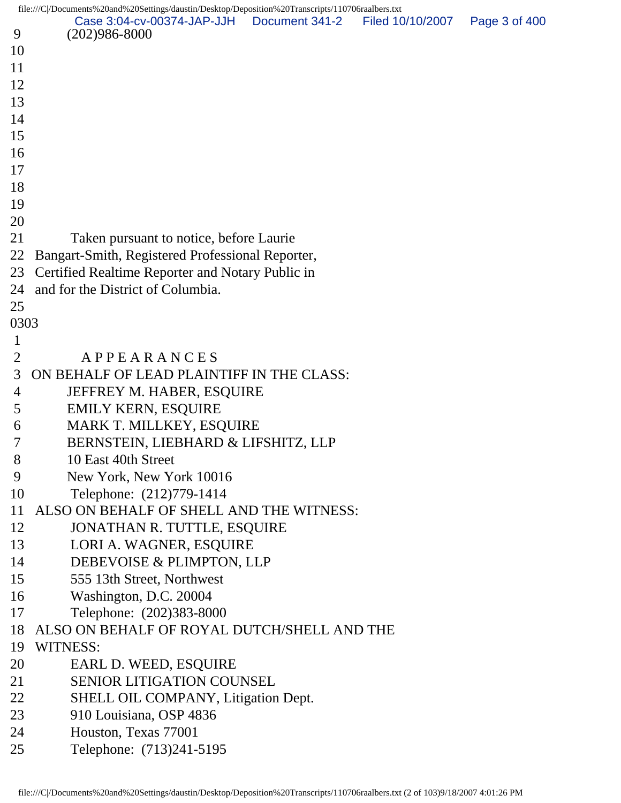file:///C|/Documents%20and%20Settings/daustin/Desktop/Deposition%20Transcripts/110706raalbers.txt

|                | $\text{m}$ e.///C/Documents % 20and % 20settings/daustin/Desktop/Deposition % 2011anscripts/110/001aanoers.ixt<br>Case 3:04-cv-00374-JAP-JJH  Document 341-2   Filed 10/10/2007 | Page 3 of 400 |
|----------------|---------------------------------------------------------------------------------------------------------------------------------------------------------------------------------|---------------|
| 9              | $(202)986 - 8000$                                                                                                                                                               |               |
| 10             |                                                                                                                                                                                 |               |
| 11             |                                                                                                                                                                                 |               |
| 12             |                                                                                                                                                                                 |               |
| 13             |                                                                                                                                                                                 |               |
| 14             |                                                                                                                                                                                 |               |
| 15             |                                                                                                                                                                                 |               |
| 16             |                                                                                                                                                                                 |               |
| 17             |                                                                                                                                                                                 |               |
| 18             |                                                                                                                                                                                 |               |
| 19             |                                                                                                                                                                                 |               |
| 20             |                                                                                                                                                                                 |               |
| 21             | Taken pursuant to notice, before Laurie                                                                                                                                         |               |
| 22             | Bangart-Smith, Registered Professional Reporter,                                                                                                                                |               |
| 23             | Certified Realtime Reporter and Notary Public in                                                                                                                                |               |
| 24             | and for the District of Columbia.                                                                                                                                               |               |
| 25             |                                                                                                                                                                                 |               |
| 0303           |                                                                                                                                                                                 |               |
| $\mathbf 1$    |                                                                                                                                                                                 |               |
| $\overline{2}$ | APPEARANCES                                                                                                                                                                     |               |
| 3              | ON BEHALF OF LEAD PLAINTIFF IN THE CLASS:                                                                                                                                       |               |
| 4              | JEFFREY M. HABER, ESQUIRE                                                                                                                                                       |               |
| 5              | <b>EMILY KERN, ESQUIRE</b>                                                                                                                                                      |               |
| 6              | MARK T. MILLKEY, ESQUIRE                                                                                                                                                        |               |
| 7              | BERNSTEIN, LIEBHARD & LIFSHITZ, LLP                                                                                                                                             |               |
| 8              | 10 East 40th Street                                                                                                                                                             |               |
| 9              | New York, New York 10016                                                                                                                                                        |               |
| 10             | Telephone: (212)779-1414                                                                                                                                                        |               |
| 11             | ALSO ON BEHALF OF SHELL AND THE WITNESS:                                                                                                                                        |               |
| 12             | JONATHAN R. TUTTLE, ESQUIRE                                                                                                                                                     |               |
| 13             | LORI A. WAGNER, ESQUIRE                                                                                                                                                         |               |
| 14             | DEBEVOISE & PLIMPTON, LLP                                                                                                                                                       |               |
| 15             | 555 13th Street, Northwest                                                                                                                                                      |               |
| 16             | Washington, D.C. 20004                                                                                                                                                          |               |
| 17             | Telephone: (202)383-8000                                                                                                                                                        |               |
| 18             | ALSO ON BEHALF OF ROYAL DUTCH/SHELL AND THE                                                                                                                                     |               |
| 19             | WITNESS:                                                                                                                                                                        |               |
| 20             | EARL D. WEED, ESQUIRE                                                                                                                                                           |               |
| 21             | <b>SENIOR LITIGATION COUNSEL</b>                                                                                                                                                |               |
| 22             | SHELL OIL COMPANY, Litigation Dept.                                                                                                                                             |               |
| 23             | 910 Louisiana, OSP 4836                                                                                                                                                         |               |
| 24             | Houston, Texas 77001                                                                                                                                                            |               |
| 25             | Telephone: (713)241-5195                                                                                                                                                        |               |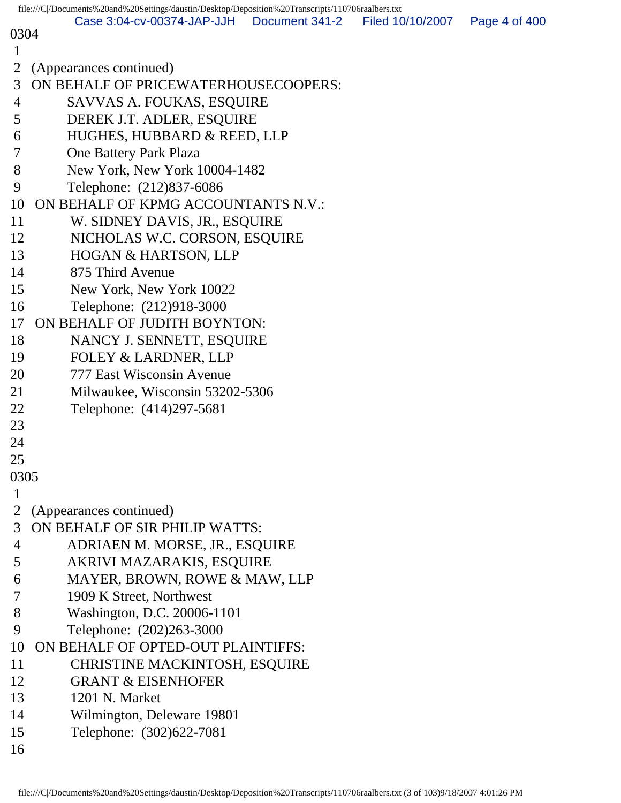|             | file:///C//Documents%20and%20Settings/daustin/Desktop/Deposition%20Transcripts/110706raalbers.txt |                |                  |               |
|-------------|---------------------------------------------------------------------------------------------------|----------------|------------------|---------------|
| 0304        | Case 3:04-cv-00374-JAP-JJH                                                                        | Document 341-2 | Filed 10/10/2007 | Page 4 of 400 |
| 1           |                                                                                                   |                |                  |               |
| 2           | (Appearances continued)                                                                           |                |                  |               |
| 3           | ON BEHALF OF PRICEWATERHOUSECOOPERS:                                                              |                |                  |               |
| 4           | SAVVAS A. FOUKAS, ESQUIRE                                                                         |                |                  |               |
| 5           | DEREK J.T. ADLER, ESQUIRE                                                                         |                |                  |               |
| 6           | HUGHES, HUBBARD & REED, LLP                                                                       |                |                  |               |
| 7           | <b>One Battery Park Plaza</b>                                                                     |                |                  |               |
| 8           | New York, New York 10004-1482                                                                     |                |                  |               |
| 9           | Telephone: (212)837-6086                                                                          |                |                  |               |
| 10          | ON BEHALF OF KPMG ACCOUNTANTS N.V.:                                                               |                |                  |               |
| 11          | W. SIDNEY DAVIS, JR., ESQUIRE                                                                     |                |                  |               |
| 12          | NICHOLAS W.C. CORSON, ESQUIRE                                                                     |                |                  |               |
| 13          | <b>HOGAN &amp; HARTSON, LLP</b>                                                                   |                |                  |               |
| 14          | 875 Third Avenue                                                                                  |                |                  |               |
| 15          | New York, New York 10022                                                                          |                |                  |               |
| 16          | Telephone: (212)918-3000                                                                          |                |                  |               |
| 17          | ON BEHALF OF JUDITH BOYNTON:                                                                      |                |                  |               |
| 18          | NANCY J. SENNETT, ESQUIRE                                                                         |                |                  |               |
| 19          | <b>FOLEY &amp; LARDNER, LLP</b>                                                                   |                |                  |               |
| 20          | 777 East Wisconsin Avenue                                                                         |                |                  |               |
| 21          | Milwaukee, Wisconsin 53202-5306                                                                   |                |                  |               |
| 22          | Telephone: (414)297-5681                                                                          |                |                  |               |
| 23          |                                                                                                   |                |                  |               |
| 24          |                                                                                                   |                |                  |               |
| 25          |                                                                                                   |                |                  |               |
| 0305        |                                                                                                   |                |                  |               |
| $\mathbf 1$ |                                                                                                   |                |                  |               |
| 2           | (Appearances continued)                                                                           |                |                  |               |
| 3           | ON BEHALF OF SIR PHILIP WATTS:                                                                    |                |                  |               |
| 4           | ADRIAEN M. MORSE, JR., ESQUIRE                                                                    |                |                  |               |
| 5           | AKRIVI MAZARAKIS, ESQUIRE                                                                         |                |                  |               |
| 6           | MAYER, BROWN, ROWE & MAW, LLP                                                                     |                |                  |               |
| 7           | 1909 K Street, Northwest                                                                          |                |                  |               |
| 8<br>9      | Washington, D.C. 20006-1101<br>Telephone: (202)263-3000                                           |                |                  |               |
| 10          | ON BEHALF OF OPTED-OUT PLAINTIFFS:                                                                |                |                  |               |
| 11          | CHRISTINE MACKINTOSH, ESQUIRE                                                                     |                |                  |               |
| 12          | <b>GRANT &amp; EISENHOFER</b>                                                                     |                |                  |               |
| 13          | 1201 N. Market                                                                                    |                |                  |               |
| 14          | Wilmington, Deleware 19801                                                                        |                |                  |               |
| 15          | Telephone: (302)622-7081                                                                          |                |                  |               |
| 16          |                                                                                                   |                |                  |               |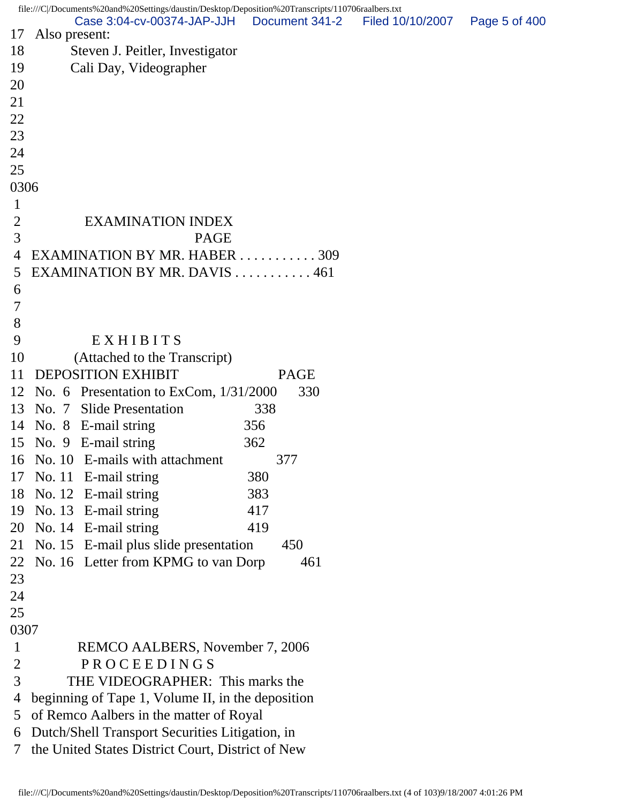file:///C|/Documents%20and%20Settings/daustin/Desktop/Deposition%20Transcripts/110706raalbers.txt 17 Also present: 18 Steven J. Peitler, Investigator 19 Cali Day, Videographer 20 21 22 23 24 25 0306 1 2 EXAMINATION INDEX 3 PAGE 4 EXAMINATION BY MR. HABER . . . . . . . . . . . 309 5 EXAMINATION BY MR. DAVIS . . . . . . . . . . . 461 6 7 8 9 EXHIBITS 10 (Attached to the Transcript) 11 DEPOSITION EXHIBIT PAGE 12 No. 6 Presentation to ExCom, 1/31/2000 330 13 No. 7 Slide Presentation 338 14 No. 8 E-mail string 356 15 No. 9 E-mail string 362 16 No. 10 E-mails with attachment 377 17 No. 11 E-mail string 380 18 No. 12 E-mail string 383 19 No. 13 E-mail string 417 20 No. 14 E-mail string 419 21 No. 15 E-mail plus slide presentation 450 22 No. 16 Letter from KPMG to van Dorp 461 23 24 25 0307 1 REMCO AALBERS, November 7, 2006 2 PROCEEDINGS 3 THE VIDEOGRAPHER: This marks the 4 beginning of Tape 1, Volume II, in the deposition 5 of Remco Aalbers in the matter of Royal 6 Dutch/Shell Transport Securities Litigation, in 7 the United States District Court, District of New Case 3:04-cv-00374-JAP-JJH Document 341-2 Filed 10/10/2007 Page 5 of 400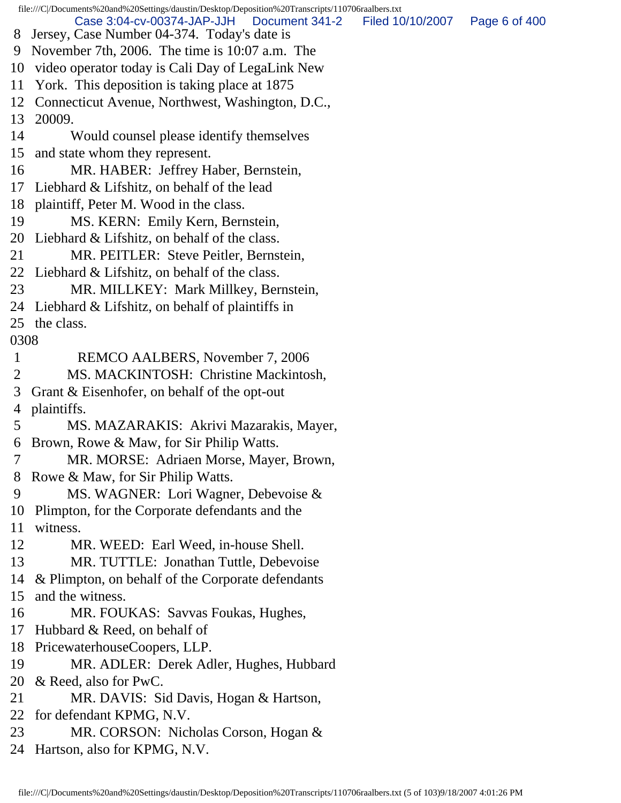file:///C|/Documents%20and%20Settings/daustin/Desktop/Deposition%20Transcripts/110706raalbers.txt 8 Jersey, Case Number 04-374. Today's date is 9 November 7th, 2006. The time is 10:07 a.m. The 10 video operator today is Cali Day of LegaLink New 11 York. This deposition is taking place at 1875 12 Connecticut Avenue, Northwest, Washington, D.C., 13 20009. 14 Would counsel please identify themselves 15 and state whom they represent. 16 MR. HABER: Jeffrey Haber, Bernstein, 17 Liebhard & Lifshitz, on behalf of the lead 18 plaintiff, Peter M. Wood in the class. 19 MS. KERN: Emily Kern, Bernstein, 20 Liebhard & Lifshitz, on behalf of the class. 21 MR. PEITLER: Steve Peitler, Bernstein, 22 Liebhard & Lifshitz, on behalf of the class. 23 MR. MILLKEY: Mark Millkey, Bernstein, 24 Liebhard & Lifshitz, on behalf of plaintiffs in 25 the class. 0308 1 REMCO AALBERS, November 7, 2006 2 MS. MACKINTOSH: Christine Mackintosh, 3 Grant & Eisenhofer, on behalf of the opt-out 4 plaintiffs. 5 MS. MAZARAKIS: Akrivi Mazarakis, Mayer, 6 Brown, Rowe & Maw, for Sir Philip Watts. 7 MR. MORSE: Adriaen Morse, Mayer, Brown, 8 Rowe & Maw, for Sir Philip Watts. 9 MS. WAGNER: Lori Wagner, Debevoise & 10 Plimpton, for the Corporate defendants and the 11 witness. 12 MR. WEED: Earl Weed, in-house Shell. 13 MR. TUTTLE: Jonathan Tuttle, Debevoise 14 & Plimpton, on behalf of the Corporate defendants 15 and the witness. 16 MR. FOUKAS: Savvas Foukas, Hughes, 17 Hubbard & Reed, on behalf of 18 PricewaterhouseCoopers, LLP. 19 MR. ADLER: Derek Adler, Hughes, Hubbard 20 & Reed, also for PwC. 21 MR. DAVIS: Sid Davis, Hogan & Hartson, 22 for defendant KPMG, N.V. 23 MR. CORSON: Nicholas Corson, Hogan & 24 Hartson, also for KPMG, N.V. Case 3:04-cv-00374-JAP-JJH Document 341-2 Filed 10/10/2007 Page 6 of 400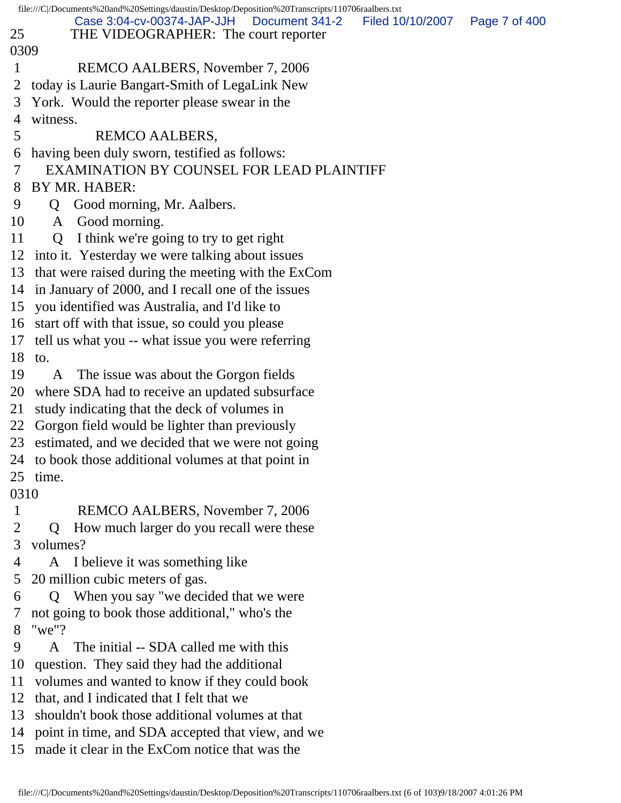|              | file:///C /Documents%20and%20Settings/daustin/Desktop/Deposition%20Transcripts/110706raalbers.txt |
|--------------|---------------------------------------------------------------------------------------------------|
|              | Case 3:04-cv-00374-JAP-JJH<br>Document 341-2<br>Filed 10/10/2007<br>Page 7 of 400                 |
| 25           | THE VIDEOGRAPHER: The court reporter                                                              |
| 0309         |                                                                                                   |
| 1            | REMCO AALBERS, November 7, 2006                                                                   |
| 2            | today is Laurie Bangart-Smith of LegaLink New                                                     |
| 3            | York. Would the reporter please swear in the                                                      |
| 4            | witness.                                                                                          |
| 5            | <b>REMCO AALBERS,</b>                                                                             |
| 6            | having been duly sworn, testified as follows:                                                     |
| 7            | EXAMINATION BY COUNSEL FOR LEAD PLAINTIFF                                                         |
| 8            | BY MR. HABER:                                                                                     |
| 9            | Good morning, Mr. Aalbers.<br>Q                                                                   |
| 10           | A Good morning.                                                                                   |
| 11           | Q I think we're going to try to get right                                                         |
| 12           | into it. Yesterday we were talking about issues                                                   |
| 13           | that were raised during the meeting with the ExCom                                                |
| 14           | in January of 2000, and I recall one of the issues                                                |
| 15           | you identified was Australia, and I'd like to                                                     |
| 16           | start off with that issue, so could you please                                                    |
| 17           | tell us what you -- what issue you were referring                                                 |
| 18           | to.                                                                                               |
| 19           | The issue was about the Gorgon fields<br>A                                                        |
| 20           | where SDA had to receive an updated subsurface                                                    |
| 21           | study indicating that the deck of volumes in                                                      |
| 22           | Gorgon field would be lighter than previously                                                     |
| 23           | estimated, and we decided that we were not going                                                  |
| 24           | to book those additional volumes at that point in                                                 |
| 25           | time.                                                                                             |
| 0310         |                                                                                                   |
| $\mathbf{1}$ | REMCO AALBERS, November 7, 2006                                                                   |
| 2            | How much larger do you recall were these<br>$\mathbf 0$                                           |
| 3            | volumes?                                                                                          |
| 4            | I believe it was something like<br>A                                                              |
| 5            | 20 million cubic meters of gas.                                                                   |
| 6            | Q When you say "we decided that we were                                                           |
| 7            | not going to book those additional," who's the                                                    |
| 8            | " $we$ "?                                                                                         |
| 9            | The initial -- SDA called me with this<br>A                                                       |
| 10           | question. They said they had the additional                                                       |
| 11           | volumes and wanted to know if they could book                                                     |
| 12           | that, and I indicated that I felt that we                                                         |
| 13           | shouldn't book those additional volumes at that                                                   |
| 14           | point in time, and SDA accepted that view, and we                                                 |
|              | 15 made it clear in the ExCom notice that was the                                                 |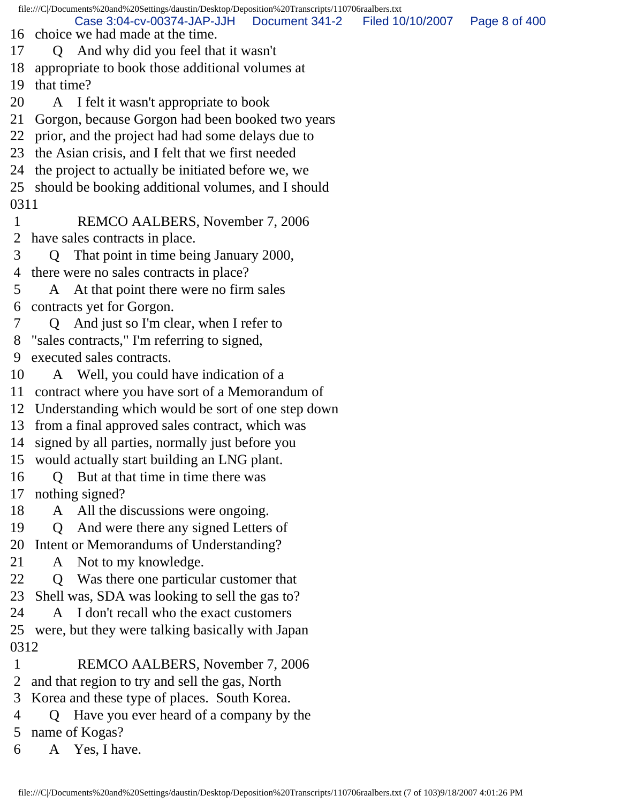file:///C|/Documents%20and%20Settings/daustin/Desktop/Deposition%20Transcripts/110706raalbers.txt

Case 3:04-cv-00374-JAP-JJH Document 341-2 Filed 10/10/2007 Page 8 of 400

16 choice we had made at the time.

17 Q And why did you feel that it wasn't

18 appropriate to book those additional volumes at

19 that time?

20 A I felt it wasn't appropriate to book

21 Gorgon, because Gorgon had been booked two years

22 prior, and the project had had some delays due to

23 the Asian crisis, and I felt that we first needed

24 the project to actually be initiated before we, we

25 should be booking additional volumes, and I should 0311

 1 REMCO AALBERS, November 7, 2006 2 have sales contracts in place.

3 Q That point in time being January 2000,

4 there were no sales contracts in place?

5 A At that point there were no firm sales 6 contracts yet for Gorgon.

7 Q And just so I'm clear, when I refer to

8 "sales contracts," I'm referring to signed,

9 executed sales contracts.

10 A Well, you could have indication of a

11 contract where you have sort of a Memorandum of

12 Understanding which would be sort of one step down

13 from a final approved sales contract, which was

14 signed by all parties, normally just before you

15 would actually start building an LNG plant.

16 Q But at that time in time there was 17 nothing signed?

18 A All the discussions were ongoing.

19 Q And were there any signed Letters of

20 Intent or Memorandums of Understanding?

21 A Not to my knowledge.

22 Q Was there one particular customer that

23 Shell was, SDA was looking to sell the gas to?

24 A I don't recall who the exact customers

25 were, but they were talking basically with Japan 0312

1 REMCO AALBERS, November 7, 2006

2 and that region to try and sell the gas, North

3 Korea and these type of places. South Korea.

 4 Q Have you ever heard of a company by the 5 name of Kogas?

6 A Yes, I have.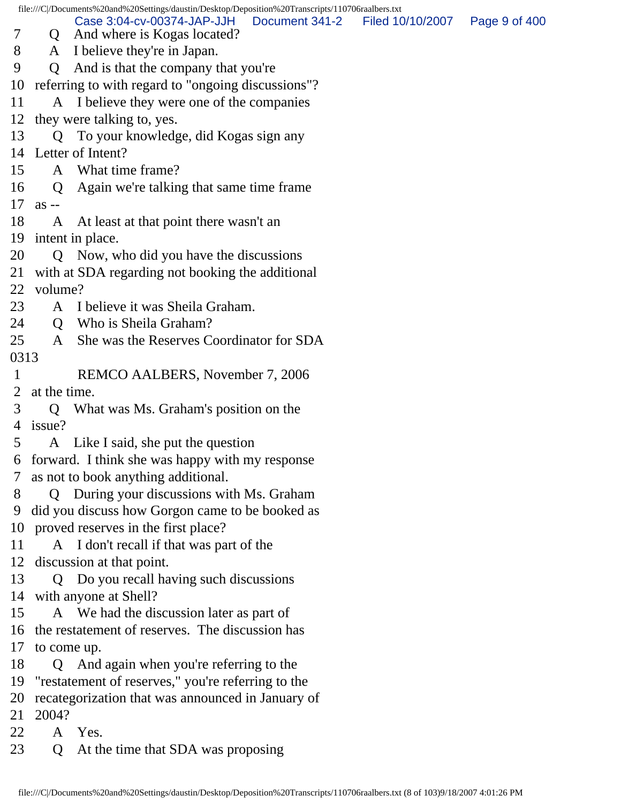file:///C|/Documents%20and%20Settings/daustin/Desktop/Deposition%20Transcripts/110706raalbers.txt 7 Q And where is Kogas located? 8 A I believe they're in Japan. 9 Q And is that the company that you're 10 referring to with regard to "ongoing discussions"? 11 A I believe they were one of the companies 12 they were talking to, yes. 13 Q To your knowledge, did Kogas sign any 14 Letter of Intent? 15 A What time frame? 16 Q Again we're talking that same time frame 17 as -- 18 A At least at that point there wasn't an 19 intent in place. 20 Q Now, who did you have the discussions 21 with at SDA regarding not booking the additional 22 volume? 23 A I believe it was Sheila Graham. 24 O Who is Sheila Graham? 25 A She was the Reserves Coordinator for SDA 0313 1 REMCO AALBERS, November 7, 2006 2 at the time. 3 Q What was Ms. Graham's position on the 4 issue? 5 A Like I said, she put the question 6 forward. I think she was happy with my response 7 as not to book anything additional. 8 Q During your discussions with Ms. Graham 9 did you discuss how Gorgon came to be booked as 10 proved reserves in the first place? 11 A I don't recall if that was part of the 12 discussion at that point. 13 Q Do you recall having such discussions 14 with anyone at Shell? 15 A We had the discussion later as part of 16 the restatement of reserves. The discussion has 17 to come up. 18 Q And again when you're referring to the 19 "restatement of reserves," you're referring to the 20 recategorization that was announced in January of 21 2004? 22 A Yes. 23 Q At the time that SDA was proposing Case 3:04-cv-00374-JAP-JJH Document 341-2 Filed 10/10/2007 Page 9 of 400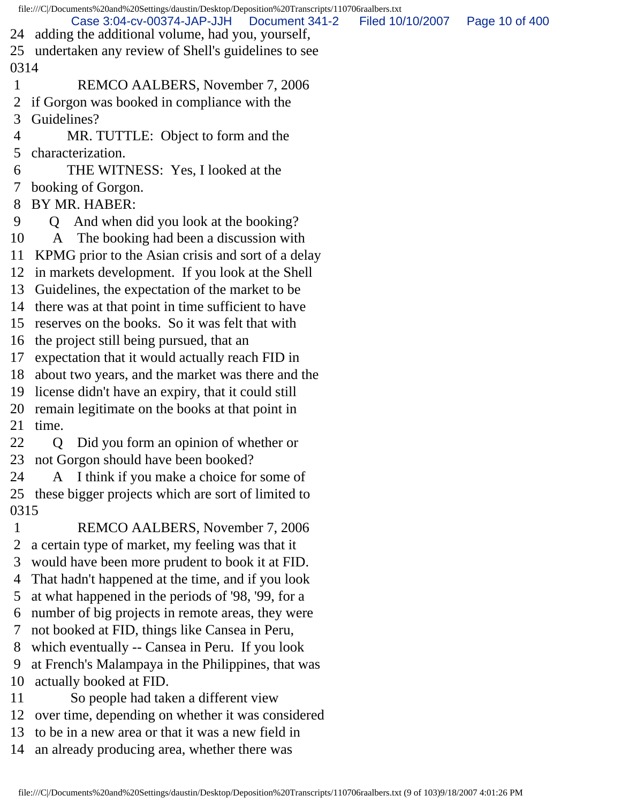|      | file:///C /Documents%20and%20Settings/daustin/Desktop/Deposition%20Transcripts/110706raalbers.txt |                  |                |
|------|---------------------------------------------------------------------------------------------------|------------------|----------------|
| 24   | Case 3:04-cv-00374-JAP-JJH<br>Document 341-2<br>adding the additional volume, had you, yourself,  | Filed 10/10/2007 | Page 10 of 400 |
|      | 25 undertaken any review of Shell's guidelines to see                                             |                  |                |
| 0314 |                                                                                                   |                  |                |
| 1    | REMCO AALBERS, November 7, 2006                                                                   |                  |                |
| 2    | if Gorgon was booked in compliance with the                                                       |                  |                |
| 3    | Guidelines?                                                                                       |                  |                |
| 4    | MR. TUTTLE: Object to form and the                                                                |                  |                |
| 5    | characterization.                                                                                 |                  |                |
| 6    | THE WITNESS: Yes, I looked at the                                                                 |                  |                |
| 7    | booking of Gorgon.                                                                                |                  |                |
| 8    | BY MR. HABER:                                                                                     |                  |                |
| 9    | And when did you look at the booking?<br>$\Omega$                                                 |                  |                |
| 10   | A The booking had been a discussion with                                                          |                  |                |
| 11   | KPMG prior to the Asian crisis and sort of a delay                                                |                  |                |
|      | 12 in markets development. If you look at the Shell                                               |                  |                |
| 13   | Guidelines, the expectation of the market to be                                                   |                  |                |
| 14   | there was at that point in time sufficient to have                                                |                  |                |
| 15   | reserves on the books. So it was felt that with                                                   |                  |                |
| 16   | the project still being pursued, that an                                                          |                  |                |
| 17   | expectation that it would actually reach FID in                                                   |                  |                |
| 18   | about two years, and the market was there and the                                                 |                  |                |
|      | 19 license didn't have an expiry, that it could still                                             |                  |                |
|      | 20 remain legitimate on the books at that point in                                                |                  |                |
| 21   | time.                                                                                             |                  |                |
| 22   | Did you form an opinion of whether or<br>Q                                                        |                  |                |
|      | 23 not Gorgon should have been booked?                                                            |                  |                |
| 24   | A I think if you make a choice for some of                                                        |                  |                |
|      | 25 these bigger projects which are sort of limited to                                             |                  |                |
| 0315 |                                                                                                   |                  |                |
| 1    | REMCO AALBERS, November 7, 2006                                                                   |                  |                |
| 2    | a certain type of market, my feeling was that it                                                  |                  |                |
| 3    | would have been more prudent to book it at FID.                                                   |                  |                |
| 4    | That hadn't happened at the time, and if you look                                                 |                  |                |
| 5    | at what happened in the periods of '98, '99, for a                                                |                  |                |
| 6    | number of big projects in remote areas, they were                                                 |                  |                |
| 7    | not booked at FID, things like Cansea in Peru,                                                    |                  |                |
| 8    | which eventually -- Cansea in Peru. If you look                                                   |                  |                |
| 9    | at French's Malampaya in the Philippines, that was                                                |                  |                |
| 10   | actually booked at FID.                                                                           |                  |                |
| 11   | So people had taken a different view                                                              |                  |                |
| 12   | over time, depending on whether it was considered                                                 |                  |                |
| 13   | to be in a new area or that it was a new field in                                                 |                  |                |
| 14   | an already producing area, whether there was                                                      |                  |                |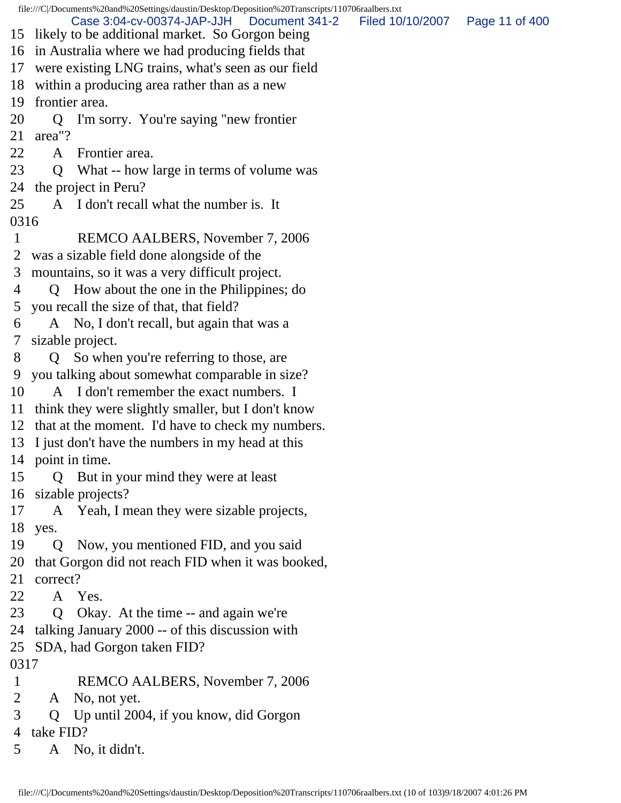file:///C|/Documents%20and%20Settings/daustin/Desktop/Deposition%20Transcripts/110706raalbers.txt 15 likely to be additional market. So Gorgon being 16 in Australia where we had producing fields that 17 were existing LNG trains, what's seen as our field 18 within a producing area rather than as a new 19 frontier area. 20 Q I'm sorry. You're saying "new frontier 21 area"? 22 A Frontier area. 23 Q What -- how large in terms of volume was 24 the project in Peru? 25 A I don't recall what the number is. It 0316 1 REMCO AALBERS, November 7, 2006 2 was a sizable field done alongside of the 3 mountains, so it was a very difficult project. 4 Q How about the one in the Philippines; do 5 you recall the size of that, that field? 6 A No, I don't recall, but again that was a 7 sizable project. 8 Q So when you're referring to those, are 9 you talking about somewhat comparable in size? 10 A I don't remember the exact numbers. I 11 think they were slightly smaller, but I don't know 12 that at the moment. I'd have to check my numbers. 13 I just don't have the numbers in my head at this 14 point in time. 15 Q But in your mind they were at least 16 sizable projects? 17 A Yeah, I mean they were sizable projects, 18 yes. 19 Q Now, you mentioned FID, and you said 20 that Gorgon did not reach FID when it was booked, 21 correct? 22 A Yes. 23 Q Okay. At the time -- and again we're 24 talking January 2000 -- of this discussion with 25 SDA, had Gorgon taken FID? 0317 1 REMCO AALBERS, November 7, 2006 2 A No, not yet. 3 Q Up until 2004, if you know, did Gorgon 4 take FID? Case 3:04-cv-00374-JAP-JJH Document 341-2 Filed 10/10/2007 Page 11 of 400

5 A No, it didn't.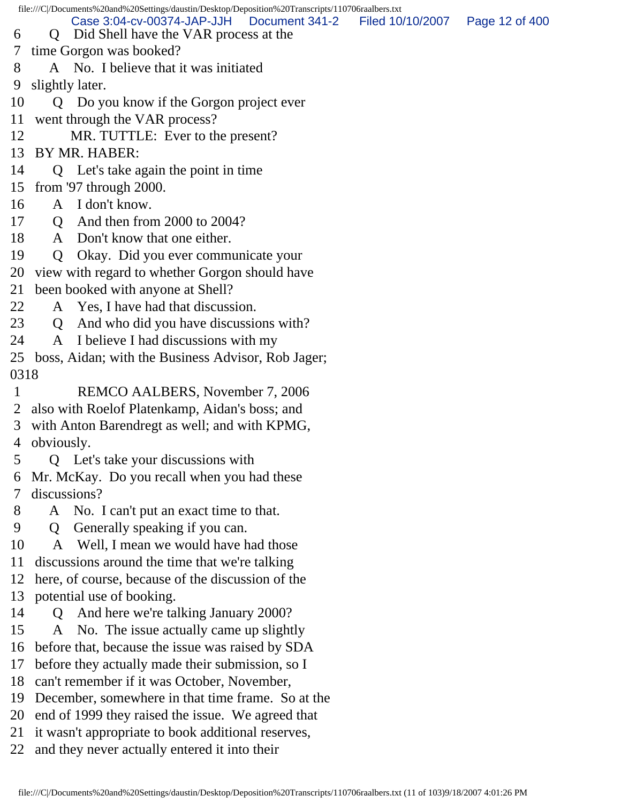file:///C|/Documents%20and%20Settings/daustin/Desktop/Deposition%20Transcripts/110706raalbers.txt 6 Q Did Shell have the VAR process at the 7 time Gorgon was booked? 8 A No. I believe that it was initiated 9 slightly later. 10 Q Do you know if the Gorgon project ever 11 went through the VAR process? 12 MR. TUTTLE: Ever to the present? 13 BY MR. HABER: 14 Q Let's take again the point in time 15 from '97 through 2000. 16 A I don't know. 17 **O** And then from 2000 to 2004? 18 A Don't know that one either. 19 Q Okay. Did you ever communicate your 20 view with regard to whether Gorgon should have 21 been booked with anyone at Shell? 22 A Yes, I have had that discussion. 23 Q And who did you have discussions with? 24 A I believe I had discussions with my 25 boss, Aidan; with the Business Advisor, Rob Jager; 0318 1 REMCO AALBERS, November 7, 2006 2 also with Roelof Platenkamp, Aidan's boss; and 3 with Anton Barendregt as well; and with KPMG, 4 obviously. 5 Q Let's take your discussions with 6 Mr. McKay. Do you recall when you had these 7 discussions? 8 A No. I can't put an exact time to that. 9 Q Generally speaking if you can. 10 A Well, I mean we would have had those 11 discussions around the time that we're talking 12 here, of course, because of the discussion of the 13 potential use of booking. 14 Q And here we're talking January 2000? 15 A No. The issue actually came up slightly 16 before that, because the issue was raised by SDA 17 before they actually made their submission, so I 18 can't remember if it was October, November, 19 December, somewhere in that time frame. So at the 20 end of 1999 they raised the issue. We agreed that 21 it wasn't appropriate to book additional reserves, 22 and they never actually entered it into their Case 3:04-cv-00374-JAP-JJH Document 341-2 Filed 10/10/2007 Page 12 of 400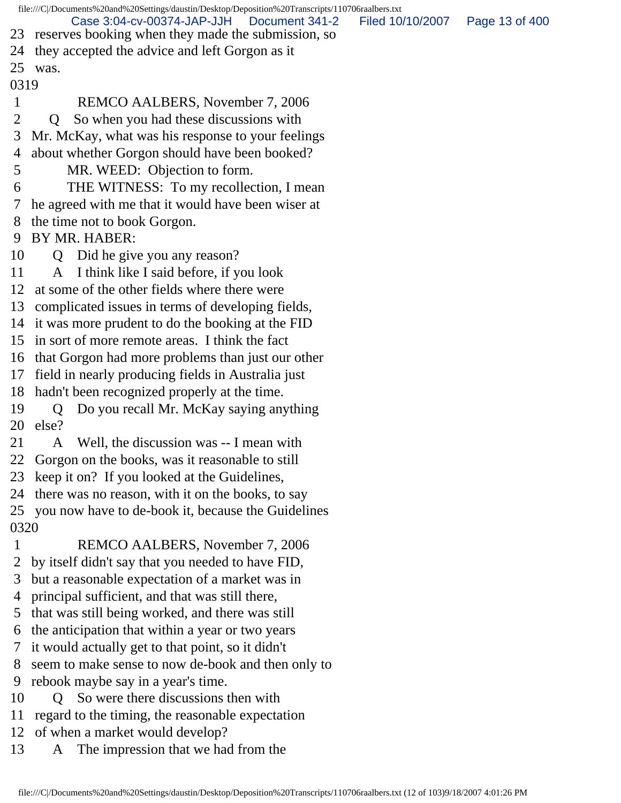file:///C|/Documents%20and%20Settings/daustin/Desktop/Deposition%20Transcripts/110706raalbers.txt 23 reserves booking when they made the submission, so 24 they accepted the advice and left Gorgon as it 25 was. 0319 1 REMCO AALBERS, November 7, 2006 2 Q So when you had these discussions with 3 Mr. McKay, what was his response to your feelings 4 about whether Gorgon should have been booked? 5 MR. WEED: Objection to form. 6 THE WITNESS: To my recollection, I mean 7 he agreed with me that it would have been wiser at 8 the time not to book Gorgon. 9 BY MR. HABER: 10 Q Did he give you any reason? 11 A I think like I said before, if you look 12 at some of the other fields where there were 13 complicated issues in terms of developing fields, 14 it was more prudent to do the booking at the FID 15 in sort of more remote areas. I think the fact 16 that Gorgon had more problems than just our other 17 field in nearly producing fields in Australia just 18 hadn't been recognized properly at the time. 19 Q Do you recall Mr. McKay saying anything 20 else? 21 A Well, the discussion was -- I mean with 22 Gorgon on the books, was it reasonable to still 23 keep it on? If you looked at the Guidelines, 24 there was no reason, with it on the books, to say 25 you now have to de-book it, because the Guidelines 0320 1 REMCO AALBERS, November 7, 2006 2 by itself didn't say that you needed to have FID, 3 but a reasonable expectation of a market was in 4 principal sufficient, and that was still there, 5 that was still being worked, and there was still 6 the anticipation that within a year or two years 7 it would actually get to that point, so it didn't 8 seem to make sense to now de-book and then only to 9 rebook maybe say in a year's time. 10 Q So were there discussions then with 11 regard to the timing, the reasonable expectation 12 of when a market would develop? 13 A The impression that we had from the Case 3:04-cv-00374-JAP-JJH Document 341-2 Filed 10/10/2007 Page 13 of 400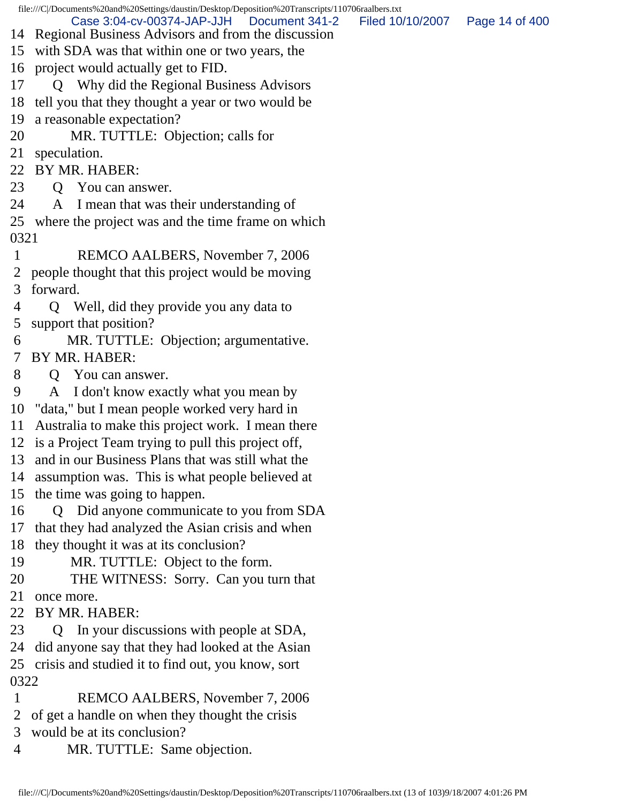file:///C|/Documents%20and%20Settings/daustin/Desktop/Deposition%20Transcripts/110706raalbers.txt

- 
- 
- 14 Regional Business Advisors and from the discussion
- 15 with SDA was that within one or two years, the
- 16 project would actually get to FID.

17 Q Why did the Regional Business Advisors

18 tell you that they thought a year or two would be

19 a reasonable expectation?

20 MR. TUTTLE: Objection; calls for

21 speculation.

22 BY MR. HABER:

23 O You can answer.

24 A I mean that was their understanding of

25 where the project was and the time frame on which 0321

- 1 REMCO AALBERS, November 7, 2006 2 people thought that this project would be moving 3 forward.
- 4 Q Well, did they provide you any data to 5 support that position?
- 6 MR. TUTTLE: Objection; argumentative. 7 BY MR. HABER:
- 8 Q You can answer.
- 9 A I don't know exactly what you mean by

10 "data," but I mean people worked very hard in

11 Australia to make this project work. I mean there

12 is a Project Team trying to pull this project off,

13 and in our Business Plans that was still what the

14 assumption was. This is what people believed at

15 the time was going to happen.

16 Q Did anyone communicate to you from SDA

17 that they had analyzed the Asian crisis and when

18 they thought it was at its conclusion?

19 MR. TUTTLE: Object to the form.

20 THE WITNESS: Sorry. Can you turn that

21 once more.

22 BY MR. HABER:

23 Q In your discussions with people at SDA,

24 did anyone say that they had looked at the Asian

25 crisis and studied it to find out, you know, sort 0322

- 1 REMCO AALBERS, November 7, 2006
- 2 of get a handle on when they thought the crisis
- 3 would be at its conclusion?
- 4 MR. TUTTLE: Same objection.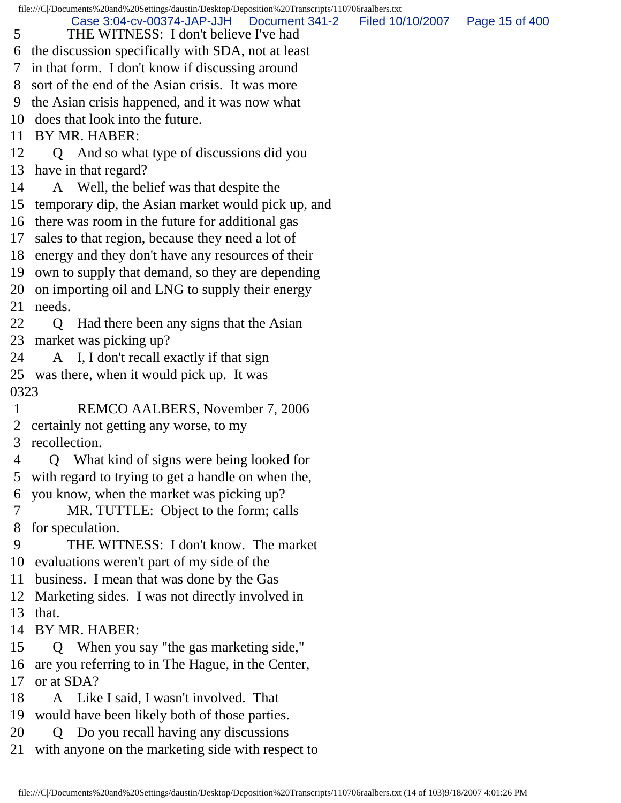file:///C|/Documents%20and%20Settings/daustin/Desktop/Deposition%20Transcripts/110706raalbers.txt 5 THE WITNESS: I don't believe I've had 6 the discussion specifically with SDA, not at least 7 in that form. I don't know if discussing around 8 sort of the end of the Asian crisis. It was more 9 the Asian crisis happened, and it was now what 10 does that look into the future. 11 BY MR. HABER: 12 Q And so what type of discussions did you 13 have in that regard? 14 A Well, the belief was that despite the 15 temporary dip, the Asian market would pick up, and 16 there was room in the future for additional gas 17 sales to that region, because they need a lot of 18 energy and they don't have any resources of their 19 own to supply that demand, so they are depending 20 on importing oil and LNG to supply their energy 21 needs. 22 Q Had there been any signs that the Asian 23 market was picking up? 24 A I, I don't recall exactly if that sign 25 was there, when it would pick up. It was 0323 1 REMCO AALBERS, November 7, 2006 2 certainly not getting any worse, to my 3 recollection. 4 Q What kind of signs were being looked for 5 with regard to trying to get a handle on when the, 6 you know, when the market was picking up? 7 MR. TUTTLE: Object to the form; calls 8 for speculation. 9 THE WITNESS: I don't know. The market 10 evaluations weren't part of my side of the 11 business. I mean that was done by the Gas 12 Marketing sides. I was not directly involved in 13 that. 14 BY MR. HABER: 15 Q When you say "the gas marketing side," 16 are you referring to in The Hague, in the Center, 17 or at SDA? 18 A Like I said, I wasn't involved. That 19 would have been likely both of those parties. 20 Q Do you recall having any discussions 21 with anyone on the marketing side with respect to Case 3:04-cv-00374-JAP-JJH Document 341-2 Filed 10/10/2007 Page 15 of 400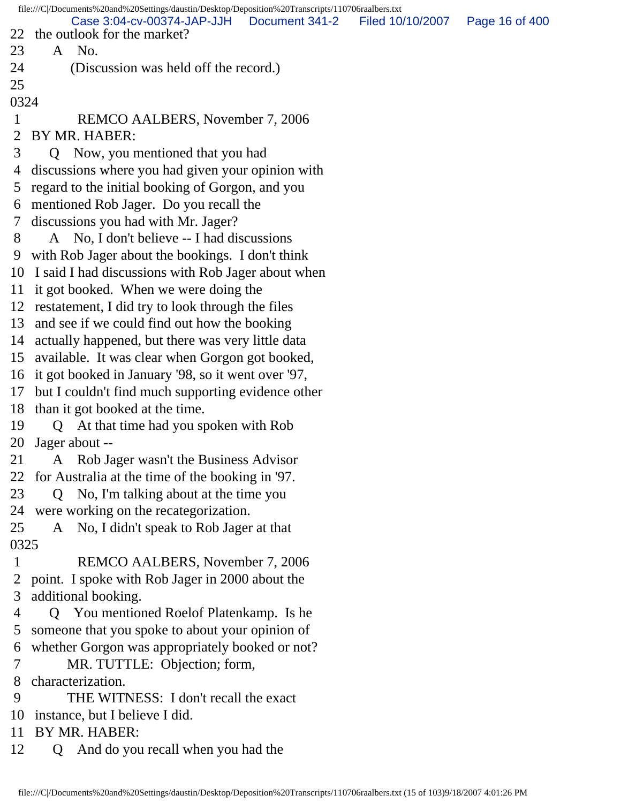file:///C|/Documents%20and%20Settings/daustin/Desktop/Deposition%20Transcripts/110706raalbers.txt 22 the outlook for the market? 23 A No. 24 (Discussion was held off the record.) 25 0324 1 REMCO AALBERS, November 7, 2006 2 BY MR. HABER: 3 Q Now, you mentioned that you had 4 discussions where you had given your opinion with 5 regard to the initial booking of Gorgon, and you 6 mentioned Rob Jager. Do you recall the 7 discussions you had with Mr. Jager? 8 A No, I don't believe -- I had discussions 9 with Rob Jager about the bookings. I don't think 10 I said I had discussions with Rob Jager about when 11 it got booked. When we were doing the 12 restatement, I did try to look through the files 13 and see if we could find out how the booking 14 actually happened, but there was very little data 15 available. It was clear when Gorgon got booked, 16 it got booked in January '98, so it went over '97, 17 but I couldn't find much supporting evidence other 18 than it got booked at the time. 19 Q At that time had you spoken with Rob 20 Jager about -- 21 A Rob Jager wasn't the Business Advisor 22 for Australia at the time of the booking in '97. 23 Q No, I'm talking about at the time you 24 were working on the recategorization. 25 A No, I didn't speak to Rob Jager at that 0325 1 REMCO AALBERS, November 7, 2006 2 point. I spoke with Rob Jager in 2000 about the 3 additional booking. 4 Q You mentioned Roelof Platenkamp. Is he 5 someone that you spoke to about your opinion of 6 whether Gorgon was appropriately booked or not? 7 MR. TUTTLE: Objection; form, 8 characterization. 9 THE WITNESS: I don't recall the exact 10 instance, but I believe I did. 11 BY MR. HABER: 12 Q And do you recall when you had the Case 3:04-cv-00374-JAP-JJH Document 341-2 Filed 10/10/2007 Page 16 of 400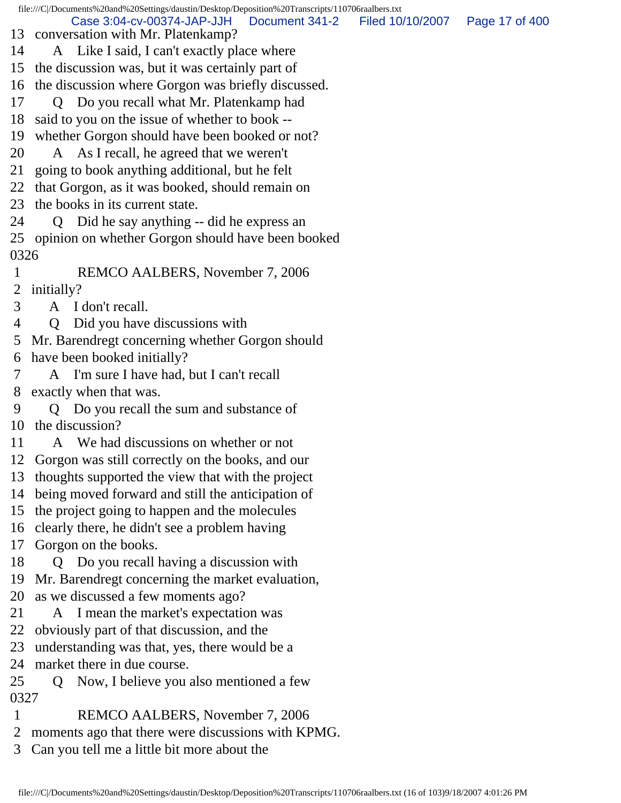file:///C|/Documents%20and%20Settings/daustin/Desktop/Deposition%20Transcripts/110706raalbers.txt 13 conversation with Mr. Platenkamp? 14 A Like I said, I can't exactly place where 15 the discussion was, but it was certainly part of 16 the discussion where Gorgon was briefly discussed. 17 Q Do you recall what Mr. Platenkamp had 18 said to you on the issue of whether to book -- 19 whether Gorgon should have been booked or not? 20 A As I recall, he agreed that we weren't 21 going to book anything additional, but he felt 22 that Gorgon, as it was booked, should remain on 23 the books in its current state. 24 Q Did he say anything -- did he express an 25 opinion on whether Gorgon should have been booked 0326 1 REMCO AALBERS, November 7, 2006 2 initially? 3 A I don't recall. 4 Q Did you have discussions with 5 Mr. Barendregt concerning whether Gorgon should 6 have been booked initially? 7 A I'm sure I have had, but I can't recall 8 exactly when that was. 9 Q Do you recall the sum and substance of 10 the discussion? 11 A We had discussions on whether or not 12 Gorgon was still correctly on the books, and our 13 thoughts supported the view that with the project 14 being moved forward and still the anticipation of 15 the project going to happen and the molecules 16 clearly there, he didn't see a problem having 17 Gorgon on the books. 18 Q Do you recall having a discussion with 19 Mr. Barendregt concerning the market evaluation, 20 as we discussed a few moments ago? 21 A I mean the market's expectation was 22 obviously part of that discussion, and the 23 understanding was that, yes, there would be a 24 market there in due course. 25 Q Now, I believe you also mentioned a few 0327 1 REMCO AALBERS, November 7, 2006 2 moments ago that there were discussions with KPMG. Case 3:04-cv-00374-JAP-JJH Document 341-2 Filed 10/10/2007 Page 17 of 400

3 Can you tell me a little bit more about the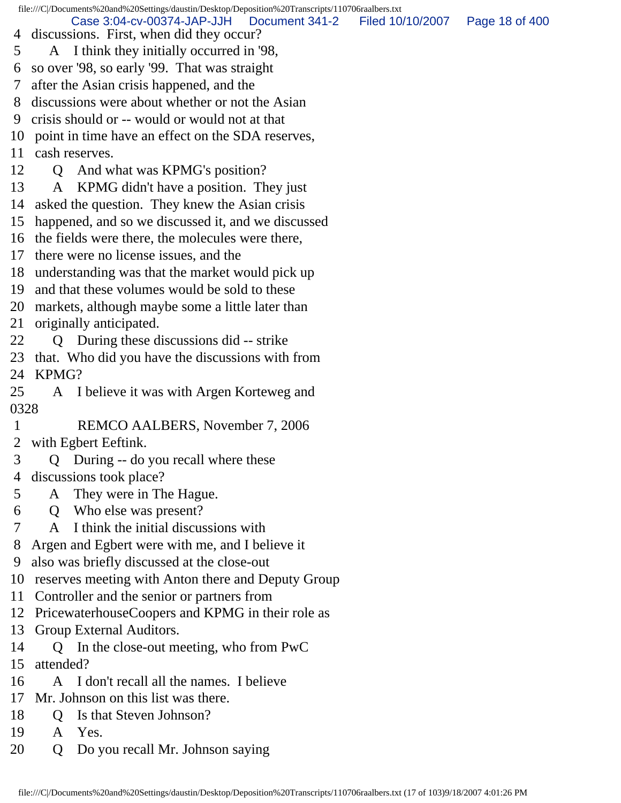file:///C|/Documents%20and%20Settings/daustin/Desktop/Deposition%20Transcripts/110706raalbers.txt 4 discussions. First, when did they occur? 5 A I think they initially occurred in '98, 6 so over '98, so early '99. That was straight 7 after the Asian crisis happened, and the 8 discussions were about whether or not the Asian 9 crisis should or -- would or would not at that 10 point in time have an effect on the SDA reserves, 11 cash reserves. 12 Q And what was KPMG's position? 13 A KPMG didn't have a position. They just 14 asked the question. They knew the Asian crisis 15 happened, and so we discussed it, and we discussed 16 the fields were there, the molecules were there, 17 there were no license issues, and the 18 understanding was that the market would pick up 19 and that these volumes would be sold to these 20 markets, although maybe some a little later than 21 originally anticipated. 22 Q During these discussions did -- strike 23 that. Who did you have the discussions with from 24 KPMG? 25 A I believe it was with Argen Korteweg and 0328 1 REMCO AALBERS, November 7, 2006 2 with Egbert Eeftink. 3 Q During -- do you recall where these 4 discussions took place? 5 A They were in The Hague. 6 Q Who else was present? 7 A I think the initial discussions with 8 Argen and Egbert were with me, and I believe it 9 also was briefly discussed at the close-out 10 reserves meeting with Anton there and Deputy Group 11 Controller and the senior or partners from 12 PricewaterhouseCoopers and KPMG in their role as 13 Group External Auditors. 14 Q In the close-out meeting, who from PwC 15 attended? 16 A I don't recall all the names. I believe 17 Mr. Johnson on this list was there. 18 Q Is that Steven Johnson? Case 3:04-cv-00374-JAP-JJH Document 341-2 Filed 10/10/2007 Page 18 of 400

- 19 A Yes.
- 20 Q Do you recall Mr. Johnson saying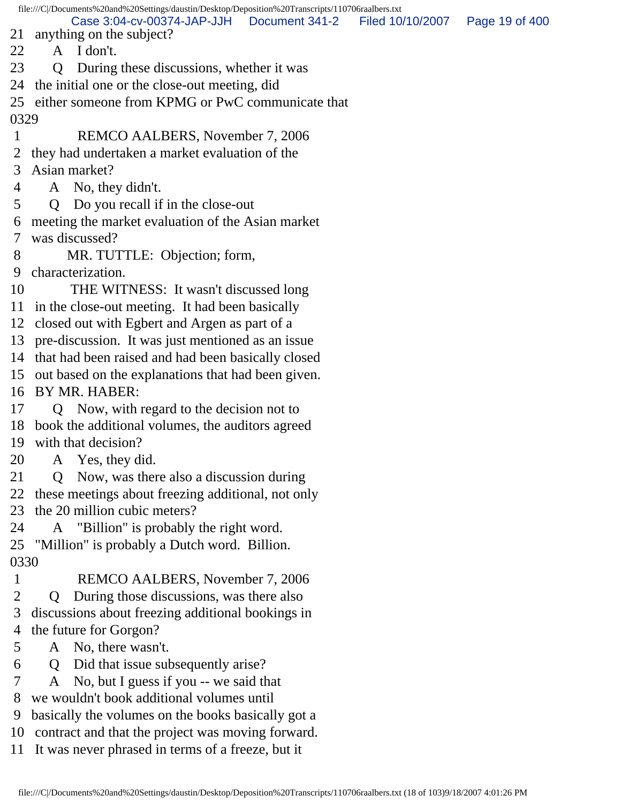file:///C|/Documents%20and%20Settings/daustin/Desktop/Deposition%20Transcripts/110706raalbers.txt 21 anything on the subject? 22 A I don't. 23 Q During these discussions, whether it was 24 the initial one or the close-out meeting, did 25 either someone from KPMG or PwC communicate that 0329 1 REMCO AALBERS, November 7, 2006 2 they had undertaken a market evaluation of the 3 Asian market? 4 A No, they didn't. 5 Q Do you recall if in the close-out 6 meeting the market evaluation of the Asian market 7 was discussed? 8 MR. TUTTLE: Objection; form, 9 characterization. 10 THE WITNESS: It wasn't discussed long 11 in the close-out meeting. It had been basically 12 closed out with Egbert and Argen as part of a 13 pre-discussion. It was just mentioned as an issue 14 that had been raised and had been basically closed 15 out based on the explanations that had been given. 16 BY MR. HABER: 17 Q Now, with regard to the decision not to 18 book the additional volumes, the auditors agreed 19 with that decision? 20 A Yes, they did. 21 Q Now, was there also a discussion during 22 these meetings about freezing additional, not only 23 the 20 million cubic meters? 24 A "Billion" is probably the right word. 25 "Million" is probably a Dutch word. Billion. 0330 1 REMCO AALBERS, November 7, 2006 2 Q During those discussions, was there also 3 discussions about freezing additional bookings in 4 the future for Gorgon? 5 A No, there wasn't. 6 Q Did that issue subsequently arise? 7 A No, but I guess if you -- we said that 8 we wouldn't book additional volumes until 9 basically the volumes on the books basically got a Case 3:04-cv-00374-JAP-JJH Document 341-2 Filed 10/10/2007 Page 19 of 400

10 contract and that the project was moving forward.

11 It was never phrased in terms of a freeze, but it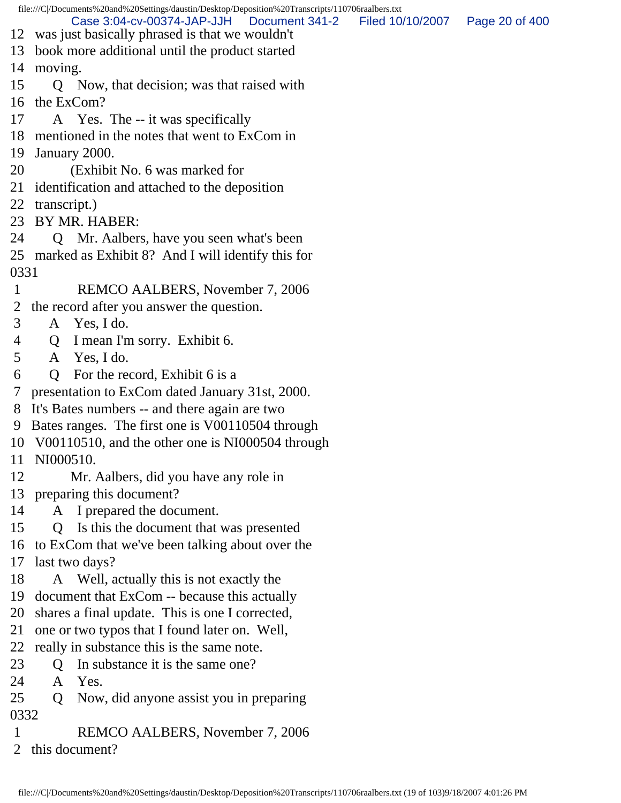|              |              | file:///C /Documents%20and%20Settings/daustin/Desktop/Deposition%20Transcripts/110706raalbers.txt<br>Case 3:04-cv-00374-JAP-JJH<br>Document 341-2 | Filed 10/10/2007 | Page 20 of 400 |
|--------------|--------------|---------------------------------------------------------------------------------------------------------------------------------------------------|------------------|----------------|
|              |              | 12 was just basically phrased is that we wouldn't                                                                                                 |                  |                |
|              |              | 13 book more additional until the product started                                                                                                 |                  |                |
| 14           | moving.      |                                                                                                                                                   |                  |                |
| 15           |              | Q Now, that decision; was that raised with                                                                                                        |                  |                |
| 16           |              | the ExCom?                                                                                                                                        |                  |                |
| 17           |              | A Yes. The -- it was specifically                                                                                                                 |                  |                |
|              |              | 18 mentioned in the notes that went to ExCom in                                                                                                   |                  |                |
| 19           |              | January 2000.                                                                                                                                     |                  |                |
| 20           |              | (Exhibit No. 6 was marked for                                                                                                                     |                  |                |
|              |              | 21 identification and attached to the deposition                                                                                                  |                  |                |
| 22           | transcript.) |                                                                                                                                                   |                  |                |
| 23           |              | BY MR. HABER:                                                                                                                                     |                  |                |
| 24           |              | Q Mr. Aalbers, have you seen what's been                                                                                                          |                  |                |
| 25           |              | marked as Exhibit 8? And I will identify this for                                                                                                 |                  |                |
| 0331         |              |                                                                                                                                                   |                  |                |
|              |              | REMCO AALBERS, November 7, 2006                                                                                                                   |                  |                |
| 2            |              | the record after you answer the question.                                                                                                         |                  |                |
| 3            |              | A Yes, I do.                                                                                                                                      |                  |                |
| 4            | Q            | I mean I'm sorry. Exhibit 6.                                                                                                                      |                  |                |
| 5            |              | A Yes, I do.                                                                                                                                      |                  |                |
| 6            | Q            | For the record, Exhibit 6 is a                                                                                                                    |                  |                |
| 7            |              | presentation to ExCom dated January 31st, 2000.                                                                                                   |                  |                |
| 8            |              | It's Bates numbers -- and there again are two                                                                                                     |                  |                |
| 9            |              | Bates ranges. The first one is V00110504 through                                                                                                  |                  |                |
|              |              | 10 V00110510, and the other one is NI000504 through                                                                                               |                  |                |
| 11           | NI000510.    |                                                                                                                                                   |                  |                |
| 12           |              | Mr. Aalbers, did you have any role in                                                                                                             |                  |                |
| 13           |              | preparing this document?                                                                                                                          |                  |                |
| 14           |              | A I prepared the document.                                                                                                                        |                  |                |
| 15           | $\mathbf{Q}$ | Is this the document that was presented                                                                                                           |                  |                |
| 16           |              | to ExCom that we've been talking about over the                                                                                                   |                  |                |
| 17           |              | last two days?                                                                                                                                    |                  |                |
| 18           |              | A Well, actually this is not exactly the                                                                                                          |                  |                |
| 19           |              | document that ExCom -- because this actually                                                                                                      |                  |                |
| 20           |              | shares a final update. This is one I corrected,                                                                                                   |                  |                |
| 21           |              | one or two typos that I found later on. Well,                                                                                                     |                  |                |
| 22           |              | really in substance this is the same note.                                                                                                        |                  |                |
| 23           | O            | In substance it is the same one?                                                                                                                  |                  |                |
| 24           | A            | Yes.                                                                                                                                              |                  |                |
| 25           | Q            | Now, did anyone assist you in preparing                                                                                                           |                  |                |
| 0332         |              |                                                                                                                                                   |                  |                |
| $\mathbf{1}$ |              | REMCO AALBERS, November 7, 2006                                                                                                                   |                  |                |

2 this document?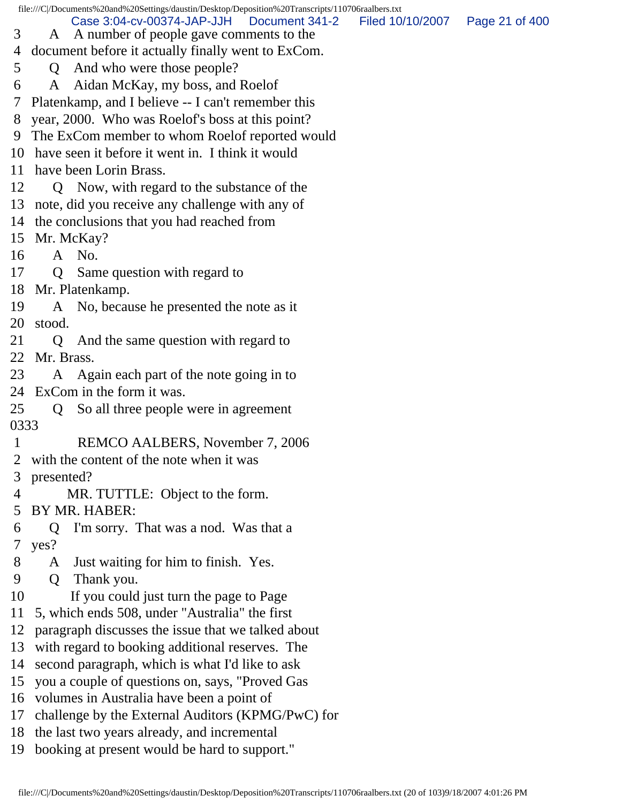file:///C|/Documents%20and%20Settings/daustin/Desktop/Deposition%20Transcripts/110706raalbers.txt 3 A A number of people gave comments to the 4 document before it actually finally went to ExCom. 5 Q And who were those people? 6 A Aidan McKay, my boss, and Roelof 7 Platenkamp, and I believe -- I can't remember this 8 year, 2000. Who was Roelof's boss at this point? 9 The ExCom member to whom Roelof reported would 10 have seen it before it went in. I think it would 11 have been Lorin Brass. 12 Q Now, with regard to the substance of the 13 note, did you receive any challenge with any of 14 the conclusions that you had reached from 15 Mr. McKay? 16 A No. 17 Q Same question with regard to 18 Mr. Platenkamp. 19 A No, because he presented the note as it 20 stood. 21 Q And the same question with regard to 22 Mr. Brass. 23 A Again each part of the note going in to 24 ExCom in the form it was. 25 Q So all three people were in agreement 0333 1 REMCO AALBERS, November 7, 2006 2 with the content of the note when it was 3 presented? 4 MR. TUTTLE: Object to the form. 5 BY MR. HABER: 6 Q I'm sorry. That was a nod. Was that a 7 yes? 8 A Just waiting for him to finish. Yes. 9 Q Thank you. 10 If you could just turn the page to Page 11 5, which ends 508, under "Australia" the first 12 paragraph discusses the issue that we talked about 13 with regard to booking additional reserves. The 14 second paragraph, which is what I'd like to ask 15 you a couple of questions on, says, "Proved Gas 16 volumes in Australia have been a point of 17 challenge by the External Auditors (KPMG/PwC) for 18 the last two years already, and incremental 19 booking at present would be hard to support." Case 3:04-cv-00374-JAP-JJH Document 341-2 Filed 10/10/2007 Page 21 of 400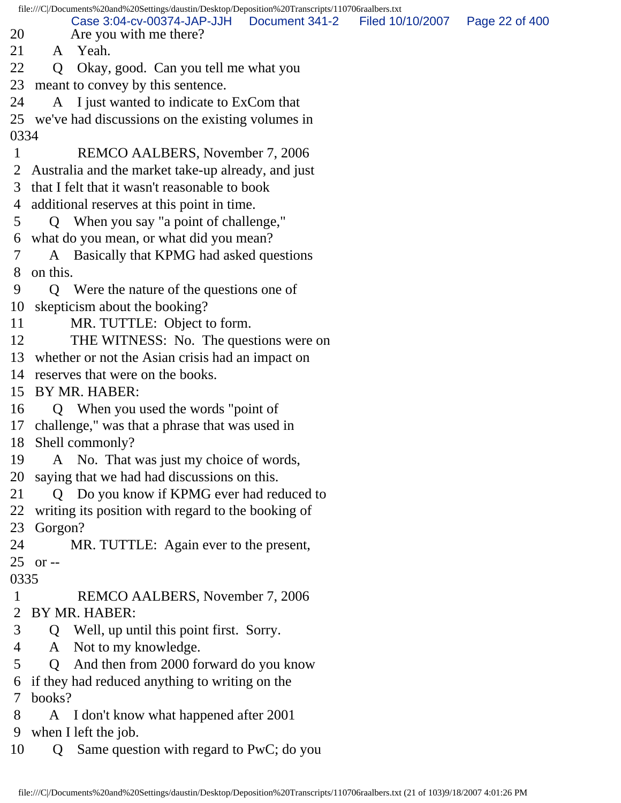file:///C|/Documents%20and%20Settings/daustin/Desktop/Deposition%20Transcripts/110706raalbers.txt 20 Are you with me there? 21 A Yeah. 22 Q Okay, good. Can you tell me what you 23 meant to convey by this sentence. 24 A I just wanted to indicate to ExCom that 25 we've had discussions on the existing volumes in 0334 1 REMCO AALBERS, November 7, 2006 2 Australia and the market take-up already, and just 3 that I felt that it wasn't reasonable to book 4 additional reserves at this point in time. 5 Q When you say "a point of challenge," 6 what do you mean, or what did you mean? 7 A Basically that KPMG had asked questions 8 on this. 9 Q Were the nature of the questions one of 10 skepticism about the booking? 11 MR. TUTTLE: Object to form. 12 THE WITNESS: No. The questions were on 13 whether or not the Asian crisis had an impact on 14 reserves that were on the books. 15 BY MR. HABER: 16 Q When you used the words "point of 17 challenge," was that a phrase that was used in 18 Shell commonly? 19 A No. That was just my choice of words, 20 saying that we had had discussions on this. 21 Q Do you know if KPMG ever had reduced to 22 writing its position with regard to the booking of 23 Gorgon? 24 MR. TUTTLE: Again ever to the present, 25 or -- 0335 1 REMCO AALBERS, November 7, 2006 2 BY MR. HABER: 3 Q Well, up until this point first. Sorry. 4 A Not to my knowledge. 5 Q And then from 2000 forward do you know 6 if they had reduced anything to writing on the 7 books? 8 A I don't know what happened after 2001 9 when I left the job. 10 Q Same question with regard to PwC; do you Case 3:04-cv-00374-JAP-JJH Document 341-2 Filed 10/10/2007 Page 22 of 400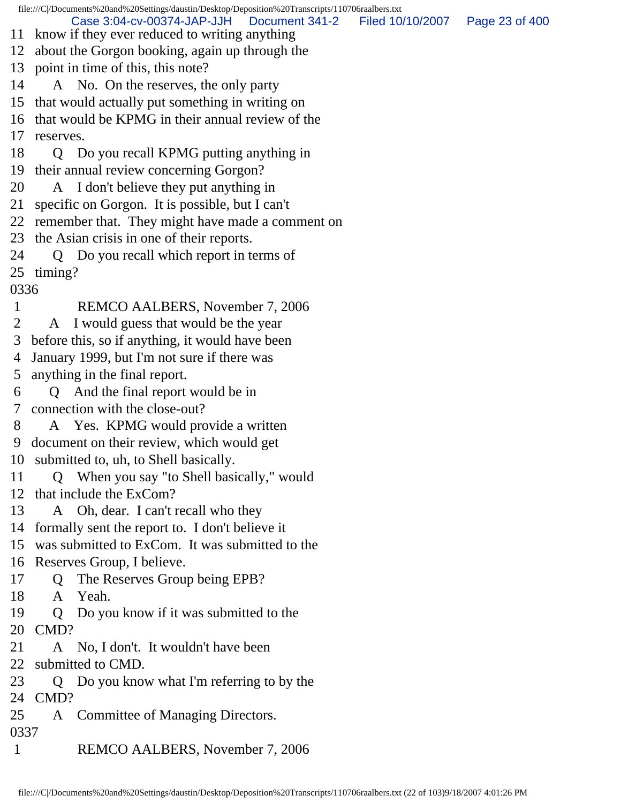file:///C|/Documents%20and%20Settings/daustin/Desktop/Deposition%20Transcripts/110706raalbers.txt 11 know if they ever reduced to writing anything 12 about the Gorgon booking, again up through the 13 point in time of this, this note? 14 A No. On the reserves, the only party 15 that would actually put something in writing on 16 that would be KPMG in their annual review of the 17 reserves. 18 Q Do you recall KPMG putting anything in 19 their annual review concerning Gorgon? 20 A I don't believe they put anything in 21 specific on Gorgon. It is possible, but I can't 22 remember that. They might have made a comment on 23 the Asian crisis in one of their reports. 24 Q Do you recall which report in terms of 25 timing? 0336 1 REMCO AALBERS, November 7, 2006 2 A I would guess that would be the year 3 before this, so if anything, it would have been 4 January 1999, but I'm not sure if there was 5 anything in the final report. 6 Q And the final report would be in 7 connection with the close-out? 8 A Yes. KPMG would provide a written 9 document on their review, which would get 10 submitted to, uh, to Shell basically. 11 Q When you say "to Shell basically," would 12 that include the ExCom? 13 A Oh, dear. I can't recall who they 14 formally sent the report to. I don't believe it 15 was submitted to ExCom. It was submitted to the 16 Reserves Group, I believe. 17 Q The Reserves Group being EPB? 18 A Yeah. 19 Q Do you know if it was submitted to the 20 CMD? 21 A No, I don't. It wouldn't have been 22 submitted to CMD. 23 Q Do you know what I'm referring to by the 24 CMD? 25 A Committee of Managing Directors. 0337 1 REMCO AALBERS, November 7, 2006 Case 3:04-cv-00374-JAP-JJH Document 341-2 Filed 10/10/2007 Page 23 of 400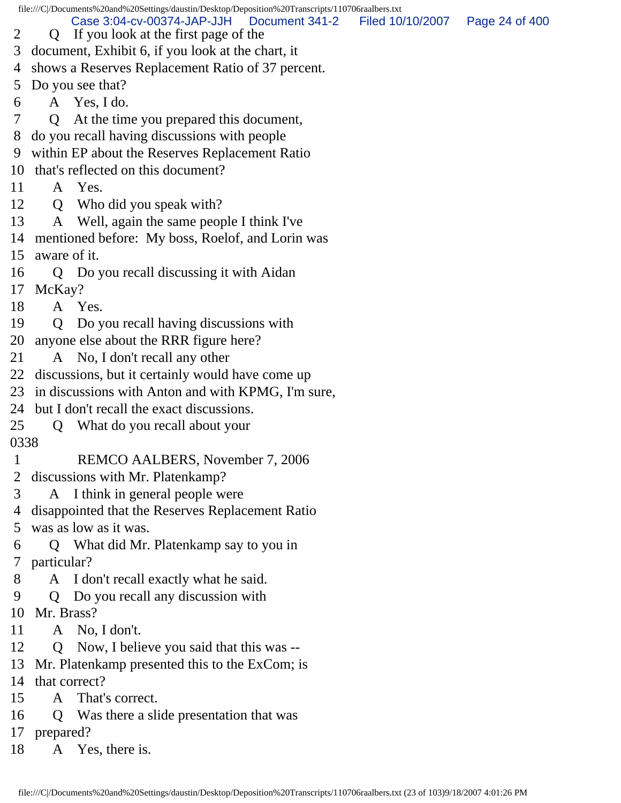file:///C|/Documents%20and%20Settings/daustin/Desktop/Deposition%20Transcripts/110706raalbers.txt 2 Q If you look at the first page of the 3 document, Exhibit 6, if you look at the chart, it 4 shows a Reserves Replacement Ratio of 37 percent. 5 Do you see that? 6 A Yes, I do. 7 Q At the time you prepared this document, 8 do you recall having discussions with people 9 within EP about the Reserves Replacement Ratio 10 that's reflected on this document? 11 A Yes. 12 Q Who did you speak with? 13 A Well, again the same people I think I've 14 mentioned before: My boss, Roelof, and Lorin was 15 aware of it. 16 Q Do you recall discussing it with Aidan 17 McKay? 18 A Yes. 19 Q Do you recall having discussions with 20 anyone else about the RRR figure here? 21 A No, I don't recall any other 22 discussions, but it certainly would have come up 23 in discussions with Anton and with KPMG, I'm sure, 24 but I don't recall the exact discussions. 25 Q What do you recall about your 0338 1 REMCO AALBERS, November 7, 2006 2 discussions with Mr. Platenkamp? 3 A I think in general people were 4 disappointed that the Reserves Replacement Ratio 5 was as low as it was. 6 Q What did Mr. Platenkamp say to you in 7 particular? 8 A I don't recall exactly what he said. 9 Q Do you recall any discussion with 10 Mr. Brass? 11 A No, I don't. 12 Q Now, I believe you said that this was -- 13 Mr. Platenkamp presented this to the ExCom; is 14 that correct? 15 A That's correct. 16 Q Was there a slide presentation that was 17 prepared? 18 A Yes, there is. Case 3:04-cv-00374-JAP-JJH Document 341-2 Filed 10/10/2007 Page 24 of 400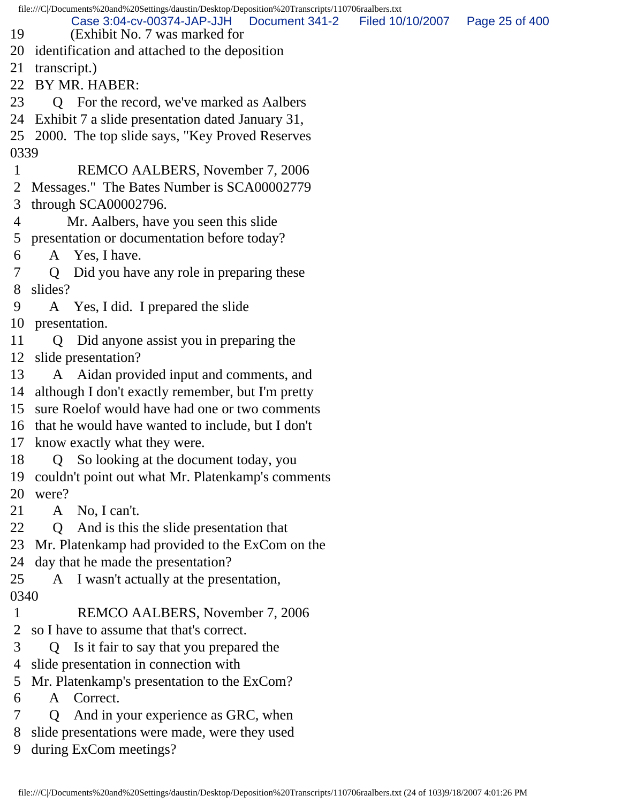file:///C|/Documents%20and%20Settings/daustin/Desktop/Deposition%20Transcripts/110706raalbers.txt 19 (Exhibit No. 7 was marked for 20 identification and attached to the deposition 21 transcript.) 22 BY MR. HABER: 23 Q For the record, we've marked as Aalbers 24 Exhibit 7 a slide presentation dated January 31, 25 2000. The top slide says, "Key Proved Reserves 0339 1 REMCO AALBERS, November 7, 2006 2 Messages." The Bates Number is SCA00002779 3 through SCA00002796. 4 Mr. Aalbers, have you seen this slide 5 presentation or documentation before today? 6 A Yes, I have. 7 Q Did you have any role in preparing these 8 slides? 9 A Yes, I did. I prepared the slide 10 presentation. 11 Q Did anyone assist you in preparing the 12 slide presentation? 13 A Aidan provided input and comments, and 14 although I don't exactly remember, but I'm pretty 15 sure Roelof would have had one or two comments 16 that he would have wanted to include, but I don't 17 know exactly what they were. 18 Q So looking at the document today, you 19 couldn't point out what Mr. Platenkamp's comments 20 were? 21 A No, I can't. 22 Q And is this the slide presentation that 23 Mr. Platenkamp had provided to the ExCom on the 24 day that he made the presentation? 25 A I wasn't actually at the presentation, 0340 1 REMCO AALBERS, November 7, 2006 2 so I have to assume that that's correct. 3 Q Is it fair to say that you prepared the 4 slide presentation in connection with 5 Mr. Platenkamp's presentation to the ExCom? 6 A Correct. 7 Q And in your experience as GRC, when Case 3:04-cv-00374-JAP-JJH Document 341-2 Filed 10/10/2007 Page 25 of 400

8 slide presentations were made, were they used

9 during ExCom meetings?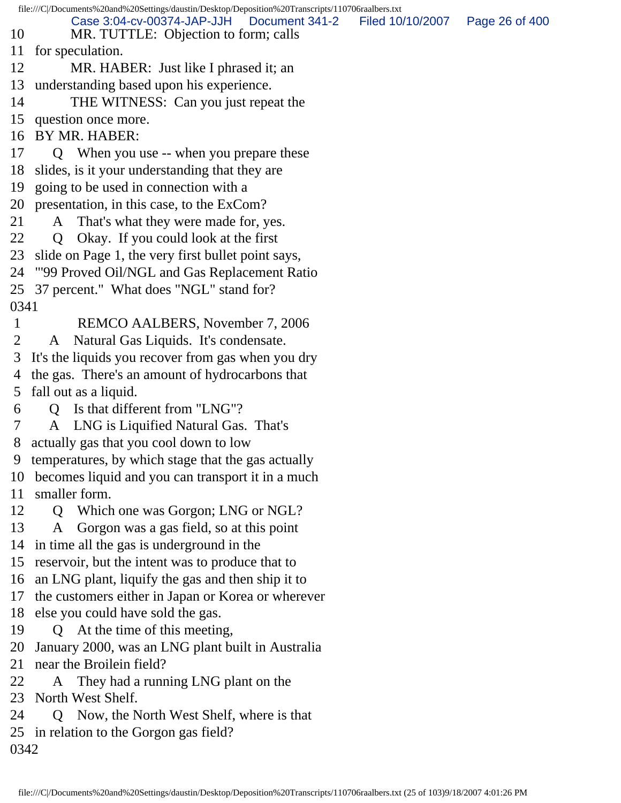file:///C|/Documents%20and%20Settings/daustin/Desktop/Deposition%20Transcripts/110706raalbers.txt 10 MR. TUTTLE: Objection to form; calls 11 for speculation. 12 MR. HABER: Just like I phrased it; an 13 understanding based upon his experience. 14 THE WITNESS: Can you just repeat the 15 question once more. 16 BY MR. HABER: 17 Q When you use -- when you prepare these 18 slides, is it your understanding that they are 19 going to be used in connection with a 20 presentation, in this case, to the ExCom? 21 A That's what they were made for, yes. 22 Q Okay. If you could look at the first 23 slide on Page 1, the very first bullet point says, 24 "'99 Proved Oil/NGL and Gas Replacement Ratio 25 37 percent." What does "NGL" stand for? 0341 1 REMCO AALBERS, November 7, 2006 2 A Natural Gas Liquids. It's condensate. 3 It's the liquids you recover from gas when you dry 4 the gas. There's an amount of hydrocarbons that 5 fall out as a liquid. 6 Q Is that different from "LNG"? 7 A LNG is Liquified Natural Gas. That's 8 actually gas that you cool down to low 9 temperatures, by which stage that the gas actually 10 becomes liquid and you can transport it in a much 11 smaller form. 12 Q Which one was Gorgon; LNG or NGL? 13 A Gorgon was a gas field, so at this point 14 in time all the gas is underground in the 15 reservoir, but the intent was to produce that to 16 an LNG plant, liquify the gas and then ship it to 17 the customers either in Japan or Korea or wherever 18 else you could have sold the gas. 19 Q At the time of this meeting, 20 January 2000, was an LNG plant built in Australia 21 near the Broilein field? 22 A They had a running LNG plant on the 23 North West Shelf. 24 Q Now, the North West Shelf, where is that 25 in relation to the Gorgon gas field? 0342 Case 3:04-cv-00374-JAP-JJH Document 341-2 Filed 10/10/2007 Page 26 of 400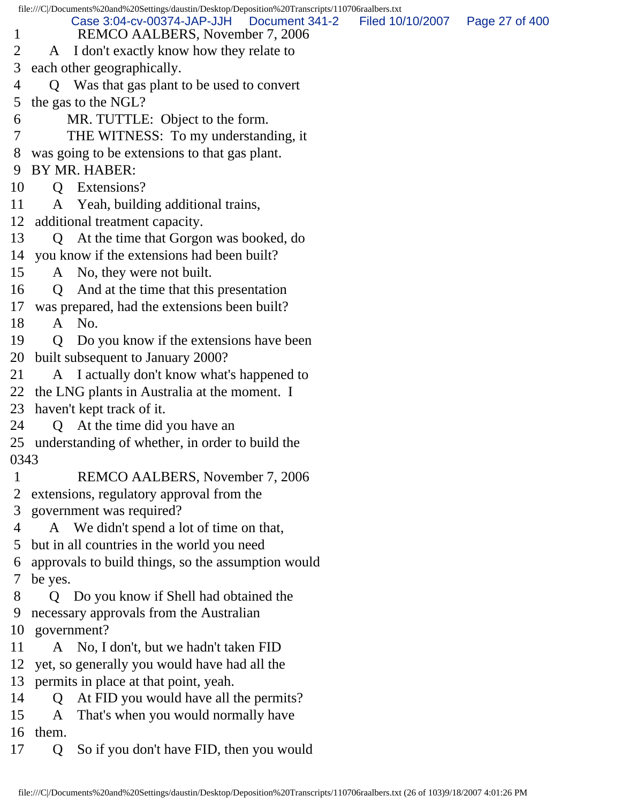file:///C|/Documents%20and%20Settings/daustin/Desktop/Deposition%20Transcripts/110706raalbers.txt 1 REMCO AALBERS, November 7, 2006 2 A I don't exactly know how they relate to 3 each other geographically. 4 Q Was that gas plant to be used to convert 5 the gas to the NGL? 6 MR. TUTTLE: Object to the form. 7 THE WITNESS: To my understanding, it 8 was going to be extensions to that gas plant. 9 BY MR. HABER: 10 Q Extensions? 11 A Yeah, building additional trains, 12 additional treatment capacity. 13 Q At the time that Gorgon was booked, do 14 you know if the extensions had been built? 15 A No, they were not built. 16 Q And at the time that this presentation 17 was prepared, had the extensions been built? 18 A No. 19 Q Do you know if the extensions have been 20 built subsequent to January 2000? 21 A I actually don't know what's happened to 22 the LNG plants in Australia at the moment. I 23 haven't kept track of it. 24 Q At the time did you have an 25 understanding of whether, in order to build the 0343 1 REMCO AALBERS, November 7, 2006 2 extensions, regulatory approval from the 3 government was required? 4 A We didn't spend a lot of time on that, 5 but in all countries in the world you need 6 approvals to build things, so the assumption would 7 be yes. 8 Q Do you know if Shell had obtained the 9 necessary approvals from the Australian 10 government? 11 A No, I don't, but we hadn't taken FID 12 yet, so generally you would have had all the 13 permits in place at that point, yeah. 14 Q At FID you would have all the permits? 15 A That's when you would normally have 16 them. 17 Q So if you don't have FID, then you would Case 3:04-cv-00374-JAP-JJH Document 341-2 Filed 10/10/2007 Page 27 of 400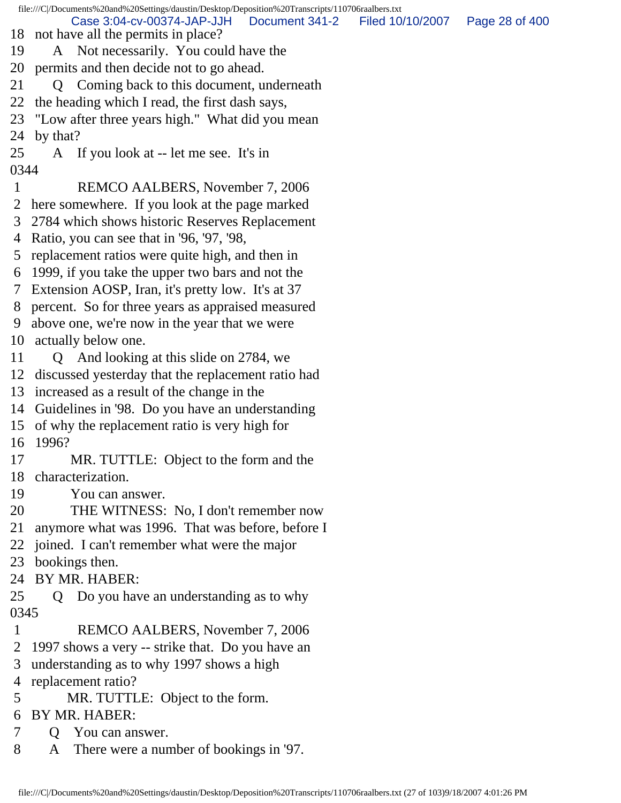file:///C|/Documents%20and%20Settings/daustin/Desktop/Deposition%20Transcripts/110706raalbers.txt 18 not have all the permits in place? 19 A Not necessarily. You could have the 20 permits and then decide not to go ahead. 21 Q Coming back to this document, underneath 22 the heading which I read, the first dash says, 23 "Low after three years high." What did you mean 24 by that? 25 A If you look at -- let me see. It's in 0344 1 REMCO AALBERS, November 7, 2006 2 here somewhere. If you look at the page marked 3 2784 which shows historic Reserves Replacement 4 Ratio, you can see that in '96, '97, '98, 5 replacement ratios were quite high, and then in 6 1999, if you take the upper two bars and not the 7 Extension AOSP, Iran, it's pretty low. It's at 37 8 percent. So for three years as appraised measured 9 above one, we're now in the year that we were 10 actually below one. 11 Q And looking at this slide on 2784, we 12 discussed yesterday that the replacement ratio had 13 increased as a result of the change in the 14 Guidelines in '98. Do you have an understanding 15 of why the replacement ratio is very high for 16 1996? 17 MR. TUTTLE: Object to the form and the 18 characterization. 19 You can answer. 20 THE WITNESS: No, I don't remember now 21 anymore what was 1996. That was before, before I 22 joined. I can't remember what were the major 23 bookings then. 24 BY MR. HABER: 25 Q Do you have an understanding as to why 0345 1 REMCO AALBERS, November 7, 2006 2 1997 shows a very -- strike that. Do you have an 3 understanding as to why 1997 shows a high 4 replacement ratio? 5 MR. TUTTLE: Object to the form. 6 BY MR. HABER: 7 Q You can answer. 8 A There were a number of bookings in '97. Case 3:04-cv-00374-JAP-JJH Document 341-2 Filed 10/10/2007 Page 28 of 400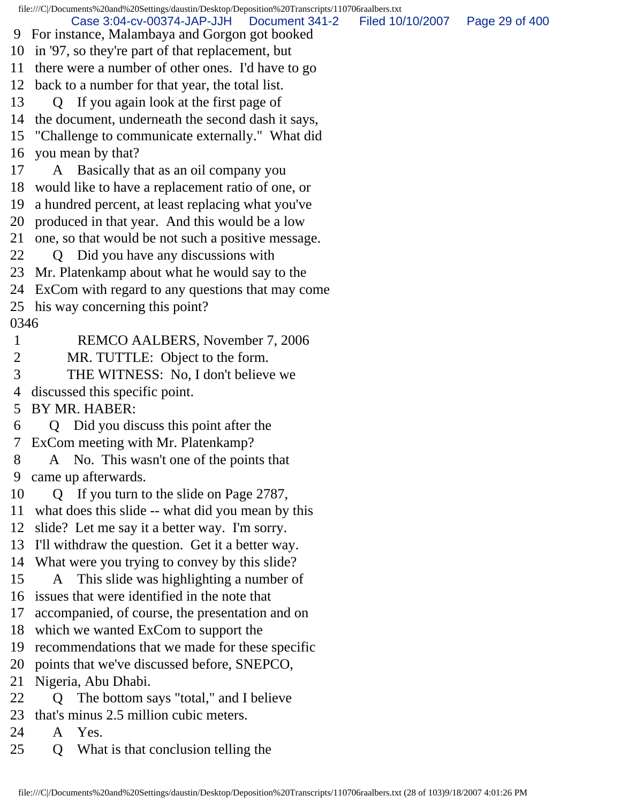file:///C|/Documents%20and%20Settings/daustin/Desktop/Deposition%20Transcripts/110706raalbers.txt 9 For instance, Malambaya and Gorgon got booked 10 in '97, so they're part of that replacement, but 11 there were a number of other ones. I'd have to go 12 back to a number for that year, the total list. 13 Q If you again look at the first page of 14 the document, underneath the second dash it says, 15 "Challenge to communicate externally." What did 16 you mean by that? 17 A Basically that as an oil company you 18 would like to have a replacement ratio of one, or 19 a hundred percent, at least replacing what you've 20 produced in that year. And this would be a low 21 one, so that would be not such a positive message. 22 Q Did you have any discussions with 23 Mr. Platenkamp about what he would say to the 24 ExCom with regard to any questions that may come 25 his way concerning this point? 0346 1 REMCO AALBERS, November 7, 2006 2 MR. TUTTLE: Object to the form. 3 THE WITNESS: No, I don't believe we 4 discussed this specific point. 5 BY MR. HABER: 6 Q Did you discuss this point after the 7 ExCom meeting with Mr. Platenkamp? 8 A No. This wasn't one of the points that 9 came up afterwards. 10 Q If you turn to the slide on Page 2787, 11 what does this slide -- what did you mean by this 12 slide? Let me say it a better way. I'm sorry. 13 I'll withdraw the question. Get it a better way. 14 What were you trying to convey by this slide? 15 A This slide was highlighting a number of 16 issues that were identified in the note that 17 accompanied, of course, the presentation and on 18 which we wanted ExCom to support the 19 recommendations that we made for these specific 20 points that we've discussed before, SNEPCO, 21 Nigeria, Abu Dhabi. 22 Q The bottom says "total," and I believe 23 that's minus 2.5 million cubic meters. 24 A Yes. 25 Q What is that conclusion telling the Case 3:04-cv-00374-JAP-JJH Document 341-2 Filed 10/10/2007 Page 29 of 400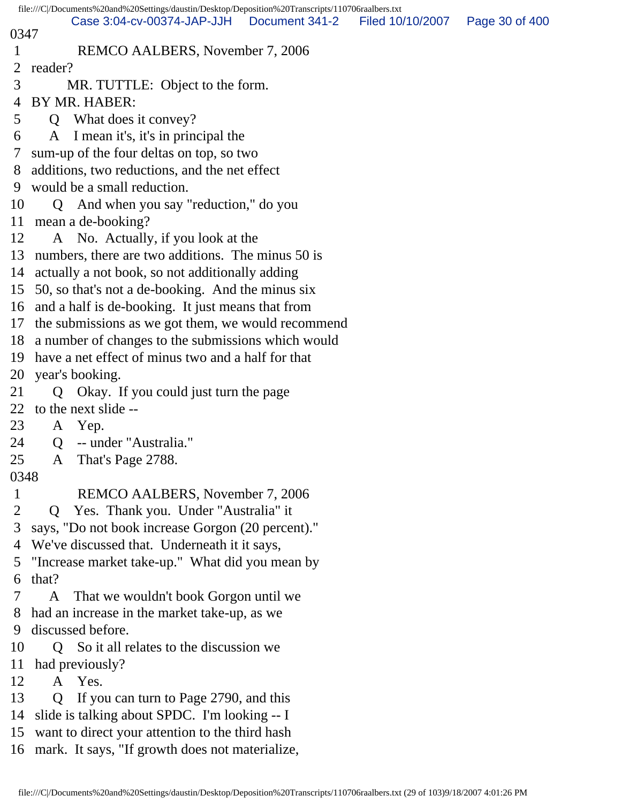|              | file:///C /Documents%20and%20Settings/daustin/Desktop/Deposition%20Transcripts/110706raalbers.txt |
|--------------|---------------------------------------------------------------------------------------------------|
| 0347         | Filed 10/10/2007<br>Case 3:04-cv-00374-JAP-JJH<br>Document 341-2<br>Page 30 of 400                |
| 1            | REMCO AALBERS, November 7, 2006                                                                   |
| 2            | reader?                                                                                           |
| 3            | MR. TUTTLE: Object to the form.                                                                   |
| 4            | BY MR. HABER:                                                                                     |
| 5            | Q What does it convey?                                                                            |
| 6            | A I mean it's, it's in principal the                                                              |
| 7            | sum-up of the four deltas on top, so two                                                          |
| 8            | additions, two reductions, and the net effect                                                     |
| 9            | would be a small reduction.                                                                       |
| 10           | Q And when you say "reduction," do you                                                            |
| 11           | mean a de-booking?                                                                                |
| 12           | A No. Actually, if you look at the                                                                |
| 13           | numbers, there are two additions. The minus 50 is                                                 |
| 14           | actually a not book, so not additionally adding                                                   |
| 15           | 50, so that's not a de-booking. And the minus six                                                 |
|              | 16 and a half is de-booking. It just means that from                                              |
| 17           | the submissions as we got them, we would recommend                                                |
|              | 18 a number of changes to the submissions which would                                             |
| 19           | have a net effect of minus two and a half for that                                                |
| 20           | year's booking.                                                                                   |
| 21           | Okay. If you could just turn the page<br>Q.                                                       |
| 22           | to the next slide --                                                                              |
| 23           | A Yep.                                                                                            |
| 24           | -- under "Australia."<br>Q                                                                        |
| 25           | A That's Page 2788.                                                                               |
| 0348         |                                                                                                   |
| $\mathbf{1}$ | REMCO AALBERS, November 7, 2006                                                                   |
| 2            | Yes. Thank you. Under "Australia" it<br>$\mathbf O$                                               |
| 3            | says, "Do not book increase Gorgon (20 percent)."                                                 |
| 4            | We've discussed that. Underneath it it says,                                                      |
| 5            | "Increase market take-up." What did you mean by                                                   |
| 6            | that?                                                                                             |
| 7            | That we wouldn't book Gorgon until we<br>A                                                        |
| 8            | had an increase in the market take-up, as we                                                      |
| 9            | discussed before.                                                                                 |
| 10           | Q So it all relates to the discussion we                                                          |
| 11           | had previously?                                                                                   |
| 12           | A Yes.                                                                                            |
| 13           | Q If you can turn to Page 2790, and this                                                          |
| 14           | slide is talking about SPDC. I'm looking -- I                                                     |
| 15           | want to direct your attention to the third hash                                                   |
|              | 16 mark. It says, "If growth does not materialize,                                                |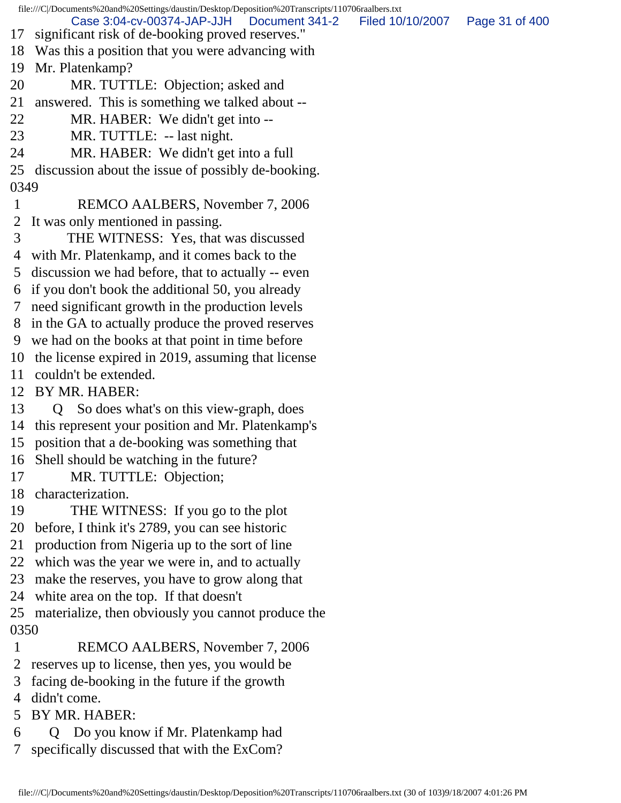file:///C|/Documents%20and%20Settings/daustin/Desktop/Deposition%20Transcripts/110706raalbers.txt 17 significant risk of de-booking proved reserves." 18 Was this a position that you were advancing with 19 Mr. Platenkamp? 20 MR. TUTTLE: Objection; asked and 21 answered. This is something we talked about -- 22 MR. HABER: We didn't get into -- 23 MR. TUTTLE: -- last night. 24 MR. HABER: We didn't get into a full 25 discussion about the issue of possibly de-booking. 0349 1 REMCO AALBERS, November 7, 2006 2 It was only mentioned in passing. 3 THE WITNESS: Yes, that was discussed 4 with Mr. Platenkamp, and it comes back to the 5 discussion we had before, that to actually -- even 6 if you don't book the additional 50, you already 7 need significant growth in the production levels 8 in the GA to actually produce the proved reserves 9 we had on the books at that point in time before 10 the license expired in 2019, assuming that license 11 couldn't be extended. 12 BY MR. HABER: 13 Q So does what's on this view-graph, does 14 this represent your position and Mr. Platenkamp's 15 position that a de-booking was something that 16 Shell should be watching in the future? 17 MR. TUTTLE: Objection; 18 characterization. 19 THE WITNESS: If you go to the plot 20 before, I think it's 2789, you can see historic 21 production from Nigeria up to the sort of line 22 which was the year we were in, and to actually 23 make the reserves, you have to grow along that 24 white area on the top. If that doesn't 25 materialize, then obviously you cannot produce the 0350 1 REMCO AALBERS, November 7, 2006 2 reserves up to license, then yes, you would be 3 facing de-booking in the future if the growth 4 didn't come. 5 BY MR. HABER: 6 Q Do you know if Mr. Platenkamp had 7 specifically discussed that with the ExCom? Case 3:04-cv-00374-JAP-JJH Document 341-2 Filed 10/10/2007 Page 31 of 400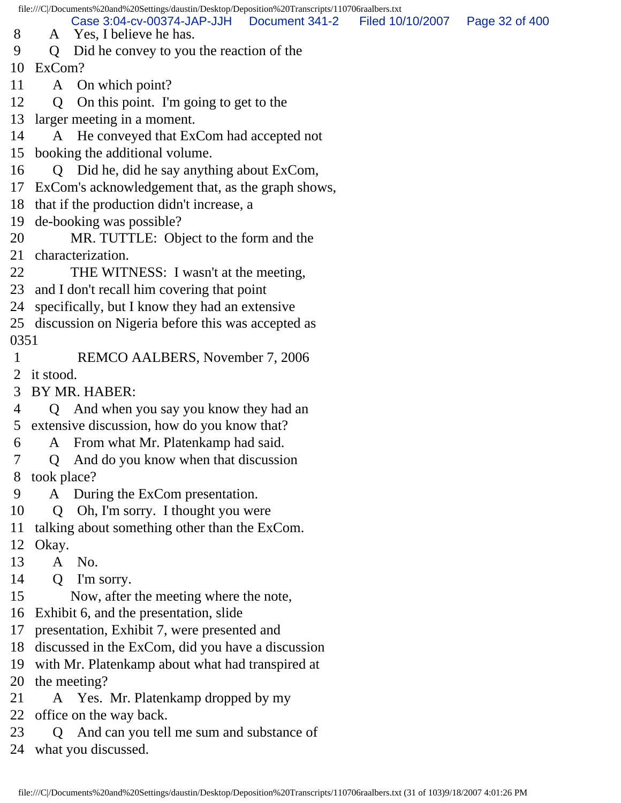file:///C|/Documents%20and%20Settings/daustin/Desktop/Deposition%20Transcripts/110706raalbers.txt

Case 3:04-cv-00374-JAP-JJH Document 341-2 Filed 10/10/2007 Page 32 of 400

- 8 A Yes, I believe he has.
- 9 Q Did he convey to you the reaction of the

10 ExCom?

- 11 A On which point?
- 12 Q On this point. I'm going to get to the
- 13 larger meeting in a moment.
- 14 A He conveyed that ExCom had accepted not
- 15 booking the additional volume.
- 16 Q Did he, did he say anything about ExCom,
- 17 ExCom's acknowledgement that, as the graph shows,
- 18 that if the production didn't increase, a
- 19 de-booking was possible?
- 20 MR. TUTTLE: Object to the form and the
- 21 characterization.
- 22 THE WITNESS: I wasn't at the meeting,
- 23 and I don't recall him covering that point
- 24 specifically, but I know they had an extensive
- 25 discussion on Nigeria before this was accepted as 0351
- 1 REMCO AALBERS, November 7, 2006
- 2 it stood.
- 3 BY MR. HABER:
- 4 Q And when you say you know they had an 5 extensive discussion, how do you know that?
- 6 A From what Mr. Platenkamp had said.
- 7 Q And do you know when that discussion
- 8 took place?
- 9 A During the ExCom presentation.
- 10 Q Oh, I'm sorry. I thought you were
- 11 talking about something other than the ExCom.
- 12 Okay.
- 13 A No.
- 14 Q I'm sorry.
- 15 Now, after the meeting where the note,
- 16 Exhibit 6, and the presentation, slide
- 17 presentation, Exhibit 7, were presented and
- 18 discussed in the ExCom, did you have a discussion
- 19 with Mr. Platenkamp about what had transpired at
- 20 the meeting?
- 21 A Yes. Mr. Platenkamp dropped by my
- 22 office on the way back.
- 23 Q And can you tell me sum and substance of
- 24 what you discussed.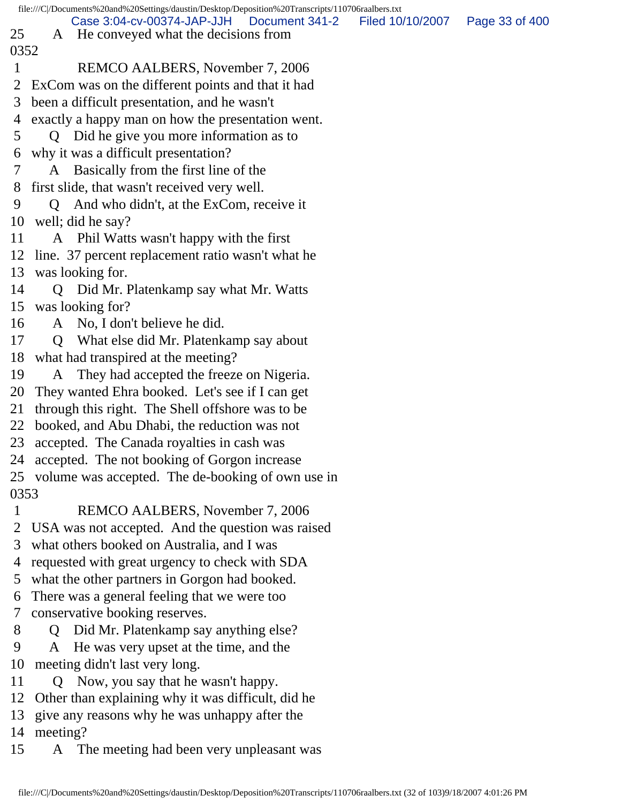|      | file:///C /Documents%20and%20Settings/daustin/Desktop/Deposition%20Transcripts/110706raalbers.txt         |                |
|------|-----------------------------------------------------------------------------------------------------------|----------------|
| 25   | Case 3:04-cv-00374-JAP-JJH<br>Document 341-2<br>Filed 10/10/2007<br>A He conveyed what the decisions from | Page 33 of 400 |
| 0352 |                                                                                                           |                |
| 1    | REMCO AALBERS, November 7, 2006                                                                           |                |
| 2    | ExCom was on the different points and that it had                                                         |                |
| 3    | been a difficult presentation, and he wasn't                                                              |                |
| 4    | exactly a happy man on how the presentation went.                                                         |                |
| 5    | Q Did he give you more information as to                                                                  |                |
| 6    | why it was a difficult presentation?                                                                      |                |
| 7    | Basically from the first line of the<br>A                                                                 |                |
| 8    | first slide, that wasn't received very well.                                                              |                |
| 9    | And who didn't, at the ExCom, receive it<br>$\Omega$                                                      |                |
| 10   | well; did he say?                                                                                         |                |
| 11   | A Phil Watts wasn't happy with the first                                                                  |                |
|      | 12 line. 37 percent replacement ratio wasn't what he                                                      |                |
| 13   | was looking for.                                                                                          |                |
| 14   | Did Mr. Platenkamp say what Mr. Watts<br>Q                                                                |                |
|      | 15 was looking for?                                                                                       |                |
| 16   | A No, I don't believe he did.                                                                             |                |
| 17   | Q What else did Mr. Platenkamp say about                                                                  |                |
| 18   | what had transpired at the meeting?                                                                       |                |
| 19   | They had accepted the freeze on Nigeria.<br>A                                                             |                |
| 20   | They wanted Ehra booked. Let's see if I can get                                                           |                |
| 21   | through this right. The Shell offshore was to be                                                          |                |
| 22   | booked, and Abu Dhabi, the reduction was not                                                              |                |
| 23   | accepted. The Canada royalties in cash was                                                                |                |
|      | 24 accepted. The not booking of Gorgon increase                                                           |                |
|      | 25 volume was accepted. The de-booking of own use in                                                      |                |
| 0353 |                                                                                                           |                |
| 1    | REMCO AALBERS, November 7, 2006                                                                           |                |
| 2    | USA was not accepted. And the question was raised                                                         |                |
| 3    | what others booked on Australia, and I was                                                                |                |
| 4    | requested with great urgency to check with SDA                                                            |                |
| 5    | what the other partners in Gorgon had booked.                                                             |                |
| 6    | There was a general feeling that we were too                                                              |                |
| 7    | conservative booking reserves.                                                                            |                |
| 8    | Did Mr. Platenkamp say anything else?<br>$\mathbf{O}$                                                     |                |
| 9    | He was very upset at the time, and the<br>A                                                               |                |
| 10   | meeting didn't last very long.                                                                            |                |
| 11   | Q Now, you say that he wasn't happy.                                                                      |                |
| 12   | Other than explaining why it was difficult, did he                                                        |                |

- 13 give any reasons why he was unhappy after the
- 14 meeting?
- 15 A The meeting had been very unpleasant was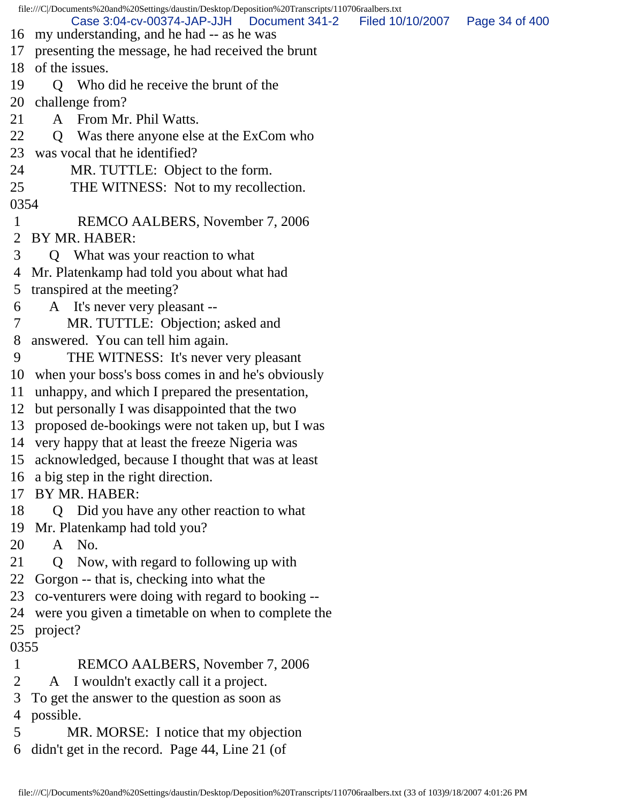file:///C|/Documents%20and%20Settings/daustin/Desktop/Deposition%20Transcripts/110706raalbers.txt 16 my understanding, and he had -- as he was 17 presenting the message, he had received the brunt 18 of the issues. 19 Q Who did he receive the brunt of the 20 challenge from? 21 A From Mr. Phil Watts. 22 Q Was there anyone else at the ExCom who 23 was vocal that he identified? 24 MR. TUTTLE: Object to the form. 25 THE WITNESS: Not to my recollection. 0354 1 REMCO AALBERS, November 7, 2006 2 BY MR. HABER: 3 Q What was your reaction to what 4 Mr. Platenkamp had told you about what had 5 transpired at the meeting? 6 A It's never very pleasant -- 7 MR. TUTTLE: Objection; asked and 8 answered. You can tell him again. 9 THE WITNESS: It's never very pleasant 10 when your boss's boss comes in and he's obviously 11 unhappy, and which I prepared the presentation, 12 but personally I was disappointed that the two 13 proposed de-bookings were not taken up, but I was 14 very happy that at least the freeze Nigeria was 15 acknowledged, because I thought that was at least 16 a big step in the right direction. 17 BY MR. HABER: 18 Q Did you have any other reaction to what 19 Mr. Platenkamp had told you? 20 A No. 21 Q Now, with regard to following up with 22 Gorgon -- that is, checking into what the 23 co-venturers were doing with regard to booking -- 24 were you given a timetable on when to complete the 25 project? 0355 1 REMCO AALBERS, November 7, 2006 2 A I wouldn't exactly call it a project. 3 To get the answer to the question as soon as 4 possible. Case 3:04-cv-00374-JAP-JJH Document 341-2 Filed 10/10/2007 Page 34 of 400

- 5 MR. MORSE: I notice that my objection
- 6 didn't get in the record. Page 44, Line 21 (of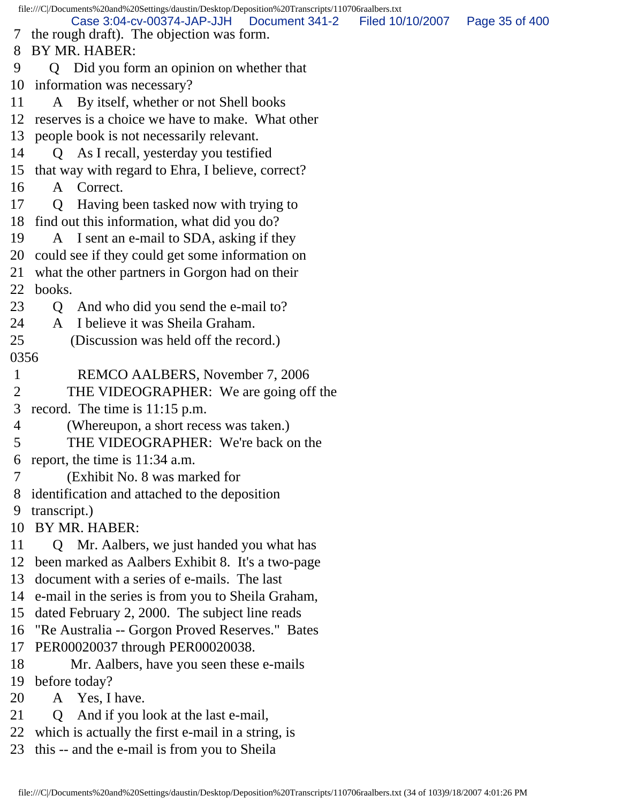file:///C|/Documents%20and%20Settings/daustin/Desktop/Deposition%20Transcripts/110706raalbers.txt 7 the rough draft). The objection was form. 8 BY MR. HABER: 9 Q Did you form an opinion on whether that 10 information was necessary? 11 A By itself, whether or not Shell books 12 reserves is a choice we have to make. What other 13 people book is not necessarily relevant. 14 Q As I recall, yesterday you testified 15 that way with regard to Ehra, I believe, correct? 16 A Correct. 17 Q Having been tasked now with trying to 18 find out this information, what did you do? 19 A I sent an e-mail to SDA, asking if they 20 could see if they could get some information on 21 what the other partners in Gorgon had on their 22 books. 23 Q And who did you send the e-mail to? 24 A I believe it was Sheila Graham. 25 (Discussion was held off the record.) 0356 1 REMCO AALBERS, November 7, 2006 2 THE VIDEOGRAPHER: We are going off the 3 record. The time is 11:15 p.m. 4 (Whereupon, a short recess was taken.) 5 THE VIDEOGRAPHER: We're back on the 6 report, the time is 11:34 a.m. 7 (Exhibit No. 8 was marked for 8 identification and attached to the deposition 9 transcript.) 10 BY MR. HABER: 11 Q Mr. Aalbers, we just handed you what has 12 been marked as Aalbers Exhibit 8. It's a two-page 13 document with a series of e-mails. The last 14 e-mail in the series is from you to Sheila Graham, 15 dated February 2, 2000. The subject line reads 16 "Re Australia -- Gorgon Proved Reserves." Bates 17 PER00020037 through PER00020038. 18 Mr. Aalbers, have you seen these e-mails 19 before today? 20 A Yes, I have. 21 Q And if you look at the last e-mail, 22 which is actually the first e-mail in a string, is 23 this -- and the e-mail is from you to Sheila Case 3:04-cv-00374-JAP-JJH Document 341-2 Filed 10/10/2007 Page 35 of 400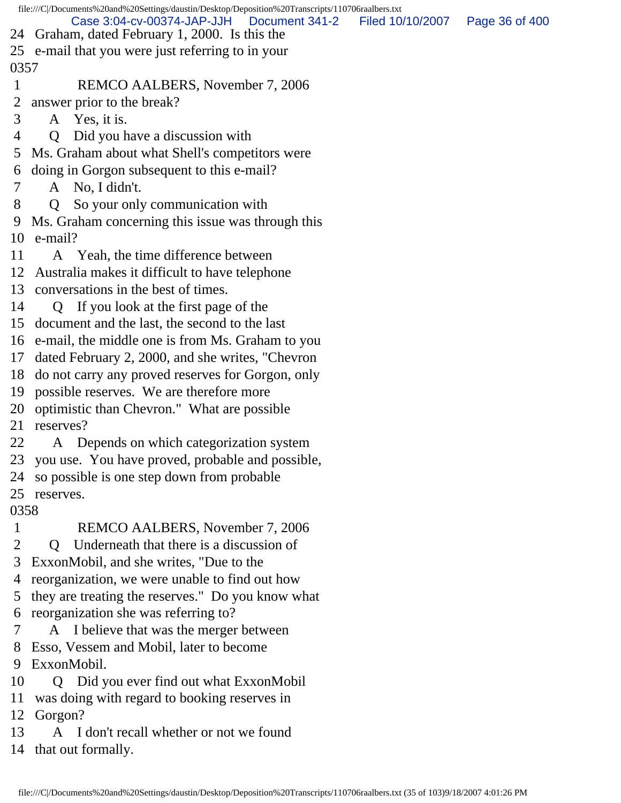|              | file:///C /Documents%20and%20Settings/daustin/Desktop/Deposition%20Transcripts/110706raalbers.txt |                  |                |
|--------------|---------------------------------------------------------------------------------------------------|------------------|----------------|
| 24           | Case 3:04-cv-00374-JAP-JJH<br>Document 341-2<br>Graham, dated February 1, 2000. Is this the       | Filed 10/10/2007 | Page 36 of 400 |
| 25           | e-mail that you were just referring to in your                                                    |                  |                |
| 0357         |                                                                                                   |                  |                |
| $\mathbf{1}$ | REMCO AALBERS, November 7, 2006                                                                   |                  |                |
| 2            | answer prior to the break?                                                                        |                  |                |
| 3            | A Yes, it is.                                                                                     |                  |                |
| 4            | Did you have a discussion with<br>Q                                                               |                  |                |
| 5            | Ms. Graham about what Shell's competitors were                                                    |                  |                |
| 6            | doing in Gorgon subsequent to this e-mail?                                                        |                  |                |
| 7            | A No, I didn't.                                                                                   |                  |                |
| 8            | So your only communication with<br>Q                                                              |                  |                |
| 9            | Ms. Graham concerning this issue was through this                                                 |                  |                |
| 10           | e-mail?                                                                                           |                  |                |
| 11           | A Yeah, the time difference between                                                               |                  |                |
| 12           | Australia makes it difficult to have telephone                                                    |                  |                |
| 13           | conversations in the best of times.                                                               |                  |                |
| 14           | If you look at the first page of the<br>$\mathbf Q$                                               |                  |                |
| 15           | document and the last, the second to the last                                                     |                  |                |
| 16           | e-mail, the middle one is from Ms. Graham to you                                                  |                  |                |
| 17           | dated February 2, 2000, and she writes, "Chevron"                                                 |                  |                |
| 18           | do not carry any proved reserves for Gorgon, only                                                 |                  |                |
| 19           | possible reserves. We are therefore more                                                          |                  |                |
| 20           | optimistic than Chevron." What are possible                                                       |                  |                |
| 21           | reserves?                                                                                         |                  |                |
| 22           | Depends on which categorization system<br>A                                                       |                  |                |
| 23           | you use. You have proved, probable and possible,                                                  |                  |                |
| 24           | so possible is one step down from probable                                                        |                  |                |
| 25           | reserves.                                                                                         |                  |                |
| 0358         |                                                                                                   |                  |                |
| $\mathbf{1}$ | REMCO AALBERS, November 7, 2006                                                                   |                  |                |
| 2            | Underneath that there is a discussion of<br>$\mathbf{Q}$                                          |                  |                |
| 3            | ExxonMobil, and she writes, "Due to the                                                           |                  |                |
| 4            | reorganization, we were unable to find out how                                                    |                  |                |
| Ć            | they are treating the reserves." Do you know what                                                 |                  |                |
| 6            | reorganization she was referring to?                                                              |                  |                |
| 7            | I believe that was the merger between<br>A                                                        |                  |                |
| 8            | Esso, Vessem and Mobil, later to become                                                           |                  |                |
| 9            | ExxonMobil.                                                                                       |                  |                |
| 10           | Q Did you ever find out what ExxonMobil                                                           |                  |                |
| 11           | was doing with regard to booking reserves in                                                      |                  |                |
| 12           | Gorgon?                                                                                           |                  |                |

13 A I don't recall whether or not we found

14 that out formally.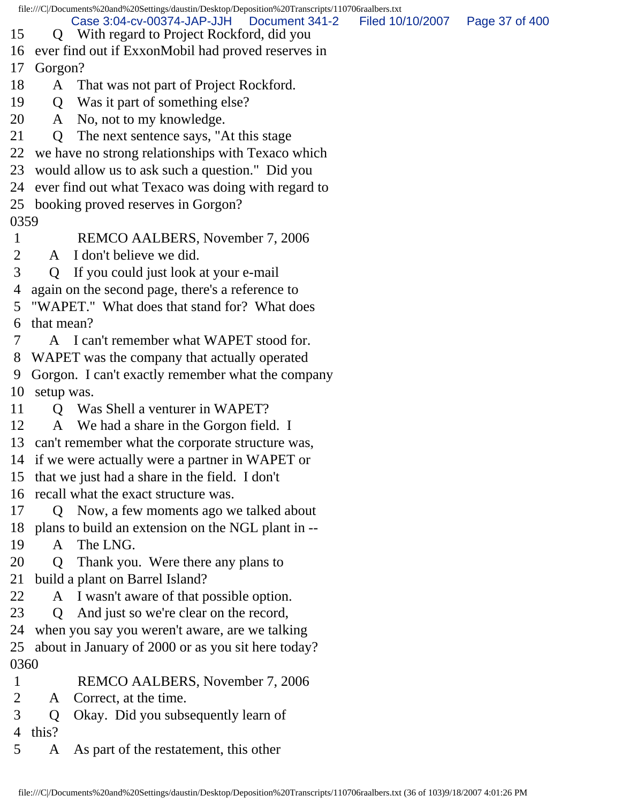| file:///C /Documents%20and%20Settings/daustin/Desktop/Deposition%20Transcripts/110706raalbers.txt |            |                                                                                            |                  |                |  |
|---------------------------------------------------------------------------------------------------|------------|--------------------------------------------------------------------------------------------|------------------|----------------|--|
| 15                                                                                                |            | Case 3:04-cv-00374-JAP-JJH<br>Document 341-2<br>Q With regard to Project Rockford, did you | Filed 10/10/2007 | Page 37 of 400 |  |
| 16                                                                                                |            | ever find out if ExxonMobil had proved reserves in                                         |                  |                |  |
| 17                                                                                                |            | Gorgon?                                                                                    |                  |                |  |
| 18                                                                                                | A          | That was not part of Project Rockford.                                                     |                  |                |  |
| 19                                                                                                | Q          | Was it part of something else?                                                             |                  |                |  |
| 20                                                                                                |            | A No, not to my knowledge.                                                                 |                  |                |  |
| 21                                                                                                | Q          | The next sentence says, "At this stage                                                     |                  |                |  |
| 22                                                                                                |            | we have no strong relationships with Texaco which                                          |                  |                |  |
| 23                                                                                                |            | would allow us to ask such a question." Did you                                            |                  |                |  |
| 24                                                                                                |            | ever find out what Texaco was doing with regard to                                         |                  |                |  |
| 25                                                                                                |            | booking proved reserves in Gorgon?                                                         |                  |                |  |
| 0359                                                                                              |            |                                                                                            |                  |                |  |
| 1                                                                                                 |            | REMCO AALBERS, November 7, 2006                                                            |                  |                |  |
| 2                                                                                                 | A          | I don't believe we did.                                                                    |                  |                |  |
| 3                                                                                                 | Q          | If you could just look at your e-mail                                                      |                  |                |  |
| 4                                                                                                 |            | again on the second page, there's a reference to                                           |                  |                |  |
| 5                                                                                                 |            | "WAPET." What does that stand for? What does                                               |                  |                |  |
| 6                                                                                                 | that mean? |                                                                                            |                  |                |  |
| 7                                                                                                 |            | A I can't remember what WAPET stood for.                                                   |                  |                |  |
| 8                                                                                                 |            | WAPET was the company that actually operated                                               |                  |                |  |
| 9                                                                                                 |            | Gorgon. I can't exactly remember what the company                                          |                  |                |  |
| 10                                                                                                | setup was. |                                                                                            |                  |                |  |
| 11                                                                                                |            | Q Was Shell a venturer in WAPET?                                                           |                  |                |  |
| 12                                                                                                | A          | We had a share in the Gorgon field. I                                                      |                  |                |  |
|                                                                                                   |            | 13 can't remember what the corporate structure was,                                        |                  |                |  |
|                                                                                                   |            | 14 if we were actually were a partner in WAPET or                                          |                  |                |  |
| 15                                                                                                |            | that we just had a share in the field. I don't                                             |                  |                |  |
| 16                                                                                                |            | recall what the exact structure was.                                                       |                  |                |  |
| 17                                                                                                | O.         | Now, a few moments ago we talked about                                                     |                  |                |  |
| 18                                                                                                |            | plans to build an extension on the NGL plant in --                                         |                  |                |  |
| 19                                                                                                | A          | The LNG.                                                                                   |                  |                |  |
| 20                                                                                                | Q          | Thank you. Were there any plans to                                                         |                  |                |  |
| 21                                                                                                |            | build a plant on Barrel Island?                                                            |                  |                |  |
| 22                                                                                                | A          | I wasn't aware of that possible option.                                                    |                  |                |  |
| 23                                                                                                | Q          | And just so we're clear on the record,                                                     |                  |                |  |
| 24                                                                                                |            | when you say you weren't aware, are we talking                                             |                  |                |  |
| 25                                                                                                |            | about in January of 2000 or as you sit here today?                                         |                  |                |  |
| 0360                                                                                              |            |                                                                                            |                  |                |  |
| $\mathbf{1}$                                                                                      |            | REMCO AALBERS, November 7, 2006                                                            |                  |                |  |
| 2                                                                                                 | A          | Correct, at the time.                                                                      |                  |                |  |
| 3                                                                                                 | Q          | Okay. Did you subsequently learn of                                                        |                  |                |  |
| 4                                                                                                 | this?      |                                                                                            |                  |                |  |
| 5                                                                                                 | A          | As part of the restatement, this other                                                     |                  |                |  |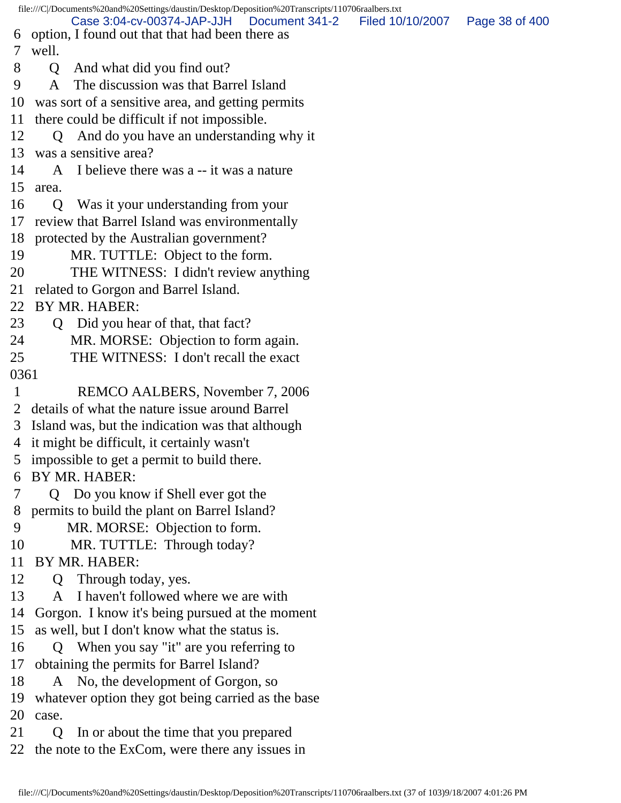file:///C|/Documents%20and%20Settings/daustin/Desktop/Deposition%20Transcripts/110706raalbers.txt 6 option, I found out that that had been there as 7 well. 8 Q And what did you find out? 9 A The discussion was that Barrel Island 10 was sort of a sensitive area, and getting permits 11 there could be difficult if not impossible. 12 Q And do you have an understanding why it 13 was a sensitive area? 14 A I believe there was a -- it was a nature 15 area. 16 Q Was it your understanding from your 17 review that Barrel Island was environmentally 18 protected by the Australian government? 19 MR. TUTTLE: Object to the form. 20 THE WITNESS: I didn't review anything 21 related to Gorgon and Barrel Island. 22 BY MR. HABER: 23 Q Did you hear of that, that fact? 24 MR. MORSE: Objection to form again. 25 THE WITNESS: I don't recall the exact 0361 1 REMCO AALBERS, November 7, 2006 2 details of what the nature issue around Barrel 3 Island was, but the indication was that although 4 it might be difficult, it certainly wasn't 5 impossible to get a permit to build there. 6 BY MR. HABER: 7 Q Do you know if Shell ever got the 8 permits to build the plant on Barrel Island? 9 MR. MORSE: Objection to form. 10 MR. TUTTLE: Through today? 11 BY MR. HABER: 12 Q Through today, yes. 13 A I haven't followed where we are with 14 Gorgon. I know it's being pursued at the moment 15 as well, but I don't know what the status is. 16 Q When you say "it" are you referring to 17 obtaining the permits for Barrel Island? 18 A No, the development of Gorgon, so 19 whatever option they got being carried as the base 20 case. 21 Q In or about the time that you prepared 22 the note to the ExCom, were there any issues in Case 3:04-cv-00374-JAP-JJH Document 341-2 Filed 10/10/2007 Page 38 of 400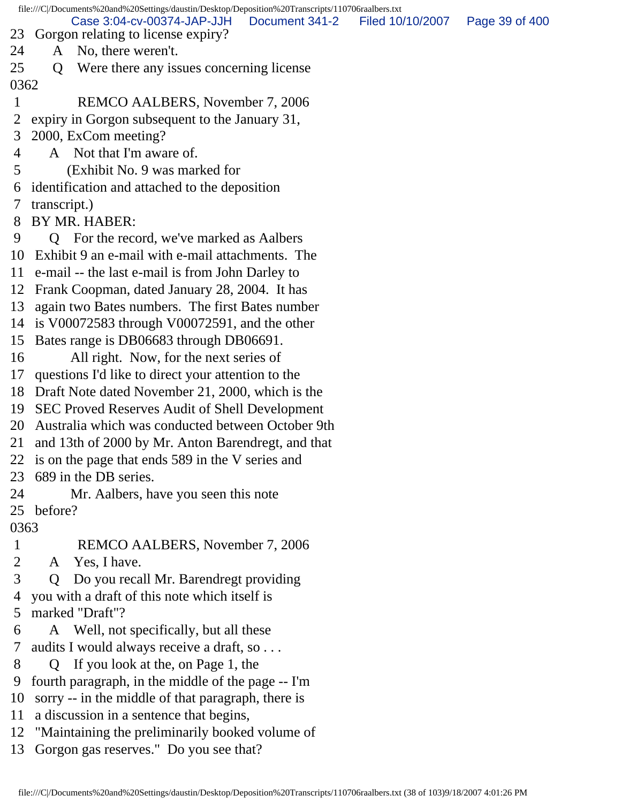file:///C|/Documents%20and%20Settings/daustin/Desktop/Deposition%20Transcripts/110706raalbers.txt 23 Gorgon relating to license expiry? 24 A No, there weren't. 25 Q Were there any issues concerning license 0362 1 REMCO AALBERS, November 7, 2006 2 expiry in Gorgon subsequent to the January 31, 3 2000, ExCom meeting? 4 A Not that I'm aware of. 5 (Exhibit No. 9 was marked for 6 identification and attached to the deposition 7 transcript.) 8 BY MR. HABER: 9 Q For the record, we've marked as Aalbers 10 Exhibit 9 an e-mail with e-mail attachments. The 11 e-mail -- the last e-mail is from John Darley to 12 Frank Coopman, dated January 28, 2004. It has 13 again two Bates numbers. The first Bates number 14 is V00072583 through V00072591, and the other 15 Bates range is DB06683 through DB06691. 16 All right. Now, for the next series of 17 questions I'd like to direct your attention to the 18 Draft Note dated November 21, 2000, which is the 19 SEC Proved Reserves Audit of Shell Development 20 Australia which was conducted between October 9th 21 and 13th of 2000 by Mr. Anton Barendregt, and that 22 is on the page that ends 589 in the V series and 23 689 in the DB series. 24 Mr. Aalbers, have you seen this note 25 before? 0363 1 REMCO AALBERS, November 7, 2006 2 A Yes, I have. 3 Q Do you recall Mr. Barendregt providing 4 you with a draft of this note which itself is 5 marked "Draft"? 6 A Well, not specifically, but all these 7 audits I would always receive a draft, so . . . 8 Q If you look at the, on Page 1, the 9 fourth paragraph, in the middle of the page -- I'm 10 sorry -- in the middle of that paragraph, there is 11 a discussion in a sentence that begins, 12 "Maintaining the preliminarily booked volume of Case 3:04-cv-00374-JAP-JJH Document 341-2 Filed 10/10/2007 Page 39 of 400

13 Gorgon gas reserves." Do you see that?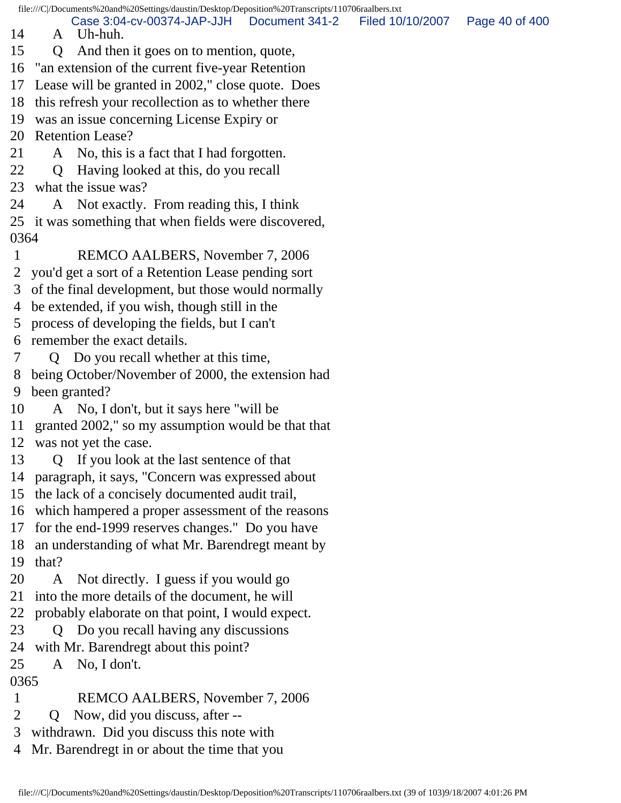file:///C|/Documents%20and%20Settings/daustin/Desktop/Deposition%20Transcripts/110706raalbers.txt

Case 3:04-cv-00374-JAP-JJH Document 341-2 Filed 10/10/2007 Page 40 of 400

- 14 A Uh-huh.
- 15 Q And then it goes on to mention, quote,
- 16 "an extension of the current five-year Retention
- 17 Lease will be granted in 2002," close quote. Does
- 18 this refresh your recollection as to whether there
- 19 was an issue concerning License Expiry or
- 20 Retention Lease?
- 21 A No, this is a fact that I had forgotten.
- 22 Q Having looked at this, do you recall
- 23 what the issue was?
- 24 A Not exactly. From reading this, I think
- 25 it was something that when fields were discovered, 0364
- 1 REMCO AALBERS, November 7, 2006
- 2 you'd get a sort of a Retention Lease pending sort
- 3 of the final development, but those would normally
- 4 be extended, if you wish, though still in the
- 5 process of developing the fields, but I can't
- 6 remember the exact details.
- 7 Q Do you recall whether at this time,
- 8 being October/November of 2000, the extension had 9 been granted?
- 10 A No, I don't, but it says here "will be
- 11 granted 2002," so my assumption would be that that
- 12 was not yet the case.
- 13 Q If you look at the last sentence of that
- 14 paragraph, it says, "Concern was expressed about
- 15 the lack of a concisely documented audit trail,
- 16 which hampered a proper assessment of the reasons
- 17 for the end-1999 reserves changes." Do you have
- 18 an understanding of what Mr. Barendregt meant by
- 19 that?
- 20 A Not directly. I guess if you would go
- 21 into the more details of the document, he will
- 22 probably elaborate on that point, I would expect.
- 23 Q Do you recall having any discussions
- 24 with Mr. Barendregt about this point?
- 25 A No, I don't.

## 0365

- 1 REMCO AALBERS, November 7, 2006
- 2 Q Now, did you discuss, after --
- 3 withdrawn. Did you discuss this note with
- 4 Mr. Barendregt in or about the time that you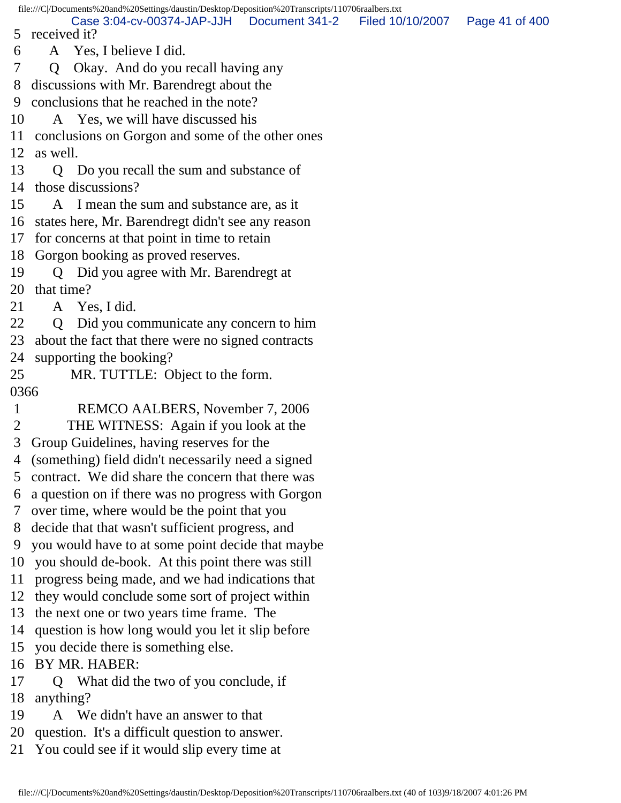file:///C|/Documents%20and%20Settings/daustin/Desktop/Deposition%20Transcripts/110706raalbers.txt 5 received it? 6 A Yes, I believe I did. 7 Q Okay. And do you recall having any 8 discussions with Mr. Barendregt about the 9 conclusions that he reached in the note? 10 A Yes, we will have discussed his 11 conclusions on Gorgon and some of the other ones 12 as well. 13 Q Do you recall the sum and substance of 14 those discussions? 15 A I mean the sum and substance are, as it 16 states here, Mr. Barendregt didn't see any reason 17 for concerns at that point in time to retain 18 Gorgon booking as proved reserves. 19 Q Did you agree with Mr. Barendregt at 20 that time? 21 A Yes, I did. 22 Q Did you communicate any concern to him 23 about the fact that there were no signed contracts 24 supporting the booking? 25 MR. TUTTLE: Object to the form. 0366 1 REMCO AALBERS, November 7, 2006 2 THE WITNESS: Again if you look at the 3 Group Guidelines, having reserves for the 4 (something) field didn't necessarily need a signed 5 contract. We did share the concern that there was 6 a question on if there was no progress with Gorgon 7 over time, where would be the point that you 8 decide that that wasn't sufficient progress, and 9 you would have to at some point decide that maybe 10 you should de-book. At this point there was still 11 progress being made, and we had indications that 12 they would conclude some sort of project within 13 the next one or two years time frame. The 14 question is how long would you let it slip before 15 you decide there is something else. 16 BY MR. HABER: 17 Q What did the two of you conclude, if 18 anything? 19 A We didn't have an answer to that 20 question. It's a difficult question to answer. Case 3:04-cv-00374-JAP-JJH Document 341-2 Filed 10/10/2007 Page 41 of 400

21 You could see if it would slip every time at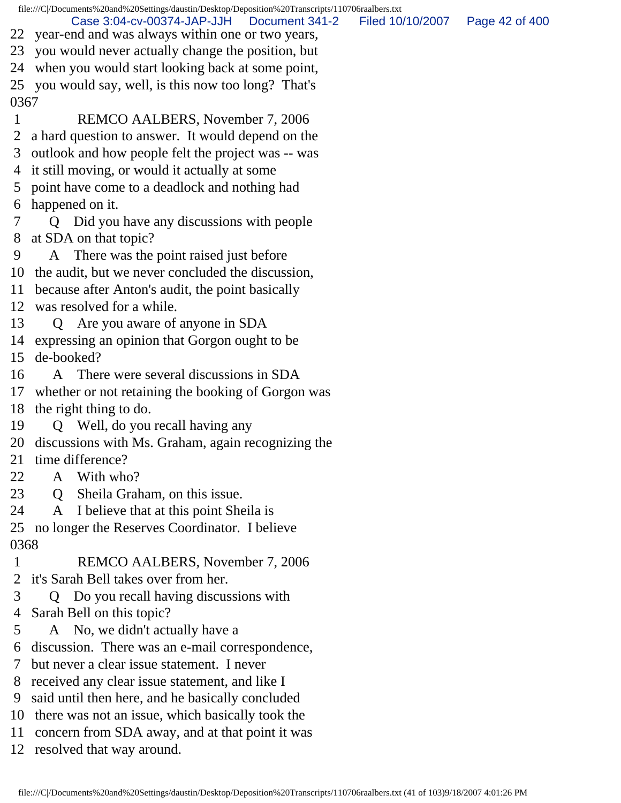file:///C|/Documents%20and%20Settings/daustin/Desktop/Deposition%20Transcripts/110706raalbers.txt 22 year-end and was always within one or two years, 23 you would never actually change the position, but 24 when you would start looking back at some point, 25 you would say, well, is this now too long? That's 0367 1 REMCO AALBERS, November 7, 2006 2 a hard question to answer. It would depend on the 3 outlook and how people felt the project was -- was 4 it still moving, or would it actually at some 5 point have come to a deadlock and nothing had 6 happened on it. 7 Q Did you have any discussions with people 8 at SDA on that topic? 9 A There was the point raised just before 10 the audit, but we never concluded the discussion, 11 because after Anton's audit, the point basically 12 was resolved for a while. 13 Q Are you aware of anyone in SDA 14 expressing an opinion that Gorgon ought to be 15 de-booked? 16 A There were several discussions in SDA 17 whether or not retaining the booking of Gorgon was 18 the right thing to do. 19 Q Well, do you recall having any 20 discussions with Ms. Graham, again recognizing the 21 time difference? 22 A With who? 23 Q Sheila Graham, on this issue. 24 A I believe that at this point Sheila is 25 no longer the Reserves Coordinator. I believe 0368 1 REMCO AALBERS, November 7, 2006 2 it's Sarah Bell takes over from her. 3 Q Do you recall having discussions with 4 Sarah Bell on this topic? 5 A No, we didn't actually have a 6 discussion. There was an e-mail correspondence, 7 but never a clear issue statement. I never 8 received any clear issue statement, and like I 9 said until then here, and he basically concluded 10 there was not an issue, which basically took the Case 3:04-cv-00374-JAP-JJH Document 341-2 Filed 10/10/2007 Page 42 of 400

- 11 concern from SDA away, and at that point it was
- 12 resolved that way around.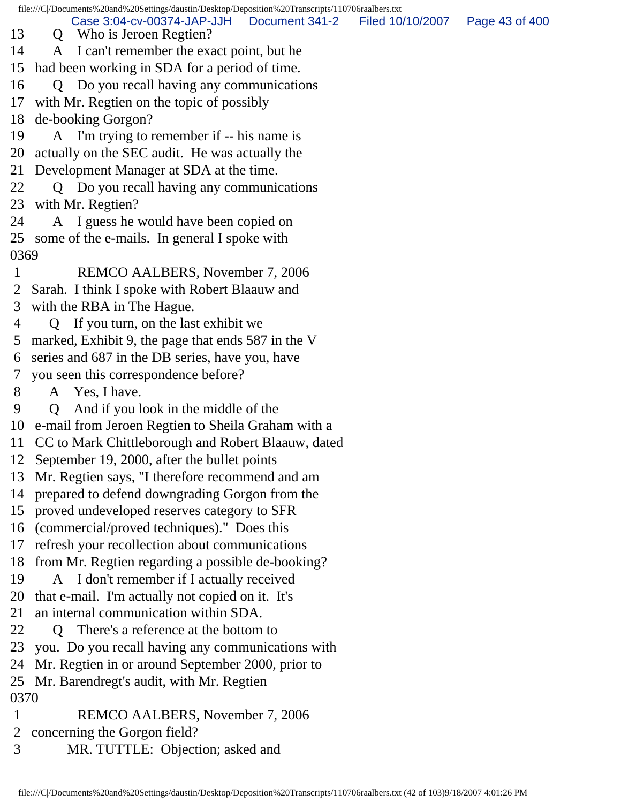file:///C|/Documents%20and%20Settings/daustin/Desktop/Deposition%20Transcripts/110706raalbers.txt 13 Q Who is Jeroen Regtien? 14 A I can't remember the exact point, but he 15 had been working in SDA for a period of time. 16 Q Do you recall having any communications 17 with Mr. Regtien on the topic of possibly 18 de-booking Gorgon? 19 A I'm trying to remember if -- his name is 20 actually on the SEC audit. He was actually the 21 Development Manager at SDA at the time. 22 Q Do you recall having any communications 23 with Mr. Regtien? 24 A I guess he would have been copied on 25 some of the e-mails. In general I spoke with 0369 1 REMCO AALBERS, November 7, 2006 2 Sarah. I think I spoke with Robert Blaauw and 3 with the RBA in The Hague. 4 Q If you turn, on the last exhibit we 5 marked, Exhibit 9, the page that ends 587 in the V 6 series and 687 in the DB series, have you, have 7 you seen this correspondence before? 8 A Yes, I have. 9 Q And if you look in the middle of the 10 e-mail from Jeroen Regtien to Sheila Graham with a 11 CC to Mark Chittleborough and Robert Blaauw, dated 12 September 19, 2000, after the bullet points 13 Mr. Regtien says, "I therefore recommend and am 14 prepared to defend downgrading Gorgon from the 15 proved undeveloped reserves category to SFR 16 (commercial/proved techniques)." Does this 17 refresh your recollection about communications 18 from Mr. Regtien regarding a possible de-booking? 19 A I don't remember if I actually received 20 that e-mail. I'm actually not copied on it. It's 21 an internal communication within SDA. 22 Q There's a reference at the bottom to 23 you. Do you recall having any communications with 24 Mr. Regtien in or around September 2000, prior to 25 Mr. Barendregt's audit, with Mr. Regtien 0370 1 REMCO AALBERS, November 7, 2006 2 concerning the Gorgon field? Case 3:04-cv-00374-JAP-JJH Document 341-2 Filed 10/10/2007 Page 43 of 400

3 MR. TUTTLE: Objection; asked and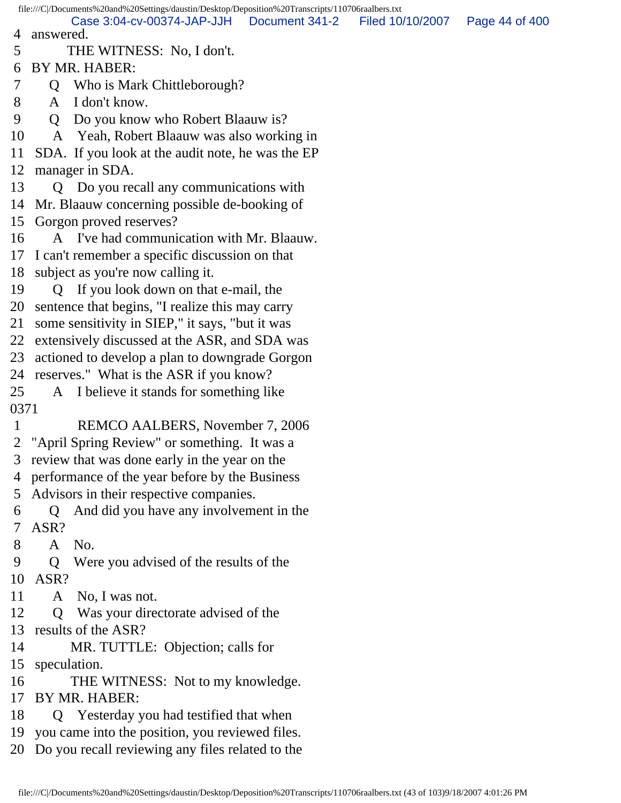file:///C|/Documents%20and%20Settings/daustin/Desktop/Deposition%20Transcripts/110706raalbers.txt 4 answered. 5 THE WITNESS: No, I don't. 6 BY MR. HABER: 7 Q Who is Mark Chittleborough? 8 A I don't know. 9 Q Do you know who Robert Blaauw is? 10 A Yeah, Robert Blaauw was also working in 11 SDA. If you look at the audit note, he was the EP 12 manager in SDA. 13 Q Do you recall any communications with 14 Mr. Blaauw concerning possible de-booking of 15 Gorgon proved reserves? 16 A I've had communication with Mr. Blaauw. 17 I can't remember a specific discussion on that 18 subject as you're now calling it. 19 Q If you look down on that e-mail, the 20 sentence that begins, "I realize this may carry 21 some sensitivity in SIEP," it says, "but it was 22 extensively discussed at the ASR, and SDA was 23 actioned to develop a plan to downgrade Gorgon 24 reserves." What is the ASR if you know? 25 A I believe it stands for something like 0371 1 REMCO AALBERS, November 7, 2006 2 "April Spring Review" or something. It was a 3 review that was done early in the year on the 4 performance of the year before by the Business 5 Advisors in their respective companies. 6 Q And did you have any involvement in the 7 ASR? 8 A No. 9 Q Were you advised of the results of the 10 ASR? 11 A No, I was not. 12 Q Was your directorate advised of the 13 results of the ASR? 14 MR. TUTTLE: Objection; calls for 15 speculation. 16 THE WITNESS: Not to my knowledge. 17 BY MR. HABER: 18 Q Yesterday you had testified that when 19 you came into the position, you reviewed files. 20 Do you recall reviewing any files related to the Case 3:04-cv-00374-JAP-JJH Document 341-2 Filed 10/10/2007 Page 44 of 400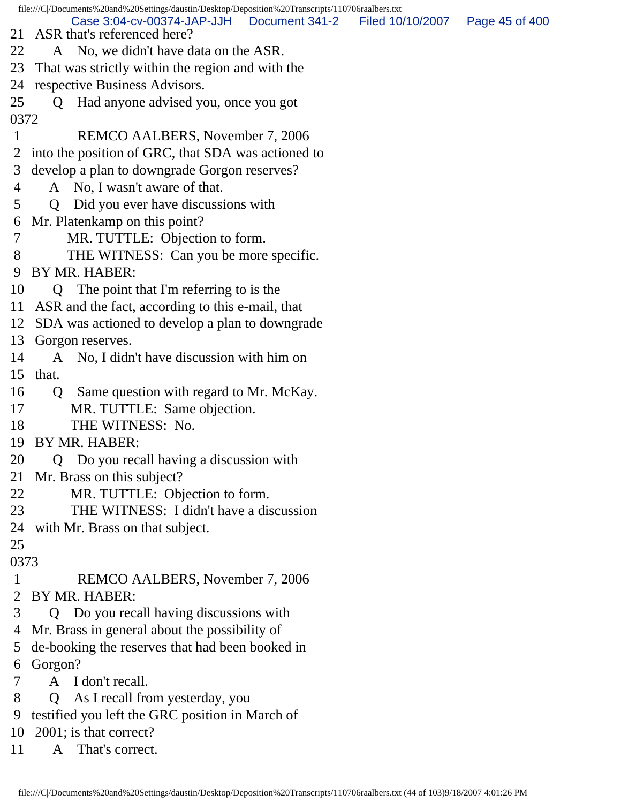file:///C|/Documents%20and%20Settings/daustin/Desktop/Deposition%20Transcripts/110706raalbers.txt 21 ASR that's referenced here? 22 A No, we didn't have data on the ASR. 23 That was strictly within the region and with the 24 respective Business Advisors. 25 Q Had anyone advised you, once you got 0372 1 REMCO AALBERS, November 7, 2006 2 into the position of GRC, that SDA was actioned to 3 develop a plan to downgrade Gorgon reserves? 4 A No, I wasn't aware of that. 5 Q Did you ever have discussions with 6 Mr. Platenkamp on this point? 7 MR. TUTTLE: Objection to form. 8 THE WITNESS: Can you be more specific. 9 BY MR. HABER: 10 Q The point that I'm referring to is the 11 ASR and the fact, according to this e-mail, that 12 SDA was actioned to develop a plan to downgrade 13 Gorgon reserves. 14 A No, I didn't have discussion with him on 15 that. 16 Q Same question with regard to Mr. McKay. 17 MR. TUTTLE: Same objection. 18 THE WITNESS: No. 19 BY MR. HABER: 20 Q Do you recall having a discussion with 21 Mr. Brass on this subject? 22 MR. TUTTLE: Objection to form. 23 THE WITNESS: I didn't have a discussion 24 with Mr. Brass on that subject. 25 0373 1 REMCO AALBERS, November 7, 2006 2 BY MR. HABER: 3 Q Do you recall having discussions with 4 Mr. Brass in general about the possibility of 5 de-booking the reserves that had been booked in 6 Gorgon? 7 A I don't recall. 8 Q As I recall from yesterday, you 9 testified you left the GRC position in March of 10 2001; is that correct? Case 3:04-cv-00374-JAP-JJH Document 341-2 Filed 10/10/2007 Page 45 of 400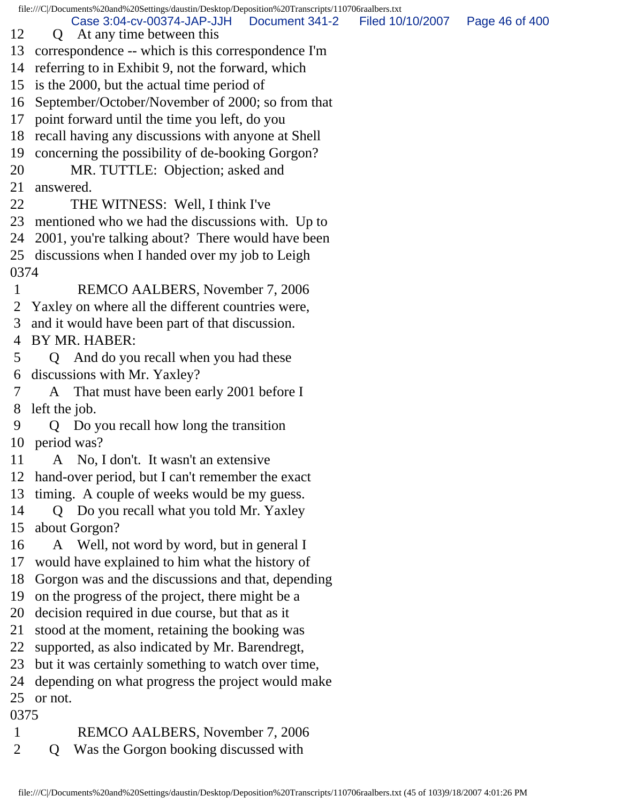file:///C|/Documents%20and%20Settings/daustin/Desktop/Deposition%20Transcripts/110706raalbers.txt 12 Q At any time between this 13 correspondence -- which is this correspondence I'm 14 referring to in Exhibit 9, not the forward, which 15 is the 2000, but the actual time period of 16 September/October/November of 2000; so from that 17 point forward until the time you left, do you 18 recall having any discussions with anyone at Shell 19 concerning the possibility of de-booking Gorgon? 20 MR. TUTTLE: Objection; asked and 21 answered. 22 THE WITNESS: Well, I think I've 23 mentioned who we had the discussions with. Up to 24 2001, you're talking about? There would have been 25 discussions when I handed over my job to Leigh 0374 1 REMCO AALBERS, November 7, 2006 2 Yaxley on where all the different countries were, 3 and it would have been part of that discussion. 4 BY MR. HABER: 5 Q And do you recall when you had these 6 discussions with Mr. Yaxley? 7 A That must have been early 2001 before I 8 left the job. 9 Q Do you recall how long the transition 10 period was? 11 A No, I don't. It wasn't an extensive 12 hand-over period, but I can't remember the exact 13 timing. A couple of weeks would be my guess. 14 Q Do you recall what you told Mr. Yaxley 15 about Gorgon? 16 A Well, not word by word, but in general I 17 would have explained to him what the history of 18 Gorgon was and the discussions and that, depending 19 on the progress of the project, there might be a 20 decision required in due course, but that as it 21 stood at the moment, retaining the booking was 22 supported, as also indicated by Mr. Barendregt, 23 but it was certainly something to watch over time, 24 depending on what progress the project would make 25 or not. 0375 1 REMCO AALBERS, November 7, 2006 Case 3:04-cv-00374-JAP-JJH Document 341-2 Filed 10/10/2007 Page 46 of 400

2 Q Was the Gorgon booking discussed with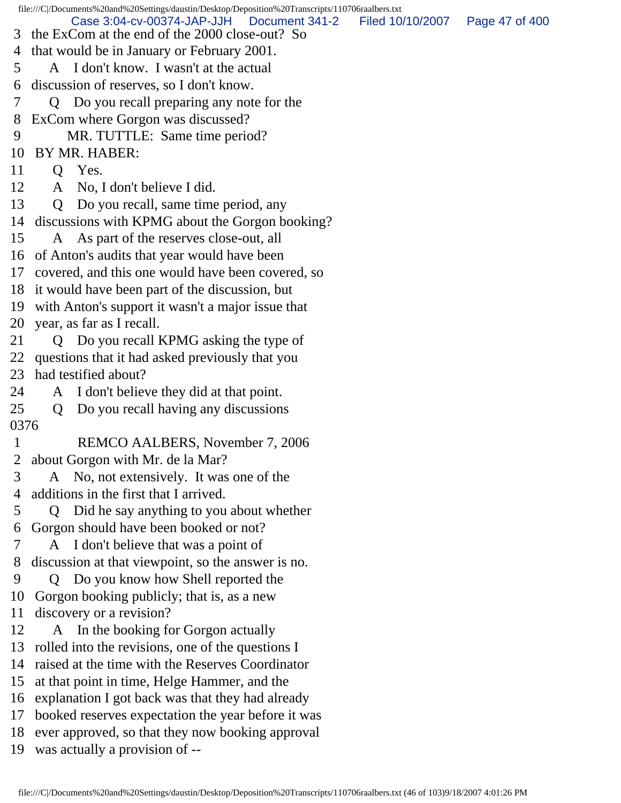file:///C|/Documents%20and%20Settings/daustin/Desktop/Deposition%20Transcripts/110706raalbers.txt 3 the ExCom at the end of the 2000 close-out? So 4 that would be in January or February 2001. 5 A I don't know. I wasn't at the actual 6 discussion of reserves, so I don't know. 7 Q Do you recall preparing any note for the 8 ExCom where Gorgon was discussed? 9 MR. TUTTLE: Same time period? 10 BY MR. HABER: 11 Q Yes. 12 A No, I don't believe I did. 13 Q Do you recall, same time period, any 14 discussions with KPMG about the Gorgon booking? 15 A As part of the reserves close-out, all 16 of Anton's audits that year would have been 17 covered, and this one would have been covered, so 18 it would have been part of the discussion, but 19 with Anton's support it wasn't a major issue that 20 year, as far as I recall. 21 Q Do you recall KPMG asking the type of 22 questions that it had asked previously that you 23 had testified about? 24 A I don't believe they did at that point. 25 Q Do you recall having any discussions 0376 1 REMCO AALBERS, November 7, 2006 2 about Gorgon with Mr. de la Mar? 3 A No, not extensively. It was one of the 4 additions in the first that I arrived. 5 Q Did he say anything to you about whether 6 Gorgon should have been booked or not? 7 A I don't believe that was a point of 8 discussion at that viewpoint, so the answer is no. 9 Q Do you know how Shell reported the 10 Gorgon booking publicly; that is, as a new 11 discovery or a revision? 12 A In the booking for Gorgon actually 13 rolled into the revisions, one of the questions I 14 raised at the time with the Reserves Coordinator 15 at that point in time, Helge Hammer, and the 16 explanation I got back was that they had already 17 booked reserves expectation the year before it was 18 ever approved, so that they now booking approval 19 was actually a provision of -- Case 3:04-cv-00374-JAP-JJH Document 341-2 Filed 10/10/2007 Page 47 of 400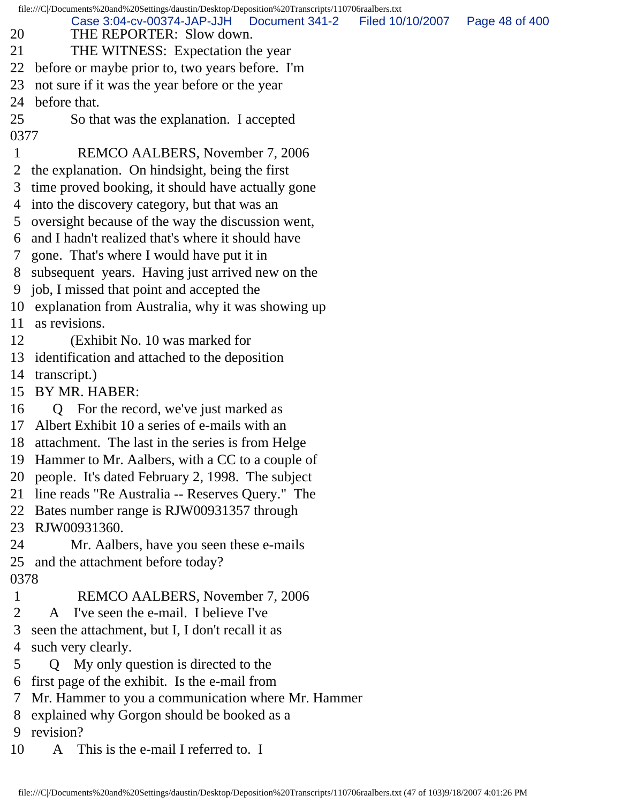file:///C|/Documents%20and%20Settings/daustin/Desktop/Deposition%20Transcripts/110706raalbers.txt 20 THE REPORTER: Slow down. 21 THE WITNESS: Expectation the year 22 before or maybe prior to, two years before. I'm 23 not sure if it was the year before or the year 24 before that. 25 So that was the explanation. I accepted 0377 1 REMCO AALBERS, November 7, 2006 2 the explanation. On hindsight, being the first 3 time proved booking, it should have actually gone 4 into the discovery category, but that was an 5 oversight because of the way the discussion went, 6 and I hadn't realized that's where it should have 7 gone. That's where I would have put it in 8 subsequent years. Having just arrived new on the 9 job, I missed that point and accepted the 10 explanation from Australia, why it was showing up 11 as revisions. 12 (Exhibit No. 10 was marked for 13 identification and attached to the deposition 14 transcript.) 15 BY MR. HABER: 16 Q For the record, we've just marked as 17 Albert Exhibit 10 a series of e-mails with an 18 attachment. The last in the series is from Helge 19 Hammer to Mr. Aalbers, with a CC to a couple of 20 people. It's dated February 2, 1998. The subject 21 line reads "Re Australia -- Reserves Query." The 22 Bates number range is RJW00931357 through 23 RJW00931360. 24 Mr. Aalbers, have you seen these e-mails 25 and the attachment before today? 0378 1 REMCO AALBERS, November 7, 2006 2 A I've seen the e-mail. I believe I've 3 seen the attachment, but I, I don't recall it as 4 such very clearly. 5 Q My only question is directed to the 6 first page of the exhibit. Is the e-mail from 7 Mr. Hammer to you a communication where Mr. Hammer 8 explained why Gorgon should be booked as a 9 revision? 10 A This is the e-mail I referred to. I Case 3:04-cv-00374-JAP-JJH Document 341-2 Filed 10/10/2007 Page 48 of 400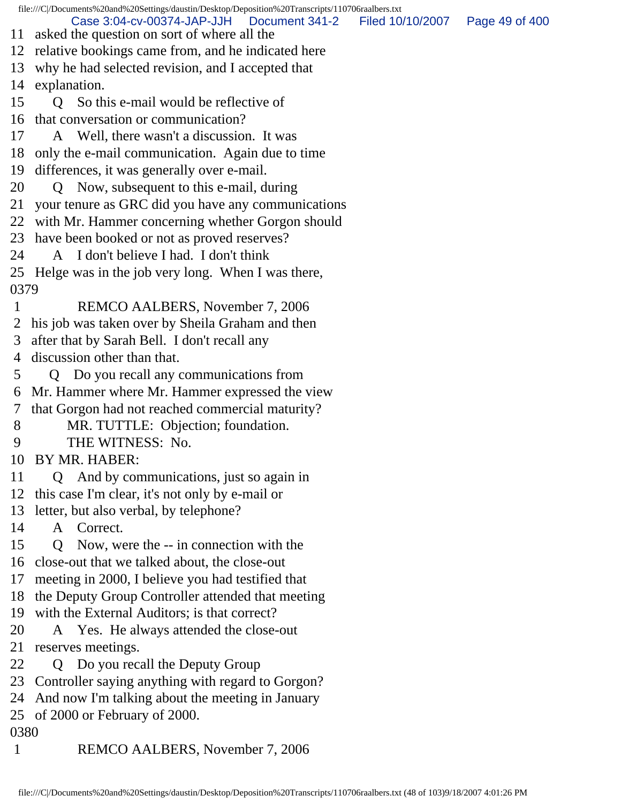file:///C|/Documents%20and%20Settings/daustin/Desktop/Deposition%20Transcripts/110706raalbers.txt 11 asked the question on sort of where all the 12 relative bookings came from, and he indicated here 13 why he had selected revision, and I accepted that 14 explanation. 15 O So this e-mail would be reflective of 16 that conversation or communication? 17 A Well, there wasn't a discussion. It was 18 only the e-mail communication. Again due to time 19 differences, it was generally over e-mail. 20 Q Now, subsequent to this e-mail, during 21 your tenure as GRC did you have any communications 22 with Mr. Hammer concerning whether Gorgon should 23 have been booked or not as proved reserves? 24 A I don't believe I had. I don't think 25 Helge was in the job very long. When I was there, 0379 1 REMCO AALBERS, November 7, 2006 2 his job was taken over by Sheila Graham and then 3 after that by Sarah Bell. I don't recall any 4 discussion other than that. 5 Q Do you recall any communications from 6 Mr. Hammer where Mr. Hammer expressed the view 7 that Gorgon had not reached commercial maturity? 8 MR. TUTTLE: Objection; foundation. 9 THE WITNESS: No. 10 BY MR. HABER: 11 Q And by communications, just so again in 12 this case I'm clear, it's not only by e-mail or 13 letter, but also verbal, by telephone? 14 A Correct. 15 Q Now, were the -- in connection with the 16 close-out that we talked about, the close-out 17 meeting in 2000, I believe you had testified that 18 the Deputy Group Controller attended that meeting 19 with the External Auditors; is that correct? 20 A Yes. He always attended the close-out 21 reserves meetings. 22 Q Do you recall the Deputy Group 23 Controller saying anything with regard to Gorgon? 24 And now I'm talking about the meeting in January 25 of 2000 or February of 2000. 0380 1 REMCO AALBERS, November 7, 2006 Case 3:04-cv-00374-JAP-JJH Document 341-2 Filed 10/10/2007 Page 49 of 400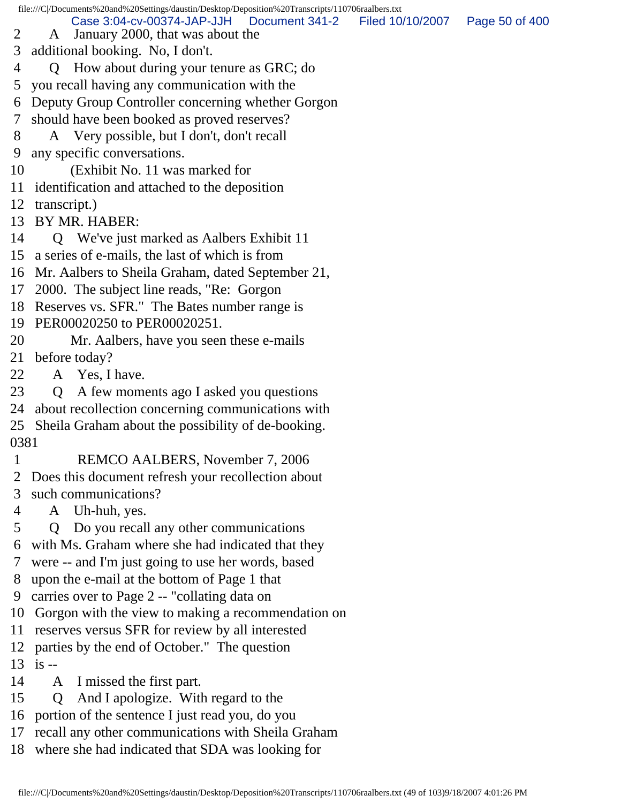file:///C|/Documents%20and%20Settings/daustin/Desktop/Deposition%20Transcripts/110706raalbers.txt 2 A January 2000, that was about the 3 additional booking. No, I don't. 4 Q How about during your tenure as GRC; do 5 you recall having any communication with the 6 Deputy Group Controller concerning whether Gorgon 7 should have been booked as proved reserves? 8 A Very possible, but I don't, don't recall 9 any specific conversations. 10 (Exhibit No. 11 was marked for 11 identification and attached to the deposition 12 transcript.) 13 BY MR. HABER: 14 Q We've just marked as Aalbers Exhibit 11 15 a series of e-mails, the last of which is from 16 Mr. Aalbers to Sheila Graham, dated September 21, 17 2000. The subject line reads, "Re: Gorgon 18 Reserves vs. SFR." The Bates number range is 19 PER00020250 to PER00020251. 20 Mr. Aalbers, have you seen these e-mails 21 before today? 22 A Yes, I have. 23 Q A few moments ago I asked you questions 24 about recollection concerning communications with 25 Sheila Graham about the possibility of de-booking. 0381 1 REMCO AALBERS, November 7, 2006 2 Does this document refresh your recollection about 3 such communications? 4 A Uh-huh, yes. 5 Q Do you recall any other communications 6 with Ms. Graham where she had indicated that they 7 were -- and I'm just going to use her words, based 8 upon the e-mail at the bottom of Page 1 that 9 carries over to Page 2 -- "collating data on 10 Gorgon with the view to making a recommendation on 11 reserves versus SFR for review by all interested 12 parties by the end of October." The question 13 is -- 14 A I missed the first part. 15 Q And I apologize. With regard to the 16 portion of the sentence I just read you, do you Case 3:04-cv-00374-JAP-JJH Document 341-2 Filed 10/10/2007 Page 50 of 400

- 17 recall any other communications with Sheila Graham
- 18 where she had indicated that SDA was looking for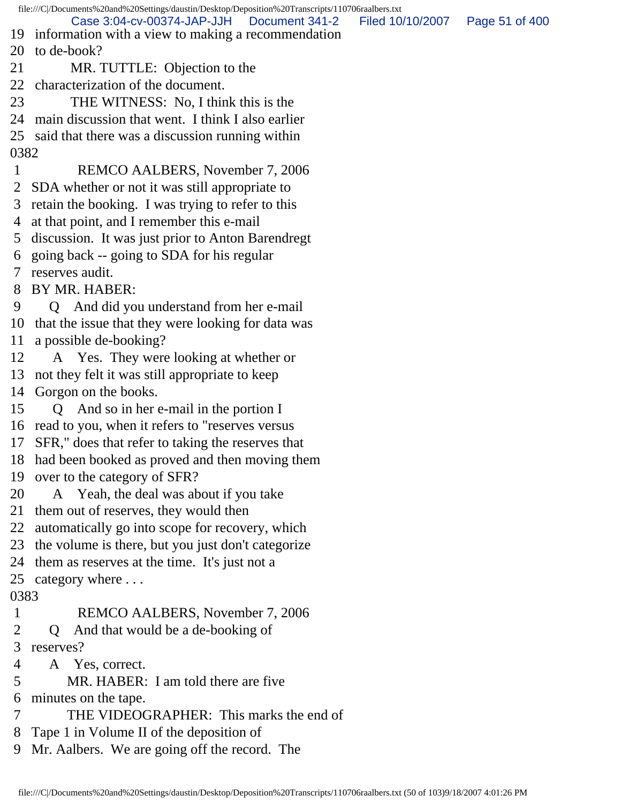file:///C|/Documents%20and%20Settings/daustin/Desktop/Deposition%20Transcripts/110706raalbers.txt 19 information with a view to making a recommendation 20 to de-book? 21 MR. TUTTLE: Objection to the 22 characterization of the document. 23 THE WITNESS: No, I think this is the 24 main discussion that went. I think I also earlier 25 said that there was a discussion running within 0382 1 REMCO AALBERS, November 7, 2006 2 SDA whether or not it was still appropriate to 3 retain the booking. I was trying to refer to this 4 at that point, and I remember this e-mail 5 discussion. It was just prior to Anton Barendregt 6 going back -- going to SDA for his regular 7 reserves audit. 8 BY MR. HABER: 9 Q And did you understand from her e-mail 10 that the issue that they were looking for data was 11 a possible de-booking? 12 A Yes. They were looking at whether or 13 not they felt it was still appropriate to keep 14 Gorgon on the books. 15 Q And so in her e-mail in the portion I 16 read to you, when it refers to "reserves versus 17 SFR," does that refer to taking the reserves that 18 had been booked as proved and then moving them 19 over to the category of SFR? 20 A Yeah, the deal was about if you take 21 them out of reserves, they would then 22 automatically go into scope for recovery, which 23 the volume is there, but you just don't categorize 24 them as reserves at the time. It's just not a 25 category where . . . 0383 1 REMCO AALBERS, November 7, 2006 2 Q And that would be a de-booking of 3 reserves? 4 A Yes, correct. 5 MR. HABER: I am told there are five 6 minutes on the tape. 7 THE VIDEOGRAPHER: This marks the end of 8 Tape 1 in Volume II of the deposition of 9 Mr. Aalbers. We are going off the record. The Case 3:04-cv-00374-JAP-JJH Document 341-2 Filed 10/10/2007 Page 51 of 400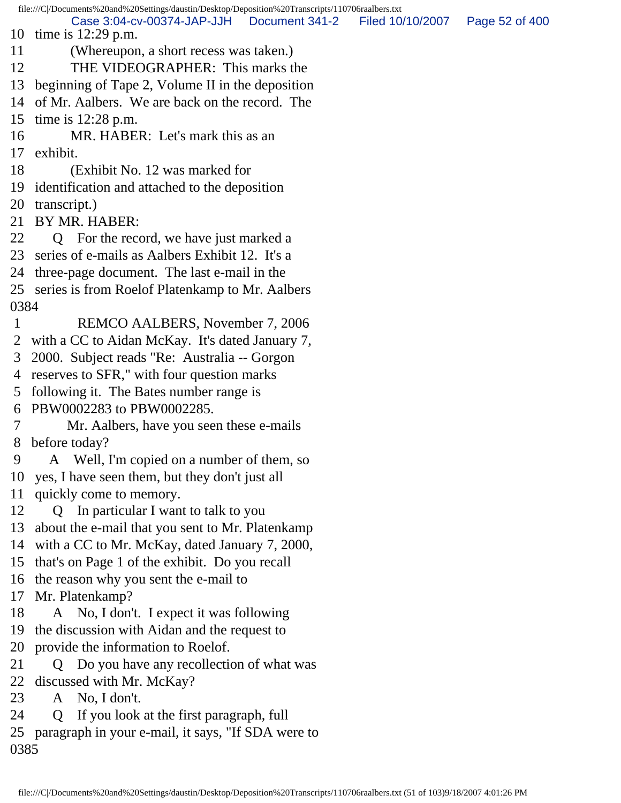file:///C|/Documents%20and%20Settings/daustin/Desktop/Deposition%20Transcripts/110706raalbers.txt 10 time is 12:29 p.m. 11 (Whereupon, a short recess was taken.) 12 THE VIDEOGRAPHER: This marks the 13 beginning of Tape 2, Volume II in the deposition 14 of Mr. Aalbers. We are back on the record. The 15 time is 12:28 p.m. 16 MR. HABER: Let's mark this as an 17 exhibit. 18 (Exhibit No. 12 was marked for 19 identification and attached to the deposition 20 transcript.) 21 BY MR. HABER: 22 Q For the record, we have just marked a 23 series of e-mails as Aalbers Exhibit 12. It's a 24 three-page document. The last e-mail in the 25 series is from Roelof Platenkamp to Mr. Aalbers 0384 1 REMCO AALBERS, November 7, 2006 2 with a CC to Aidan McKay. It's dated January 7, 3 2000. Subject reads "Re: Australia -- Gorgon 4 reserves to SFR," with four question marks 5 following it. The Bates number range is 6 PBW0002283 to PBW0002285. 7 Mr. Aalbers, have you seen these e-mails 8 before today? 9 A Well, I'm copied on a number of them, so 10 yes, I have seen them, but they don't just all 11 quickly come to memory. 12 Q In particular I want to talk to you 13 about the e-mail that you sent to Mr. Platenkamp 14 with a CC to Mr. McKay, dated January 7, 2000, 15 that's on Page 1 of the exhibit. Do you recall 16 the reason why you sent the e-mail to 17 Mr. Platenkamp? 18 A No, I don't. I expect it was following 19 the discussion with Aidan and the request to 20 provide the information to Roelof. 21 Q Do you have any recollection of what was 22 discussed with Mr. McKay? 23 A No, I don't. 24 Q If you look at the first paragraph, full 25 paragraph in your e-mail, it says, "If SDA were to 0385 Case 3:04-cv-00374-JAP-JJH Document 341-2 Filed 10/10/2007 Page 52 of 400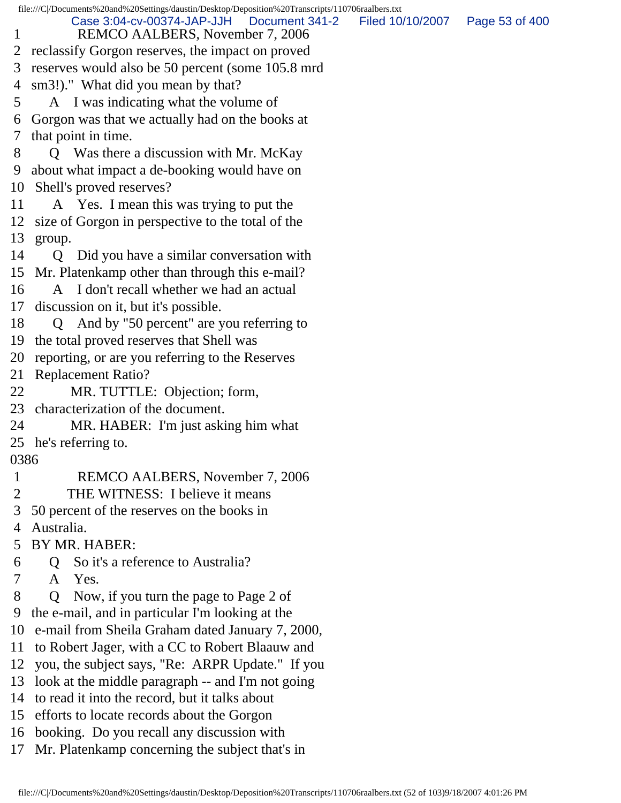file:///C|/Documents%20and%20Settings/daustin/Desktop/Deposition%20Transcripts/110706raalbers.txt 1 REMCO AALBERS, November 7, 2006 2 reclassify Gorgon reserves, the impact on proved 3 reserves would also be 50 percent (some 105.8 mrd 4 sm3!)." What did you mean by that? 5 A I was indicating what the volume of 6 Gorgon was that we actually had on the books at 7 that point in time. 8 Q Was there a discussion with Mr. McKay 9 about what impact a de-booking would have on 10 Shell's proved reserves? 11 A Yes. I mean this was trying to put the 12 size of Gorgon in perspective to the total of the 13 group. 14 Q Did you have a similar conversation with 15 Mr. Platenkamp other than through this e-mail? 16 A I don't recall whether we had an actual 17 discussion on it, but it's possible. 18 Q And by "50 percent" are you referring to 19 the total proved reserves that Shell was 20 reporting, or are you referring to the Reserves 21 Replacement Ratio? 22 MR. TUTTLE: Objection; form, 23 characterization of the document. 24 MR. HABER: I'm just asking him what 25 he's referring to. 0386 1 REMCO AALBERS, November 7, 2006 2 THE WITNESS: I believe it means 3 50 percent of the reserves on the books in 4 Australia. 5 BY MR. HABER: 6 Q So it's a reference to Australia? 7 A Yes. 8 Q Now, if you turn the page to Page 2 of 9 the e-mail, and in particular I'm looking at the 10 e-mail from Sheila Graham dated January 7, 2000, 11 to Robert Jager, with a CC to Robert Blaauw and 12 you, the subject says, "Re: ARPR Update." If you 13 look at the middle paragraph -- and I'm not going 14 to read it into the record, but it talks about 15 efforts to locate records about the Gorgon 16 booking. Do you recall any discussion with Case 3:04-cv-00374-JAP-JJH Document 341-2 Filed 10/10/2007 Page 53 of 400

17 Mr. Platenkamp concerning the subject that's in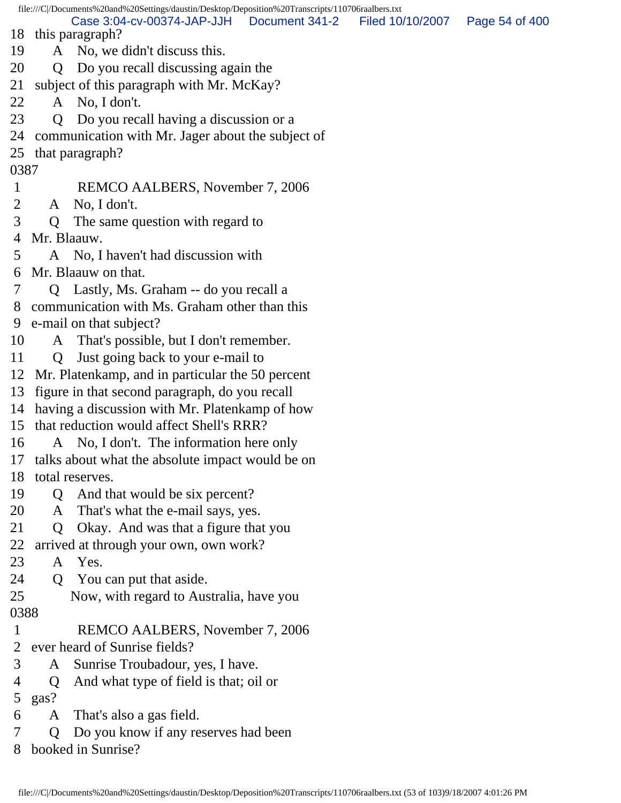file:///C|/Documents%20and%20Settings/daustin/Desktop/Deposition%20Transcripts/110706raalbers.txt 18 this paragraph? 19 A No, we didn't discuss this. 20 Q Do you recall discussing again the 21 subject of this paragraph with Mr. McKay? 22 A No, I don't. 23 Q Do you recall having a discussion or a 24 communication with Mr. Jager about the subject of 25 that paragraph? 0387 1 REMCO AALBERS, November 7, 2006 2 A No, I don't. 3 Q The same question with regard to 4 Mr. Blaauw. 5 A No, I haven't had discussion with 6 Mr. Blaauw on that. 7 Q Lastly, Ms. Graham -- do you recall a 8 communication with Ms. Graham other than this 9 e-mail on that subject? 10 A That's possible, but I don't remember. 11 Q Just going back to your e-mail to 12 Mr. Platenkamp, and in particular the 50 percent 13 figure in that second paragraph, do you recall 14 having a discussion with Mr. Platenkamp of how 15 that reduction would affect Shell's RRR? 16 A No, I don't. The information here only 17 talks about what the absolute impact would be on 18 total reserves. 19 Q And that would be six percent? 20 A That's what the e-mail says, yes. 21 Q Okay. And was that a figure that you 22 arrived at through your own, own work? 23 A Yes. 24 Q You can put that aside. 25 Now, with regard to Australia, have you 0388 1 REMCO AALBERS, November 7, 2006 2 ever heard of Sunrise fields? 3 A Sunrise Troubadour, yes, I have. 4 Q And what type of field is that; oil or 5 gas? 6 A That's also a gas field. 7 Q Do you know if any reserves had been 8 booked in Sunrise? Case 3:04-cv-00374-JAP-JJH Document 341-2 Filed 10/10/2007 Page 54 of 400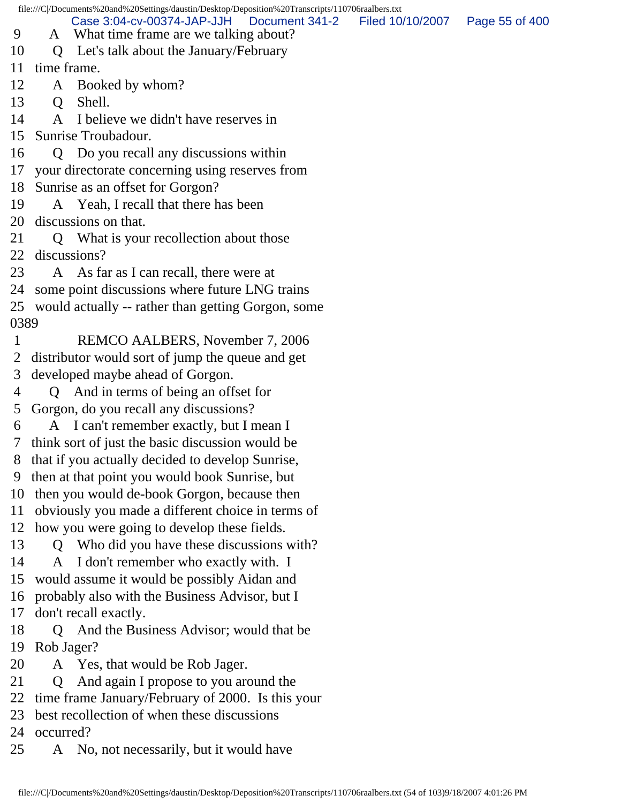file:///C|/Documents%20and%20Settings/daustin/Desktop/Deposition%20Transcripts/110706raalbers.txt 9 A What time frame are we talking about? 10 Q Let's talk about the January/February 11 time frame. 12 A Booked by whom? 13 O Shell. 14 A I believe we didn't have reserves in 15 Sunrise Troubadour. 16 Q Do you recall any discussions within 17 your directorate concerning using reserves from 18 Sunrise as an offset for Gorgon? 19 A Yeah, I recall that there has been 20 discussions on that. 21 Q What is your recollection about those 22 discussions? 23 A As far as I can recall, there were at 24 some point discussions where future LNG trains 25 would actually -- rather than getting Gorgon, some 0389 1 REMCO AALBERS, November 7, 2006 2 distributor would sort of jump the queue and get 3 developed maybe ahead of Gorgon. 4 Q And in terms of being an offset for 5 Gorgon, do you recall any discussions? 6 A I can't remember exactly, but I mean I 7 think sort of just the basic discussion would be 8 that if you actually decided to develop Sunrise, 9 then at that point you would book Sunrise, but 10 then you would de-book Gorgon, because then 11 obviously you made a different choice in terms of 12 how you were going to develop these fields. 13 Q Who did you have these discussions with? 14 A I don't remember who exactly with. I 15 would assume it would be possibly Aidan and 16 probably also with the Business Advisor, but I 17 don't recall exactly. 18 Q And the Business Advisor; would that be 19 Rob Jager? 20 A Yes, that would be Rob Jager. 21 Q And again I propose to you around the 22 time frame January/February of 2000. Is this your 23 best recollection of when these discussions 24 occurred? 25 A No, not necessarily, but it would have Case 3:04-cv-00374-JAP-JJH Document 341-2 Filed 10/10/2007 Page 55 of 400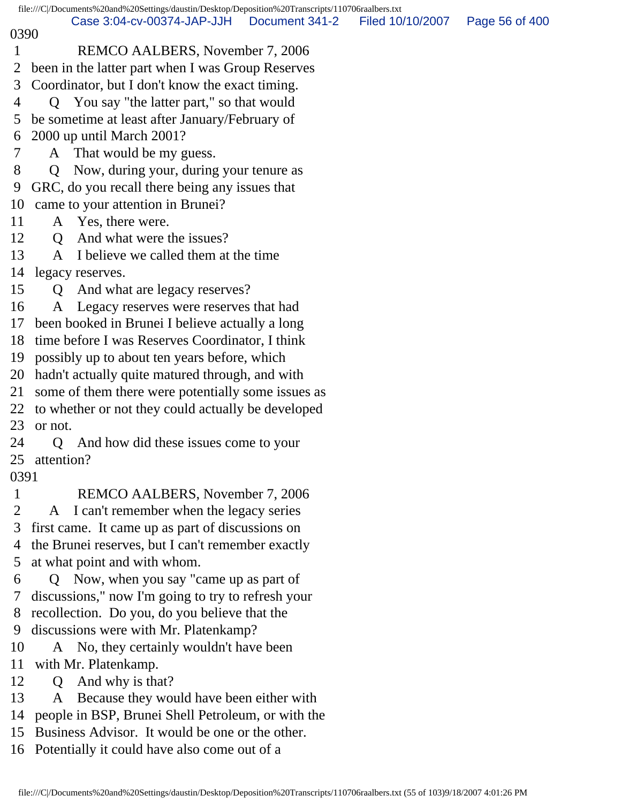file:///C|/Documents%20and%20Settings/daustin/Desktop/Deposition%20Transcripts/110706raalbers.txt 0390 1 REMCO AALBERS, November 7, 2006 2 been in the latter part when I was Group Reserves 3 Coordinator, but I don't know the exact timing. 4 Q You say "the latter part," so that would 5 be sometime at least after January/February of 6 2000 up until March 2001? 7 A That would be my guess. 8 Q Now, during your, during your tenure as 9 GRC, do you recall there being any issues that 10 came to your attention in Brunei? 11 A Yes, there were. 12 O And what were the issues? 13 A I believe we called them at the time 14 legacy reserves. 15 Q And what are legacy reserves? 16 A Legacy reserves were reserves that had 17 been booked in Brunei I believe actually a long 18 time before I was Reserves Coordinator, I think 19 possibly up to about ten years before, which 20 hadn't actually quite matured through, and with 21 some of them there were potentially some issues as 22 to whether or not they could actually be developed 23 or not. 24 Q And how did these issues come to your 25 attention? 0391 1 REMCO AALBERS, November 7, 2006 2 A I can't remember when the legacy series 3 first came. It came up as part of discussions on 4 the Brunei reserves, but I can't remember exactly 5 at what point and with whom. 6 Q Now, when you say "came up as part of 7 discussions," now I'm going to try to refresh your 8 recollection. Do you, do you believe that the 9 discussions were with Mr. Platenkamp? 10 A No, they certainly wouldn't have been 11 with Mr. Platenkamp. 12 Q And why is that? 13 A Because they would have been either with 14 people in BSP, Brunei Shell Petroleum, or with the Case 3:04-cv-00374-JAP-JJH Document 341-2 Filed 10/10/2007 Page 56 of 400

15 Business Advisor. It would be one or the other.

16 Potentially it could have also come out of a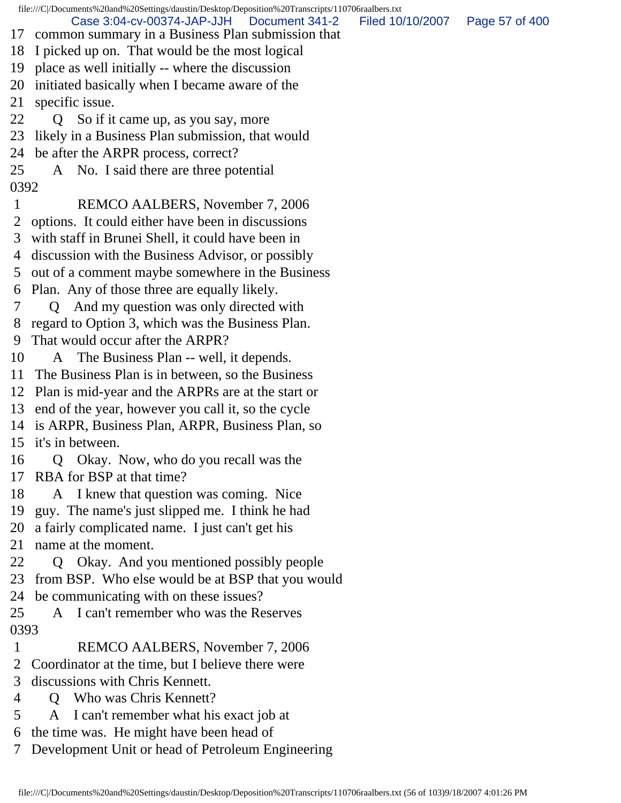file:///C|/Documents%20and%20Settings/daustin/Desktop/Deposition%20Transcripts/110706raalbers.txt 17 common summary in a Business Plan submission that 18 I picked up on. That would be the most logical 19 place as well initially -- where the discussion 20 initiated basically when I became aware of the 21 specific issue. 22 Q So if it came up, as you say, more 23 likely in a Business Plan submission, that would 24 be after the ARPR process, correct? 25 A No. I said there are three potential 0392 1 REMCO AALBERS, November 7, 2006 2 options. It could either have been in discussions 3 with staff in Brunei Shell, it could have been in 4 discussion with the Business Advisor, or possibly 5 out of a comment maybe somewhere in the Business 6 Plan. Any of those three are equally likely. 7 Q And my question was only directed with 8 regard to Option 3, which was the Business Plan. 9 That would occur after the ARPR? 10 A The Business Plan -- well, it depends. 11 The Business Plan is in between, so the Business 12 Plan is mid-year and the ARPRs are at the start or 13 end of the year, however you call it, so the cycle 14 is ARPR, Business Plan, ARPR, Business Plan, so 15 it's in between. 16 Q Okay. Now, who do you recall was the 17 RBA for BSP at that time? 18 A I knew that question was coming. Nice 19 guy. The name's just slipped me. I think he had 20 a fairly complicated name. I just can't get his 21 name at the moment. 22 Q Okay. And you mentioned possibly people 23 from BSP. Who else would be at BSP that you would 24 be communicating with on these issues? 25 A I can't remember who was the Reserves 0393 1 REMCO AALBERS, November 7, 2006 2 Coordinator at the time, but I believe there were 3 discussions with Chris Kennett. 4 Q Who was Chris Kennett? 5 A I can't remember what his exact job at 6 the time was. He might have been head of Case 3:04-cv-00374-JAP-JJH Document 341-2 Filed 10/10/2007 Page 57 of 400

7 Development Unit or head of Petroleum Engineering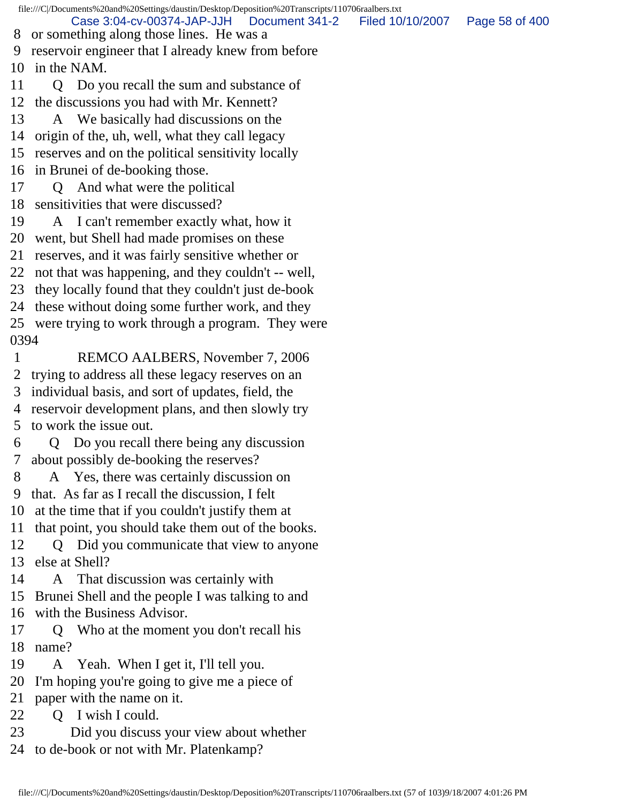file:///C|/Documents%20and%20Settings/daustin/Desktop/Deposition%20Transcripts/110706raalbers.txt 8 or something along those lines. He was a 9 reservoir engineer that I already knew from before 10 in the NAM. 11 Q Do you recall the sum and substance of 12 the discussions you had with Mr. Kennett? 13 A We basically had discussions on the 14 origin of the, uh, well, what they call legacy 15 reserves and on the political sensitivity locally 16 in Brunei of de-booking those. 17 Q And what were the political 18 sensitivities that were discussed? 19 A I can't remember exactly what, how it 20 went, but Shell had made promises on these 21 reserves, and it was fairly sensitive whether or 22 not that was happening, and they couldn't -- well, 23 they locally found that they couldn't just de-book 24 these without doing some further work, and they 25 were trying to work through a program. They were 0394 1 REMCO AALBERS, November 7, 2006 2 trying to address all these legacy reserves on an 3 individual basis, and sort of updates, field, the 4 reservoir development plans, and then slowly try 5 to work the issue out. 6 Q Do you recall there being any discussion 7 about possibly de-booking the reserves? 8 A Yes, there was certainly discussion on 9 that. As far as I recall the discussion, I felt 10 at the time that if you couldn't justify them at 11 that point, you should take them out of the books. 12 Q Did you communicate that view to anyone 13 else at Shell? 14 A That discussion was certainly with 15 Brunei Shell and the people I was talking to and 16 with the Business Advisor. 17 Q Who at the moment you don't recall his 18 name? 19 A Yeah. When I get it, I'll tell you. 20 I'm hoping you're going to give me a piece of 21 paper with the name on it. 22 Q I wish I could. 23 Did you discuss your view about whether 24 to de-book or not with Mr. Platenkamp? Case 3:04-cv-00374-JAP-JJH Document 341-2 Filed 10/10/2007 Page 58 of 400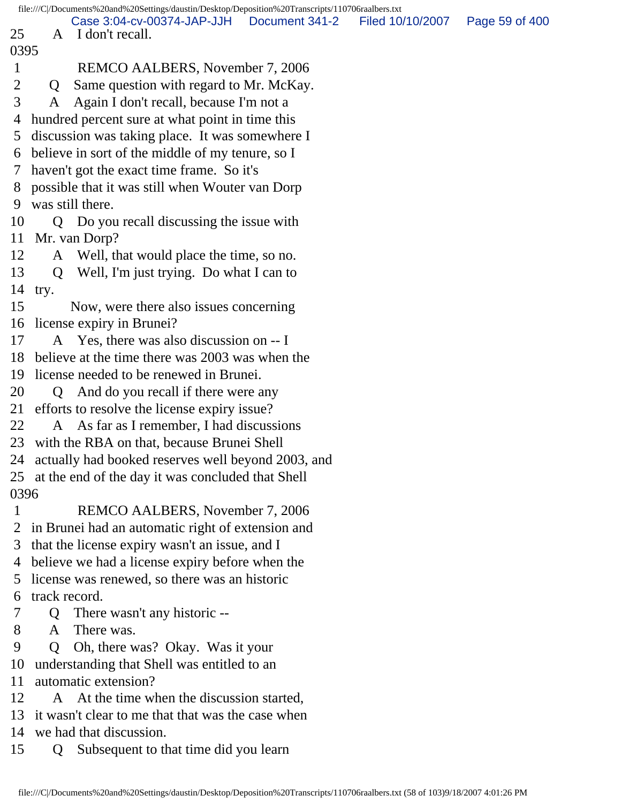|                |                                                   | file:///C /Documents%20and%20Settings/daustin/Desktop/Deposition%20Transcripts/110706raalbers.txt |  |                                  |  |  |
|----------------|---------------------------------------------------|---------------------------------------------------------------------------------------------------|--|----------------------------------|--|--|
| 25             |                                                   | Case 3:04-cv-00374-JAP-JJH   Document 341-2<br>A I don't recall.                                  |  | Filed 10/10/2007  Page 59 of 400 |  |  |
| 0395           |                                                   |                                                                                                   |  |                                  |  |  |
| $\mathbf{1}$   |                                                   | REMCO AALBERS, November 7, 2006                                                                   |  |                                  |  |  |
| $\overline{2}$ | Q                                                 | Same question with regard to Mr. McKay.                                                           |  |                                  |  |  |
| 3              | A                                                 | Again I don't recall, because I'm not a                                                           |  |                                  |  |  |
| 4              |                                                   | hundred percent sure at what point in time this                                                   |  |                                  |  |  |
| 5 <sup>5</sup> |                                                   | discussion was taking place. It was somewhere I                                                   |  |                                  |  |  |
|                |                                                   | 6 believe in sort of the middle of my tenure, so I                                                |  |                                  |  |  |
| 7 <sup>7</sup> |                                                   | haven't got the exact time frame. So it's                                                         |  |                                  |  |  |
|                |                                                   | 8 possible that it was still when Wouter van Dorp                                                 |  |                                  |  |  |
| 9              |                                                   | was still there.                                                                                  |  |                                  |  |  |
| 10             |                                                   | Q Do you recall discussing the issue with                                                         |  |                                  |  |  |
|                |                                                   | 11 Mr. van Dorp?                                                                                  |  |                                  |  |  |
| 12             |                                                   | A Well, that would place the time, so no.                                                         |  |                                  |  |  |
| 13             |                                                   | Q Well, I'm just trying. Do what I can to                                                         |  |                                  |  |  |
| 14             | try.                                              |                                                                                                   |  |                                  |  |  |
| 15             |                                                   | Now, were there also issues concerning                                                            |  |                                  |  |  |
|                |                                                   | 16 license expiry in Brunei?                                                                      |  |                                  |  |  |
| 17             |                                                   | A Yes, there was also discussion on -- I                                                          |  |                                  |  |  |
|                |                                                   | 18 believe at the time there was 2003 was when the                                                |  |                                  |  |  |
| 19             |                                                   | license needed to be renewed in Brunei.                                                           |  |                                  |  |  |
| 20             | Q                                                 | And do you recall if there were any                                                               |  |                                  |  |  |
| 21             |                                                   | efforts to resolve the license expiry issue?                                                      |  |                                  |  |  |
| 22             |                                                   | A As far as I remember, I had discussions                                                         |  |                                  |  |  |
|                |                                                   | 23 with the RBA on that, because Brunei Shell                                                     |  |                                  |  |  |
|                |                                                   | 24 actually had booked reserves well beyond 2003, and                                             |  |                                  |  |  |
|                |                                                   | 25 at the end of the day it was concluded that Shell                                              |  |                                  |  |  |
| 0396           |                                                   |                                                                                                   |  |                                  |  |  |
| $\mathbf{1}$   |                                                   | REMCO AALBERS, November 7, 2006                                                                   |  |                                  |  |  |
| 2              |                                                   | in Brunei had an automatic right of extension and                                                 |  |                                  |  |  |
| 3              |                                                   | that the license expiry wasn't an issue, and I                                                    |  |                                  |  |  |
|                |                                                   | 4 believe we had a license expiry before when the                                                 |  |                                  |  |  |
| 5              |                                                   | license was renewed, so there was an historic                                                     |  |                                  |  |  |
| 6              | track record.                                     |                                                                                                   |  |                                  |  |  |
| 7              | $\overline{Q}$                                    | There wasn't any historic --                                                                      |  |                                  |  |  |
| 8              | A                                                 | There was.                                                                                        |  |                                  |  |  |
| 9              | $\overline{O}$                                    | Oh, there was? Okay. Was it your                                                                  |  |                                  |  |  |
| 10             |                                                   | understanding that Shell was entitled to an                                                       |  |                                  |  |  |
| 11             | automatic extension?                              |                                                                                                   |  |                                  |  |  |
| 12             | A                                                 | At the time when the discussion started,                                                          |  |                                  |  |  |
| 13             | it wasn't clear to me that that was the case when |                                                                                                   |  |                                  |  |  |
| 14             |                                                   | we had that discussion.                                                                           |  |                                  |  |  |
| 15             | Q                                                 | Subsequent to that time did you learn                                                             |  |                                  |  |  |
|                |                                                   |                                                                                                   |  |                                  |  |  |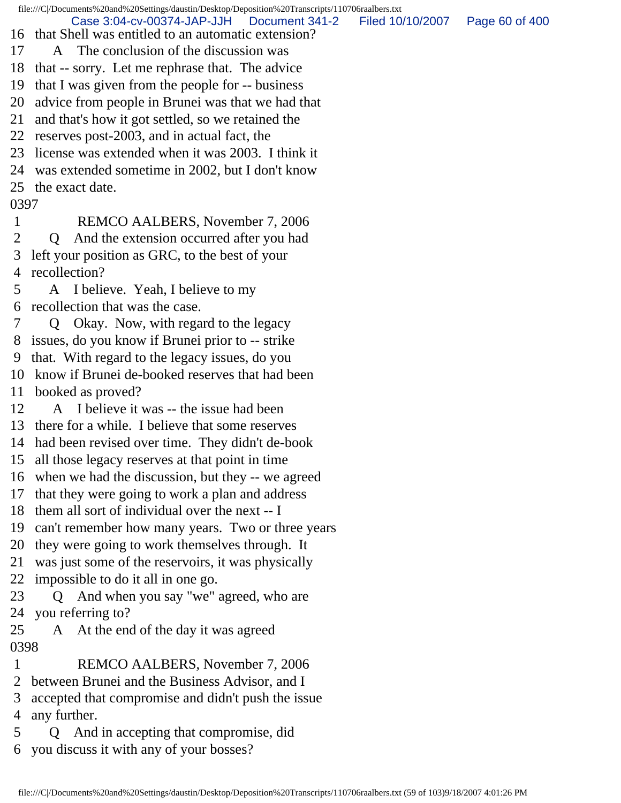file:///C|/Documents%20and%20Settings/daustin/Desktop/Deposition%20Transcripts/110706raalbers.txt

Case 3:04-cv-00374-JAP-JJH Document 341-2 Filed 10/10/2007 Page 60 of 400

- 16 that Shell was entitled to an automatic extension?
- 17 A The conclusion of the discussion was
- 18 that -- sorry. Let me rephrase that. The advice
- 19 that I was given from the people for -- business
- 20 advice from people in Brunei was that we had that
- 21 and that's how it got settled, so we retained the
- 22 reserves post-2003, and in actual fact, the
- 23 license was extended when it was 2003. I think it
- 24 was extended sometime in 2002, but I don't know
- 25 the exact date.

## 0397

- 1 REMCO AALBERS, November 7, 2006
- 2 Q And the extension occurred after you had 3 left your position as GRC, to the best of your 4 recollection?
- 5 A I believe. Yeah, I believe to my 6 recollection that was the case.
- 7 Q Okay. Now, with regard to the legacy
- 8 issues, do you know if Brunei prior to -- strike
- 9 that. With regard to the legacy issues, do you
- 10 know if Brunei de-booked reserves that had been
- 11 booked as proved?
- 12 A I believe it was -- the issue had been
- 13 there for a while. I believe that some reserves
- 14 had been revised over time. They didn't de-book
- 15 all those legacy reserves at that point in time
- 16 when we had the discussion, but they -- we agreed
- 17 that they were going to work a plan and address
- 18 them all sort of individual over the next -- I
- 19 can't remember how many years. Two or three years
- 20 they were going to work themselves through. It
- 21 was just some of the reservoirs, it was physically
- 22 impossible to do it all in one go.
- 23 Q And when you say "we" agreed, who are 24 you referring to?
- 25 A At the end of the day it was agreed 0398
- 1 REMCO AALBERS, November 7, 2006
- 2 between Brunei and the Business Advisor, and I
- 3 accepted that compromise and didn't push the issue 4 any further.
- 5 Q And in accepting that compromise, did 6 you discuss it with any of your bosses?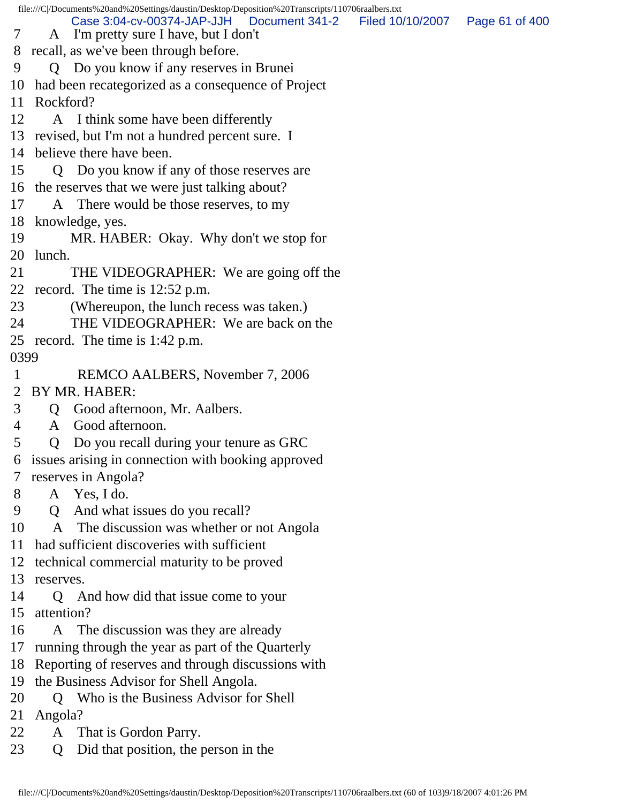|               | file:///C//Documents%20and%20Settings/daustin/Desktop/Deposition%20Transcripts/110706raalbers.txt |                                   |  |  |
|---------------|---------------------------------------------------------------------------------------------------|-----------------------------------|--|--|
| $\tau$        | Case 3:04-cv-00374-JAP-JJH   Document 341-2<br>A I'm pretty sure I have, but I don't              | Filed 10/10/2007   Page 61 of 400 |  |  |
|               | 8 recall, as we've been through before.                                                           |                                   |  |  |
| 9             | Q Do you know if any reserves in Brunei                                                           |                                   |  |  |
| 10            | had been recategorized as a consequence of Project                                                |                                   |  |  |
|               | 11 Rockford?                                                                                      |                                   |  |  |
| 12            | A I think some have been differently                                                              |                                   |  |  |
|               | 13 revised, but I'm not a hundred percent sure. I                                                 |                                   |  |  |
|               | 14 believe there have been.                                                                       |                                   |  |  |
| 15            | Q Do you know if any of those reserves are                                                        |                                   |  |  |
|               | 16 the reserves that we were just talking about?                                                  |                                   |  |  |
| 17            | A There would be those reserves, to my                                                            |                                   |  |  |
|               | 18 knowledge, yes.                                                                                |                                   |  |  |
| 19            | MR. HABER: Okay. Why don't we stop for                                                            |                                   |  |  |
| 20            | lunch.                                                                                            |                                   |  |  |
| 21            | THE VIDEOGRAPHER: We are going off the                                                            |                                   |  |  |
|               | 22 record. The time is 12:52 p.m.                                                                 |                                   |  |  |
| 23            | (Whereupon, the lunch recess was taken.)                                                          |                                   |  |  |
| 24            | THE VIDEOGRAPHER: We are back on the                                                              |                                   |  |  |
|               | 25 record. The time is 1:42 p.m.                                                                  |                                   |  |  |
| 0399          |                                                                                                   |                                   |  |  |
| $\mathbf{1}$  | REMCO AALBERS, November 7, 2006                                                                   |                                   |  |  |
| 2             | BY MR. HABER:                                                                                     |                                   |  |  |
| 3             | Good afternoon, Mr. Aalbers.<br>Q                                                                 |                                   |  |  |
| 4             | Good afternoon.<br>A                                                                              |                                   |  |  |
| 5             | Do you recall during your tenure as GRC<br>Q                                                      |                                   |  |  |
|               | 6 issues arising in connection with booking approved                                              |                                   |  |  |
| $\mathcal{T}$ | reserves in Angola?                                                                               |                                   |  |  |
| 8             | A Yes, I do.                                                                                      |                                   |  |  |
| 9             | And what issues do you recall?<br>Q                                                               |                                   |  |  |
| 10            | A The discussion was whether or not Angola                                                        |                                   |  |  |
| 11            | had sufficient discoveries with sufficient                                                        |                                   |  |  |
|               | 12 technical commercial maturity to be proved                                                     |                                   |  |  |
| 13            | reserves.                                                                                         |                                   |  |  |
| 14            | Q And how did that issue come to your                                                             |                                   |  |  |
| 15            | attention?                                                                                        |                                   |  |  |
| 16            | The discussion was they are already<br>A                                                          |                                   |  |  |
| 17            | running through the year as part of the Quarterly                                                 |                                   |  |  |
|               | 18 Reporting of reserves and through discussions with                                             |                                   |  |  |
| 19            | the Business Advisor for Shell Angola.                                                            |                                   |  |  |
| 20            | Who is the Business Advisor for Shell<br>$\overline{O}$                                           |                                   |  |  |
| 21            | Angola?                                                                                           |                                   |  |  |
| 22            | That is Gordon Parry.<br>A                                                                        |                                   |  |  |
| 23            | Did that position, the person in the<br>Q                                                         |                                   |  |  |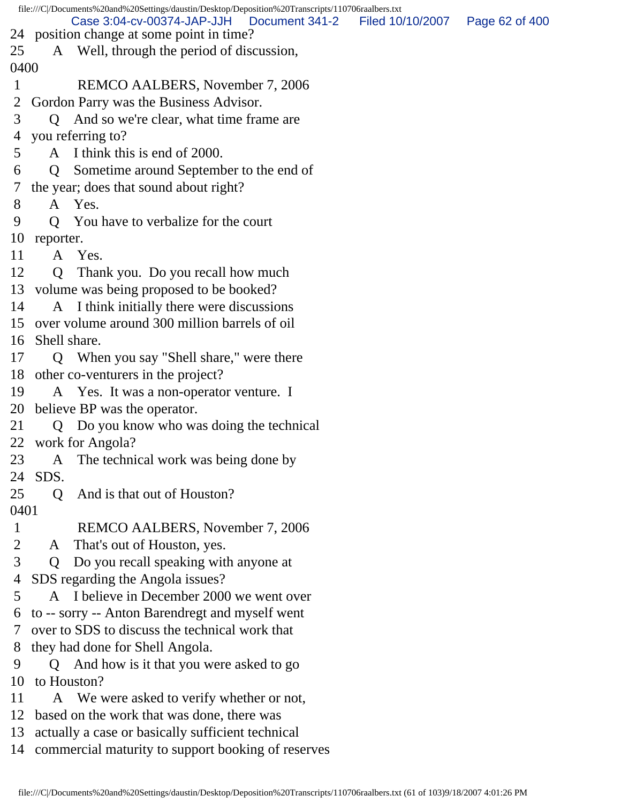file:///C|/Documents%20and%20Settings/daustin/Desktop/Deposition%20Transcripts/110706raalbers.txt 24 position change at some point in time? 25 A Well, through the period of discussion, 0400 1 REMCO AALBERS, November 7, 2006 2 Gordon Parry was the Business Advisor. 3 Q And so we're clear, what time frame are 4 you referring to? 5 A I think this is end of 2000. 6 Q Sometime around September to the end of 7 the year; does that sound about right? 8 A Yes. 9 Q You have to verbalize for the court 10 reporter. 11 A Yes. 12 Q Thank you. Do you recall how much 13 volume was being proposed to be booked? 14 A I think initially there were discussions 15 over volume around 300 million barrels of oil 16 Shell share. 17 Q When you say "Shell share," were there 18 other co-venturers in the project? 19 A Yes. It was a non-operator venture. I 20 believe BP was the operator. 21 Q Do you know who was doing the technical 22 work for Angola? 23 A The technical work was being done by 24 SDS. 25 O And is that out of Houston? 0401 1 REMCO AALBERS, November 7, 2006 2 A That's out of Houston, yes. 3 Q Do you recall speaking with anyone at 4 SDS regarding the Angola issues? 5 A I believe in December 2000 we went over 6 to -- sorry -- Anton Barendregt and myself went 7 over to SDS to discuss the technical work that 8 they had done for Shell Angola. 9 Q And how is it that you were asked to go 10 to Houston? 11 A We were asked to verify whether or not, 12 based on the work that was done, there was 13 actually a case or basically sufficient technical Case 3:04-cv-00374-JAP-JJH Document 341-2 Filed 10/10/2007 Page 62 of 400

14 commercial maturity to support booking of reserves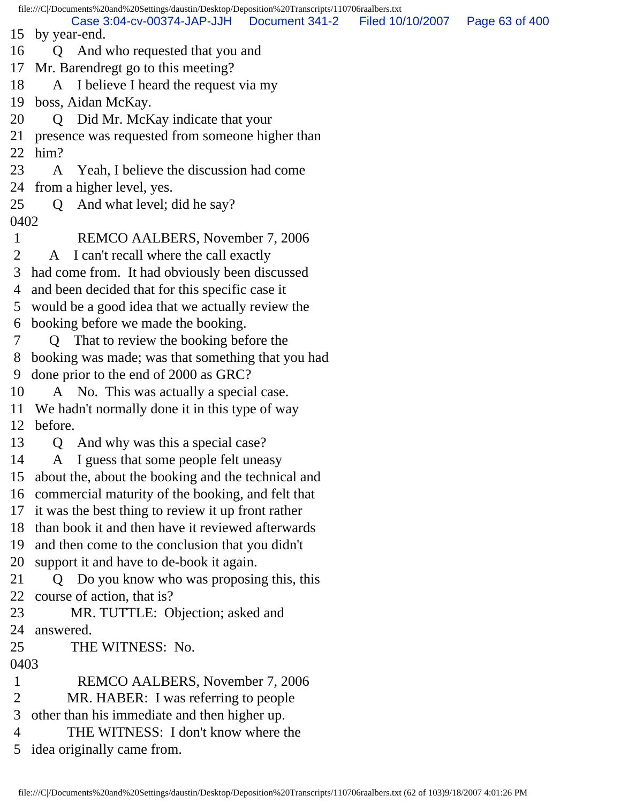file:///C|/Documents%20and%20Settings/daustin/Desktop/Deposition%20Transcripts/110706raalbers.txt 15 by year-end. 16 Q And who requested that you and 17 Mr. Barendregt go to this meeting? 18 A I believe I heard the request via my 19 boss, Aidan McKay. 20 Q Did Mr. McKay indicate that your 21 presence was requested from someone higher than 22 him? 23 A Yeah, I believe the discussion had come 24 from a higher level, yes. 25 Q And what level; did he say? 0402 1 REMCO AALBERS, November 7, 2006 2 A I can't recall where the call exactly 3 had come from. It had obviously been discussed 4 and been decided that for this specific case it 5 would be a good idea that we actually review the 6 booking before we made the booking. 7 Q That to review the booking before the 8 booking was made; was that something that you had 9 done prior to the end of 2000 as GRC? 10 A No. This was actually a special case. 11 We hadn't normally done it in this type of way 12 before. 13 Q And why was this a special case? 14 A I guess that some people felt uneasy 15 about the, about the booking and the technical and 16 commercial maturity of the booking, and felt that 17 it was the best thing to review it up front rather 18 than book it and then have it reviewed afterwards 19 and then come to the conclusion that you didn't 20 support it and have to de-book it again. 21 Q Do you know who was proposing this, this 22 course of action, that is? 23 MR. TUTTLE: Objection; asked and 24 answered. 25 THE WITNESS: No. 0403 1 REMCO AALBERS, November 7, 2006 2 MR. HABER: I was referring to people 3 other than his immediate and then higher up. 4 THE WITNESS: I don't know where the Case 3:04-cv-00374-JAP-JJH Document 341-2 Filed 10/10/2007 Page 63 of 400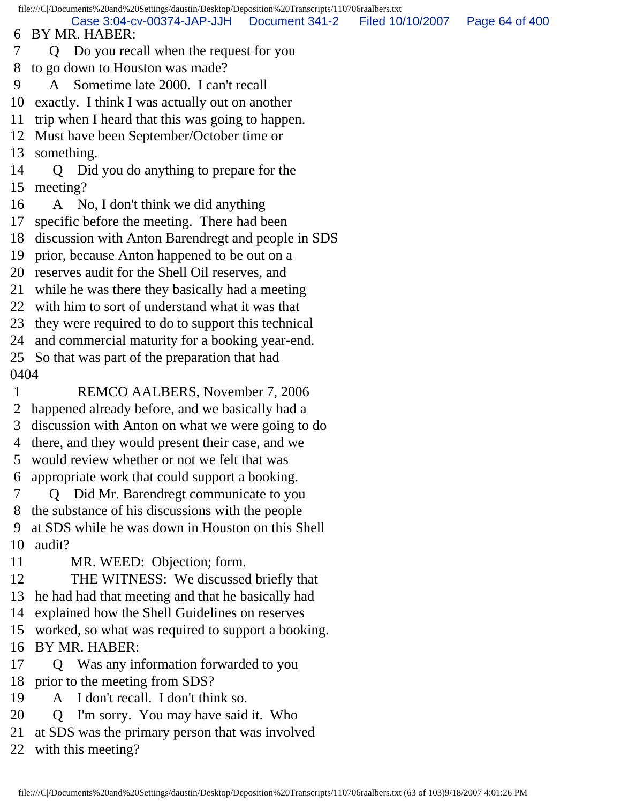file:///C|/Documents%20and%20Settings/daustin/Desktop/Deposition%20Transcripts/110706raalbers.txt 6 BY MR. HABER: 7 Q Do you recall when the request for you 8 to go down to Houston was made? 9 A Sometime late 2000. I can't recall 10 exactly. I think I was actually out on another 11 trip when I heard that this was going to happen. 12 Must have been September/October time or 13 something. 14 Q Did you do anything to prepare for the 15 meeting? 16 A No, I don't think we did anything 17 specific before the meeting. There had been 18 discussion with Anton Barendregt and people in SDS 19 prior, because Anton happened to be out on a 20 reserves audit for the Shell Oil reserves, and 21 while he was there they basically had a meeting 22 with him to sort of understand what it was that 23 they were required to do to support this technical 24 and commercial maturity for a booking year-end. 25 So that was part of the preparation that had 0404 1 REMCO AALBERS, November 7, 2006 2 happened already before, and we basically had a 3 discussion with Anton on what we were going to do 4 there, and they would present their case, and we 5 would review whether or not we felt that was 6 appropriate work that could support a booking. 7 Q Did Mr. Barendregt communicate to you 8 the substance of his discussions with the people 9 at SDS while he was down in Houston on this Shell 10 audit? 11 MR. WEED: Objection; form. 12 THE WITNESS: We discussed briefly that 13 he had had that meeting and that he basically had 14 explained how the Shell Guidelines on reserves 15 worked, so what was required to support a booking. 16 BY MR. HABER: 17 Q Was any information forwarded to you Case 3:04-cv-00374-JAP-JJH Document 341-2 Filed 10/10/2007 Page 64 of 400

- 18 prior to the meeting from SDS?
- 19 A I don't recall. I don't think so.
- 20 Q I'm sorry. You may have said it. Who
- 21 at SDS was the primary person that was involved

22 with this meeting?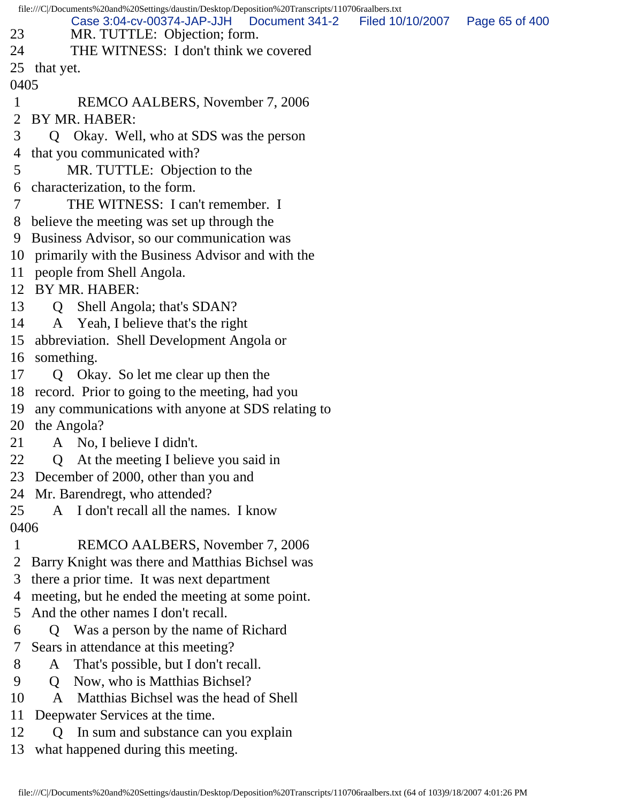| file:///C /Documents%20and%20Settings/daustin/Desktop/Deposition%20Transcripts/110706raalbers.txt |                                                                                    |  |  |  |  |
|---------------------------------------------------------------------------------------------------|------------------------------------------------------------------------------------|--|--|--|--|
|                                                                                                   | Case 3:04-cv-00374-JAP-JJH<br>Filed 10/10/2007<br>Document 341-2<br>Page 65 of 400 |  |  |  |  |
| 23                                                                                                | MR. TUTTLE: Objection; form.                                                       |  |  |  |  |
| 24                                                                                                | THE WITNESS: I don't think we covered                                              |  |  |  |  |
| 25                                                                                                | that yet.                                                                          |  |  |  |  |
| 0405                                                                                              |                                                                                    |  |  |  |  |
| 1<br>2                                                                                            | REMCO AALBERS, November 7, 2006<br>BY MR. HABER:                                   |  |  |  |  |
| 3                                                                                                 |                                                                                    |  |  |  |  |
|                                                                                                   | Okay. Well, who at SDS was the person<br>Q<br>that you communicated with?          |  |  |  |  |
| 4<br>5                                                                                            |                                                                                    |  |  |  |  |
|                                                                                                   | MR. TUTTLE: Objection to the<br>characterization, to the form.                     |  |  |  |  |
| 6<br>7                                                                                            | THE WITNESS: I can't remember. I                                                   |  |  |  |  |
|                                                                                                   |                                                                                    |  |  |  |  |
| 8                                                                                                 | believe the meeting was set up through the                                         |  |  |  |  |
| 9                                                                                                 | Business Advisor, so our communication was                                         |  |  |  |  |
| 10                                                                                                | primarily with the Business Advisor and with the                                   |  |  |  |  |
| 11<br>12                                                                                          | people from Shell Angola.<br>BY MR. HABER:                                         |  |  |  |  |
|                                                                                                   |                                                                                    |  |  |  |  |
| 13<br>14                                                                                          | Q Shell Angola; that's SDAN?                                                       |  |  |  |  |
|                                                                                                   | A Yeah, I believe that's the right                                                 |  |  |  |  |
| 15                                                                                                | abbreviation. Shell Development Angola or                                          |  |  |  |  |
| 16                                                                                                | something.                                                                         |  |  |  |  |
| 17                                                                                                | Q Okay. So let me clear up then the                                                |  |  |  |  |
| 18                                                                                                | record. Prior to going to the meeting, had you                                     |  |  |  |  |
| 19                                                                                                | any communications with anyone at SDS relating to                                  |  |  |  |  |
| 20                                                                                                | the Angola?                                                                        |  |  |  |  |
| 21                                                                                                | A No, I believe I didn't.                                                          |  |  |  |  |
| 22                                                                                                | At the meeting I believe you said in<br>$\mathbf Q$                                |  |  |  |  |
| 23                                                                                                | December of 2000, other than you and                                               |  |  |  |  |
| 24                                                                                                | Mr. Barendregt, who attended?                                                      |  |  |  |  |
| 25                                                                                                | A I don't recall all the names. I know                                             |  |  |  |  |
| 0406                                                                                              |                                                                                    |  |  |  |  |
| 1                                                                                                 | REMCO AALBERS, November 7, 2006                                                    |  |  |  |  |
| 2                                                                                                 | Barry Knight was there and Matthias Bichsel was                                    |  |  |  |  |
| 3                                                                                                 | there a prior time. It was next department                                         |  |  |  |  |
| 4                                                                                                 | meeting, but he ended the meeting at some point.                                   |  |  |  |  |
| 5                                                                                                 | And the other names I don't recall.                                                |  |  |  |  |
| 6                                                                                                 | Was a person by the name of Richard<br>O                                           |  |  |  |  |
| 7                                                                                                 | Sears in attendance at this meeting?                                               |  |  |  |  |
| 8                                                                                                 | That's possible, but I don't recall.<br>A                                          |  |  |  |  |
| 9                                                                                                 | Now, who is Matthias Bichsel?<br>Q                                                 |  |  |  |  |
| 10                                                                                                | Matthias Bichsel was the head of Shell<br>$\mathsf{A}$                             |  |  |  |  |
| 11                                                                                                | Deepwater Services at the time.                                                    |  |  |  |  |

- 12 Q In sum and substance can you explain
- 13 what happened during this meeting.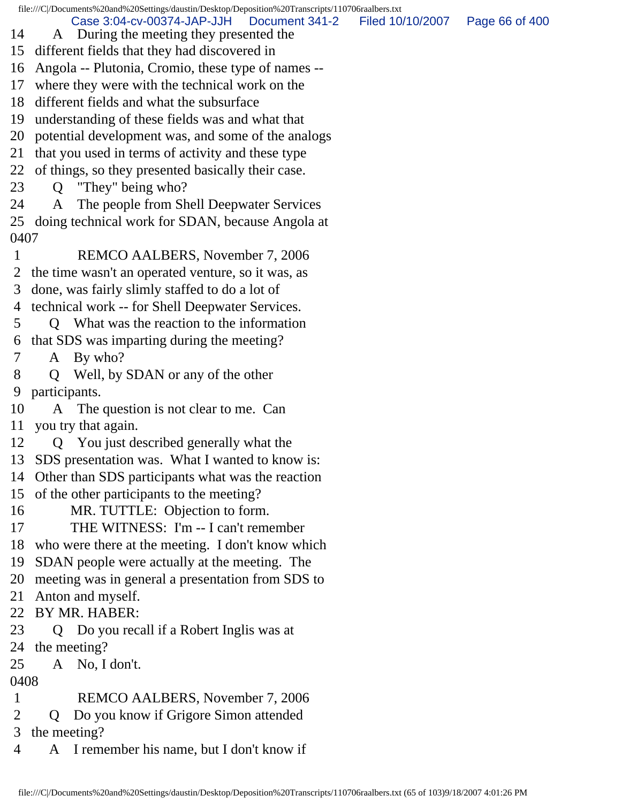file:///C|/Documents%20and%20Settings/daustin/Desktop/Deposition%20Transcripts/110706raalbers.txt 14 A During the meeting they presented the 15 different fields that they had discovered in 16 Angola -- Plutonia, Cromio, these type of names -- 17 where they were with the technical work on the 18 different fields and what the subsurface 19 understanding of these fields was and what that 20 potential development was, and some of the analogs 21 that you used in terms of activity and these type 22 of things, so they presented basically their case. 23 Q "They" being who? 24 A The people from Shell Deepwater Services 25 doing technical work for SDAN, because Angola at 0407 1 REMCO AALBERS, November 7, 2006 2 the time wasn't an operated venture, so it was, as 3 done, was fairly slimly staffed to do a lot of 4 technical work -- for Shell Deepwater Services. 5 Q What was the reaction to the information 6 that SDS was imparting during the meeting? 7 A By who? 8 Q Well, by SDAN or any of the other 9 participants. 10 A The question is not clear to me. Can 11 you try that again. 12 Q You just described generally what the 13 SDS presentation was. What I wanted to know is: 14 Other than SDS participants what was the reaction 15 of the other participants to the meeting? 16 MR. TUTTLE: Objection to form. 17 THE WITNESS: I'm -- I can't remember 18 who were there at the meeting. I don't know which 19 SDAN people were actually at the meeting. The 20 meeting was in general a presentation from SDS to 21 Anton and myself. Case 3:04-cv-00374-JAP-JJH Document 341-2 Filed 10/10/2007 Page 66 of 400

- 22 BY MR. HABER:
- 23 Q Do you recall if a Robert Inglis was at 24 the meeting?
- 25 A No, I don't.

## 0408

- 1 REMCO AALBERS, November 7, 2006
- 2 Q Do you know if Grigore Simon attended

3 the meeting?

4 A I remember his name, but I don't know if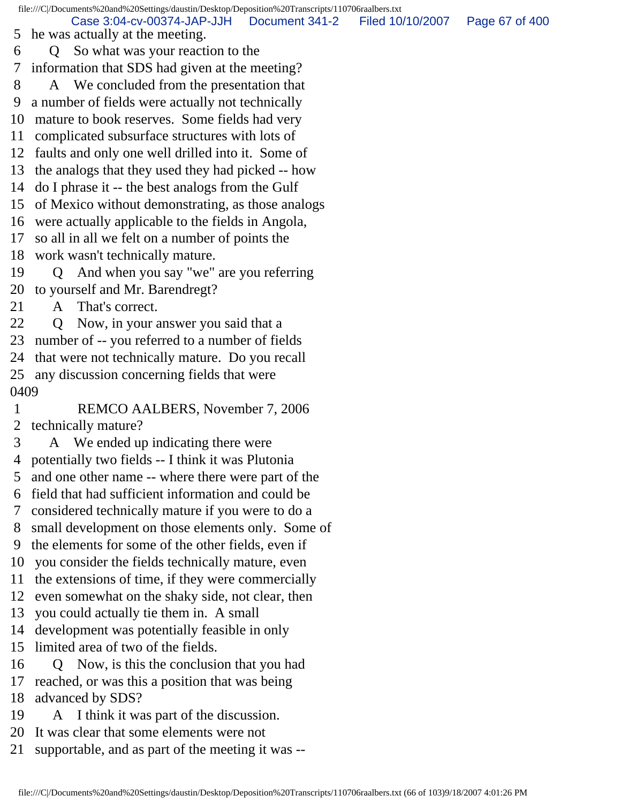file:///C|/Documents%20and%20Settings/daustin/Desktop/Deposition%20Transcripts/110706raalbers.txt 5 he was actually at the meeting. 6 Q So what was your reaction to the 7 information that SDS had given at the meeting? 8 A We concluded from the presentation that 9 a number of fields were actually not technically 10 mature to book reserves. Some fields had very 11 complicated subsurface structures with lots of 12 faults and only one well drilled into it. Some of 13 the analogs that they used they had picked -- how 14 do I phrase it -- the best analogs from the Gulf 15 of Mexico without demonstrating, as those analogs 16 were actually applicable to the fields in Angola, 17 so all in all we felt on a number of points the 18 work wasn't technically mature. 19 Q And when you say "we" are you referring 20 to yourself and Mr. Barendregt? 21 A That's correct. 22 Q Now, in your answer you said that a 23 number of -- you referred to a number of fields 24 that were not technically mature. Do you recall 25 any discussion concerning fields that were 0409 1 REMCO AALBERS, November 7, 2006 2 technically mature? 3 A We ended up indicating there were 4 potentially two fields -- I think it was Plutonia 5 and one other name -- where there were part of the 6 field that had sufficient information and could be 7 considered technically mature if you were to do a 8 small development on those elements only. Some of 9 the elements for some of the other fields, even if 10 you consider the fields technically mature, even 11 the extensions of time, if they were commercially 12 even somewhat on the shaky side, not clear, then 13 you could actually tie them in. A small 14 development was potentially feasible in only 15 limited area of two of the fields. 16 Q Now, is this the conclusion that you had 17 reached, or was this a position that was being 18 advanced by SDS? 19 A I think it was part of the discussion. 20 It was clear that some elements were not Case 3:04-cv-00374-JAP-JJH Document 341-2 Filed 10/10/2007 Page 67 of 400

21 supportable, and as part of the meeting it was --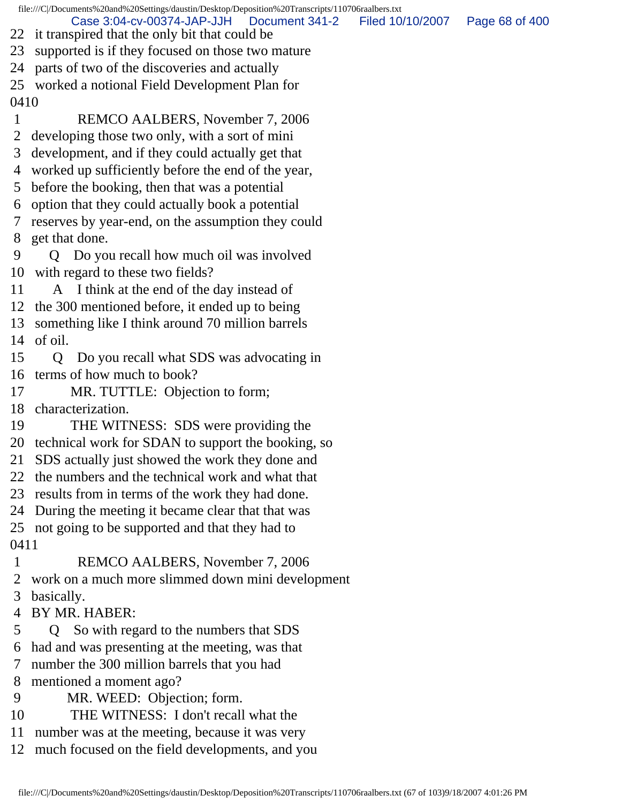file:///C|/Documents%20and%20Settings/daustin/Desktop/Deposition%20Transcripts/110706raalbers.txt 22 it transpired that the only bit that could be 23 supported is if they focused on those two mature Case 3:04-cv-00374-JAP-JJH Document 341-2 Filed 10/10/2007 Page 68 of 400

24 parts of two of the discoveries and actually

25 worked a notional Field Development Plan for 0410

 1 REMCO AALBERS, November 7, 2006 2 developing those two only, with a sort of mini

3 development, and if they could actually get that

4 worked up sufficiently before the end of the year,

5 before the booking, then that was a potential

6 option that they could actually book a potential

 7 reserves by year-end, on the assumption they could 8 get that done.

 9 Q Do you recall how much oil was involved 10 with regard to these two fields?

11 A I think at the end of the day instead of

12 the 300 mentioned before, it ended up to being

13 something like I think around 70 million barrels 14 of oil.

15 Q Do you recall what SDS was advocating in 16 terms of how much to book?

17 MR. TUTTLE: Objection to form;

18 characterization.

19 THE WITNESS: SDS were providing the

20 technical work for SDAN to support the booking, so

21 SDS actually just showed the work they done and

22 the numbers and the technical work and what that

23 results from in terms of the work they had done.

24 During the meeting it became clear that that was

25 not going to be supported and that they had to 0411

1 REMCO AALBERS, November 7, 2006

2 work on a much more slimmed down mini development

3 basically.

- 4 BY MR. HABER:
- 5 Q So with regard to the numbers that SDS
- 6 had and was presenting at the meeting, was that
- 7 number the 300 million barrels that you had

8 mentioned a moment ago?

- 9 MR. WEED: Objection; form.
- 10 THE WITNESS: I don't recall what the
- 11 number was at the meeting, because it was very
- 12 much focused on the field developments, and you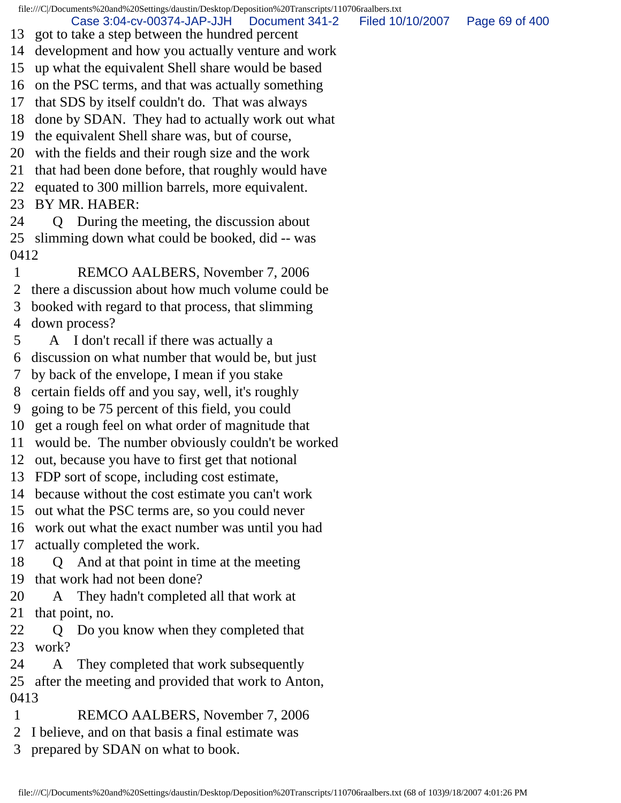file:///C|/Documents%20and%20Settings/daustin/Desktop/Deposition%20Transcripts/110706raalbers.txt

Case 3:04-cv-00374-JAP-JJH Document 341-2 Filed 10/10/2007 Page 69 of 400

- 13 got to take a step between the hundred percent
- 14 development and how you actually venture and work
- 15 up what the equivalent Shell share would be based
- 16 on the PSC terms, and that was actually something
- 17 that SDS by itself couldn't do. That was always
- 18 done by SDAN. They had to actually work out what
- 19 the equivalent Shell share was, but of course,
- 20 with the fields and their rough size and the work
- 21 that had been done before, that roughly would have
- 22 equated to 300 million barrels, more equivalent.
- 23 BY MR. HABER:
- 24 Q During the meeting, the discussion about 25 slimming down what could be booked, did -- was 0412
- 1 REMCO AALBERS, November 7, 2006
- 2 there a discussion about how much volume could be
- 3 booked with regard to that process, that slimming
- 4 down process?
- 5 A I don't recall if there was actually a
- 6 discussion on what number that would be, but just
- 7 by back of the envelope, I mean if you stake
- 8 certain fields off and you say, well, it's roughly
- 9 going to be 75 percent of this field, you could
- 10 get a rough feel on what order of magnitude that
- 11 would be. The number obviously couldn't be worked
- 12 out, because you have to first get that notional
- 13 FDP sort of scope, including cost estimate,
- 14 because without the cost estimate you can't work
- 15 out what the PSC terms are, so you could never
- 16 work out what the exact number was until you had
- 17 actually completed the work.
- 18 Q And at that point in time at the meeting 19 that work had not been done?
- 20 A They hadn't completed all that work at 21 that point, no.
- 22 Q Do you know when they completed that 23 work?
- 24 A They completed that work subsequently 25 after the meeting and provided that work to Anton,
- 0413
- 1 REMCO AALBERS, November 7, 2006
- 2 I believe, and on that basis a final estimate was
- 3 prepared by SDAN on what to book.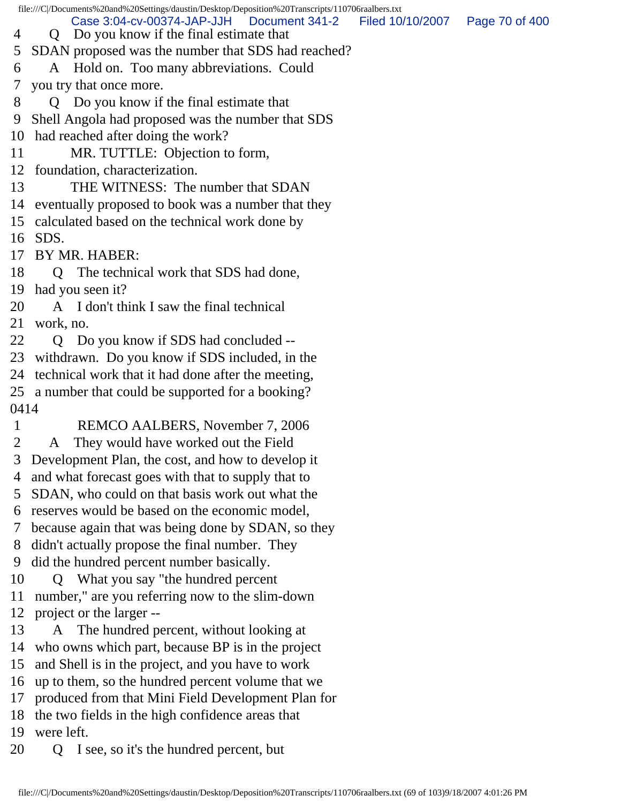file:///C|/Documents%20and%20Settings/daustin/Desktop/Deposition%20Transcripts/110706raalbers.txt 4 Q Do you know if the final estimate that 5 SDAN proposed was the number that SDS had reached? 6 A Hold on. Too many abbreviations. Could 7 you try that once more. 8 Q Do you know if the final estimate that 9 Shell Angola had proposed was the number that SDS 10 had reached after doing the work? 11 MR. TUTTLE: Objection to form, 12 foundation, characterization. 13 THE WITNESS: The number that SDAN 14 eventually proposed to book was a number that they 15 calculated based on the technical work done by 16 SDS. 17 BY MR. HABER: 18 Q The technical work that SDS had done, 19 had you seen it? 20 A I don't think I saw the final technical 21 work, no. 22 Q Do you know if SDS had concluded --23 withdrawn. Do you know if SDS included, in the 24 technical work that it had done after the meeting, 25 a number that could be supported for a booking? 0414 1 REMCO AALBERS, November 7, 2006 2 A They would have worked out the Field 3 Development Plan, the cost, and how to develop it 4 and what forecast goes with that to supply that to 5 SDAN, who could on that basis work out what the 6 reserves would be based on the economic model, 7 because again that was being done by SDAN, so they 8 didn't actually propose the final number. They 9 did the hundred percent number basically. 10 Q What you say "the hundred percent 11 number," are you referring now to the slim-down 12 project or the larger -- 13 A The hundred percent, without looking at 14 who owns which part, because BP is in the project 15 and Shell is in the project, and you have to work 16 up to them, so the hundred percent volume that we 17 produced from that Mini Field Development Plan for 18 the two fields in the high confidence areas that 19 were left. 20 Q I see, so it's the hundred percent, but Case 3:04-cv-00374-JAP-JJH Document 341-2 Filed 10/10/2007 Page 70 of 400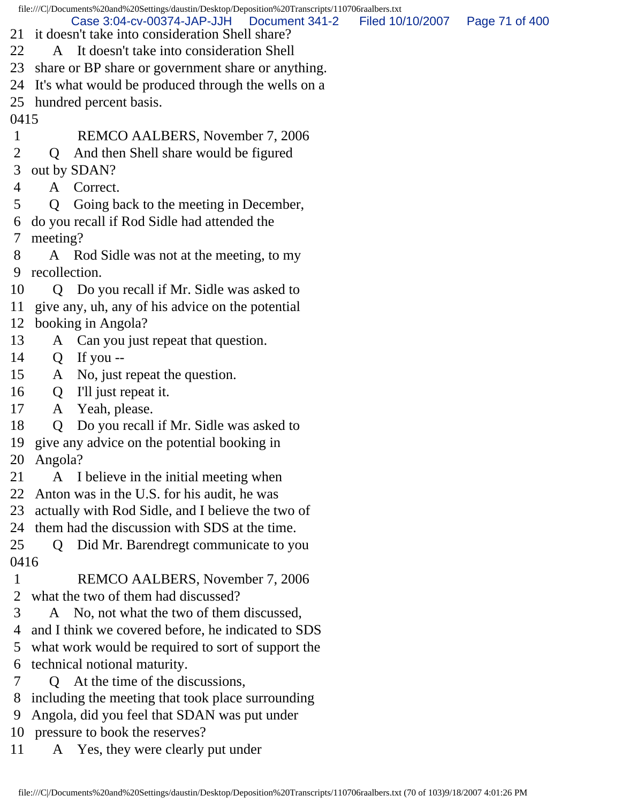file:///C|/Documents%20and%20Settings/daustin/Desktop/Deposition%20Transcripts/110706raalbers.txt 21 it doesn't take into consideration Shell share? 22 A It doesn't take into consideration Shell 23 share or BP share or government share or anything. 24 It's what would be produced through the wells on a 25 hundred percent basis. 0415 1 REMCO AALBERS, November 7, 2006 2 Q And then Shell share would be figured 3 out by SDAN? 4 A Correct. 5 Q Going back to the meeting in December, 6 do you recall if Rod Sidle had attended the 7 meeting? 8 A Rod Sidle was not at the meeting, to my 9 recollection. 10 Q Do you recall if Mr. Sidle was asked to 11 give any, uh, any of his advice on the potential 12 booking in Angola? 13 A Can you just repeat that question. 14 Q If you -- 15 A No, just repeat the question. 16 Q I'll just repeat it. 17 A Yeah, please. 18 Q Do you recall if Mr. Sidle was asked to 19 give any advice on the potential booking in 20 Angola? 21 A I believe in the initial meeting when 22 Anton was in the U.S. for his audit, he was 23 actually with Rod Sidle, and I believe the two of 24 them had the discussion with SDS at the time. 25 Q Did Mr. Barendregt communicate to you 0416 1 REMCO AALBERS, November 7, 2006 2 what the two of them had discussed? 3 A No, not what the two of them discussed, 4 and I think we covered before, he indicated to SDS 5 what work would be required to sort of support the 6 technical notional maturity. 7 Q At the time of the discussions, 8 including the meeting that took place surrounding 9 Angola, did you feel that SDAN was put under 10 pressure to book the reserves? Case 3:04-cv-00374-JAP-JJH Document 341-2 Filed 10/10/2007 Page 71 of 400

11 A Yes, they were clearly put under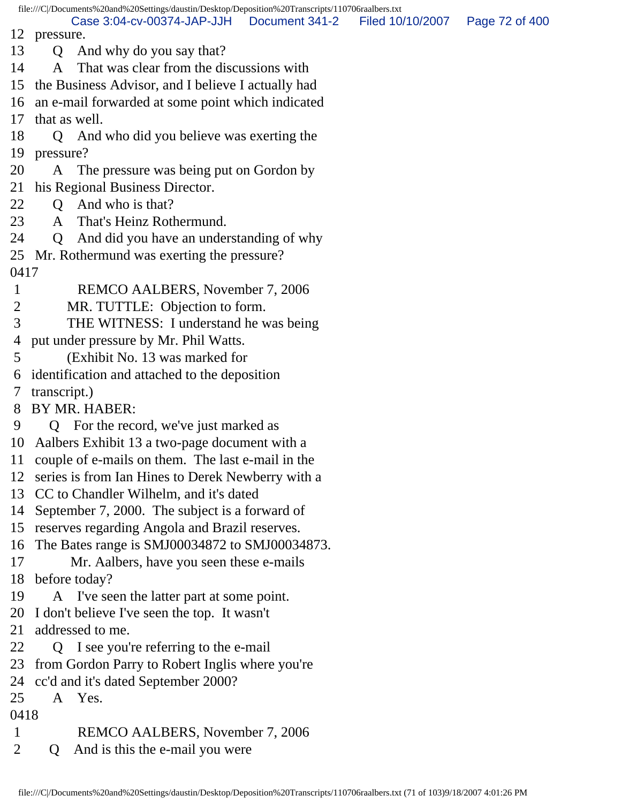12 pressure. 13 Q And why do you say that? 14 A That was clear from the discussions with 15 the Business Advisor, and I believe I actually had 16 an e-mail forwarded at some point which indicated 17 that as well. 18 Q And who did you believe was exerting the 19 pressure? 20 A The pressure was being put on Gordon by 21 his Regional Business Director. 22 Q And who is that? 23 A That's Heinz Rothermund. 24 Q And did you have an understanding of why 25 Mr. Rothermund was exerting the pressure? 0417 1 REMCO AALBERS, November 7, 2006 2 MR. TUTTLE: Objection to form. 3 THE WITNESS: I understand he was being 4 put under pressure by Mr. Phil Watts. 5 (Exhibit No. 13 was marked for 6 identification and attached to the deposition 7 transcript.) 8 BY MR. HABER: 9 Q For the record, we've just marked as 10 Aalbers Exhibit 13 a two-page document with a 11 couple of e-mails on them. The last e-mail in the 12 series is from Ian Hines to Derek Newberry with a 13 CC to Chandler Wilhelm, and it's dated 14 September 7, 2000. The subject is a forward of 15 reserves regarding Angola and Brazil reserves. 16 The Bates range is SMJ00034872 to SMJ00034873. 17 Mr. Aalbers, have you seen these e-mails 18 before today? 19 A I've seen the latter part at some point. 20 I don't believe I've seen the top. It wasn't 21 addressed to me. 22 Q I see you're referring to the e-mail 23 from Gordon Parry to Robert Inglis where you're 24 cc'd and it's dated September 2000? 25 A Yes. 0418 1 REMCO AALBERS, November 7, 2006 2 Q And is this the e-mail you were Case 3:04-cv-00374-JAP-JJH Document 341-2 Filed 10/10/2007 Page 72 of 400

file:///C|/Documents%20and%20Settings/daustin/Desktop/Deposition%20Transcripts/110706raalbers.txt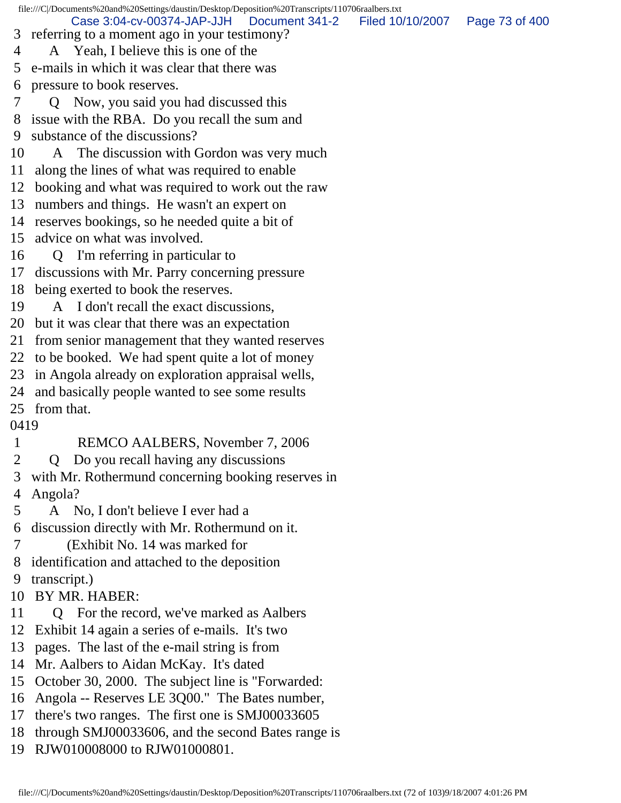file:///C|/Documents%20and%20Settings/daustin/Desktop/Deposition%20Transcripts/110706raalbers.txt 3 referring to a moment ago in your testimony? 4 A Yeah, I believe this is one of the 5 e-mails in which it was clear that there was 6 pressure to book reserves. 7 Q Now, you said you had discussed this 8 issue with the RBA. Do you recall the sum and 9 substance of the discussions? 10 A The discussion with Gordon was very much 11 along the lines of what was required to enable 12 booking and what was required to work out the raw 13 numbers and things. He wasn't an expert on 14 reserves bookings, so he needed quite a bit of 15 advice on what was involved. 16 Q I'm referring in particular to 17 discussions with Mr. Parry concerning pressure 18 being exerted to book the reserves. 19 A I don't recall the exact discussions, 20 but it was clear that there was an expectation 21 from senior management that they wanted reserves 22 to be booked. We had spent quite a lot of money 23 in Angola already on exploration appraisal wells, 24 and basically people wanted to see some results 25 from that. 0419 1 REMCO AALBERS, November 7, 2006 2 Q Do you recall having any discussions 3 with Mr. Rothermund concerning booking reserves in 4 Angola? 5 A No, I don't believe I ever had a 6 discussion directly with Mr. Rothermund on it. 7 (Exhibit No. 14 was marked for 8 identification and attached to the deposition 9 transcript.) 10 BY MR. HABER: 11 Q For the record, we've marked as Aalbers 12 Exhibit 14 again a series of e-mails. It's two 13 pages. The last of the e-mail string is from 14 Mr. Aalbers to Aidan McKay. It's dated 15 October 30, 2000. The subject line is "Forwarded: 16 Angola -- Reserves LE 3Q00." The Bates number, 17 there's two ranges. The first one is SMJ00033605 18 through SMJ00033606, and the second Bates range is 19 RJW010008000 to RJW01000801. Case 3:04-cv-00374-JAP-JJH Document 341-2 Filed 10/10/2007 Page 73 of 400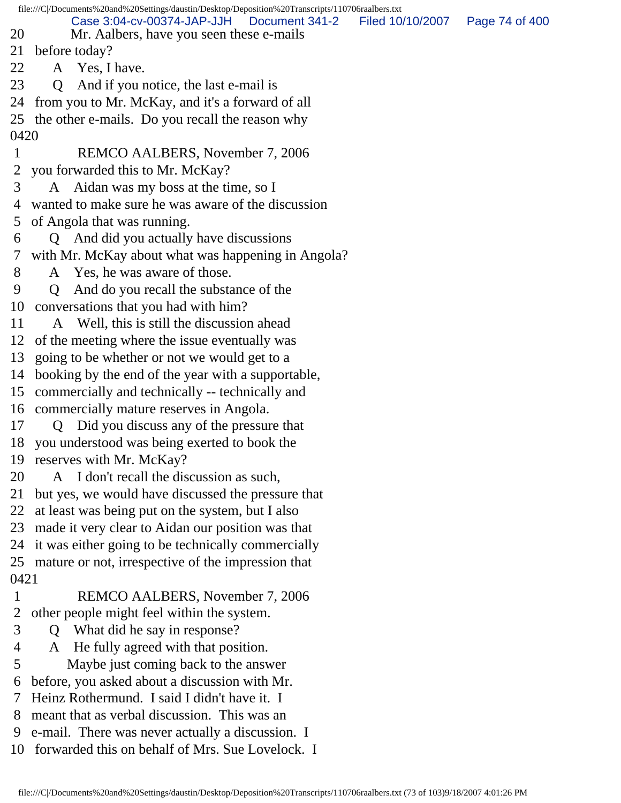|             | file:///C /Documents%20and%20Settings/daustin/Desktop/Deposition%20Transcripts/110706raalbers.txt |                  |                |
|-------------|---------------------------------------------------------------------------------------------------|------------------|----------------|
|             | Case 3:04-cv-00374-JAP-JJH<br>Document 341-2                                                      | Filed 10/10/2007 | Page 74 of 400 |
| 20          | Mr. Aalbers, have you seen these e-mails                                                          |                  |                |
| 21          | before today?                                                                                     |                  |                |
| 22          | A Yes, I have.                                                                                    |                  |                |
| 23          | And if you notice, the last e-mail is<br>$\overline{O}$                                           |                  |                |
| 24          | from you to Mr. McKay, and it's a forward of all                                                  |                  |                |
|             | 25 the other e-mails. Do you recall the reason why                                                |                  |                |
| 0420        |                                                                                                   |                  |                |
| $\mathbf 1$ | REMCO AALBERS, November 7, 2006                                                                   |                  |                |
| 2           | you forwarded this to Mr. McKay?                                                                  |                  |                |
| 3           | A Aidan was my boss at the time, so I                                                             |                  |                |
| 4           | wanted to make sure he was aware of the discussion                                                |                  |                |
| 5           | of Angola that was running.                                                                       |                  |                |
| 6           | Q And did you actually have discussions                                                           |                  |                |
| 7           | with Mr. McKay about what was happening in Angola?                                                |                  |                |
| 8           | A Yes, he was aware of those.                                                                     |                  |                |
| 9           | And do you recall the substance of the<br>Q                                                       |                  |                |
| 10          | conversations that you had with him?                                                              |                  |                |
| 11          | A Well, this is still the discussion ahead                                                        |                  |                |
| 12          | of the meeting where the issue eventually was                                                     |                  |                |
| 13          | going to be whether or not we would get to a                                                      |                  |                |
| 14          | booking by the end of the year with a supportable,                                                |                  |                |
| 15          | commercially and technically -- technically and                                                   |                  |                |
| 16          | commercially mature reserves in Angola.                                                           |                  |                |
| 17          | Did you discuss any of the pressure that<br>$\overline{O}$                                        |                  |                |
| 18          | you understood was being exerted to book the                                                      |                  |                |
| 19          | reserves with Mr. McKay?                                                                          |                  |                |
| 20          | A I don't recall the discussion as such,                                                          |                  |                |
| 21          | but yes, we would have discussed the pressure that                                                |                  |                |
| 22          | at least was being put on the system, but I also                                                  |                  |                |
| 23          | made it very clear to Aidan our position was that                                                 |                  |                |
| 24          | it was either going to be technically commercially                                                |                  |                |
| 25          | mature or not, irrespective of the impression that                                                |                  |                |
| 0421        |                                                                                                   |                  |                |
| 1           | REMCO AALBERS, November 7, 2006                                                                   |                  |                |
| 2           | other people might feel within the system.                                                        |                  |                |
| 3           | What did he say in response?                                                                      |                  |                |
| 4           | He fully agreed with that position.<br>A                                                          |                  |                |
| 5           | Maybe just coming back to the answer                                                              |                  |                |
| 6           | before, you asked about a discussion with Mr.                                                     |                  |                |
| 7           | Heinz Rothermund. I said I didn't have it. I                                                      |                  |                |
| 8           | meant that as verbal discussion. This was an                                                      |                  |                |
| 9           | e-mail. There was never actually a discussion. I                                                  |                  |                |
| 10          | forwarded this on behalf of Mrs. Sue Lovelock. I                                                  |                  |                |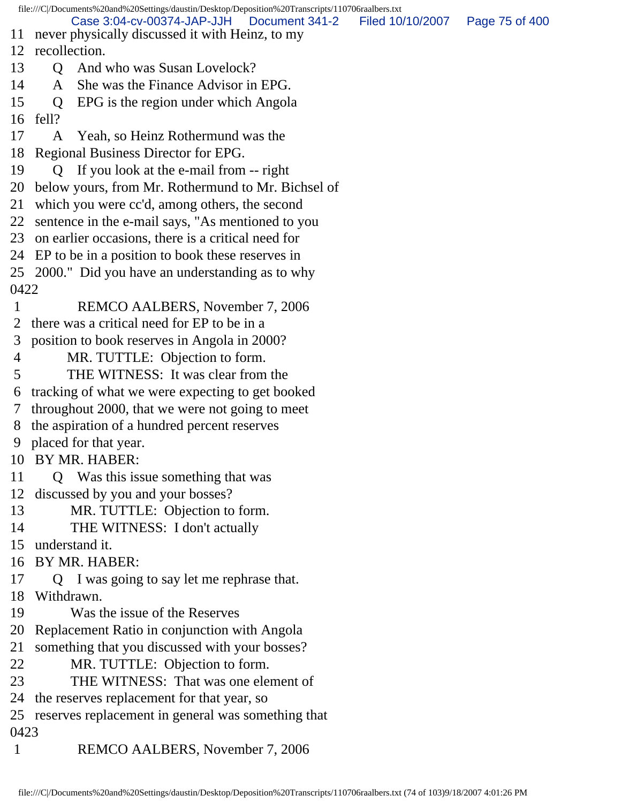file:///C|/Documents%20and%20Settings/daustin/Desktop/Deposition%20Transcripts/110706raalbers.txt 11 never physically discussed it with Heinz, to my 12 recollection. 13 O And who was Susan Lovelock? 14 A She was the Finance Advisor in EPG. 15 Q EPG is the region under which Angola 16 fell? 17 A Yeah, so Heinz Rothermund was the 18 Regional Business Director for EPG. 19 Q If you look at the e-mail from -- right 20 below yours, from Mr. Rothermund to Mr. Bichsel of 21 which you were cc'd, among others, the second 22 sentence in the e-mail says, "As mentioned to you 23 on earlier occasions, there is a critical need for 24 EP to be in a position to book these reserves in 25 2000." Did you have an understanding as to why 0422 1 REMCO AALBERS, November 7, 2006 2 there was a critical need for EP to be in a 3 position to book reserves in Angola in 2000? 4 MR. TUTTLE: Objection to form. 5 THE WITNESS: It was clear from the 6 tracking of what we were expecting to get booked 7 throughout 2000, that we were not going to meet 8 the aspiration of a hundred percent reserves 9 placed for that year. 10 BY MR. HABER: 11 Q Was this issue something that was 12 discussed by you and your bosses? 13 MR. TUTTLE: Objection to form. 14 THE WITNESS: I don't actually 15 understand it. 16 BY MR. HABER: 17 Q I was going to say let me rephrase that. 18 Withdrawn. 19 Was the issue of the Reserves 20 Replacement Ratio in conjunction with Angola 21 something that you discussed with your bosses? 22 MR. TUTTLE: Objection to form. 23 THE WITNESS: That was one element of 24 the reserves replacement for that year, so 25 reserves replacement in general was something that 0423 1 REMCO AALBERS, November 7, 2006 Case 3:04-cv-00374-JAP-JJH Document 341-2 Filed 10/10/2007 Page 75 of 400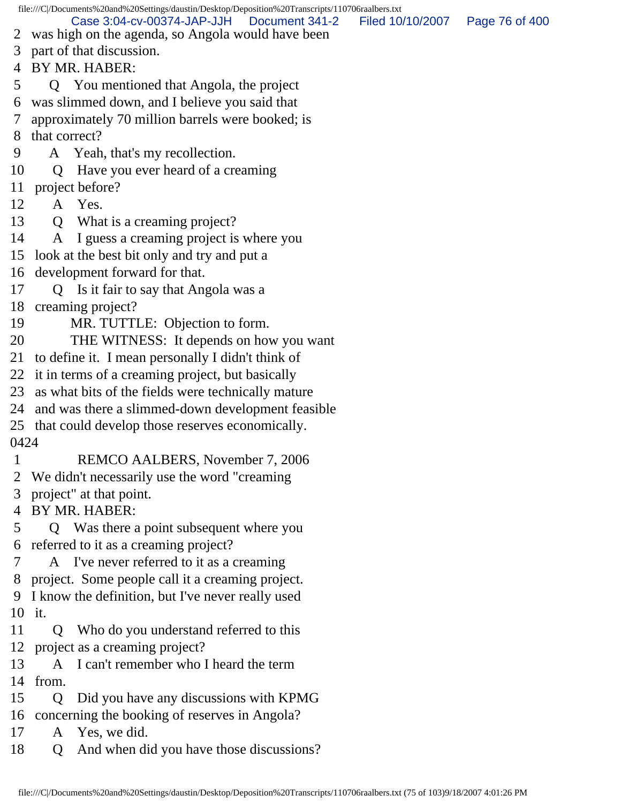file:///C|/Documents%20and%20Settings/daustin/Desktop/Deposition%20Transcripts/110706raalbers.txt 2 was high on the agenda, so Angola would have been 3 part of that discussion. 4 BY MR. HABER: 5 Q You mentioned that Angola, the project 6 was slimmed down, and I believe you said that 7 approximately 70 million barrels were booked; is 8 that correct? 9 A Yeah, that's my recollection. 10 Q Have you ever heard of a creaming 11 project before? 12 A Yes. 13 Q What is a creaming project? 14 A I guess a creaming project is where you 15 look at the best bit only and try and put a 16 development forward for that. 17 Q Is it fair to say that Angola was a 18 creaming project? 19 MR. TUTTLE: Objection to form. 20 THE WITNESS: It depends on how you want 21 to define it. I mean personally I didn't think of 22 it in terms of a creaming project, but basically 23 as what bits of the fields were technically mature 24 and was there a slimmed-down development feasible 25 that could develop those reserves economically. 0424 1 REMCO AALBERS, November 7, 2006 2 We didn't necessarily use the word "creaming 3 project" at that point. 4 BY MR. HABER: 5 Q Was there a point subsequent where you 6 referred to it as a creaming project? 7 A I've never referred to it as a creaming 8 project. Some people call it a creaming project. 9 I know the definition, but I've never really used 10 it. 11 Q Who do you understand referred to this 12 project as a creaming project? 13 A I can't remember who I heard the term 14 from. 15 Q Did you have any discussions with KPMG 16 concerning the booking of reserves in Angola? 17 A Yes, we did. 18 Q And when did you have those discussions? Case 3:04-cv-00374-JAP-JJH Document 341-2 Filed 10/10/2007 Page 76 of 400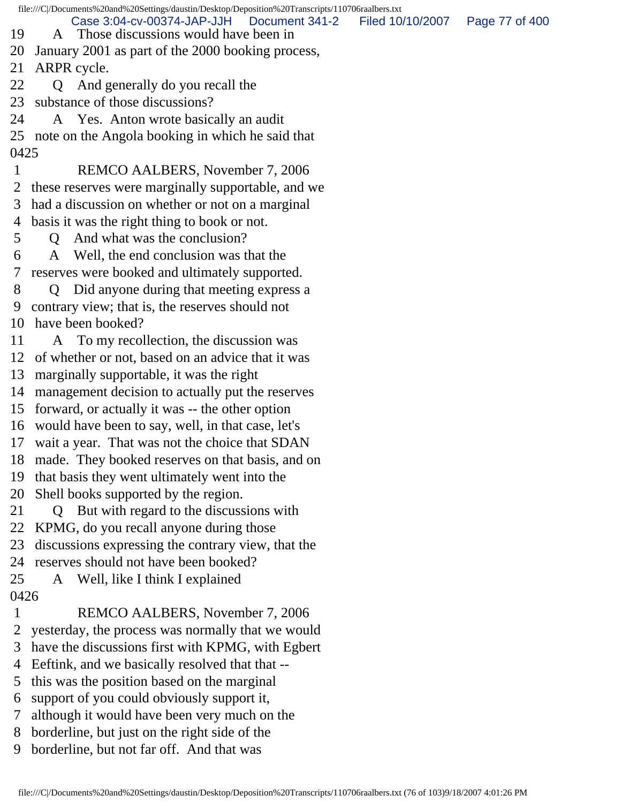file:///C|/Documents%20and%20Settings/daustin/Desktop/Deposition%20Transcripts/110706raalbers.txt 19 A Those discussions would have been in 20 January 2001 as part of the 2000 booking process, 21 ARPR cycle. 22 Q And generally do you recall the 23 substance of those discussions? 24 A Yes. Anton wrote basically an audit 25 note on the Angola booking in which he said that 0425 1 REMCO AALBERS, November 7, 2006 2 these reserves were marginally supportable, and we 3 had a discussion on whether or not on a marginal 4 basis it was the right thing to book or not. 5 Q And what was the conclusion? 6 A Well, the end conclusion was that the 7 reserves were booked and ultimately supported. 8 Q Did anyone during that meeting express a 9 contrary view; that is, the reserves should not 10 have been booked? 11 A To my recollection, the discussion was 12 of whether or not, based on an advice that it was 13 marginally supportable, it was the right 14 management decision to actually put the reserves 15 forward, or actually it was -- the other option 16 would have been to say, well, in that case, let's 17 wait a year. That was not the choice that SDAN 18 made. They booked reserves on that basis, and on 19 that basis they went ultimately went into the 20 Shell books supported by the region. 21 Q But with regard to the discussions with 22 KPMG, do you recall anyone during those 23 discussions expressing the contrary view, that the 24 reserves should not have been booked? 25 A Well, like I think I explained 0426 1 REMCO AALBERS, November 7, 2006 2 yesterday, the process was normally that we would 3 have the discussions first with KPMG, with Egbert 4 Eeftink, and we basically resolved that that -- 5 this was the position based on the marginal 6 support of you could obviously support it, 7 although it would have been very much on the Case 3:04-cv-00374-JAP-JJH Document 341-2 Filed 10/10/2007 Page 77 of 400

8 borderline, but just on the right side of the

9 borderline, but not far off. And that was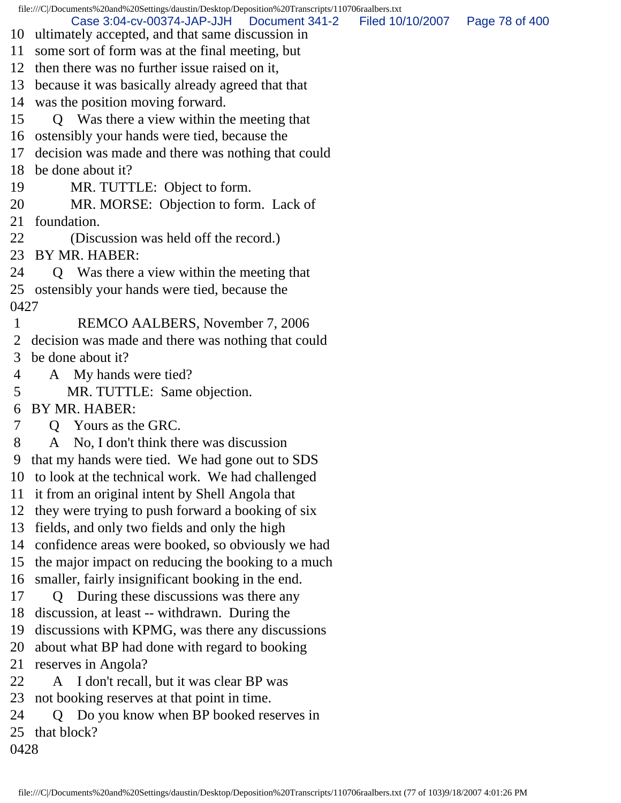file:///C|/Documents%20and%20Settings/daustin/Desktop/Deposition%20Transcripts/110706raalbers.txt 10 ultimately accepted, and that same discussion in 11 some sort of form was at the final meeting, but 12 then there was no further issue raised on it, 13 because it was basically already agreed that that 14 was the position moving forward. 15 Q Was there a view within the meeting that 16 ostensibly your hands were tied, because the 17 decision was made and there was nothing that could 18 be done about it? 19 MR. TUTTLE: Object to form. 20 MR. MORSE: Objection to form. Lack of 21 foundation. 22 (Discussion was held off the record.) 23 BY MR. HABER: 24 Q Was there a view within the meeting that 25 ostensibly your hands were tied, because the 0427 1 REMCO AALBERS, November 7, 2006 2 decision was made and there was nothing that could 3 be done about it? 4 A My hands were tied? 5 MR. TUTTLE: Same objection. 6 BY MR. HABER: 7 Q Yours as the GRC. 8 A No, I don't think there was discussion 9 that my hands were tied. We had gone out to SDS 10 to look at the technical work. We had challenged 11 it from an original intent by Shell Angola that 12 they were trying to push forward a booking of six 13 fields, and only two fields and only the high 14 confidence areas were booked, so obviously we had 15 the major impact on reducing the booking to a much 16 smaller, fairly insignificant booking in the end. 17 Q During these discussions was there any 18 discussion, at least -- withdrawn. During the 19 discussions with KPMG, was there any discussions 20 about what BP had done with regard to booking 21 reserves in Angola? 22 A I don't recall, but it was clear BP was 23 not booking reserves at that point in time. 24 Q Do you know when BP booked reserves in 25 that block? 0428 Case 3:04-cv-00374-JAP-JJH Document 341-2 Filed 10/10/2007 Page 78 of 400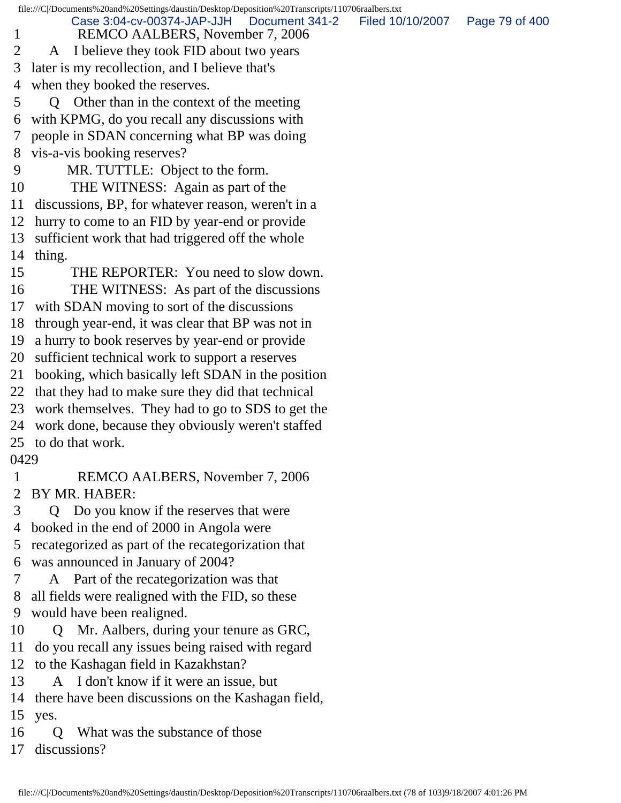file:///C|/Documents%20and%20Settings/daustin/Desktop/Deposition%20Transcripts/110706raalbers.txt 1 REMCO AALBERS, November 7, 2006 2 A I believe they took FID about two years 3 later is my recollection, and I believe that's 4 when they booked the reserves. 5 Q Other than in the context of the meeting 6 with KPMG, do you recall any discussions with 7 people in SDAN concerning what BP was doing 8 vis-a-vis booking reserves? 9 MR. TUTTLE: Object to the form. 10 THE WITNESS: Again as part of the 11 discussions, BP, for whatever reason, weren't in a 12 hurry to come to an FID by year-end or provide 13 sufficient work that had triggered off the whole 14 thing. 15 THE REPORTER: You need to slow down. 16 THE WITNESS: As part of the discussions 17 with SDAN moving to sort of the discussions 18 through year-end, it was clear that BP was not in 19 a hurry to book reserves by year-end or provide 20 sufficient technical work to support a reserves 21 booking, which basically left SDAN in the position 22 that they had to make sure they did that technical 23 work themselves. They had to go to SDS to get the 24 work done, because they obviously weren't staffed 25 to do that work. 0429 1 REMCO AALBERS, November 7, 2006 2 BY MR. HABER: 3 Q Do you know if the reserves that were 4 booked in the end of 2000 in Angola were 5 recategorized as part of the recategorization that 6 was announced in January of 2004? 7 A Part of the recategorization was that 8 all fields were realigned with the FID, so these 9 would have been realigned. 10 Q Mr. Aalbers, during your tenure as GRC, 11 do you recall any issues being raised with regard 12 to the Kashagan field in Kazakhstan? 13 A I don't know if it were an issue, but 14 there have been discussions on the Kashagan field, 15 yes. 16 Q What was the substance of those Case 3:04-cv-00374-JAP-JJH Document 341-2 Filed 10/10/2007 Page 79 of 400

17 discussions?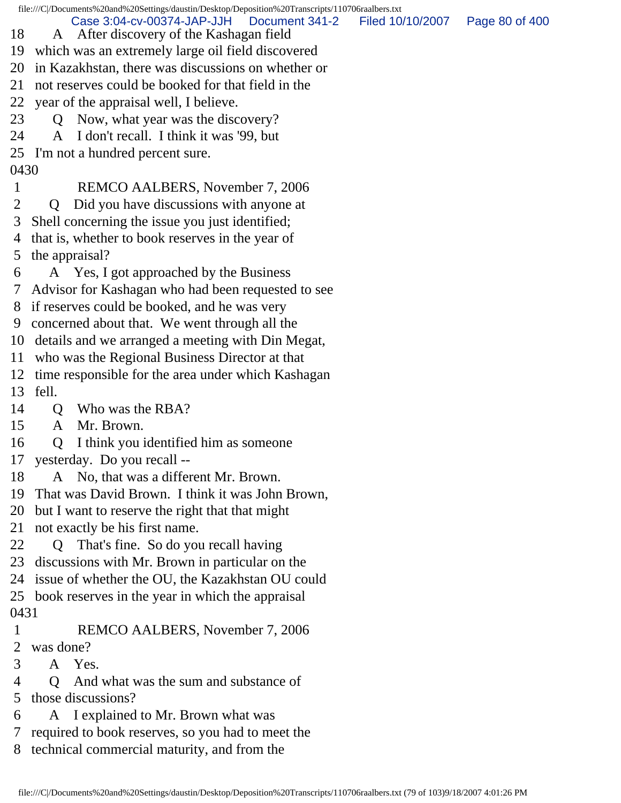file:///C|/Documents%20and%20Settings/daustin/Desktop/Deposition%20Transcripts/110706raalbers.txt 18 A After discovery of the Kashagan field 19 which was an extremely large oil field discovered 20 in Kazakhstan, there was discussions on whether or 21 not reserves could be booked for that field in the 22 year of the appraisal well, I believe. 23 Q Now, what year was the discovery? 24 A I don't recall. I think it was '99, but 25 I'm not a hundred percent sure. 0430 1 REMCO AALBERS, November 7, 2006 2 Q Did you have discussions with anyone at 3 Shell concerning the issue you just identified; 4 that is, whether to book reserves in the year of 5 the appraisal? 6 A Yes, I got approached by the Business 7 Advisor for Kashagan who had been requested to see 8 if reserves could be booked, and he was very 9 concerned about that. We went through all the 10 details and we arranged a meeting with Din Megat, 11 who was the Regional Business Director at that 12 time responsible for the area under which Kashagan 13 fell. 14 Q Who was the RBA? 15 A Mr. Brown. 16 Q I think you identified him as someone 17 yesterday. Do you recall -- 18 A No, that was a different Mr. Brown. 19 That was David Brown. I think it was John Brown, 20 but I want to reserve the right that that might 21 not exactly be his first name. 22 Q That's fine. So do you recall having 23 discussions with Mr. Brown in particular on the 24 issue of whether the OU, the Kazakhstan OU could 25 book reserves in the year in which the appraisal 0431 1 REMCO AALBERS, November 7, 2006 2 was done? 3 A Yes. 4 Q And what was the sum and substance of 5 those discussions? 6 A I explained to Mr. Brown what was 7 required to book reserves, so you had to meet the Case 3:04-cv-00374-JAP-JJH Document 341-2 Filed 10/10/2007 Page 80 of 400

8 technical commercial maturity, and from the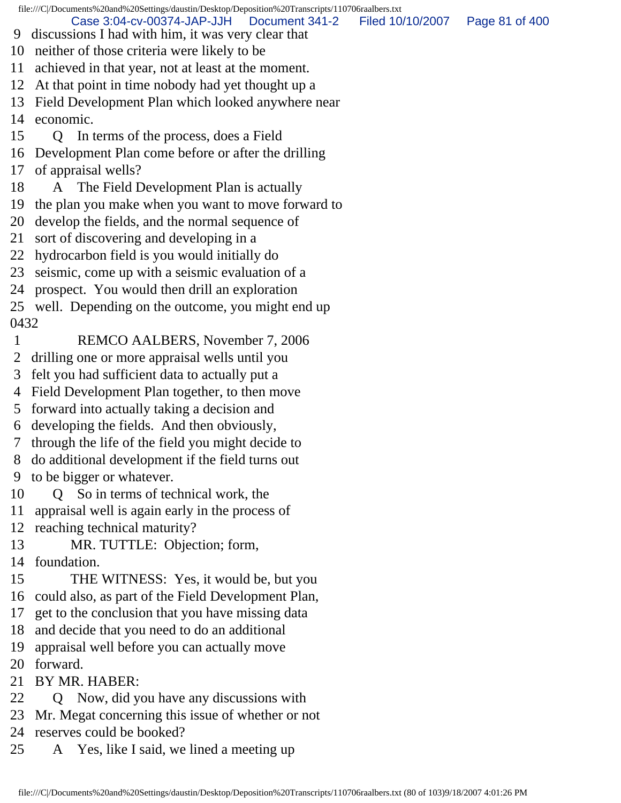file:///C|/Documents%20and%20Settings/daustin/Desktop/Deposition%20Transcripts/110706raalbers.txt 9 discussions I had with him, it was very clear that 10 neither of those criteria were likely to be 11 achieved in that year, not at least at the moment. 12 At that point in time nobody had yet thought up a 13 Field Development Plan which looked anywhere near 14 economic. 15 Q In terms of the process, does a Field 16 Development Plan come before or after the drilling 17 of appraisal wells? 18 A The Field Development Plan is actually 19 the plan you make when you want to move forward to 20 develop the fields, and the normal sequence of 21 sort of discovering and developing in a 22 hydrocarbon field is you would initially do 23 seismic, come up with a seismic evaluation of a 24 prospect. You would then drill an exploration 25 well. Depending on the outcome, you might end up 0432 1 REMCO AALBERS, November 7, 2006 2 drilling one or more appraisal wells until you 3 felt you had sufficient data to actually put a 4 Field Development Plan together, to then move 5 forward into actually taking a decision and 6 developing the fields. And then obviously, 7 through the life of the field you might decide to 8 do additional development if the field turns out 9 to be bigger or whatever. 10 Q So in terms of technical work, the 11 appraisal well is again early in the process of 12 reaching technical maturity? 13 MR. TUTTLE: Objection; form, 14 foundation. 15 THE WITNESS: Yes, it would be, but you 16 could also, as part of the Field Development Plan, 17 get to the conclusion that you have missing data 18 and decide that you need to do an additional 19 appraisal well before you can actually move 20 forward. 21 BY MR. HABER: 22 Q Now, did you have any discussions with Case 3:04-cv-00374-JAP-JJH Document 341-2 Filed 10/10/2007 Page 81 of 400

- 23 Mr. Megat concerning this issue of whether or not
- 24 reserves could be booked?
- 25 A Yes, like I said, we lined a meeting up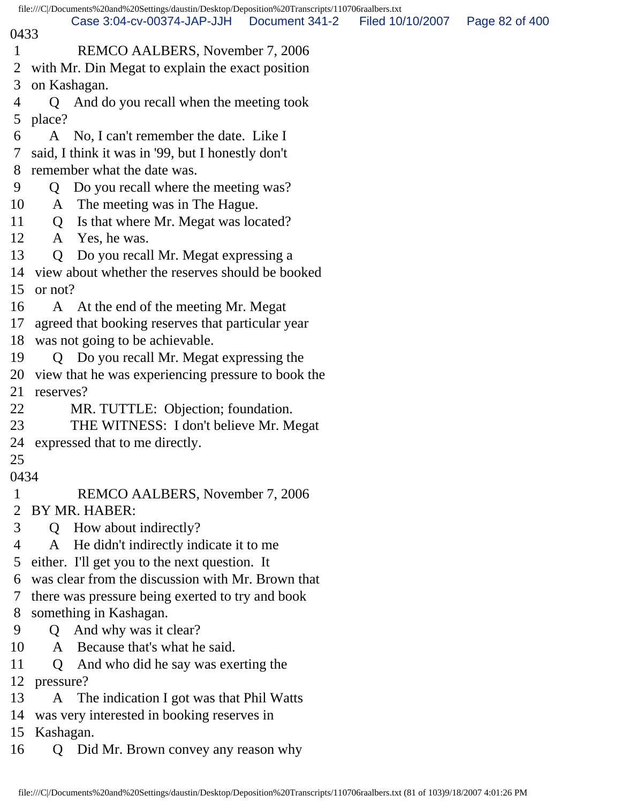|              |              | file:///C /Documents%20and%20Settings/daustin/Desktop/Deposition%20Transcripts/110706raalbers.txt |                |                  |                |
|--------------|--------------|---------------------------------------------------------------------------------------------------|----------------|------------------|----------------|
| 0433         |              | Case 3:04-cv-00374-JAP-JJH                                                                        | Document 341-2 | Filed 10/10/2007 | Page 82 of 400 |
| $\mathbf{1}$ |              | REMCO AALBERS, November 7, 2006                                                                   |                |                  |                |
| 2            |              | with Mr. Din Megat to explain the exact position                                                  |                |                  |                |
| 3            | on Kashagan. |                                                                                                   |                |                  |                |
| 4            | Q            | And do you recall when the meeting took                                                           |                |                  |                |
| 5            | place?       |                                                                                                   |                |                  |                |
| 6            | A            | No, I can't remember the date. Like I                                                             |                |                  |                |
| 7            |              | said, I think it was in '99, but I honestly don't                                                 |                |                  |                |
| 8            |              | remember what the date was.                                                                       |                |                  |                |
| 9            | Q            | Do you recall where the meeting was?                                                              |                |                  |                |
| 10           | A            | The meeting was in The Hague.                                                                     |                |                  |                |
| 11           | $\mathbf Q$  | Is that where Mr. Megat was located?                                                              |                |                  |                |
| 12           |              | A Yes, he was.                                                                                    |                |                  |                |
| 13           | Q            | Do you recall Mr. Megat expressing a                                                              |                |                  |                |
| 14           |              | view about whether the reserves should be booked                                                  |                |                  |                |
| 15           | or not?      |                                                                                                   |                |                  |                |
| 16           |              | A At the end of the meeting Mr. Megat                                                             |                |                  |                |
| 17           |              | agreed that booking reserves that particular year                                                 |                |                  |                |
| 18           |              | was not going to be achievable.                                                                   |                |                  |                |
| 19           |              | Q Do you recall Mr. Megat expressing the                                                          |                |                  |                |
| 20           |              | view that he was experiencing pressure to book the                                                |                |                  |                |
| 21           | reserves?    |                                                                                                   |                |                  |                |
| 22           |              | MR. TUTTLE: Objection; foundation.                                                                |                |                  |                |
| 23           |              | THE WITNESS: I don't believe Mr. Megat                                                            |                |                  |                |
|              |              | 24 expressed that to me directly.                                                                 |                |                  |                |
| 25           |              |                                                                                                   |                |                  |                |
| 0434         |              |                                                                                                   |                |                  |                |
| $\mathbf 1$  |              | REMCO AALBERS, November 7, 2006                                                                   |                |                  |                |
| 2<br>3       |              | BY MR. HABER:                                                                                     |                |                  |                |
| 4            |              | Q How about indirectly?                                                                           |                |                  |                |
|              | A            | He didn't indirectly indicate it to me<br>either. I'll get you to the next question. It           |                |                  |                |
| 5<br>6       |              | was clear from the discussion with Mr. Brown that                                                 |                |                  |                |
| 7            |              | there was pressure being exerted to try and book                                                  |                |                  |                |
| 8            |              | something in Kashagan.                                                                            |                |                  |                |
| 9            | Q            | And why was it clear?                                                                             |                |                  |                |
| 10           |              | A Because that's what he said.                                                                    |                |                  |                |
| 11           | Q            | And who did he say was exerting the                                                               |                |                  |                |
| 12           | pressure?    |                                                                                                   |                |                  |                |
| 13           |              | A The indication I got was that Phil Watts                                                        |                |                  |                |
| 14           |              | was very interested in booking reserves in                                                        |                |                  |                |
| 15           | Kashagan.    |                                                                                                   |                |                  |                |
| 16           | Q            | Did Mr. Brown convey any reason why                                                               |                |                  |                |
|              |              |                                                                                                   |                |                  |                |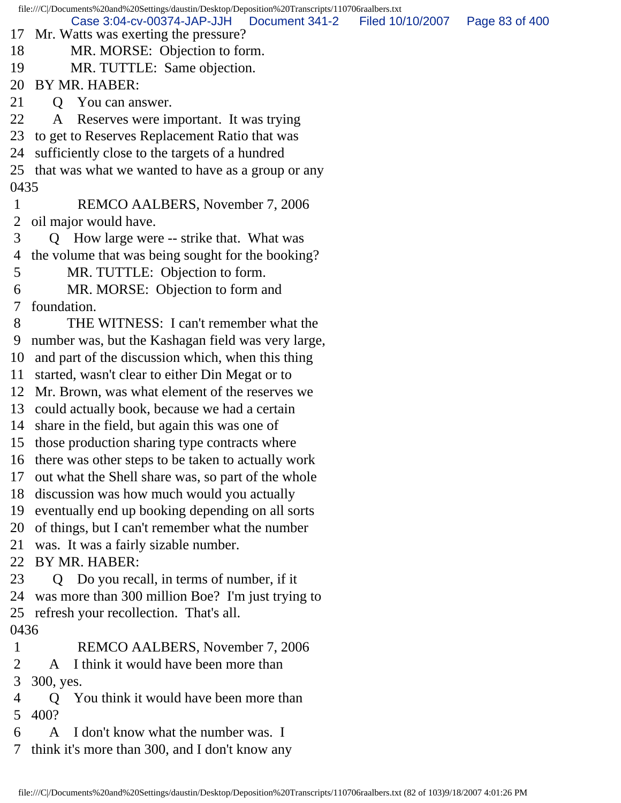file:///C|/Documents%20and%20Settings/daustin/Desktop/Deposition%20Transcripts/110706raalbers.txt 17 Mr. Watts was exerting the pressure? 18 MR. MORSE: Objection to form. 19 MR. TUTTLE: Same objection. 20 BY MR. HABER: 21 O You can answer. 22 A Reserves were important. It was trying 23 to get to Reserves Replacement Ratio that was 24 sufficiently close to the targets of a hundred 25 that was what we wanted to have as a group or any 0435 1 REMCO AALBERS, November 7, 2006 2 oil major would have. 3 Q How large were -- strike that. What was 4 the volume that was being sought for the booking? 5 MR. TUTTLE: Objection to form. 6 MR. MORSE: Objection to form and 7 foundation. 8 THE WITNESS: I can't remember what the 9 number was, but the Kashagan field was very large, 10 and part of the discussion which, when this thing 11 started, wasn't clear to either Din Megat or to 12 Mr. Brown, was what element of the reserves we 13 could actually book, because we had a certain 14 share in the field, but again this was one of 15 those production sharing type contracts where 16 there was other steps to be taken to actually work 17 out what the Shell share was, so part of the whole 18 discussion was how much would you actually 19 eventually end up booking depending on all sorts 20 of things, but I can't remember what the number 21 was. It was a fairly sizable number. 22 BY MR. HABER: 23 Q Do you recall, in terms of number, if it 24 was more than 300 million Boe? I'm just trying to 25 refresh your recollection. That's all. 0436 1 REMCO AALBERS, November 7, 2006 2 A I think it would have been more than 3 300, yes. 4 Q You think it would have been more than 5 400? 6 A I don't know what the number was. I 7 think it's more than 300, and I don't know any Case 3:04-cv-00374-JAP-JJH Document 341-2 Filed 10/10/2007 Page 83 of 400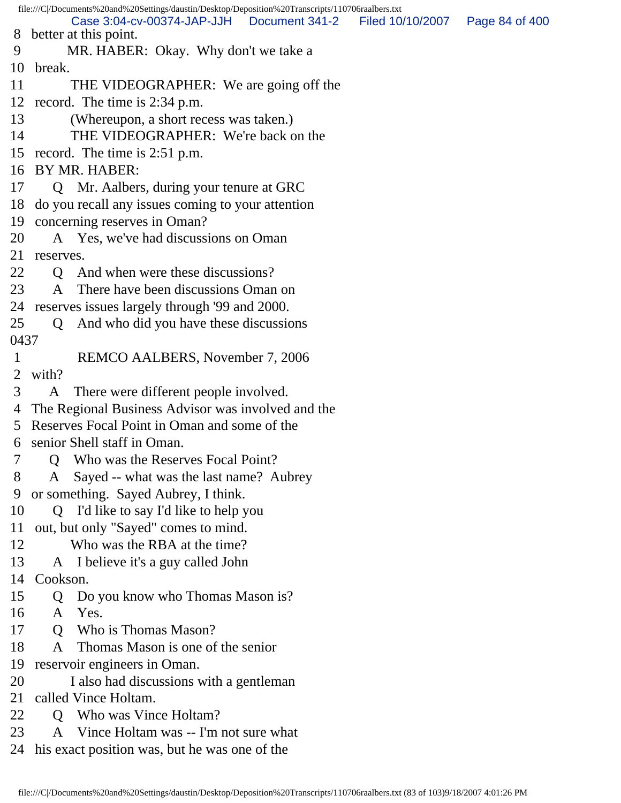file:///C|/Documents%20and%20Settings/daustin/Desktop/Deposition%20Transcripts/110706raalbers.txt 8 better at this point. 9 MR. HABER: Okay. Why don't we take a 10 break. 11 THE VIDEOGRAPHER: We are going off the 12 record. The time is 2:34 p.m. 13 (Whereupon, a short recess was taken.) 14 THE VIDEOGRAPHER: We're back on the 15 record. The time is 2:51 p.m. 16 BY MR. HABER: 17 Q Mr. Aalbers, during your tenure at GRC 18 do you recall any issues coming to your attention 19 concerning reserves in Oman? 20 A Yes, we've had discussions on Oman 21 reserves. 22 Q And when were these discussions? 23 A There have been discussions Oman on 24 reserves issues largely through '99 and 2000. 25 Q And who did you have these discussions 0437 1 REMCO AALBERS, November 7, 2006 2 with? 3 A There were different people involved. 4 The Regional Business Advisor was involved and the 5 Reserves Focal Point in Oman and some of the 6 senior Shell staff in Oman. 7 Q Who was the Reserves Focal Point? 8 A Sayed -- what was the last name? Aubrey 9 or something. Sayed Aubrey, I think. 10 Q I'd like to say I'd like to help you 11 out, but only "Sayed" comes to mind. 12 Who was the RBA at the time? 13 A I believe it's a guy called John 14 Cookson. 15 Q Do you know who Thomas Mason is? 16 A Yes. 17 Q Who is Thomas Mason? 18 A Thomas Mason is one of the senior 19 reservoir engineers in Oman. 20 I also had discussions with a gentleman 21 called Vince Holtam. 22 O Who was Vince Holtam? 23 A Vince Holtam was -- I'm not sure what 24 his exact position was, but he was one of the Case 3:04-cv-00374-JAP-JJH Document 341-2 Filed 10/10/2007 Page 84 of 400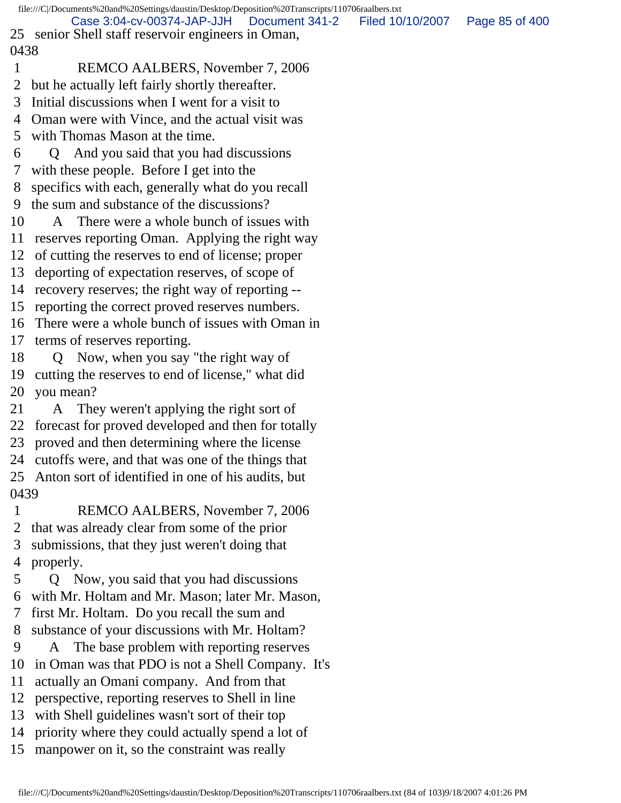file:///C|/Documents%20and%20Settings/daustin/Desktop/Deposition%20Transcripts/110706raalbers.txt 25 senior Shell staff reservoir engineers in Oman, 0438 1 REMCO AALBERS, November 7, 2006 2 but he actually left fairly shortly thereafter. 3 Initial discussions when I went for a visit to 4 Oman were with Vince, and the actual visit was 5 with Thomas Mason at the time. 6 Q And you said that you had discussions 7 with these people. Before I get into the 8 specifics with each, generally what do you recall 9 the sum and substance of the discussions? 10 A There were a whole bunch of issues with 11 reserves reporting Oman. Applying the right way 12 of cutting the reserves to end of license; proper 13 deporting of expectation reserves, of scope of 14 recovery reserves; the right way of reporting -- 15 reporting the correct proved reserves numbers. 16 There were a whole bunch of issues with Oman in 17 terms of reserves reporting. 18 Q Now, when you say "the right way of 19 cutting the reserves to end of license," what did 20 you mean? 21 A They weren't applying the right sort of 22 forecast for proved developed and then for totally 23 proved and then determining where the license 24 cutoffs were, and that was one of the things that 25 Anton sort of identified in one of his audits, but 0439 1 REMCO AALBERS, November 7, 2006 2 that was already clear from some of the prior 3 submissions, that they just weren't doing that 4 properly. 5 Q Now, you said that you had discussions 6 with Mr. Holtam and Mr. Mason; later Mr. Mason, 7 first Mr. Holtam. Do you recall the sum and 8 substance of your discussions with Mr. Holtam? 9 A The base problem with reporting reserves 10 in Oman was that PDO is not a Shell Company. It's 11 actually an Omani company. And from that 12 perspective, reporting reserves to Shell in line 13 with Shell guidelines wasn't sort of their top 14 priority where they could actually spend a lot of 15 manpower on it, so the constraint was really Case 3:04-cv-00374-JAP-JJH Document 341-2 Filed 10/10/2007 Page 85 of 400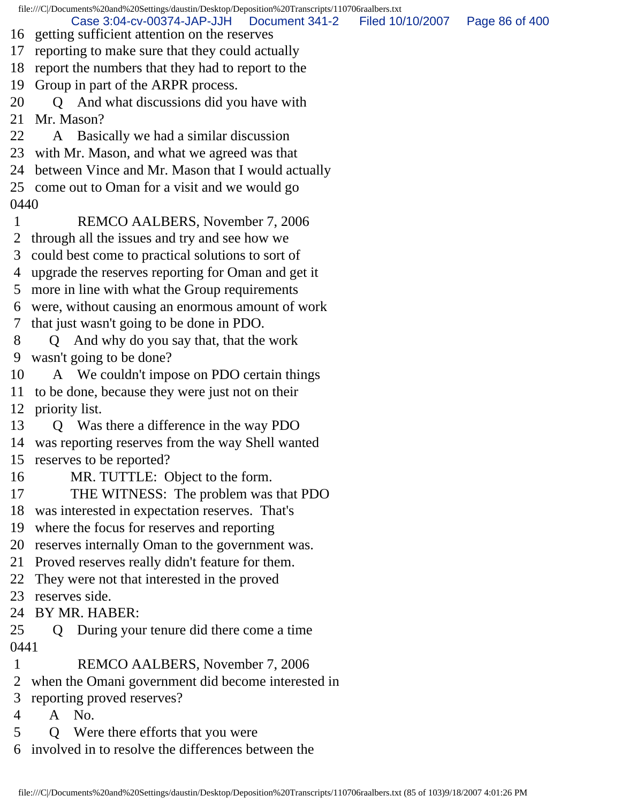file:///C|/Documents%20and%20Settings/daustin/Desktop/Deposition%20Transcripts/110706raalbers.txt 16 getting sufficient attention on the reserves 17 reporting to make sure that they could actually 18 report the numbers that they had to report to the 19 Group in part of the ARPR process. 20 Q And what discussions did you have with 21 Mr. Mason? 22 A Basically we had a similar discussion 23 with Mr. Mason, and what we agreed was that 24 between Vince and Mr. Mason that I would actually 25 come out to Oman for a visit and we would go 0440 1 REMCO AALBERS, November 7, 2006 2 through all the issues and try and see how we 3 could best come to practical solutions to sort of 4 upgrade the reserves reporting for Oman and get it 5 more in line with what the Group requirements 6 were, without causing an enormous amount of work 7 that just wasn't going to be done in PDO. 8 Q And why do you say that, that the work 9 wasn't going to be done? 10 A We couldn't impose on PDO certain things 11 to be done, because they were just not on their 12 priority list. 13 Q Was there a difference in the way PDO 14 was reporting reserves from the way Shell wanted 15 reserves to be reported? 16 MR. TUTTLE: Object to the form. 17 THE WITNESS: The problem was that PDO 18 was interested in expectation reserves. That's 19 where the focus for reserves and reporting 20 reserves internally Oman to the government was. 21 Proved reserves really didn't feature for them. 22 They were not that interested in the proved 23 reserves side. 24 BY MR. HABER: 25 Q During your tenure did there come a time 0441 1 REMCO AALBERS, November 7, 2006 2 when the Omani government did become interested in 3 reporting proved reserves? 4 A No. 5 Q Were there efforts that you were Case 3:04-cv-00374-JAP-JJH Document 341-2 Filed 10/10/2007 Page 86 of 400

6 involved in to resolve the differences between the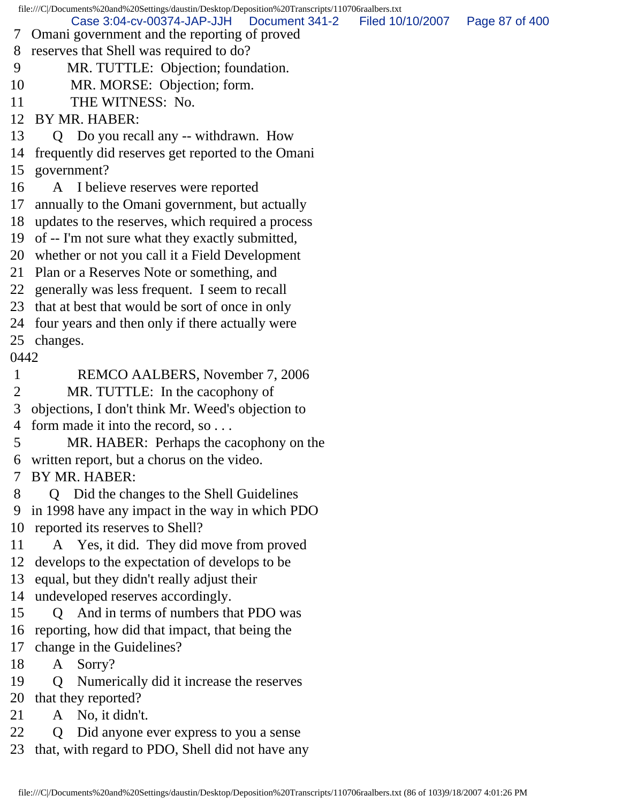file:///C|/Documents%20and%20Settings/daustin/Desktop/Deposition%20Transcripts/110706raalbers.txt 7 Omani government and the reporting of proved 8 reserves that Shell was required to do? 9 MR. TUTTLE: Objection; foundation. 10 MR. MORSE: Objection; form. 11 THE WITNESS: No. 12 BY MR. HABER: 13 Q Do you recall any -- withdrawn. How 14 frequently did reserves get reported to the Omani 15 government? 16 A I believe reserves were reported 17 annually to the Omani government, but actually 18 updates to the reserves, which required a process 19 of -- I'm not sure what they exactly submitted, 20 whether or not you call it a Field Development 21 Plan or a Reserves Note or something, and 22 generally was less frequent. I seem to recall 23 that at best that would be sort of once in only 24 four years and then only if there actually were 25 changes. 0442 1 REMCO AALBERS, November 7, 2006 2 MR. TUTTLE: In the cacophony of 3 objections, I don't think Mr. Weed's objection to 4 form made it into the record, so . . . 5 MR. HABER: Perhaps the cacophony on the 6 written report, but a chorus on the video. 7 BY MR. HABER: 8 Q Did the changes to the Shell Guidelines 9 in 1998 have any impact in the way in which PDO 10 reported its reserves to Shell? 11 A Yes, it did. They did move from proved 12 develops to the expectation of develops to be 13 equal, but they didn't really adjust their 14 undeveloped reserves accordingly. 15 Q And in terms of numbers that PDO was 16 reporting, how did that impact, that being the 17 change in the Guidelines? 18 A Sorry? 19 Q Numerically did it increase the reserves 20 that they reported? 21 A No, it didn't. 22 Q Did anyone ever express to you a sense 23 that, with regard to PDO, Shell did not have any Case 3:04-cv-00374-JAP-JJH Document 341-2 Filed 10/10/2007 Page 87 of 400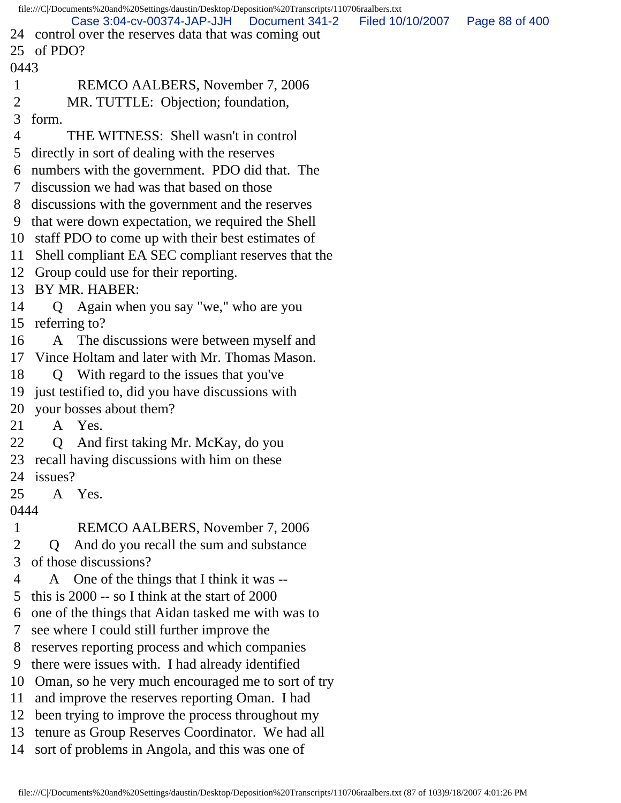|              | file:///C /Documents%20and%20Settings/daustin/Desktop/Deposition%20Transcripts/110706raalbers.txt<br>Case 3:04-cv-00374-JAP-JJH<br>Document 341-2 | Filed 10/10/2007 | Page 88 of 400 |
|--------------|---------------------------------------------------------------------------------------------------------------------------------------------------|------------------|----------------|
|              | 24 control over the reserves data that was coming out                                                                                             |                  |                |
| 25           | of PDO?                                                                                                                                           |                  |                |
| 0443         |                                                                                                                                                   |                  |                |
| $\mathbf{1}$ | REMCO AALBERS, November 7, 2006                                                                                                                   |                  |                |
| 2            | MR. TUTTLE: Objection; foundation,                                                                                                                |                  |                |
| 3            | form.                                                                                                                                             |                  |                |
| 4            | THE WITNESS: Shell wasn't in control                                                                                                              |                  |                |
| 5            | directly in sort of dealing with the reserves                                                                                                     |                  |                |
| 6            | numbers with the government. PDO did that. The                                                                                                    |                  |                |
| 7            | discussion we had was that based on those                                                                                                         |                  |                |
| 8            | discussions with the government and the reserves                                                                                                  |                  |                |
| 9            | that were down expectation, we required the Shell                                                                                                 |                  |                |
| 10           | staff PDO to come up with their best estimates of                                                                                                 |                  |                |
| 11           | Shell compliant EA SEC compliant reserves that the                                                                                                |                  |                |
| 12           | Group could use for their reporting.                                                                                                              |                  |                |
| 13           | BY MR. HABER:                                                                                                                                     |                  |                |
| 14           | Q Again when you say "we," who are you                                                                                                            |                  |                |
| 15           | referring to?                                                                                                                                     |                  |                |
| 16           | The discussions were between myself and<br>A                                                                                                      |                  |                |
| 17           | Vince Holtam and later with Mr. Thomas Mason.                                                                                                     |                  |                |
| 18           | Q With regard to the issues that you've                                                                                                           |                  |                |
| 19           | just testified to, did you have discussions with                                                                                                  |                  |                |
| 20           | your bosses about them?                                                                                                                           |                  |                |
| 21           | A Yes.                                                                                                                                            |                  |                |
| 22           | And first taking Mr. McKay, do you<br>Q                                                                                                           |                  |                |
| 23           | recall having discussions with him on these                                                                                                       |                  |                |
| 24           | issues?                                                                                                                                           |                  |                |
| 25           | A Yes.                                                                                                                                            |                  |                |
| 0444         |                                                                                                                                                   |                  |                |
| 1            | REMCO AALBERS, November 7, 2006                                                                                                                   |                  |                |
| 2            | And do you recall the sum and substance<br>$\mathsf{O}$                                                                                           |                  |                |
| 3            | of those discussions?                                                                                                                             |                  |                |
| 4            | One of the things that I think it was --<br>A                                                                                                     |                  |                |
| 5            | this is $2000 -$ so I think at the start of $2000$                                                                                                |                  |                |
| 6            | one of the things that Aidan tasked me with was to                                                                                                |                  |                |
| 7            | see where I could still further improve the                                                                                                       |                  |                |
| 8            | reserves reporting process and which companies                                                                                                    |                  |                |
| 9            | there were issues with. I had already identified                                                                                                  |                  |                |
| 10           | Oman, so he very much encouraged me to sort of try                                                                                                |                  |                |
| 11           | and improve the reserves reporting Oman. I had                                                                                                    |                  |                |
| 12           | been trying to improve the process throughout my                                                                                                  |                  |                |
| 13           | tenure as Group Reserves Coordinator. We had all                                                                                                  |                  |                |
| 14           | sort of problems in Angola, and this was one of                                                                                                   |                  |                |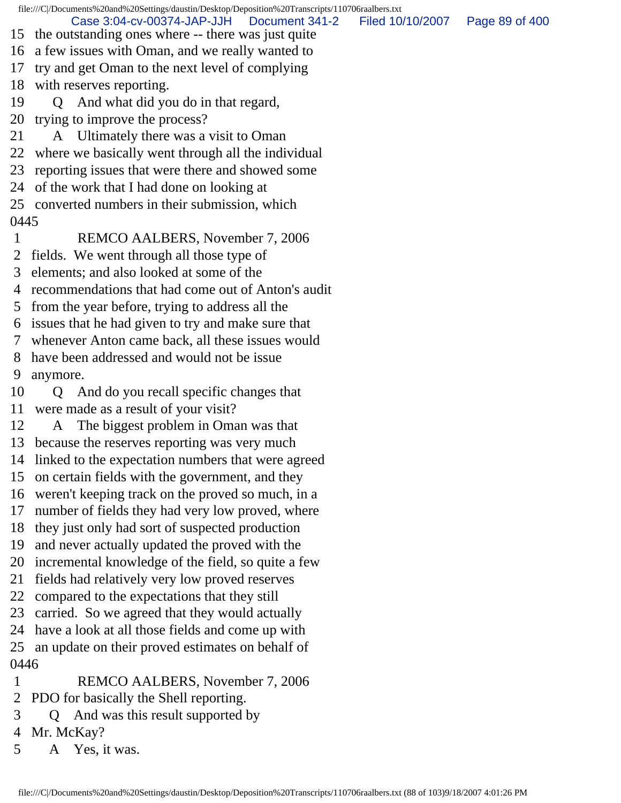file:///C|/Documents%20and%20Settings/daustin/Desktop/Deposition%20Transcripts/110706raalbers.txt 15 the outstanding ones where -- there was just quite 16 a few issues with Oman, and we really wanted to 17 try and get Oman to the next level of complying 18 with reserves reporting. 19 Q And what did you do in that regard, 20 trying to improve the process? 21 A Ultimately there was a visit to Oman 22 where we basically went through all the individual 23 reporting issues that were there and showed some 24 of the work that I had done on looking at 25 converted numbers in their submission, which 0445 1 REMCO AALBERS, November 7, 2006 2 fields. We went through all those type of 3 elements; and also looked at some of the 4 recommendations that had come out of Anton's audit 5 from the year before, trying to address all the 6 issues that he had given to try and make sure that 7 whenever Anton came back, all these issues would 8 have been addressed and would not be issue 9 anymore. 10 Q And do you recall specific changes that 11 were made as a result of your visit? 12 A The biggest problem in Oman was that 13 because the reserves reporting was very much 14 linked to the expectation numbers that were agreed 15 on certain fields with the government, and they 16 weren't keeping track on the proved so much, in a 17 number of fields they had very low proved, where 18 they just only had sort of suspected production 19 and never actually updated the proved with the 20 incremental knowledge of the field, so quite a few 21 fields had relatively very low proved reserves 22 compared to the expectations that they still 23 carried. So we agreed that they would actually 24 have a look at all those fields and come up with 25 an update on their proved estimates on behalf of 0446 1 REMCO AALBERS, November 7, 2006 2 PDO for basically the Shell reporting. Case 3:04-cv-00374-JAP-JJH Document 341-2 Filed 10/10/2007 Page 89 of 400

- 3 Q And was this result supported by
- 4 Mr. McKay?
- 5 A Yes, it was.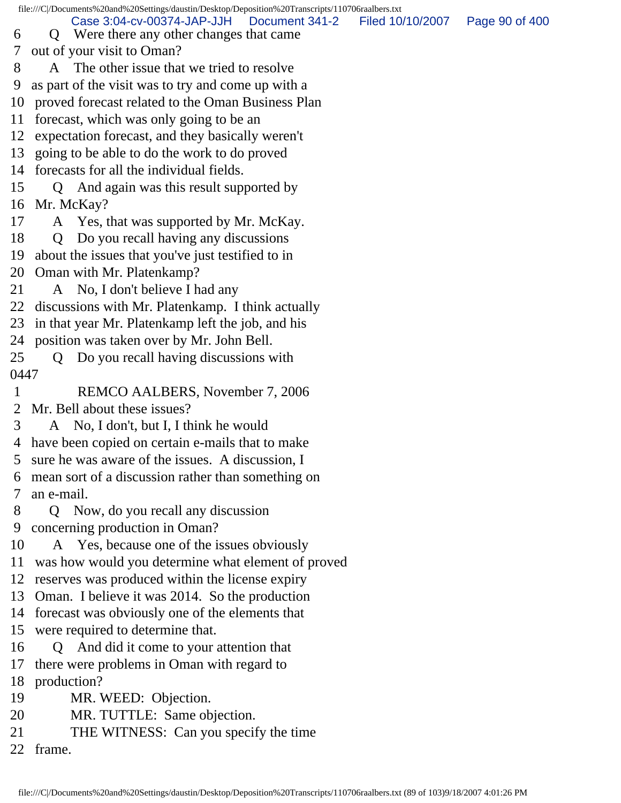file:///C|/Documents%20and%20Settings/daustin/Desktop/Deposition%20Transcripts/110706raalbers.txt 6 Q Were there any other changes that came 7 out of your visit to Oman? 8 A The other issue that we tried to resolve 9 as part of the visit was to try and come up with a 10 proved forecast related to the Oman Business Plan 11 forecast, which was only going to be an 12 expectation forecast, and they basically weren't 13 going to be able to do the work to do proved 14 forecasts for all the individual fields. 15 Q And again was this result supported by 16 Mr. McKay? 17 A Yes, that was supported by Mr. McKay. 18 Q Do you recall having any discussions 19 about the issues that you've just testified to in 20 Oman with Mr. Platenkamp? 21 A No, I don't believe I had any 22 discussions with Mr. Platenkamp. I think actually 23 in that year Mr. Platenkamp left the job, and his 24 position was taken over by Mr. John Bell. 25 Q Do you recall having discussions with 0447 1 REMCO AALBERS, November 7, 2006 2 Mr. Bell about these issues? 3 A No, I don't, but I, I think he would 4 have been copied on certain e-mails that to make 5 sure he was aware of the issues. A discussion, I 6 mean sort of a discussion rather than something on 7 an e-mail. 8 Q Now, do you recall any discussion 9 concerning production in Oman? 10 A Yes, because one of the issues obviously 11 was how would you determine what element of proved 12 reserves was produced within the license expiry 13 Oman. I believe it was 2014. So the production 14 forecast was obviously one of the elements that 15 were required to determine that. 16 Q And did it come to your attention that 17 there were problems in Oman with regard to 18 production? 19 MR. WEED: Objection. 20 MR. TUTTLE: Same objection. 21 THE WITNESS: Can you specify the time 22 frame. Case 3:04-cv-00374-JAP-JJH Document 341-2 Filed 10/10/2007 Page 90 of 400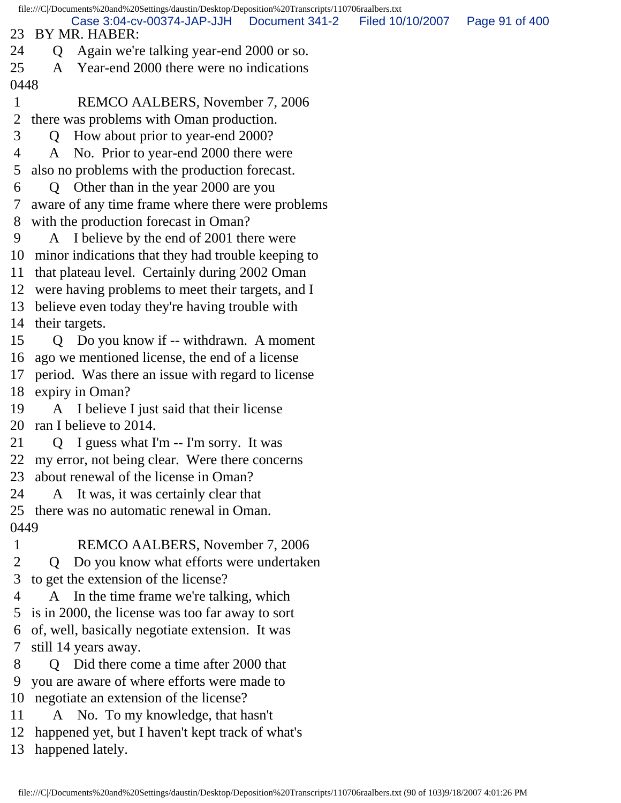file:///C|/Documents%20and%20Settings/daustin/Desktop/Deposition%20Transcripts/110706raalbers.txt 23 BY MR. HABER: 24 Q Again we're talking year-end 2000 or so. 25 A Year-end 2000 there were no indications 0448 1 REMCO AALBERS, November 7, 2006 2 there was problems with Oman production. 3 Q How about prior to year-end 2000? 4 A No. Prior to year-end 2000 there were 5 also no problems with the production forecast. 6 Q Other than in the year 2000 are you 7 aware of any time frame where there were problems 8 with the production forecast in Oman? 9 A I believe by the end of 2001 there were 10 minor indications that they had trouble keeping to 11 that plateau level. Certainly during 2002 Oman 12 were having problems to meet their targets, and I 13 believe even today they're having trouble with 14 their targets. 15 Q Do you know if -- withdrawn. A moment 16 ago we mentioned license, the end of a license 17 period. Was there an issue with regard to license 18 expiry in Oman? 19 A I believe I just said that their license 20 ran I believe to 2014. 21 Q I guess what I'm -- I'm sorry. It was 22 my error, not being clear. Were there concerns 23 about renewal of the license in Oman? 24 A It was, it was certainly clear that 25 there was no automatic renewal in Oman. 0449 1 REMCO AALBERS, November 7, 2006 2 Q Do you know what efforts were undertaken 3 to get the extension of the license? 4 A In the time frame we're talking, which 5 is in 2000, the license was too far away to sort 6 of, well, basically negotiate extension. It was 7 still 14 years away. 8 Q Did there come a time after 2000 that 9 you are aware of where efforts were made to 10 negotiate an extension of the license? 11 A No. To my knowledge, that hasn't Case 3:04-cv-00374-JAP-JJH Document 341-2 Filed 10/10/2007 Page 91 of 400

12 happened yet, but I haven't kept track of what's

13 happened lately.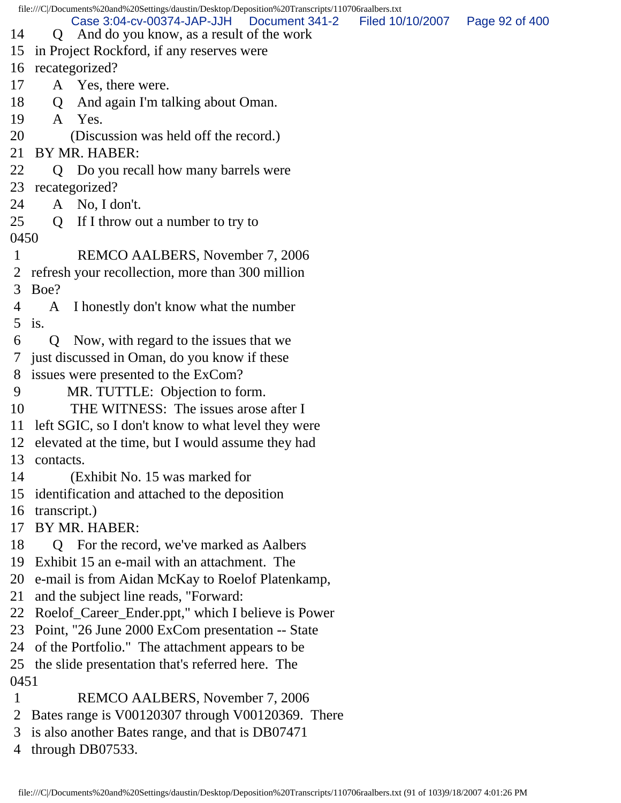file:///C|/Documents%20and%20Settings/daustin/Desktop/Deposition%20Transcripts/110706raalbers.txt 14 Q And do you know, as a result of the work 15 in Project Rockford, if any reserves were 16 recategorized? 17 A Yes, there were. 18 Q And again I'm talking about Oman. 19 A Yes. 20 (Discussion was held off the record.) 21 BY MR. HABER: 22 Q Do you recall how many barrels were 23 recategorized? 24 A No, I don't. 25 Q If I throw out a number to try to 0450 1 REMCO AALBERS, November 7, 2006 2 refresh your recollection, more than 300 million 3 Boe? 4 A I honestly don't know what the number 5 is. 6 Q Now, with regard to the issues that we 7 just discussed in Oman, do you know if these 8 issues were presented to the ExCom? 9 MR. TUTTLE: Objection to form. 10 THE WITNESS: The issues arose after I 11 left SGIC, so I don't know to what level they were 12 elevated at the time, but I would assume they had 13 contacts. 14 (Exhibit No. 15 was marked for 15 identification and attached to the deposition 16 transcript.) 17 BY MR. HABER: 18 Q For the record, we've marked as Aalbers 19 Exhibit 15 an e-mail with an attachment. The 20 e-mail is from Aidan McKay to Roelof Platenkamp, 21 and the subject line reads, "Forward: 22 Roelof\_Career\_Ender.ppt," which I believe is Power 23 Point, "26 June 2000 ExCom presentation -- State 24 of the Portfolio." The attachment appears to be 25 the slide presentation that's referred here. The 0451 1 REMCO AALBERS, November 7, 2006 2 Bates range is V00120307 through V00120369. There 3 is also another Bates range, and that is DB07471 Case 3:04-cv-00374-JAP-JJH Document 341-2 Filed 10/10/2007 Page 92 of 400

4 through DB07533.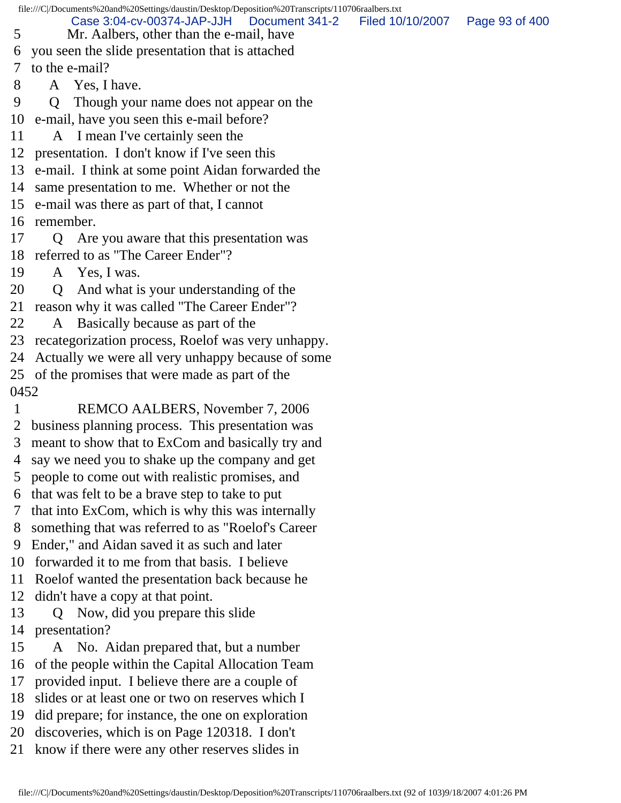file:///C|/Documents%20and%20Settings/daustin/Desktop/Deposition%20Transcripts/110706raalbers.txt 5 Mr. Aalbers, other than the e-mail, have 6 you seen the slide presentation that is attached 7 to the e-mail? 8 A Yes, I have. 9 Q Though your name does not appear on the 10 e-mail, have you seen this e-mail before? 11 A I mean I've certainly seen the 12 presentation. I don't know if I've seen this 13 e-mail. I think at some point Aidan forwarded the 14 same presentation to me. Whether or not the 15 e-mail was there as part of that, I cannot 16 remember. 17 Q Are you aware that this presentation was 18 referred to as "The Career Ender"? 19 A Yes, I was. 20 Q And what is your understanding of the 21 reason why it was called "The Career Ender"? 22 A Basically because as part of the 23 recategorization process, Roelof was very unhappy. 24 Actually we were all very unhappy because of some 25 of the promises that were made as part of the 0452 1 REMCO AALBERS, November 7, 2006 2 business planning process. This presentation was 3 meant to show that to ExCom and basically try and 4 say we need you to shake up the company and get 5 people to come out with realistic promises, and 6 that was felt to be a brave step to take to put 7 that into ExCom, which is why this was internally 8 something that was referred to as "Roelof's Career 9 Ender," and Aidan saved it as such and later 10 forwarded it to me from that basis. I believe 11 Roelof wanted the presentation back because he 12 didn't have a copy at that point. 13 Q Now, did you prepare this slide 14 presentation? 15 A No. Aidan prepared that, but a number 16 of the people within the Capital Allocation Team 17 provided input. I believe there are a couple of 18 slides or at least one or two on reserves which I 19 did prepare; for instance, the one on exploration 20 discoveries, which is on Page 120318. I don't 21 know if there were any other reserves slides in Case 3:04-cv-00374-JAP-JJH Document 341-2 Filed 10/10/2007 Page 93 of 400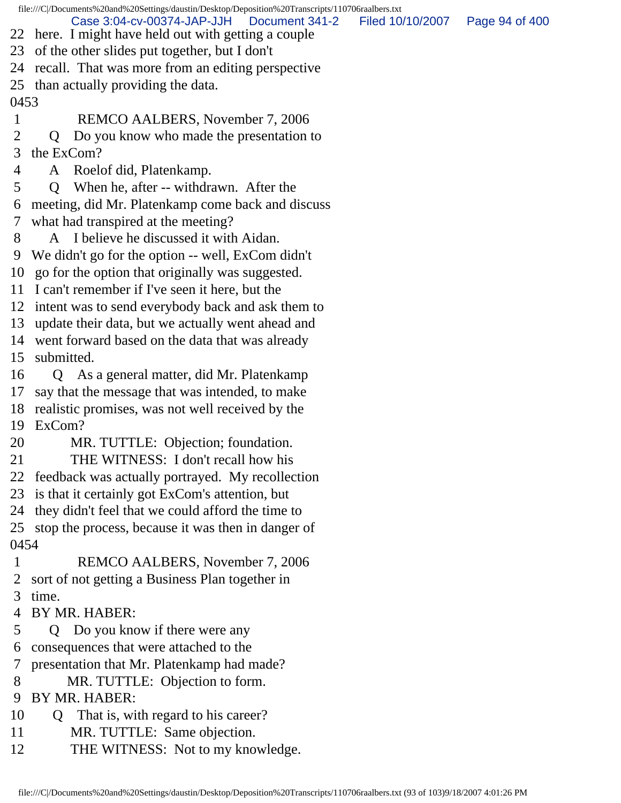file:///C|/Documents%20and%20Settings/daustin/Desktop/Deposition%20Transcripts/110706raalbers.txt 22 here. I might have held out with getting a couple 23 of the other slides put together, but I don't 24 recall. That was more from an editing perspective 25 than actually providing the data. 0453 1 REMCO AALBERS, November 7, 2006 2 Q Do you know who made the presentation to 3 the ExCom? 4 A Roelof did, Platenkamp. 5 Q When he, after -- withdrawn. After the 6 meeting, did Mr. Platenkamp come back and discuss 7 what had transpired at the meeting? 8 A I believe he discussed it with Aidan. 9 We didn't go for the option -- well, ExCom didn't 10 go for the option that originally was suggested. 11 I can't remember if I've seen it here, but the 12 intent was to send everybody back and ask them to 13 update their data, but we actually went ahead and 14 went forward based on the data that was already 15 submitted. 16 Q As a general matter, did Mr. Platenkamp 17 say that the message that was intended, to make 18 realistic promises, was not well received by the 19 ExCom? 20 MR. TUTTLE: Objection; foundation. 21 THE WITNESS: I don't recall how his 22 feedback was actually portrayed. My recollection 23 is that it certainly got ExCom's attention, but 24 they didn't feel that we could afford the time to 25 stop the process, because it was then in danger of 0454 1 REMCO AALBERS, November 7, 2006 2 sort of not getting a Business Plan together in 3 time. 4 BY MR. HABER: 5 Q Do you know if there were any 6 consequences that were attached to the 7 presentation that Mr. Platenkamp had made? 8 MR. TUTTLE: Objection to form. 9 BY MR. HABER: 10 Q That is, with regard to his career? 11 MR. TUTTLE: Same objection. 12 THE WITNESS: Not to my knowledge. Case 3:04-cv-00374-JAP-JJH Document 341-2 Filed 10/10/2007 Page 94 of 400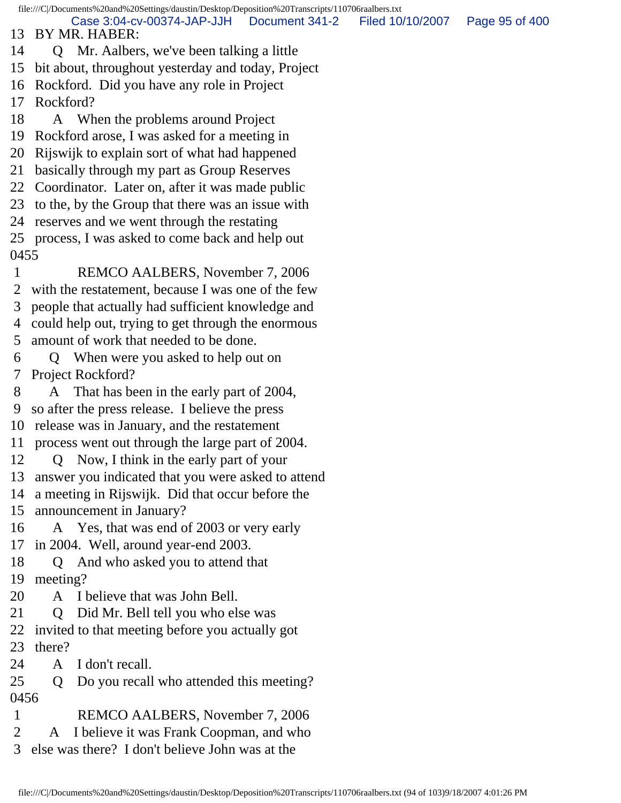file:///C|/Documents%20and%20Settings/daustin/Desktop/Deposition%20Transcripts/110706raalbers.txt 13 BY MR. HABER: 14 Q Mr. Aalbers, we've been talking a little 15 bit about, throughout yesterday and today, Project 16 Rockford. Did you have any role in Project 17 Rockford? 18 A When the problems around Project 19 Rockford arose, I was asked for a meeting in 20 Rijswijk to explain sort of what had happened 21 basically through my part as Group Reserves 22 Coordinator. Later on, after it was made public 23 to the, by the Group that there was an issue with 24 reserves and we went through the restating 25 process, I was asked to come back and help out 0455 1 REMCO AALBERS, November 7, 2006 2 with the restatement, because I was one of the few 3 people that actually had sufficient knowledge and 4 could help out, trying to get through the enormous 5 amount of work that needed to be done. 6 Q When were you asked to help out on 7 Project Rockford? 8 A That has been in the early part of 2004, 9 so after the press release. I believe the press 10 release was in January, and the restatement 11 process went out through the large part of 2004. 12 Q Now, I think in the early part of your 13 answer you indicated that you were asked to attend 14 a meeting in Rijswijk. Did that occur before the 15 announcement in January? 16 A Yes, that was end of 2003 or very early 17 in 2004. Well, around year-end 2003. 18 Q And who asked you to attend that 19 meeting? 20 A I believe that was John Bell. 21 Q Did Mr. Bell tell you who else was 22 invited to that meeting before you actually got 23 there? 24 A I don't recall. 25 Q Do you recall who attended this meeting? 0456 1 REMCO AALBERS, November 7, 2006 2 A I believe it was Frank Coopman, and who 3 else was there? I don't believe John was at the Case 3:04-cv-00374-JAP-JJH Document 341-2 Filed 10/10/2007 Page 95 of 400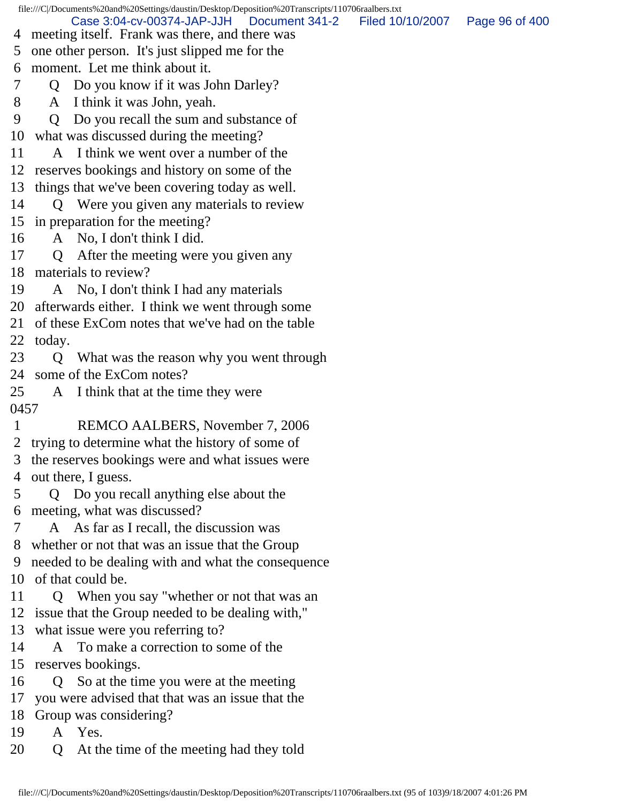file:///C|/Documents%20and%20Settings/daustin/Desktop/Deposition%20Transcripts/110706raalbers.txt 4 meeting itself. Frank was there, and there was 5 one other person. It's just slipped me for the 6 moment. Let me think about it. 7 Q Do you know if it was John Darley? 8 A I think it was John, yeah. 9 Q Do you recall the sum and substance of 10 what was discussed during the meeting? 11 A I think we went over a number of the 12 reserves bookings and history on some of the 13 things that we've been covering today as well. 14 Q Were you given any materials to review 15 in preparation for the meeting? 16 A No, I don't think I did. 17 Q After the meeting were you given any 18 materials to review? 19 A No, I don't think I had any materials 20 afterwards either. I think we went through some 21 of these ExCom notes that we've had on the table 22 today. 23 Q What was the reason why you went through 24 some of the ExCom notes? 25 A I think that at the time they were 0457 1 REMCO AALBERS, November 7, 2006 2 trying to determine what the history of some of 3 the reserves bookings were and what issues were 4 out there, I guess. 5 Q Do you recall anything else about the 6 meeting, what was discussed? 7 A As far as I recall, the discussion was 8 whether or not that was an issue that the Group 9 needed to be dealing with and what the consequence 10 of that could be. 11 Q When you say "whether or not that was an 12 issue that the Group needed to be dealing with," 13 what issue were you referring to? 14 A To make a correction to some of the 15 reserves bookings. 16 Q So at the time you were at the meeting 17 you were advised that that was an issue that the 18 Group was considering? 19 A Yes. 20 Q At the time of the meeting had they told Case 3:04-cv-00374-JAP-JJH Document 341-2 Filed 10/10/2007 Page 96 of 400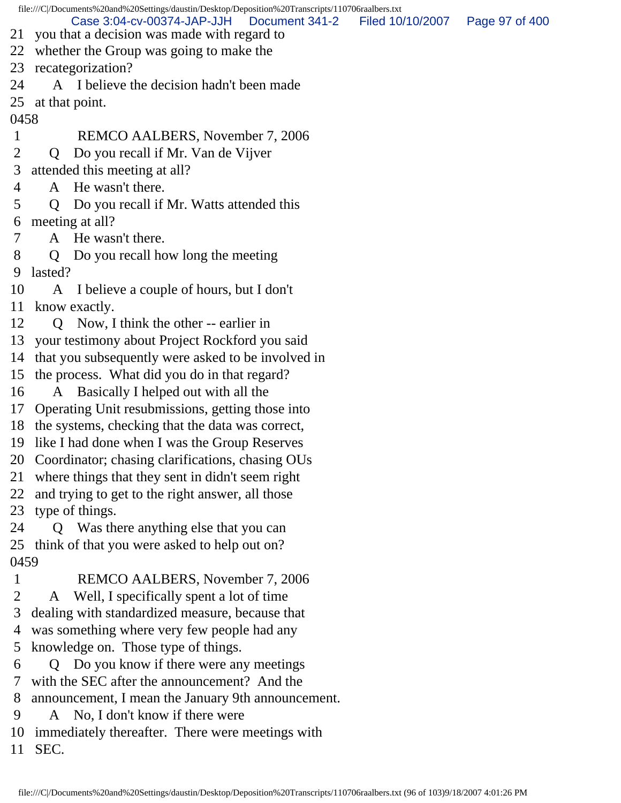file:///C|/Documents%20and%20Settings/daustin/Desktop/Deposition%20Transcripts/110706raalbers.txt 21 you that a decision was made with regard to 22 whether the Group was going to make the 23 recategorization? 24 A I believe the decision hadn't been made 25 at that point. 0458 1 REMCO AALBERS, November 7, 2006 2 Q Do you recall if Mr. Van de Vijver 3 attended this meeting at all? 4 A He wasn't there. 5 Q Do you recall if Mr. Watts attended this 6 meeting at all? 7 A He wasn't there. 8 Q Do you recall how long the meeting 9 lasted? 10 A I believe a couple of hours, but I don't 11 know exactly. 12 Q Now, I think the other -- earlier in 13 your testimony about Project Rockford you said 14 that you subsequently were asked to be involved in 15 the process. What did you do in that regard? 16 A Basically I helped out with all the 17 Operating Unit resubmissions, getting those into 18 the systems, checking that the data was correct, 19 like I had done when I was the Group Reserves 20 Coordinator; chasing clarifications, chasing OUs 21 where things that they sent in didn't seem right 22 and trying to get to the right answer, all those 23 type of things. 24 Q Was there anything else that you can 25 think of that you were asked to help out on? 0459 1 REMCO AALBERS, November 7, 2006 2 A Well, I specifically spent a lot of time 3 dealing with standardized measure, because that 4 was something where very few people had any 5 knowledge on. Those type of things. 6 Q Do you know if there were any meetings 7 with the SEC after the announcement? And the 8 announcement, I mean the January 9th announcement. 9 A No, I don't know if there were 10 immediately thereafter. There were meetings with Case 3:04-cv-00374-JAP-JJH Document 341-2 Filed 10/10/2007 Page 97 of 400

11 SEC.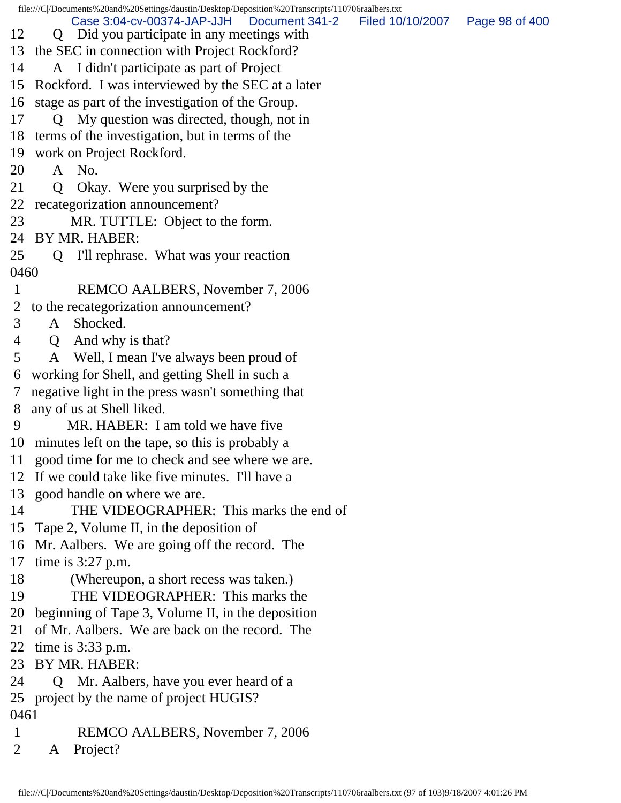file:///C|/Documents%20and%20Settings/daustin/Desktop/Deposition%20Transcripts/110706raalbers.txt 12 Q Did you participate in any meetings with 13 the SEC in connection with Project Rockford? 14 A I didn't participate as part of Project 15 Rockford. I was interviewed by the SEC at a later 16 stage as part of the investigation of the Group. 17 Q My question was directed, though, not in 18 terms of the investigation, but in terms of the 19 work on Project Rockford. 20 A No. 21 Q Okay. Were you surprised by the 22 recategorization announcement? 23 MR. TUTTLE: Object to the form. 24 BY MR. HABER: 25 Q I'll rephrase. What was your reaction 0460 1 REMCO AALBERS, November 7, 2006 2 to the recategorization announcement? 3 A Shocked. 4 Q And why is that? 5 A Well, I mean I've always been proud of 6 working for Shell, and getting Shell in such a 7 negative light in the press wasn't something that 8 any of us at Shell liked. 9 MR. HABER: I am told we have five 10 minutes left on the tape, so this is probably a 11 good time for me to check and see where we are. 12 If we could take like five minutes. I'll have a 13 good handle on where we are. 14 THE VIDEOGRAPHER: This marks the end of 15 Tape 2, Volume II, in the deposition of 16 Mr. Aalbers. We are going off the record. The 17 time is 3:27 p.m. 18 (Whereupon, a short recess was taken.) 19 THE VIDEOGRAPHER: This marks the 20 beginning of Tape 3, Volume II, in the deposition 21 of Mr. Aalbers. We are back on the record. The 22 time is 3:33 p.m. 23 BY MR. HABER: 24 Q Mr. Aalbers, have you ever heard of a 25 project by the name of project HUGIS? 0461 1 REMCO AALBERS, November 7, 2006 2 A Project? Case 3:04-cv-00374-JAP-JJH Document 341-2 Filed 10/10/2007 Page 98 of 400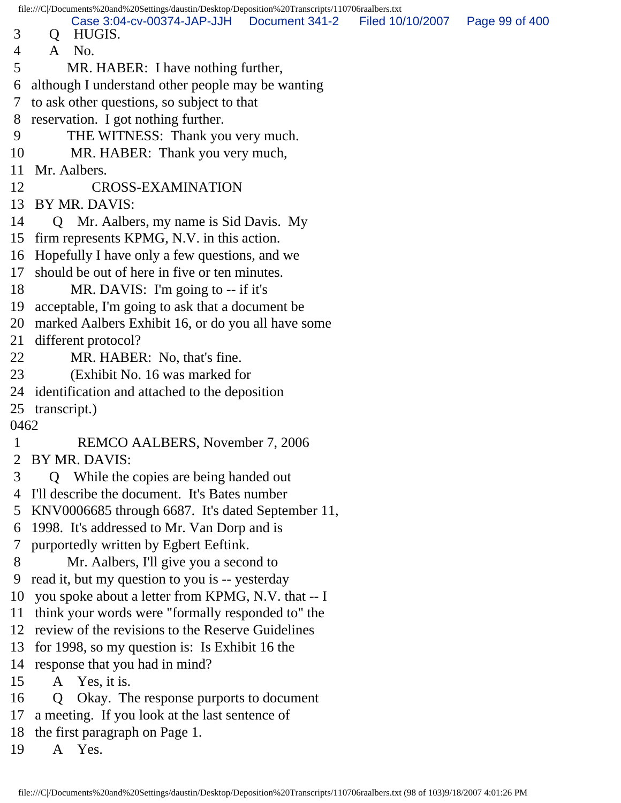| file:///C /Documents%20and%20Settings/daustin/Desktop/Deposition%20Transcripts/110706raalbers.txt |                 |                                                       |                |                  |                |
|---------------------------------------------------------------------------------------------------|-----------------|-------------------------------------------------------|----------------|------------------|----------------|
| 3                                                                                                 | $\mathsf{Q}$    | Case 3:04-cv-00374-JAP-JJH<br>HUGIS.                  | Document 341-2 | Filed 10/10/2007 | Page 99 of 400 |
| 4                                                                                                 | $\mathsf{A}$    | No.                                                   |                |                  |                |
| 5                                                                                                 |                 | MR. HABER: I have nothing further,                    |                |                  |                |
| 6                                                                                                 |                 | although I understand other people may be wanting     |                |                  |                |
| $\tau$                                                                                            |                 | to ask other questions, so subject to that            |                |                  |                |
| 8                                                                                                 |                 | reservation. I got nothing further.                   |                |                  |                |
| 9                                                                                                 |                 | THE WITNESS: Thank you very much.                     |                |                  |                |
| 10                                                                                                |                 | MR. HABER: Thank you very much,                       |                |                  |                |
| 11                                                                                                |                 | Mr. Aalbers.                                          |                |                  |                |
| 12                                                                                                |                 | <b>CROSS-EXAMINATION</b>                              |                |                  |                |
|                                                                                                   |                 | 13 BY MR. DAVIS:                                      |                |                  |                |
| 14                                                                                                |                 | Q Mr. Aalbers, my name is Sid Davis. My               |                |                  |                |
|                                                                                                   |                 | 15 firm represents KPMG, N.V. in this action.         |                |                  |                |
|                                                                                                   |                 | 16 Hopefully I have only a few questions, and we      |                |                  |                |
| 17                                                                                                |                 | should be out of here in five or ten minutes.         |                |                  |                |
| 18                                                                                                |                 | MR. DAVIS: I'm going to -- if it's                    |                |                  |                |
| 19                                                                                                |                 | acceptable, I'm going to ask that a document be       |                |                  |                |
|                                                                                                   |                 | 20 marked Aalbers Exhibit 16, or do you all have some |                |                  |                |
| 21                                                                                                |                 | different protocol?                                   |                |                  |                |
| 22                                                                                                |                 | MR. HABER: No, that's fine.                           |                |                  |                |
| 23                                                                                                |                 | (Exhibit No. 16 was marked for                        |                |                  |                |
|                                                                                                   |                 | 24 identification and attached to the deposition      |                |                  |                |
|                                                                                                   | 25 transcript.) |                                                       |                |                  |                |
| 0462                                                                                              |                 |                                                       |                |                  |                |
| $\mathbf 1$                                                                                       |                 | REMCO AALBERS, November 7, 2006                       |                |                  |                |
|                                                                                                   |                 | BY MR. DAVIS:                                         |                |                  |                |
| 3                                                                                                 | O               | While the copies are being handed out                 |                |                  |                |
| 4                                                                                                 |                 | I'll describe the document. It's Bates number         |                |                  |                |
| 5                                                                                                 |                 | KNV0006685 through 6687. It's dated September 11,     |                |                  |                |
| 6                                                                                                 |                 | 1998. It's addressed to Mr. Van Dorp and is           |                |                  |                |
| $\tau$                                                                                            |                 | purportedly written by Egbert Eeftink.                |                |                  |                |
| 8                                                                                                 |                 | Mr. Aalbers, I'll give you a second to                |                |                  |                |
| 9                                                                                                 |                 | read it, but my question to you is -- yesterday       |                |                  |                |
| 10                                                                                                |                 | you spoke about a letter from KPMG, N.V. that -- I    |                |                  |                |
| 11                                                                                                |                 | think your words were "formally responded to" the     |                |                  |                |
|                                                                                                   |                 | 12 review of the revisions to the Reserve Guidelines  |                |                  |                |
| 13                                                                                                |                 | for 1998, so my question is: Is Exhibit 16 the        |                |                  |                |
|                                                                                                   |                 | 14 response that you had in mind?                     |                |                  |                |
| 15                                                                                                |                 | A Yes, it is.                                         |                |                  |                |
| 16                                                                                                | Q               | Okay. The response purports to document               |                |                  |                |
| 17                                                                                                |                 | a meeting. If you look at the last sentence of        |                |                  |                |
|                                                                                                   |                 | 18 the first paragraph on Page 1.                     |                |                  |                |
| 19                                                                                                | A               | Yes.                                                  |                |                  |                |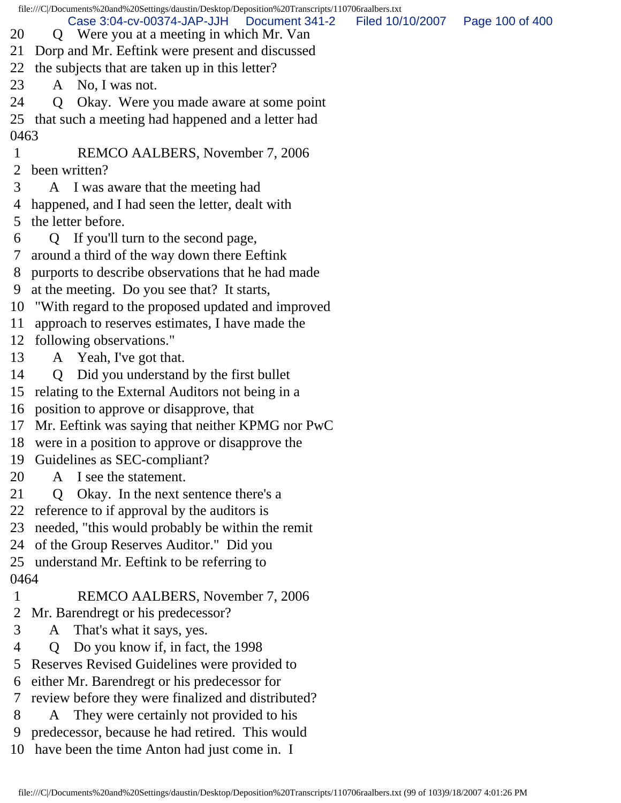file:///C|/Documents%20and%20Settings/daustin/Desktop/Deposition%20Transcripts/110706raalbers.txt 20 Q Were you at a meeting in which Mr. Van 21 Dorp and Mr. Eeftink were present and discussed 22 the subjects that are taken up in this letter? 23 A No, I was not. 24 Q Okay. Were you made aware at some point 25 that such a meeting had happened and a letter had 0463 1 REMCO AALBERS, November 7, 2006 2 been written? 3 A I was aware that the meeting had 4 happened, and I had seen the letter, dealt with 5 the letter before. 6 Q If you'll turn to the second page, 7 around a third of the way down there Eeftink 8 purports to describe observations that he had made 9 at the meeting. Do you see that? It starts, 10 "With regard to the proposed updated and improved 11 approach to reserves estimates, I have made the 12 following observations." 13 A Yeah, I've got that. 14 Q Did you understand by the first bullet 15 relating to the External Auditors not being in a 16 position to approve or disapprove, that 17 Mr. Eeftink was saying that neither KPMG nor PwC 18 were in a position to approve or disapprove the 19 Guidelines as SEC-compliant? 20 A I see the statement. 21 Q Okay. In the next sentence there's a 22 reference to if approval by the auditors is 23 needed, "this would probably be within the remit 24 of the Group Reserves Auditor." Did you 25 understand Mr. Eeftink to be referring to 0464 1 REMCO AALBERS, November 7, 2006 2 Mr. Barendregt or his predecessor? 3 A That's what it says, yes. 4 Q Do you know if, in fact, the 1998 5 Reserves Revised Guidelines were provided to 6 either Mr. Barendregt or his predecessor for 7 review before they were finalized and distributed? 8 A They were certainly not provided to his 9 predecessor, because he had retired. This would Case 3:04-cv-00374-JAP-JJH Document 341-2 Filed 10/10/2007 Page 100 of 400

10 have been the time Anton had just come in. I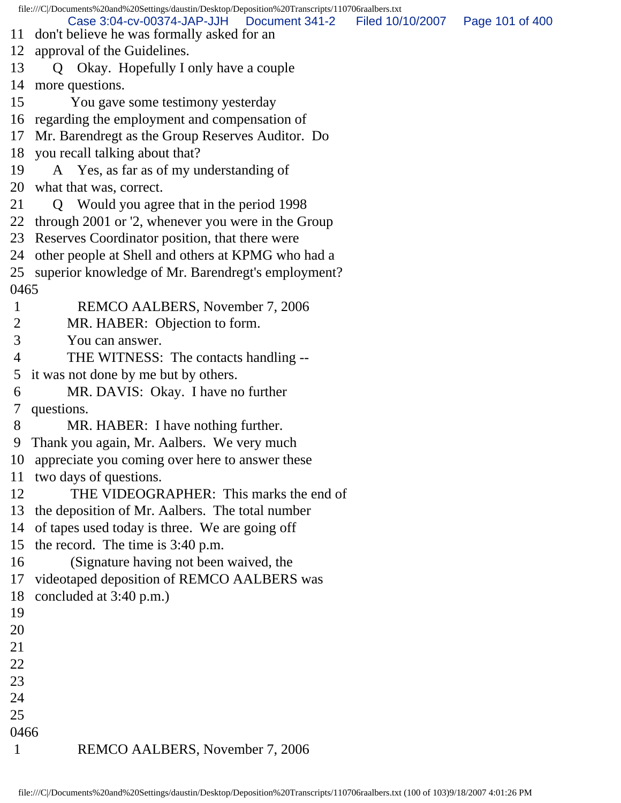file:///C|/Documents%20and%20Settings/daustin/Desktop/Deposition%20Transcripts/110706raalbers.txt 11 don't believe he was formally asked for an 12 approval of the Guidelines. 13 Q Okay. Hopefully I only have a couple 14 more questions. 15 You gave some testimony yesterday 16 regarding the employment and compensation of 17 Mr. Barendregt as the Group Reserves Auditor. Do 18 you recall talking about that? 19 A Yes, as far as of my understanding of 20 what that was, correct. 21 Q Would you agree that in the period 1998 22 through 2001 or '2, whenever you were in the Group 23 Reserves Coordinator position, that there were 24 other people at Shell and others at KPMG who had a 25 superior knowledge of Mr. Barendregt's employment? 0465 1 REMCO AALBERS, November 7, 2006 2 MR. HABER: Objection to form. 3 You can answer. 4 THE WITNESS: The contacts handling -- 5 it was not done by me but by others. 6 MR. DAVIS: Okay. I have no further 7 questions. 8 MR. HABER: I have nothing further. 9 Thank you again, Mr. Aalbers. We very much 10 appreciate you coming over here to answer these 11 two days of questions. 12 THE VIDEOGRAPHER: This marks the end of 13 the deposition of Mr. Aalbers. The total number 14 of tapes used today is three. We are going off 15 the record. The time is 3:40 p.m. 16 (Signature having not been waived, the 17 videotaped deposition of REMCO AALBERS was 18 concluded at 3:40 p.m.) 19 20 21 22 23 24 25 0466 1 REMCO AALBERS, November 7, 2006 Case 3:04-cv-00374-JAP-JJH Document 341-2 Filed 10/10/2007 Page 101 of 400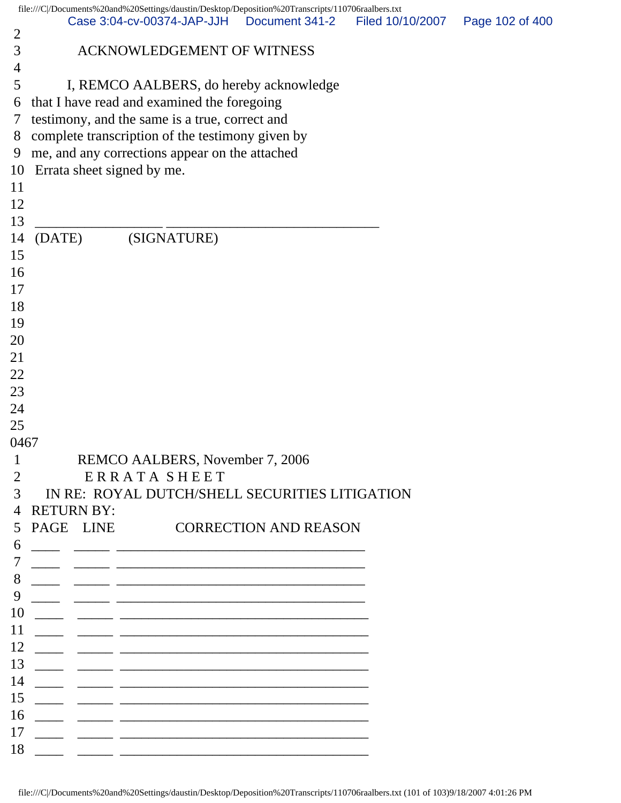|                     | file:///C /Documents%20and%20Settings/daustin/Desktop/Deposition%20Transcripts/110706raalbers.txt<br>Case 3:04-cv-00374-JAP-JJH   Document 341-2 |                              | Filed 10/10/2007 | Page 102 of 400 |
|---------------------|--------------------------------------------------------------------------------------------------------------------------------------------------|------------------------------|------------------|-----------------|
| $\overline{2}$      |                                                                                                                                                  |                              |                  |                 |
| 3<br>$\overline{4}$ | ACKNOWLEDGEMENT OF WITNESS                                                                                                                       |                              |                  |                 |
| 5                   | I, REMCO AALBERS, do hereby acknowledge                                                                                                          |                              |                  |                 |
| 6                   | that I have read and examined the foregoing                                                                                                      |                              |                  |                 |
| 7                   | testimony, and the same is a true, correct and                                                                                                   |                              |                  |                 |
| 8                   | complete transcription of the testimony given by                                                                                                 |                              |                  |                 |
| 9                   | me, and any corrections appear on the attached                                                                                                   |                              |                  |                 |
| 10                  | Errata sheet signed by me.                                                                                                                       |                              |                  |                 |
| 11                  |                                                                                                                                                  |                              |                  |                 |
| 12                  |                                                                                                                                                  |                              |                  |                 |
| 13                  |                                                                                                                                                  |                              |                  |                 |
| 14                  | (SIGNATURE)<br>(DATE)                                                                                                                            |                              |                  |                 |
| 15                  |                                                                                                                                                  |                              |                  |                 |
| 16                  |                                                                                                                                                  |                              |                  |                 |
| 17                  |                                                                                                                                                  |                              |                  |                 |
| 18                  |                                                                                                                                                  |                              |                  |                 |
| 19                  |                                                                                                                                                  |                              |                  |                 |
| 20                  |                                                                                                                                                  |                              |                  |                 |
| 21                  |                                                                                                                                                  |                              |                  |                 |
| 22                  |                                                                                                                                                  |                              |                  |                 |
| 23                  |                                                                                                                                                  |                              |                  |                 |
| 24                  |                                                                                                                                                  |                              |                  |                 |
| 25                  |                                                                                                                                                  |                              |                  |                 |
| 0467                |                                                                                                                                                  |                              |                  |                 |
| $\mathbf{1}$        | REMCO AALBERS, November 7, 2006                                                                                                                  |                              |                  |                 |
| $\overline{2}$      | ERRATA SHEET                                                                                                                                     |                              |                  |                 |
| 3                   | IN RE: ROYAL DUTCH/SHELL SECURITIES LITIGATION                                                                                                   |                              |                  |                 |
| 4                   | <b>RETURN BY:</b>                                                                                                                                |                              |                  |                 |
| 5                   | PAGE LINE                                                                                                                                        | <b>CORRECTION AND REASON</b> |                  |                 |
| 6                   |                                                                                                                                                  |                              |                  |                 |
|                     | <u> 1989 - Johann Barbara, martxa eta batarra (h. 1989).</u>                                                                                     |                              |                  |                 |
| 8                   |                                                                                                                                                  |                              |                  |                 |
| 9                   |                                                                                                                                                  |                              |                  |                 |
| 10                  |                                                                                                                                                  |                              |                  |                 |
| 11                  |                                                                                                                                                  |                              |                  |                 |
| 12                  |                                                                                                                                                  |                              |                  |                 |
| 13                  |                                                                                                                                                  |                              |                  |                 |
| 14                  |                                                                                                                                                  |                              |                  |                 |
| 15                  |                                                                                                                                                  |                              |                  |                 |
| 16                  |                                                                                                                                                  |                              |                  |                 |
| 17                  |                                                                                                                                                  |                              |                  |                 |
| 18                  |                                                                                                                                                  |                              |                  |                 |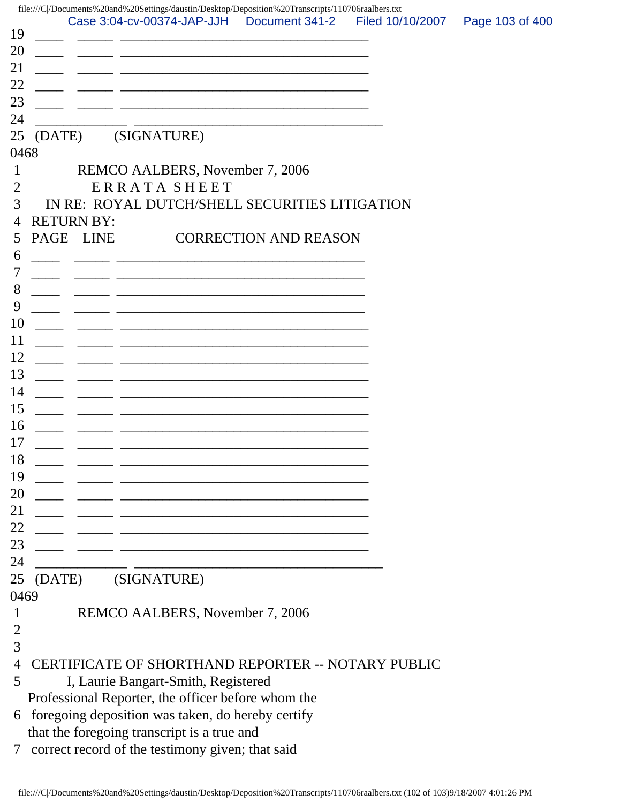| 19                   |                   |                                                                                                                      | file:///C /Documents%20and%20Settings/daustin/Desktop/Deposition%20Transcripts/110706raalbers.txt<br>Case 3:04-cv-00374-JAP-JJH   Document 341-2 | Filed 10/10/2007 | Page 103 of 400 |
|----------------------|-------------------|----------------------------------------------------------------------------------------------------------------------|--------------------------------------------------------------------------------------------------------------------------------------------------|------------------|-----------------|
| 20                   |                   |                                                                                                                      | <u> 1989 - Johann John Stone, mars eta biztanleria (h. 1989).</u>                                                                                |                  |                 |
| 21                   |                   |                                                                                                                      | <u> 2000 - Antonio Alemania, američki profesor († 2000)</u>                                                                                      |                  |                 |
| 22                   |                   |                                                                                                                      | <u> 1989 - Johann John Stone, mars et al. 1989 - John Stone, mars et al. 1989 - John Stone, mars et al. 1989 - Joh</u>                           |                  |                 |
| 23                   |                   |                                                                                                                      | <u> 1990 - Jan James James James James James James James James James James James James James James James James J</u>                             |                  |                 |
| 24                   |                   |                                                                                                                      |                                                                                                                                                  |                  |                 |
| 25<br>(DATE)<br>0468 |                   | (SIGNATURE)                                                                                                          |                                                                                                                                                  |                  |                 |
| 1                    |                   | REMCO AALBERS, November 7, 2006                                                                                      |                                                                                                                                                  |                  |                 |
| 2                    |                   | ERRATA SHEET                                                                                                         |                                                                                                                                                  |                  |                 |
| 3                    |                   |                                                                                                                      | IN RE: ROYAL DUTCH/SHELL SECURITIES LITIGATION                                                                                                   |                  |                 |
| $\overline{4}$       | <b>RETURN BY:</b> |                                                                                                                      |                                                                                                                                                  |                  |                 |
| PAGE<br>5            | <b>LINE</b>       |                                                                                                                      | <b>CORRECTION AND REASON</b>                                                                                                                     |                  |                 |
| 6                    |                   |                                                                                                                      | <u> 1980 - Johann Stoff, fransk politik (d. 1980)</u>                                                                                            |                  |                 |
| 7                    |                   |                                                                                                                      | <u> 1980 - Johann John Harry, mars ar yw y cyfeiriad y gynydd y gynydd y gynydd y gynydd y gynydd y gynydd y gyn</u>                             |                  |                 |
| 8                    |                   |                                                                                                                      |                                                                                                                                                  |                  |                 |
| 9                    |                   |                                                                                                                      |                                                                                                                                                  |                  |                 |
| 10                   |                   |                                                                                                                      |                                                                                                                                                  |                  |                 |
| 11                   |                   |                                                                                                                      |                                                                                                                                                  |                  |                 |
| 12                   |                   |                                                                                                                      | <u> 1989 - Johann Barn, amerikan bernama di sebagai bernama di sebagai bernama di sebagai bernama di sebagai bern</u>                            |                  |                 |
| 13<br>14             |                   |                                                                                                                      | <u> 2008 - Johann Stoff, deutscher Stoff, der Stoff, der Stoff, der Stoff, der Stoff, der Stoff, der Stoff, der S</u>                            |                  |                 |
| 15                   |                   |                                                                                                                      |                                                                                                                                                  |                  |                 |
| 16                   |                   |                                                                                                                      |                                                                                                                                                  |                  |                 |
| 17                   |                   |                                                                                                                      | <u> 1989 - Johann John Stein, market fan it ferskearre fan it ferskearre fan it ferskearre fan it ferskearre fan i</u>                           |                  |                 |
| 18                   |                   | <u> 1989 - Johann Stein, marwolaethau a bhann an t-Amhain an t-Amhain an t-Amhain an t-Amhain an t-Amhain an t-A</u> |                                                                                                                                                  |                  |                 |
| 19                   |                   |                                                                                                                      |                                                                                                                                                  |                  |                 |
| 20                   |                   |                                                                                                                      |                                                                                                                                                  |                  |                 |
| 21                   |                   |                                                                                                                      |                                                                                                                                                  |                  |                 |
| 22                   |                   |                                                                                                                      |                                                                                                                                                  |                  |                 |
| 23                   |                   |                                                                                                                      |                                                                                                                                                  |                  |                 |
| 24                   |                   |                                                                                                                      | <u> 1989 - Johann Stein, marwolaethau a bhann an t-Amhair ann an t-Amhair an t-Amhair an t-Amhair an t-Amhair an</u>                             |                  |                 |
| 25                   | (DATE)            | (SIGNATURE)                                                                                                          |                                                                                                                                                  |                  |                 |
| 0469                 |                   |                                                                                                                      |                                                                                                                                                  |                  |                 |
| 1                    |                   | REMCO AALBERS, November 7, 2006                                                                                      |                                                                                                                                                  |                  |                 |
| $\overline{2}$<br>3  |                   |                                                                                                                      |                                                                                                                                                  |                  |                 |
| 4                    |                   |                                                                                                                      | CERTIFICATE OF SHORTHAND REPORTER -- NOTARY PUBLIC                                                                                               |                  |                 |
| 5                    |                   | I, Laurie Bangart-Smith, Registered                                                                                  |                                                                                                                                                  |                  |                 |
|                      |                   | Professional Reporter, the officer before whom the                                                                   |                                                                                                                                                  |                  |                 |
| 6                    |                   | foregoing deposition was taken, do hereby certify                                                                    |                                                                                                                                                  |                  |                 |
|                      |                   | that the foregoing transcript is a true and                                                                          |                                                                                                                                                  |                  |                 |
| 7                    |                   | correct record of the testimony given; that said                                                                     |                                                                                                                                                  |                  |                 |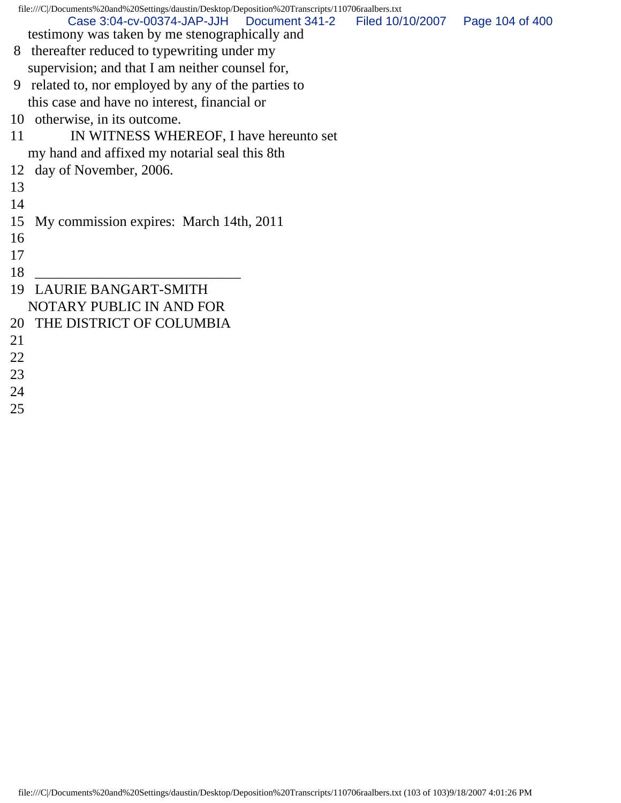| file:///C /Documents%20and%20Settings/daustin/Desktop/Deposition%20Transcripts/110706raalbers.txt |                 |  |  |  |
|---------------------------------------------------------------------------------------------------|-----------------|--|--|--|
| Case 3:04-cv-00374-JAP-JJH<br>Document 341-2<br>Filed 10/10/2007                                  | Page 104 of 400 |  |  |  |
| testimony was taken by me stenographically and                                                    |                 |  |  |  |
| 8 thereafter reduced to typewriting under my                                                      |                 |  |  |  |
| supervision; and that I am neither counsel for,                                                   |                 |  |  |  |
| related to, nor employed by any of the parties to<br>9                                            |                 |  |  |  |
| this case and have no interest, financial or                                                      |                 |  |  |  |
| otherwise, in its outcome.<br>10                                                                  |                 |  |  |  |
| IN WITNESS WHEREOF, I have hereunto set<br>11                                                     |                 |  |  |  |
| my hand and affixed my notarial seal this 8th                                                     |                 |  |  |  |
| day of November, 2006.<br>12                                                                      |                 |  |  |  |
| 13                                                                                                |                 |  |  |  |
| 14                                                                                                |                 |  |  |  |
| My commission expires: March 14th, 2011<br>15                                                     |                 |  |  |  |
| 16                                                                                                |                 |  |  |  |
| 17                                                                                                |                 |  |  |  |
| 18                                                                                                |                 |  |  |  |
| <b>LAURIE BANGART-SMITH</b><br>19                                                                 |                 |  |  |  |
| NOTARY PUBLIC IN AND FOR                                                                          |                 |  |  |  |
| THE DISTRICT OF COLUMBIA<br>20                                                                    |                 |  |  |  |
| 21                                                                                                |                 |  |  |  |
| 22                                                                                                |                 |  |  |  |
| 23                                                                                                |                 |  |  |  |
| 24                                                                                                |                 |  |  |  |

25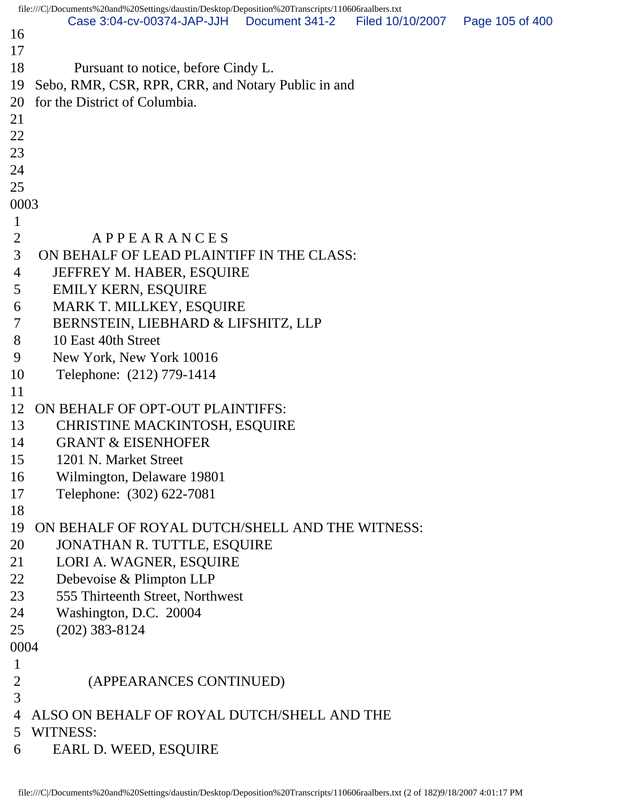```
file:///C|/Documents%20and%20Settings/daustin/Desktop/Deposition%20Transcripts/110606raalbers.txt
16 
17 
18 Pursuant to notice, before Cindy L.
19 Sebo, RMR, CSR, RPR, CRR, and Notary Public in and
20 for the District of Columbia.
21 
22 
23 
24 
25 
0003
 1 
2 A P P E A R A N C E S
 3 ON BEHALF OF LEAD PLAINTIFF IN THE CLASS:
 4 JEFFREY M. HABER, ESQUIRE
 5 EMILY KERN, ESQUIRE
 6 MARK T. MILLKEY, ESQUIRE
 7 BERNSTEIN, LIEBHARD & LIFSHITZ, LLP
 8 10 East 40th Street
 9 New York, New York 10016
10 Telephone: (212) 779-1414
11 
12 ON BEHALF OF OPT-OUT PLAINTIFFS:
13 CHRISTINE MACKINTOSH, ESQUIRE
14 GRANT & EISENHOFER
15 1201 N. Market Street
16 Wilmington, Delaware 19801
17 Telephone: (302) 622-7081
18 
19 ON BEHALF OF ROYAL DUTCH/SHELL AND THE WITNESS:
20 JONATHAN R. TUTTLE, ESQUIRE
21 LORI A. WAGNER, ESQUIRE
22 Debevoise & Plimpton LLP
23 555 Thirteenth Street, Northwest
24 Washington, D.C. 20004
25 (202) 383-8124
0004
 1 
 2 (APPEARANCES CONTINUED)
 3 
 4 ALSO ON BEHALF OF ROYAL DUTCH/SHELL AND THE
 5 WITNESS:
 6 EARL D. WEED, ESQUIRE
       Case 3:04-cv-00374-JAP-JJH Document 341-2 Filed 10/10/2007 Page 105 of 400
```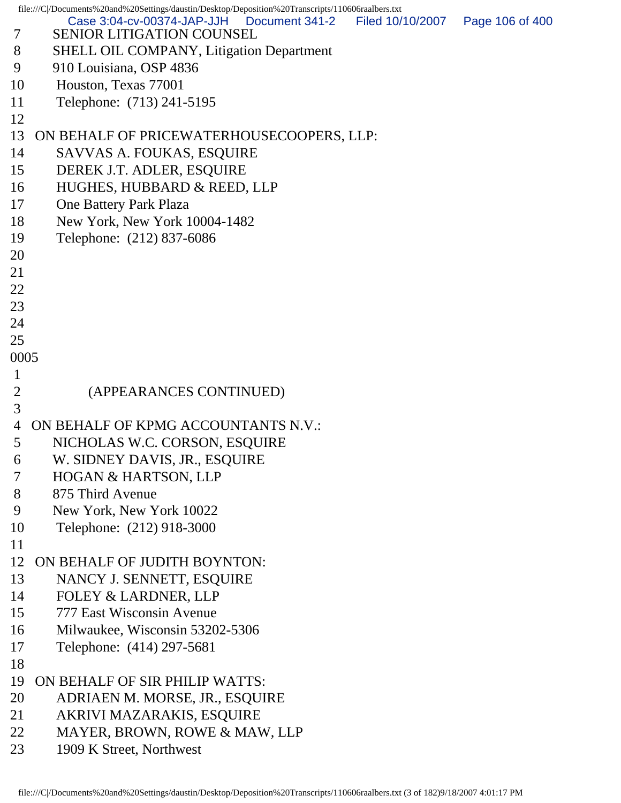file:///C|/Documents%20and%20Settings/daustin/Desktop/Deposition%20Transcripts/110606raalbers.txt 7 SENIOR LITIGATION COUNSEL 8 SHELL OIL COMPANY, Litigation Department 9 910 Louisiana, OSP 4836 10 Houston, Texas 77001 11 Telephone: (713) 241-5195 12 13 ON BEHALF OF PRICEWATERHOUSECOOPERS, LLP: 14 SAVVAS A. FOUKAS, ESQUIRE 15 DEREK J.T. ADLER, ESQUIRE 16 HUGHES, HUBBARD & REED, LLP 17 One Battery Park Plaza 18 New York, New York 10004-1482 19 Telephone: (212) 837-6086 20 21 22 23 24 25 0005 1 2 (APPEARANCES CONTINUED) 3 4 ON BEHALF OF KPMG ACCOUNTANTS N.V.: 5 NICHOLAS W.C. CORSON, ESQUIRE 6 W. SIDNEY DAVIS, JR., ESQUIRE 7 HOGAN & HARTSON, LLP 8 875 Third Avenue 9 New York, New York 10022 10 Telephone: (212) 918-3000 11 12 ON BEHALF OF JUDITH BOYNTON: 13 NANCY J. SENNETT, ESQUIRE 14 FOLEY & LARDNER, LLP 15 777 East Wisconsin Avenue 16 Milwaukee, Wisconsin 53202-5306 17 Telephone: (414) 297-5681 18 19 ON BEHALF OF SIR PHILIP WATTS: 20 ADRIAEN M. MORSE, JR., ESQUIRE 21 AKRIVI MAZARAKIS, ESQUIRE 22 MAYER, BROWN, ROWE & MAW, LLP 23 1909 K Street, Northwest Case 3:04-cv-00374-JAP-JJH Document 341-2 Filed 10/10/2007 Page 106 of 400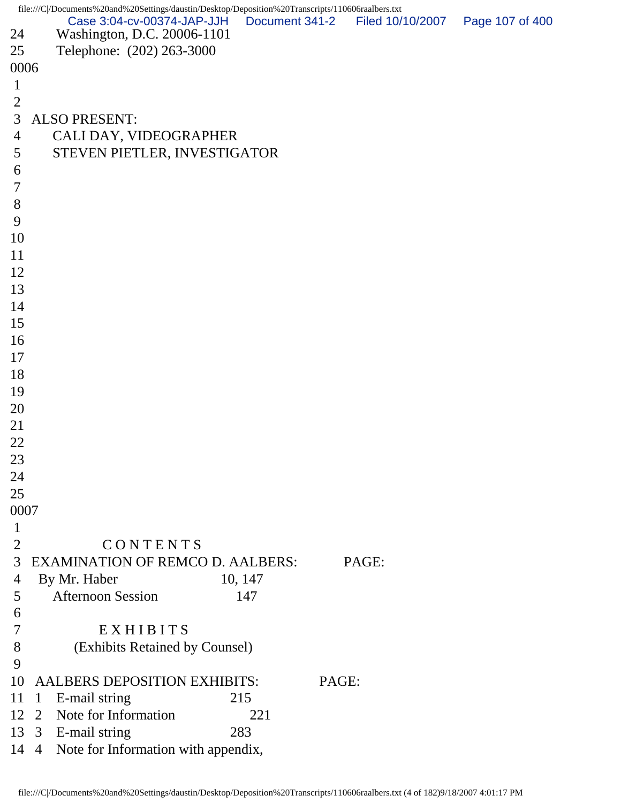file:///C|/Documents%20and%20Settings/daustin/Desktop/Deposition%20Transcripts/110606raalbers.txt 24 Washington, D.C. 20006-1101 25 Telephone: (202) 263-3000 0006 1 2 3 ALSO PRESENT: 4 CALI DAY, VIDEOGRAPHER 5 STEVEN PIETLER, INVESTIGATOR 6 7 8 9 10 11 12 13 14 15 16 17 18 19 20 21 22 23 24 25 0007 1 2 C O N T E N T S 3 EXAMINATION OF REMCO D. AALBERS: PAGE: 4 By Mr. Haber 10, 147 5 Afternoon Session 147 6 7 E X H I B I T S 8 (Exhibits Retained by Counsel) 9 10 AALBERS DEPOSITION EXHIBITS: PAGE: 11 1 E-mail string 215 12 2 Note for Information 221 13 3 E-mail string 283 14 4 Note for Information with appendix, Case 3:04-cv-00374-JAP-JJH Document 341-2 Filed 10/10/2007 Page 107 of 400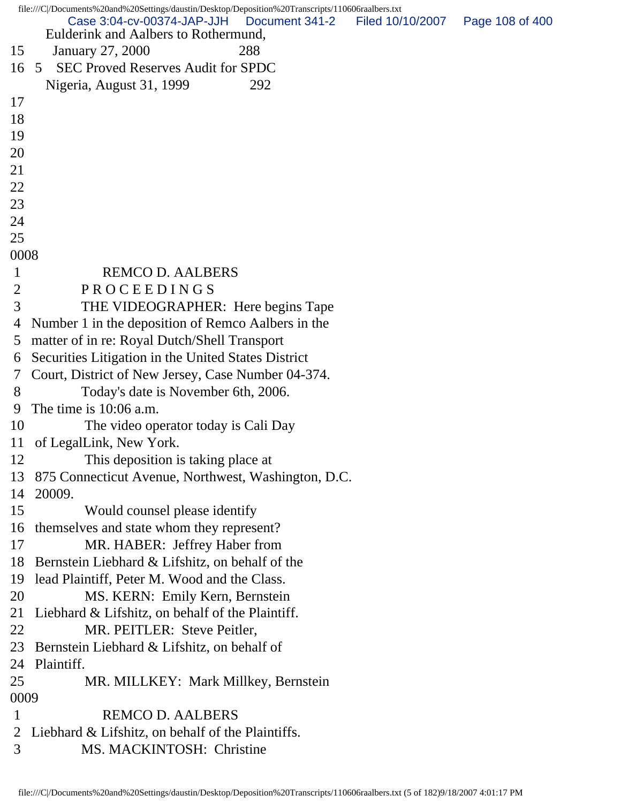|                | file:///C /Documents%20and%20Settings/daustin/Desktop/Deposition%20Transcripts/110606raalbers.txt |                  |                 |
|----------------|---------------------------------------------------------------------------------------------------|------------------|-----------------|
|                | Case 3:04-cv-00374-JAP-JJH<br>Document 341-2<br>Eulderink and Aalbers to Rothermund,              | Filed 10/10/2007 | Page 108 of 400 |
| 15             | 288<br>January 27, 2000                                                                           |                  |                 |
| 16             | <b>SEC Proved Reserves Audit for SPDC</b><br>5                                                    |                  |                 |
|                | Nigeria, August 31, 1999<br>292                                                                   |                  |                 |
| 17             |                                                                                                   |                  |                 |
| 18             |                                                                                                   |                  |                 |
| 19             |                                                                                                   |                  |                 |
| 20             |                                                                                                   |                  |                 |
| 21             |                                                                                                   |                  |                 |
| 22             |                                                                                                   |                  |                 |
| 23             |                                                                                                   |                  |                 |
| 24             |                                                                                                   |                  |                 |
| 25             |                                                                                                   |                  |                 |
| 0008           |                                                                                                   |                  |                 |
| 1              | <b>REMCO D. AALBERS</b>                                                                           |                  |                 |
| $\overline{2}$ | PROCEEDINGS                                                                                       |                  |                 |
| 3              | THE VIDEOGRAPHER: Here begins Tape                                                                |                  |                 |
| 4              | Number 1 in the deposition of Remco Aalbers in the                                                |                  |                 |
| 5              | matter of in re: Royal Dutch/Shell Transport                                                      |                  |                 |
| 6              | Securities Litigation in the United States District                                               |                  |                 |
| 7              | Court, District of New Jersey, Case Number 04-374.                                                |                  |                 |
| 8              | Today's date is November 6th, 2006.                                                               |                  |                 |
| 9              | The time is 10:06 a.m.                                                                            |                  |                 |
| 10             | The video operator today is Cali Day                                                              |                  |                 |
| 11             | of LegalLink, New York.                                                                           |                  |                 |
| 12             | This deposition is taking place at                                                                |                  |                 |
| 13             | 875 Connecticut Avenue, Northwest, Washington, D.C.                                               |                  |                 |
| 14             | 20009.                                                                                            |                  |                 |
| 15             | Would counsel please identify                                                                     |                  |                 |
| 16             | themselves and state whom they represent?                                                         |                  |                 |
| 17             | MR. HABER: Jeffrey Haber from                                                                     |                  |                 |
| 18             | Bernstein Liebhard & Lifshitz, on behalf of the                                                   |                  |                 |
| 19             | lead Plaintiff, Peter M. Wood and the Class.                                                      |                  |                 |
| 20             | MS. KERN: Emily Kern, Bernstein                                                                   |                  |                 |
| 21             | Liebhard & Lifshitz, on behalf of the Plaintiff.                                                  |                  |                 |
| 22             | MR. PEITLER: Steve Peitler,                                                                       |                  |                 |
| 23             | Bernstein Liebhard & Lifshitz, on behalf of                                                       |                  |                 |
| 24             | Plaintiff.                                                                                        |                  |                 |
| 25             | MR. MILLKEY: Mark Millkey, Bernstein                                                              |                  |                 |
| 0009           |                                                                                                   |                  |                 |
| $\mathbf 1$    | <b>REMCO D. AALBERS</b>                                                                           |                  |                 |
| $\overline{2}$ | Liebhard & Lifshitz, on behalf of the Plaintiffs.                                                 |                  |                 |
| 3              | MS. MACKINTOSH: Christine                                                                         |                  |                 |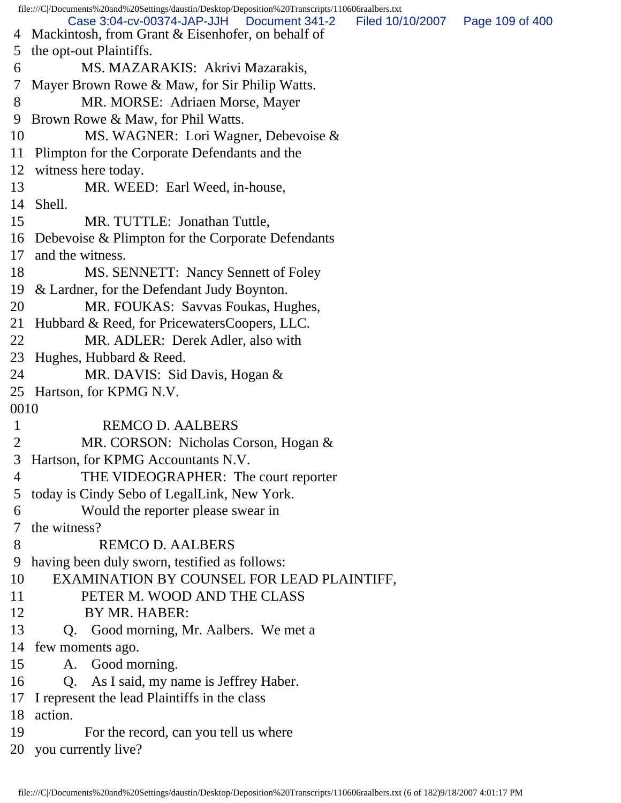file:///C|/Documents%20and%20Settings/daustin/Desktop/Deposition%20Transcripts/110606raalbers.txt 4 Mackintosh, from Grant & Eisenhofer, on behalf of 5 the opt-out Plaintiffs. 6 MS. MAZARAKIS: Akrivi Mazarakis, 7 Mayer Brown Rowe & Maw, for Sir Philip Watts. 8 MR. MORSE: Adriaen Morse, Mayer 9 Brown Rowe & Maw, for Phil Watts. 10 MS. WAGNER: Lori Wagner, Debevoise & 11 Plimpton for the Corporate Defendants and the 12 witness here today. 13 MR. WEED: Earl Weed, in-house, 14 Shell. 15 MR. TUTTLE: Jonathan Tuttle, 16 Debevoise & Plimpton for the Corporate Defendants 17 and the witness. 18 MS. SENNETT: Nancy Sennett of Foley 19 & Lardner, for the Defendant Judy Boynton. 20 MR. FOUKAS: Savvas Foukas, Hughes, 21 Hubbard & Reed, for PricewatersCoopers, LLC. 22 MR. ADLER: Derek Adler, also with 23 Hughes, Hubbard & Reed. 24 MR. DAVIS: Sid Davis, Hogan & 25 Hartson, for KPMG N.V. 0010 1 REMCO D. AALBERS 2 MR. CORSON: Nicholas Corson, Hogan & 3 Hartson, for KPMG Accountants N.V. 4 THE VIDEOGRAPHER: The court reporter 5 today is Cindy Sebo of LegalLink, New York. 6 Would the reporter please swear in 7 the witness? 8 REMCO D. AALBERS 9 having been duly sworn, testified as follows: 10 EXAMINATION BY COUNSEL FOR LEAD PLAINTIFF, 11 PETER M. WOOD AND THE CLASS 12 BY MR. HABER: 13 Q. Good morning, Mr. Aalbers. We met a 14 few moments ago. 15 A. Good morning. 16 Q. As I said, my name is Jeffrey Haber. 17 I represent the lead Plaintiffs in the class 18 action. 19 For the record, can you tell us where 20 you currently live? Case 3:04-cv-00374-JAP-JJH Document 341-2 Filed 10/10/2007 Page 109 of 400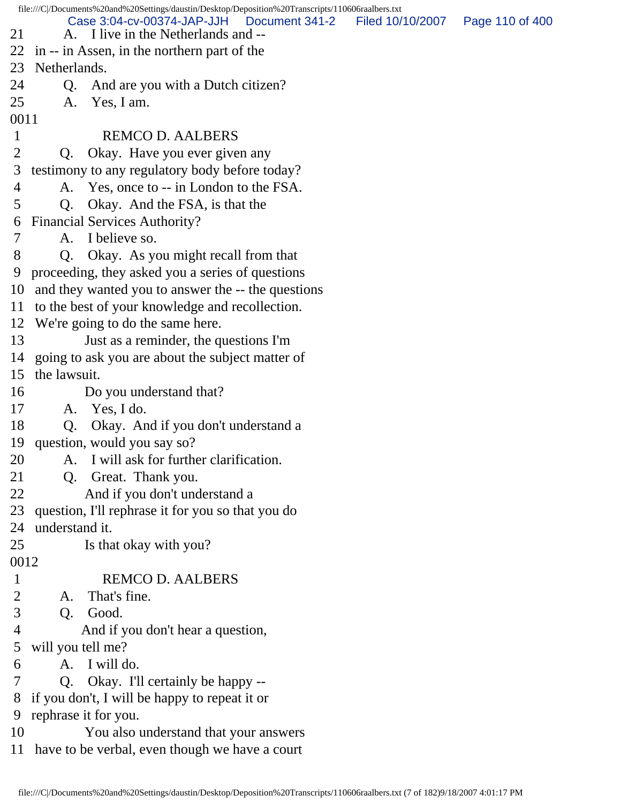file:///C|/Documents%20and%20Settings/daustin/Desktop/Deposition%20Transcripts/110606raalbers.txt 21 A. I live in the Netherlands and --22 in -- in Assen, in the northern part of the 23 Netherlands. 24 Q. And are you with a Dutch citizen? 25 A. Yes, I am. 0011 1 REMCO D. AALBERS 2 Q. Okay. Have you ever given any 3 testimony to any regulatory body before today? 4 A. Yes, once to -- in London to the FSA. 5 Q. Okay. And the FSA, is that the 6 Financial Services Authority? 7 A. I believe so. 8 Q. Okay. As you might recall from that 9 proceeding, they asked you a series of questions 10 and they wanted you to answer the -- the questions 11 to the best of your knowledge and recollection. 12 We're going to do the same here. 13 Just as a reminder, the questions I'm 14 going to ask you are about the subject matter of 15 the lawsuit. 16 Do you understand that? 17 A. Yes, I do. 18 Q. Okay. And if you don't understand a 19 question, would you say so? 20 A. I will ask for further clarification. 21 Q. Great. Thank you. 22 And if you don't understand a 23 question, I'll rephrase it for you so that you do 24 understand it. 25 Is that okay with you? 0012 1 REMCO D. AALBERS 2 A. That's fine. 3 Q. Good. 4 And if you don't hear a question, 5 will you tell me? 6 A. I will do. 7 Q. Okay. I'll certainly be happy -- 8 if you don't, I will be happy to repeat it or 9 rephrase it for you. 10 You also understand that your answers 11 have to be verbal, even though we have a court Case 3:04-cv-00374-JAP-JJH Document 341-2 Filed 10/10/2007 Page 110 of 400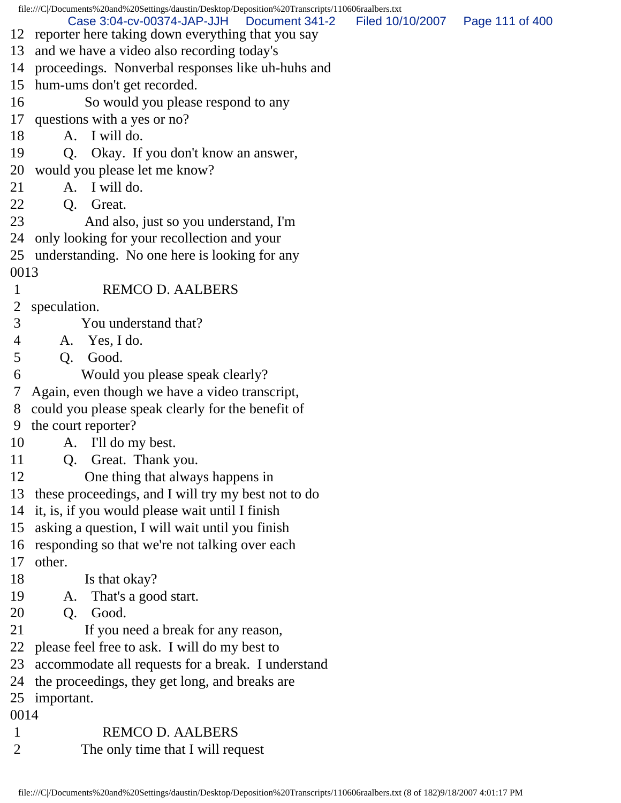file:///C|/Documents%20and%20Settings/daustin/Desktop/Deposition%20Transcripts/110606raalbers.txt 12 reporter here taking down everything that you say 13 and we have a video also recording today's 14 proceedings. Nonverbal responses like uh-huhs and 15 hum-ums don't get recorded. 16 So would you please respond to any 17 questions with a yes or no? 18 A. I will do. 19 Q. Okay. If you don't know an answer, 20 would you please let me know? 21 A. I will do. 22 Q. Great. 23 And also, just so you understand, I'm 24 only looking for your recollection and your 25 understanding. No one here is looking for any 0013 1 REMCO D. AALBERS 2 speculation. 3 You understand that? 4 A. Yes, I do. 5 Q. Good. 6 Would you please speak clearly? 7 Again, even though we have a video transcript, 8 could you please speak clearly for the benefit of 9 the court reporter? 10 A. I'll do my best. 11 Q. Great. Thank you. 12 One thing that always happens in 13 these proceedings, and I will try my best not to do 14 it, is, if you would please wait until I finish 15 asking a question, I will wait until you finish 16 responding so that we're not talking over each 17 other. 18 Is that okay? 19 A. That's a good start. 20 Q. Good. 21 If you need a break for any reason, 22 please feel free to ask. I will do my best to 23 accommodate all requests for a break. I understand 24 the proceedings, they get long, and breaks are 25 important. 0014 1 REMCO D. AALBERS 2 The only time that I will request Case 3:04-cv-00374-JAP-JJH Document 341-2 Filed 10/10/2007 Page 111 of 400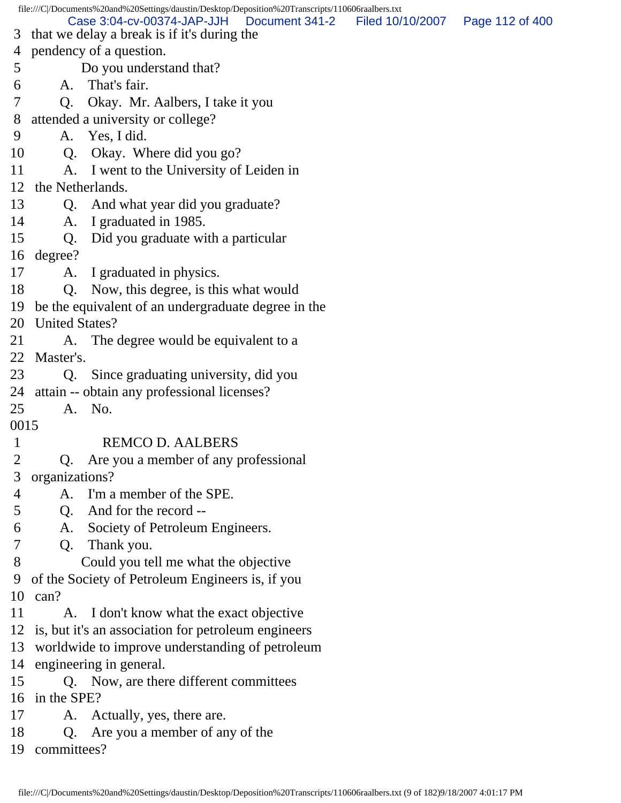file:///C|/Documents%20and%20Settings/daustin/Desktop/Deposition%20Transcripts/110606raalbers.txt 3 that we delay a break is if it's during the 4 pendency of a question. 5 Do you understand that? 6 A. That's fair. 7 Q. Okay. Mr. Aalbers, I take it you 8 attended a university or college? 9 A. Yes, I did. 10 Q. Okay. Where did you go? 11 A. I went to the University of Leiden in 12 the Netherlands. 13 Q. And what year did you graduate? 14 A. I graduated in 1985. 15 Q. Did you graduate with a particular 16 degree? 17 A. I graduated in physics. 18 Q. Now, this degree, is this what would 19 be the equivalent of an undergraduate degree in the 20 United States? 21 A. The degree would be equivalent to a 22 Master's. 23 Q. Since graduating university, did you 24 attain -- obtain any professional licenses? 25 A. No. 0015 1 REMCO D. AALBERS 2 Q. Are you a member of any professional 3 organizations? 4 A. I'm a member of the SPE. 5 Q. And for the record -- 6 A. Society of Petroleum Engineers. 7 Q. Thank you. 8 Could you tell me what the objective 9 of the Society of Petroleum Engineers is, if you 10 can? 11 A. I don't know what the exact objective 12 is, but it's an association for petroleum engineers 13 worldwide to improve understanding of petroleum 14 engineering in general. 15 Q. Now, are there different committees 16 in the SPE? 17 A. Actually, yes, there are. 18 Q. Are you a member of any of the 19 committees? Case 3:04-cv-00374-JAP-JJH Document 341-2 Filed 10/10/2007 Page 112 of 400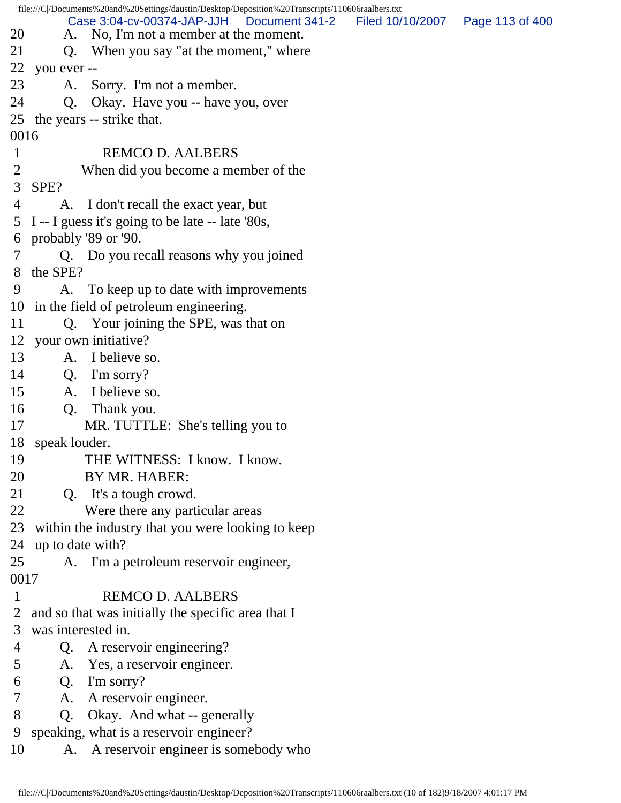|                |                    | file:///C /Documents%20and%20Settings/daustin/Desktop/Deposition%20Transcripts/110606raalbers.txt |                                   |  |
|----------------|--------------------|---------------------------------------------------------------------------------------------------|-----------------------------------|--|
| 20             |                    | Case 3:04-cv-00374-JAP-JJH   Document 341-2<br>A. No, I'm not a member at the moment.             | Filed 10/10/2007  Page 113 of 400 |  |
| 21             |                    | Q. When you say "at the moment," where                                                            |                                   |  |
| 22             | you ever --        |                                                                                                   |                                   |  |
| 23             | A.                 | Sorry. I'm not a member.                                                                          |                                   |  |
| 24             | Q.                 | Okay. Have you -- have you, over                                                                  |                                   |  |
|                |                    | 25 the years -- strike that.                                                                      |                                   |  |
| 0016           |                    |                                                                                                   |                                   |  |
| $\mathbf{1}$   |                    | <b>REMCO D. AALBERS</b>                                                                           |                                   |  |
| $\overline{2}$ |                    | When did you become a member of the                                                               |                                   |  |
| 3              | SPE?               |                                                                                                   |                                   |  |
| 4              |                    | A. I don't recall the exact year, but                                                             |                                   |  |
|                |                    | 5 I -- I guess it's going to be late -- late '80s,                                                |                                   |  |
|                |                    | 6 probably '89 or '90.                                                                            |                                   |  |
|                |                    | Q. Do you recall reasons why you joined                                                           |                                   |  |
| 8              | the SPE?           |                                                                                                   |                                   |  |
| 9              |                    | A. To keep up to date with improvements                                                           |                                   |  |
| 10             |                    | in the field of petroleum engineering.                                                            |                                   |  |
| 11             |                    | Q. Your joining the SPE, was that on                                                              |                                   |  |
|                |                    | 12 your own initiative?                                                                           |                                   |  |
| 13             | A.                 | I believe so.                                                                                     |                                   |  |
| 14             |                    | Q. I'm sorry?                                                                                     |                                   |  |
| 15             | A.                 | I believe so.                                                                                     |                                   |  |
| 16             |                    | Q. Thank you.                                                                                     |                                   |  |
| 17             |                    | MR. TUTTLE: She's telling you to                                                                  |                                   |  |
| 18             | speak louder.      |                                                                                                   |                                   |  |
| 19             |                    | THE WITNESS: I know. I know.                                                                      |                                   |  |
| 20             |                    | BY MR. HABER:                                                                                     |                                   |  |
| 21             |                    | Q. It's a tough crowd.                                                                            |                                   |  |
| 22             |                    | Were there any particular areas                                                                   |                                   |  |
| 23             |                    | within the industry that you were looking to keep                                                 |                                   |  |
| 24             | up to date with?   |                                                                                                   |                                   |  |
| 25             |                    | A. I'm a petroleum reservoir engineer,                                                            |                                   |  |
| 0017           |                    |                                                                                                   |                                   |  |
| $\mathbf 1$    |                    | <b>REMCO D. AALBERS</b>                                                                           |                                   |  |
| $\overline{2}$ |                    | and so that was initially the specific area that I                                                |                                   |  |
| 3              | was interested in. |                                                                                                   |                                   |  |
| 4              | Q.                 | A reservoir engineering?                                                                          |                                   |  |
| 5              | A.                 | Yes, a reservoir engineer.                                                                        |                                   |  |
| 6              | Q.                 | I'm sorry?                                                                                        |                                   |  |
| 7              | A.                 | A reservoir engineer.                                                                             |                                   |  |
| 8              | Q.                 | Okay. And what -- generally                                                                       |                                   |  |
| 9              |                    | speaking, what is a reservoir engineer?                                                           |                                   |  |
| 10             | A.                 | A reservoir engineer is somebody who                                                              |                                   |  |
|                |                    |                                                                                                   |                                   |  |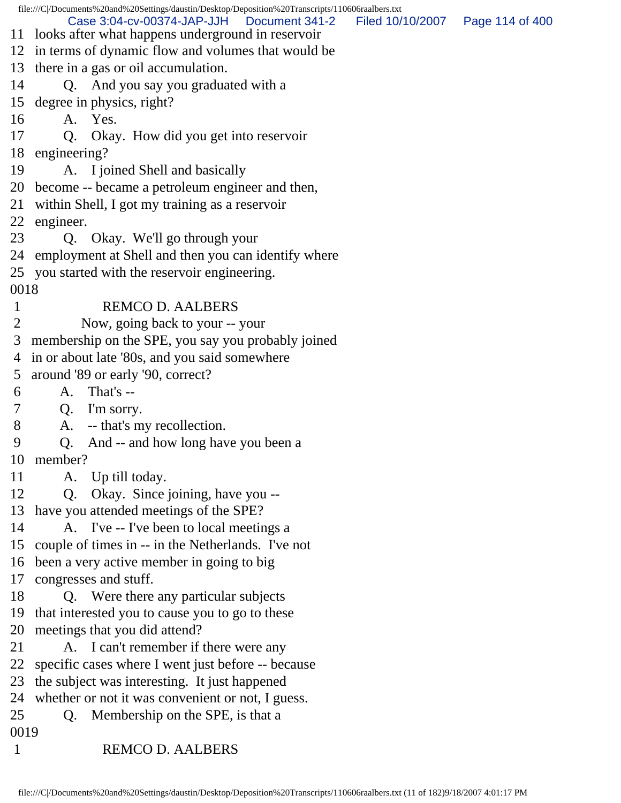file:///C|/Documents%20and%20Settings/daustin/Desktop/Deposition%20Transcripts/110606raalbers.txt 11 looks after what happens underground in reservoir 12 in terms of dynamic flow and volumes that would be 13 there in a gas or oil accumulation. 14 Q. And you say you graduated with a 15 degree in physics, right? 16 A. Yes. 17 Q. Okay. How did you get into reservoir 18 engineering? 19 A. I joined Shell and basically 20 become -- became a petroleum engineer and then, 21 within Shell, I got my training as a reservoir 22 engineer. 23 Q. Okay. We'll go through your 24 employment at Shell and then you can identify where 25 you started with the reservoir engineering. 0018 1 REMCO D. AALBERS 2 Now, going back to your -- your 3 membership on the SPE, you say you probably joined 4 in or about late '80s, and you said somewhere 5 around '89 or early '90, correct? 6 A. That's -- 7 Q. I'm sorry. 8 A. -- that's my recollection. 9 Q. And -- and how long have you been a 10 member? 11 A. Up till today. 12 Q. Okay. Since joining, have you -- 13 have you attended meetings of the SPE? 14 A. I've -- I've been to local meetings a 15 couple of times in -- in the Netherlands. I've not 16 been a very active member in going to big 17 congresses and stuff. 18 Q. Were there any particular subjects 19 that interested you to cause you to go to these 20 meetings that you did attend? 21 A. I can't remember if there were any 22 specific cases where I went just before -- because 23 the subject was interesting. It just happened 24 whether or not it was convenient or not, I guess. 25 Q. Membership on the SPE, is that a 0019 1 REMCO D. AALBERS Case 3:04-cv-00374-JAP-JJH Document 341-2 Filed 10/10/2007 Page 114 of 400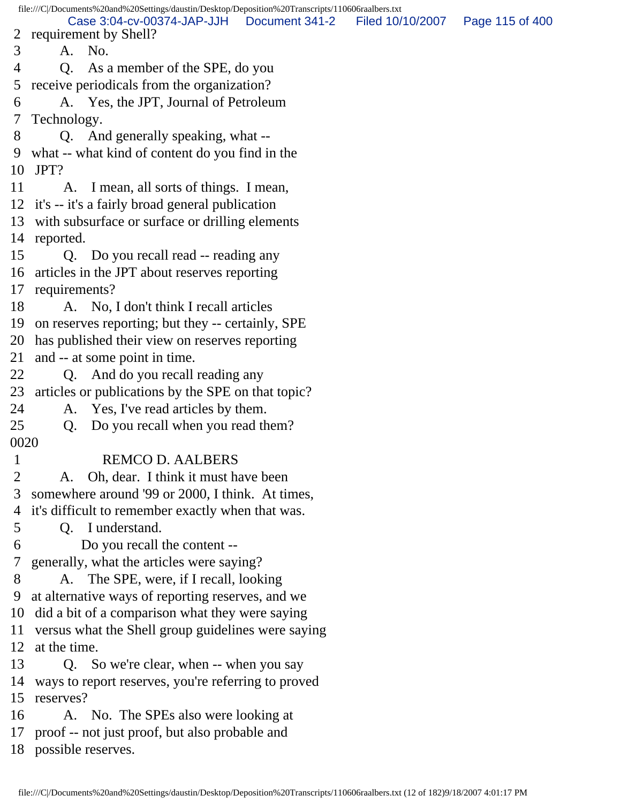file:///C|/Documents%20and%20Settings/daustin/Desktop/Deposition%20Transcripts/110606raalbers.txt 2 requirement by Shell? 3 A. No. 4 Q. As a member of the SPE, do you 5 receive periodicals from the organization? 6 A. Yes, the JPT, Journal of Petroleum 7 Technology. 8 Q. And generally speaking, what -- 9 what -- what kind of content do you find in the 10 JPT? 11 A. I mean, all sorts of things. I mean, 12 it's -- it's a fairly broad general publication 13 with subsurface or surface or drilling elements 14 reported. 15 Q. Do you recall read -- reading any 16 articles in the JPT about reserves reporting 17 requirements? 18 A. No, I don't think I recall articles 19 on reserves reporting; but they -- certainly, SPE 20 has published their view on reserves reporting 21 and -- at some point in time. 22 Q. And do you recall reading any 23 articles or publications by the SPE on that topic? 24 A. Yes, I've read articles by them. 25 Q. Do you recall when you read them? 0020 1 REMCO D. AALBERS 2 A. Oh, dear. I think it must have been 3 somewhere around '99 or 2000, I think. At times, 4 it's difficult to remember exactly when that was. 5 Q. I understand. 6 Do you recall the content -- 7 generally, what the articles were saying? 8 A. The SPE, were, if I recall, looking 9 at alternative ways of reporting reserves, and we 10 did a bit of a comparison what they were saying 11 versus what the Shell group guidelines were saying 12 at the time. 13 Q. So we're clear, when -- when you say 14 ways to report reserves, you're referring to proved 15 reserves? 16 A. No. The SPEs also were looking at 17 proof -- not just proof, but also probable and 18 possible reserves. Case 3:04-cv-00374-JAP-JJH Document 341-2 Filed 10/10/2007 Page 115 of 400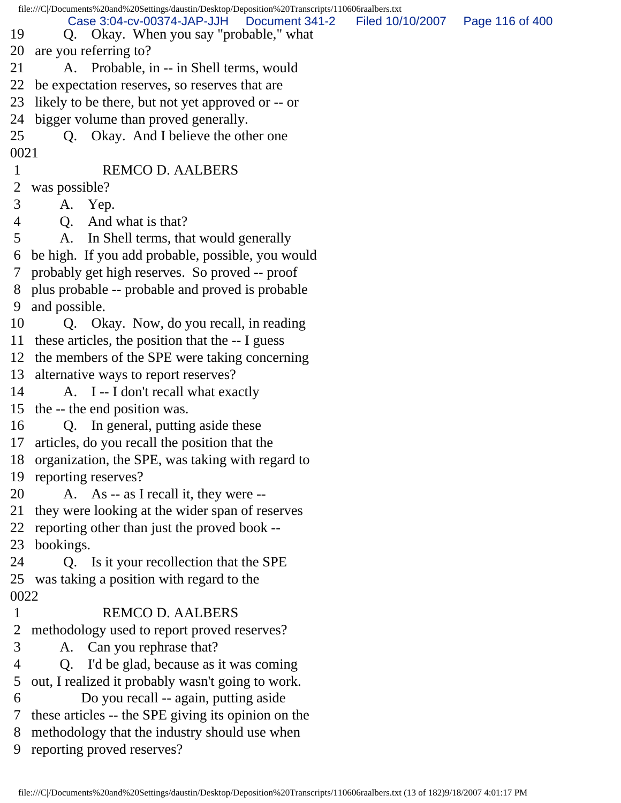|              | file:///C/Documents%20and%20Settings/daustin/Desktop/Deposition%20Transcripts/110606raalbers.txt |                                   |  |
|--------------|--------------------------------------------------------------------------------------------------|-----------------------------------|--|
| 19           | Case 3:04-cv-00374-JAP-JJH<br>Document 341-2<br>Q. Okay. When you say "probable," what           | Filed 10/10/2007  Page 116 of 400 |  |
|              | 20 are you referring to?                                                                         |                                   |  |
| 21           | A. Probable, in -- in Shell terms, would                                                         |                                   |  |
| 22           | be expectation reserves, so reserves that are                                                    |                                   |  |
|              | 23 likely to be there, but not yet approved or -- or                                             |                                   |  |
|              | 24 bigger volume than proved generally.                                                          |                                   |  |
| 25           | Q. Okay. And I believe the other one                                                             |                                   |  |
| 0021         |                                                                                                  |                                   |  |
| $\mathbf{1}$ | <b>REMCO D. AALBERS</b>                                                                          |                                   |  |
| 2            | was possible?                                                                                    |                                   |  |
| 3            | A. Yep.                                                                                          |                                   |  |
| 4            | And what is that?<br>Q <sub>r</sub>                                                              |                                   |  |
| 5            | In Shell terms, that would generally<br>A.                                                       |                                   |  |
| 6            | be high. If you add probable, possible, you would                                                |                                   |  |
|              | 7 probably get high reserves. So proved -- proof                                                 |                                   |  |
|              | 8 plus probable -- probable and proved is probable                                               |                                   |  |
| 9            | and possible.                                                                                    |                                   |  |
| 10           | Q. Okay. Now, do you recall, in reading                                                          |                                   |  |
|              | 11 these articles, the position that the -- I guess                                              |                                   |  |
|              | 12 the members of the SPE were taking concerning                                                 |                                   |  |
|              | 13 alternative ways to report reserves?                                                          |                                   |  |
| 14           | A. I -- I don't recall what exactly                                                              |                                   |  |
|              | 15 the -- the end position was.                                                                  |                                   |  |
| 16           | Q. In general, putting aside these                                                               |                                   |  |
|              | 17 articles, do you recall the position that the                                                 |                                   |  |
|              | 18 organization, the SPE, was taking with regard to                                              |                                   |  |
| 19           | reporting reserves?                                                                              |                                   |  |
| 20           | A. As -- as I recall it, they were --                                                            |                                   |  |
| 21           | they were looking at the wider span of reserves                                                  |                                   |  |
| 22           | reporting other than just the proved book --                                                     |                                   |  |
| 23           | bookings.                                                                                        |                                   |  |
| 24           | Q. Is it your recollection that the SPE                                                          |                                   |  |
|              | 25 was taking a position with regard to the                                                      |                                   |  |
| 0022         |                                                                                                  |                                   |  |
| $\mathbf{1}$ | <b>REMCO D. AALBERS</b>                                                                          |                                   |  |
| 2            | methodology used to report proved reserves?                                                      |                                   |  |
| 3            | A. Can you rephrase that?                                                                        |                                   |  |
| 4            | I'd be glad, because as it was coming<br>Q.                                                      |                                   |  |
| 5            | out, I realized it probably wasn't going to work.                                                |                                   |  |
| 6            | Do you recall -- again, putting aside                                                            |                                   |  |
| 7            | these articles -- the SPE giving its opinion on the                                              |                                   |  |
| 8            | methodology that the industry should use when                                                    |                                   |  |
| 9            | reporting proved reserves?                                                                       |                                   |  |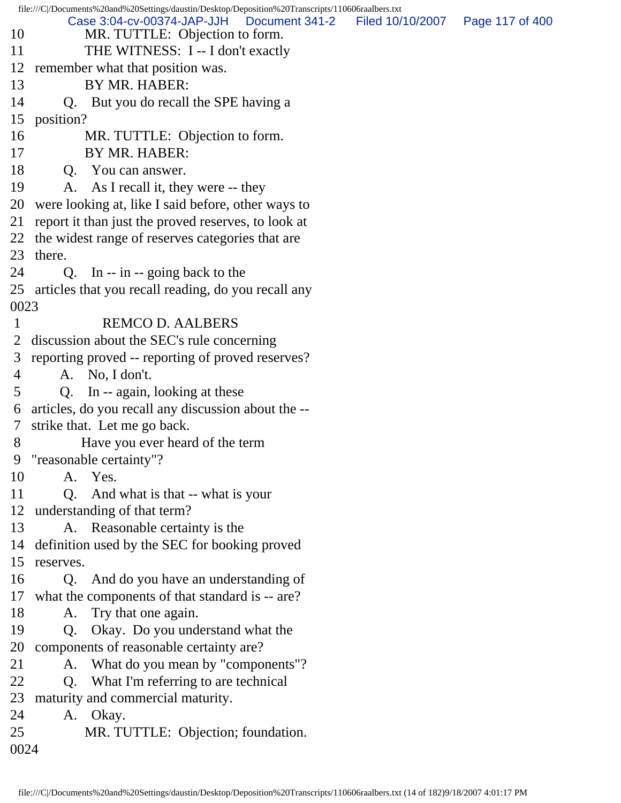file:///C|/Documents%20and%20Settings/daustin/Desktop/Deposition%20Transcripts/110606raalbers.txt 10 MR. TUTTLE: Objection to form. 11 THE WITNESS: I -- I don't exactly 12 remember what that position was. 13 BY MR. HABER: 14 Q. But you do recall the SPE having a 15 position? 16 MR. TUTTLE: Objection to form. 17 BY MR. HABER: 18 Q. You can answer. 19 A. As I recall it, they were -- they 20 were looking at, like I said before, other ways to 21 report it than just the proved reserves, to look at 22 the widest range of reserves categories that are 23 there. 24 Q. In -- in -- going back to the 25 articles that you recall reading, do you recall any 0023 1 REMCO D. AALBERS 2 discussion about the SEC's rule concerning 3 reporting proved -- reporting of proved reserves? 4 A. No, I don't. 5 Q. In -- again, looking at these 6 articles, do you recall any discussion about the -- 7 strike that. Let me go back. 8 Have you ever heard of the term 9 "reasonable certainty"? 10 A. Yes. 11 Q. And what is that -- what is your 12 understanding of that term? 13 A. Reasonable certainty is the 14 definition used by the SEC for booking proved 15 reserves. 16 Q. And do you have an understanding of 17 what the components of that standard is -- are? 18 A. Try that one again. 19 Q. Okay. Do you understand what the 20 components of reasonable certainty are? 21 A. What do you mean by "components"? 22 Q. What I'm referring to are technical 23 maturity and commercial maturity. 24 A. Okay. 25 MR. TUTTLE: Objection; foundation. 0024 Case 3:04-cv-00374-JAP-JJH Document 341-2 Filed 10/10/2007 Page 117 of 400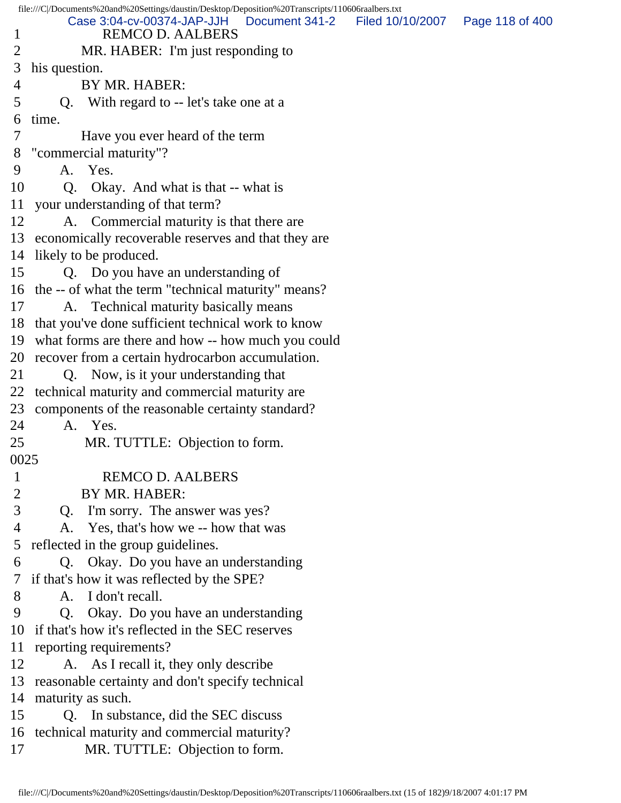file:///C|/Documents%20and%20Settings/daustin/Desktop/Deposition%20Transcripts/110606raalbers.txt 1 REMCO D. AALBERS 2 MR. HABER: I'm just responding to 3 his question. 4 BY MR. HABER: 5 Q. With regard to -- let's take one at a 6 time. 7 Have you ever heard of the term 8 "commercial maturity"? 9 A. Yes. 10 Q. Okay. And what is that -- what is 11 your understanding of that term? 12 A. Commercial maturity is that there are 13 economically recoverable reserves and that they are 14 likely to be produced. 15 Q. Do you have an understanding of 16 the -- of what the term "technical maturity" means? 17 A. Technical maturity basically means 18 that you've done sufficient technical work to know 19 what forms are there and how -- how much you could 20 recover from a certain hydrocarbon accumulation. 21 Q. Now, is it your understanding that 22 technical maturity and commercial maturity are 23 components of the reasonable certainty standard? 24 A. Yes. 25 MR. TUTTLE: Objection to form. 0025 1 REMCO D. AALBERS 2 BY MR. HABER: 3 Q. I'm sorry. The answer was yes? 4 A. Yes, that's how we -- how that was 5 reflected in the group guidelines. 6 Q. Okay. Do you have an understanding 7 if that's how it was reflected by the SPE? 8 A. I don't recall. 9 Q. Okay. Do you have an understanding 10 if that's how it's reflected in the SEC reserves 11 reporting requirements? 12 A. As I recall it, they only describe 13 reasonable certainty and don't specify technical 14 maturity as such. 15 Q. In substance, did the SEC discuss 16 technical maturity and commercial maturity? 17 MR. TUTTLE: Objection to form. Case 3:04-cv-00374-JAP-JJH Document 341-2 Filed 10/10/2007 Page 118 of 400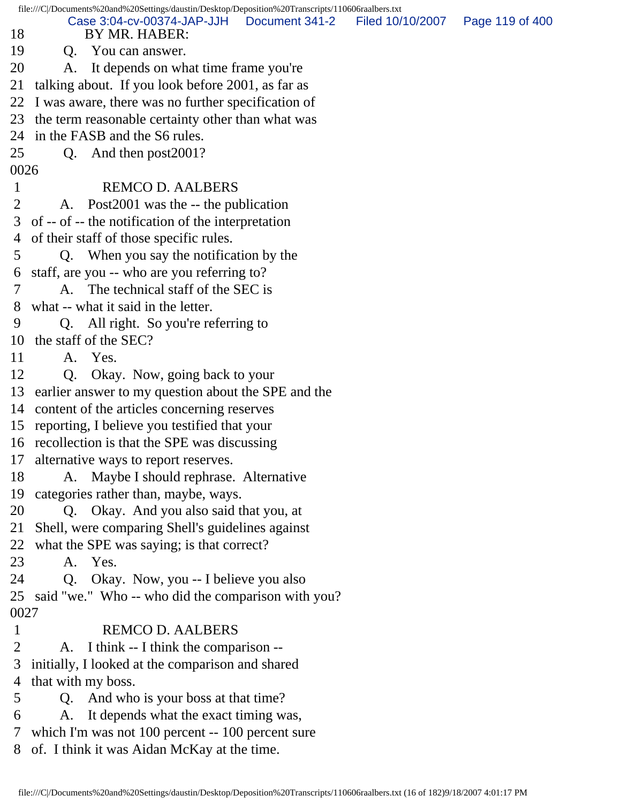| 18                             | file:///C /Documents%20and%20Settings/daustin/Desktop/Deposition%20Transcripts/110606raalbers.txt<br>Case 3:04-cv-00374-JAP-JJH Document 341-2<br>BY MR. HABER: | Filed 10/10/2007 | Page 119 of 400 |
|--------------------------------|-----------------------------------------------------------------------------------------------------------------------------------------------------------------|------------------|-----------------|
| 19                             | Q. You can answer.                                                                                                                                              |                  |                 |
| 20                             | A. It depends on what time frame you're                                                                                                                         |                  |                 |
|                                |                                                                                                                                                                 |                  |                 |
| 21                             | talking about. If you look before 2001, as far as                                                                                                               |                  |                 |
| 22                             | I was aware, there was no further specification of                                                                                                              |                  |                 |
|                                | 23 the term reasonable certainty other than what was                                                                                                            |                  |                 |
|                                | 24 in the FASB and the S6 rules.                                                                                                                                |                  |                 |
| 25                             | And then post2001?<br>Q.                                                                                                                                        |                  |                 |
| 0026                           | <b>REMCO D. AALBERS</b>                                                                                                                                         |                  |                 |
| $\mathbf{1}$<br>$\overline{2}$ |                                                                                                                                                                 |                  |                 |
|                                | A. Post2001 was the -- the publication                                                                                                                          |                  |                 |
| 3                              | of -- of -- the notification of the interpretation                                                                                                              |                  |                 |
|                                | 4 of their staff of those specific rules.                                                                                                                       |                  |                 |
| 5                              | Q. When you say the notification by the                                                                                                                         |                  |                 |
| 6                              | staff, are you -- who are you referring to?                                                                                                                     |                  |                 |
| 7                              | A. The technical staff of the SEC is                                                                                                                            |                  |                 |
| 8                              | what -- what it said in the letter.                                                                                                                             |                  |                 |
| 9                              | Q. All right. So you're referring to                                                                                                                            |                  |                 |
|                                | 10 the staff of the SEC?                                                                                                                                        |                  |                 |
| 11                             | A. Yes.                                                                                                                                                         |                  |                 |
| 12                             | Okay. Now, going back to your<br>Q.                                                                                                                             |                  |                 |
|                                | 13 earlier answer to my question about the SPE and the                                                                                                          |                  |                 |
|                                | 14 content of the articles concerning reserves                                                                                                                  |                  |                 |
|                                | 15 reporting, I believe you testified that your                                                                                                                 |                  |                 |
|                                | 16 recollection is that the SPE was discussing                                                                                                                  |                  |                 |
| 17                             | alternative ways to report reserves.                                                                                                                            |                  |                 |
| 18                             | A. Maybe I should rephrase. Alternative                                                                                                                         |                  |                 |
| 19                             | categories rather than, maybe, ways.                                                                                                                            |                  |                 |
| 20                             | Q. Okay. And you also said that you, at                                                                                                                         |                  |                 |
| 21                             | Shell, were comparing Shell's guidelines against                                                                                                                |                  |                 |
| 22                             | what the SPE was saying; is that correct?                                                                                                                       |                  |                 |
| 23                             | A. Yes.                                                                                                                                                         |                  |                 |
| 24                             | Okay. Now, you -- I believe you also<br>Q.                                                                                                                      |                  |                 |
| 25                             | said "we." Who -- who did the comparison with you?                                                                                                              |                  |                 |
| 0027                           |                                                                                                                                                                 |                  |                 |
| $\mathbf{1}$                   | <b>REMCO D. AALBERS</b>                                                                                                                                         |                  |                 |
| 2                              | A. I think -- I think the comparison --                                                                                                                         |                  |                 |
| 3                              | initially, I looked at the comparison and shared                                                                                                                |                  |                 |
| 4                              | that with my boss.                                                                                                                                              |                  |                 |
| 5                              | And who is your boss at that time?<br>Q.                                                                                                                        |                  |                 |
| 6                              | It depends what the exact timing was,<br>A.                                                                                                                     |                  |                 |
| 7                              | which I'm was not 100 percent -- 100 percent sure                                                                                                               |                  |                 |
| 8                              | of. I think it was Aidan McKay at the time.                                                                                                                     |                  |                 |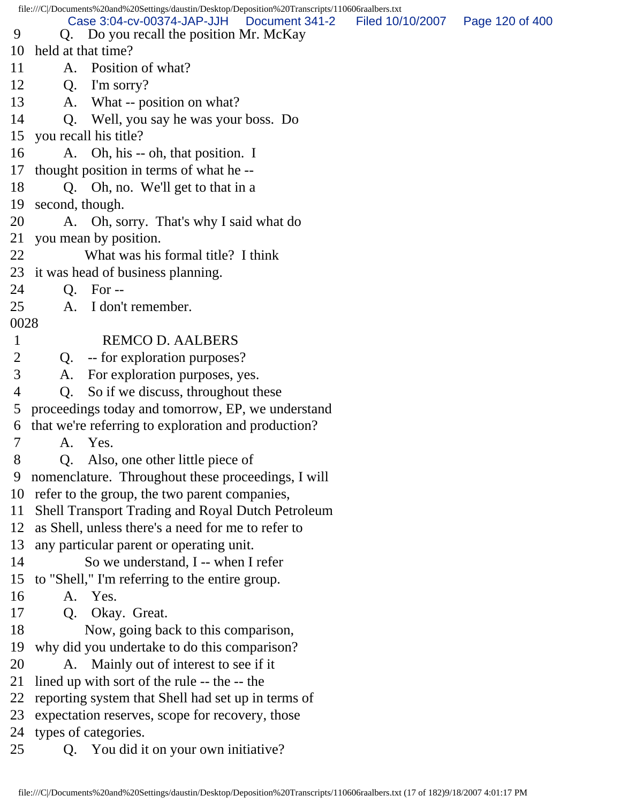file:///C|/Documents%20and%20Settings/daustin/Desktop/Deposition%20Transcripts/110606raalbers.txt 9 Q. Do you recall the position Mr. McKay 10 held at that time? 11 A. Position of what? 12 Q. I'm sorry? 13 A. What -- position on what? 14 Q. Well, you say he was your boss. Do 15 you recall his title? 16 A. Oh, his -- oh, that position. I 17 thought position in terms of what he -- 18 Q. Oh, no. We'll get to that in a 19 second, though. 20 A. Oh, sorry. That's why I said what do 21 you mean by position. 22 What was his formal title? I think 23 it was head of business planning. 24 Q. For -- 25 A. I don't remember. 0028 1 REMCO D. AALBERS 2 Q. -- for exploration purposes? 3 A. For exploration purposes, yes. 4 Q. So if we discuss, throughout these 5 proceedings today and tomorrow, EP, we understand 6 that we're referring to exploration and production? 7 A. Yes. 8 Q. Also, one other little piece of 9 nomenclature. Throughout these proceedings, I will 10 refer to the group, the two parent companies, 11 Shell Transport Trading and Royal Dutch Petroleum 12 as Shell, unless there's a need for me to refer to 13 any particular parent or operating unit. 14 So we understand, I -- when I refer 15 to "Shell," I'm referring to the entire group. 16 A. Yes. 17 Q. Okay. Great. 18 Now, going back to this comparison, 19 why did you undertake to do this comparison? 20 A. Mainly out of interest to see if it 21 lined up with sort of the rule -- the -- the 22 reporting system that Shell had set up in terms of 23 expectation reserves, scope for recovery, those 24 types of categories. 25 Q. You did it on your own initiative? Case 3:04-cv-00374-JAP-JJH Document 341-2 Filed 10/10/2007 Page 120 of 400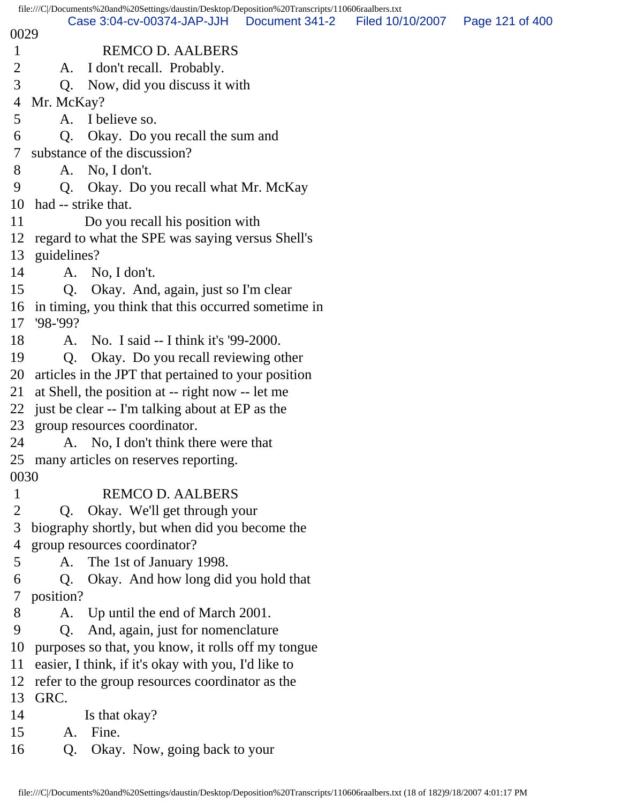|              | file:///C /Documents%20and%20Settings/daustin/Desktop/Deposition%20Transcripts/110606raalbers.txt<br>Case 3:04-cv-00374-JAP-JJH |                |                                   |  |
|--------------|---------------------------------------------------------------------------------------------------------------------------------|----------------|-----------------------------------|--|
| 0029         |                                                                                                                                 | Document 341-2 | Filed 10/10/2007  Page 121 of 400 |  |
| $\mathbf{1}$ | <b>REMCO D. AALBERS</b>                                                                                                         |                |                                   |  |
| 2            | I don't recall. Probably.<br>A.                                                                                                 |                |                                   |  |
| 3            | Q. Now, did you discuss it with                                                                                                 |                |                                   |  |
| 4            | Mr. McKay?                                                                                                                      |                |                                   |  |
| 5            | A. I believe so.                                                                                                                |                |                                   |  |
| 6            | Okay. Do you recall the sum and<br>Q.                                                                                           |                |                                   |  |
| 7            | substance of the discussion?                                                                                                    |                |                                   |  |
| 8            | No, I don't.<br>A.                                                                                                              |                |                                   |  |
| 9            | Q <sub>r</sub><br>Okay. Do you recall what Mr. McKay                                                                            |                |                                   |  |
| 10           | had -- strike that.                                                                                                             |                |                                   |  |
| 11           | Do you recall his position with                                                                                                 |                |                                   |  |
| 12           | regard to what the SPE was saying versus Shell's                                                                                |                |                                   |  |
| 13           | guidelines?                                                                                                                     |                |                                   |  |
| 14           | A. No, I don't.                                                                                                                 |                |                                   |  |
| 15           | Q. Okay. And, again, just so I'm clear                                                                                          |                |                                   |  |
|              | 16 in timing, you think that this occurred sometime in                                                                          |                |                                   |  |
| 17           | $98 - 99?$                                                                                                                      |                |                                   |  |
| 18           | A. No. I said -- I think it's '99-2000.                                                                                         |                |                                   |  |
| 19           | Okay. Do you recall reviewing other<br>Q.                                                                                       |                |                                   |  |
| 20           | articles in the JPT that pertained to your position                                                                             |                |                                   |  |
| 21           | at Shell, the position at -- right now -- let me                                                                                |                |                                   |  |
|              | 22 just be clear -- I'm talking about at EP as the                                                                              |                |                                   |  |
|              | 23 group resources coordinator.                                                                                                 |                |                                   |  |
| 24           | A. No, I don't think there were that                                                                                            |                |                                   |  |
| 0030         | 25 many articles on reserves reporting.                                                                                         |                |                                   |  |
| 1            | <b>REMCO D. AALBERS</b>                                                                                                         |                |                                   |  |
| 2            | Okay. We'll get through your<br>Q.                                                                                              |                |                                   |  |
| 3            | biography shortly, but when did you become the                                                                                  |                |                                   |  |
| 4            | group resources coordinator?                                                                                                    |                |                                   |  |
| 5            | The 1st of January 1998.<br>A.                                                                                                  |                |                                   |  |
| 6            | Okay. And how long did you hold that<br>Q.                                                                                      |                |                                   |  |
| 7            | position?                                                                                                                       |                |                                   |  |
| 8            | Up until the end of March 2001.<br>A.                                                                                           |                |                                   |  |
| 9            | And, again, just for nomenclature<br>Q <sub>1</sub>                                                                             |                |                                   |  |
| 10           | purposes so that, you know, it rolls off my tongue                                                                              |                |                                   |  |
| 11           | easier, I think, if it's okay with you, I'd like to                                                                             |                |                                   |  |
| 12           | refer to the group resources coordinator as the                                                                                 |                |                                   |  |
| 13           | GRC.                                                                                                                            |                |                                   |  |
| 14           | Is that okay?                                                                                                                   |                |                                   |  |
| 15           | Fine.<br>A.                                                                                                                     |                |                                   |  |
| 16           | Q.<br>Okay. Now, going back to your                                                                                             |                |                                   |  |
|              |                                                                                                                                 |                |                                   |  |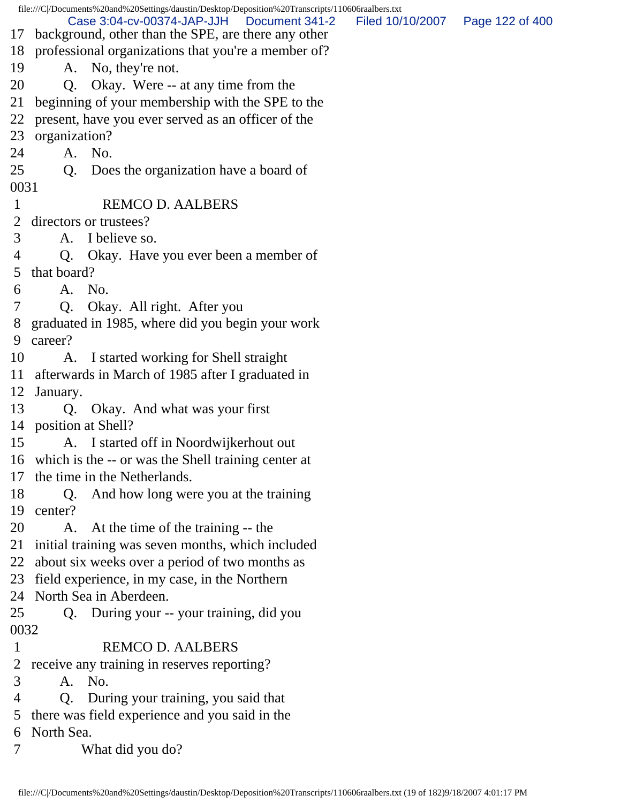|                | file:///C /Documents%20and%20Settings/daustin/Desktop/Deposition%20Transcripts/110606raalbers.txt      |                                   |  |
|----------------|--------------------------------------------------------------------------------------------------------|-----------------------------------|--|
|                | Case 3:04-cv-00374-JAP-JJH<br>Document 341-2<br>17 background, other than the SPE, are there any other | Filed 10/10/2007  Page 122 of 400 |  |
|                | 18 professional organizations that you're a member of?                                                 |                                   |  |
| 19             | A. No, they're not.                                                                                    |                                   |  |
| 20             | Q. Okay. Were -- at any time from the                                                                  |                                   |  |
| 21             | beginning of your membership with the SPE to the                                                       |                                   |  |
|                | 22 present, have you ever served as an officer of the                                                  |                                   |  |
|                | 23 organization?                                                                                       |                                   |  |
| 24             | A. No.                                                                                                 |                                   |  |
| 25             | Q. Does the organization have a board of                                                               |                                   |  |
| 0031           |                                                                                                        |                                   |  |
| $\mathbf{1}$   | <b>REMCO D. AALBERS</b>                                                                                |                                   |  |
| $\overline{2}$ | directors or trustees?                                                                                 |                                   |  |
| 3              | A. I believe so.                                                                                       |                                   |  |
| 4              | Q. Okay. Have you ever been a member of                                                                |                                   |  |
| 5              | that board?                                                                                            |                                   |  |
| 6              | A. No.                                                                                                 |                                   |  |
| 7              | Q. Okay. All right. After you                                                                          |                                   |  |
|                | 8 graduated in 1985, where did you begin your work                                                     |                                   |  |
| 9              | career?                                                                                                |                                   |  |
| 10             | A. I started working for Shell straight                                                                |                                   |  |
|                | 11 afterwards in March of 1985 after I graduated in                                                    |                                   |  |
|                | 12 January.                                                                                            |                                   |  |
| 13             | Q. Okay. And what was your first                                                                       |                                   |  |
|                | 14 position at Shell?                                                                                  |                                   |  |
| 15             | A. I started off in Noordwijkerhout out                                                                |                                   |  |
|                | 16 which is the -- or was the Shell training center at                                                 |                                   |  |
|                | 17 the time in the Netherlands.                                                                        |                                   |  |
| 18             | And how long were you at the training<br>$Q_{\rm c}$                                                   |                                   |  |
| 19             | center?                                                                                                |                                   |  |
| 20             | A. At the time of the training -- the                                                                  |                                   |  |
|                | 21 initial training was seven months, which included                                                   |                                   |  |
|                | 22 about six weeks over a period of two months as                                                      |                                   |  |
|                | 23 field experience, in my case, in the Northern                                                       |                                   |  |
|                | 24 North Sea in Aberdeen.                                                                              |                                   |  |
| 25             |                                                                                                        |                                   |  |
| 0032           | Q. During your -- your training, did you                                                               |                                   |  |
|                |                                                                                                        |                                   |  |
| $\mathbf{1}$   | <b>REMCO D. AALBERS</b>                                                                                |                                   |  |
| 2              | receive any training in reserves reporting?                                                            |                                   |  |
| 3              | A. No.                                                                                                 |                                   |  |
| 4              | Q. During your training, you said that                                                                 |                                   |  |
| 5              | there was field experience and you said in the                                                         |                                   |  |
| 6              | North Sea.                                                                                             |                                   |  |
| 7              | What did you do?                                                                                       |                                   |  |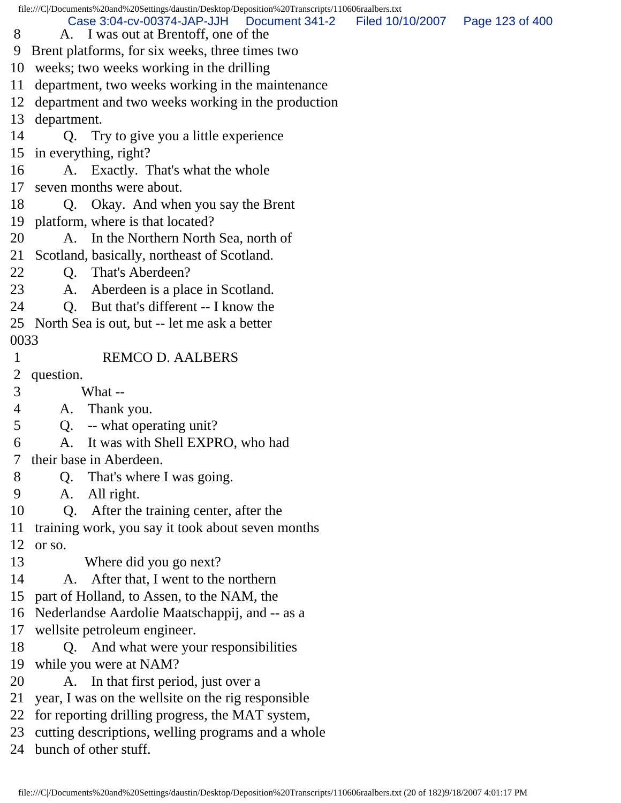|                | file:///C /Documents%20and%20Settings/daustin/Desktop/Deposition%20Transcripts/110606raalbers.txt |                                   |  |
|----------------|---------------------------------------------------------------------------------------------------|-----------------------------------|--|
| 8              | Case 3:04-cv-00374-JAP-JJH<br>Document 341-2<br>A. I was out at Brentoff, one of the              | Filed 10/10/2007  Page 123 of 400 |  |
| 9              | Brent platforms, for six weeks, three times two                                                   |                                   |  |
|                |                                                                                                   |                                   |  |
|                | 10 weeks; two weeks working in the drilling                                                       |                                   |  |
| 11             | department, two weeks working in the maintenance                                                  |                                   |  |
|                | 12 department and two weeks working in the production                                             |                                   |  |
|                | 13 department.                                                                                    |                                   |  |
| 14             | Q. Try to give you a little experience                                                            |                                   |  |
|                | 15 in everything, right?                                                                          |                                   |  |
| 16             | A. Exactly. That's what the whole                                                                 |                                   |  |
|                | 17 seven months were about.                                                                       |                                   |  |
| 18             | Q. Okay. And when you say the Brent                                                               |                                   |  |
|                | 19 platform, where is that located?                                                               |                                   |  |
| 20             | A. In the Northern North Sea, north of                                                            |                                   |  |
| 21             | Scotland, basically, northeast of Scotland.                                                       |                                   |  |
| 22             | Q. That's Aberdeen?                                                                               |                                   |  |
| 23             | A. Aberdeen is a place in Scotland.                                                               |                                   |  |
| 24             | But that's different -- I know the<br>$Q_{\rm c}$                                                 |                                   |  |
|                | 25 North Sea is out, but -- let me ask a better                                                   |                                   |  |
| 0033           |                                                                                                   |                                   |  |
| $\mathbf{1}$   | <b>REMCO D. AALBERS</b>                                                                           |                                   |  |
|                | 2 question.                                                                                       |                                   |  |
| 3              | What --                                                                                           |                                   |  |
| $\overline{4}$ | A. Thank you.                                                                                     |                                   |  |
| 5              | -- what operating unit?<br>Q.                                                                     |                                   |  |
| 6              | It was with Shell EXPRO, who had<br>A.                                                            |                                   |  |
| 7              | their base in Aberdeen.                                                                           |                                   |  |
| 8              | That's where I was going.<br>Q.                                                                   |                                   |  |
| 9              | All right.<br>A.                                                                                  |                                   |  |
| 10             | Q. After the training center, after the                                                           |                                   |  |
| 11             | training work, you say it took about seven months                                                 |                                   |  |
| 12             | or so.                                                                                            |                                   |  |
| 13             | Where did you go next?                                                                            |                                   |  |
| 14             | After that, I went to the northern<br>A.                                                          |                                   |  |
|                | 15 part of Holland, to Assen, to the NAM, the                                                     |                                   |  |
|                | 16 Nederlandse Aardolie Maatschappij, and -- as a                                                 |                                   |  |
| 17             | wellsite petroleum engineer.                                                                      |                                   |  |
| 18             | Q. And what were your responsibilities                                                            |                                   |  |
| 19             | while you were at NAM?                                                                            |                                   |  |
| 20             | A. In that first period, just over a                                                              |                                   |  |
| 21             | year, I was on the wellsite on the rig responsible                                                |                                   |  |
| 22             | for reporting drilling progress, the MAT system,                                                  |                                   |  |
|                | 23 cutting descriptions, welling programs and a whole                                             |                                   |  |
|                | 24 bunch of other stuff.                                                                          |                                   |  |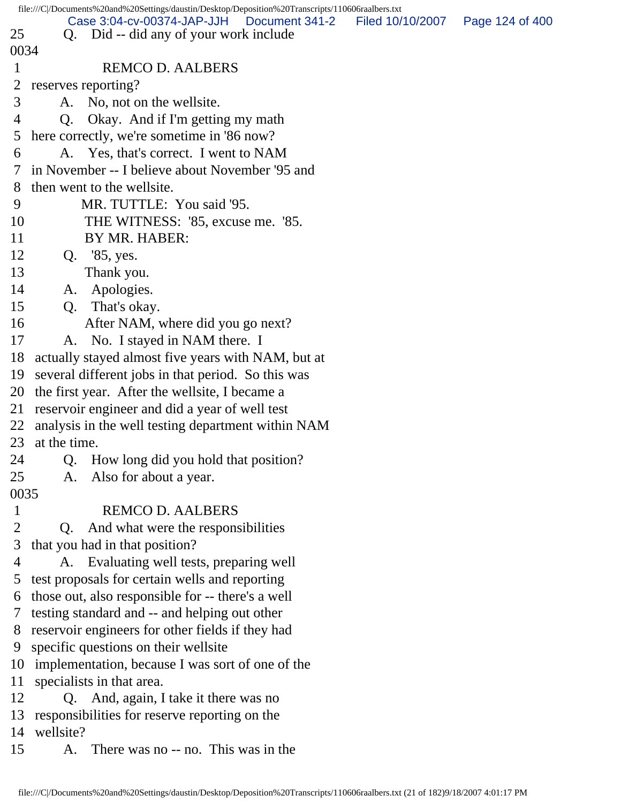|              | file:///C//Documents%20and%20Settings/daustin/Desktop/Deposition%20Transcripts/110606raalbers.txt |                  |                 |
|--------------|---------------------------------------------------------------------------------------------------|------------------|-----------------|
| 25           | Case 3:04-cv-00374-JAP-JJH<br>Document 341-2<br>Q. Did -- did any of your work include            | Filed 10/10/2007 | Page 124 of 400 |
| 0034         |                                                                                                   |                  |                 |
| $\mathbf{1}$ | <b>REMCO D. AALBERS</b>                                                                           |                  |                 |
| 2            |                                                                                                   |                  |                 |
|              | reserves reporting?                                                                               |                  |                 |
| 3            | A. No, not on the wellsite.                                                                       |                  |                 |
| 4            | Okay. And if I'm getting my math<br>Q.                                                            |                  |                 |
| 5            | here correctly, we're sometime in '86 now?                                                        |                  |                 |
| 6            | A. Yes, that's correct. I went to NAM                                                             |                  |                 |
| 7            | in November -- I believe about November '95 and                                                   |                  |                 |
| 8            | then went to the wellsite.                                                                        |                  |                 |
| 9            | MR. TUTTLE: You said '95.                                                                         |                  |                 |
| 10           | THE WITNESS: '85, excuse me. '85.                                                                 |                  |                 |
| 11           | BY MR. HABER:                                                                                     |                  |                 |
| 12           | Q. '85, yes.                                                                                      |                  |                 |
| 13           | Thank you.                                                                                        |                  |                 |
| 14           | Apologies.<br>A.                                                                                  |                  |                 |
| 15           | That's okay.<br>Q.                                                                                |                  |                 |
| 16           | After NAM, where did you go next?                                                                 |                  |                 |
| 17           | A. No. I stayed in NAM there. I                                                                   |                  |                 |
| 18           | actually stayed almost five years with NAM, but at                                                |                  |                 |
| 19           | several different jobs in that period. So this was                                                |                  |                 |
| 20           | the first year. After the wellsite, I became a                                                    |                  |                 |
| 21           | reservoir engineer and did a year of well test                                                    |                  |                 |
| 22           | analysis in the well testing department within NAM                                                |                  |                 |
| 23           | at the time.                                                                                      |                  |                 |
| 24           | Q. How long did you hold that position?                                                           |                  |                 |
| 25           | Also for about a year.<br>A.                                                                      |                  |                 |
| 0035         |                                                                                                   |                  |                 |
| $\mathbf{1}$ | <b>REMCO D. AALBERS</b>                                                                           |                  |                 |
| 2            | And what were the responsibilities<br>Q.                                                          |                  |                 |
| 3            | that you had in that position?                                                                    |                  |                 |
| 4            | A. Evaluating well tests, preparing well                                                          |                  |                 |
| 5            | test proposals for certain wells and reporting                                                    |                  |                 |
| 6            | those out, also responsible for -- there's a well                                                 |                  |                 |
| 7            | testing standard and -- and helping out other                                                     |                  |                 |
| 8            | reservoir engineers for other fields if they had                                                  |                  |                 |
| 9            | specific questions on their wellsite                                                              |                  |                 |
| 10           | implementation, because I was sort of one of the                                                  |                  |                 |
| 11           | specialists in that area.                                                                         |                  |                 |
| 12           | Q. And, again, I take it there was no                                                             |                  |                 |
| 13           | responsibilities for reserve reporting on the                                                     |                  |                 |
| 14           | wellsite?                                                                                         |                  |                 |
| 15           | There was no -- no. This was in the<br>A.                                                         |                  |                 |
|              |                                                                                                   |                  |                 |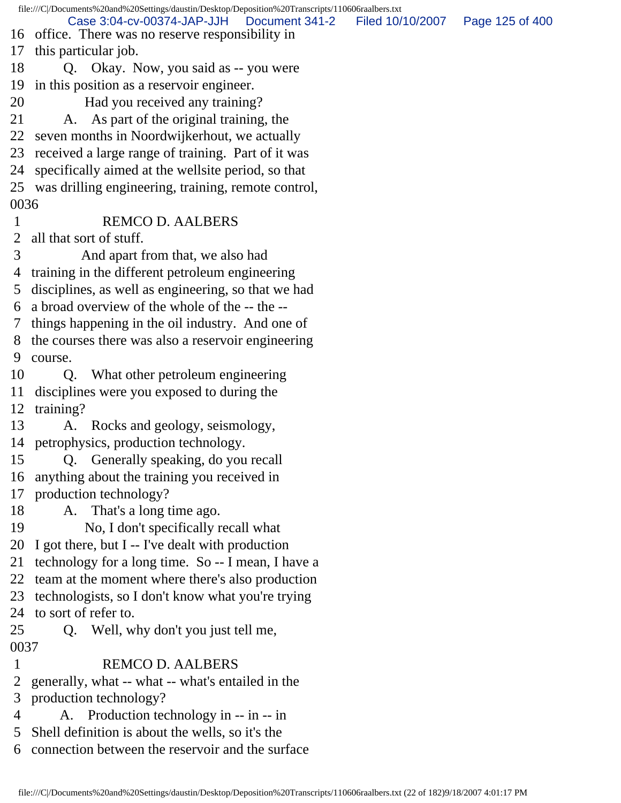file:///C|/Documents%20and%20Settings/daustin/Desktop/Deposition%20Transcripts/110606raalbers.txt 16 office. There was no reserve responsibility in 17 this particular job. 18 Q. Okay. Now, you said as -- you were 19 in this position as a reservoir engineer. 20 Had you received any training? 21 A. As part of the original training, the 22 seven months in Noordwijkerhout, we actually 23 received a large range of training. Part of it was 24 specifically aimed at the wellsite period, so that 25 was drilling engineering, training, remote control, 0036 1 REMCO D. AALBERS 2 all that sort of stuff. 3 And apart from that, we also had 4 training in the different petroleum engineering 5 disciplines, as well as engineering, so that we had 6 a broad overview of the whole of the -- the -- 7 things happening in the oil industry. And one of 8 the courses there was also a reservoir engineering 9 course. 10 Q. What other petroleum engineering 11 disciplines were you exposed to during the 12 training? 13 A. Rocks and geology, seismology, 14 petrophysics, production technology. 15 Q. Generally speaking, do you recall 16 anything about the training you received in 17 production technology? 18 A. That's a long time ago. 19 No, I don't specifically recall what 20 I got there, but I -- I've dealt with production 21 technology for a long time. So -- I mean, I have a 22 team at the moment where there's also production 23 technologists, so I don't know what you're trying 24 to sort of refer to. 25 Q. Well, why don't you just tell me, 0037 1 REMCO D. AALBERS 2 generally, what -- what -- what's entailed in the 3 production technology? 4 A. Production technology in -- in -- in 5 Shell definition is about the wells, so it's the 6 connection between the reservoir and the surface Case 3:04-cv-00374-JAP-JJH Document 341-2 Filed 10/10/2007 Page 125 of 400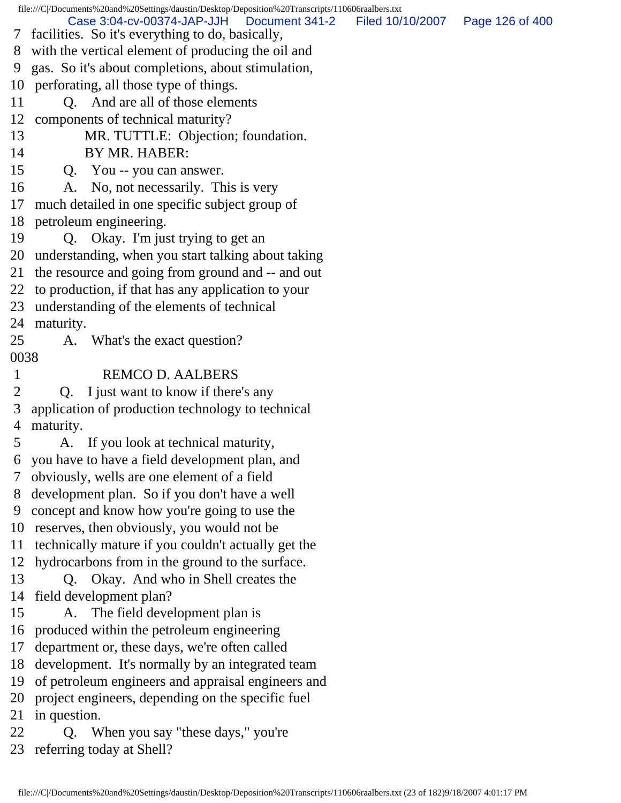file:///C|/Documents%20and%20Settings/daustin/Desktop/Deposition%20Transcripts/110606raalbers.txt Case 3:04-cv-00374-JAP-JJH Document 341-2 Filed 10/10/2007 Page 126 of 400

- 7 facilities. So it's everything to do, basically,
- 8 with the vertical element of producing the oil and
- 9 gas. So it's about completions, about stimulation,
- 10 perforating, all those type of things.
- 11 O. And are all of those elements
- 12 components of technical maturity?
- 13 MR. TUTTLE: Objection; foundation.
- 14 BY MR. HABER:
- 15 Q. You -- you can answer.
- 16 A. No, not necessarily. This is very
- 17 much detailed in one specific subject group of
- 18 petroleum engineering.
- 19 Q. Okay. I'm just trying to get an
- 20 understanding, when you start talking about taking
- 21 the resource and going from ground and -- and out
- 22 to production, if that has any application to your
- 23 understanding of the elements of technical
- 24 maturity.
- 25 A. What's the exact question? 0038
- 1 REMCO D. AALBERS
- 2 Q. I just want to know if there's any
- 3 application of production technology to technical 4 maturity.
- 5 A. If you look at technical maturity, 6 you have to have a field development plan, and
- 7 obviously, wells are one element of a field
- 8 development plan. So if you don't have a well 9 concept and know how you're going to use the
- 10 reserves, then obviously, you would not be
- 11 technically mature if you couldn't actually get the
- 12 hydrocarbons from in the ground to the surface.
- 13 Q. Okay. And who in Shell creates the 14 field development plan?
- 15 A. The field development plan is
- 16 produced within the petroleum engineering
- 17 department or, these days, we're often called
- 18 development. It's normally by an integrated team
- 19 of petroleum engineers and appraisal engineers and
- 20 project engineers, depending on the specific fuel
- 21 in question.
- 22 Q. When you say "these days," you're
- 23 referring today at Shell?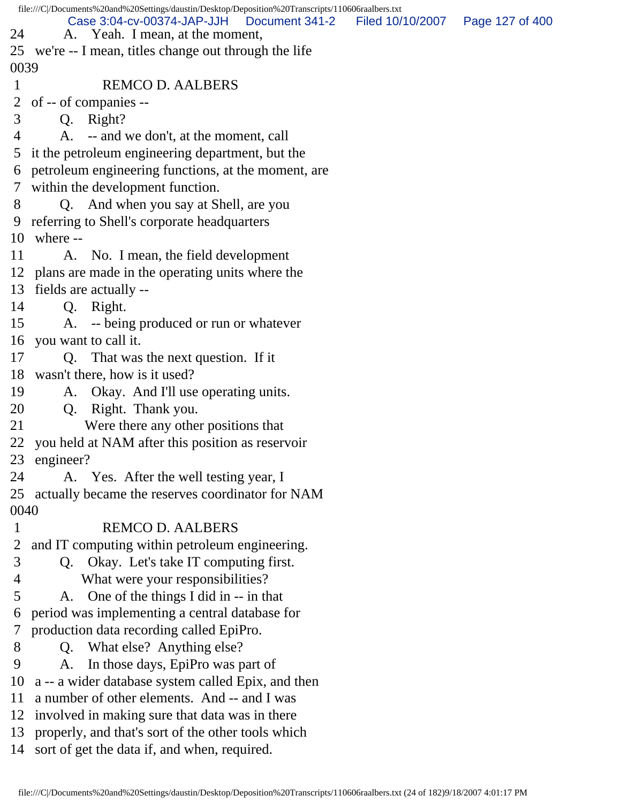file:///C|/Documents%20and%20Settings/daustin/Desktop/Deposition%20Transcripts/110606raalbers.txt 24 A. Yeah. I mean, at the moment, 25 we're -- I mean, titles change out through the life 0039 1 REMCO D. AALBERS 2 of -- of companies -- 3 Q. Right? 4 A. -- and we don't, at the moment, call 5 it the petroleum engineering department, but the 6 petroleum engineering functions, at the moment, are 7 within the development function. 8 Q. And when you say at Shell, are you 9 referring to Shell's corporate headquarters 10 where -- 11 A. No. I mean, the field development 12 plans are made in the operating units where the 13 fields are actually -- 14 Q. Right. 15 A. -- being produced or run or whatever 16 you want to call it. 17 Q. That was the next question. If it 18 wasn't there, how is it used? 19 A. Okay. And I'll use operating units. 20 Q. Right. Thank you. 21 Were there any other positions that 22 you held at NAM after this position as reservoir 23 engineer? 24 A. Yes. After the well testing year, I 25 actually became the reserves coordinator for NAM 0040 1 REMCO D. AALBERS 2 and IT computing within petroleum engineering. 3 Q. Okay. Let's take IT computing first. 4 What were your responsibilities? 5 A. One of the things I did in -- in that 6 period was implementing a central database for 7 production data recording called EpiPro. 8 Q. What else? Anything else? 9 A. In those days, EpiPro was part of 10 a -- a wider database system called Epix, and then 11 a number of other elements. And -- and I was 12 involved in making sure that data was in there 13 properly, and that's sort of the other tools which 14 sort of get the data if, and when, required. Case 3:04-cv-00374-JAP-JJH Document 341-2 Filed 10/10/2007 Page 127 of 400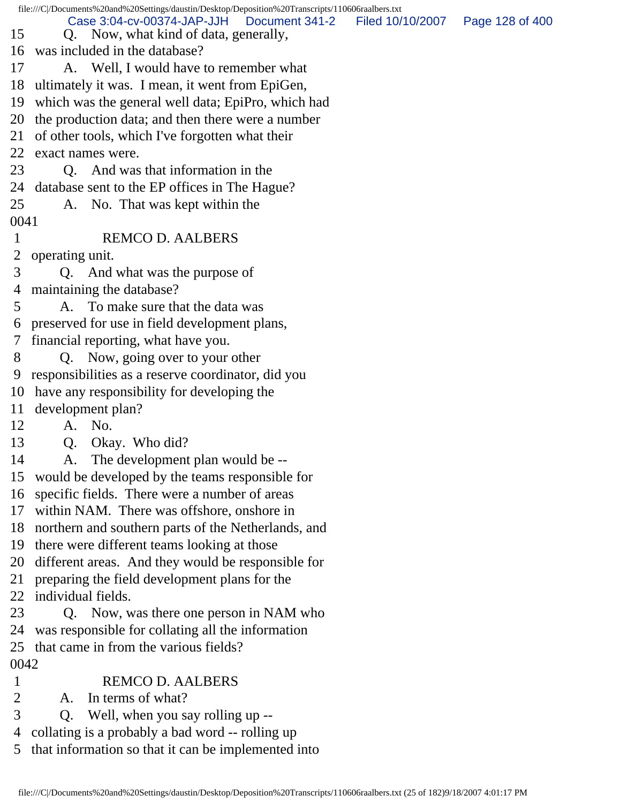|             | file:///C//Documents%20and%20Settings/daustin/Desktop/Deposition%20Transcripts/110606raalbers.txt |                  |                 |
|-------------|---------------------------------------------------------------------------------------------------|------------------|-----------------|
| 15          | Case 3:04-cv-00374-JAP-JJH<br>Document 341-2<br>Q. Now, what kind of data, generally,             | Filed 10/10/2007 | Page 128 of 400 |
| 16          | was included in the database?                                                                     |                  |                 |
| 17          | A. Well, I would have to remember what                                                            |                  |                 |
| 18          | ultimately it was. I mean, it went from EpiGen,                                                   |                  |                 |
| 19          | which was the general well data; EpiPro, which had                                                |                  |                 |
| 20          | the production data; and then there were a number                                                 |                  |                 |
| 21          | of other tools, which I've forgotten what their                                                   |                  |                 |
| 22          | exact names were.                                                                                 |                  |                 |
| 23          | Q. And was that information in the                                                                |                  |                 |
| 24          | database sent to the EP offices in The Hague?                                                     |                  |                 |
| 25          | A. No. That was kept within the                                                                   |                  |                 |
| 0041        |                                                                                                   |                  |                 |
| 1           | <b>REMCO D. AALBERS</b>                                                                           |                  |                 |
| 2           | operating unit.                                                                                   |                  |                 |
| 3           | Q. And what was the purpose of                                                                    |                  |                 |
| 4           | maintaining the database?                                                                         |                  |                 |
| 5           | To make sure that the data was<br>A.                                                              |                  |                 |
| 6           | preserved for use in field development plans,                                                     |                  |                 |
| 7           | financial reporting, what have you.                                                               |                  |                 |
| 8           | Q. Now, going over to your other                                                                  |                  |                 |
| 9           | responsibilities as a reserve coordinator, did you                                                |                  |                 |
| 10          | have any responsibility for developing the                                                        |                  |                 |
| 11          | development plan?                                                                                 |                  |                 |
| 12          | A. No.                                                                                            |                  |                 |
| 13          | Okay. Who did?<br>Q.                                                                              |                  |                 |
| 14          | A. The development plan would be --                                                               |                  |                 |
| 15          | would be developed by the teams responsible for                                                   |                  |                 |
| 16          | specific fields. There were a number of areas                                                     |                  |                 |
| 17          | within NAM. There was offshore, onshore in                                                        |                  |                 |
| 18          | northern and southern parts of the Netherlands, and                                               |                  |                 |
| 19          | there were different teams looking at those                                                       |                  |                 |
| 20          | different areas. And they would be responsible for                                                |                  |                 |
| 21          | preparing the field development plans for the                                                     |                  |                 |
| 22          | individual fields.                                                                                |                  |                 |
| 23          | Q. Now, was there one person in NAM who                                                           |                  |                 |
| 24          | was responsible for collating all the information                                                 |                  |                 |
| 25          | that came in from the various fields?                                                             |                  |                 |
| 0042        |                                                                                                   |                  |                 |
| $\mathbf 1$ | <b>REMCO D. AALBERS</b>                                                                           |                  |                 |
| 2           | In terms of what?<br>A.                                                                           |                  |                 |
| 3           | Well, when you say rolling up --<br>Q.                                                            |                  |                 |
| 4           | collating is a probably a bad word -- rolling up                                                  |                  |                 |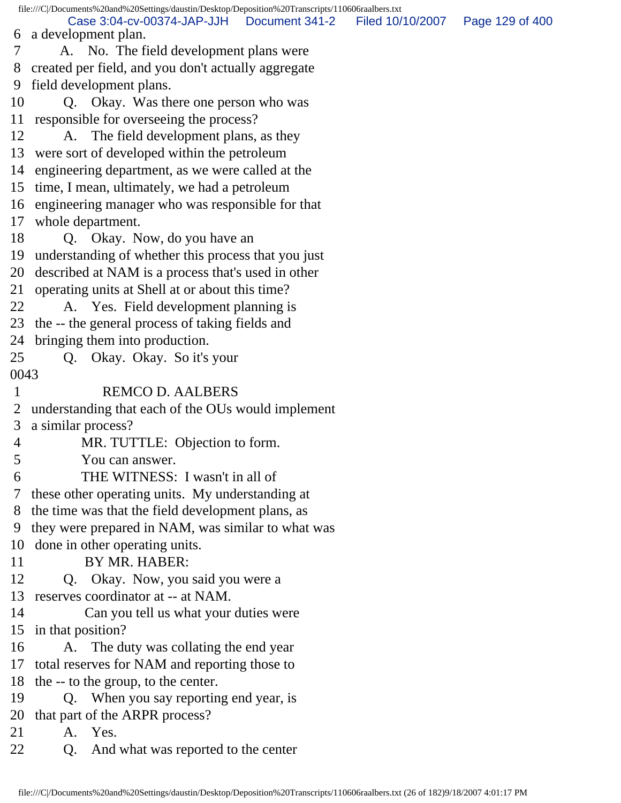file:///C|/Documents%20and%20Settings/daustin/Desktop/Deposition%20Transcripts/110606raalbers.txt 6 a development plan. 7 A. No. The field development plans were 8 created per field, and you don't actually aggregate 9 field development plans. 10 Q. Okay. Was there one person who was 11 responsible for overseeing the process? 12 A. The field development plans, as they 13 were sort of developed within the petroleum 14 engineering department, as we were called at the 15 time, I mean, ultimately, we had a petroleum 16 engineering manager who was responsible for that 17 whole department. 18 Q. Okay. Now, do you have an 19 understanding of whether this process that you just 20 described at NAM is a process that's used in other 21 operating units at Shell at or about this time? 22 A. Yes. Field development planning is 23 the -- the general process of taking fields and 24 bringing them into production. 25 Q. Okay. Okay. So it's your 0043 1 REMCO D. AALBERS 2 understanding that each of the OUs would implement 3 a similar process? 4 MR. TUTTLE: Objection to form. 5 You can answer. 6 THE WITNESS: I wasn't in all of 7 these other operating units. My understanding at 8 the time was that the field development plans, as 9 they were prepared in NAM, was similar to what was 10 done in other operating units. 11 BY MR. HABER: 12 Q. Okay. Now, you said you were a 13 reserves coordinator at -- at NAM. 14 Can you tell us what your duties were 15 in that position? 16 A. The duty was collating the end year 17 total reserves for NAM and reporting those to 18 the -- to the group, to the center. 19 Q. When you say reporting end year, is 20 that part of the ARPR process? 21 A. Yes. 22 Q. And what was reported to the center Case 3:04-cv-00374-JAP-JJH Document 341-2 Filed 10/10/2007 Page 129 of 400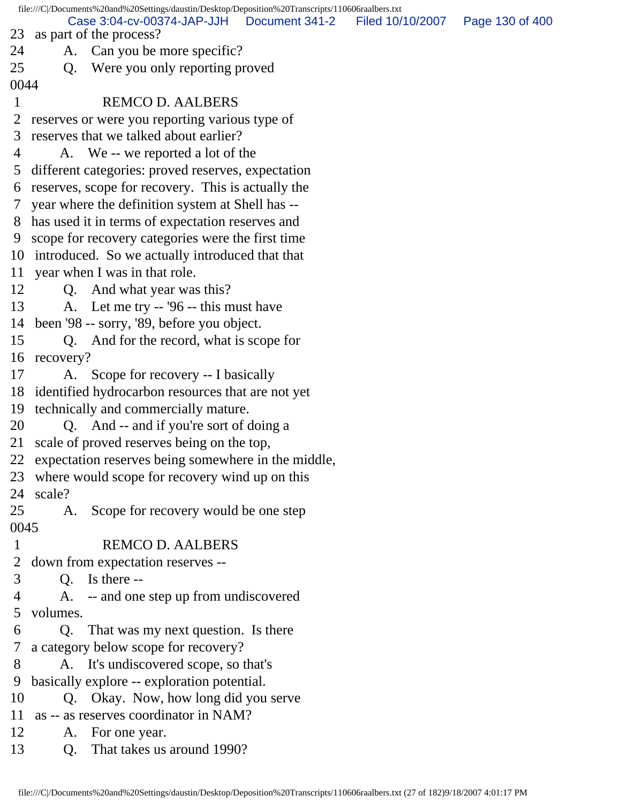file:///C|/Documents%20and%20Settings/daustin/Desktop/Deposition%20Transcripts/110606raalbers.txt 23 as part of the process? 24 A. Can you be more specific? 25 Q. Were you only reporting proved 0044 1 REMCO D. AALBERS 2 reserves or were you reporting various type of 3 reserves that we talked about earlier? 4 A. We -- we reported a lot of the 5 different categories: proved reserves, expectation 6 reserves, scope for recovery. This is actually the 7 year where the definition system at Shell has -- 8 has used it in terms of expectation reserves and 9 scope for recovery categories were the first time 10 introduced. So we actually introduced that that 11 year when I was in that role. 12 Q. And what year was this? 13 A. Let me try -- '96 -- this must have 14 been '98 -- sorry, '89, before you object. 15 Q. And for the record, what is scope for 16 recovery? 17 A. Scope for recovery -- I basically 18 identified hydrocarbon resources that are not yet 19 technically and commercially mature. 20 Q. And -- and if you're sort of doing a 21 scale of proved reserves being on the top, 22 expectation reserves being somewhere in the middle, 23 where would scope for recovery wind up on this 24 scale? 25 A. Scope for recovery would be one step 0045 1 REMCO D. AALBERS 2 down from expectation reserves -- 3 Q. Is there -- 4 A. -- and one step up from undiscovered 5 volumes. 6 Q. That was my next question. Is there 7 a category below scope for recovery? 8 A. It's undiscovered scope, so that's 9 basically explore -- exploration potential. 10 Q. Okay. Now, how long did you serve 11 as -- as reserves coordinator in NAM? 12 A. For one year. 13 Q. That takes us around 1990? Case 3:04-cv-00374-JAP-JJH Document 341-2 Filed 10/10/2007 Page 130 of 400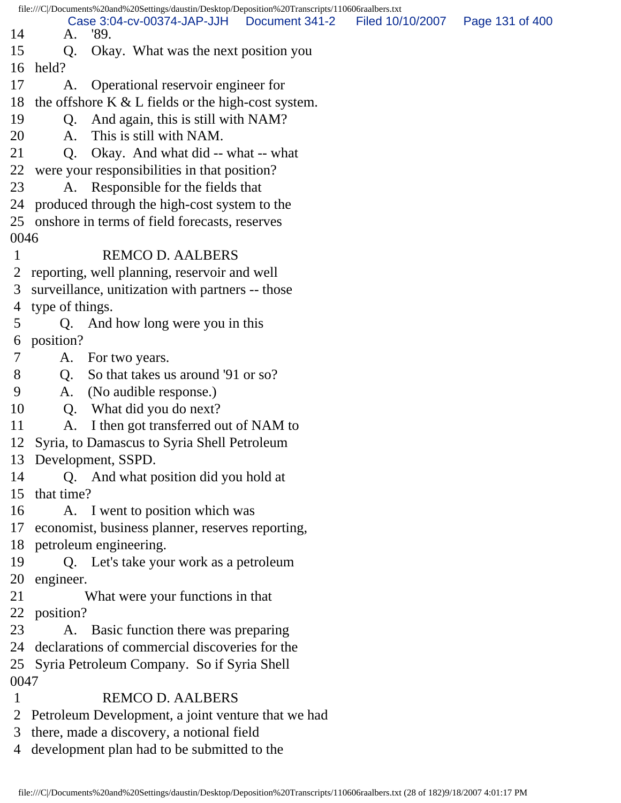file:///C|/Documents%20and%20Settings/daustin/Desktop/Deposition%20Transcripts/110606raalbers.txt 14 A. '89. 15 Q. Okay. What was the next position you 16 held? 17 A. Operational reservoir engineer for 18 the offshore K  $&$  L fields or the high-cost system. 19 Q. And again, this is still with NAM? 20 A. This is still with NAM. 21 Q. Okay. And what did -- what -- what 22 were your responsibilities in that position? 23 A. Responsible for the fields that 24 produced through the high-cost system to the 25 onshore in terms of field forecasts, reserves 0046 1 REMCO D. AALBERS 2 reporting, well planning, reservoir and well 3 surveillance, unitization with partners -- those 4 type of things. 5 Q. And how long were you in this 6 position? 7 A. For two years. 8 Q. So that takes us around '91 or so? 9 A. (No audible response.) 10 Q. What did you do next? 11 A. I then got transferred out of NAM to 12 Syria, to Damascus to Syria Shell Petroleum 13 Development, SSPD. 14 Q. And what position did you hold at 15 that time? 16 A. I went to position which was 17 economist, business planner, reserves reporting, 18 petroleum engineering. 19 Q. Let's take your work as a petroleum 20 engineer. 21 What were your functions in that 22 position? 23 A. Basic function there was preparing 24 declarations of commercial discoveries for the 25 Syria Petroleum Company. So if Syria Shell 0047 1 REMCO D. AALBERS 2 Petroleum Development, a joint venture that we had 3 there, made a discovery, a notional field Case 3:04-cv-00374-JAP-JJH Document 341-2 Filed 10/10/2007 Page 131 of 400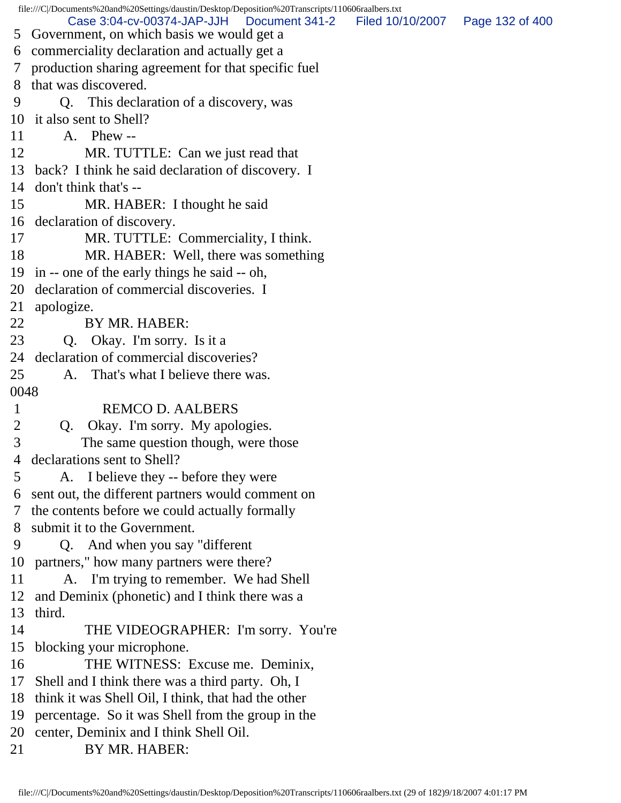file:///C|/Documents%20and%20Settings/daustin/Desktop/Deposition%20Transcripts/110606raalbers.txt 5 Government, on which basis we would get a 6 commerciality declaration and actually get a 7 production sharing agreement for that specific fuel 8 that was discovered. 9 Q. This declaration of a discovery, was 10 it also sent to Shell? 11 A. Phew -- 12 MR. TUTTLE: Can we just read that 13 back? I think he said declaration of discovery. I 14 don't think that's -- 15 MR. HABER: I thought he said 16 declaration of discovery. 17 MR. TUTTLE: Commerciality, I think. 18 MR. HABER: Well, there was something 19 in -- one of the early things he said -- oh, 20 declaration of commercial discoveries. I 21 apologize. 22 BY MR. HABER: 23 Q. Okay. I'm sorry. Is it a 24 declaration of commercial discoveries? 25 A. That's what I believe there was. 0048 1 REMCO D. AALBERS 2 Q. Okay. I'm sorry. My apologies. 3 The same question though, were those 4 declarations sent to Shell? 5 A. I believe they -- before they were 6 sent out, the different partners would comment on 7 the contents before we could actually formally 8 submit it to the Government. 9 Q. And when you say "different 10 partners," how many partners were there? 11 A. I'm trying to remember. We had Shell 12 and Deminix (phonetic) and I think there was a 13 third. 14 THE VIDEOGRAPHER: I'm sorry. You're 15 blocking your microphone. 16 THE WITNESS: Excuse me. Deminix, 17 Shell and I think there was a third party. Oh, I 18 think it was Shell Oil, I think, that had the other 19 percentage. So it was Shell from the group in the 20 center, Deminix and I think Shell Oil. 21 BY MR. HABER: Case 3:04-cv-00374-JAP-JJH Document 341-2 Filed 10/10/2007 Page 132 of 400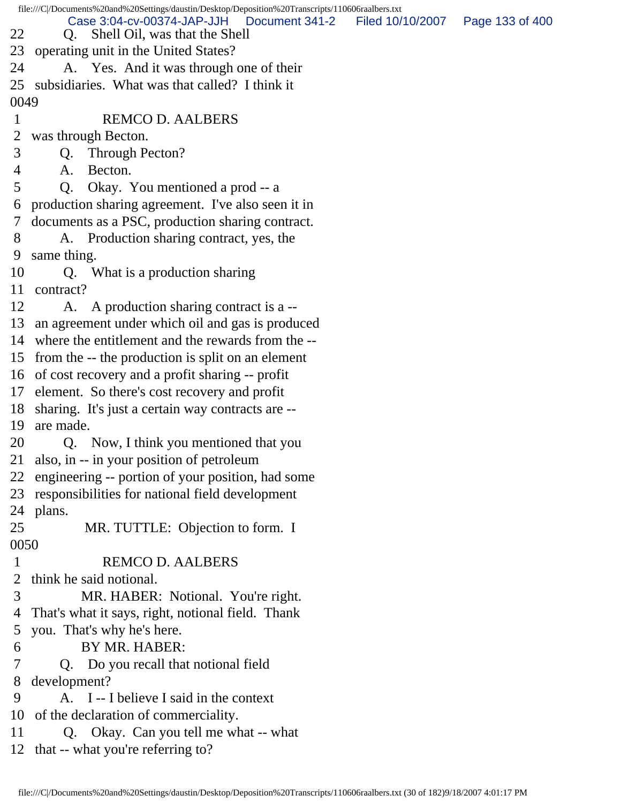|                | file:///C /Documents%20and%20Settings/daustin/Desktop/Deposition%20Transcripts/110606raalbers.txt |                                   |  |
|----------------|---------------------------------------------------------------------------------------------------|-----------------------------------|--|
| 22             | Case 3:04-cv-00374-JAP-JJH<br>Document 341-2<br>Shell Oil, was that the Shell<br>Q.               | Filed 10/10/2007  Page 133 of 400 |  |
|                | 23 operating unit in the United States?                                                           |                                   |  |
| 24             | A. Yes. And it was through one of their                                                           |                                   |  |
|                | 25 subsidiaries. What was that called? I think it                                                 |                                   |  |
| 0049           |                                                                                                   |                                   |  |
| $\mathbf{1}$   | <b>REMCO D. AALBERS</b>                                                                           |                                   |  |
| $\overline{2}$ | was through Becton.                                                                               |                                   |  |
| 3              | Through Pecton?<br>Q.                                                                             |                                   |  |
| 4              | Becton.<br>A.                                                                                     |                                   |  |
| 5              | Okay. You mentioned a prod -- a<br>Q <sub>r</sub>                                                 |                                   |  |
| 6              | production sharing agreement. I've also seen it in                                                |                                   |  |
| 7 <sup>1</sup> | documents as a PSC, production sharing contract.                                                  |                                   |  |
| 8              | A. Production sharing contract, yes, the                                                          |                                   |  |
| 9              | same thing.                                                                                       |                                   |  |
| 10             | Q. What is a production sharing                                                                   |                                   |  |
| 11             | contract?                                                                                         |                                   |  |
| 12             | A. A production sharing contract is a --                                                          |                                   |  |
| 13             | an agreement under which oil and gas is produced                                                  |                                   |  |
|                | 14 where the entitlement and the rewards from the --                                              |                                   |  |
|                | 15 from the -- the production is split on an element                                              |                                   |  |
|                | 16 of cost recovery and a profit sharing -- profit                                                |                                   |  |
|                | 17 element. So there's cost recovery and profit                                                   |                                   |  |
|                | 18 sharing. It's just a certain way contracts are --                                              |                                   |  |
|                | 19 are made.                                                                                      |                                   |  |
| 20             | Q. Now, I think you mentioned that you                                                            |                                   |  |
|                | 21 also, in -- in your position of petroleum                                                      |                                   |  |
|                | 22 engineering -- portion of your position, had some                                              |                                   |  |
| 23             | responsibilities for national field development                                                   |                                   |  |
|                | 24 plans.                                                                                         |                                   |  |
| 25             | MR. TUTTLE: Objection to form. I                                                                  |                                   |  |
| 0050           |                                                                                                   |                                   |  |
| $\mathbf{1}$   | <b>REMCO D. AALBERS</b>                                                                           |                                   |  |
| 2              | think he said notional.                                                                           |                                   |  |
| 3              | MR. HABER: Notional. You're right.                                                                |                                   |  |
| 4              | That's what it says, right, notional field. Thank                                                 |                                   |  |
| 5              | you. That's why he's here.                                                                        |                                   |  |
| 6              | BY MR. HABER:                                                                                     |                                   |  |
| 7              | Q. Do you recall that notional field                                                              |                                   |  |
| 8              | development?                                                                                      |                                   |  |
| 9              | A. I -- I believe I said in the context                                                           |                                   |  |
| 10             | of the declaration of commerciality.                                                              |                                   |  |
| 11             | Q. Okay. Can you tell me what -- what                                                             |                                   |  |
|                | 12 that -- what you're referring to?                                                              |                                   |  |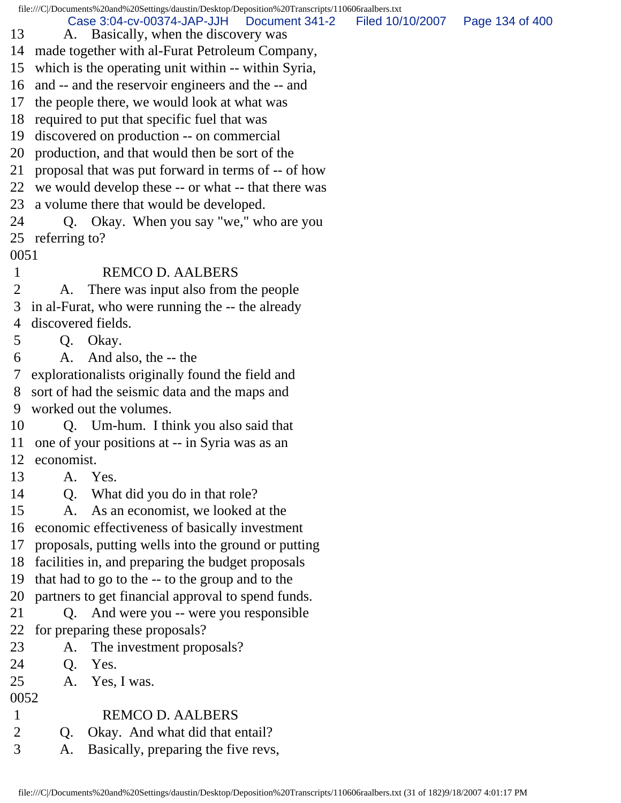file:///C|/Documents%20and%20Settings/daustin/Desktop/Deposition%20Transcripts/110606raalbers.txt

Case 3:04-cv-00374-JAP-JJH Document 341-2 Filed 10/10/2007 Page 134 of 400

- 13 A. Basically, when the discovery was
- 14 made together with al-Furat Petroleum Company,
- 15 which is the operating unit within -- within Syria,
- 16 and -- and the reservoir engineers and the -- and
- 17 the people there, we would look at what was
- 18 required to put that specific fuel that was
- 19 discovered on production -- on commercial
- 20 production, and that would then be sort of the
- 21 proposal that was put forward in terms of -- of how
- 22 we would develop these -- or what -- that there was
- 23 a volume there that would be developed.
- 24 Q. Okay. When you say "we," who are you 25 referring to?
- 0051
- 1 REMCO D. AALBERS
- 2 A. There was input also from the people 3 in al-Furat, who were running the -- the already 4 discovered fields.
- 5 Q. Okay.
- 6 A. And also, the -- the
- 7 explorationalists originally found the field and 8 sort of had the seismic data and the maps and 9 worked out the volumes.
- 10 Q. Um-hum. I think you also said that 11 one of your positions at -- in Syria was as an 12 economist.
- 13 A. Yes.
- 14 Q. What did you do in that role?
- 15 A. As an economist, we looked at the
- 16 economic effectiveness of basically investment
- 17 proposals, putting wells into the ground or putting
- 18 facilities in, and preparing the budget proposals
- 19 that had to go to the -- to the group and to the
- 20 partners to get financial approval to spend funds.
- 21 Q. And were you -- were you responsible 22 for preparing these proposals?
- 
- 23 A. The investment proposals?
- 24 Q. Yes.
- 25 A. Yes, I was.
- 0052
- 1 REMCO D. AALBERS
- 2 Q. Okay. And what did that entail?
- 3 A. Basically, preparing the five revs,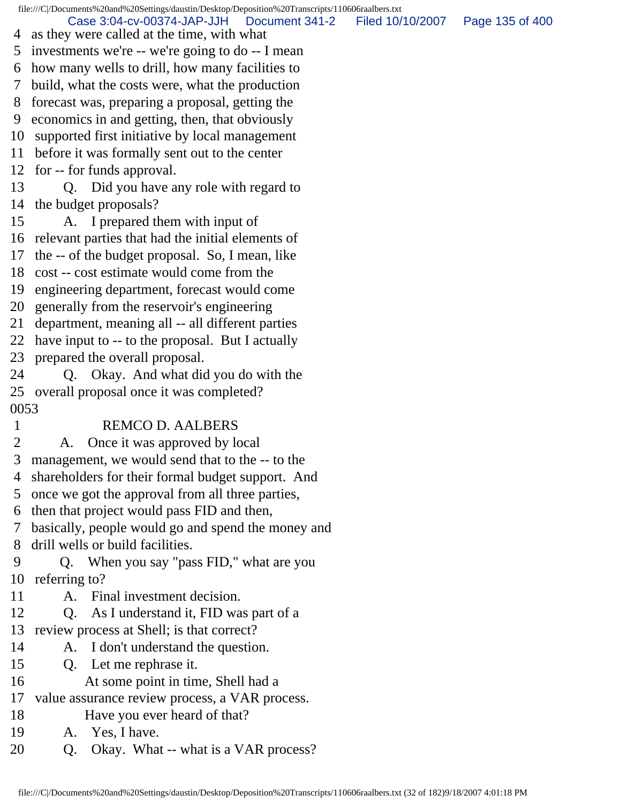file:///C|/Documents%20and%20Settings/daustin/Desktop/Deposition%20Transcripts/110606raalbers.txt 4 as they were called at the time, with what 5 investments we're -- we're going to do -- I mean 6 how many wells to drill, how many facilities to 7 build, what the costs were, what the production 8 forecast was, preparing a proposal, getting the 9 economics in and getting, then, that obviously 10 supported first initiative by local management 11 before it was formally sent out to the center 12 for -- for funds approval. 13 Q. Did you have any role with regard to 14 the budget proposals? 15 A. I prepared them with input of 16 relevant parties that had the initial elements of 17 the -- of the budget proposal. So, I mean, like 18 cost -- cost estimate would come from the 19 engineering department, forecast would come 20 generally from the reservoir's engineering 21 department, meaning all -- all different parties 22 have input to -- to the proposal. But I actually 23 prepared the overall proposal. 24 Q. Okay. And what did you do with the 25 overall proposal once it was completed? 0053 1 REMCO D. AALBERS 2 A. Once it was approved by local 3 management, we would send that to the -- to the 4 shareholders for their formal budget support. And 5 once we got the approval from all three parties, 6 then that project would pass FID and then, 7 basically, people would go and spend the money and 8 drill wells or build facilities. 9 Q. When you say "pass FID," what are you 10 referring to? 11 A. Final investment decision. 12 Q. As I understand it, FID was part of a 13 review process at Shell; is that correct? 14 A. I don't understand the question. 15 Q. Let me rephrase it. 16 At some point in time, Shell had a 17 value assurance review process, a VAR process. 18 Have you ever heard of that? 19 A. Yes, I have. 20 Q. Okay. What -- what is a VAR process? Case 3:04-cv-00374-JAP-JJH Document 341-2 Filed 10/10/2007 Page 135 of 400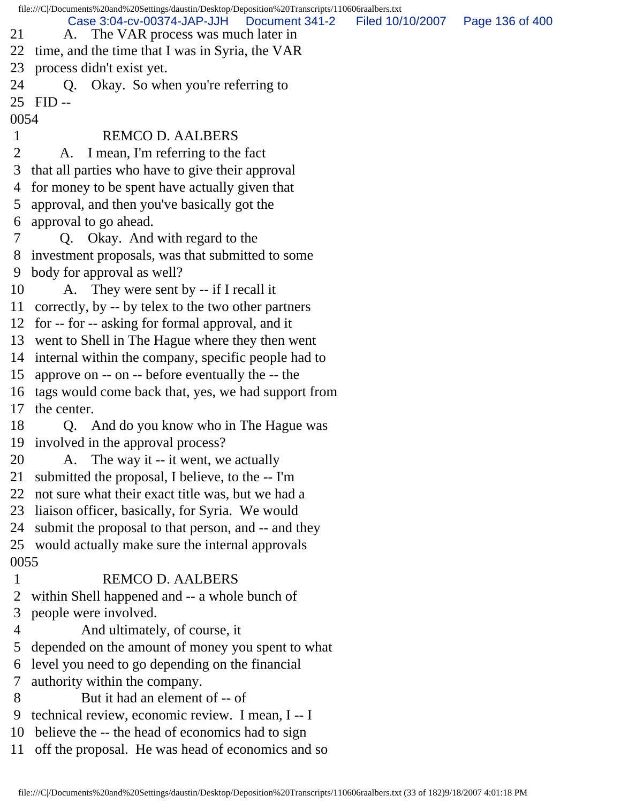file:///C|/Documents%20and%20Settings/daustin/Desktop/Deposition%20Transcripts/110606raalbers.txt 21 A. The VAR process was much later in 22 time, and the time that I was in Syria, the VAR 23 process didn't exist yet. 24 Q. Okay. So when you're referring to 25 FID -- 0054 1 REMCO D. AALBERS 2 A. I mean, I'm referring to the fact 3 that all parties who have to give their approval 4 for money to be spent have actually given that 5 approval, and then you've basically got the 6 approval to go ahead. 7 Q. Okay. And with regard to the 8 investment proposals, was that submitted to some 9 body for approval as well? 10 A. They were sent by -- if I recall it 11 correctly, by -- by telex to the two other partners 12 for -- for -- asking for formal approval, and it 13 went to Shell in The Hague where they then went 14 internal within the company, specific people had to 15 approve on -- on -- before eventually the -- the 16 tags would come back that, yes, we had support from 17 the center. 18 Q. And do you know who in The Hague was 19 involved in the approval process? 20 A. The way it -- it went, we actually 21 submitted the proposal, I believe, to the -- I'm 22 not sure what their exact title was, but we had a 23 liaison officer, basically, for Syria. We would 24 submit the proposal to that person, and -- and they 25 would actually make sure the internal approvals 0055 1 REMCO D. AALBERS 2 within Shell happened and -- a whole bunch of 3 people were involved. 4 And ultimately, of course, it 5 depended on the amount of money you spent to what 6 level you need to go depending on the financial 7 authority within the company. 8 But it had an element of -- of 9 technical review, economic review. I mean, I -- I 10 believe the -- the head of economics had to sign 11 off the proposal. He was head of economics and so Case 3:04-cv-00374-JAP-JJH Document 341-2 Filed 10/10/2007 Page 136 of 400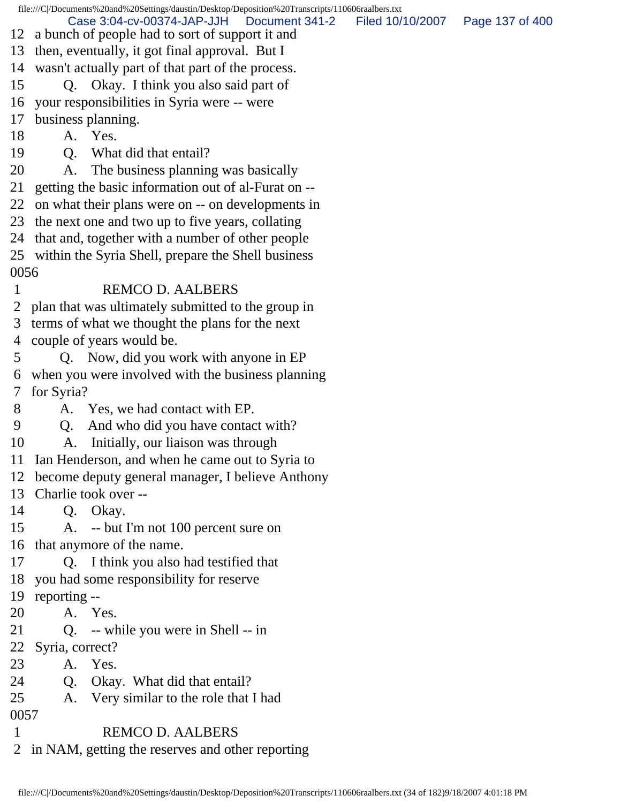|            |                 | file:///C /Documents%20and%20Settings/daustin/Desktop/Deposition%20Transcripts/110606raalbers.txt  |                  |                 |
|------------|-----------------|----------------------------------------------------------------------------------------------------|------------------|-----------------|
|            |                 | Case 3:04-cv-00374-JAP-JJH<br>Document 341-2<br>12 a bunch of people had to sort of support it and | Filed 10/10/2007 | Page 137 of 400 |
| 13         |                 | then, eventually, it got final approval. But I                                                     |                  |                 |
| 14         |                 | wasn't actually part of that part of the process.                                                  |                  |                 |
| 15         |                 | Q. Okay. I think you also said part of                                                             |                  |                 |
| 16         |                 | your responsibilities in Syria were -- were                                                        |                  |                 |
| 17         |                 | business planning.                                                                                 |                  |                 |
| 18         |                 | A. Yes.                                                                                            |                  |                 |
| 19         |                 | Q. What did that entail?                                                                           |                  |                 |
| 20         | A.              | The business planning was basically                                                                |                  |                 |
| 21         |                 | getting the basic information out of al-Furat on --                                                |                  |                 |
| 22         |                 | on what their plans were on -- on developments in                                                  |                  |                 |
|            |                 | 23 the next one and two up to five years, collating                                                |                  |                 |
| 24         |                 | that and, together with a number of other people                                                   |                  |                 |
|            |                 | 25 within the Syria Shell, prepare the Shell business                                              |                  |                 |
| 0056       |                 |                                                                                                    |                  |                 |
| 1          |                 | <b>REMCO D. AALBERS</b>                                                                            |                  |                 |
| 2          |                 | plan that was ultimately submitted to the group in                                                 |                  |                 |
| 3          |                 | terms of what we thought the plans for the next                                                    |                  |                 |
| 4          |                 | couple of years would be.                                                                          |                  |                 |
| 5          |                 |                                                                                                    |                  |                 |
|            |                 | Q. Now, did you work with anyone in EP                                                             |                  |                 |
| 6<br>7     | for Syria?      | when you were involved with the business planning                                                  |                  |                 |
| 8          |                 | A. Yes, we had contact with EP.                                                                    |                  |                 |
| 9          |                 |                                                                                                    |                  |                 |
|            | Q.              | And who did you have contact with?                                                                 |                  |                 |
| 10         | A.              | Initially, our liaison was through                                                                 |                  |                 |
|            |                 | 11 Ian Henderson, and when he came out to Syria to                                                 |                  |                 |
| 12         |                 | become deputy general manager, I believe Anthony<br>Charlie took over --                           |                  |                 |
| 13         |                 |                                                                                                    |                  |                 |
| 14         |                 | Q. Okay.                                                                                           |                  |                 |
| 15         |                 | A. -- but I'm not 100 percent sure on<br>16 that anymore of the name.                              |                  |                 |
| 17         |                 |                                                                                                    |                  |                 |
| 18         |                 | Q. I think you also had testified that                                                             |                  |                 |
| 19         |                 | you had some responsibility for reserve                                                            |                  |                 |
| 20         | reporting --    | A. Yes.                                                                                            |                  |                 |
| 21         |                 | Q. -- while you were in Shell -- in                                                                |                  |                 |
|            |                 |                                                                                                    |                  |                 |
| 22<br>23   | Syria, correct? | A. Yes.                                                                                            |                  |                 |
| 24         |                 |                                                                                                    |                  |                 |
|            |                 | Q. Okay. What did that entail?                                                                     |                  |                 |
| 25<br>0057 | A.              | Very similar to the role that I had                                                                |                  |                 |
| 1          |                 | <b>REMCO D. AALBERS</b>                                                                            |                  |                 |
|            |                 |                                                                                                    |                  |                 |
|            |                 | 2 in NAM, getting the reserves and other reporting                                                 |                  |                 |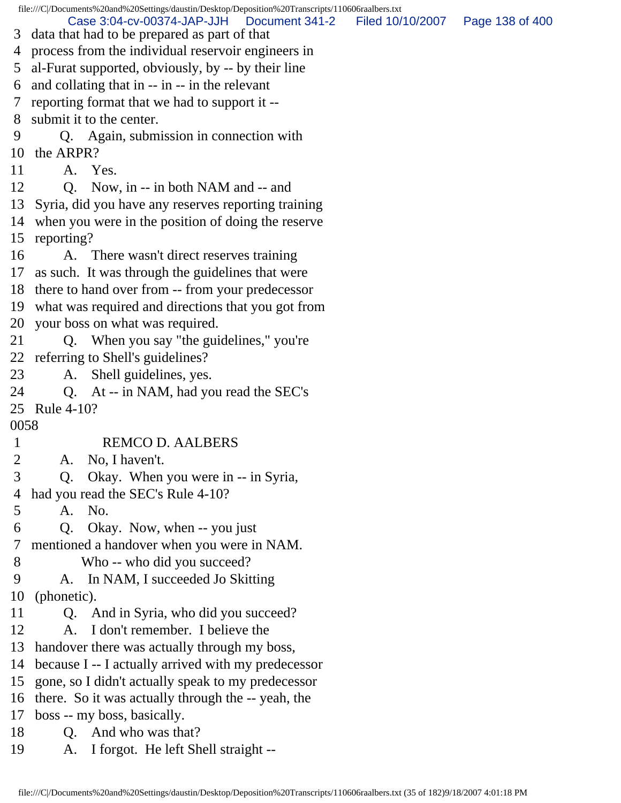file:///C|/Documents%20and%20Settings/daustin/Desktop/Deposition%20Transcripts/110606raalbers.txt 3 data that had to be prepared as part of that 4 process from the individual reservoir engineers in 5 al-Furat supported, obviously, by -- by their line 6 and collating that in -- in -- in the relevant 7 reporting format that we had to support it -- 8 submit it to the center. 9 Q. Again, submission in connection with 10 the ARPR? 11 A. Yes. 12 Q. Now, in -- in both NAM and -- and 13 Syria, did you have any reserves reporting training 14 when you were in the position of doing the reserve 15 reporting? 16 A. There wasn't direct reserves training 17 as such. It was through the guidelines that were 18 there to hand over from -- from your predecessor 19 what was required and directions that you got from 20 your boss on what was required. 21 Q. When you say "the guidelines," you're 22 referring to Shell's guidelines? 23 A. Shell guidelines, yes. 24 Q. At -- in NAM, had you read the SEC's 25 Rule 4-10? 0058 1 REMCO D. AALBERS 2 A. No, I haven't. 3 Q. Okay. When you were in -- in Syria, 4 had you read the SEC's Rule 4-10? 5 A. No. 6 Q. Okay. Now, when -- you just 7 mentioned a handover when you were in NAM. 8 Who -- who did you succeed? 9 A. In NAM, I succeeded Jo Skitting 10 (phonetic). 11 Q. And in Syria, who did you succeed? 12 A. I don't remember. I believe the 13 handover there was actually through my boss, 14 because I -- I actually arrived with my predecessor 15 gone, so I didn't actually speak to my predecessor 16 there. So it was actually through the -- yeah, the 17 boss -- my boss, basically. 18 Q. And who was that? 19 A. I forgot. He left Shell straight -- Case 3:04-cv-00374-JAP-JJH Document 341-2 Filed 10/10/2007 Page 138 of 400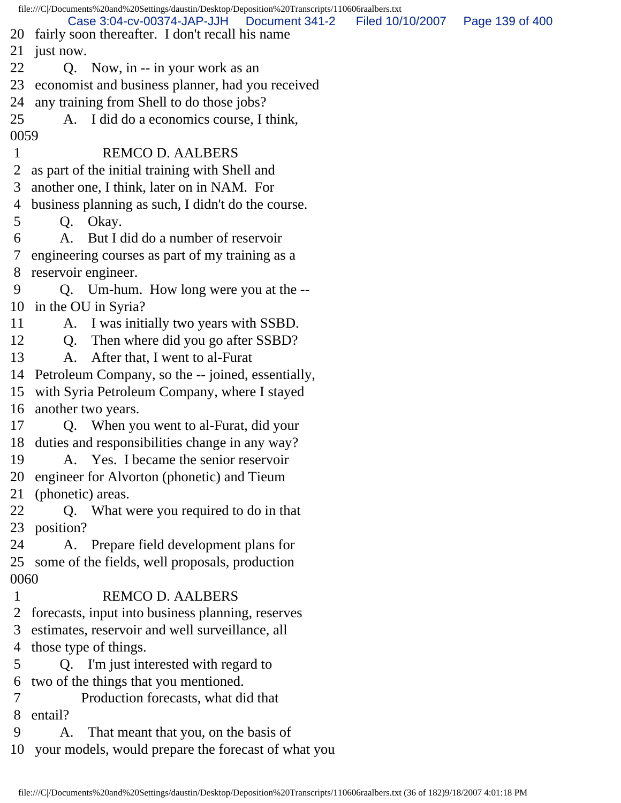file:///C|/Documents%20and%20Settings/daustin/Desktop/Deposition%20Transcripts/110606raalbers.txt 20 fairly soon thereafter. I don't recall his name 21 just now. 22 Q. Now, in -- in your work as an 23 economist and business planner, had you received 24 any training from Shell to do those jobs? 25 A. I did do a economics course, I think, 0059 1 REMCO D. AALBERS 2 as part of the initial training with Shell and 3 another one, I think, later on in NAM. For 4 business planning as such, I didn't do the course. 5 Q. Okay. 6 A. But I did do a number of reservoir 7 engineering courses as part of my training as a 8 reservoir engineer. 9 Q. Um-hum. How long were you at the -- 10 in the OU in Syria? 11 A. I was initially two years with SSBD. 12 Q. Then where did you go after SSBD? 13 A. After that, I went to al-Furat 14 Petroleum Company, so the -- joined, essentially, 15 with Syria Petroleum Company, where I stayed 16 another two years. 17 Q. When you went to al-Furat, did your 18 duties and responsibilities change in any way? 19 A. Yes. I became the senior reservoir 20 engineer for Alvorton (phonetic) and Tieum 21 (phonetic) areas. 22 Q. What were you required to do in that 23 position? 24 A. Prepare field development plans for 25 some of the fields, well proposals, production 0060 1 REMCO D. AALBERS 2 forecasts, input into business planning, reserves 3 estimates, reservoir and well surveillance, all 4 those type of things. 5 Q. I'm just interested with regard to 6 two of the things that you mentioned. 7 Production forecasts, what did that 8 entail? 9 A. That meant that you, on the basis of 10 your models, would prepare the forecast of what you Case 3:04-cv-00374-JAP-JJH Document 341-2 Filed 10/10/2007 Page 139 of 400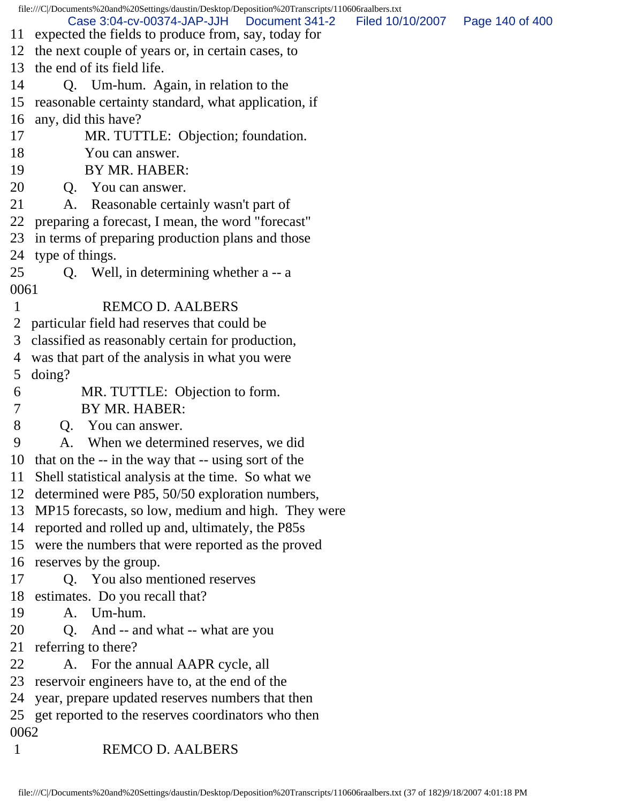|              | file:///C /Documents%20and%20Settings/daustin/Desktop/Deposition%20Transcripts/110606raalbers.txt<br>Case 3:04-cv-00374-JAP-JJH<br>Document 341-2 | Filed 10/10/2007  Page 140 of 400 |  |
|--------------|---------------------------------------------------------------------------------------------------------------------------------------------------|-----------------------------------|--|
| 11           | expected the fields to produce from, say, today for                                                                                               |                                   |  |
|              | 12 the next couple of years or, in certain cases, to<br>13 the end of its field life.                                                             |                                   |  |
|              |                                                                                                                                                   |                                   |  |
| 14           | Q. Um-hum. Again, in relation to the                                                                                                              |                                   |  |
| 15           | reasonable certainty standard, what application, if                                                                                               |                                   |  |
| 16           | any, did this have?                                                                                                                               |                                   |  |
| 17           | MR. TUTTLE: Objection; foundation.                                                                                                                |                                   |  |
| 18<br>19     | You can answer.<br>BY MR. HABER:                                                                                                                  |                                   |  |
| 20           |                                                                                                                                                   |                                   |  |
| 21           | Q. You can answer.<br>Reasonable certainly wasn't part of<br>A.                                                                                   |                                   |  |
| 22           | preparing a forecast, I mean, the word "forecast"                                                                                                 |                                   |  |
| 23           |                                                                                                                                                   |                                   |  |
|              | in terms of preparing production plans and those<br>24 type of things.                                                                            |                                   |  |
| 25           | Q. Well, in determining whether a -- a                                                                                                            |                                   |  |
| 0061         |                                                                                                                                                   |                                   |  |
| 1            | <b>REMCO D. AALBERS</b>                                                                                                                           |                                   |  |
|              | 2 particular field had reserves that could be                                                                                                     |                                   |  |
| 3            | classified as reasonably certain for production,                                                                                                  |                                   |  |
| 4            | was that part of the analysis in what you were                                                                                                    |                                   |  |
| 5            | doing?                                                                                                                                            |                                   |  |
| 6            | MR. TUTTLE: Objection to form.                                                                                                                    |                                   |  |
| 7            | BY MR. HABER:                                                                                                                                     |                                   |  |
| 8            | Q. You can answer.                                                                                                                                |                                   |  |
| 9            | A. When we determined reserves, we did                                                                                                            |                                   |  |
|              | 10 that on the -- in the way that -- using sort of the                                                                                            |                                   |  |
| 11           | Shell statistical analysis at the time. So what we                                                                                                |                                   |  |
|              | 12 determined were P85, 50/50 exploration numbers,                                                                                                |                                   |  |
|              | 13 MP15 forecasts, so low, medium and high. They were                                                                                             |                                   |  |
|              | 14 reported and rolled up and, ultimately, the P85s                                                                                               |                                   |  |
|              | 15 were the numbers that were reported as the proved                                                                                              |                                   |  |
|              | 16 reserves by the group.                                                                                                                         |                                   |  |
| 17           | Q. You also mentioned reserves                                                                                                                    |                                   |  |
| 18           | estimates. Do you recall that?                                                                                                                    |                                   |  |
| 19           | A. Um-hum.                                                                                                                                        |                                   |  |
| 20           | Q. And -- and what -- what are you                                                                                                                |                                   |  |
| 21           | referring to there?                                                                                                                               |                                   |  |
| 22           | A. For the annual AAPR cycle, all                                                                                                                 |                                   |  |
| 23           | reservoir engineers have to, at the end of the                                                                                                    |                                   |  |
| 24           | year, prepare updated reserves numbers that then                                                                                                  |                                   |  |
|              | 25 get reported to the reserves coordinators who then                                                                                             |                                   |  |
| 0062         |                                                                                                                                                   |                                   |  |
| $\mathbf{1}$ | <b>REMCO D. AALBERS</b>                                                                                                                           |                                   |  |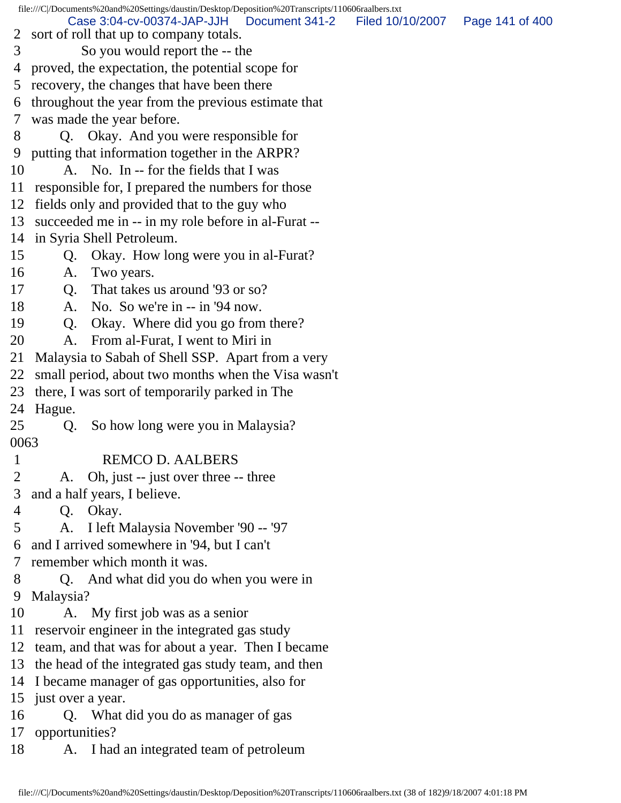file:///C|/Documents%20and%20Settings/daustin/Desktop/Deposition%20Transcripts/110606raalbers.txt 2 sort of roll that up to company totals. 3 So you would report the -- the 4 proved, the expectation, the potential scope for 5 recovery, the changes that have been there 6 throughout the year from the previous estimate that 7 was made the year before. 8 Q. Okay. And you were responsible for 9 putting that information together in the ARPR? 10 A. No. In -- for the fields that I was 11 responsible for, I prepared the numbers for those 12 fields only and provided that to the guy who 13 succeeded me in -- in my role before in al-Furat -- 14 in Syria Shell Petroleum. 15 Q. Okay. How long were you in al-Furat? 16 A. Two years. 17 Q. That takes us around '93 or so? 18 A. No. So we're in -- in '94 now. 19 Q. Okay. Where did you go from there? 20 A. From al-Furat, I went to Miri in 21 Malaysia to Sabah of Shell SSP. Apart from a very 22 small period, about two months when the Visa wasn't 23 there, I was sort of temporarily parked in The 24 Hague. 25 Q. So how long were you in Malaysia? 0063 1 REMCO D. AALBERS 2 A. Oh, just -- just over three -- three 3 and a half years, I believe. 4 Q. Okay. 5 A. I left Malaysia November '90 -- '97 6 and I arrived somewhere in '94, but I can't 7 remember which month it was. 8 Q. And what did you do when you were in 9 Malaysia? 10 A. My first job was as a senior 11 reservoir engineer in the integrated gas study 12 team, and that was for about a year. Then I became 13 the head of the integrated gas study team, and then 14 I became manager of gas opportunities, also for 15 just over a year. 16 Q. What did you do as manager of gas 17 opportunities? 18 A. I had an integrated team of petroleum Case 3:04-cv-00374-JAP-JJH Document 341-2 Filed 10/10/2007 Page 141 of 400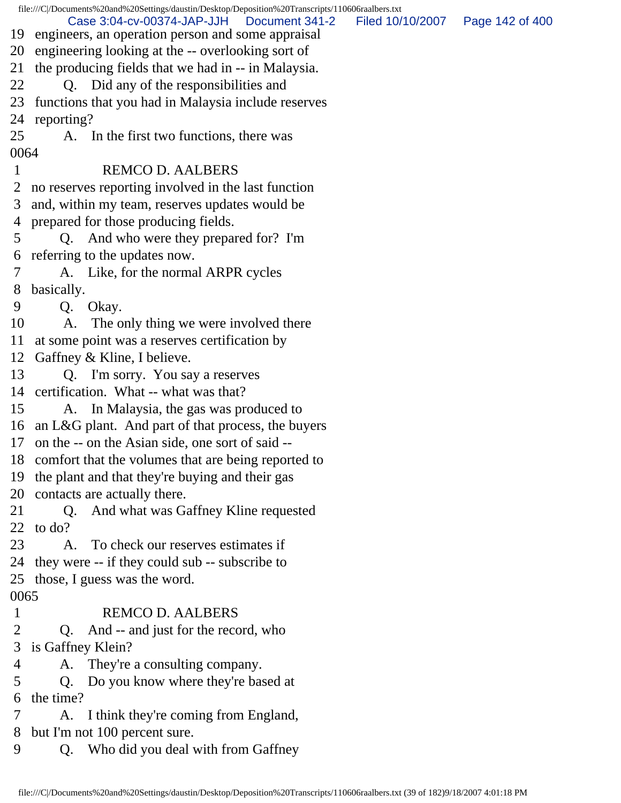|        | file:///C//Documents%20and%20Settings/daustin/Desktop/Deposition%20Transcripts/110606raalbers.txt |                  |                 |
|--------|---------------------------------------------------------------------------------------------------|------------------|-----------------|
| 19     | Case 3:04-cv-00374-JAP-JJH<br>Document 341-2<br>engineers, an operation person and some appraisal | Filed 10/10/2007 | Page 142 of 400 |
| 20     | engineering looking at the -- overlooking sort of                                                 |                  |                 |
| 21     | the producing fields that we had in -- in Malaysia.                                               |                  |                 |
| 22     | Did any of the responsibilities and<br>0.                                                         |                  |                 |
| 23     | functions that you had in Malaysia include reserves                                               |                  |                 |
| 24     | reporting?                                                                                        |                  |                 |
| 25     | A. In the first two functions, there was                                                          |                  |                 |
| 0064   |                                                                                                   |                  |                 |
| 1      | <b>REMCO D. AALBERS</b>                                                                           |                  |                 |
| 2      | no reserves reporting involved in the last function                                               |                  |                 |
| 3      | and, within my team, reserves updates would be                                                    |                  |                 |
| 4      | prepared for those producing fields.                                                              |                  |                 |
| 5      | Q. And who were they prepared for? I'm                                                            |                  |                 |
| 6      | referring to the updates now.                                                                     |                  |                 |
| 7      | A. Like, for the normal ARPR cycles                                                               |                  |                 |
| 8      | basically.                                                                                        |                  |                 |
| 9      | Q. Okay.                                                                                          |                  |                 |
| 10     | A. The only thing we were involved there                                                          |                  |                 |
| 11     | at some point was a reserves certification by                                                     |                  |                 |
| 12     | Gaffney & Kline, I believe.                                                                       |                  |                 |
| 13     | Q. I'm sorry. You say a reserves                                                                  |                  |                 |
| 14     | certification. What -- what was that?                                                             |                  |                 |
| 15     | A. In Malaysia, the gas was produced to                                                           |                  |                 |
| 16     | an L&G plant. And part of that process, the buyers                                                |                  |                 |
| 17     | on the -- on the Asian side, one sort of said --                                                  |                  |                 |
| 18     | comfort that the volumes that are being reported to                                               |                  |                 |
| 19     | the plant and that they're buying and their gas                                                   |                  |                 |
| 20     | contacts are actually there.                                                                      |                  |                 |
| 21     | And what was Gaffney Kline requested<br>Q.                                                        |                  |                 |
| 22     | to do?                                                                                            |                  |                 |
| 23     | To check our reserves estimates if<br>A.                                                          |                  |                 |
| 24     | they were -- if they could sub -- subscribe to                                                    |                  |                 |
| 25     | those, I guess was the word.                                                                      |                  |                 |
| 0065   |                                                                                                   |                  |                 |
| 1      | <b>REMCO D. AALBERS</b>                                                                           |                  |                 |
| 2      | And -- and just for the record, who<br>$Q_{\rm c}$                                                |                  |                 |
| 3      | is Gaffney Klein?                                                                                 |                  |                 |
| 4      | They're a consulting company.<br>A.                                                               |                  |                 |
| 5<br>6 | Do you know where they're based at<br>Q.<br>the time?                                             |                  |                 |
| 7      | I think they're coming from England,<br>A.                                                        |                  |                 |
| 8      | but I'm not 100 percent sure.                                                                     |                  |                 |
| 9      | Q. Who did you deal with from Gaffney                                                             |                  |                 |
|        |                                                                                                   |                  |                 |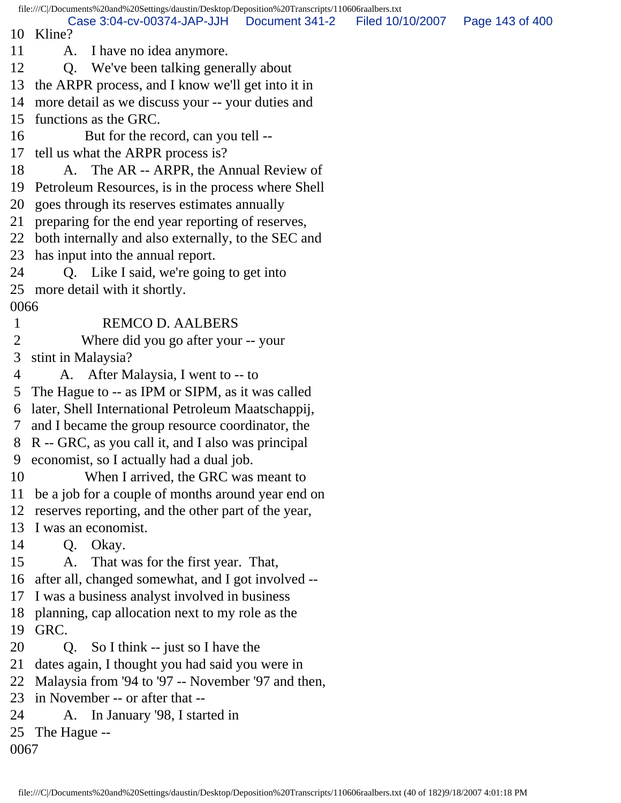file:///C|/Documents%20and%20Settings/daustin/Desktop/Deposition%20Transcripts/110606raalbers.txt 10 Kline? 11 A. I have no idea anymore. 12 Q. We've been talking generally about 13 the ARPR process, and I know we'll get into it in 14 more detail as we discuss your -- your duties and 15 functions as the GRC. 16 But for the record, can you tell -- 17 tell us what the ARPR process is? 18 A. The AR -- ARPR, the Annual Review of 19 Petroleum Resources, is in the process where Shell 20 goes through its reserves estimates annually 21 preparing for the end year reporting of reserves, 22 both internally and also externally, to the SEC and 23 has input into the annual report. 24 Q. Like I said, we're going to get into 25 more detail with it shortly. 0066 1 REMCO D. AALBERS 2 Where did you go after your -- your 3 stint in Malaysia? 4 A. After Malaysia, I went to -- to 5 The Hague to -- as IPM or SIPM, as it was called 6 later, Shell International Petroleum Maatschappij, 7 and I became the group resource coordinator, the 8 R -- GRC, as you call it, and I also was principal 9 economist, so I actually had a dual job. 10 When I arrived, the GRC was meant to 11 be a job for a couple of months around year end on 12 reserves reporting, and the other part of the year, 13 I was an economist. 14 Q. Okay. 15 A. That was for the first year. That, 16 after all, changed somewhat, and I got involved -- 17 I was a business analyst involved in business 18 planning, cap allocation next to my role as the 19 GRC. 20 Q. So I think -- just so I have the 21 dates again, I thought you had said you were in 22 Malaysia from '94 to '97 -- November '97 and then, 23 in November -- or after that -- 24 A. In January '98, I started in 25 The Hague -- 0067 Case 3:04-cv-00374-JAP-JJH Document 341-2 Filed 10/10/2007 Page 143 of 400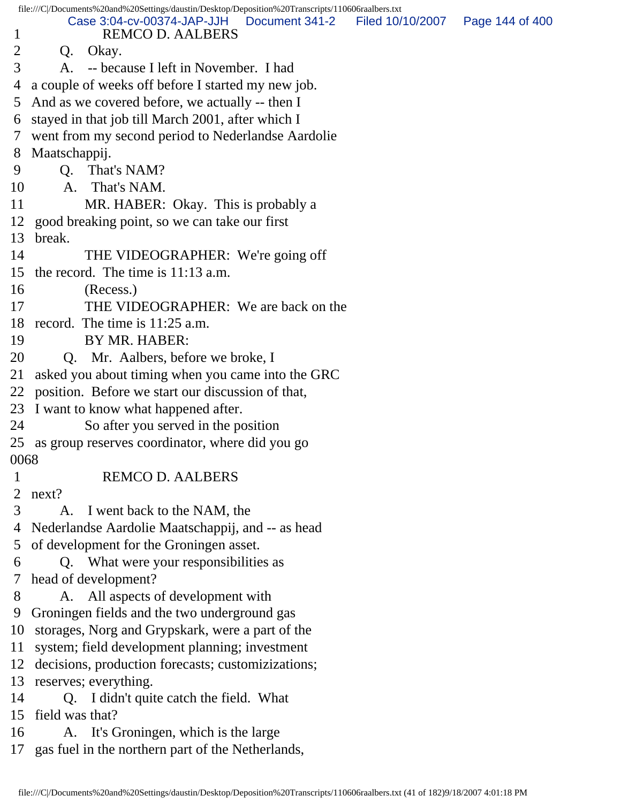| file:///C//Documents%20and%20Settings/daustin/Desktop/Deposition%20Transcripts/110606raalbers.txt |                                                      |                                                       |                |                                   |  |  |
|---------------------------------------------------------------------------------------------------|------------------------------------------------------|-------------------------------------------------------|----------------|-----------------------------------|--|--|
| 1                                                                                                 |                                                      | Case 3:04-cv-00374-JAP-JJH<br><b>REMCO D. AALBERS</b> | Document 341-2 | Filed 10/10/2007  Page 144 of 400 |  |  |
| 2                                                                                                 | Q.                                                   | Okay.                                                 |                |                                   |  |  |
| 3                                                                                                 | A.                                                   | -- because I left in November. I had                  |                |                                   |  |  |
| 4                                                                                                 |                                                      | a couple of weeks off before I started my new job.    |                |                                   |  |  |
| 5                                                                                                 | And as we covered before, we actually -- then I      |                                                       |                |                                   |  |  |
| 6                                                                                                 | stayed in that job till March 2001, after which I    |                                                       |                |                                   |  |  |
| 7                                                                                                 | went from my second period to Nederlandse Aardolie   |                                                       |                |                                   |  |  |
| 8                                                                                                 | Maatschappij.                                        |                                                       |                |                                   |  |  |
| 9                                                                                                 | Q.                                                   | That's NAM?                                           |                |                                   |  |  |
| 10                                                                                                |                                                      | A. That's NAM.                                        |                |                                   |  |  |
| 11                                                                                                |                                                      | MR. HABER: Okay. This is probably a                   |                |                                   |  |  |
| 12                                                                                                | good breaking point, so we can take our first        |                                                       |                |                                   |  |  |
| 13                                                                                                | break.                                               |                                                       |                |                                   |  |  |
| 14                                                                                                |                                                      | THE VIDEOGRAPHER: We're going off                     |                |                                   |  |  |
| 15                                                                                                | the record. The time is $11:13$ a.m.                 |                                                       |                |                                   |  |  |
| 16                                                                                                |                                                      | (Recess.)                                             |                |                                   |  |  |
| 17                                                                                                |                                                      | THE VIDEOGRAPHER: We are back on the                  |                |                                   |  |  |
| 18                                                                                                |                                                      | record. The time is $11:25$ a.m.                      |                |                                   |  |  |
| 19                                                                                                |                                                      | BY MR. HABER:                                         |                |                                   |  |  |
| 20                                                                                                | Q. Mr. Aalbers, before we broke, I                   |                                                       |                |                                   |  |  |
| 21                                                                                                | asked you about timing when you came into the GRC    |                                                       |                |                                   |  |  |
| 22                                                                                                | position. Before we start our discussion of that,    |                                                       |                |                                   |  |  |
| 23                                                                                                | I want to know what happened after.                  |                                                       |                |                                   |  |  |
| 24                                                                                                | So after you served in the position                  |                                                       |                |                                   |  |  |
| 25                                                                                                | as group reserves coordinator, where did you go      |                                                       |                |                                   |  |  |
| 0068                                                                                              |                                                      |                                                       |                |                                   |  |  |
| $\mathbf 1$                                                                                       |                                                      | <b>REMCO D. AALBERS</b>                               |                |                                   |  |  |
| 2                                                                                                 | next?                                                |                                                       |                |                                   |  |  |
| 3                                                                                                 | A.                                                   | I went back to the NAM, the                           |                |                                   |  |  |
| 4                                                                                                 | Nederlandse Aardolie Maatschappij, and -- as head    |                                                       |                |                                   |  |  |
| 5                                                                                                 | of development for the Groningen asset.              |                                                       |                |                                   |  |  |
| 6                                                                                                 | Q. What were your responsibilities as                |                                                       |                |                                   |  |  |
| 7                                                                                                 | head of development?                                 |                                                       |                |                                   |  |  |
| 8                                                                                                 |                                                      | A. All aspects of development with                    |                |                                   |  |  |
| 9                                                                                                 | Groningen fields and the two underground gas         |                                                       |                |                                   |  |  |
| 10                                                                                                | storages, Norg and Grypskark, were a part of the     |                                                       |                |                                   |  |  |
| 11                                                                                                | system; field development planning; investment       |                                                       |                |                                   |  |  |
| 12                                                                                                |                                                      | decisions, production forecasts; customizizations;    |                |                                   |  |  |
| 13                                                                                                | reserves; everything.                                |                                                       |                |                                   |  |  |
| 14                                                                                                | Q. I didn't quite catch the field. What              |                                                       |                |                                   |  |  |
| 15                                                                                                | field was that?                                      |                                                       |                |                                   |  |  |
| 16                                                                                                | A. It's Groningen, which is the large                |                                                       |                |                                   |  |  |
|                                                                                                   | 17 gas fuel in the northern part of the Netherlands, |                                                       |                |                                   |  |  |
|                                                                                                   |                                                      |                                                       |                |                                   |  |  |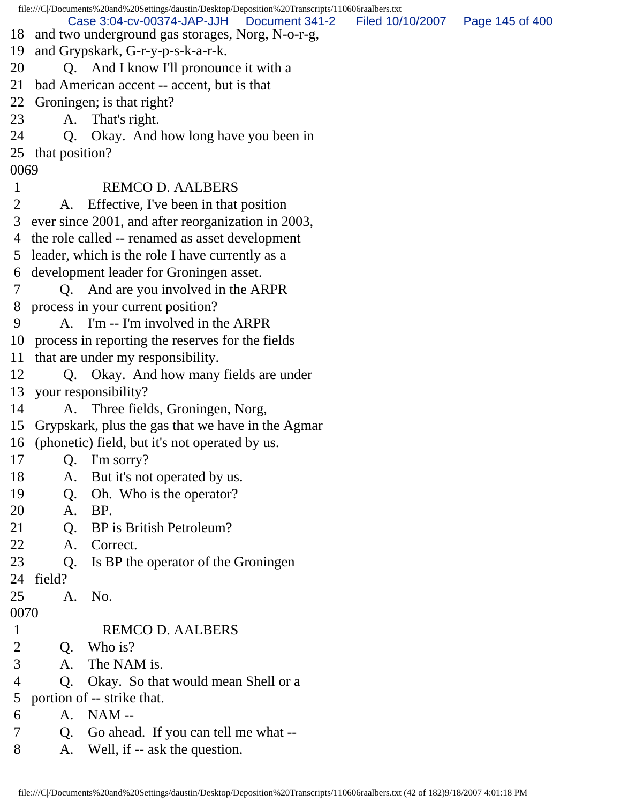file:///C|/Documents%20and%20Settings/daustin/Desktop/Deposition%20Transcripts/110606raalbers.txt 18 and two underground gas storages, Norg, N-o-r-g, 19 and Grypskark, G-r-y-p-s-k-a-r-k. 20 Q. And I know I'll pronounce it with a 21 bad American accent -- accent, but is that 22 Groningen; is that right? 23 A. That's right. 24 Q. Okay. And how long have you been in 25 that position? 0069 1 REMCO D. AALBERS 2 A. Effective, I've been in that position 3 ever since 2001, and after reorganization in 2003, 4 the role called -- renamed as asset development 5 leader, which is the role I have currently as a 6 development leader for Groningen asset. 7 Q. And are you involved in the ARPR 8 process in your current position? 9 A. I'm -- I'm involved in the ARPR 10 process in reporting the reserves for the fields 11 that are under my responsibility. 12 Q. Okay. And how many fields are under 13 your responsibility? 14 A. Three fields, Groningen, Norg, 15 Grypskark, plus the gas that we have in the Agmar 16 (phonetic) field, but it's not operated by us. 17 Q. I'm sorry? 18 A. But it's not operated by us. 19 Q. Oh. Who is the operator? 20 A. BP. 21 Q. BP is British Petroleum? 22 A. Correct. 23 Q. Is BP the operator of the Groningen 24 field? 25 A. No. 0070 1 REMCO D. AALBERS 2 Q. Who is? 3 A. The NAM is. 4 Q. Okay. So that would mean Shell or a 5 portion of -- strike that. 6 A. NAM -- 7 Q. Go ahead. If you can tell me what -- 8 A. Well, if -- ask the question. Case 3:04-cv-00374-JAP-JJH Document 341-2 Filed 10/10/2007 Page 145 of 400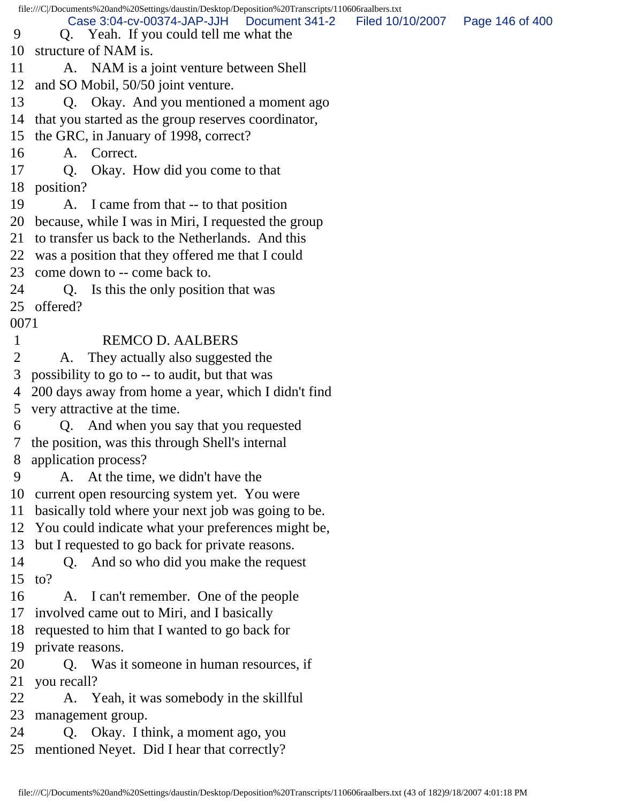file:///C|/Documents%20and%20Settings/daustin/Desktop/Deposition%20Transcripts/110606raalbers.txt 9 Q. Yeah. If you could tell me what the 10 structure of NAM is. 11 A. NAM is a joint venture between Shell 12 and SO Mobil, 50/50 joint venture. 13 Q. Okay. And you mentioned a moment ago 14 that you started as the group reserves coordinator, 15 the GRC, in January of 1998, correct? 16 A. Correct. 17 Q. Okay. How did you come to that 18 position? 19 A. I came from that -- to that position 20 because, while I was in Miri, I requested the group 21 to transfer us back to the Netherlands. And this 22 was a position that they offered me that I could 23 come down to -- come back to. 24 Q. Is this the only position that was 25 offered? 0071 1 REMCO D. AALBERS 2 A. They actually also suggested the 3 possibility to go to -- to audit, but that was 4 200 days away from home a year, which I didn't find 5 very attractive at the time. 6 Q. And when you say that you requested 7 the position, was this through Shell's internal 8 application process? 9 A. At the time, we didn't have the 10 current open resourcing system yet. You were 11 basically told where your next job was going to be. 12 You could indicate what your preferences might be, 13 but I requested to go back for private reasons. 14 Q. And so who did you make the request 15 to? 16 A. I can't remember. One of the people 17 involved came out to Miri, and I basically 18 requested to him that I wanted to go back for 19 private reasons. 20 Q. Was it someone in human resources, if 21 you recall? 22 A. Yeah, it was somebody in the skillful 23 management group. 24 Q. Okay. I think, a moment ago, you 25 mentioned Neyet. Did I hear that correctly? Case 3:04-cv-00374-JAP-JJH Document 341-2 Filed 10/10/2007 Page 146 of 400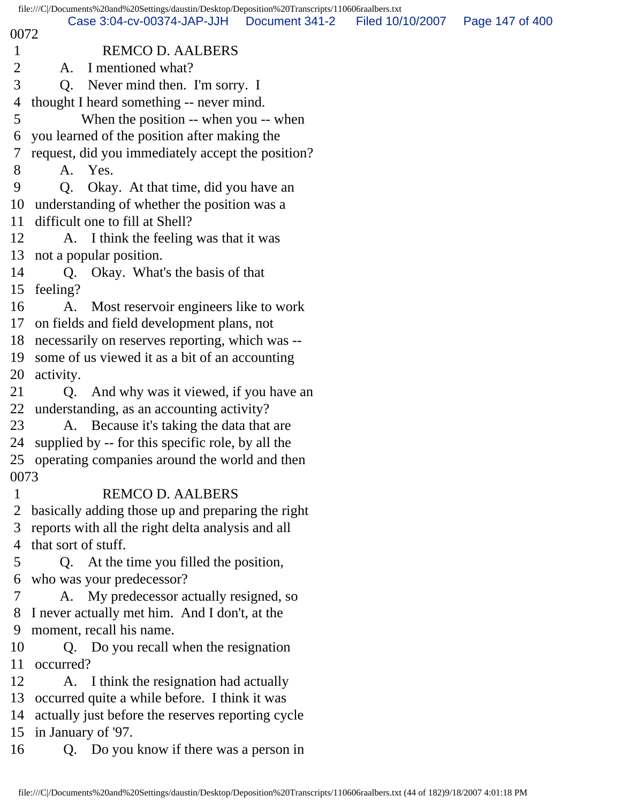|                                 |                                                                                                                                                                                                                     |                                                                                                                                                                                                                                                                                                                                                                                                                                                                                                                                                                                                                                                                                                                                                                                                                                                                                                                                                                                                                                                                                                                                                                                                                                                                                                                                                                                                | Page 147 of 400                                                                                                       |
|---------------------------------|---------------------------------------------------------------------------------------------------------------------------------------------------------------------------------------------------------------------|------------------------------------------------------------------------------------------------------------------------------------------------------------------------------------------------------------------------------------------------------------------------------------------------------------------------------------------------------------------------------------------------------------------------------------------------------------------------------------------------------------------------------------------------------------------------------------------------------------------------------------------------------------------------------------------------------------------------------------------------------------------------------------------------------------------------------------------------------------------------------------------------------------------------------------------------------------------------------------------------------------------------------------------------------------------------------------------------------------------------------------------------------------------------------------------------------------------------------------------------------------------------------------------------------------------------------------------------------------------------------------------------|-----------------------------------------------------------------------------------------------------------------------|
|                                 |                                                                                                                                                                                                                     |                                                                                                                                                                                                                                                                                                                                                                                                                                                                                                                                                                                                                                                                                                                                                                                                                                                                                                                                                                                                                                                                                                                                                                                                                                                                                                                                                                                                |                                                                                                                       |
| I mentioned what?<br>A.         |                                                                                                                                                                                                                     |                                                                                                                                                                                                                                                                                                                                                                                                                                                                                                                                                                                                                                                                                                                                                                                                                                                                                                                                                                                                                                                                                                                                                                                                                                                                                                                                                                                                |                                                                                                                       |
|                                 |                                                                                                                                                                                                                     |                                                                                                                                                                                                                                                                                                                                                                                                                                                                                                                                                                                                                                                                                                                                                                                                                                                                                                                                                                                                                                                                                                                                                                                                                                                                                                                                                                                                |                                                                                                                       |
|                                 |                                                                                                                                                                                                                     |                                                                                                                                                                                                                                                                                                                                                                                                                                                                                                                                                                                                                                                                                                                                                                                                                                                                                                                                                                                                                                                                                                                                                                                                                                                                                                                                                                                                |                                                                                                                       |
|                                 |                                                                                                                                                                                                                     |                                                                                                                                                                                                                                                                                                                                                                                                                                                                                                                                                                                                                                                                                                                                                                                                                                                                                                                                                                                                                                                                                                                                                                                                                                                                                                                                                                                                |                                                                                                                       |
|                                 |                                                                                                                                                                                                                     |                                                                                                                                                                                                                                                                                                                                                                                                                                                                                                                                                                                                                                                                                                                                                                                                                                                                                                                                                                                                                                                                                                                                                                                                                                                                                                                                                                                                |                                                                                                                       |
|                                 |                                                                                                                                                                                                                     |                                                                                                                                                                                                                                                                                                                                                                                                                                                                                                                                                                                                                                                                                                                                                                                                                                                                                                                                                                                                                                                                                                                                                                                                                                                                                                                                                                                                |                                                                                                                       |
| A. Yes.                         |                                                                                                                                                                                                                     |                                                                                                                                                                                                                                                                                                                                                                                                                                                                                                                                                                                                                                                                                                                                                                                                                                                                                                                                                                                                                                                                                                                                                                                                                                                                                                                                                                                                |                                                                                                                       |
| <b>O.</b>                       |                                                                                                                                                                                                                     |                                                                                                                                                                                                                                                                                                                                                                                                                                                                                                                                                                                                                                                                                                                                                                                                                                                                                                                                                                                                                                                                                                                                                                                                                                                                                                                                                                                                |                                                                                                                       |
|                                 |                                                                                                                                                                                                                     |                                                                                                                                                                                                                                                                                                                                                                                                                                                                                                                                                                                                                                                                                                                                                                                                                                                                                                                                                                                                                                                                                                                                                                                                                                                                                                                                                                                                |                                                                                                                       |
| difficult one to fill at Shell? |                                                                                                                                                                                                                     |                                                                                                                                                                                                                                                                                                                                                                                                                                                                                                                                                                                                                                                                                                                                                                                                                                                                                                                                                                                                                                                                                                                                                                                                                                                                                                                                                                                                |                                                                                                                       |
|                                 |                                                                                                                                                                                                                     |                                                                                                                                                                                                                                                                                                                                                                                                                                                                                                                                                                                                                                                                                                                                                                                                                                                                                                                                                                                                                                                                                                                                                                                                                                                                                                                                                                                                |                                                                                                                       |
| not a popular position.         |                                                                                                                                                                                                                     |                                                                                                                                                                                                                                                                                                                                                                                                                                                                                                                                                                                                                                                                                                                                                                                                                                                                                                                                                                                                                                                                                                                                                                                                                                                                                                                                                                                                |                                                                                                                       |
| Q.                              |                                                                                                                                                                                                                     |                                                                                                                                                                                                                                                                                                                                                                                                                                                                                                                                                                                                                                                                                                                                                                                                                                                                                                                                                                                                                                                                                                                                                                                                                                                                                                                                                                                                |                                                                                                                       |
| feeling?                        |                                                                                                                                                                                                                     |                                                                                                                                                                                                                                                                                                                                                                                                                                                                                                                                                                                                                                                                                                                                                                                                                                                                                                                                                                                                                                                                                                                                                                                                                                                                                                                                                                                                |                                                                                                                       |
| A.                              |                                                                                                                                                                                                                     |                                                                                                                                                                                                                                                                                                                                                                                                                                                                                                                                                                                                                                                                                                                                                                                                                                                                                                                                                                                                                                                                                                                                                                                                                                                                                                                                                                                                |                                                                                                                       |
|                                 |                                                                                                                                                                                                                     |                                                                                                                                                                                                                                                                                                                                                                                                                                                                                                                                                                                                                                                                                                                                                                                                                                                                                                                                                                                                                                                                                                                                                                                                                                                                                                                                                                                                |                                                                                                                       |
|                                 |                                                                                                                                                                                                                     |                                                                                                                                                                                                                                                                                                                                                                                                                                                                                                                                                                                                                                                                                                                                                                                                                                                                                                                                                                                                                                                                                                                                                                                                                                                                                                                                                                                                |                                                                                                                       |
|                                 |                                                                                                                                                                                                                     |                                                                                                                                                                                                                                                                                                                                                                                                                                                                                                                                                                                                                                                                                                                                                                                                                                                                                                                                                                                                                                                                                                                                                                                                                                                                                                                                                                                                |                                                                                                                       |
| activity.                       |                                                                                                                                                                                                                     |                                                                                                                                                                                                                                                                                                                                                                                                                                                                                                                                                                                                                                                                                                                                                                                                                                                                                                                                                                                                                                                                                                                                                                                                                                                                                                                                                                                                |                                                                                                                       |
| Q.                              |                                                                                                                                                                                                                     |                                                                                                                                                                                                                                                                                                                                                                                                                                                                                                                                                                                                                                                                                                                                                                                                                                                                                                                                                                                                                                                                                                                                                                                                                                                                                                                                                                                                |                                                                                                                       |
|                                 |                                                                                                                                                                                                                     |                                                                                                                                                                                                                                                                                                                                                                                                                                                                                                                                                                                                                                                                                                                                                                                                                                                                                                                                                                                                                                                                                                                                                                                                                                                                                                                                                                                                |                                                                                                                       |
|                                 |                                                                                                                                                                                                                     |                                                                                                                                                                                                                                                                                                                                                                                                                                                                                                                                                                                                                                                                                                                                                                                                                                                                                                                                                                                                                                                                                                                                                                                                                                                                                                                                                                                                |                                                                                                                       |
|                                 |                                                                                                                                                                                                                     |                                                                                                                                                                                                                                                                                                                                                                                                                                                                                                                                                                                                                                                                                                                                                                                                                                                                                                                                                                                                                                                                                                                                                                                                                                                                                                                                                                                                |                                                                                                                       |
|                                 |                                                                                                                                                                                                                     |                                                                                                                                                                                                                                                                                                                                                                                                                                                                                                                                                                                                                                                                                                                                                                                                                                                                                                                                                                                                                                                                                                                                                                                                                                                                                                                                                                                                |                                                                                                                       |
|                                 |                                                                                                                                                                                                                     |                                                                                                                                                                                                                                                                                                                                                                                                                                                                                                                                                                                                                                                                                                                                                                                                                                                                                                                                                                                                                                                                                                                                                                                                                                                                                                                                                                                                |                                                                                                                       |
|                                 |                                                                                                                                                                                                                     |                                                                                                                                                                                                                                                                                                                                                                                                                                                                                                                                                                                                                                                                                                                                                                                                                                                                                                                                                                                                                                                                                                                                                                                                                                                                                                                                                                                                |                                                                                                                       |
|                                 |                                                                                                                                                                                                                     |                                                                                                                                                                                                                                                                                                                                                                                                                                                                                                                                                                                                                                                                                                                                                                                                                                                                                                                                                                                                                                                                                                                                                                                                                                                                                                                                                                                                |                                                                                                                       |
|                                 |                                                                                                                                                                                                                     |                                                                                                                                                                                                                                                                                                                                                                                                                                                                                                                                                                                                                                                                                                                                                                                                                                                                                                                                                                                                                                                                                                                                                                                                                                                                                                                                                                                                |                                                                                                                       |
|                                 |                                                                                                                                                                                                                     |                                                                                                                                                                                                                                                                                                                                                                                                                                                                                                                                                                                                                                                                                                                                                                                                                                                                                                                                                                                                                                                                                                                                                                                                                                                                                                                                                                                                |                                                                                                                       |
| Q.                              |                                                                                                                                                                                                                     |                                                                                                                                                                                                                                                                                                                                                                                                                                                                                                                                                                                                                                                                                                                                                                                                                                                                                                                                                                                                                                                                                                                                                                                                                                                                                                                                                                                                |                                                                                                                       |
|                                 |                                                                                                                                                                                                                     |                                                                                                                                                                                                                                                                                                                                                                                                                                                                                                                                                                                                                                                                                                                                                                                                                                                                                                                                                                                                                                                                                                                                                                                                                                                                                                                                                                                                |                                                                                                                       |
|                                 |                                                                                                                                                                                                                     |                                                                                                                                                                                                                                                                                                                                                                                                                                                                                                                                                                                                                                                                                                                                                                                                                                                                                                                                                                                                                                                                                                                                                                                                                                                                                                                                                                                                |                                                                                                                       |
|                                 |                                                                                                                                                                                                                     |                                                                                                                                                                                                                                                                                                                                                                                                                                                                                                                                                                                                                                                                                                                                                                                                                                                                                                                                                                                                                                                                                                                                                                                                                                                                                                                                                                                                |                                                                                                                       |
|                                 |                                                                                                                                                                                                                     |                                                                                                                                                                                                                                                                                                                                                                                                                                                                                                                                                                                                                                                                                                                                                                                                                                                                                                                                                                                                                                                                                                                                                                                                                                                                                                                                                                                                |                                                                                                                       |
|                                 |                                                                                                                                                                                                                     |                                                                                                                                                                                                                                                                                                                                                                                                                                                                                                                                                                                                                                                                                                                                                                                                                                                                                                                                                                                                                                                                                                                                                                                                                                                                                                                                                                                                |                                                                                                                       |
|                                 |                                                                                                                                                                                                                     |                                                                                                                                                                                                                                                                                                                                                                                                                                                                                                                                                                                                                                                                                                                                                                                                                                                                                                                                                                                                                                                                                                                                                                                                                                                                                                                                                                                                |                                                                                                                       |
|                                 |                                                                                                                                                                                                                     |                                                                                                                                                                                                                                                                                                                                                                                                                                                                                                                                                                                                                                                                                                                                                                                                                                                                                                                                                                                                                                                                                                                                                                                                                                                                                                                                                                                                |                                                                                                                       |
|                                 |                                                                                                                                                                                                                     |                                                                                                                                                                                                                                                                                                                                                                                                                                                                                                                                                                                                                                                                                                                                                                                                                                                                                                                                                                                                                                                                                                                                                                                                                                                                                                                                                                                                |                                                                                                                       |
|                                 |                                                                                                                                                                                                                     |                                                                                                                                                                                                                                                                                                                                                                                                                                                                                                                                                                                                                                                                                                                                                                                                                                                                                                                                                                                                                                                                                                                                                                                                                                                                                                                                                                                                |                                                                                                                       |
|                                 |                                                                                                                                                                                                                     |                                                                                                                                                                                                                                                                                                                                                                                                                                                                                                                                                                                                                                                                                                                                                                                                                                                                                                                                                                                                                                                                                                                                                                                                                                                                                                                                                                                                |                                                                                                                       |
|                                 |                                                                                                                                                                                                                     |                                                                                                                                                                                                                                                                                                                                                                                                                                                                                                                                                                                                                                                                                                                                                                                                                                                                                                                                                                                                                                                                                                                                                                                                                                                                                                                                                                                                |                                                                                                                       |
| 14<br>16<br>17<br>14            | Case 3:04-cv-00374-JAP-JJH<br>0072<br>11<br>12<br>18<br>19<br>20<br>22<br>24<br>0073<br>that sort of stuff.<br>who was your predecessor?<br>moment, recall his name.<br>occurred?<br>in January of '97.<br>15<br>16 | Document 341-2<br><b>REMCO D. AALBERS</b><br>Q. Never mind then. I'm sorry. I<br>thought I heard something -- never mind.<br>When the position -- when you -- when<br>you learned of the position after making the<br>request, did you immediately accept the position?<br>Okay. At that time, did you have an<br>understanding of whether the position was a<br>A. I think the feeling was that it was<br>Okay. What's the basis of that<br>Most reservoir engineers like to work<br>on fields and field development plans, not<br>necessarily on reserves reporting, which was --<br>some of us viewed it as a bit of an accounting<br>And why was it viewed, if you have an<br>understanding, as an accounting activity?<br>A. Because it's taking the data that are<br>supplied by -- for this specific role, by all the<br>25 operating companies around the world and then<br><b>REMCO D. AALBERS</b><br>basically adding those up and preparing the right<br>reports with all the right delta analysis and all<br>At the time you filled the position,<br>A. My predecessor actually resigned, so<br>I never actually met him. And I don't, at the<br>Q. Do you recall when the resignation<br>A. I think the resignation had actually<br>occurred quite a while before. I think it was<br>actually just before the reserves reporting cycle<br>Q. Do you know if there was a person in | file:///C//Documents%20and%20Settings/daustin/Desktop/Deposition%20Transcripts/110606raalbers.txt<br>Filed 10/10/2007 |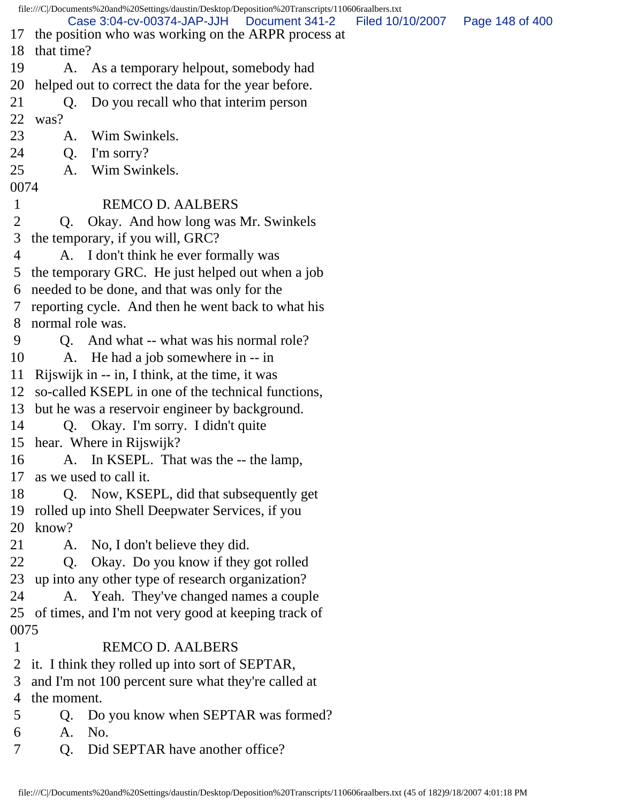file:///C|/Documents%20and%20Settings/daustin/Desktop/Deposition%20Transcripts/110606raalbers.txt 17 the position who was working on the ARPR process at 18 that time? 19 A. As a temporary helpout, somebody had 20 helped out to correct the data for the year before. 21 Q. Do you recall who that interim person 22 was? 23 A. Wim Swinkels. 24 Q. I'm sorry? 25 A. Wim Swinkels. 0074 1 REMCO D. AALBERS 2 Q. Okay. And how long was Mr. Swinkels 3 the temporary, if you will, GRC? 4 A. I don't think he ever formally was 5 the temporary GRC. He just helped out when a job 6 needed to be done, and that was only for the 7 reporting cycle. And then he went back to what his 8 normal role was. 9 Q. And what -- what was his normal role? 10 A. He had a job somewhere in -- in 11 Rijswijk in -- in, I think, at the time, it was 12 so-called KSEPL in one of the technical functions, 13 but he was a reservoir engineer by background. 14 Q. Okay. I'm sorry. I didn't quite 15 hear. Where in Rijswijk? 16 A. In KSEPL. That was the -- the lamp, 17 as we used to call it. 18 Q. Now, KSEPL, did that subsequently get 19 rolled up into Shell Deepwater Services, if you 20 know? 21 A. No, I don't believe they did. 22 Q. Okay. Do you know if they got rolled 23 up into any other type of research organization? 24 A. Yeah. They've changed names a couple 25 of times, and I'm not very good at keeping track of 0075 1 REMCO D. AALBERS 2 it. I think they rolled up into sort of SEPTAR, 3 and I'm not 100 percent sure what they're called at 4 the moment. 5 Q. Do you know when SEPTAR was formed? 6 A. No. 7 O. Did SEPTAR have another office? Case 3:04-cv-00374-JAP-JJH Document 341-2 Filed 10/10/2007 Page 148 of 400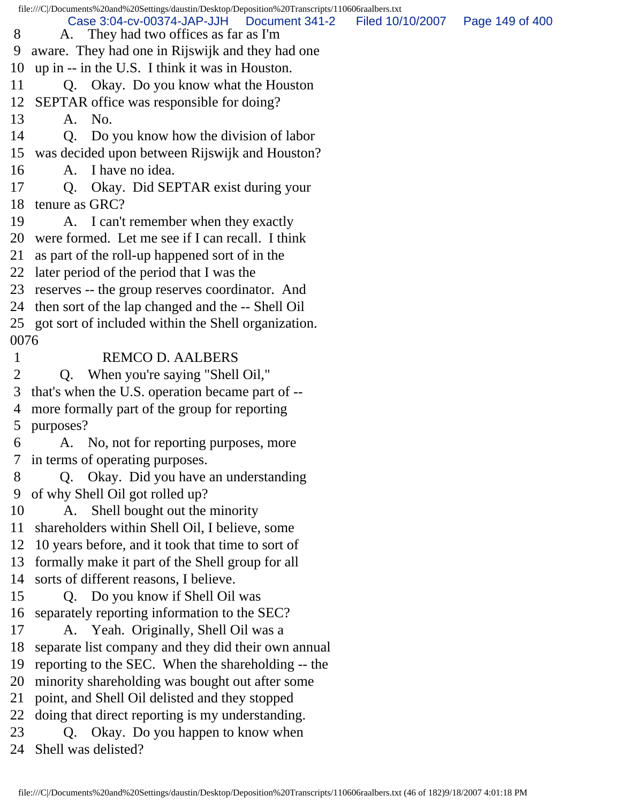file:///C|/Documents%20and%20Settings/daustin/Desktop/Deposition%20Transcripts/110606raalbers.txt 8 A. They had two offices as far as I'm 9 aware. They had one in Rijswijk and they had one 10 up in -- in the U.S. I think it was in Houston. 11 Q. Okay. Do you know what the Houston 12 SEPTAR office was responsible for doing? 13 A. No. 14 Q. Do you know how the division of labor 15 was decided upon between Rijswijk and Houston? 16 A. I have no idea. 17 Q. Okay. Did SEPTAR exist during your 18 tenure as GRC? 19 A. I can't remember when they exactly 20 were formed. Let me see if I can recall. I think 21 as part of the roll-up happened sort of in the 22 later period of the period that I was the 23 reserves -- the group reserves coordinator. And 24 then sort of the lap changed and the -- Shell Oil 25 got sort of included within the Shell organization. 0076 1 REMCO D. AALBERS 2 Q. When you're saying "Shell Oil," 3 that's when the U.S. operation became part of -- 4 more formally part of the group for reporting 5 purposes? 6 A. No, not for reporting purposes, more 7 in terms of operating purposes. 8 Q. Okay. Did you have an understanding 9 of why Shell Oil got rolled up? 10 A. Shell bought out the minority 11 shareholders within Shell Oil, I believe, some 12 10 years before, and it took that time to sort of 13 formally make it part of the Shell group for all 14 sorts of different reasons, I believe. 15 Q. Do you know if Shell Oil was 16 separately reporting information to the SEC? 17 A. Yeah. Originally, Shell Oil was a 18 separate list company and they did their own annual 19 reporting to the SEC. When the shareholding -- the 20 minority shareholding was bought out after some 21 point, and Shell Oil delisted and they stopped 22 doing that direct reporting is my understanding. 23 Q. Okay. Do you happen to know when 24 Shell was delisted? Case 3:04-cv-00374-JAP-JJH Document 341-2 Filed 10/10/2007 Page 149 of 400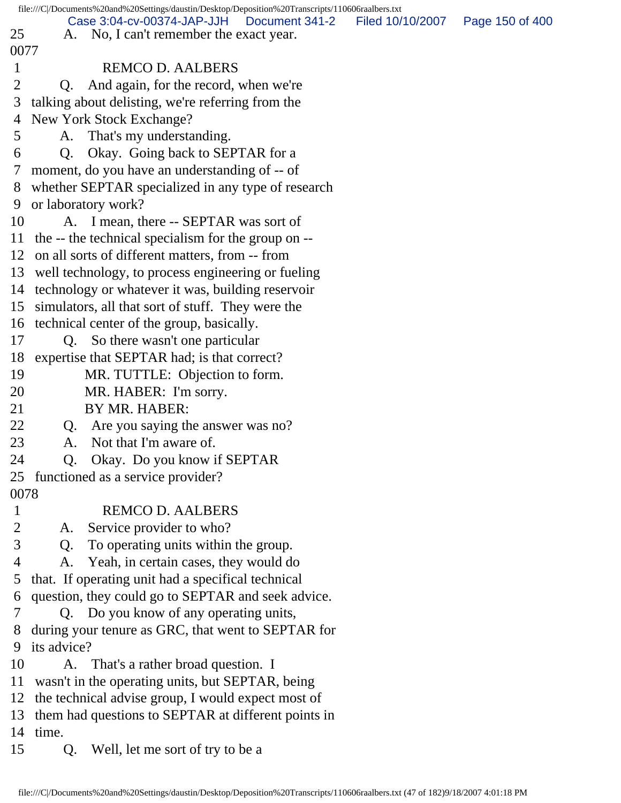|                | file:///C /Documents%20and%20Settings/daustin/Desktop/Deposition%20Transcripts/110606raalbers.txt |                                    |
|----------------|---------------------------------------------------------------------------------------------------|------------------------------------|
| 25             | Case 3:04-cv-00374-JAP-JJH<br>Document 341-2<br>A. No, I can't remember the exact year.           | Filed 10/10/2007   Page 150 of 400 |
| 0077           |                                                                                                   |                                    |
| $\mathbf{1}$   | <b>REMCO D. AALBERS</b>                                                                           |                                    |
| 2              | And again, for the record, when we're                                                             |                                    |
| 3              | Q.                                                                                                |                                    |
|                | talking about delisting, we're referring from the                                                 |                                    |
| 4              | New York Stock Exchange?                                                                          |                                    |
| 5              | A. That's my understanding.                                                                       |                                    |
| 6              | Q. Okay. Going back to SEPTAR for a                                                               |                                    |
| 7              | moment, do you have an understanding of -- of                                                     |                                    |
| 8              | whether SEPTAR specialized in any type of research                                                |                                    |
| 9              | or laboratory work?                                                                               |                                    |
| 10             | A. I mean, there -- SEPTAR was sort of                                                            |                                    |
|                | 11 the -- the technical specialism for the group on --                                            |                                    |
|                | 12 on all sorts of different matters, from -- from                                                |                                    |
|                | 13 well technology, to process engineering or fueling                                             |                                    |
|                | 14 technology or whatever it was, building reservoir                                              |                                    |
|                | 15 simulators, all that sort of stuff. They were the                                              |                                    |
|                | 16 technical center of the group, basically.                                                      |                                    |
| 17             | Q. So there wasn't one particular                                                                 |                                    |
| 18             | expertise that SEPTAR had; is that correct?                                                       |                                    |
| 19             | MR. TUTTLE: Objection to form.                                                                    |                                    |
| 20             | MR. HABER: I'm sorry.                                                                             |                                    |
| 21             | BY MR. HABER:                                                                                     |                                    |
| 22             | Q. Are you saying the answer was no?                                                              |                                    |
| 23             | Not that I'm aware of.<br>A.                                                                      |                                    |
| 24             | Q. Okay. Do you know if SEPTAR                                                                    |                                    |
|                | 25 functioned as a service provider?                                                              |                                    |
| 0078           |                                                                                                   |                                    |
| $\mathbf{1}$   | <b>REMCO D. AALBERS</b>                                                                           |                                    |
| $\overline{2}$ | Service provider to who?<br>A.                                                                    |                                    |
| 3              | To operating units within the group.<br>Q.                                                        |                                    |
| 4              | Yeah, in certain cases, they would do<br>A.                                                       |                                    |
| 5              | that. If operating unit had a specifical technical                                                |                                    |
| 6              | question, they could go to SEPTAR and seek advice.                                                |                                    |
| 7              | Q. Do you know of any operating units,                                                            |                                    |
| 8              | during your tenure as GRC, that went to SEPTAR for                                                |                                    |
| 9              | its advice?                                                                                       |                                    |
| 10             | A. That's a rather broad question. I                                                              |                                    |
| 11             | wasn't in the operating units, but SEPTAR, being                                                  |                                    |
| 12             | the technical advise group, I would expect most of                                                |                                    |
| 13             | them had questions to SEPTAR at different points in                                               |                                    |
| 14             | time.                                                                                             |                                    |
| 15             | Well, let me sort of try to be a<br>Q.                                                            |                                    |
|                |                                                                                                   |                                    |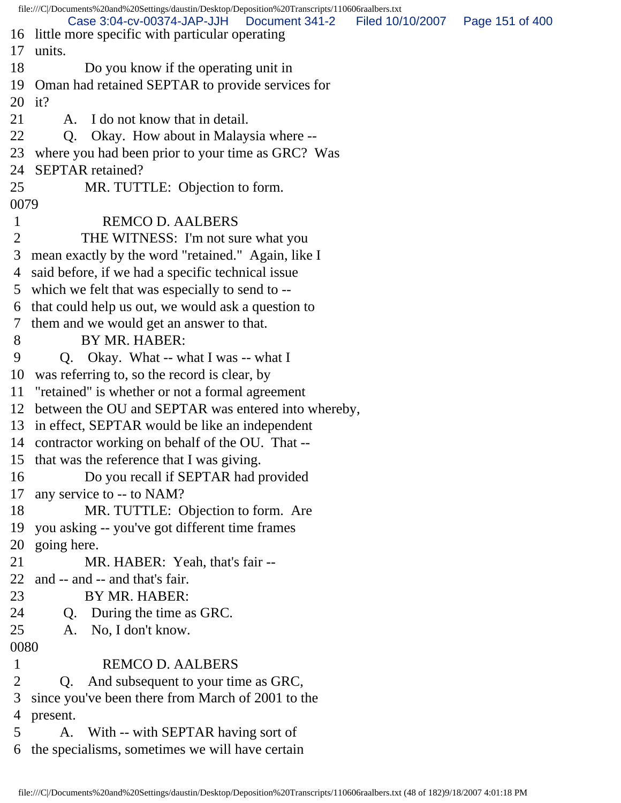file:///C|/Documents%20and%20Settings/daustin/Desktop/Deposition%20Transcripts/110606raalbers.txt 16 little more specific with particular operating 17 units. 18 Do you know if the operating unit in 19 Oman had retained SEPTAR to provide services for 20 it? 21 A. I do not know that in detail. 22 Q. Okay. How about in Malaysia where -- 23 where you had been prior to your time as GRC? Was 24 SEPTAR retained? 25 MR. TUTTLE: Objection to form. 0079 1 REMCO D. AALBERS 2 THE WITNESS: I'm not sure what you 3 mean exactly by the word "retained." Again, like I 4 said before, if we had a specific technical issue 5 which we felt that was especially to send to -- 6 that could help us out, we would ask a question to 7 them and we would get an answer to that. 8 BY MR. HABER: 9 Q. Okay. What -- what I was -- what I 10 was referring to, so the record is clear, by 11 "retained" is whether or not a formal agreement 12 between the OU and SEPTAR was entered into whereby, 13 in effect, SEPTAR would be like an independent 14 contractor working on behalf of the OU. That -- 15 that was the reference that I was giving. 16 Do you recall if SEPTAR had provided 17 any service to -- to NAM? 18 MR. TUTTLE: Objection to form. Are 19 you asking -- you've got different time frames 20 going here. 21 MR. HABER: Yeah, that's fair -- 22 and -- and -- and that's fair. 23 BY MR. HABER: 24 Q. During the time as GRC. 25 A. No, I don't know. 0080 1 REMCO D. AALBERS 2 Q. And subsequent to your time as GRC, 3 since you've been there from March of 2001 to the 4 present. 5 A. With -- with SEPTAR having sort of 6 the specialisms, sometimes we will have certain Case 3:04-cv-00374-JAP-JJH Document 341-2 Filed 10/10/2007 Page 151 of 400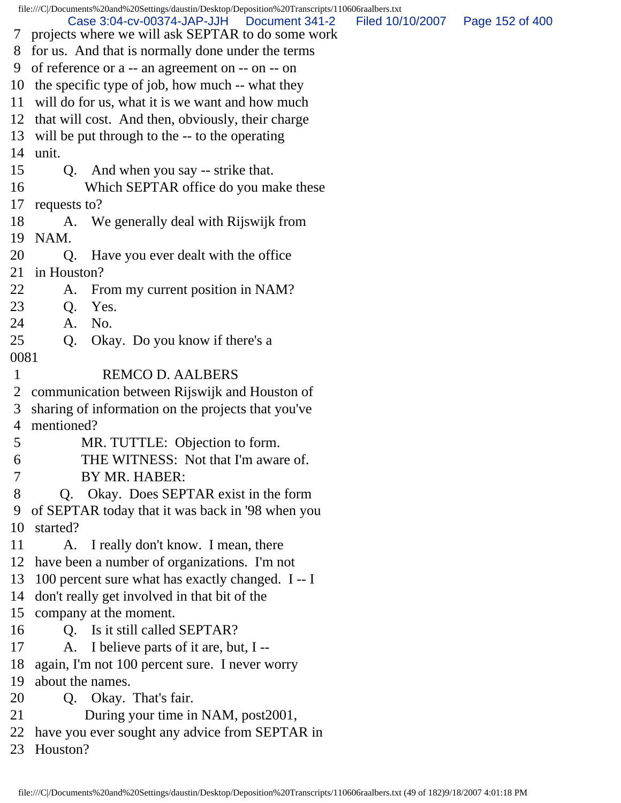file:///C|/Documents%20and%20Settings/daustin/Desktop/Deposition%20Transcripts/110606raalbers.txt 7 projects where we will ask SEPTAR to do some work 8 for us. And that is normally done under the terms 9 of reference or a -- an agreement on -- on -- on 10 the specific type of job, how much -- what they 11 will do for us, what it is we want and how much 12 that will cost. And then, obviously, their charge 13 will be put through to the -- to the operating 14 unit. 15 Q. And when you say -- strike that. 16 Which SEPTAR office do you make these 17 requests to? 18 A. We generally deal with Rijswijk from 19 NAM. 20 Q. Have you ever dealt with the office 21 in Houston? 22 A. From my current position in NAM? 23 Q. Yes. 24 A. No. 25 Q. Okay. Do you know if there's a 0081 1 REMCO D. AALBERS 2 communication between Rijswijk and Houston of 3 sharing of information on the projects that you've 4 mentioned? 5 MR. TUTTLE: Objection to form. 6 THE WITNESS: Not that I'm aware of. 7 BY MR. HABER: 8 Q. Okay. Does SEPTAR exist in the form 9 of SEPTAR today that it was back in '98 when you 10 started? 11 A. I really don't know. I mean, there 12 have been a number of organizations. I'm not 13 100 percent sure what has exactly changed. I -- I 14 don't really get involved in that bit of the 15 company at the moment. 16 Q. Is it still called SEPTAR? 17 A. I believe parts of it are, but, I -- 18 again, I'm not 100 percent sure. I never worry 19 about the names. 20 Q. Okay. That's fair. 21 During your time in NAM, post2001, 22 have you ever sought any advice from SEPTAR in 23 Houston? Case 3:04-cv-00374-JAP-JJH Document 341-2 Filed 10/10/2007 Page 152 of 400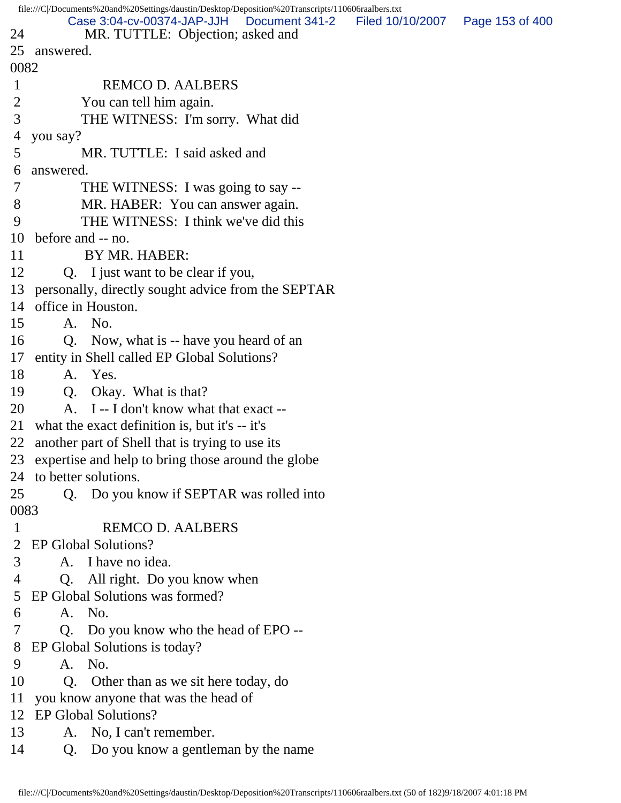|      | file:///C /Documents%20and%20Settings/daustin/Desktop/Deposition%20Transcripts/110606raalbers.txt |                                   |  |
|------|---------------------------------------------------------------------------------------------------|-----------------------------------|--|
| 24   | Case 3:04-cv-00374-JAP-JJH<br>Document 341-2<br>MR. TUTTLE: Objection; asked and                  | Filed 10/10/2007  Page 153 of 400 |  |
| 25   | answered.                                                                                         |                                   |  |
| 0082 |                                                                                                   |                                   |  |
| 1    | <b>REMCO D. AALBERS</b>                                                                           |                                   |  |
| 2    | You can tell him again.                                                                           |                                   |  |
| 3    | THE WITNESS: I'm sorry. What did                                                                  |                                   |  |
| 4    | you say?                                                                                          |                                   |  |
| 5    | MR. TUTTLE: I said asked and                                                                      |                                   |  |
| 6    | answered.                                                                                         |                                   |  |
| 7    | THE WITNESS: I was going to say --                                                                |                                   |  |
| 8    | MR. HABER: You can answer again.                                                                  |                                   |  |
| 9    | THE WITNESS: I think we've did this                                                               |                                   |  |
| 10   | before and -- no.                                                                                 |                                   |  |
| 11   | BY MR. HABER:                                                                                     |                                   |  |
| 12   | Q. I just want to be clear if you,                                                                |                                   |  |
| 13   | personally, directly sought advice from the SEPTAR                                                |                                   |  |
| 14   | office in Houston.                                                                                |                                   |  |
| 15   | A. No.                                                                                            |                                   |  |
| 16   | Q. Now, what is -- have you heard of an                                                           |                                   |  |
| 17   | entity in Shell called EP Global Solutions?                                                       |                                   |  |
| 18   | A. Yes.                                                                                           |                                   |  |
| 19   | Q. Okay. What is that?                                                                            |                                   |  |
| 20   | A. I -- I don't know what that exact --                                                           |                                   |  |
| 21   | what the exact definition is, but it's -- it's                                                    |                                   |  |
| 22   | another part of Shell that is trying to use its                                                   |                                   |  |
|      | 23 expertise and help to bring those around the globe                                             |                                   |  |
|      | 24 to better solutions.                                                                           |                                   |  |
| 25   | Q. Do you know if SEPTAR was rolled into                                                          |                                   |  |
| 0083 |                                                                                                   |                                   |  |
| 1    | <b>REMCO D. AALBERS</b>                                                                           |                                   |  |
| 2    | EP Global Solutions?                                                                              |                                   |  |
| 3    | A. I have no idea.                                                                                |                                   |  |
| 4    | All right. Do you know when<br>Q.                                                                 |                                   |  |
| 5    | EP Global Solutions was formed?                                                                   |                                   |  |
| 6    | A. No.                                                                                            |                                   |  |
| 7    | Q. Do you know who the head of EPO --                                                             |                                   |  |
| 8    | EP Global Solutions is today?                                                                     |                                   |  |
| 9    | A. No.                                                                                            |                                   |  |
| 10   | Q. Other than as we sit here today, do                                                            |                                   |  |
| 11   | you know anyone that was the head of                                                              |                                   |  |
| 12   | <b>EP Global Solutions?</b>                                                                       |                                   |  |
| 13   | No, I can't remember.<br>A.                                                                       |                                   |  |
| 14   | Do you know a gentleman by the name<br>Q.                                                         |                                   |  |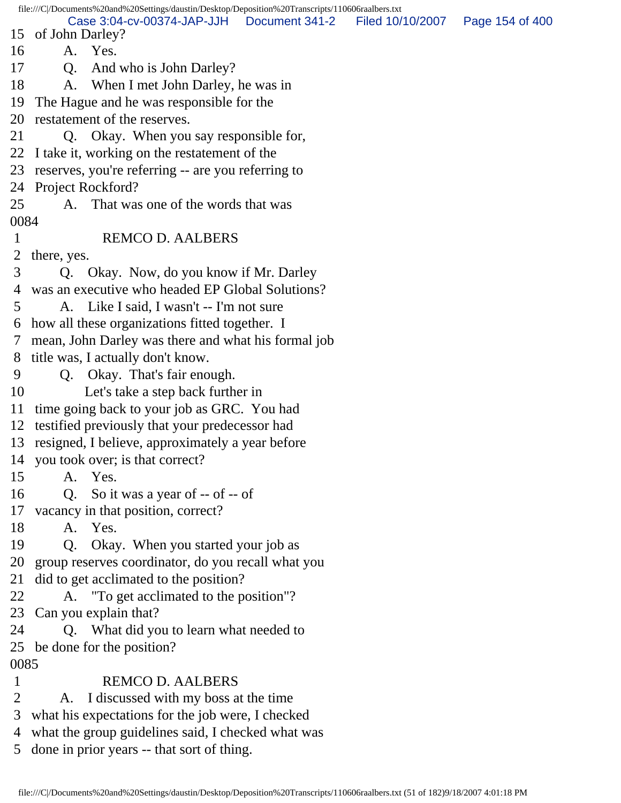file:///C|/Documents%20and%20Settings/daustin/Desktop/Deposition%20Transcripts/110606raalbers.txt 15 of John Darley? 16 A. Yes. 17 Q. And who is John Darley? 18 A. When I met John Darley, he was in 19 The Hague and he was responsible for the 20 restatement of the reserves. 21 Q. Okay. When you say responsible for, 22 I take it, working on the restatement of the 23 reserves, you're referring -- are you referring to 24 Project Rockford? 25 A. That was one of the words that was 0084 1 REMCO D. AALBERS 2 there, yes. 3 Q. Okay. Now, do you know if Mr. Darley 4 was an executive who headed EP Global Solutions? 5 A. Like I said, I wasn't -- I'm not sure 6 how all these organizations fitted together. I 7 mean, John Darley was there and what his formal job 8 title was, I actually don't know. 9 Q. Okay. That's fair enough. 10 Let's take a step back further in 11 time going back to your job as GRC. You had 12 testified previously that your predecessor had 13 resigned, I believe, approximately a year before 14 you took over; is that correct? 15 A. Yes. 16 Q. So it was a year of -- of -- of 17 vacancy in that position, correct? 18 A. Yes. 19 Q. Okay. When you started your job as 20 group reserves coordinator, do you recall what you 21 did to get acclimated to the position? 22 A. "To get acclimated to the position"? 23 Can you explain that? 24 Q. What did you to learn what needed to 25 be done for the position? 0085 1 REMCO D. AALBERS 2 A. I discussed with my boss at the time 3 what his expectations for the job were, I checked 4 what the group guidelines said, I checked what was 5 done in prior years -- that sort of thing. Case 3:04-cv-00374-JAP-JJH Document 341-2 Filed 10/10/2007 Page 154 of 400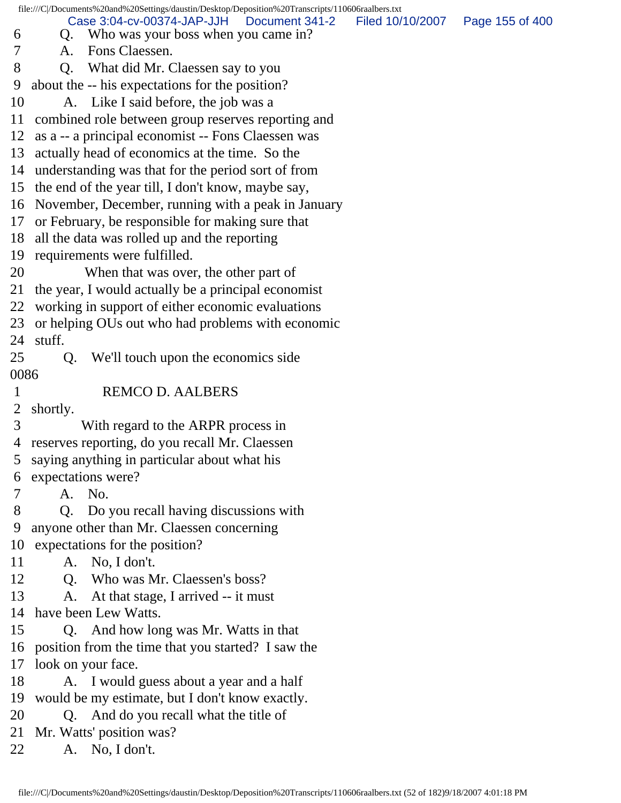file:///C|/Documents%20and%20Settings/daustin/Desktop/Deposition%20Transcripts/110606raalbers.txt 6 Q. Who was your boss when you came in? 7 A. Fons Claessen. 8 Q. What did Mr. Claessen say to you 9 about the -- his expectations for the position? 10 A. Like I said before, the job was a 11 combined role between group reserves reporting and 12 as a -- a principal economist -- Fons Claessen was 13 actually head of economics at the time. So the 14 understanding was that for the period sort of from 15 the end of the year till, I don't know, maybe say, 16 November, December, running with a peak in January 17 or February, be responsible for making sure that 18 all the data was rolled up and the reporting 19 requirements were fulfilled. 20 When that was over, the other part of 21 the year, I would actually be a principal economist 22 working in support of either economic evaluations 23 or helping OUs out who had problems with economic 24 stuff. 25 Q. We'll touch upon the economics side 0086 1 REMCO D. AALBERS 2 shortly. 3 With regard to the ARPR process in 4 reserves reporting, do you recall Mr. Claessen 5 saying anything in particular about what his 6 expectations were? 7 A. No. 8 Q. Do you recall having discussions with 9 anyone other than Mr. Claessen concerning 10 expectations for the position? 11 A. No, I don't. 12 Q. Who was Mr. Claessen's boss? 13 A. At that stage, I arrived -- it must 14 have been Lew Watts. 15 Q. And how long was Mr. Watts in that 16 position from the time that you started? I saw the 17 look on your face. 18 A. I would guess about a year and a half 19 would be my estimate, but I don't know exactly. 20 Q. And do you recall what the title of 21 Mr. Watts' position was? 22 A. No, I don't. Case 3:04-cv-00374-JAP-JJH Document 341-2 Filed 10/10/2007 Page 155 of 400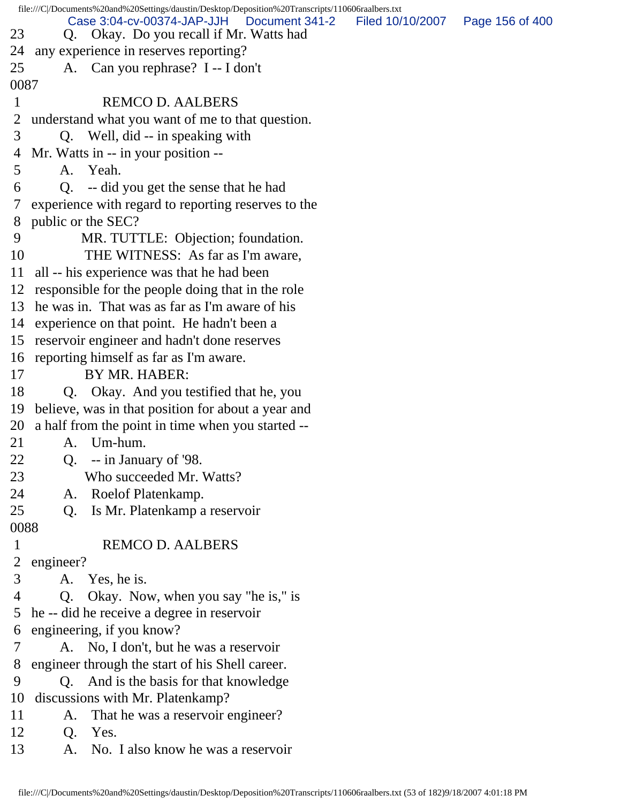|                | file:///C//Documents%20and%20Settings/daustin/Desktop/Deposition%20Transcripts/110606raalbers.txt |                                   |  |
|----------------|---------------------------------------------------------------------------------------------------|-----------------------------------|--|
| 23             | Case 3:04-cv-00374-JAP-JJH<br>Document 341-2<br>Q. Okay. Do you recall if Mr. Watts had           | Filed 10/10/2007  Page 156 of 400 |  |
| 24             | any experience in reserves reporting?                                                             |                                   |  |
| 25             | A. Can you rephrase? I -- I don't                                                                 |                                   |  |
| 0087           |                                                                                                   |                                   |  |
| $\mathbf{1}$   | <b>REMCO D. AALBERS</b>                                                                           |                                   |  |
| 2              | understand what you want of me to that question.                                                  |                                   |  |
| 3              | Q. Well, did -- in speaking with                                                                  |                                   |  |
| 4              | Mr. Watts in -- in your position --                                                               |                                   |  |
| 5              | A. Yeah.                                                                                          |                                   |  |
| 6              | Q. -- did you get the sense that he had                                                           |                                   |  |
| 7 <sup>7</sup> | experience with regard to reporting reserves to the                                               |                                   |  |
|                | 8 public or the SEC?                                                                              |                                   |  |
| 9              | MR. TUTTLE: Objection; foundation.                                                                |                                   |  |
| 10             | THE WITNESS: As far as I'm aware,                                                                 |                                   |  |
| 11             | all -- his experience was that he had been                                                        |                                   |  |
|                | 12 responsible for the people doing that in the role                                              |                                   |  |
|                | 13 he was in. That was as far as I'm aware of his                                                 |                                   |  |
|                | 14 experience on that point. He hadn't been a                                                     |                                   |  |
|                | 15 reservoir engineer and hadn't done reserves                                                    |                                   |  |
|                | 16 reporting himself as far as I'm aware.                                                         |                                   |  |
| 17             | BY MR. HABER:                                                                                     |                                   |  |
| 18             | Q. Okay. And you testified that he, you                                                           |                                   |  |
|                | 19 believe, was in that position for about a year and                                             |                                   |  |
|                | 20 a half from the point in time when you started --                                              |                                   |  |
| 21             | Um-hum.<br>A.                                                                                     |                                   |  |
| 22             | Q. $-$ - in January of '98.                                                                       |                                   |  |
| 23             | Who succeeded Mr. Watts?                                                                          |                                   |  |
| 24             | Roelof Platenkamp.<br>A.                                                                          |                                   |  |
| 25             | Is Mr. Platenkamp a reservoir<br>Q.                                                               |                                   |  |
| 0088           |                                                                                                   |                                   |  |
| $\mathbf{1}$   | <b>REMCO D. AALBERS</b>                                                                           |                                   |  |
| $\overline{2}$ | engineer?                                                                                         |                                   |  |
| 3              | A. Yes, he is.                                                                                    |                                   |  |
| 4              | Okay. Now, when you say "he is," is<br>Q.                                                         |                                   |  |
| 5              | he -- did he receive a degree in reservoir                                                        |                                   |  |
| 6              | engineering, if you know?                                                                         |                                   |  |
| 7              | A. No, I don't, but he was a reservoir                                                            |                                   |  |
| 8              | engineer through the start of his Shell career.                                                   |                                   |  |
| 9              | Q. And is the basis for that knowledge                                                            |                                   |  |
| 10             | discussions with Mr. Platenkamp?                                                                  |                                   |  |
| 11             | That he was a reservoir engineer?<br>A.                                                           |                                   |  |
| 12             | Yes.<br>Q.                                                                                        |                                   |  |
| 13             | No. I also know he was a reservoir<br>A.                                                          |                                   |  |
|                |                                                                                                   |                                   |  |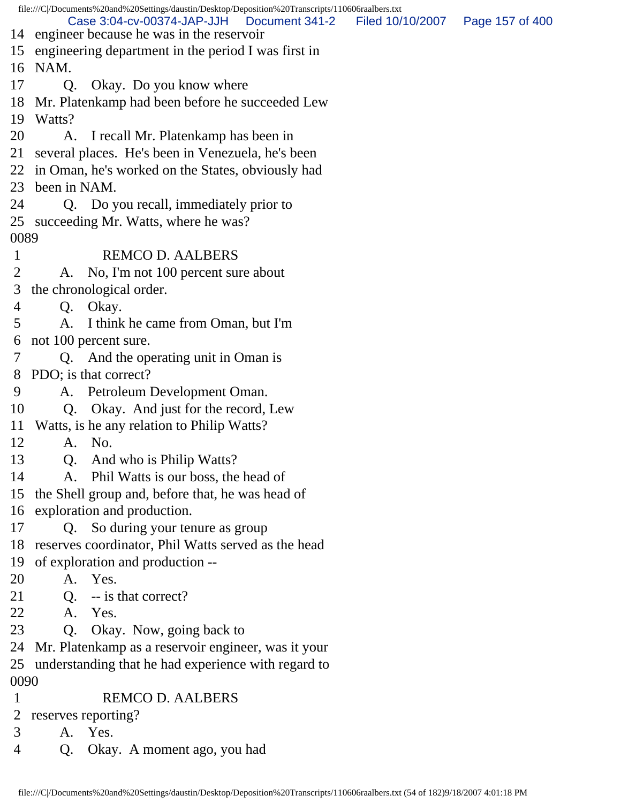file:///C|/Documents%20and%20Settings/daustin/Desktop/Deposition%20Transcripts/110606raalbers.txt 14 engineer because he was in the reservoir 15 engineering department in the period I was first in 16 NAM. 17 Q. Okay. Do you know where 18 Mr. Platenkamp had been before he succeeded Lew 19 Watts? 20 A. I recall Mr. Platenkamp has been in 21 several places. He's been in Venezuela, he's been 22 in Oman, he's worked on the States, obviously had 23 been in NAM. 24 Q. Do you recall, immediately prior to 25 succeeding Mr. Watts, where he was? 0089 1 REMCO D. AALBERS 2 A. No, I'm not 100 percent sure about 3 the chronological order. 4 Q. Okay. 5 A. I think he came from Oman, but I'm 6 not 100 percent sure. 7 Q. And the operating unit in Oman is 8 PDO; is that correct? 9 A. Petroleum Development Oman. 10 Q. Okay. And just for the record, Lew 11 Watts, is he any relation to Philip Watts? 12 A. No. 13 Q. And who is Philip Watts? 14 A. Phil Watts is our boss, the head of 15 the Shell group and, before that, he was head of 16 exploration and production. 17 Q. So during your tenure as group 18 reserves coordinator, Phil Watts served as the head 19 of exploration and production -- 20 A. Yes. 21 Q. -- is that correct? 22 A. Yes. 23 Q. Okay. Now, going back to 24 Mr. Platenkamp as a reservoir engineer, was it your 25 understanding that he had experience with regard to 0090 1 REMCO D. AALBERS 2 reserves reporting? 3 A. Yes. 4 Q. Okay. A moment ago, you had Case 3:04-cv-00374-JAP-JJH Document 341-2 Filed 10/10/2007 Page 157 of 400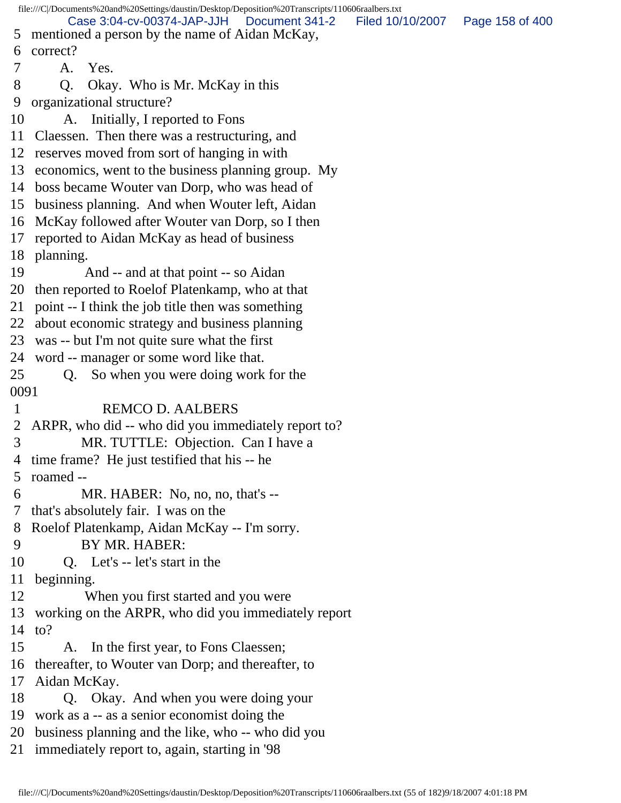file:///C|/Documents%20and%20Settings/daustin/Desktop/Deposition%20Transcripts/110606raalbers.txt 5 mentioned a person by the name of Aidan McKay, 6 correct? 7 A. Yes. 8 Q. Okay. Who is Mr. McKay in this 9 organizational structure? 10 A. Initially, I reported to Fons 11 Claessen. Then there was a restructuring, and 12 reserves moved from sort of hanging in with 13 economics, went to the business planning group. My 14 boss became Wouter van Dorp, who was head of 15 business planning. And when Wouter left, Aidan 16 McKay followed after Wouter van Dorp, so I then 17 reported to Aidan McKay as head of business 18 planning. 19 And -- and at that point -- so Aidan 20 then reported to Roelof Platenkamp, who at that 21 point -- I think the job title then was something 22 about economic strategy and business planning 23 was -- but I'm not quite sure what the first 24 word -- manager or some word like that. 25 Q. So when you were doing work for the 0091 1 REMCO D. AALBERS 2 ARPR, who did -- who did you immediately report to? 3 MR. TUTTLE: Objection. Can I have a 4 time frame? He just testified that his -- he 5 roamed -- 6 MR. HABER: No, no, no, that's -- 7 that's absolutely fair. I was on the 8 Roelof Platenkamp, Aidan McKay -- I'm sorry. 9 BY MR. HABER: 10 Q. Let's -- let's start in the 11 beginning. 12 When you first started and you were 13 working on the ARPR, who did you immediately report 14 to? 15 A. In the first year, to Fons Claessen; 16 thereafter, to Wouter van Dorp; and thereafter, to 17 Aidan McKay. 18 Q. Okay. And when you were doing your 19 work as a -- as a senior economist doing the 20 business planning and the like, who -- who did you 21 immediately report to, again, starting in '98 Case 3:04-cv-00374-JAP-JJH Document 341-2 Filed 10/10/2007 Page 158 of 400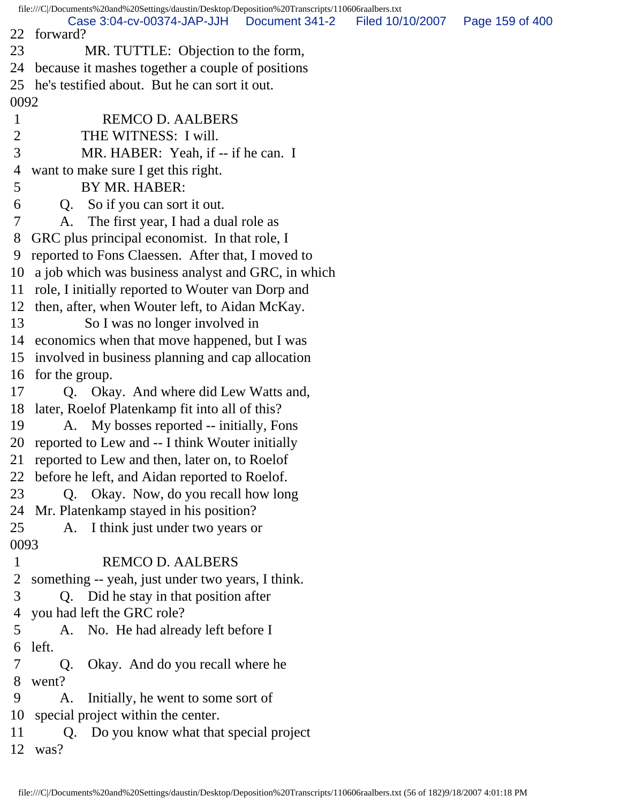file:///C|/Documents%20and%20Settings/daustin/Desktop/Deposition%20Transcripts/110606raalbers.txt 22 forward? 23 MR. TUTTLE: Objection to the form, 24 because it mashes together a couple of positions 25 he's testified about. But he can sort it out. 0092 1 REMCO D. AALBERS 2 THE WITNESS: I will. 3 MR. HABER: Yeah, if -- if he can. I 4 want to make sure I get this right. 5 BY MR. HABER: 6 Q. So if you can sort it out. 7 A. The first year, I had a dual role as 8 GRC plus principal economist. In that role, I 9 reported to Fons Claessen. After that, I moved to 10 a job which was business analyst and GRC, in which 11 role, I initially reported to Wouter van Dorp and 12 then, after, when Wouter left, to Aidan McKay. 13 So I was no longer involved in 14 economics when that move happened, but I was 15 involved in business planning and cap allocation 16 for the group. 17 Q. Okay. And where did Lew Watts and, 18 later, Roelof Platenkamp fit into all of this? 19 A. My bosses reported -- initially, Fons 20 reported to Lew and -- I think Wouter initially 21 reported to Lew and then, later on, to Roelof 22 before he left, and Aidan reported to Roelof. 23 Q. Okay. Now, do you recall how long 24 Mr. Platenkamp stayed in his position? 25 A. I think just under two years or 0093 1 REMCO D. AALBERS 2 something -- yeah, just under two years, I think. 3 Q. Did he stay in that position after 4 you had left the GRC role? 5 A. No. He had already left before I 6 left. 7 Q. Okay. And do you recall where he 8 went? 9 A. Initially, he went to some sort of 10 special project within the center. 11 Q. Do you know what that special project 12 was? Case 3:04-cv-00374-JAP-JJH Document 341-2 Filed 10/10/2007 Page 159 of 400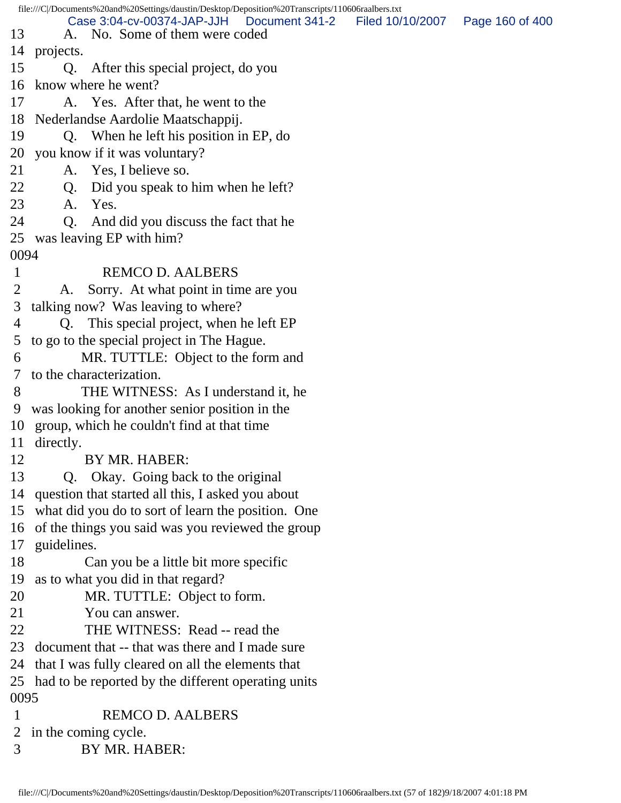| 14                                                             |                                                                                                                                                                                                                                                                                                                                                                                                                                                                                                                                                                                                                                                                                                       |                                                                                                                                        |
|----------------------------------------------------------------|-------------------------------------------------------------------------------------------------------------------------------------------------------------------------------------------------------------------------------------------------------------------------------------------------------------------------------------------------------------------------------------------------------------------------------------------------------------------------------------------------------------------------------------------------------------------------------------------------------------------------------------------------------------------------------------------------------|----------------------------------------------------------------------------------------------------------------------------------------|
|                                                                |                                                                                                                                                                                                                                                                                                                                                                                                                                                                                                                                                                                                                                                                                                       |                                                                                                                                        |
|                                                                |                                                                                                                                                                                                                                                                                                                                                                                                                                                                                                                                                                                                                                                                                                       |                                                                                                                                        |
|                                                                |                                                                                                                                                                                                                                                                                                                                                                                                                                                                                                                                                                                                                                                                                                       |                                                                                                                                        |
|                                                                |                                                                                                                                                                                                                                                                                                                                                                                                                                                                                                                                                                                                                                                                                                       |                                                                                                                                        |
|                                                                |                                                                                                                                                                                                                                                                                                                                                                                                                                                                                                                                                                                                                                                                                                       |                                                                                                                                        |
|                                                                |                                                                                                                                                                                                                                                                                                                                                                                                                                                                                                                                                                                                                                                                                                       |                                                                                                                                        |
|                                                                |                                                                                                                                                                                                                                                                                                                                                                                                                                                                                                                                                                                                                                                                                                       |                                                                                                                                        |
|                                                                |                                                                                                                                                                                                                                                                                                                                                                                                                                                                                                                                                                                                                                                                                                       |                                                                                                                                        |
|                                                                |                                                                                                                                                                                                                                                                                                                                                                                                                                                                                                                                                                                                                                                                                                       |                                                                                                                                        |
|                                                                |                                                                                                                                                                                                                                                                                                                                                                                                                                                                                                                                                                                                                                                                                                       |                                                                                                                                        |
|                                                                |                                                                                                                                                                                                                                                                                                                                                                                                                                                                                                                                                                                                                                                                                                       |                                                                                                                                        |
| 25                                                             |                                                                                                                                                                                                                                                                                                                                                                                                                                                                                                                                                                                                                                                                                                       |                                                                                                                                        |
|                                                                |                                                                                                                                                                                                                                                                                                                                                                                                                                                                                                                                                                                                                                                                                                       |                                                                                                                                        |
|                                                                |                                                                                                                                                                                                                                                                                                                                                                                                                                                                                                                                                                                                                                                                                                       |                                                                                                                                        |
| A.                                                             |                                                                                                                                                                                                                                                                                                                                                                                                                                                                                                                                                                                                                                                                                                       |                                                                                                                                        |
|                                                                |                                                                                                                                                                                                                                                                                                                                                                                                                                                                                                                                                                                                                                                                                                       |                                                                                                                                        |
|                                                                |                                                                                                                                                                                                                                                                                                                                                                                                                                                                                                                                                                                                                                                                                                       |                                                                                                                                        |
|                                                                |                                                                                                                                                                                                                                                                                                                                                                                                                                                                                                                                                                                                                                                                                                       |                                                                                                                                        |
| MR. TUTTLE: Object to the form and                             |                                                                                                                                                                                                                                                                                                                                                                                                                                                                                                                                                                                                                                                                                                       |                                                                                                                                        |
| to the characterization.                                       |                                                                                                                                                                                                                                                                                                                                                                                                                                                                                                                                                                                                                                                                                                       |                                                                                                                                        |
| THE WITNESS: As I understand it, he                            |                                                                                                                                                                                                                                                                                                                                                                                                                                                                                                                                                                                                                                                                                                       |                                                                                                                                        |
| was looking for another senior position in the                 |                                                                                                                                                                                                                                                                                                                                                                                                                                                                                                                                                                                                                                                                                                       |                                                                                                                                        |
| group, which he couldn't find at that time<br>10               |                                                                                                                                                                                                                                                                                                                                                                                                                                                                                                                                                                                                                                                                                                       |                                                                                                                                        |
| directly.<br>11                                                |                                                                                                                                                                                                                                                                                                                                                                                                                                                                                                                                                                                                                                                                                                       |                                                                                                                                        |
| 12<br>BY MR. HABER:                                            |                                                                                                                                                                                                                                                                                                                                                                                                                                                                                                                                                                                                                                                                                                       |                                                                                                                                        |
| 13<br>Okay. Going back to the original<br>Q.                   |                                                                                                                                                                                                                                                                                                                                                                                                                                                                                                                                                                                                                                                                                                       |                                                                                                                                        |
| 14<br>question that started all this, I asked you about        |                                                                                                                                                                                                                                                                                                                                                                                                                                                                                                                                                                                                                                                                                                       |                                                                                                                                        |
| what did you do to sort of learn the position. One<br>15       |                                                                                                                                                                                                                                                                                                                                                                                                                                                                                                                                                                                                                                                                                                       |                                                                                                                                        |
| of the things you said was you reviewed the group<br>16        |                                                                                                                                                                                                                                                                                                                                                                                                                                                                                                                                                                                                                                                                                                       |                                                                                                                                        |
| 17<br>guidelines.                                              |                                                                                                                                                                                                                                                                                                                                                                                                                                                                                                                                                                                                                                                                                                       |                                                                                                                                        |
| 18<br>Can you be a little bit more specific                    |                                                                                                                                                                                                                                                                                                                                                                                                                                                                                                                                                                                                                                                                                                       |                                                                                                                                        |
| as to what you did in that regard?<br>19                       |                                                                                                                                                                                                                                                                                                                                                                                                                                                                                                                                                                                                                                                                                                       |                                                                                                                                        |
| 20<br>MR. TUTTLE: Object to form.                              |                                                                                                                                                                                                                                                                                                                                                                                                                                                                                                                                                                                                                                                                                                       |                                                                                                                                        |
| 21<br>You can answer.                                          |                                                                                                                                                                                                                                                                                                                                                                                                                                                                                                                                                                                                                                                                                                       |                                                                                                                                        |
| 22<br>THE WITNESS: Read -- read the                            |                                                                                                                                                                                                                                                                                                                                                                                                                                                                                                                                                                                                                                                                                                       |                                                                                                                                        |
| 23<br>document that -- that was there and I made sure          |                                                                                                                                                                                                                                                                                                                                                                                                                                                                                                                                                                                                                                                                                                       |                                                                                                                                        |
| 24<br>that I was fully cleared on all the elements that        |                                                                                                                                                                                                                                                                                                                                                                                                                                                                                                                                                                                                                                                                                                       |                                                                                                                                        |
| 25 had to be reported by the different operating units         |                                                                                                                                                                                                                                                                                                                                                                                                                                                                                                                                                                                                                                                                                                       |                                                                                                                                        |
| 0095                                                           |                                                                                                                                                                                                                                                                                                                                                                                                                                                                                                                                                                                                                                                                                                       |                                                                                                                                        |
| <b>REMCO D. AALBERS</b>                                        |                                                                                                                                                                                                                                                                                                                                                                                                                                                                                                                                                                                                                                                                                                       |                                                                                                                                        |
| 2 in the coming cycle.                                         |                                                                                                                                                                                                                                                                                                                                                                                                                                                                                                                                                                                                                                                                                                       |                                                                                                                                        |
| BY MR. HABER:                                                  |                                                                                                                                                                                                                                                                                                                                                                                                                                                                                                                                                                                                                                                                                                       |                                                                                                                                        |
| 13<br>15<br>16<br>17<br>18<br>19<br>20<br>21<br>22<br>23<br>24 | Case 3:04-cv-00374-JAP-JJH   Document 341-2<br>A. No. Some of them were coded<br>projects.<br>Q. After this special project, do you<br>know where he went?<br>A. Yes. After that, he went to the<br>Nederlandse Aardolie Maatschappij.<br>Q. When he left his position in EP, do<br>you know if it was voluntary?<br>A. Yes, I believe so.<br>Did you speak to him when he left?<br>Q.<br>Yes.<br>A.<br>Q <sub>1</sub><br>And did you discuss the fact that he<br>was leaving EP with him?<br>0094<br><b>REMCO D. AALBERS</b><br>Sorry. At what point in time are you<br>talking now? Was leaving to where?<br>Q. This special project, when he left EP<br>to go to the special project in The Hague. | file:///C//Documents%20and%20Settings/daustin/Desktop/Deposition%20Transcripts/110606raalbers.txt<br>Filed 10/10/2007  Page 160 of 400 |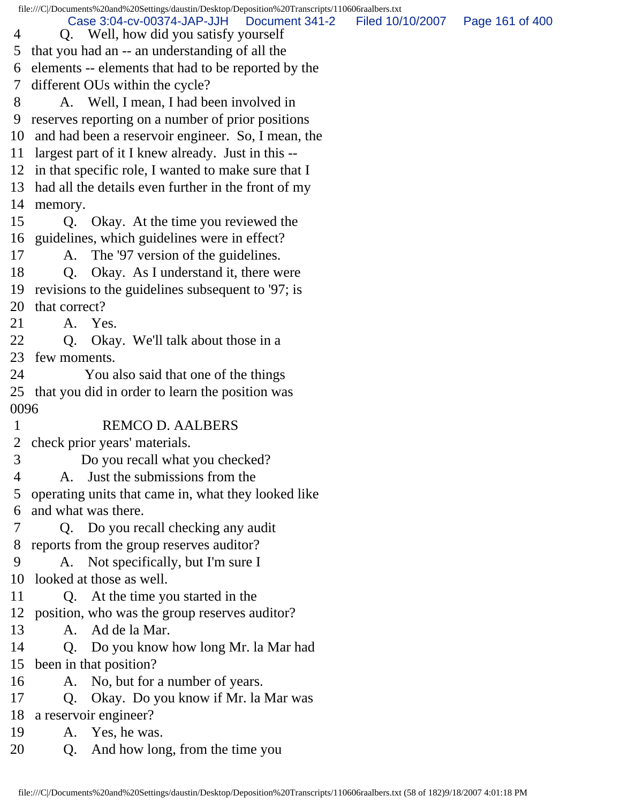|                | file:///C//Documents%20and%20Settings/daustin/Desktop/Deposition%20Transcripts/110606raalbers.txt |                                   |  |
|----------------|---------------------------------------------------------------------------------------------------|-----------------------------------|--|
| 4              | Case 3:04-cv-00374-JAP-JJH<br>Document 341-2<br>Q. Well, how did you satisfy yourself             | Filed 10/10/2007  Page 161 of 400 |  |
|                | 5 that you had an -- an understanding of all the                                                  |                                   |  |
|                | 6 elements -- elements that had to be reported by the                                             |                                   |  |
| 7 <sup>7</sup> | different OUs within the cycle?                                                                   |                                   |  |
| 8              | A. Well, I mean, I had been involved in                                                           |                                   |  |
| 9              | reserves reporting on a number of prior positions                                                 |                                   |  |
|                | 10 and had been a reservoir engineer. So, I mean, the                                             |                                   |  |
|                | 11 largest part of it I knew already. Just in this --                                             |                                   |  |
|                | 12 in that specific role, I wanted to make sure that I                                            |                                   |  |
|                | 13 had all the details even further in the front of my                                            |                                   |  |
|                | 14 memory.                                                                                        |                                   |  |
| 15             | Q. Okay. At the time you reviewed the                                                             |                                   |  |
|                | 16 guidelines, which guidelines were in effect?                                                   |                                   |  |
| 17             | A. The '97 version of the guidelines.                                                             |                                   |  |
| 18             | Okay. As I understand it, there were<br>$Q_{\cdot}$                                               |                                   |  |
|                | 19 revisions to the guidelines subsequent to '97; is                                              |                                   |  |
|                | 20 that correct?                                                                                  |                                   |  |
| 21             | A. Yes.                                                                                           |                                   |  |
| 22             | Q. Okay. We'll talk about those in a                                                              |                                   |  |
|                | 23 few moments.                                                                                   |                                   |  |
| 24             | You also said that one of the things                                                              |                                   |  |
|                | 25 that you did in order to learn the position was                                                |                                   |  |
| 0096           |                                                                                                   |                                   |  |
| $\mathbf{1}$   | <b>REMCO D. AALBERS</b>                                                                           |                                   |  |
|                | 2 check prior years' materials.                                                                   |                                   |  |
| 3              | Do you recall what you checked?                                                                   |                                   |  |
| 4              | A. Just the submissions from the                                                                  |                                   |  |
| 5              | operating units that came in, what they looked like                                               |                                   |  |
| 6              | and what was there.                                                                               |                                   |  |
| 7              | Q. Do you recall checking any audit                                                               |                                   |  |
| 8              | reports from the group reserves auditor?                                                          |                                   |  |
| 9              | A. Not specifically, but I'm sure I                                                               |                                   |  |
| 10             | looked at those as well.                                                                          |                                   |  |
| 11             | Q. At the time you started in the                                                                 |                                   |  |
|                | 12 position, who was the group reserves auditor?                                                  |                                   |  |
| 13             | A. Ad de la Mar.                                                                                  |                                   |  |
| 14             | Q. Do you know how long Mr. la Mar had                                                            |                                   |  |
| 15             | been in that position?                                                                            |                                   |  |
| 16             | A. No, but for a number of years.                                                                 |                                   |  |
| 17             | Okay. Do you know if Mr. la Mar was<br>Q.                                                         |                                   |  |
| 18             | a reservoir engineer?                                                                             |                                   |  |
| 19             | A. Yes, he was.                                                                                   |                                   |  |
| 20             | And how long, from the time you<br>Q.                                                             |                                   |  |
|                |                                                                                                   |                                   |  |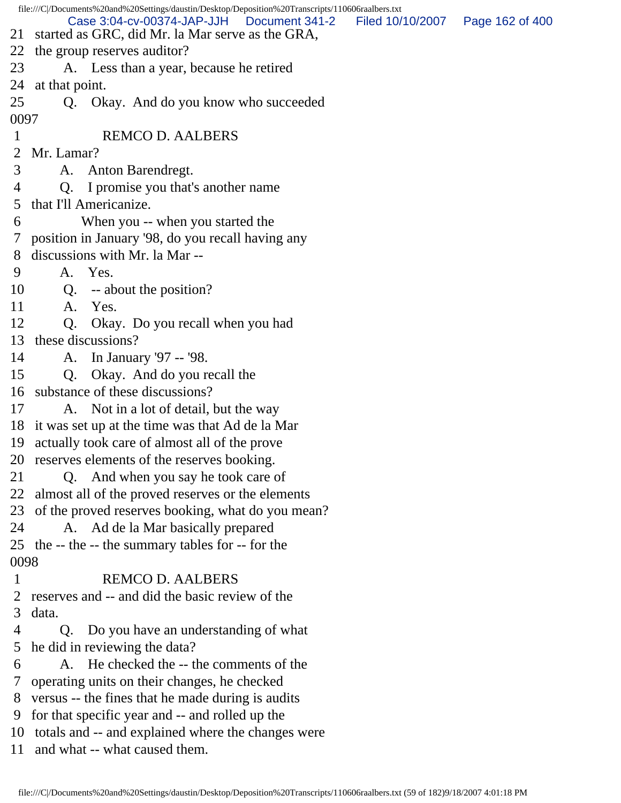|              | file:///C//Documents%20and%20Settings/daustin/Desktop/Deposition%20Transcripts/110606raalbers.txt |                                   |  |
|--------------|---------------------------------------------------------------------------------------------------|-----------------------------------|--|
| 21           | Case 3:04-cv-00374-JAP-JJH<br>Document 341-2<br>started as GRC, did Mr. la Mar serve as the GRA,  | Filed 10/10/2007  Page 162 of 400 |  |
| 22           | the group reserves auditor?                                                                       |                                   |  |
| 23           | A. Less than a year, because he retired                                                           |                                   |  |
| 24           | at that point.                                                                                    |                                   |  |
| 25           | Okay. And do you know who succeeded<br>Q.                                                         |                                   |  |
| 0097         |                                                                                                   |                                   |  |
| $\mathbf{1}$ | <b>REMCO D. AALBERS</b>                                                                           |                                   |  |
| 2            | Mr. Lamar?                                                                                        |                                   |  |
| 3            | A. Anton Barendregt.                                                                              |                                   |  |
| 4            | I promise you that's another name<br>Q.                                                           |                                   |  |
| 5            | that I'll Americanize.                                                                            |                                   |  |
| 6            | When you -- when you started the                                                                  |                                   |  |
|              | 7 position in January '98, do you recall having any                                               |                                   |  |
| 8            | discussions with Mr. la Mar --                                                                    |                                   |  |
| 9            | A. Yes.                                                                                           |                                   |  |
| 10           | Q. -- about the position?                                                                         |                                   |  |
| 11           | Yes.<br>A.                                                                                        |                                   |  |
| 12           | Okay. Do you recall when you had<br>Q.                                                            |                                   |  |
|              | 13 these discussions?                                                                             |                                   |  |
| 14           | A. In January '97 -- '98.                                                                         |                                   |  |
| 15           | Q. Okay. And do you recall the                                                                    |                                   |  |
| 16           | substance of these discussions?                                                                   |                                   |  |
| 17           | A. Not in a lot of detail, but the way                                                            |                                   |  |
|              | 18 it was set up at the time was that Ad de la Mar                                                |                                   |  |
|              | 19 actually took care of almost all of the prove                                                  |                                   |  |
|              | 20 reserves elements of the reserves booking.                                                     |                                   |  |
| 21           | Q. And when you say he took care of                                                               |                                   |  |
| 22           | almost all of the proved reserves or the elements                                                 |                                   |  |
|              | 23 of the proved reserves booking, what do you mean?                                              |                                   |  |
| 24           | A. Ad de la Mar basically prepared                                                                |                                   |  |
|              | 25 the -- the -- the summary tables for -- for the                                                |                                   |  |
| 0098         |                                                                                                   |                                   |  |
| $\mathbf{1}$ | <b>REMCO D. AALBERS</b>                                                                           |                                   |  |
| 2            | reserves and -- and did the basic review of the                                                   |                                   |  |
| 3            | data.                                                                                             |                                   |  |
| 4            | Q. Do you have an understanding of what                                                           |                                   |  |
| 5            | he did in reviewing the data?<br>A. He checked the -- the comments of the                         |                                   |  |
| 6<br>7       |                                                                                                   |                                   |  |
| 8            | operating units on their changes, he checked<br>versus -- the fines that he made during is audits |                                   |  |
| 9            | for that specific year and -- and rolled up the                                                   |                                   |  |
|              | 10 totals and -- and explained where the changes were                                             |                                   |  |
|              | 11 and what -- what caused them.                                                                  |                                   |  |
|              |                                                                                                   |                                   |  |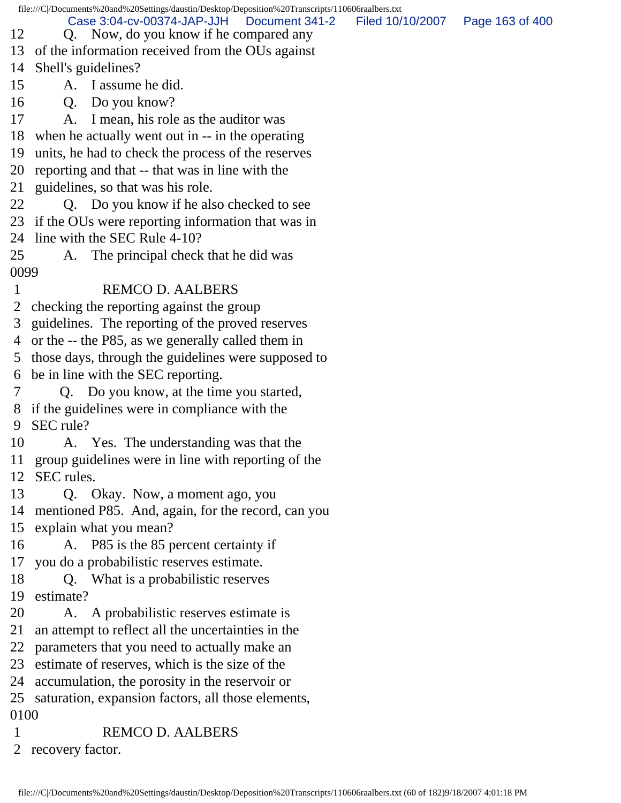file:///C|/Documents%20and%20Settings/daustin/Desktop/Deposition%20Transcripts/110606raalbers.txt 12 Q. Now, do you know if he compared any 13 of the information received from the OUs against 14 Shell's guidelines? 15 A. I assume he did. 16 Q. Do you know? 17 A. I mean, his role as the auditor was 18 when he actually went out in -- in the operating 19 units, he had to check the process of the reserves 20 reporting and that -- that was in line with the 21 guidelines, so that was his role. 22 Q. Do you know if he also checked to see 23 if the OUs were reporting information that was in 24 line with the SEC Rule 4-10? 25 A. The principal check that he did was 0099 1 REMCO D. AALBERS 2 checking the reporting against the group 3 guidelines. The reporting of the proved reserves 4 or the -- the P85, as we generally called them in 5 those days, through the guidelines were supposed to 6 be in line with the SEC reporting. 7 Q. Do you know, at the time you started, 8 if the guidelines were in compliance with the 9 SEC rule? 10 A. Yes. The understanding was that the 11 group guidelines were in line with reporting of the 12 SEC rules. 13 Q. Okay. Now, a moment ago, you 14 mentioned P85. And, again, for the record, can you 15 explain what you mean? 16 A. P85 is the 85 percent certainty if 17 you do a probabilistic reserves estimate. 18 Q. What is a probabilistic reserves 19 estimate? 20 A. A probabilistic reserves estimate is 21 an attempt to reflect all the uncertainties in the 22 parameters that you need to actually make an 23 estimate of reserves, which is the size of the 24 accumulation, the porosity in the reservoir or 25 saturation, expansion factors, all those elements, 0100 1 REMCO D. AALBERS 2 recovery factor. Case 3:04-cv-00374-JAP-JJH Document 341-2 Filed 10/10/2007 Page 163 of 400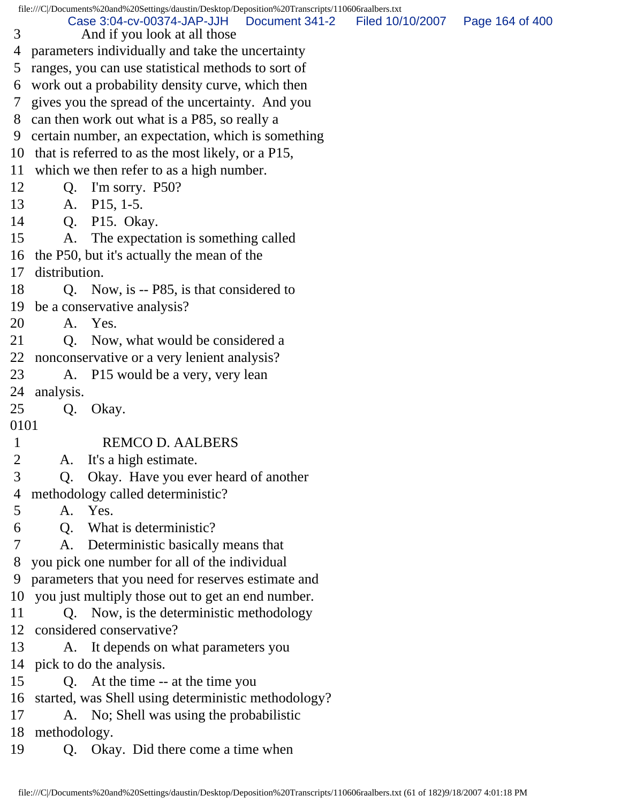file:///C|/Documents%20and%20Settings/daustin/Desktop/Deposition%20Transcripts/110606raalbers.txt

 3 And if you look at all those 4 parameters individually and take the uncertainty Case 3:04-cv-00374-JAP-JJH Document 341-2 Filed 10/10/2007 Page 164 of 400

5 ranges, you can use statistical methods to sort of

6 work out a probability density curve, which then

7 gives you the spread of the uncertainty. And you

8 can then work out what is a P85, so really a

9 certain number, an expectation, which is something

10 that is referred to as the most likely, or a P15,

11 which we then refer to as a high number.

12 Q. I'm sorry. P50?

13 A. P15, 1-5.

14 Q. P15. Okay.

15 A. The expectation is something called

16 the P50, but it's actually the mean of the

17 distribution.

18 Q. Now, is -- P85, is that considered to

19 be a conservative analysis?

20 A. Yes.

21 O. Now, what would be considered a

22 nonconservative or a very lenient analysis?

23 A. P15 would be a very, very lean

24 analysis.

25 Q. Okay.

0101

## 1 REMCO D. AALBERS

2 A. It's a high estimate.

 3 Q. Okay. Have you ever heard of another 4 methodology called deterministic?

5 A. Yes.

6 Q. What is deterministic?

7 A. Deterministic basically means that

8 you pick one number for all of the individual

9 parameters that you need for reserves estimate and

10 you just multiply those out to get an end number.

11 Q. Now, is the deterministic methodology 12 considered conservative?

13 A. It depends on what parameters you 14 pick to do the analysis.

15 Q. At the time -- at the time you

16 started, was Shell using deterministic methodology?

17 A. No; Shell was using the probabilistic

18 methodology.

19 Q. Okay. Did there come a time when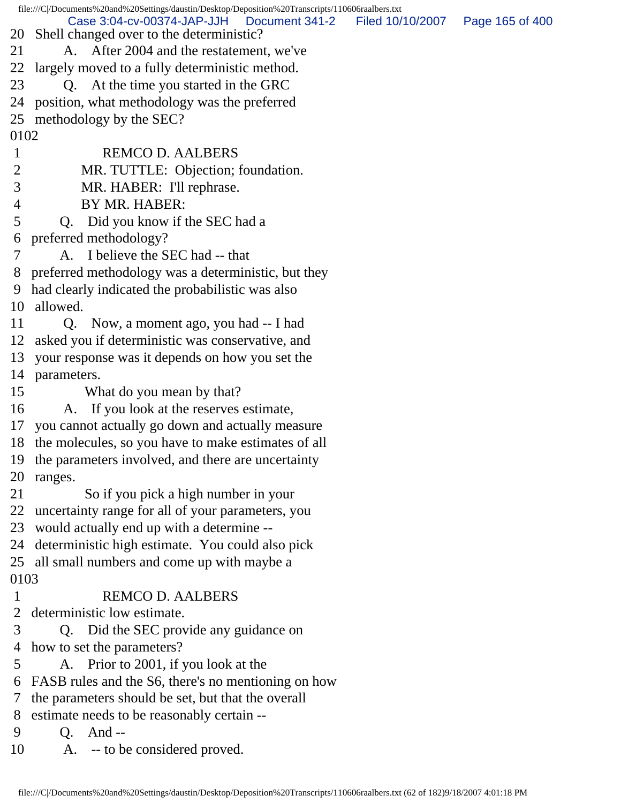file:///C|/Documents%20and%20Settings/daustin/Desktop/Deposition%20Transcripts/110606raalbers.txt 20 Shell changed over to the deterministic? 21 A. After 2004 and the restatement, we've 22 largely moved to a fully deterministic method. 23 Q. At the time you started in the GRC 24 position, what methodology was the preferred 25 methodology by the SEC? 0102 1 REMCO D. AALBERS 2 MR. TUTTLE: Objection; foundation. 3 MR. HABER: I'll rephrase. 4 BY MR. HABER: 5 Q. Did you know if the SEC had a 6 preferred methodology? 7 A. I believe the SEC had -- that 8 preferred methodology was a deterministic, but they 9 had clearly indicated the probabilistic was also 10 allowed. 11 Q. Now, a moment ago, you had -- I had 12 asked you if deterministic was conservative, and 13 your response was it depends on how you set the 14 parameters. 15 What do you mean by that? 16 A. If you look at the reserves estimate, 17 you cannot actually go down and actually measure 18 the molecules, so you have to make estimates of all 19 the parameters involved, and there are uncertainty 20 ranges. 21 So if you pick a high number in your 22 uncertainty range for all of your parameters, you 23 would actually end up with a determine -- 24 deterministic high estimate. You could also pick 25 all small numbers and come up with maybe a 0103 1 REMCO D. AALBERS 2 deterministic low estimate. 3 Q. Did the SEC provide any guidance on 4 how to set the parameters? 5 A. Prior to 2001, if you look at the 6 FASB rules and the S6, there's no mentioning on how 7 the parameters should be set, but that the overall 8 estimate needs to be reasonably certain -- 9 Q. And -- 10 A. -- to be considered proved. Case 3:04-cv-00374-JAP-JJH Document 341-2 Filed 10/10/2007 Page 165 of 400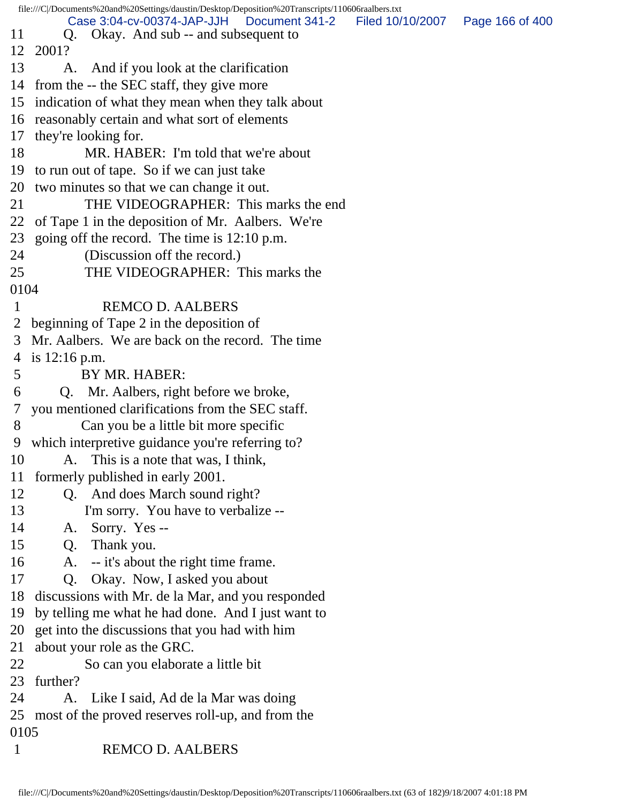file:///C|/Documents%20and%20Settings/daustin/Desktop/Deposition%20Transcripts/110606raalbers.txt 11 Q. Okay. And sub -- and subsequent to 12 2001? 13 A. And if you look at the clarification 14 from the -- the SEC staff, they give more 15 indication of what they mean when they talk about 16 reasonably certain and what sort of elements 17 they're looking for. 18 MR. HABER: I'm told that we're about 19 to run out of tape. So if we can just take 20 two minutes so that we can change it out. 21 THE VIDEOGRAPHER: This marks the end 22 of Tape 1 in the deposition of Mr. Aalbers. We're 23 going off the record. The time is 12:10 p.m. 24 (Discussion off the record.) 25 THE VIDEOGRAPHER: This marks the 0104 1 REMCO D. AALBERS 2 beginning of Tape 2 in the deposition of 3 Mr. Aalbers. We are back on the record. The time 4 is 12:16 p.m. 5 BY MR. HABER: 6 Q. Mr. Aalbers, right before we broke, 7 you mentioned clarifications from the SEC staff. 8 Can you be a little bit more specific 9 which interpretive guidance you're referring to? 10 A. This is a note that was, I think, 11 formerly published in early 2001. 12 Q. And does March sound right? 13 I'm sorry. You have to verbalize -- 14 A. Sorry. Yes -- 15 Q. Thank you. 16 A. -- it's about the right time frame. 17 Q. Okay. Now, I asked you about 18 discussions with Mr. de la Mar, and you responded 19 by telling me what he had done. And I just want to 20 get into the discussions that you had with him 21 about your role as the GRC. 22 So can you elaborate a little bit 23 further? 24 A. Like I said, Ad de la Mar was doing 25 most of the proved reserves roll-up, and from the 0105 1 REMCO D. AALBERS Case 3:04-cv-00374-JAP-JJH Document 341-2 Filed 10/10/2007 Page 166 of 400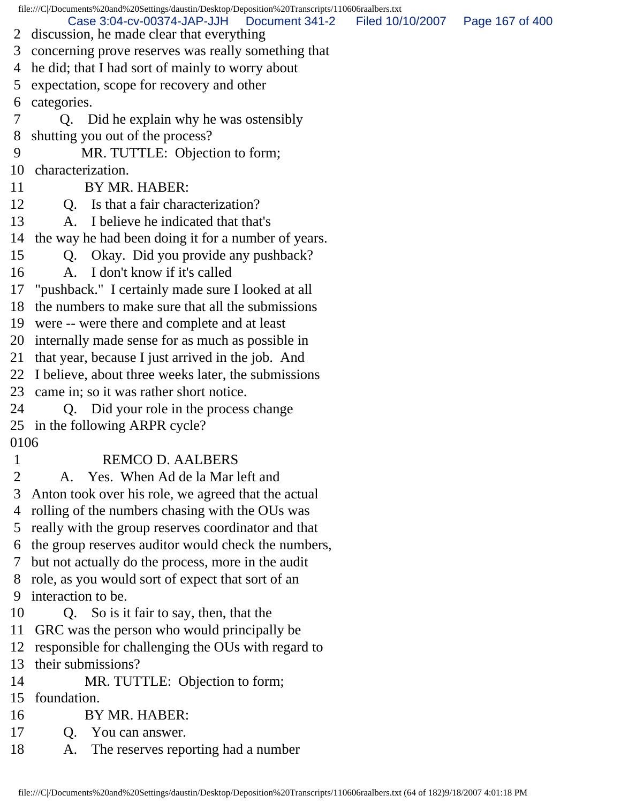file:///C|/Documents%20and%20Settings/daustin/Desktop/Deposition%20Transcripts/110606raalbers.txt 2 discussion, he made clear that everything 3 concerning prove reserves was really something that 4 he did; that I had sort of mainly to worry about 5 expectation, scope for recovery and other 6 categories. 7 Q. Did he explain why he was ostensibly 8 shutting you out of the process? 9 MR. TUTTLE: Objection to form; 10 characterization. 11 BY MR. HABER: 12 Q. Is that a fair characterization? 13 A. I believe he indicated that that's 14 the way he had been doing it for a number of years. 15 Q. Okay. Did you provide any pushback? 16 A. I don't know if it's called 17 "pushback." I certainly made sure I looked at all 18 the numbers to make sure that all the submissions 19 were -- were there and complete and at least 20 internally made sense for as much as possible in 21 that year, because I just arrived in the job. And 22 I believe, about three weeks later, the submissions 23 came in; so it was rather short notice. 24 Q. Did your role in the process change 25 in the following ARPR cycle? 0106 1 REMCO D. AALBERS 2 A. Yes. When Ad de la Mar left and 3 Anton took over his role, we agreed that the actual 4 rolling of the numbers chasing with the OUs was 5 really with the group reserves coordinator and that 6 the group reserves auditor would check the numbers, 7 but not actually do the process, more in the audit 8 role, as you would sort of expect that sort of an 9 interaction to be. 10 Q. So is it fair to say, then, that the 11 GRC was the person who would principally be 12 responsible for challenging the OUs with regard to 13 their submissions? 14 MR. TUTTLE: Objection to form; 15 foundation. 16 BY MR. HABER: 17 Q. You can answer. 18 A. The reserves reporting had a number Case 3:04-cv-00374-JAP-JJH Document 341-2 Filed 10/10/2007 Page 167 of 400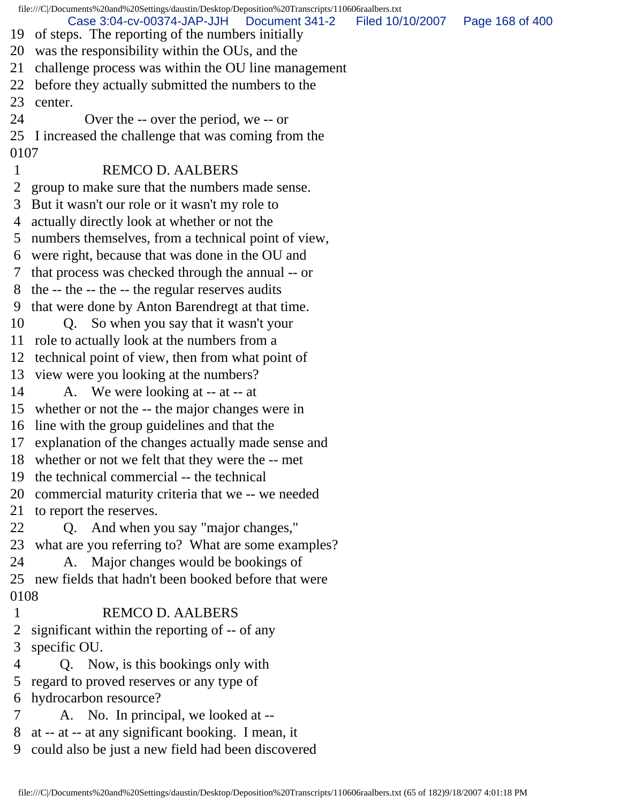file:///C|/Documents%20and%20Settings/daustin/Desktop/Deposition%20Transcripts/110606raalbers.txt 19 of steps. The reporting of the numbers initially 20 was the responsibility within the OUs, and the 21 challenge process was within the OU line management 22 before they actually submitted the numbers to the 23 center. 24 Over the -- over the period, we -- or 25 I increased the challenge that was coming from the 0107 1 REMCO D. AALBERS 2 group to make sure that the numbers made sense. 3 But it wasn't our role or it wasn't my role to 4 actually directly look at whether or not the 5 numbers themselves, from a technical point of view, 6 were right, because that was done in the OU and 7 that process was checked through the annual -- or 8 the -- the -- the -- the regular reserves audits 9 that were done by Anton Barendregt at that time. 10 Q. So when you say that it wasn't your 11 role to actually look at the numbers from a 12 technical point of view, then from what point of 13 view were you looking at the numbers? 14 A. We were looking at -- at -- at 15 whether or not the -- the major changes were in 16 line with the group guidelines and that the 17 explanation of the changes actually made sense and 18 whether or not we felt that they were the -- met 19 the technical commercial -- the technical 20 commercial maturity criteria that we -- we needed 21 to report the reserves. 22 Q. And when you say "major changes," 23 what are you referring to? What are some examples? 24 A. Major changes would be bookings of 25 new fields that hadn't been booked before that were 0108 1 REMCO D. AALBERS 2 significant within the reporting of -- of any 3 specific OU. 4 Q. Now, is this bookings only with 5 regard to proved reserves or any type of 6 hydrocarbon resource? 7 A. No. In principal, we looked at -- 8 at -- at -- at any significant booking. I mean, it 9 could also be just a new field had been discovered Case 3:04-cv-00374-JAP-JJH Document 341-2 Filed 10/10/2007 Page 168 of 400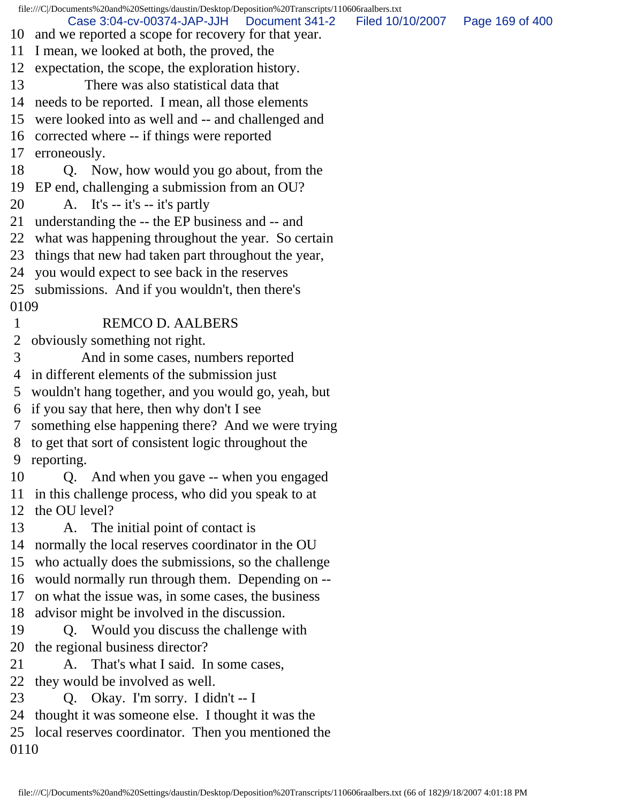file:///C|/Documents%20and%20Settings/daustin/Desktop/Deposition%20Transcripts/110606raalbers.txt 10 and we reported a scope for recovery for that year. 11 I mean, we looked at both, the proved, the 12 expectation, the scope, the exploration history. 13 There was also statistical data that 14 needs to be reported. I mean, all those elements 15 were looked into as well and -- and challenged and 16 corrected where -- if things were reported 17 erroneously. 18 Q. Now, how would you go about, from the 19 EP end, challenging a submission from an OU? 20  $\quad$  A. It's -- it's -- it's partly 21 understanding the -- the EP business and -- and 22 what was happening throughout the year. So certain 23 things that new had taken part throughout the year, 24 you would expect to see back in the reserves 25 submissions. And if you wouldn't, then there's 0109 1 REMCO D. AALBERS 2 obviously something not right. 3 And in some cases, numbers reported 4 in different elements of the submission just 5 wouldn't hang together, and you would go, yeah, but 6 if you say that here, then why don't I see 7 something else happening there? And we were trying 8 to get that sort of consistent logic throughout the 9 reporting. 10 Q. And when you gave -- when you engaged 11 in this challenge process, who did you speak to at 12 the OU level? 13 A. The initial point of contact is 14 normally the local reserves coordinator in the OU 15 who actually does the submissions, so the challenge 16 would normally run through them. Depending on -- 17 on what the issue was, in some cases, the business 18 advisor might be involved in the discussion. 19 Q. Would you discuss the challenge with 20 the regional business director? 21 A. That's what I said. In some cases, 22 they would be involved as well. 23 Q. Okay. I'm sorry. I didn't -- I 24 thought it was someone else. I thought it was the 25 local reserves coordinator. Then you mentioned the 0110 Case 3:04-cv-00374-JAP-JJH Document 341-2 Filed 10/10/2007 Page 169 of 400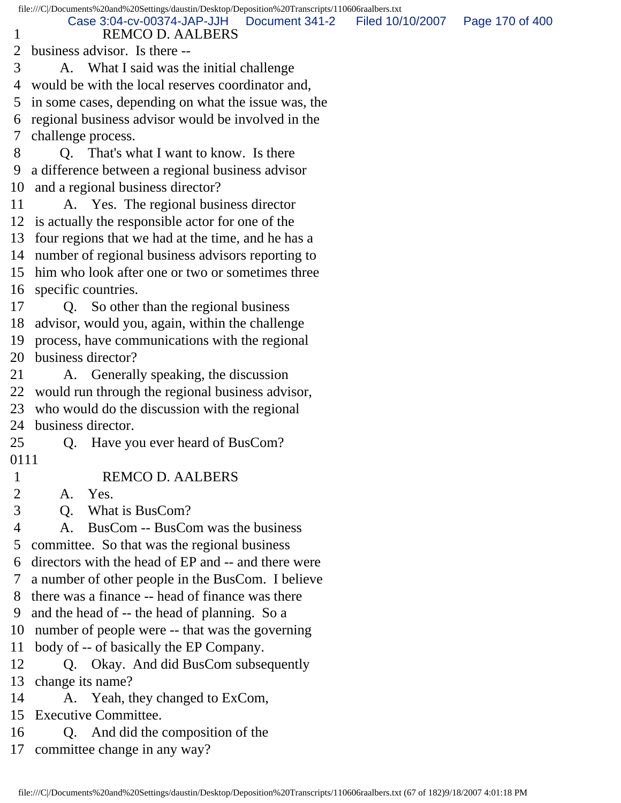|              | file:///C /Documents%20and%20Settings/daustin/Desktop/Deposition%20Transcripts/110606raalbers.txt |                  |                 |
|--------------|---------------------------------------------------------------------------------------------------|------------------|-----------------|
| $\mathbf{I}$ | Case 3:04-cv-00374-JAP-JJH<br>Document 341-2<br><b>REMCO D. AALBERS</b>                           | Filed 10/10/2007 | Page 170 of 400 |
| 2            | business advisor. Is there --                                                                     |                  |                 |
| 3            | A. What I said was the initial challenge                                                          |                  |                 |
| 4            | would be with the local reserves coordinator and,                                                 |                  |                 |
| 5            | in some cases, depending on what the issue was, the                                               |                  |                 |
| 6            | regional business advisor would be involved in the                                                |                  |                 |
| 7            | challenge process.                                                                                |                  |                 |
| 8            | Q. That's what I want to know. Is there                                                           |                  |                 |
| 9            | a difference between a regional business advisor                                                  |                  |                 |
| 10           | and a regional business director?                                                                 |                  |                 |
| 11           | A. Yes. The regional business director                                                            |                  |                 |
| 12           | is actually the responsible actor for one of the                                                  |                  |                 |
| 13           | four regions that we had at the time, and he has a                                                |                  |                 |
| 14           | number of regional business advisors reporting to                                                 |                  |                 |
| 15           | him who look after one or two or sometimes three                                                  |                  |                 |
| 16           | specific countries.                                                                               |                  |                 |
| 17           | Q. So other than the regional business                                                            |                  |                 |
| 18           | advisor, would you, again, within the challenge                                                   |                  |                 |
| 19           | process, have communications with the regional                                                    |                  |                 |
| 20           | business director?                                                                                |                  |                 |
| 21           | A. Generally speaking, the discussion                                                             |                  |                 |
| 22           | would run through the regional business advisor,                                                  |                  |                 |
| 23           | who would do the discussion with the regional                                                     |                  |                 |
| 24           | business director.                                                                                |                  |                 |
| 25           | Have you ever heard of BusCom?<br>Q.                                                              |                  |                 |
| 0111         |                                                                                                   |                  |                 |
| 1            | <b>REMCO D. AALBERS</b>                                                                           |                  |                 |
| 2            | Yes.<br>A.                                                                                        |                  |                 |
| 3            | What is BusCom?<br>Q <sub>r</sub>                                                                 |                  |                 |
| 4            | BusCom -- BusCom was the business<br>А.                                                           |                  |                 |
| 5            | committee. So that was the regional business                                                      |                  |                 |
| 6            | directors with the head of EP and -- and there were                                               |                  |                 |
| 7            | a number of other people in the BusCom. I believe                                                 |                  |                 |
| 8            | there was a finance -- head of finance was there                                                  |                  |                 |
| 9            | and the head of -- the head of planning. So a                                                     |                  |                 |
| 10           | number of people were -- that was the governing                                                   |                  |                 |
| 11           | body of -- of basically the EP Company.                                                           |                  |                 |
| 12           | Q. Okay. And did BusCom subsequently                                                              |                  |                 |
| 13           | change its name?                                                                                  |                  |                 |
| 14           | A. Yeah, they changed to ExCom,                                                                   |                  |                 |
| 15           | <b>Executive Committee.</b>                                                                       |                  |                 |
| 16           | Q. And did the composition of the                                                                 |                  |                 |
| 17           | committee change in any way?                                                                      |                  |                 |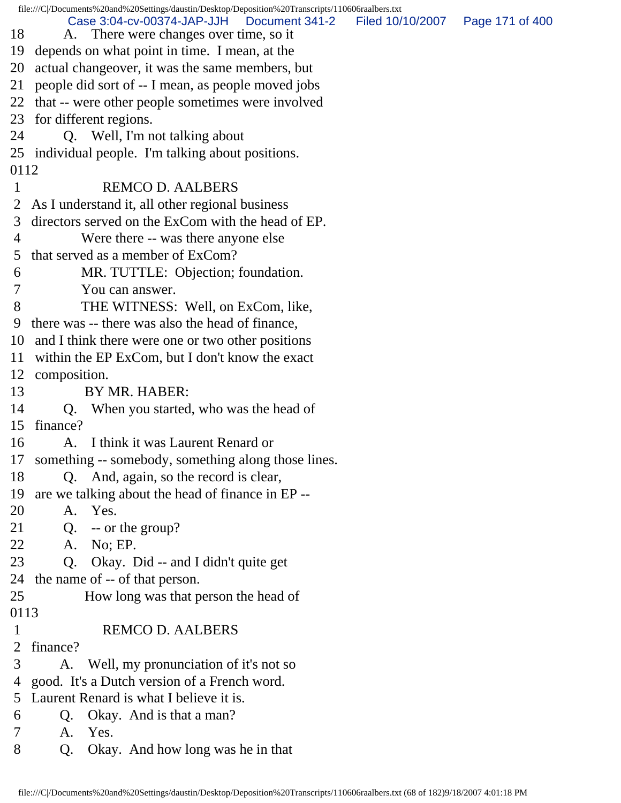|                | file:///C /Documents%20and%20Settings/daustin/Desktop/Deposition%20Transcripts/110606raalbers.txt |                                   |  |
|----------------|---------------------------------------------------------------------------------------------------|-----------------------------------|--|
| 18             | Case 3:04-cv-00374-JAP-JJH<br>Document 341-2<br>A. There were changes over time, so it            | Filed 10/10/2007  Page 171 of 400 |  |
|                | 19 depends on what point in time. I mean, at the                                                  |                                   |  |
| 20             | actual changeover, it was the same members, but                                                   |                                   |  |
| 21             | people did sort of -- I mean, as people moved jobs                                                |                                   |  |
|                | 22 that -- were other people sometimes were involved                                              |                                   |  |
| 23             | for different regions.                                                                            |                                   |  |
| 24             | Q. Well, I'm not talking about                                                                    |                                   |  |
|                | 25 individual people. I'm talking about positions.                                                |                                   |  |
| 0112           |                                                                                                   |                                   |  |
| $\mathbf{1}$   | <b>REMCO D. AALBERS</b>                                                                           |                                   |  |
|                | 2 As I understand it, all other regional business                                                 |                                   |  |
| 3              | directors served on the ExCom with the head of EP.                                                |                                   |  |
| $\overline{4}$ | Were there -- was there anyone else                                                               |                                   |  |
| 5              | that served as a member of ExCom?                                                                 |                                   |  |
| 6              | MR. TUTTLE: Objection; foundation.                                                                |                                   |  |
| 7              | You can answer.                                                                                   |                                   |  |
| 8              | THE WITNESS: Well, on ExCom, like,                                                                |                                   |  |
| 9              | there was -- there was also the head of finance,                                                  |                                   |  |
|                | 10 and I think there were one or two other positions                                              |                                   |  |
|                | 11 within the EP ExCom, but I don't know the exact                                                |                                   |  |
|                | 12 composition.                                                                                   |                                   |  |
| 13             | BY MR. HABER:                                                                                     |                                   |  |
| 14             | Q. When you started, who was the head of                                                          |                                   |  |
| 15             | finance?                                                                                          |                                   |  |
| 16             | A. I think it was Laurent Renard or                                                               |                                   |  |
|                | 17 something -- somebody, something along those lines.                                            |                                   |  |
| 18             | Q. And, again, so the record is clear,                                                            |                                   |  |
| 19             | are we talking about the head of finance in EP --                                                 |                                   |  |
| 20             | A. Yes.                                                                                           |                                   |  |
| 21             | $Q. \quad -\text{or the group?}$                                                                  |                                   |  |
| 22             | A. No; EP.                                                                                        |                                   |  |
| 23             | Q. Okay. Did -- and I didn't quite get                                                            |                                   |  |
|                | 24 the name of -- of that person.                                                                 |                                   |  |
| 25             | How long was that person the head of                                                              |                                   |  |
| 0113           |                                                                                                   |                                   |  |
| $\mathbf{1}$   | <b>REMCO D. AALBERS</b>                                                                           |                                   |  |
| $\overline{2}$ | finance?                                                                                          |                                   |  |
| 3              | A. Well, my pronunciation of it's not so                                                          |                                   |  |
| 4              | good. It's a Dutch version of a French word.                                                      |                                   |  |
| 5              | Laurent Renard is what I believe it is.                                                           |                                   |  |
| 6              | Okay. And is that a man?<br>Q.                                                                    |                                   |  |
| 7              | Yes.<br>A.                                                                                        |                                   |  |
| 8              | Okay. And how long was he in that<br>Q.                                                           |                                   |  |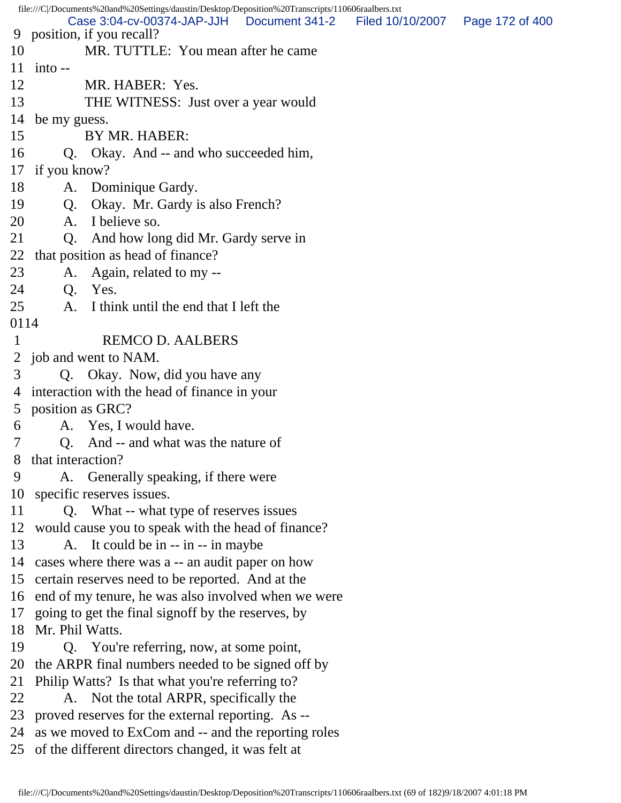file:///C|/Documents%20and%20Settings/daustin/Desktop/Deposition%20Transcripts/110606raalbers.txt 9 position, if you recall? 10 MR. TUTTLE: You mean after he came 11 into -- 12 MR. HABER: Yes. 13 THE WITNESS: Just over a year would 14 be my guess. 15 BY MR. HABER: 16 Q. Okay. And -- and who succeeded him, 17 if you know? 18 A. Dominique Gardy. 19 Q. Okay. Mr. Gardy is also French? 20 A. I believe so. 21 Q. And how long did Mr. Gardy serve in 22 that position as head of finance? 23 A. Again, related to my -- 24 Q. Yes. 25 A. I think until the end that I left the 0114 1 REMCO D. AALBERS 2 job and went to NAM. 3 Q. Okay. Now, did you have any 4 interaction with the head of finance in your 5 position as GRC? 6 A. Yes, I would have. 7 Q. And -- and what was the nature of 8 that interaction? 9 A. Generally speaking, if there were 10 specific reserves issues. 11 Q. What -- what type of reserves issues 12 would cause you to speak with the head of finance? 13 A. It could be in -- in -- in maybe 14 cases where there was a -- an audit paper on how 15 certain reserves need to be reported. And at the 16 end of my tenure, he was also involved when we were 17 going to get the final signoff by the reserves, by 18 Mr. Phil Watts. 19 Q. You're referring, now, at some point, 20 the ARPR final numbers needed to be signed off by 21 Philip Watts? Is that what you're referring to? 22 A. Not the total ARPR, specifically the 23 proved reserves for the external reporting. As -- 24 as we moved to ExCom and -- and the reporting roles 25 of the different directors changed, it was felt at Case 3:04-cv-00374-JAP-JJH Document 341-2 Filed 10/10/2007 Page 172 of 400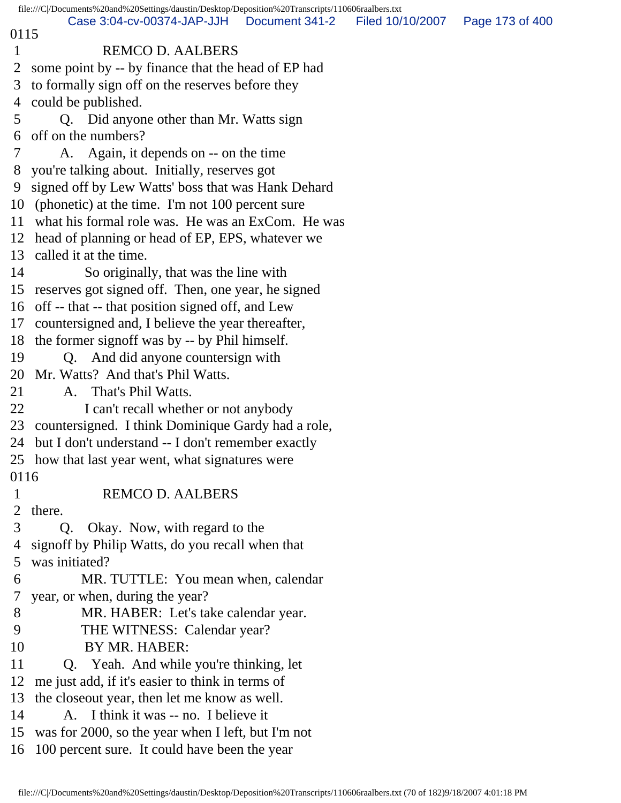|                                                                                             | file:///C /Documents%20and%20Settings/daustin/Desktop/Deposition%20Transcripts/110606raalbers.txt                                            |  |  |  |  |
|---------------------------------------------------------------------------------------------|----------------------------------------------------------------------------------------------------------------------------------------------|--|--|--|--|
| Case 3:04-cv-00374-JAP-JJH<br>Document 341-2<br>Filed 10/10/2007<br>Page 173 of 400<br>0115 |                                                                                                                                              |  |  |  |  |
| $\mathbf{1}$                                                                                | <b>REMCO D. AALBERS</b>                                                                                                                      |  |  |  |  |
| 2                                                                                           | some point by -- by finance that the head of EP had                                                                                          |  |  |  |  |
| 3                                                                                           | to formally sign off on the reserves before they                                                                                             |  |  |  |  |
| 4                                                                                           | could be published.                                                                                                                          |  |  |  |  |
| 5                                                                                           | Q. Did anyone other than Mr. Watts sign                                                                                                      |  |  |  |  |
| 6                                                                                           | off on the numbers?                                                                                                                          |  |  |  |  |
| 7                                                                                           | A. Again, it depends on -- on the time                                                                                                       |  |  |  |  |
| 8                                                                                           | you're talking about. Initially, reserves got                                                                                                |  |  |  |  |
| 9                                                                                           | signed off by Lew Watts' boss that was Hank Dehard                                                                                           |  |  |  |  |
| 10                                                                                          | (phonetic) at the time. I'm not 100 percent sure                                                                                             |  |  |  |  |
| 11                                                                                          | what his formal role was. He was an ExCom. He was                                                                                            |  |  |  |  |
| 12                                                                                          | head of planning or head of EP, EPS, whatever we                                                                                             |  |  |  |  |
| 13                                                                                          | called it at the time.                                                                                                                       |  |  |  |  |
| 14                                                                                          | So originally, that was the line with                                                                                                        |  |  |  |  |
| 15                                                                                          | reserves got signed off. Then, one year, he signed                                                                                           |  |  |  |  |
| 16                                                                                          | off -- that -- that position signed off, and Lew                                                                                             |  |  |  |  |
| 17                                                                                          | countersigned and, I believe the year thereafter,                                                                                            |  |  |  |  |
| 18                                                                                          | the former signoff was by -- by Phil himself.                                                                                                |  |  |  |  |
| 19                                                                                          | Q. And did anyone countersign with                                                                                                           |  |  |  |  |
| 20                                                                                          | Mr. Watts? And that's Phil Watts.                                                                                                            |  |  |  |  |
| 21                                                                                          | A. That's Phil Watts.                                                                                                                        |  |  |  |  |
| 22                                                                                          | I can't recall whether or not anybody                                                                                                        |  |  |  |  |
| 23                                                                                          | countersigned. I think Dominique Gardy had a role,                                                                                           |  |  |  |  |
| 24                                                                                          | but I don't understand -- I don't remember exactly                                                                                           |  |  |  |  |
|                                                                                             | 25 how that last year went, what signatures were                                                                                             |  |  |  |  |
| 0116                                                                                        |                                                                                                                                              |  |  |  |  |
| 1                                                                                           | <b>REMCO D. AALBERS</b>                                                                                                                      |  |  |  |  |
| 2                                                                                           | there.                                                                                                                                       |  |  |  |  |
| 3                                                                                           | Okay. Now, with regard to the<br>Q.                                                                                                          |  |  |  |  |
| 4                                                                                           | signoff by Philip Watts, do you recall when that                                                                                             |  |  |  |  |
| 5                                                                                           | was initiated?                                                                                                                               |  |  |  |  |
| 6                                                                                           | MR. TUTTLE: You mean when, calendar                                                                                                          |  |  |  |  |
| 7                                                                                           | year, or when, during the year?                                                                                                              |  |  |  |  |
| 8                                                                                           | MR. HABER: Let's take calendar year.                                                                                                         |  |  |  |  |
| 9                                                                                           | THE WITNESS: Calendar year?                                                                                                                  |  |  |  |  |
| 10                                                                                          | BY MR. HABER:                                                                                                                                |  |  |  |  |
| 11                                                                                          | Q. Yeah. And while you're thinking, let                                                                                                      |  |  |  |  |
| 12                                                                                          | me just add, if it's easier to think in terms of                                                                                             |  |  |  |  |
| 13                                                                                          | the closeout year, then let me know as well.                                                                                                 |  |  |  |  |
|                                                                                             |                                                                                                                                              |  |  |  |  |
|                                                                                             |                                                                                                                                              |  |  |  |  |
|                                                                                             |                                                                                                                                              |  |  |  |  |
| 14<br>15<br>16                                                                              | A. I think it was -- no. I believe it<br>was for 2000, so the year when I left, but I'm not<br>100 percent sure. It could have been the year |  |  |  |  |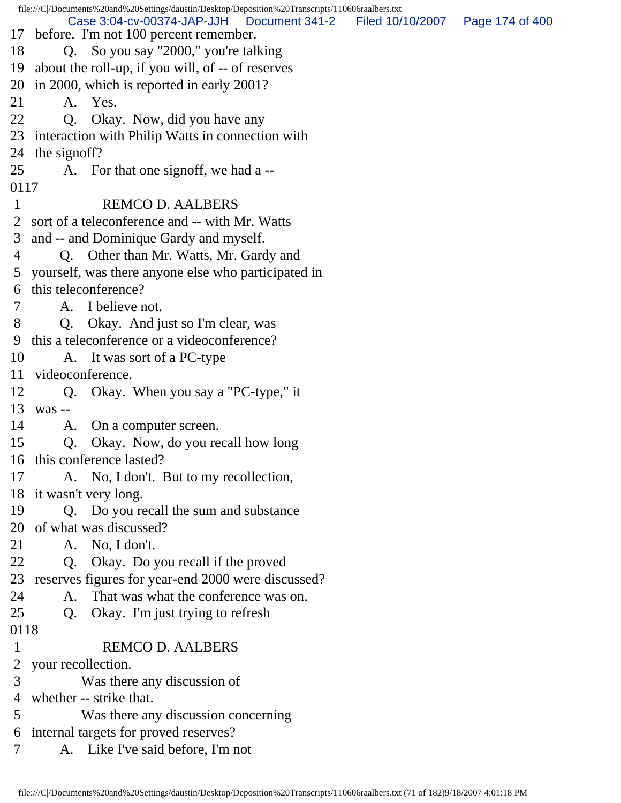file:///C|/Documents%20and%20Settings/daustin/Desktop/Deposition%20Transcripts/110606raalbers.txt 17 before. I'm not 100 percent remember. 18 Q. So you say "2000," you're talking 19 about the roll-up, if you will, of -- of reserves 20 in 2000, which is reported in early 2001? 21 A. Yes. 22 Q. Okay. Now, did you have any 23 interaction with Philip Watts in connection with 24 the signoff? 25 A. For that one signoff, we had a -- 0117 1 REMCO D. AALBERS 2 sort of a teleconference and -- with Mr. Watts 3 and -- and Dominique Gardy and myself. 4 Q. Other than Mr. Watts, Mr. Gardy and 5 yourself, was there anyone else who participated in 6 this teleconference? 7 A. I believe not. 8 Q. Okay. And just so I'm clear, was 9 this a teleconference or a videoconference? 10 A. It was sort of a PC-type 11 videoconference. 12 Q. Okay. When you say a "PC-type," it 13 was -- 14 A. On a computer screen. 15 Q. Okay. Now, do you recall how long 16 this conference lasted? 17 A. No, I don't. But to my recollection, 18 it wasn't very long. 19 Q. Do you recall the sum and substance 20 of what was discussed? 21 A. No, I don't. 22 Q. Okay. Do you recall if the proved 23 reserves figures for year-end 2000 were discussed? 24 A. That was what the conference was on. 25 Q. Okay. I'm just trying to refresh 0118 1 REMCO D. AALBERS 2 your recollection. 3 Was there any discussion of 4 whether -- strike that. 5 Was there any discussion concerning 6 internal targets for proved reserves? 7 A. Like I've said before, I'm not Case 3:04-cv-00374-JAP-JJH Document 341-2 Filed 10/10/2007 Page 174 of 400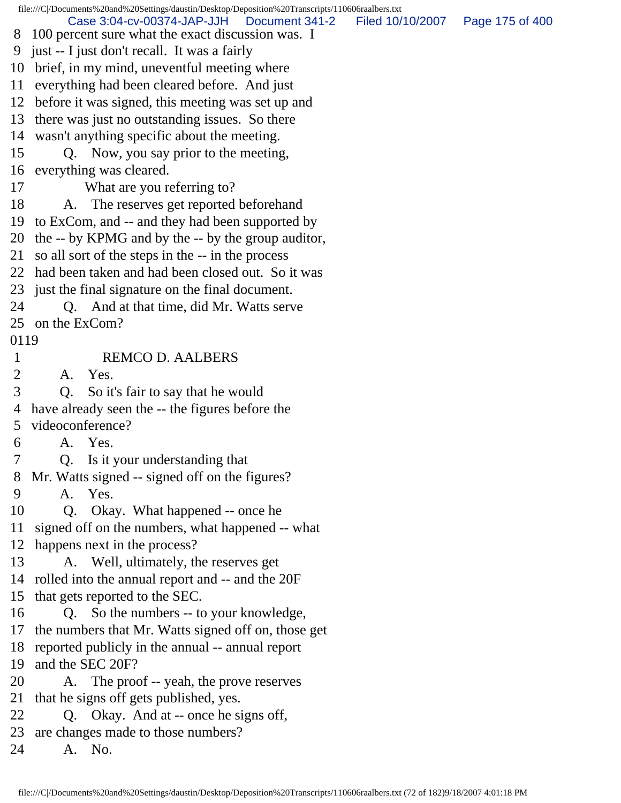file:///C|/Documents%20and%20Settings/daustin/Desktop/Deposition%20Transcripts/110606raalbers.txt 8 100 percent sure what the exact discussion was. I 9 just -- I just don't recall. It was a fairly 10 brief, in my mind, uneventful meeting where 11 everything had been cleared before. And just 12 before it was signed, this meeting was set up and 13 there was just no outstanding issues. So there 14 wasn't anything specific about the meeting. 15 Q. Now, you say prior to the meeting, 16 everything was cleared. 17 What are you referring to? 18 A. The reserves get reported beforehand 19 to ExCom, and -- and they had been supported by 20 the -- by KPMG and by the -- by the group auditor, 21 so all sort of the steps in the -- in the process 22 had been taken and had been closed out. So it was 23 just the final signature on the final document. 24 Q. And at that time, did Mr. Watts serve 25 on the ExCom? 0119 1 REMCO D. AALBERS 2 A. Yes. 3 Q. So it's fair to say that he would 4 have already seen the -- the figures before the 5 videoconference? 6 A. Yes. 7 Q. Is it your understanding that 8 Mr. Watts signed -- signed off on the figures? 9 A. Yes. 10 Q. Okay. What happened -- once he 11 signed off on the numbers, what happened -- what 12 happens next in the process? 13 A. Well, ultimately, the reserves get 14 rolled into the annual report and -- and the 20F 15 that gets reported to the SEC. 16 Q. So the numbers -- to your knowledge, 17 the numbers that Mr. Watts signed off on, those get 18 reported publicly in the annual -- annual report 19 and the SEC 20F? 20 A. The proof -- yeah, the prove reserves 21 that he signs off gets published, yes. 22 Q. Okay. And at -- once he signs off, 23 are changes made to those numbers? 24 A. No. Case 3:04-cv-00374-JAP-JJH Document 341-2 Filed 10/10/2007 Page 175 of 400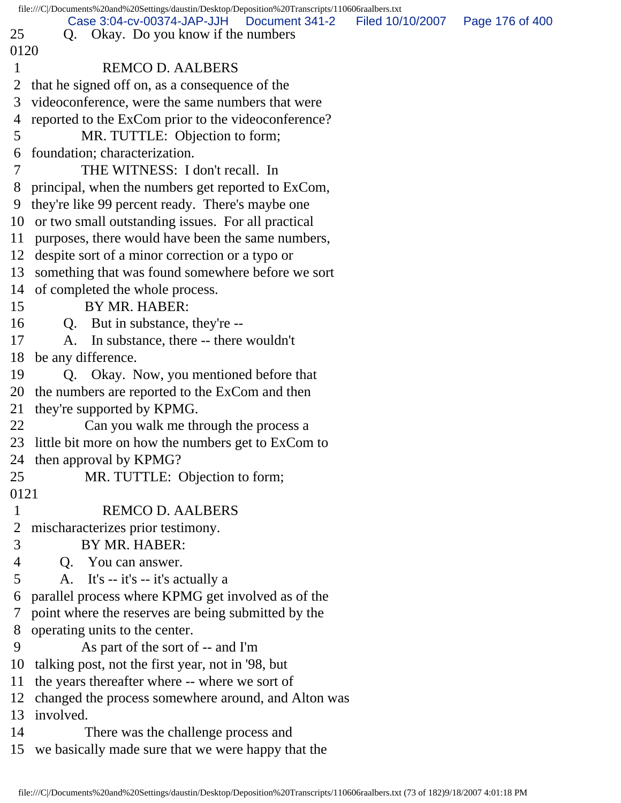|              | file:///C /Documents%20and%20Settings/daustin/Desktop/Deposition%20Transcripts/110606raalbers.txt |                  |                 |
|--------------|---------------------------------------------------------------------------------------------------|------------------|-----------------|
|              | Case 3:04-cv-00374-JAP-JJH<br>Document 341-2                                                      | Filed 10/10/2007 | Page 176 of 400 |
| 25           | Okay. Do you know if the numbers<br>Q.                                                            |                  |                 |
| 0120         |                                                                                                   |                  |                 |
| $\mathbf{1}$ | <b>REMCO D. AALBERS</b>                                                                           |                  |                 |
| 2            | that he signed off on, as a consequence of the                                                    |                  |                 |
| 3            | videoconference, were the same numbers that were                                                  |                  |                 |
| 4            | reported to the ExCom prior to the videoconference?                                               |                  |                 |
| 5            | MR. TUTTLE: Objection to form;                                                                    |                  |                 |
| 6            | foundation; characterization.                                                                     |                  |                 |
| 7            | THE WITNESS: I don't recall. In                                                                   |                  |                 |
| 8            | principal, when the numbers get reported to ExCom,                                                |                  |                 |
| 9            | they're like 99 percent ready. There's maybe one                                                  |                  |                 |
|              | 10 or two small outstanding issues. For all practical                                             |                  |                 |
|              | 11 purposes, there would have been the same numbers,                                              |                  |                 |
|              | 12 despite sort of a minor correction or a typo or                                                |                  |                 |
|              | 13 something that was found somewhere before we sort                                              |                  |                 |
|              | 14 of completed the whole process.                                                                |                  |                 |
| 15           | BY MR. HABER:                                                                                     |                  |                 |
|              | Q. But in substance, they're --                                                                   |                  |                 |
| 17           | A. In substance, there -- there wouldn't                                                          |                  |                 |
| 18           | be any difference.                                                                                |                  |                 |
| 19           | Q. Okay. Now, you mentioned before that                                                           |                  |                 |
|              | 20 the numbers are reported to the ExCom and then                                                 |                  |                 |
| 21           | they're supported by KPMG.                                                                        |                  |                 |
| 22           | Can you walk me through the process a                                                             |                  |                 |
|              | 23 little bit more on how the numbers get to ExCom to                                             |                  |                 |
|              | 24 then approval by KPMG?                                                                         |                  |                 |
| 25           | MR. TUTTLE: Objection to form;                                                                    |                  |                 |
| 0121         |                                                                                                   |                  |                 |
| $\mathbf{1}$ | <b>REMCO D. AALBERS</b>                                                                           |                  |                 |
| 2            | mischaracterizes prior testimony.                                                                 |                  |                 |
| 3            | BY MR. HABER:                                                                                     |                  |                 |
| 4            | Q. You can answer.                                                                                |                  |                 |
| 5            | A. It's -- it's -- it's actually a                                                                |                  |                 |
| 6            | parallel process where KPMG get involved as of the                                                |                  |                 |
| $\tau$       | point where the reserves are being submitted by the                                               |                  |                 |
| 8            | operating units to the center.                                                                    |                  |                 |
| 9            | As part of the sort of -- and I'm                                                                 |                  |                 |
| 10           | talking post, not the first year, not in '98, but                                                 |                  |                 |
| 11           | the years thereafter where -- where we sort of                                                    |                  |                 |
| 12           | changed the process somewhere around, and Alton was                                               |                  |                 |
| 13           | involved.                                                                                         |                  |                 |
| 14           | There was the challenge process and                                                               |                  |                 |
|              | 15 we basically made sure that we were happy that the                                             |                  |                 |
|              |                                                                                                   |                  |                 |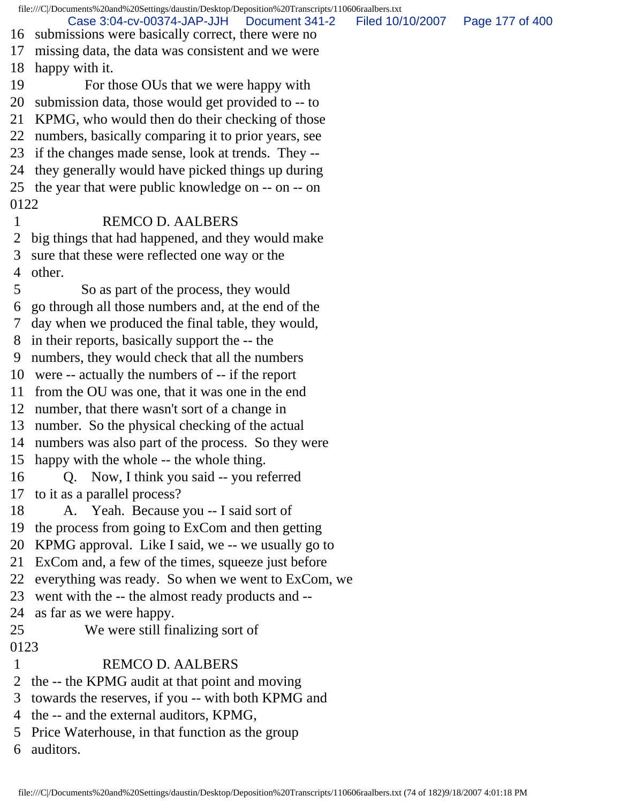file:///C|/Documents%20and%20Settings/daustin/Desktop/Deposition%20Transcripts/110606raalbers.txt 16 submissions were basically correct, there were no 17 missing data, the data was consistent and we were 18 happy with it. 19 For those OUs that we were happy with 20 submission data, those would get provided to -- to 21 KPMG, who would then do their checking of those 22 numbers, basically comparing it to prior years, see 23 if the changes made sense, look at trends. They -- 24 they generally would have picked things up during 25 the year that were public knowledge on -- on -- on 0122 1 REMCO D. AALBERS 2 big things that had happened, and they would make 3 sure that these were reflected one way or the 4 other. 5 So as part of the process, they would 6 go through all those numbers and, at the end of the 7 day when we produced the final table, they would, 8 in their reports, basically support the -- the 9 numbers, they would check that all the numbers 10 were -- actually the numbers of -- if the report 11 from the OU was one, that it was one in the end 12 number, that there wasn't sort of a change in 13 number. So the physical checking of the actual 14 numbers was also part of the process. So they were 15 happy with the whole -- the whole thing. 16 Q. Now, I think you said -- you referred 17 to it as a parallel process? 18 A. Yeah. Because you -- I said sort of 19 the process from going to ExCom and then getting 20 KPMG approval. Like I said, we -- we usually go to 21 ExCom and, a few of the times, squeeze just before 22 everything was ready. So when we went to ExCom, we 23 went with the -- the almost ready products and -- 24 as far as we were happy. 25 We were still finalizing sort of 0123 1 REMCO D. AALBERS 2 the -- the KPMG audit at that point and moving 3 towards the reserves, if you -- with both KPMG and 4 the -- and the external auditors, KPMG, 5 Price Waterhouse, in that function as the group 6 auditors. Case 3:04-cv-00374-JAP-JJH Document 341-2 Filed 10/10/2007 Page 177 of 400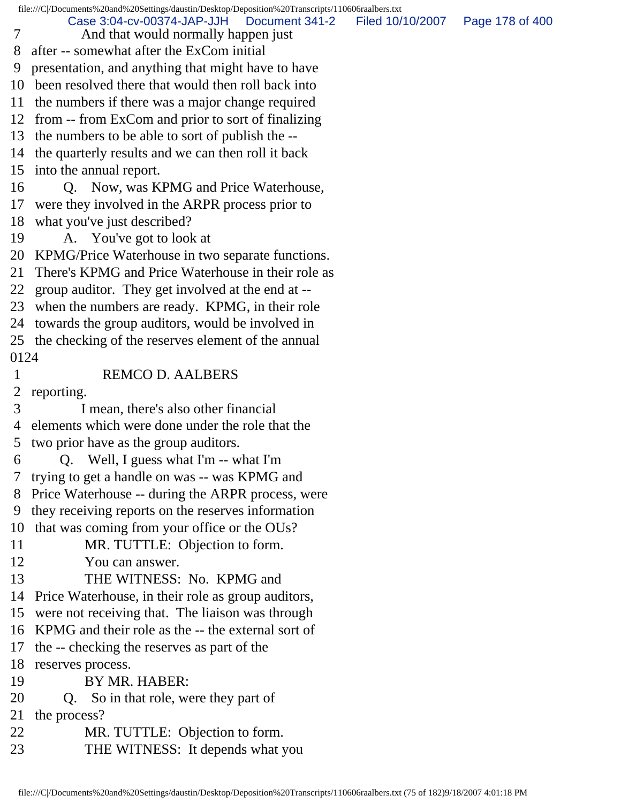file:///C|/Documents%20and%20Settings/daustin/Desktop/Deposition%20Transcripts/110606raalbers.txt 7 And that would normally happen just 8 after -- somewhat after the ExCom initial 9 presentation, and anything that might have to have 10 been resolved there that would then roll back into 11 the numbers if there was a major change required 12 from -- from ExCom and prior to sort of finalizing 13 the numbers to be able to sort of publish the -- 14 the quarterly results and we can then roll it back 15 into the annual report. 16 Q. Now, was KPMG and Price Waterhouse, 17 were they involved in the ARPR process prior to 18 what you've just described? 19 A. You've got to look at 20 KPMG/Price Waterhouse in two separate functions. 21 There's KPMG and Price Waterhouse in their role as 22 group auditor. They get involved at the end at -- 23 when the numbers are ready. KPMG, in their role 24 towards the group auditors, would be involved in 25 the checking of the reserves element of the annual 0124 1 REMCO D. AALBERS 2 reporting. 3 I mean, there's also other financial 4 elements which were done under the role that the 5 two prior have as the group auditors. 6 Q. Well, I guess what I'm -- what I'm 7 trying to get a handle on was -- was KPMG and 8 Price Waterhouse -- during the ARPR process, were 9 they receiving reports on the reserves information 10 that was coming from your office or the OUs? 11 MR. TUTTLE: Objection to form. 12 You can answer. 13 THE WITNESS: No. KPMG and 14 Price Waterhouse, in their role as group auditors, 15 were not receiving that. The liaison was through 16 KPMG and their role as the -- the external sort of 17 the -- checking the reserves as part of the 18 reserves process. 19 BY MR. HABER: 20 Q. So in that role, were they part of 21 the process? 22 MR. TUTTLE: Objection to form. Case 3:04-cv-00374-JAP-JJH Document 341-2 Filed 10/10/2007 Page 178 of 400

23 THE WITNESS: It depends what you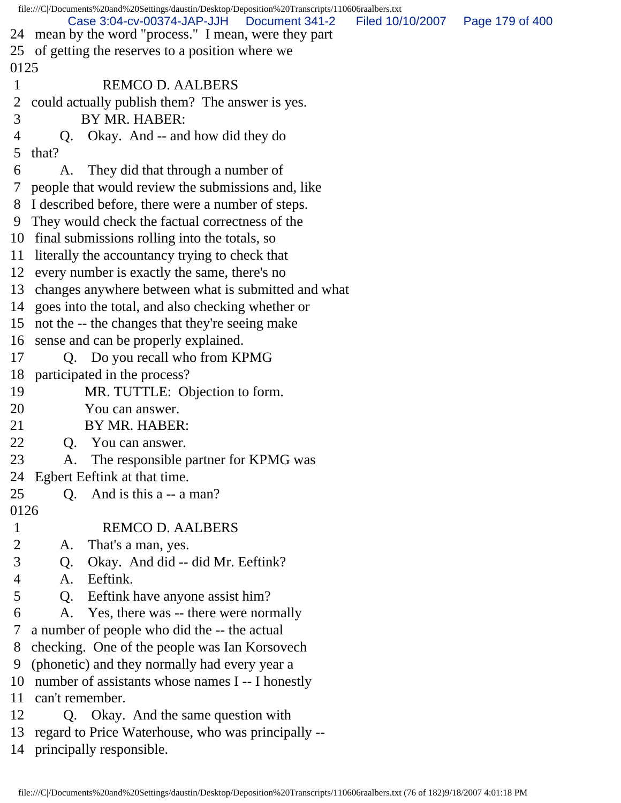file:///C|/Documents%20and%20Settings/daustin/Desktop/Deposition%20Transcripts/110606raalbers.txt 24 mean by the word "process." I mean, were they part 25 of getting the reserves to a position where we 0125 1 REMCO D. AALBERS 2 could actually publish them? The answer is yes. 3 BY MR. HABER: 4 Q. Okay. And -- and how did they do 5 that? 6 A. They did that through a number of 7 people that would review the submissions and, like 8 I described before, there were a number of steps. 9 They would check the factual correctness of the 10 final submissions rolling into the totals, so 11 literally the accountancy trying to check that 12 every number is exactly the same, there's no 13 changes anywhere between what is submitted and what 14 goes into the total, and also checking whether or 15 not the -- the changes that they're seeing make 16 sense and can be properly explained. 17 Q. Do you recall who from KPMG 18 participated in the process? 19 MR. TUTTLE: Objection to form. 20 You can answer. 21 BY MR. HABER: 22 O. You can answer. 23 A. The responsible partner for KPMG was 24 Egbert Eeftink at that time. 25 Q. And is this a -- a man? 0126 1 REMCO D. AALBERS 2 A. That's a man, yes. 3 Q. Okay. And did -- did Mr. Eeftink? 4 A. Eeftink. 5 Q. Eeftink have anyone assist him? 6 A. Yes, there was -- there were normally 7 a number of people who did the -- the actual 8 checking. One of the people was Ian Korsovech 9 (phonetic) and they normally had every year a 10 number of assistants whose names I -- I honestly 11 can't remember. 12 Q. Okay. And the same question with 13 regard to Price Waterhouse, who was principally -- 14 principally responsible. Case 3:04-cv-00374-JAP-JJH Document 341-2 Filed 10/10/2007 Page 179 of 400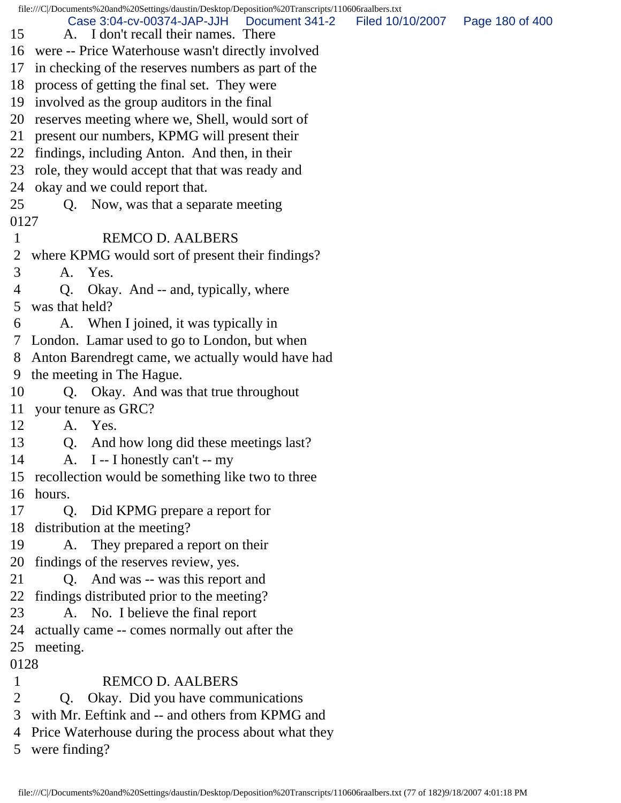|              | file:///C /Documents%20and%20Settings/daustin/Desktop/Deposition%20Transcripts/110606raalbers.txt |                  |                 |
|--------------|---------------------------------------------------------------------------------------------------|------------------|-----------------|
| 15           | Case 3:04-cv-00374-JAP-JJH   Document 341-2<br>A. I don't recall their names. There               | Filed 10/10/2007 | Page 180 of 400 |
| 16           | were -- Price Waterhouse wasn't directly involved                                                 |                  |                 |
| 17           | in checking of the reserves numbers as part of the                                                |                  |                 |
| 18           | process of getting the final set. They were                                                       |                  |                 |
| 19           | involved as the group auditors in the final                                                       |                  |                 |
| 20           | reserves meeting where we, Shell, would sort of                                                   |                  |                 |
| 21           | present our numbers, KPMG will present their                                                      |                  |                 |
| 22           | findings, including Anton. And then, in their                                                     |                  |                 |
| 23           | role, they would accept that that was ready and                                                   |                  |                 |
| 24           | okay and we could report that.                                                                    |                  |                 |
| 25           | Q. Now, was that a separate meeting                                                               |                  |                 |
| 0127         |                                                                                                   |                  |                 |
| $\mathbf{1}$ | <b>REMCO D. AALBERS</b>                                                                           |                  |                 |
| 2            | where KPMG would sort of present their findings?                                                  |                  |                 |
| 3            | Yes.<br>A.                                                                                        |                  |                 |
| 4            | Q. Okay. And -- and, typically, where                                                             |                  |                 |
| 5            | was that held?                                                                                    |                  |                 |
| 6            | A. When I joined, it was typically in                                                             |                  |                 |
| 7            | London. Lamar used to go to London, but when                                                      |                  |                 |
| 8            | Anton Barendregt came, we actually would have had                                                 |                  |                 |
| 9            | the meeting in The Hague.                                                                         |                  |                 |
| 10           | Q. Okay. And was that true throughout                                                             |                  |                 |
| 11           | your tenure as GRC?                                                                               |                  |                 |
| 12           | A. Yes.                                                                                           |                  |                 |
| 13           | And how long did these meetings last?<br>Q.                                                       |                  |                 |
| 14           | A. I -- I honestly can't -- my                                                                    |                  |                 |
| 15           | recollection would be something like two to three                                                 |                  |                 |
| 16           | hours.                                                                                            |                  |                 |
| 17           | Q.<br>Did KPMG prepare a report for                                                               |                  |                 |
| 18           | distribution at the meeting?                                                                      |                  |                 |
| 19           | They prepared a report on their<br>A.                                                             |                  |                 |
| 20           | findings of the reserves review, yes.                                                             |                  |                 |
| 21           | Q. And was -- was this report and                                                                 |                  |                 |
| 22           | findings distributed prior to the meeting?                                                        |                  |                 |
| 23           | A. No. I believe the final report                                                                 |                  |                 |
| 24           | actually came -- comes normally out after the                                                     |                  |                 |
| 25           | meeting.                                                                                          |                  |                 |
| 0128         |                                                                                                   |                  |                 |
| 1            | <b>REMCO D. AALBERS</b>                                                                           |                  |                 |
| 2            | Okay. Did you have communications<br>Q.                                                           |                  |                 |
| 3            | with Mr. Eeftink and -- and others from KPMG and                                                  |                  |                 |
| 4            | Price Waterhouse during the process about what they                                               |                  |                 |
| 5            | were finding?                                                                                     |                  |                 |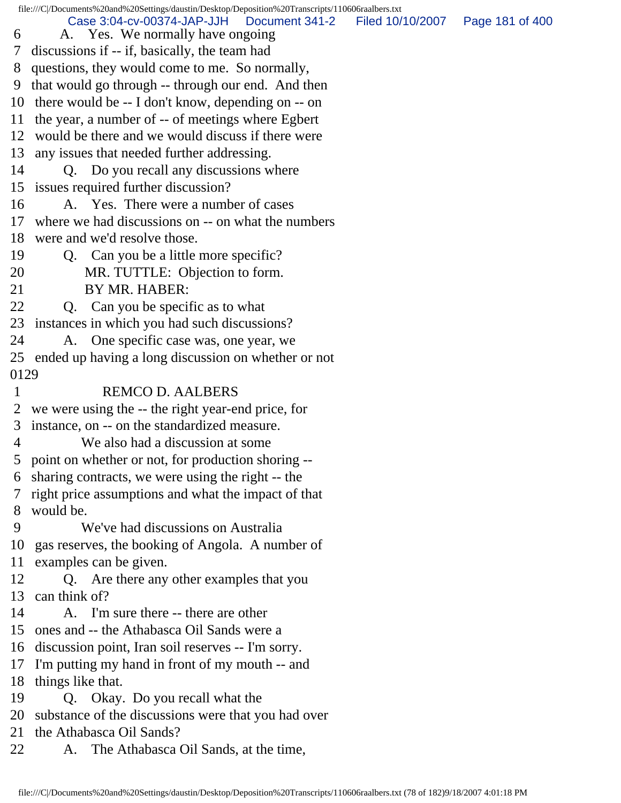file:///C|/Documents%20and%20Settings/daustin/Desktop/Deposition%20Transcripts/110606raalbers.txt 6 A. Yes. We normally have ongoing 7 discussions if -- if, basically, the team had 8 questions, they would come to me. So normally, 9 that would go through -- through our end. And then 10 there would be -- I don't know, depending on -- on 11 the year, a number of -- of meetings where Egbert 12 would be there and we would discuss if there were 13 any issues that needed further addressing. 14 Q. Do you recall any discussions where 15 issues required further discussion? 16 A. Yes. There were a number of cases 17 where we had discussions on -- on what the numbers 18 were and we'd resolve those. 19 Q. Can you be a little more specific? 20 MR. TUTTLE: Objection to form. 21 BY MR. HABER: 22 Q. Can you be specific as to what 23 instances in which you had such discussions? 24 A. One specific case was, one year, we 25 ended up having a long discussion on whether or not 0129 1 REMCO D. AALBERS 2 we were using the -- the right year-end price, for 3 instance, on -- on the standardized measure. 4 We also had a discussion at some 5 point on whether or not, for production shoring -- 6 sharing contracts, we were using the right -- the 7 right price assumptions and what the impact of that 8 would be. 9 We've had discussions on Australia 10 gas reserves, the booking of Angola. A number of 11 examples can be given. 12 Q. Are there any other examples that you 13 can think of? 14 A. I'm sure there -- there are other 15 ones and -- the Athabasca Oil Sands were a 16 discussion point, Iran soil reserves -- I'm sorry. 17 I'm putting my hand in front of my mouth -- and 18 things like that. 19 Q. Okay. Do you recall what the 20 substance of the discussions were that you had over 21 the Athabasca Oil Sands? 22 A. The Athabasca Oil Sands, at the time, Case 3:04-cv-00374-JAP-JJH Document 341-2 Filed 10/10/2007 Page 181 of 400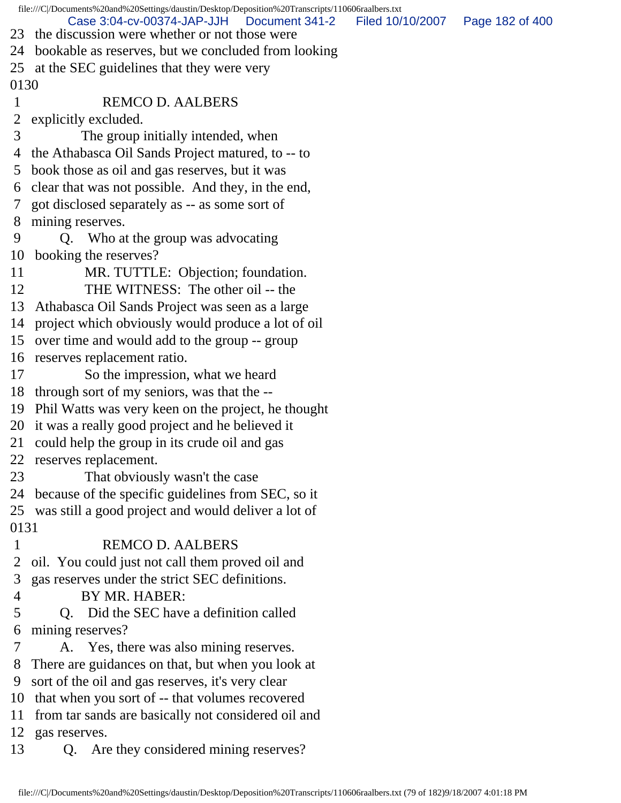file:///C|/Documents%20and%20Settings/daustin/Desktop/Deposition%20Transcripts/110606raalbers.txt 23 the discussion were whether or not those were 24 bookable as reserves, but we concluded from looking 25 at the SEC guidelines that they were very 0130 1 REMCO D. AALBERS 2 explicitly excluded. 3 The group initially intended, when 4 the Athabasca Oil Sands Project matured, to -- to 5 book those as oil and gas reserves, but it was 6 clear that was not possible. And they, in the end, 7 got disclosed separately as -- as some sort of 8 mining reserves. 9 Q. Who at the group was advocating 10 booking the reserves? 11 MR. TUTTLE: Objection; foundation. 12 THE WITNESS: The other oil -- the 13 Athabasca Oil Sands Project was seen as a large 14 project which obviously would produce a lot of oil 15 over time and would add to the group -- group 16 reserves replacement ratio. 17 So the impression, what we heard 18 through sort of my seniors, was that the -- 19 Phil Watts was very keen on the project, he thought 20 it was a really good project and he believed it 21 could help the group in its crude oil and gas 22 reserves replacement. 23 That obviously wasn't the case 24 because of the specific guidelines from SEC, so it 25 was still a good project and would deliver a lot of 0131 1 REMCO D. AALBERS 2 oil. You could just not call them proved oil and 3 gas reserves under the strict SEC definitions. 4 BY MR. HABER: 5 Q. Did the SEC have a definition called 6 mining reserves? 7 A. Yes, there was also mining reserves. 8 There are guidances on that, but when you look at 9 sort of the oil and gas reserves, it's very clear 10 that when you sort of -- that volumes recovered 11 from tar sands are basically not considered oil and 12 gas reserves. 13 Q. Are they considered mining reserves? Case 3:04-cv-00374-JAP-JJH Document 341-2 Filed 10/10/2007 Page 182 of 400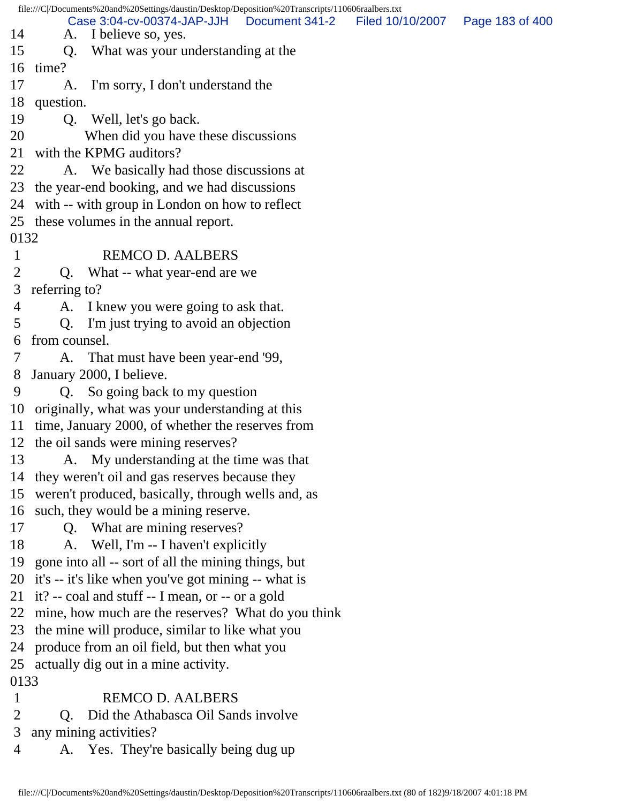file:///C|/Documents%20and%20Settings/daustin/Desktop/Deposition%20Transcripts/110606raalbers.txt 14 A. I believe so, yes. 15 Q. What was your understanding at the 16 time? 17 A. I'm sorry, I don't understand the 18 question. 19 Q. Well, let's go back. 20 When did you have these discussions 21 with the KPMG auditors? 22 A. We basically had those discussions at 23 the year-end booking, and we had discussions 24 with -- with group in London on how to reflect 25 these volumes in the annual report. 0132 1 REMCO D. AALBERS 2 Q. What -- what year-end are we 3 referring to? 4 A. I knew you were going to ask that. 5 Q. I'm just trying to avoid an objection 6 from counsel. 7 A. That must have been year-end '99, 8 January 2000, I believe. 9 Q. So going back to my question 10 originally, what was your understanding at this 11 time, January 2000, of whether the reserves from 12 the oil sands were mining reserves? 13 A. My understanding at the time was that 14 they weren't oil and gas reserves because they 15 weren't produced, basically, through wells and, as 16 such, they would be a mining reserve. 17 Q. What are mining reserves? 18 A. Well, I'm -- I haven't explicitly 19 gone into all -- sort of all the mining things, but 20 it's -- it's like when you've got mining -- what is 21 it? -- coal and stuff -- I mean, or -- or a gold 22 mine, how much are the reserves? What do you think 23 the mine will produce, similar to like what you 24 produce from an oil field, but then what you 25 actually dig out in a mine activity. 0133 1 REMCO D. AALBERS 2 Q. Did the Athabasca Oil Sands involve 3 any mining activities? 4 A. Yes. They're basically being dug up Case 3:04-cv-00374-JAP-JJH Document 341-2 Filed 10/10/2007 Page 183 of 400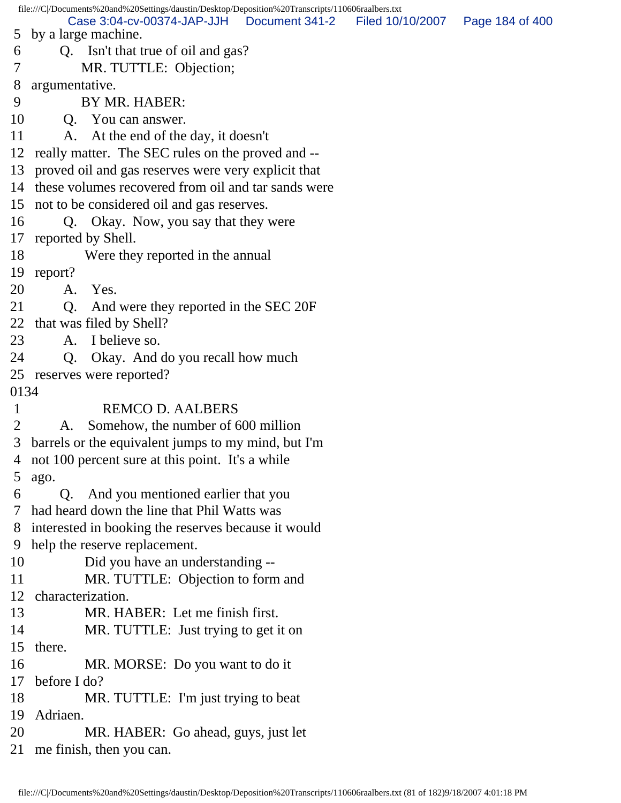file:///C|/Documents%20and%20Settings/daustin/Desktop/Deposition%20Transcripts/110606raalbers.txt 5 by a large machine. 6 Q. Isn't that true of oil and gas? 7 MR. TUTTLE: Objection; 8 argumentative. 9 BY MR. HABER: 10 Q. You can answer. 11 A. At the end of the day, it doesn't 12 really matter. The SEC rules on the proved and -- 13 proved oil and gas reserves were very explicit that 14 these volumes recovered from oil and tar sands were 15 not to be considered oil and gas reserves. 16 Q. Okay. Now, you say that they were 17 reported by Shell. 18 Were they reported in the annual 19 report? 20 A. Yes. 21 Q. And were they reported in the SEC 20F 22 that was filed by Shell? 23 A. I believe so. 24 Q. Okay. And do you recall how much 25 reserves were reported? 0134 1 REMCO D. AALBERS 2 A. Somehow, the number of 600 million 3 barrels or the equivalent jumps to my mind, but I'm 4 not 100 percent sure at this point. It's a while 5 ago. 6 Q. And you mentioned earlier that you 7 had heard down the line that Phil Watts was 8 interested in booking the reserves because it would 9 help the reserve replacement. 10 Did you have an understanding -- 11 MR. TUTTLE: Objection to form and 12 characterization. 13 MR. HABER: Let me finish first. 14 MR. TUTTLE: Just trying to get it on 15 there. 16 MR. MORSE: Do you want to do it 17 before I do? 18 MR. TUTTLE: I'm just trying to beat 19 Adriaen. 20 MR. HABER: Go ahead, guys, just let 21 me finish, then you can. Case 3:04-cv-00374-JAP-JJH Document 341-2 Filed 10/10/2007 Page 184 of 400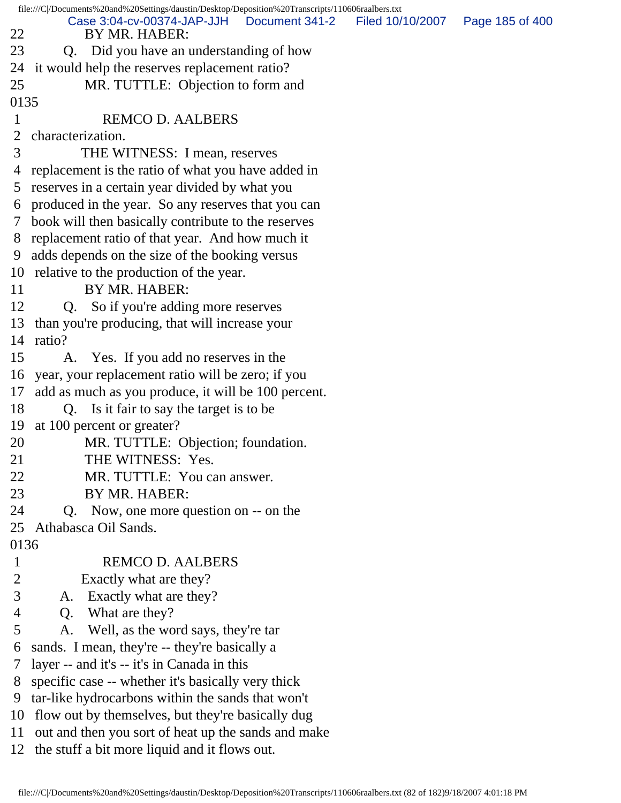|               | file:///C /Documents%20and%20Settings/daustin/Desktop/Deposition%20Transcripts/110606raalbers.txt |                                   |
|---------------|---------------------------------------------------------------------------------------------------|-----------------------------------|
| 22            | Case 3:04-cv-00374-JAP-JJH<br>Document 341-2<br>BY MR. HABER:                                     | Filed 10/10/2007  Page 185 of 400 |
| 23            | Did you have an understanding of how<br>Q.                                                        |                                   |
| 24            | it would help the reserves replacement ratio?                                                     |                                   |
| 25            | MR. TUTTLE: Objection to form and                                                                 |                                   |
| 0135          |                                                                                                   |                                   |
| $\mathbf 1$   | <b>REMCO D. AALBERS</b>                                                                           |                                   |
| 2             | characterization.                                                                                 |                                   |
| 3             | THE WITNESS: I mean, reserves                                                                     |                                   |
| 4             | replacement is the ratio of what you have added in                                                |                                   |
| 5             | reserves in a certain year divided by what you                                                    |                                   |
| 6             | produced in the year. So any reserves that you can                                                |                                   |
| $\mathcal{T}$ | book will then basically contribute to the reserves                                               |                                   |
| 8             | replacement ratio of that year. And how much it                                                   |                                   |
| 9             | adds depends on the size of the booking versus                                                    |                                   |
|               | 10 relative to the production of the year.                                                        |                                   |
| 11            | BY MR. HABER:                                                                                     |                                   |
| 12            | So if you're adding more reserves<br>Q.                                                           |                                   |
| 13            | than you're producing, that will increase your                                                    |                                   |
| 14            | ratio?                                                                                            |                                   |
| 15            | A. Yes. If you add no reserves in the                                                             |                                   |
| 16            | year, your replacement ratio will be zero; if you                                                 |                                   |
| 17            | add as much as you produce, it will be 100 percent.                                               |                                   |
| 18            | Q. Is it fair to say the target is to be                                                          |                                   |
| 19            | at 100 percent or greater?                                                                        |                                   |
| 20            | MR. TUTTLE: Objection; foundation.                                                                |                                   |
| 21            | THE WITNESS: Yes.                                                                                 |                                   |
| 22            | MR. TUTTLE: You can answer.                                                                       |                                   |
| 23            | BY MR. HABER:                                                                                     |                                   |
| 24            | Now, one more question on -- on the<br>Q.                                                         |                                   |
| 25            | Athabasca Oil Sands.                                                                              |                                   |
| 0136          |                                                                                                   |                                   |
| $\mathbf{1}$  | <b>REMCO D. AALBERS</b>                                                                           |                                   |
| 2             | Exactly what are they?                                                                            |                                   |
| 3             | Exactly what are they?<br>A.                                                                      |                                   |
| 4             | What are they?<br>Q.                                                                              |                                   |
| 5             | Well, as the word says, they're tar<br>A.                                                         |                                   |
| 6             | sands. I mean, they're -- they're basically a                                                     |                                   |
| 7             | layer -- and it's -- it's in Canada in this                                                       |                                   |
| 8             | specific case -- whether it's basically very thick                                                |                                   |
| 9             | tar-like hydrocarbons within the sands that won't                                                 |                                   |
| 10            | flow out by themselves, but they're basically dug                                                 |                                   |
| 11            | out and then you sort of heat up the sands and make                                               |                                   |
| 12            | the stuff a bit more liquid and it flows out.                                                     |                                   |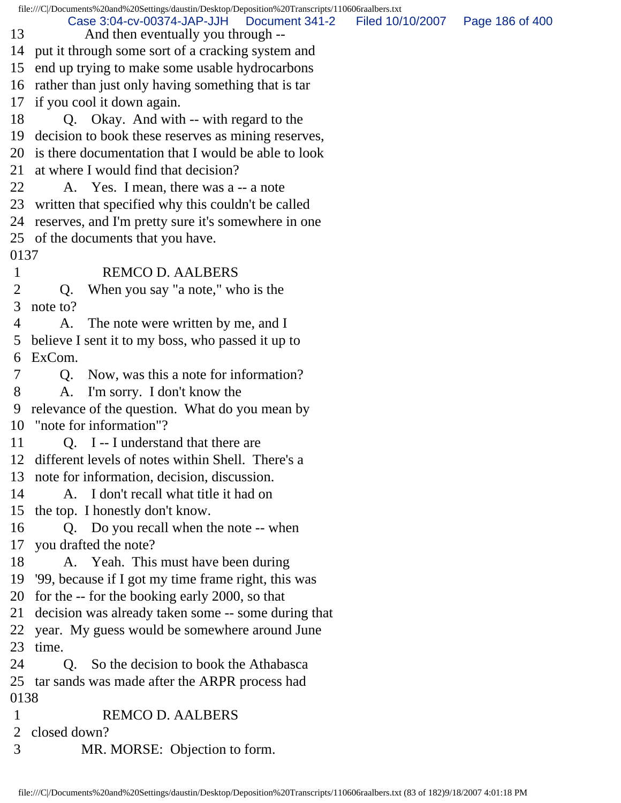file:///C|/Documents%20and%20Settings/daustin/Desktop/Deposition%20Transcripts/110606raalbers.txt 13 And then eventually you through -- 14 put it through some sort of a cracking system and 15 end up trying to make some usable hydrocarbons 16 rather than just only having something that is tar 17 if you cool it down again. 18 Q. Okay. And with -- with regard to the 19 decision to book these reserves as mining reserves, 20 is there documentation that I would be able to look 21 at where I would find that decision? 22 A. Yes. I mean, there was a -- a note 23 written that specified why this couldn't be called 24 reserves, and I'm pretty sure it's somewhere in one 25 of the documents that you have. 0137 1 REMCO D. AALBERS 2 Q. When you say "a note," who is the 3 note to? 4 A. The note were written by me, and I 5 believe I sent it to my boss, who passed it up to 6 ExCom. 7 Q. Now, was this a note for information? 8 A. I'm sorry. I don't know the 9 relevance of the question. What do you mean by 10 "note for information"? 11 Q. I -- I understand that there are 12 different levels of notes within Shell. There's a 13 note for information, decision, discussion. 14 A. I don't recall what title it had on 15 the top. I honestly don't know. 16 Q. Do you recall when the note -- when 17 you drafted the note? 18 A. Yeah. This must have been during 19 '99, because if I got my time frame right, this was 20 for the -- for the booking early 2000, so that 21 decision was already taken some -- some during that 22 year. My guess would be somewhere around June 23 time. 24 O. So the decision to book the Athabasca 25 tar sands was made after the ARPR process had 0138 1 REMCO D. AALBERS 2 closed down? 3 MR. MORSE: Objection to form. Case 3:04-cv-00374-JAP-JJH Document 341-2 Filed 10/10/2007 Page 186 of 400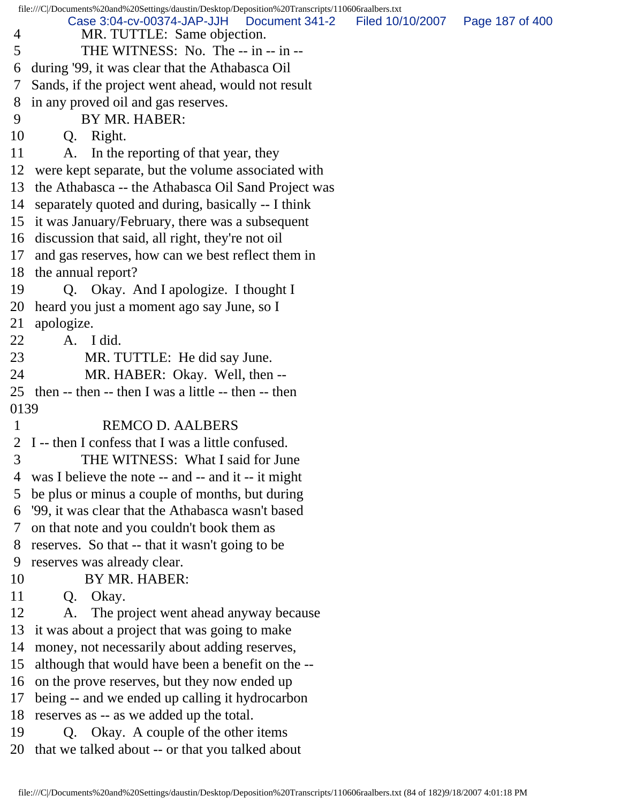file:///C|/Documents%20and%20Settings/daustin/Desktop/Deposition%20Transcripts/110606raalbers.txt 4 MR. TUTTLE: Same objection. 5 THE WITNESS: No. The -- in -- in -- 6 during '99, it was clear that the Athabasca Oil 7 Sands, if the project went ahead, would not result 8 in any proved oil and gas reserves. 9 BY MR. HABER: 10 Q. Right. 11 A. In the reporting of that year, they 12 were kept separate, but the volume associated with 13 the Athabasca -- the Athabasca Oil Sand Project was 14 separately quoted and during, basically -- I think 15 it was January/February, there was a subsequent 16 discussion that said, all right, they're not oil 17 and gas reserves, how can we best reflect them in 18 the annual report? 19 Q. Okay. And I apologize. I thought I 20 heard you just a moment ago say June, so I 21 apologize. 22 A. I did. 23 MR. TUTTLE: He did say June. 24 MR. HABER: Okay. Well, then -- 25 then -- then -- then I was a little -- then -- then 0139 1 REMCO D. AALBERS 2 I -- then I confess that I was a little confused. 3 THE WITNESS: What I said for June 4 was I believe the note -- and -- and it -- it might 5 be plus or minus a couple of months, but during 6 '99, it was clear that the Athabasca wasn't based 7 on that note and you couldn't book them as 8 reserves. So that -- that it wasn't going to be 9 reserves was already clear. 10 BY MR. HABER: 11 Q. Okay. 12 A. The project went ahead anyway because 13 it was about a project that was going to make 14 money, not necessarily about adding reserves, 15 although that would have been a benefit on the -- 16 on the prove reserves, but they now ended up 17 being -- and we ended up calling it hydrocarbon 18 reserves as -- as we added up the total. 19 Q. Okay. A couple of the other items 20 that we talked about -- or that you talked about Case 3:04-cv-00374-JAP-JJH Document 341-2 Filed 10/10/2007 Page 187 of 400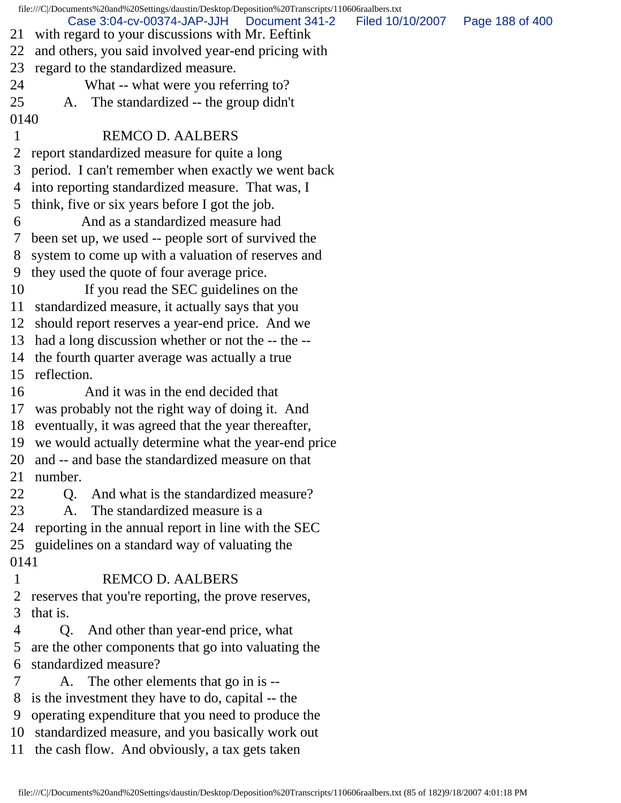file:///C|/Documents%20and%20Settings/daustin/Desktop/Deposition%20Transcripts/110606raalbers.txt 21 with regard to your discussions with Mr. Eeftink 22 and others, you said involved year-end pricing with 23 regard to the standardized measure. 24 What -- what were you referring to? 25 A. The standardized -- the group didn't 0140 1 REMCO D. AALBERS 2 report standardized measure for quite a long 3 period. I can't remember when exactly we went back 4 into reporting standardized measure. That was, I 5 think, five or six years before I got the job. 6 And as a standardized measure had 7 been set up, we used -- people sort of survived the 8 system to come up with a valuation of reserves and 9 they used the quote of four average price. 10 If you read the SEC guidelines on the 11 standardized measure, it actually says that you 12 should report reserves a year-end price. And we 13 had a long discussion whether or not the -- the -- 14 the fourth quarter average was actually a true 15 reflection. 16 And it was in the end decided that 17 was probably not the right way of doing it. And 18 eventually, it was agreed that the year thereafter, 19 we would actually determine what the year-end price 20 and -- and base the standardized measure on that 21 number. 22 O. And what is the standardized measure? 23 A. The standardized measure is a 24 reporting in the annual report in line with the SEC 25 guidelines on a standard way of valuating the 0141 1 REMCO D. AALBERS 2 reserves that you're reporting, the prove reserves, 3 that is. 4 Q. And other than year-end price, what 5 are the other components that go into valuating the 6 standardized measure? 7 A. The other elements that go in is -- 8 is the investment they have to do, capital -- the 9 operating expenditure that you need to produce the 10 standardized measure, and you basically work out 11 the cash flow. And obviously, a tax gets taken Case 3:04-cv-00374-JAP-JJH Document 341-2 Filed 10/10/2007 Page 188 of 400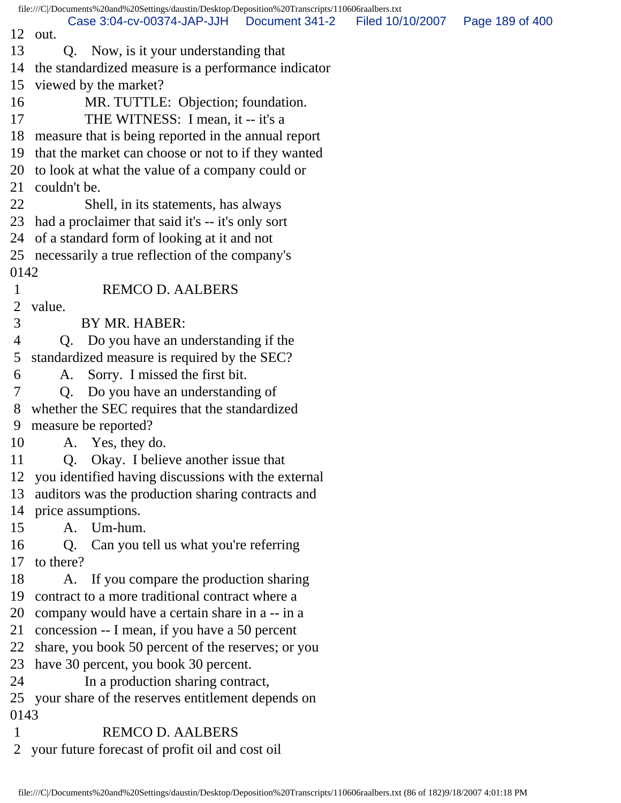file:///C|/Documents%20and%20Settings/daustin/Desktop/Deposition%20Transcripts/110606raalbers.txt 12 out. 13 Q. Now, is it your understanding that 14 the standardized measure is a performance indicator 15 viewed by the market? 16 MR. TUTTLE: Objection; foundation. 17 THE WITNESS: I mean, it -- it's a 18 measure that is being reported in the annual report 19 that the market can choose or not to if they wanted 20 to look at what the value of a company could or 21 couldn't be. 22 Shell, in its statements, has always 23 had a proclaimer that said it's -- it's only sort 24 of a standard form of looking at it and not 25 necessarily a true reflection of the company's 0142 1 REMCO D. AALBERS 2 value. 3 BY MR. HABER: 4 Q. Do you have an understanding if the 5 standardized measure is required by the SEC? 6 A. Sorry. I missed the first bit. 7 Q. Do you have an understanding of 8 whether the SEC requires that the standardized 9 measure be reported? 10 A. Yes, they do. 11 Q. Okay. I believe another issue that 12 you identified having discussions with the external 13 auditors was the production sharing contracts and 14 price assumptions. 15 A. Um-hum. 16 Q. Can you tell us what you're referring 17 to there? 18 A. If you compare the production sharing 19 contract to a more traditional contract where a 20 company would have a certain share in a -- in a 21 concession -- I mean, if you have a 50 percent 22 share, you book 50 percent of the reserves; or you 23 have 30 percent, you book 30 percent. 24 In a production sharing contract, 25 your share of the reserves entitlement depends on 0143 1 REMCO D. AALBERS 2 your future forecast of profit oil and cost oil Case 3:04-cv-00374-JAP-JJH Document 341-2 Filed 10/10/2007 Page 189 of 400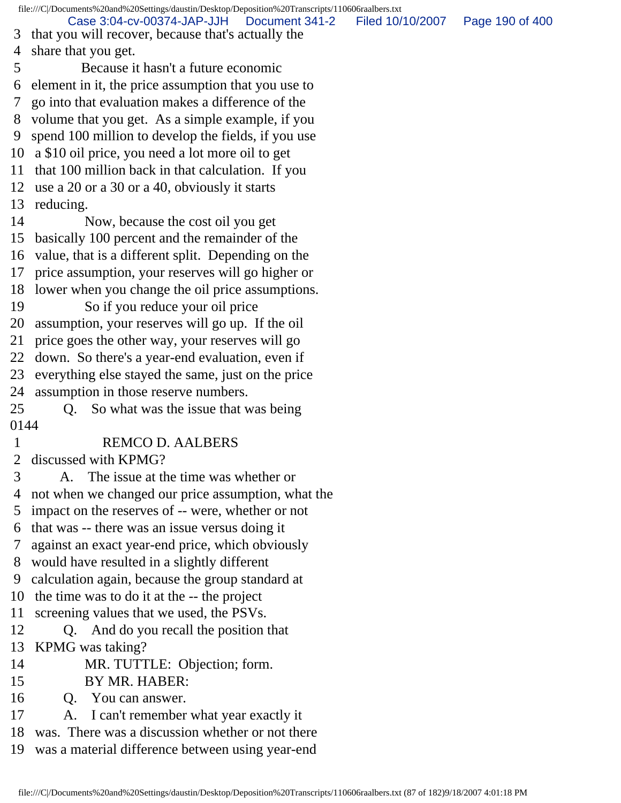file:///C|/Documents%20and%20Settings/daustin/Desktop/Deposition%20Transcripts/110606raalbers.txt 3 that you will recover, because that's actually the 4 share that you get. 5 Because it hasn't a future economic 6 element in it, the price assumption that you use to 7 go into that evaluation makes a difference of the 8 volume that you get. As a simple example, if you 9 spend 100 million to develop the fields, if you use 10 a \$10 oil price, you need a lot more oil to get 11 that 100 million back in that calculation. If you 12 use a 20 or a 30 or a 40, obviously it starts 13 reducing. 14 Now, because the cost oil you get 15 basically 100 percent and the remainder of the 16 value, that is a different split. Depending on the 17 price assumption, your reserves will go higher or 18 lower when you change the oil price assumptions. 19 So if you reduce your oil price 20 assumption, your reserves will go up. If the oil 21 price goes the other way, your reserves will go 22 down. So there's a year-end evaluation, even if 23 everything else stayed the same, just on the price 24 assumption in those reserve numbers. 25 Q. So what was the issue that was being 0144 1 REMCO D. AALBERS 2 discussed with KPMG? 3 A. The issue at the time was whether or 4 not when we changed our price assumption, what the 5 impact on the reserves of -- were, whether or not 6 that was -- there was an issue versus doing it 7 against an exact year-end price, which obviously 8 would have resulted in a slightly different 9 calculation again, because the group standard at 10 the time was to do it at the -- the project 11 screening values that we used, the PSVs. 12 Q. And do you recall the position that 13 KPMG was taking? 14 MR. TUTTLE: Objection; form. 15 BY MR. HABER: 16 Q. You can answer. 17 A. I can't remember what year exactly it 18 was. There was a discussion whether or not there 19 was a material difference between using year-end Case 3:04-cv-00374-JAP-JJH Document 341-2 Filed 10/10/2007 Page 190 of 400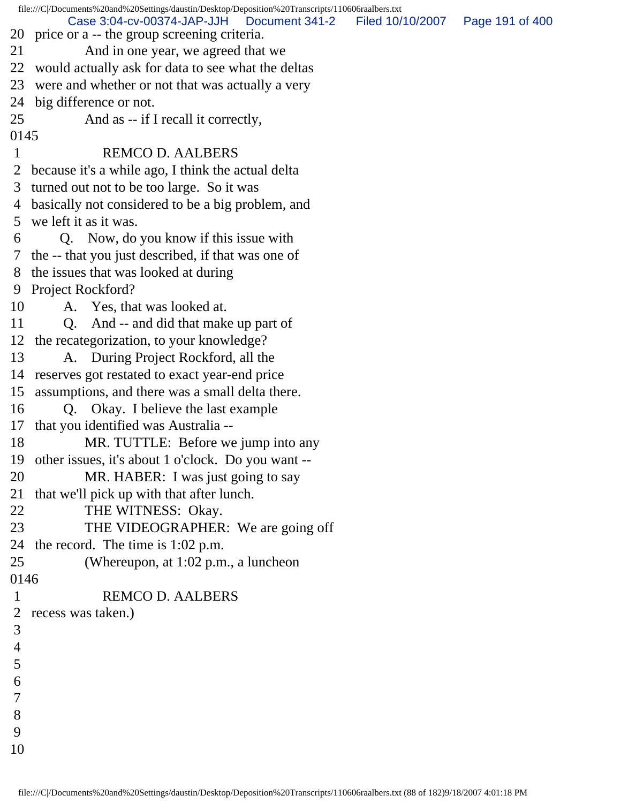file:///C|/Documents%20and%20Settings/daustin/Desktop/Deposition%20Transcripts/110606raalbers.txt 20 price or a -- the group screening criteria. 21 And in one year, we agreed that we 22 would actually ask for data to see what the deltas 23 were and whether or not that was actually a very 24 big difference or not. 25 And as -- if I recall it correctly, 0145 1 REMCO D. AALBERS 2 because it's a while ago, I think the actual delta 3 turned out not to be too large. So it was 4 basically not considered to be a big problem, and 5 we left it as it was. 6 Q. Now, do you know if this issue with 7 the -- that you just described, if that was one of 8 the issues that was looked at during 9 Project Rockford? 10 A. Yes, that was looked at. 11 Q. And -- and did that make up part of 12 the recategorization, to your knowledge? 13 A. During Project Rockford, all the 14 reserves got restated to exact year-end price 15 assumptions, and there was a small delta there. 16 Q. Okay. I believe the last example 17 that you identified was Australia -- 18 MR. TUTTLE: Before we jump into any 19 other issues, it's about 1 o'clock. Do you want -- 20 MR. HABER: I was just going to say 21 that we'll pick up with that after lunch. 22 THE WITNESS: Okay. 23 THE VIDEOGRAPHER: We are going off 24 the record. The time is 1:02 p.m. 25 (Whereupon, at 1:02 p.m., a luncheon 0146 1 REMCO D. AALBERS 2 recess was taken.) 3 4 5 6 7 8 9 10 Case 3:04-cv-00374-JAP-JJH Document 341-2 Filed 10/10/2007 Page 191 of 400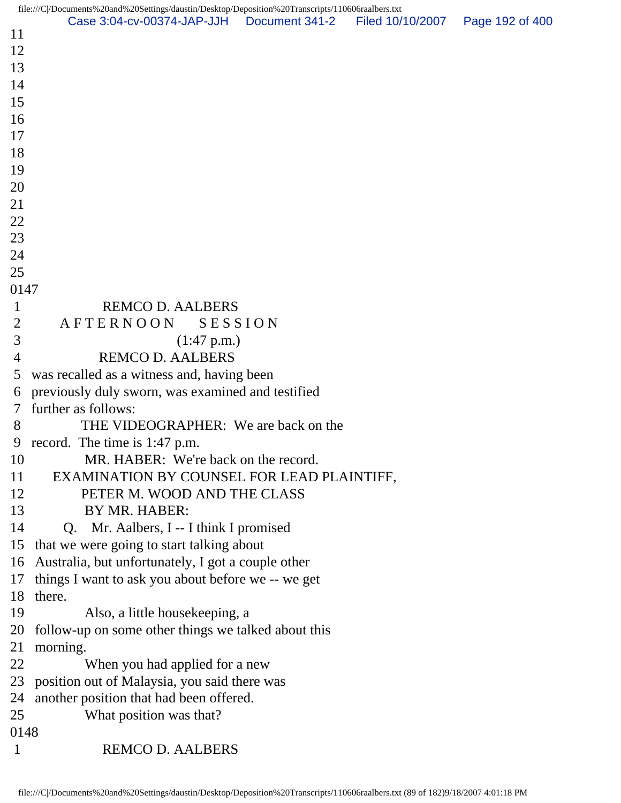|                | file:///C /Documents%20and%20Settings/daustin/Desktop/Deposition%20Transcripts/110606raalbers.txt |                  |                 |
|----------------|---------------------------------------------------------------------------------------------------|------------------|-----------------|
| 11             | Case 3:04-cv-00374-JAP-JJH   Document 341-2                                                       | Filed 10/10/2007 | Page 192 of 400 |
| 12             |                                                                                                   |                  |                 |
| 13             |                                                                                                   |                  |                 |
| 14             |                                                                                                   |                  |                 |
| 15             |                                                                                                   |                  |                 |
| 16             |                                                                                                   |                  |                 |
| 17             |                                                                                                   |                  |                 |
| 18             |                                                                                                   |                  |                 |
| 19             |                                                                                                   |                  |                 |
| 20             |                                                                                                   |                  |                 |
| 21             |                                                                                                   |                  |                 |
| 22             |                                                                                                   |                  |                 |
| 23             |                                                                                                   |                  |                 |
| 24             |                                                                                                   |                  |                 |
| 25             |                                                                                                   |                  |                 |
| 0147           |                                                                                                   |                  |                 |
| $\mathbf{1}$   | <b>REMCO D. AALBERS</b>                                                                           |                  |                 |
| $\overline{2}$ | <b>AFTERNOON</b><br>SESSION                                                                       |                  |                 |
| 3              | $(1:47 \text{ p.m.})$                                                                             |                  |                 |
| $\overline{4}$ | <b>REMCO D. AALBERS</b>                                                                           |                  |                 |
| 5              | was recalled as a witness and, having been                                                        |                  |                 |
| 6              | previously duly sworn, was examined and testified                                                 |                  |                 |
| 7              | further as follows:                                                                               |                  |                 |
| 8              | THE VIDEOGRAPHER: We are back on the                                                              |                  |                 |
|                | 9 record. The time is 1:47 p.m.                                                                   |                  |                 |
| 10             | MR. HABER: We're back on the record.                                                              |                  |                 |
| 11             | EXAMINATION BY COUNSEL FOR LEAD PLAINTIFF,                                                        |                  |                 |
| 12             | PETER M. WOOD AND THE CLASS                                                                       |                  |                 |
| 13             | BY MR. HABER:                                                                                     |                  |                 |
| 14             | Q. Mr. Aalbers, I -- I think I promised                                                           |                  |                 |
| 15             | that we were going to start talking about                                                         |                  |                 |
| 16             | Australia, but unfortunately, I got a couple other                                                |                  |                 |
| 17             | things I want to ask you about before we -- we get                                                |                  |                 |
| 18             | there.                                                                                            |                  |                 |
| 19             | Also, a little housekeeping, a                                                                    |                  |                 |
| 20             | follow-up on some other things we talked about this                                               |                  |                 |
| 21             | morning.                                                                                          |                  |                 |
| 22             | When you had applied for a new                                                                    |                  |                 |
| 23             | position out of Malaysia, you said there was                                                      |                  |                 |
| 24             | another position that had been offered.                                                           |                  |                 |
| 25             | What position was that?                                                                           |                  |                 |
| 0148           |                                                                                                   |                  |                 |
| $\mathbf{1}$   | <b>REMCO D. AALBERS</b>                                                                           |                  |                 |
|                |                                                                                                   |                  |                 |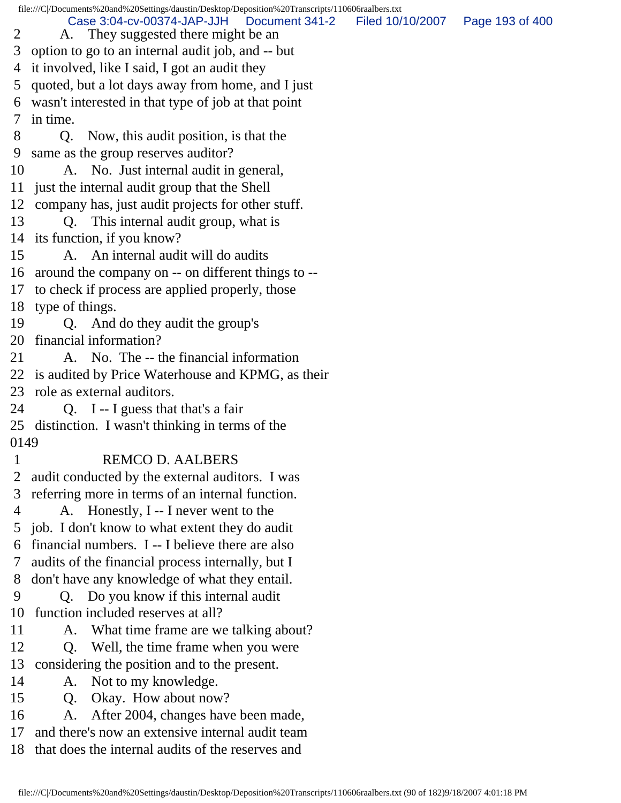file:///C|/Documents%20and%20Settings/daustin/Desktop/Deposition%20Transcripts/110606raalbers.txt 2 A. They suggested there might be an 3 option to go to an internal audit job, and -- but 4 it involved, like I said, I got an audit they 5 quoted, but a lot days away from home, and I just 6 wasn't interested in that type of job at that point 7 in time. 8 Q. Now, this audit position, is that the 9 same as the group reserves auditor? 10 A. No. Just internal audit in general, 11 just the internal audit group that the Shell 12 company has, just audit projects for other stuff. 13 Q. This internal audit group, what is 14 its function, if you know? 15 A. An internal audit will do audits 16 around the company on -- on different things to -- 17 to check if process are applied properly, those 18 type of things. 19 Q. And do they audit the group's 20 financial information? 21 A. No. The -- the financial information 22 is audited by Price Waterhouse and KPMG, as their 23 role as external auditors. 24 Q. I -- I guess that that's a fair 25 distinction. I wasn't thinking in terms of the 0149 1 REMCO D. AALBERS 2 audit conducted by the external auditors. I was 3 referring more in terms of an internal function. 4 A. Honestly, I -- I never went to the 5 job. I don't know to what extent they do audit 6 financial numbers. I -- I believe there are also 7 audits of the financial process internally, but I 8 don't have any knowledge of what they entail. 9 Q. Do you know if this internal audit 10 function included reserves at all? 11 A. What time frame are we talking about? 12 Q. Well, the time frame when you were 13 considering the position and to the present. 14 A. Not to my knowledge. 15 Q. Okay. How about now? 16 A. After 2004, changes have been made, 17 and there's now an extensive internal audit team 18 that does the internal audits of the reserves and Case 3:04-cv-00374-JAP-JJH Document 341-2 Filed 10/10/2007 Page 193 of 400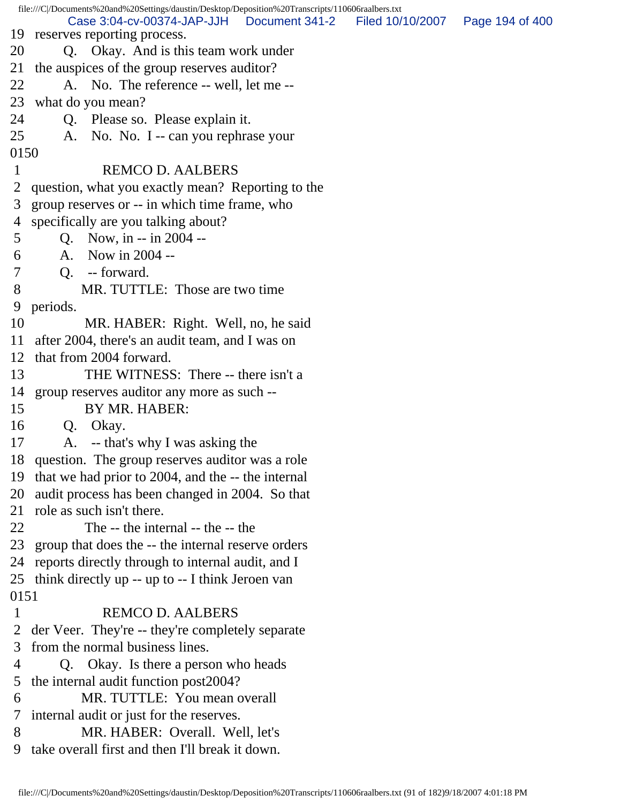|                | file:///C /Documents%20and%20Settings/daustin/Desktop/Deposition%20Transcripts/110606raalbers.txt |                                   |  |
|----------------|---------------------------------------------------------------------------------------------------|-----------------------------------|--|
| 19             | Case 3:04-cv-00374-JAP-JJH<br>Document 341-2<br>reserves reporting process.                       | Filed 10/10/2007  Page 194 of 400 |  |
| 20             | Q. Okay. And is this team work under                                                              |                                   |  |
| 21             | the auspices of the group reserves auditor?                                                       |                                   |  |
| 22             | A. No. The reference -- well, let me --                                                           |                                   |  |
| 23             | what do you mean?                                                                                 |                                   |  |
| 24             | Q. Please so. Please explain it.                                                                  |                                   |  |
| 25             | A. No. No. I -- can you rephrase your                                                             |                                   |  |
| 0150           |                                                                                                   |                                   |  |
| $\mathbf{1}$   | <b>REMCO D. AALBERS</b>                                                                           |                                   |  |
| 2              | question, what you exactly mean? Reporting to the                                                 |                                   |  |
| 3              | group reserves or -- in which time frame, who                                                     |                                   |  |
|                | 4 specifically are you talking about?                                                             |                                   |  |
| 5              | Q. Now, in $-$ in 2004 $-$                                                                        |                                   |  |
| 6              | A. Now in 2004 --                                                                                 |                                   |  |
| $\overline{7}$ | Q. -- forward.                                                                                    |                                   |  |
| 8              | MR. TUTTLE: Those are two time                                                                    |                                   |  |
| 9              | periods.                                                                                          |                                   |  |
| 10             | MR. HABER: Right. Well, no, he said                                                               |                                   |  |
| 11             | after 2004, there's an audit team, and I was on                                                   |                                   |  |
| 12             | that from 2004 forward.                                                                           |                                   |  |
| 13             | THE WITNESS: There -- there isn't a                                                               |                                   |  |
| 14             | group reserves auditor any more as such --                                                        |                                   |  |
| 15             | BY MR. HABER:                                                                                     |                                   |  |
| 16             | Okay.<br>Q.                                                                                       |                                   |  |
| 17             | A. -- that's why I was asking the                                                                 |                                   |  |
|                | 18 question. The group reserves auditor was a role                                                |                                   |  |
| 19             | that we had prior to 2004, and the -- the internal                                                |                                   |  |
| 20             | audit process has been changed in 2004. So that                                                   |                                   |  |
| 21             | role as such isn't there.                                                                         |                                   |  |
| 22             | The -- the internal -- the -- the                                                                 |                                   |  |
| 23             | group that does the -- the internal reserve orders                                                |                                   |  |
| 24             | reports directly through to internal audit, and I                                                 |                                   |  |
| 25             | think directly up -- up to -- I think Jeroen van                                                  |                                   |  |
| 0151           |                                                                                                   |                                   |  |
| $\mathbf{1}$   | <b>REMCO D. AALBERS</b>                                                                           |                                   |  |
| 2              | der Veer. They're -- they're completely separate                                                  |                                   |  |
| 3              | from the normal business lines.                                                                   |                                   |  |
| 4              | Q. Okay. Is there a person who heads                                                              |                                   |  |
| 5              | the internal audit function post2004?                                                             |                                   |  |
| 6              | MR. TUTTLE: You mean overall                                                                      |                                   |  |
| 7              | internal audit or just for the reserves.                                                          |                                   |  |
| 8              | MR. HABER: Overall. Well, let's                                                                   |                                   |  |
| 9              | take overall first and then I'll break it down.                                                   |                                   |  |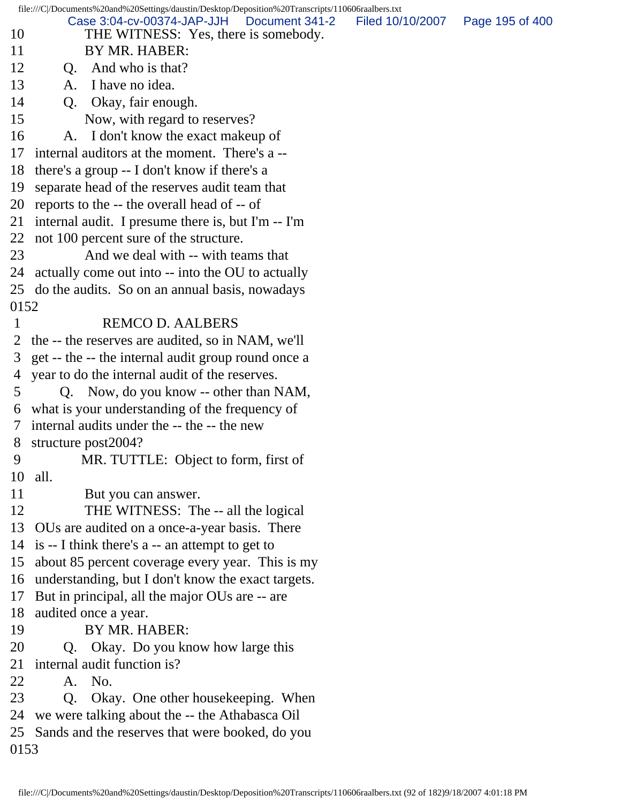file:///C|/Documents%20and%20Settings/daustin/Desktop/Deposition%20Transcripts/110606raalbers.txt 10 THE WITNESS: Yes, there is somebody. 11 BY MR. HABER: 12 O. And who is that? 13 A. I have no idea. 14 Q. Okay, fair enough. 15 Now, with regard to reserves? 16 A. I don't know the exact makeup of 17 internal auditors at the moment. There's a -- 18 there's a group -- I don't know if there's a 19 separate head of the reserves audit team that 20 reports to the -- the overall head of -- of 21 internal audit. I presume there is, but I'm -- I'm 22 not 100 percent sure of the structure. 23 And we deal with -- with teams that 24 actually come out into -- into the OU to actually 25 do the audits. So on an annual basis, nowadays 0152 1 REMCO D. AALBERS 2 the -- the reserves are audited, so in NAM, we'll 3 get -- the -- the internal audit group round once a 4 year to do the internal audit of the reserves. 5 Q. Now, do you know -- other than NAM, 6 what is your understanding of the frequency of 7 internal audits under the -- the -- the new 8 structure post2004? 9 MR. TUTTLE: Object to form, first of 10 all. 11 But you can answer. 12 THE WITNESS: The -- all the logical 13 OUs are audited on a once-a-year basis. There 14 is -- I think there's a -- an attempt to get to 15 about 85 percent coverage every year. This is my 16 understanding, but I don't know the exact targets. 17 But in principal, all the major OUs are -- are 18 audited once a year. 19 BY MR. HABER: 20 Q. Okay. Do you know how large this 21 internal audit function is? 22 A. No. 23 Q. Okay. One other housekeeping. When 24 we were talking about the -- the Athabasca Oil 25 Sands and the reserves that were booked, do you 0153 Case 3:04-cv-00374-JAP-JJH Document 341-2 Filed 10/10/2007 Page 195 of 400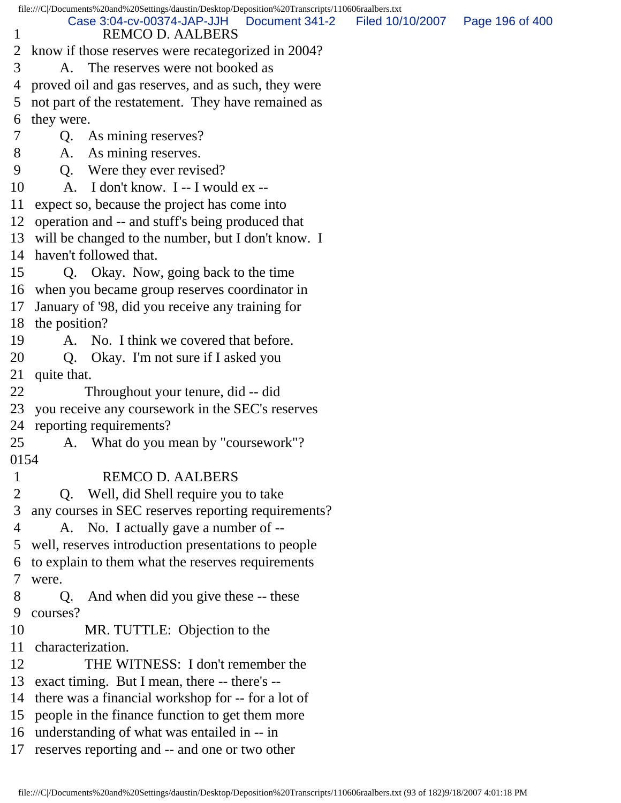file:///C|/Documents%20and%20Settings/daustin/Desktop/Deposition%20Transcripts/110606raalbers.txt 1 REMCO D. AALBERS 2 know if those reserves were recategorized in 2004? 3 A. The reserves were not booked as 4 proved oil and gas reserves, and as such, they were 5 not part of the restatement. They have remained as 6 they were. 7 Q. As mining reserves? 8 A. As mining reserves. 9 Q. Were they ever revised? 10 A. I don't know. I -- I would ex -- 11 expect so, because the project has come into 12 operation and -- and stuff's being produced that 13 will be changed to the number, but I don't know. I 14 haven't followed that. 15 Q. Okay. Now, going back to the time 16 when you became group reserves coordinator in 17 January of '98, did you receive any training for 18 the position? 19 A. No. I think we covered that before. 20 Q. Okay. I'm not sure if I asked you 21 quite that. 22 Throughout your tenure, did -- did 23 you receive any coursework in the SEC's reserves 24 reporting requirements? 25 A. What do you mean by "coursework"? 0154 1 REMCO D. AALBERS 2 Q. Well, did Shell require you to take 3 any courses in SEC reserves reporting requirements? 4 A. No. I actually gave a number of -- 5 well, reserves introduction presentations to people 6 to explain to them what the reserves requirements 7 were. 8 Q. And when did you give these -- these 9 courses? 10 MR. TUTTLE: Objection to the 11 characterization. 12 THE WITNESS: I don't remember the 13 exact timing. But I mean, there -- there's -- 14 there was a financial workshop for -- for a lot of 15 people in the finance function to get them more 16 understanding of what was entailed in -- in 17 reserves reporting and -- and one or two other Case 3:04-cv-00374-JAP-JJH Document 341-2 Filed 10/10/2007 Page 196 of 400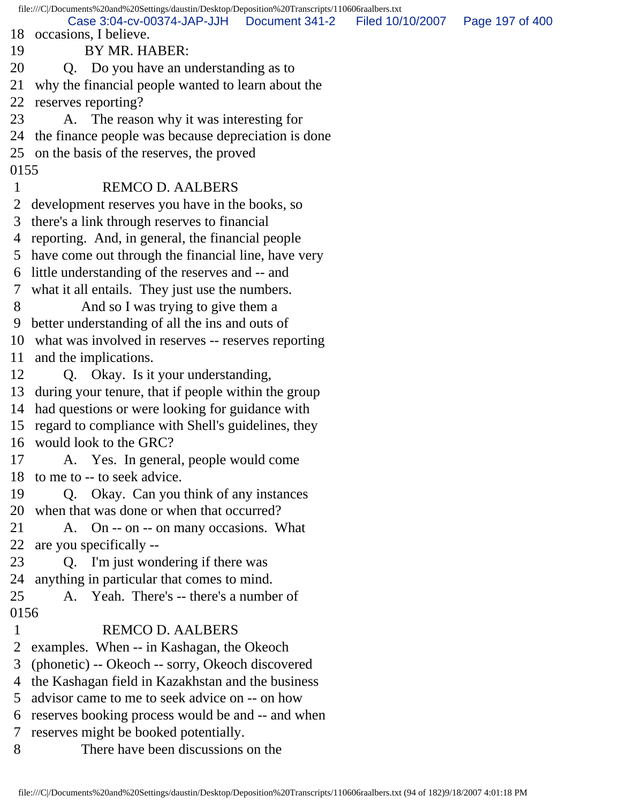file:///C|/Documents%20and%20Settings/daustin/Desktop/Deposition%20Transcripts/110606raalbers.txt 18 occasions, I believe. 19 BY MR. HABER: 20 Q. Do you have an understanding as to 21 why the financial people wanted to learn about the 22 reserves reporting? 23 A. The reason why it was interesting for 24 the finance people was because depreciation is done 25 on the basis of the reserves, the proved 0155 1 REMCO D. AALBERS 2 development reserves you have in the books, so 3 there's a link through reserves to financial 4 reporting. And, in general, the financial people 5 have come out through the financial line, have very 6 little understanding of the reserves and -- and 7 what it all entails. They just use the numbers. 8 And so I was trying to give them a 9 better understanding of all the ins and outs of 10 what was involved in reserves -- reserves reporting 11 and the implications. 12 Q. Okay. Is it your understanding, 13 during your tenure, that if people within the group 14 had questions or were looking for guidance with 15 regard to compliance with Shell's guidelines, they 16 would look to the GRC? 17 A. Yes. In general, people would come 18 to me to -- to seek advice. 19 Q. Okay. Can you think of any instances 20 when that was done or when that occurred? 21 A. On -- on -- on many occasions. What 22 are you specifically -- 23 Q. I'm just wondering if there was 24 anything in particular that comes to mind. 25 A. Yeah. There's -- there's a number of 0156 1 REMCO D. AALBERS 2 examples. When -- in Kashagan, the Okeoch 3 (phonetic) -- Okeoch -- sorry, Okeoch discovered 4 the Kashagan field in Kazakhstan and the business 5 advisor came to me to seek advice on -- on how 6 reserves booking process would be and -- and when 7 reserves might be booked potentially. 8 There have been discussions on the Case 3:04-cv-00374-JAP-JJH Document 341-2 Filed 10/10/2007 Page 197 of 400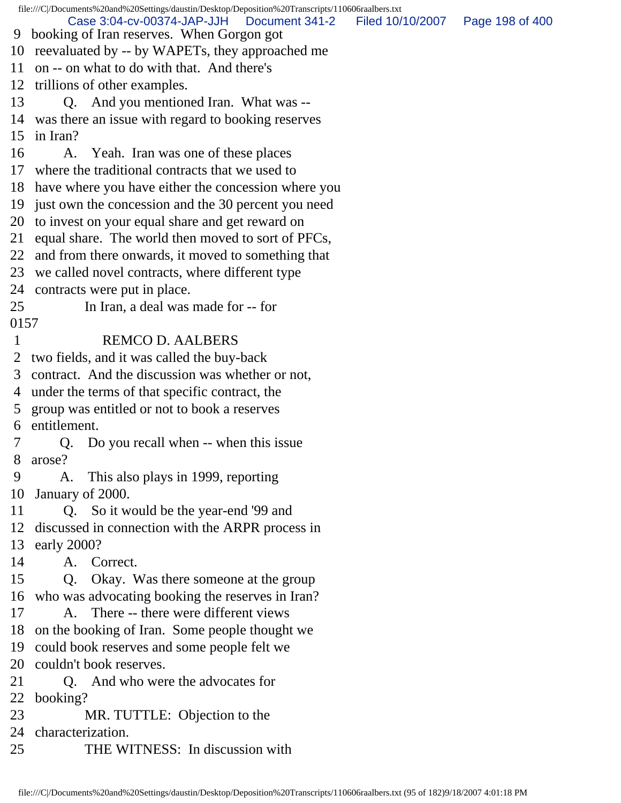file:///C|/Documents%20and%20Settings/daustin/Desktop/Deposition%20Transcripts/110606raalbers.txt 9 booking of Iran reserves. When Gorgon got 10 reevaluated by -- by WAPETs, they approached me 11 on -- on what to do with that. And there's 12 trillions of other examples. 13 Q. And you mentioned Iran. What was -- 14 was there an issue with regard to booking reserves 15 in Iran? 16 A. Yeah. Iran was one of these places 17 where the traditional contracts that we used to 18 have where you have either the concession where you 19 just own the concession and the 30 percent you need 20 to invest on your equal share and get reward on 21 equal share. The world then moved to sort of PFCs, 22 and from there onwards, it moved to something that 23 we called novel contracts, where different type 24 contracts were put in place. 25 In Iran, a deal was made for -- for 0157 1 REMCO D. AALBERS 2 two fields, and it was called the buy-back 3 contract. And the discussion was whether or not, 4 under the terms of that specific contract, the 5 group was entitled or not to book a reserves 6 entitlement. 7 Q. Do you recall when -- when this issue 8 arose? 9 A. This also plays in 1999, reporting 10 January of 2000. 11 Q. So it would be the year-end '99 and 12 discussed in connection with the ARPR process in 13 early 2000? 14 A. Correct. 15 Q. Okay. Was there someone at the group 16 who was advocating booking the reserves in Iran? 17 A. There -- there were different views 18 on the booking of Iran. Some people thought we 19 could book reserves and some people felt we 20 couldn't book reserves. 21 Q. And who were the advocates for 22 booking? 23 MR. TUTTLE: Objection to the 24 characterization. 25 THE WITNESS: In discussion with Case 3:04-cv-00374-JAP-JJH Document 341-2 Filed 10/10/2007 Page 198 of 400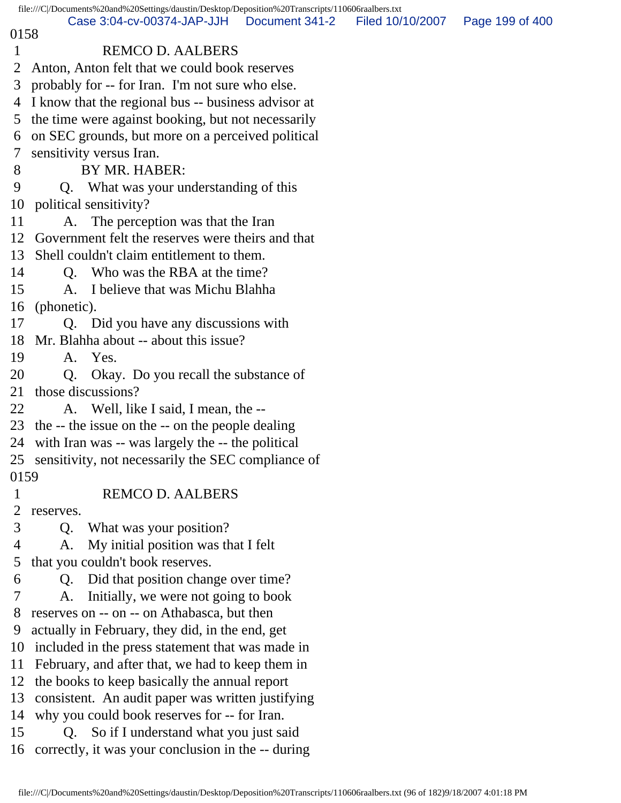|                | file:///C /Documents%20and%20Settings/daustin/Desktop/Deposition%20Transcripts/110606raalbers.txt |                                   |  |
|----------------|---------------------------------------------------------------------------------------------------|-----------------------------------|--|
| 0158           | Case 3:04-cv-00374-JAP-JJH   Document 341-2                                                       | Filed 10/10/2007  Page 199 of 400 |  |
| $\mathbf{1}$   | <b>REMCO D. AALBERS</b>                                                                           |                                   |  |
| 2              | Anton, Anton felt that we could book reserves                                                     |                                   |  |
| 3              | probably for -- for Iran. I'm not sure who else.                                                  |                                   |  |
|                | 4 I know that the regional bus -- business advisor at                                             |                                   |  |
| 5 <sup>5</sup> | the time were against booking, but not necessarily                                                |                                   |  |
| 6              | on SEC grounds, but more on a perceived political                                                 |                                   |  |
| $\tau$         | sensitivity versus Iran.                                                                          |                                   |  |
| 8              | BY MR. HABER:                                                                                     |                                   |  |
| 9              | Q. What was your understanding of this                                                            |                                   |  |
| 10             | political sensitivity?                                                                            |                                   |  |
| 11             | A. The perception was that the Iran                                                               |                                   |  |
| 12             | Government felt the reserves were theirs and that                                                 |                                   |  |
| 13             | Shell couldn't claim entitlement to them.                                                         |                                   |  |
| 14             | Q. Who was the RBA at the time?                                                                   |                                   |  |
| 15             | A. I believe that was Michu Blahha                                                                |                                   |  |
| 16             | (phonetic).                                                                                       |                                   |  |
| 17             | Q. Did you have any discussions with                                                              |                                   |  |
|                | 18 Mr. Blahha about -- about this issue?                                                          |                                   |  |
| 19             | A. Yes.                                                                                           |                                   |  |
| 20             | Q. Okay. Do you recall the substance of                                                           |                                   |  |
| 21             | those discussions?                                                                                |                                   |  |
| 22             | A. Well, like I said, I mean, the --                                                              |                                   |  |
|                | 23 the -- the issue on the -- on the people dealing                                               |                                   |  |
|                | 24 with Iran was -- was largely the -- the political                                              |                                   |  |
|                | 25 sensitivity, not necessarily the SEC compliance of                                             |                                   |  |
| 0159           |                                                                                                   |                                   |  |
| $\mathbf{1}$   | <b>REMCO D. AALBERS</b>                                                                           |                                   |  |
| $\overline{2}$ | reserves.                                                                                         |                                   |  |
| 3              | What was your position?<br>Q.                                                                     |                                   |  |
| 4              | My initial position was that I felt<br>A.                                                         |                                   |  |
| 5              | that you couldn't book reserves.                                                                  |                                   |  |
| 6              | Did that position change over time?<br>Q.                                                         |                                   |  |
| 7              | Initially, we were not going to book<br>A.                                                        |                                   |  |
| 8              | reserves on -- on -- on Athabasca, but then                                                       |                                   |  |
| 9              | actually in February, they did, in the end, get                                                   |                                   |  |
| 10             | included in the press statement that was made in                                                  |                                   |  |
| 11             | February, and after that, we had to keep them in                                                  |                                   |  |
| 12             | the books to keep basically the annual report                                                     |                                   |  |
| 13             | consistent. An audit paper was written justifying                                                 |                                   |  |
| 14             | why you could book reserves for -- for Iran.                                                      |                                   |  |
| 15             | Q. So if I understand what you just said                                                          |                                   |  |
|                | 16 correctly, it was your conclusion in the -- during                                             |                                   |  |
|                |                                                                                                   |                                   |  |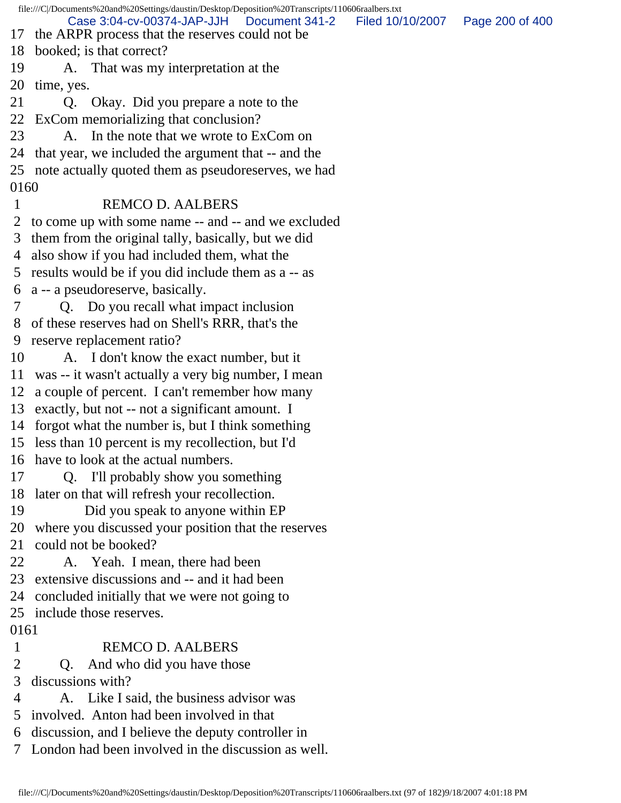file:///C|/Documents%20and%20Settings/daustin/Desktop/Deposition%20Transcripts/110606raalbers.txt 17 the ARPR process that the reserves could not be 18 booked; is that correct? 19 A. That was my interpretation at the 20 time, yes. 21 Q. Okay. Did you prepare a note to the 22 ExCom memorializing that conclusion? 23 A. In the note that we wrote to ExCom on 24 that year, we included the argument that -- and the 25 note actually quoted them as pseudoreserves, we had 0160 1 REMCO D. AALBERS 2 to come up with some name -- and -- and we excluded 3 them from the original tally, basically, but we did 4 also show if you had included them, what the 5 results would be if you did include them as a -- as 6 a -- a pseudoreserve, basically. 7 Q. Do you recall what impact inclusion 8 of these reserves had on Shell's RRR, that's the 9 reserve replacement ratio? 10 A. I don't know the exact number, but it 11 was -- it wasn't actually a very big number, I mean 12 a couple of percent. I can't remember how many 13 exactly, but not -- not a significant amount. I 14 forgot what the number is, but I think something 15 less than 10 percent is my recollection, but I'd 16 have to look at the actual numbers. 17 Q. I'll probably show you something 18 later on that will refresh your recollection. 19 Did you speak to anyone within EP 20 where you discussed your position that the reserves 21 could not be booked? 22 A. Yeah. I mean, there had been 23 extensive discussions and -- and it had been 24 concluded initially that we were not going to 25 include those reserves. 0161 1 REMCO D. AALBERS 2 Q. And who did you have those 3 discussions with? 4 A. Like I said, the business advisor was 5 involved. Anton had been involved in that 6 discussion, and I believe the deputy controller in 7 London had been involved in the discussion as well. Case 3:04-cv-00374-JAP-JJH Document 341-2 Filed 10/10/2007 Page 200 of 400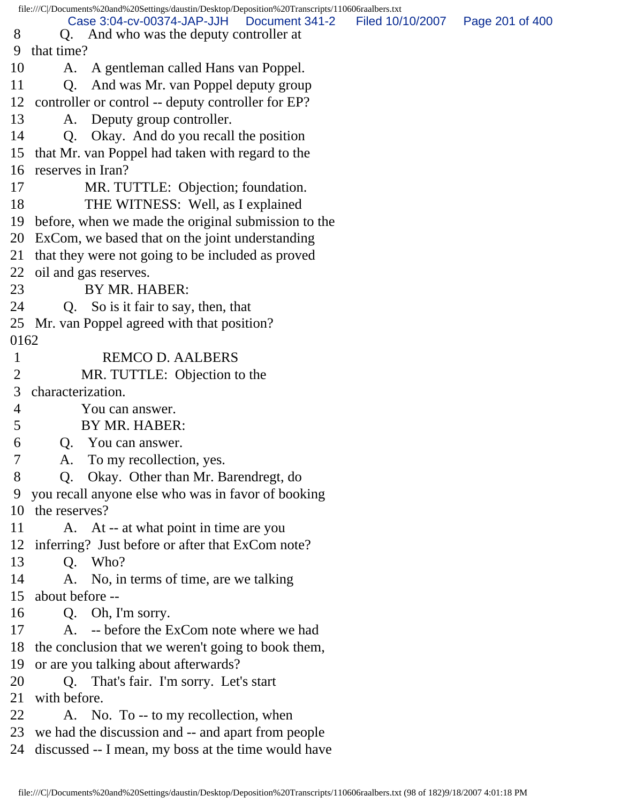|                | file:///C /Documents%20and%20Settings/daustin/Desktop/Deposition%20Transcripts/110606raalbers.txt               |                  |                 |
|----------------|-----------------------------------------------------------------------------------------------------------------|------------------|-----------------|
| 8              | Case 3:04-cv-00374-JAP-JJH<br>Document 341-2<br>Q. And who was the deputy controller at                         | Filed 10/10/2007 | Page 201 of 400 |
| 9              | that time?                                                                                                      |                  |                 |
| 10             | A gentleman called Hans van Poppel.<br>A.                                                                       |                  |                 |
| 11             | And was Mr. van Poppel deputy group<br>Q <sub>r</sub>                                                           |                  |                 |
| 12             | controller or control -- deputy controller for EP?                                                              |                  |                 |
| 13             |                                                                                                                 |                  |                 |
|                | A. Deputy group controller.                                                                                     |                  |                 |
| 14             | Okay. And do you recall the position<br>Q <sub>r</sub>                                                          |                  |                 |
| 15             | that Mr. van Poppel had taken with regard to the                                                                |                  |                 |
|                | 16 reserves in Iran?                                                                                            |                  |                 |
| 17             | MR. TUTTLE: Objection; foundation.                                                                              |                  |                 |
| 18             | THE WITNESS: Well, as I explained                                                                               |                  |                 |
|                | 19 before, when we made the original submission to the                                                          |                  |                 |
|                | 20 ExCom, we based that on the joint understanding                                                              |                  |                 |
| 21             | that they were not going to be included as proved                                                               |                  |                 |
| 22             | oil and gas reserves.                                                                                           |                  |                 |
| 23             | BY MR. HABER:                                                                                                   |                  |                 |
| 24             | So is it fair to say, then, that<br>Q.                                                                          |                  |                 |
| 25             | Mr. van Poppel agreed with that position?                                                                       |                  |                 |
| 0162           |                                                                                                                 |                  |                 |
| $\mathbf{1}$   | <b>REMCO D. AALBERS</b>                                                                                         |                  |                 |
| $\overline{2}$ | MR. TUTTLE: Objection to the                                                                                    |                  |                 |
| 3              | characterization.                                                                                               |                  |                 |
|                |                                                                                                                 |                  |                 |
| $\overline{4}$ | You can answer.                                                                                                 |                  |                 |
| 5              | BY MR. HABER:                                                                                                   |                  |                 |
| 6              | Q. You can answer.                                                                                              |                  |                 |
| $\overline{7}$ | A. To my recollection, yes.                                                                                     |                  |                 |
| 8              | Q.                                                                                                              |                  |                 |
|                | Okay. Other than Mr. Barendregt, do                                                                             |                  |                 |
| 10             | 9 you recall anyone else who was in favor of booking<br>the reserves?                                           |                  |                 |
| 11             |                                                                                                                 |                  |                 |
|                | A. At -- at what point in time are you                                                                          |                  |                 |
|                | 12 inferring? Just before or after that ExCom note?                                                             |                  |                 |
| 13             | Q. Who?                                                                                                         |                  |                 |
| 14             | A. No, in terms of time, are we talking                                                                         |                  |                 |
|                | 15 about before --                                                                                              |                  |                 |
| 16             | Q. Oh, I'm sorry.                                                                                               |                  |                 |
| 17             | A. -- before the ExCom note where we had                                                                        |                  |                 |
|                | 18 the conclusion that we weren't going to book them,                                                           |                  |                 |
|                | 19 or are you talking about afterwards?                                                                         |                  |                 |
| 20             | Q. That's fair. I'm sorry. Let's start                                                                          |                  |                 |
| 21             | with before.                                                                                                    |                  |                 |
| 22             | A. No. To -- to my recollection, when                                                                           |                  |                 |
|                | 23 we had the discussion and -- and apart from people<br>24 discussed -- I mean, my boss at the time would have |                  |                 |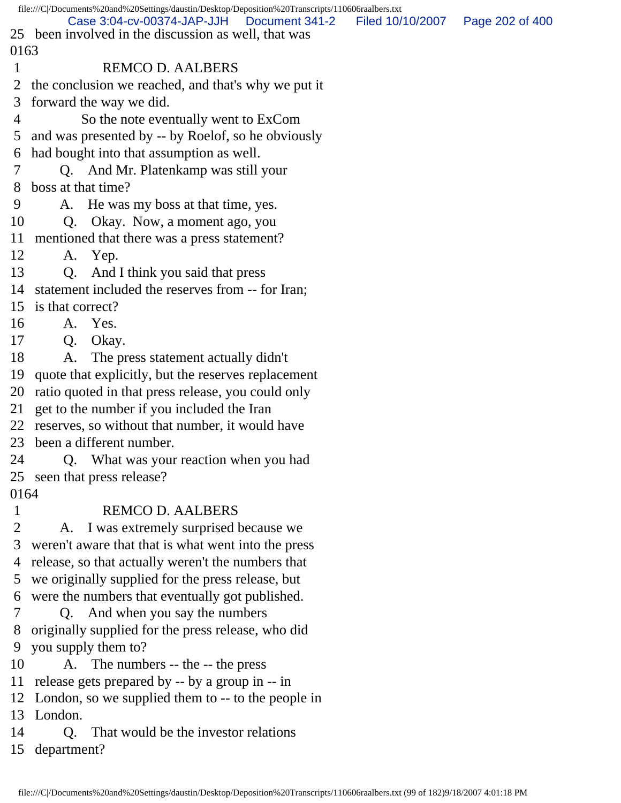| file:///C /Documents%20and%20Settings/daustin/Desktop/Deposition%20Transcripts/110606raalbers.txt |                                                                                                      |                  |                 |  |
|---------------------------------------------------------------------------------------------------|------------------------------------------------------------------------------------------------------|------------------|-----------------|--|
|                                                                                                   | Case 3:04-cv-00374-JAP-JJH<br>Document 341-2<br>25 been involved in the discussion as well, that was | Filed 10/10/2007 | Page 202 of 400 |  |
| 0163                                                                                              |                                                                                                      |                  |                 |  |
|                                                                                                   | <b>REMCO D. AALBERS</b>                                                                              |                  |                 |  |
| $\overline{2}$                                                                                    | the conclusion we reached, and that's why we put it                                                  |                  |                 |  |
| 3                                                                                                 | forward the way we did.                                                                              |                  |                 |  |
| 4                                                                                                 | So the note eventually went to ExCom                                                                 |                  |                 |  |
| 5                                                                                                 | and was presented by -- by Roelof, so he obviously                                                   |                  |                 |  |
| 6                                                                                                 | had bought into that assumption as well.                                                             |                  |                 |  |
|                                                                                                   | Q. And Mr. Platenkamp was still your                                                                 |                  |                 |  |
| 8                                                                                                 | boss at that time?                                                                                   |                  |                 |  |
| 9                                                                                                 | A. He was my boss at that time, yes.                                                                 |                  |                 |  |
| 10                                                                                                | Okay. Now, a moment ago, you<br>Q.                                                                   |                  |                 |  |
| 11                                                                                                | mentioned that there was a press statement?                                                          |                  |                 |  |
| 12                                                                                                | A. Yep.                                                                                              |                  |                 |  |
| 13                                                                                                | Q. And I think you said that press                                                                   |                  |                 |  |
| 14                                                                                                | statement included the reserves from -- for Iran;                                                    |                  |                 |  |
| 15                                                                                                | is that correct?                                                                                     |                  |                 |  |
| 16                                                                                                | A. Yes.                                                                                              |                  |                 |  |
| 17                                                                                                | Okay.<br>Q.                                                                                          |                  |                 |  |
| 18                                                                                                | The press statement actually didn't<br>A.                                                            |                  |                 |  |
| 19                                                                                                | quote that explicitly, but the reserves replacement                                                  |                  |                 |  |
| 20                                                                                                | ratio quoted in that press release, you could only                                                   |                  |                 |  |
| 21                                                                                                | get to the number if you included the Iran                                                           |                  |                 |  |
| 22                                                                                                | reserves, so without that number, it would have                                                      |                  |                 |  |
| 23                                                                                                | been a different number.                                                                             |                  |                 |  |
| 24                                                                                                | Q. What was your reaction when you had                                                               |                  |                 |  |
| 25                                                                                                | seen that press release?                                                                             |                  |                 |  |
| 0164                                                                                              |                                                                                                      |                  |                 |  |
| $\mathbf 1$                                                                                       | <b>REMCO D. AALBERS</b>                                                                              |                  |                 |  |
| 2                                                                                                 | I was extremely surprised because we<br>A.                                                           |                  |                 |  |
| 3                                                                                                 | weren't aware that that is what went into the press                                                  |                  |                 |  |
| 4                                                                                                 | release, so that actually weren't the numbers that                                                   |                  |                 |  |
| 5                                                                                                 | we originally supplied for the press release, but                                                    |                  |                 |  |
| 6                                                                                                 | were the numbers that eventually got published.                                                      |                  |                 |  |
| 7                                                                                                 | And when you say the numbers<br>Q.                                                                   |                  |                 |  |
| 8                                                                                                 | originally supplied for the press release, who did                                                   |                  |                 |  |
| 9                                                                                                 | you supply them to?                                                                                  |                  |                 |  |
| 10                                                                                                | The numbers -- the -- the press<br>А.                                                                |                  |                 |  |
| 11                                                                                                | release gets prepared by -- by a group in -- in                                                      |                  |                 |  |
| 12<br>13                                                                                          | London, so we supplied them to -- to the people in<br>London.                                        |                  |                 |  |
| 14                                                                                                |                                                                                                      |                  |                 |  |
|                                                                                                   | That would be the investor relations<br>Q.                                                           |                  |                 |  |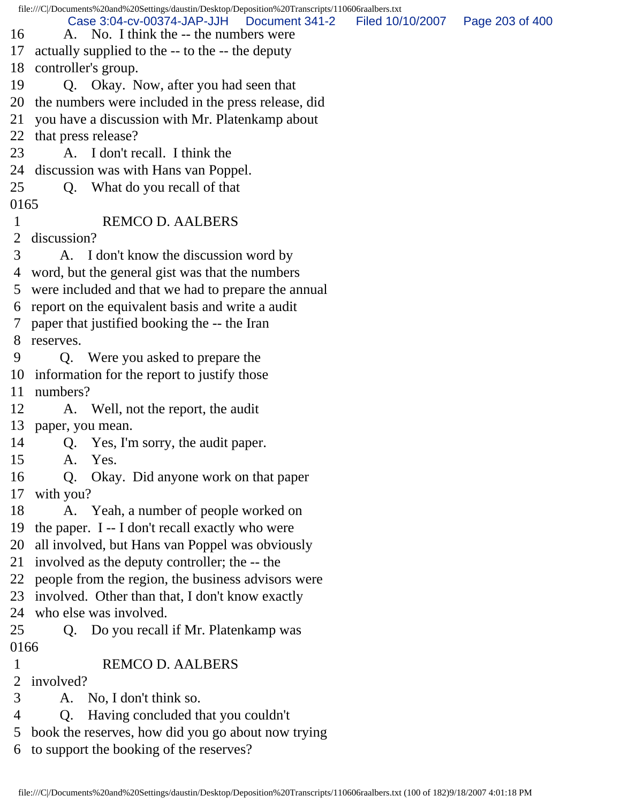file:///C|/Documents%20and%20Settings/daustin/Desktop/Deposition%20Transcripts/110606raalbers.txt 16 A. No. I think the -- the numbers were 17 actually supplied to the -- to the -- the deputy 18 controller's group. 19 Q. Okay. Now, after you had seen that 20 the numbers were included in the press release, did 21 you have a discussion with Mr. Platenkamp about 22 that press release? 23 A. I don't recall. I think the 24 discussion was with Hans van Poppel. 25 Q. What do you recall of that 0165 1 REMCO D. AALBERS 2 discussion? 3 A. I don't know the discussion word by 4 word, but the general gist was that the numbers 5 were included and that we had to prepare the annual 6 report on the equivalent basis and write a audit 7 paper that justified booking the -- the Iran 8 reserves. 9 Q. Were you asked to prepare the 10 information for the report to justify those 11 numbers? 12 A. Well, not the report, the audit 13 paper, you mean. 14 Q. Yes, I'm sorry, the audit paper. 15 A. Yes. 16 Q. Okay. Did anyone work on that paper 17 with you? 18 A. Yeah, a number of people worked on 19 the paper. I -- I don't recall exactly who were 20 all involved, but Hans van Poppel was obviously 21 involved as the deputy controller; the -- the 22 people from the region, the business advisors were 23 involved. Other than that, I don't know exactly 24 who else was involved. 25 Q. Do you recall if Mr. Platenkamp was 0166 1 REMCO D. AALBERS 2 involved? 3 A. No, I don't think so. 4 Q. Having concluded that you couldn't 5 book the reserves, how did you go about now trying 6 to support the booking of the reserves? Case 3:04-cv-00374-JAP-JJH Document 341-2 Filed 10/10/2007 Page 203 of 400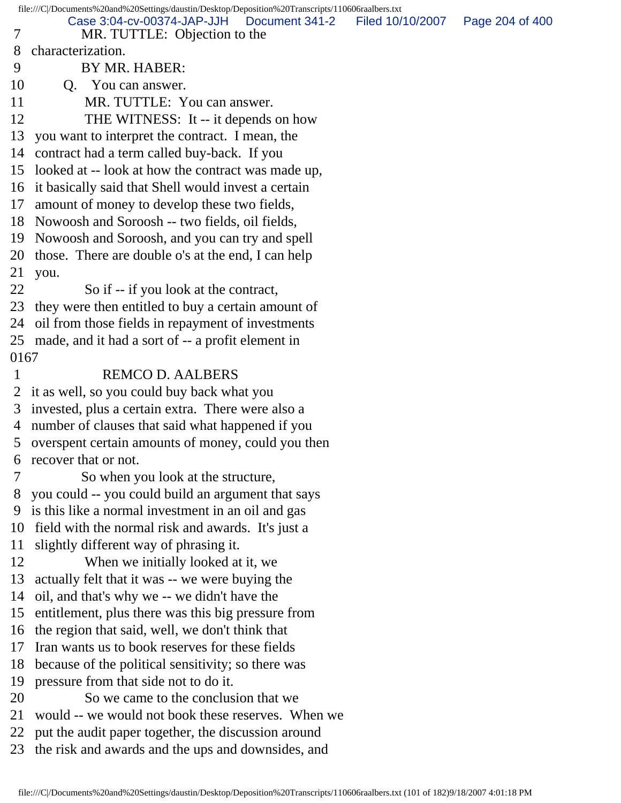file:///C|/Documents%20and%20Settings/daustin/Desktop/Deposition%20Transcripts/110606raalbers.txt 7 MR. TUTTLE: Objection to the 8 characterization. 9 BY MR. HABER: 10 Q. You can answer. 11 MR. TUTTLE: You can answer. 12 THE WITNESS: It -- it depends on how 13 you want to interpret the contract. I mean, the 14 contract had a term called buy-back. If you 15 looked at -- look at how the contract was made up, 16 it basically said that Shell would invest a certain 17 amount of money to develop these two fields, 18 Nowoosh and Soroosh -- two fields, oil fields, 19 Nowoosh and Soroosh, and you can try and spell 20 those. There are double o's at the end, I can help 21 you. 22 So if -- if you look at the contract, 23 they were then entitled to buy a certain amount of 24 oil from those fields in repayment of investments 25 made, and it had a sort of -- a profit element in 0167 1 REMCO D. AALBERS 2 it as well, so you could buy back what you 3 invested, plus a certain extra. There were also a 4 number of clauses that said what happened if you 5 overspent certain amounts of money, could you then 6 recover that or not. 7 So when you look at the structure, 8 you could -- you could build an argument that says 9 is this like a normal investment in an oil and gas 10 field with the normal risk and awards. It's just a 11 slightly different way of phrasing it. 12 When we initially looked at it, we 13 actually felt that it was -- we were buying the 14 oil, and that's why we -- we didn't have the 15 entitlement, plus there was this big pressure from 16 the region that said, well, we don't think that 17 Iran wants us to book reserves for these fields 18 because of the political sensitivity; so there was 19 pressure from that side not to do it. 20 So we came to the conclusion that we 21 would -- we would not book these reserves. When we 22 put the audit paper together, the discussion around 23 the risk and awards and the ups and downsides, and Case 3:04-cv-00374-JAP-JJH Document 341-2 Filed 10/10/2007 Page 204 of 400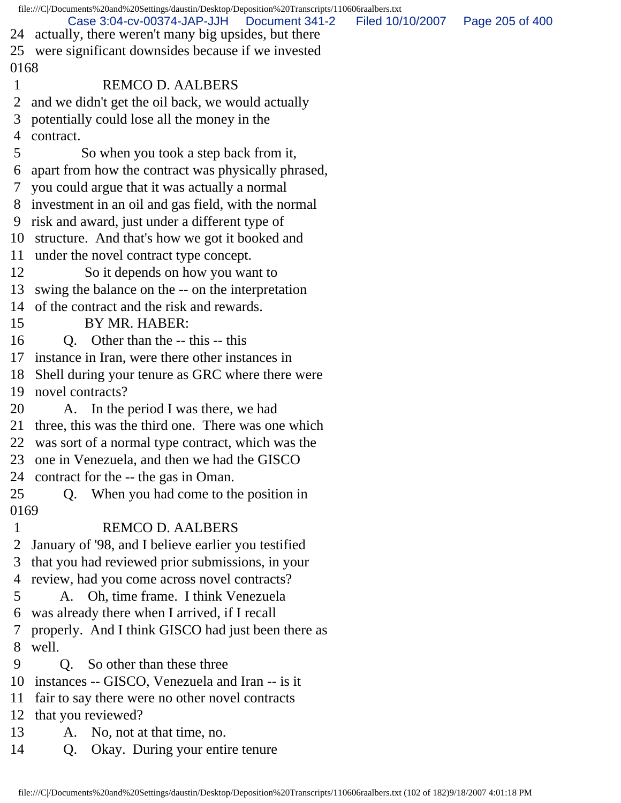file:///C|/Documents%20and%20Settings/daustin/Desktop/Deposition%20Transcripts/110606raalbers.txt 24 actually, there weren't many big upsides, but there 25 were significant downsides because if we invested 0168 1 REMCO D. AALBERS 2 and we didn't get the oil back, we would actually 3 potentially could lose all the money in the 4 contract. 5 So when you took a step back from it, 6 apart from how the contract was physically phrased, 7 you could argue that it was actually a normal 8 investment in an oil and gas field, with the normal 9 risk and award, just under a different type of 10 structure. And that's how we got it booked and 11 under the novel contract type concept. 12 So it depends on how you want to 13 swing the balance on the -- on the interpretation 14 of the contract and the risk and rewards. 15 BY MR. HABER: 16 Q. Other than the -- this -- this 17 instance in Iran, were there other instances in 18 Shell during your tenure as GRC where there were 19 novel contracts? 20 A. In the period I was there, we had 21 three, this was the third one. There was one which 22 was sort of a normal type contract, which was the 23 one in Venezuela, and then we had the GISCO 24 contract for the -- the gas in Oman. 25 Q. When you had come to the position in 0169 1 REMCO D. AALBERS 2 January of '98, and I believe earlier you testified 3 that you had reviewed prior submissions, in your 4 review, had you come across novel contracts? 5 A. Oh, time frame. I think Venezuela 6 was already there when I arrived, if I recall 7 properly. And I think GISCO had just been there as 8 well. 9 Q. So other than these three 10 instances -- GISCO, Venezuela and Iran -- is it 11 fair to say there were no other novel contracts 12 that you reviewed? 13 A. No, not at that time, no. 14 Q. Okay. During your entire tenure Case 3:04-cv-00374-JAP-JJH Document 341-2 Filed 10/10/2007 Page 205 of 400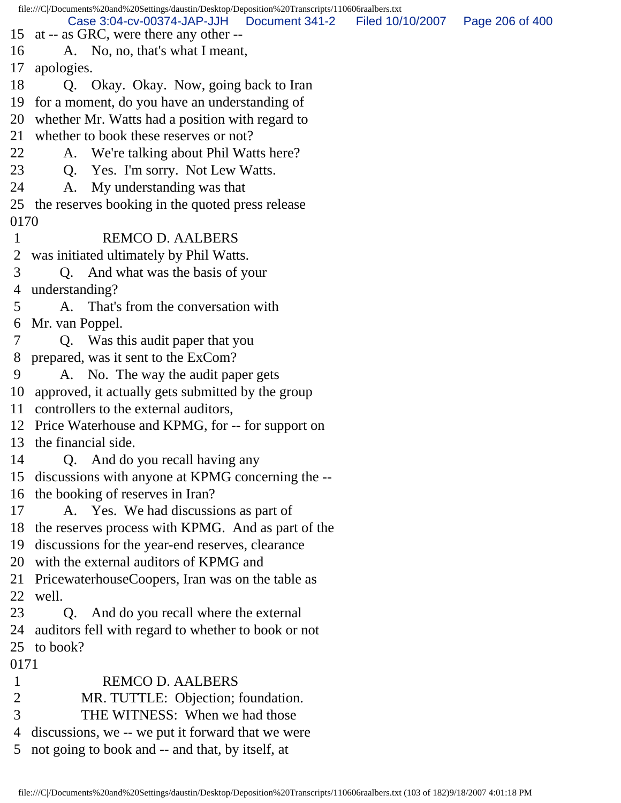file:///C|/Documents%20and%20Settings/daustin/Desktop/Deposition%20Transcripts/110606raalbers.txt 15 at -- as GRC, were there any other -- 16 A. No, no, that's what I meant, 17 apologies. 18 Q. Okay. Okay. Now, going back to Iran 19 for a moment, do you have an understanding of 20 whether Mr. Watts had a position with regard to 21 whether to book these reserves or not? 22 A. We're talking about Phil Watts here? 23 Q. Yes. I'm sorry. Not Lew Watts. 24 A. My understanding was that 25 the reserves booking in the quoted press release 0170 1 REMCO D. AALBERS 2 was initiated ultimately by Phil Watts. 3 Q. And what was the basis of your 4 understanding? 5 A. That's from the conversation with 6 Mr. van Poppel. 7 Q. Was this audit paper that you 8 prepared, was it sent to the ExCom? 9 A. No. The way the audit paper gets 10 approved, it actually gets submitted by the group 11 controllers to the external auditors, 12 Price Waterhouse and KPMG, for -- for support on 13 the financial side. 14 Q. And do you recall having any 15 discussions with anyone at KPMG concerning the -- 16 the booking of reserves in Iran? 17 A. Yes. We had discussions as part of 18 the reserves process with KPMG. And as part of the 19 discussions for the year-end reserves, clearance 20 with the external auditors of KPMG and 21 PricewaterhouseCoopers, Iran was on the table as 22 well. 23 Q. And do you recall where the external 24 auditors fell with regard to whether to book or not 25 to book? 0171 1 REMCO D. AALBERS 2 MR. TUTTLE: Objection; foundation. 3 THE WITNESS: When we had those 4 discussions, we -- we put it forward that we were 5 not going to book and -- and that, by itself, at Case 3:04-cv-00374-JAP-JJH Document 341-2 Filed 10/10/2007 Page 206 of 400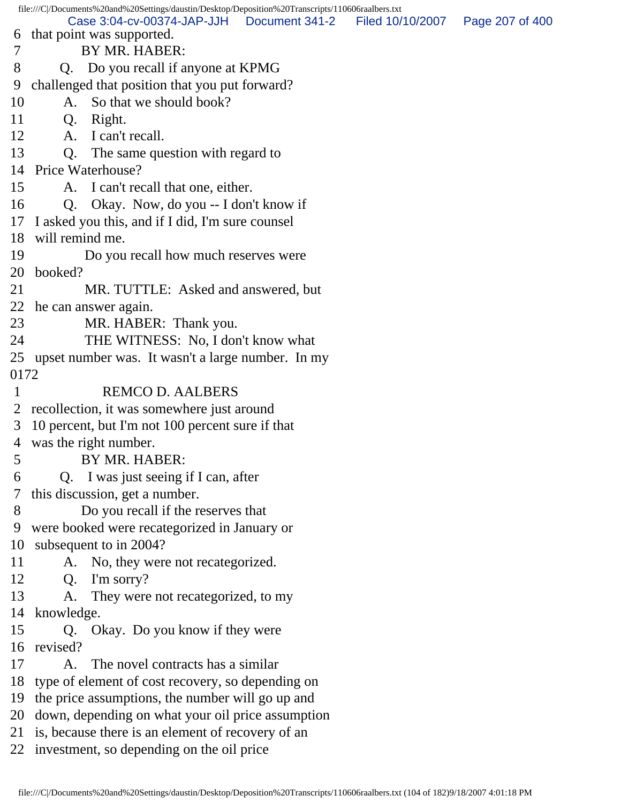file:///C|/Documents%20and%20Settings/daustin/Desktop/Deposition%20Transcripts/110606raalbers.txt 6 that point was supported. 7 BY MR. HABER: 8 Q. Do you recall if anyone at KPMG 9 challenged that position that you put forward? 10 A. So that we should book? 11 Q. Right. 12 A. I can't recall. 13 Q. The same question with regard to 14 Price Waterhouse? 15 A. I can't recall that one, either. 16 Q. Okay. Now, do you -- I don't know if 17 I asked you this, and if I did, I'm sure counsel 18 will remind me. 19 Do you recall how much reserves were 20 booked? 21 MR. TUTTLE: Asked and answered, but 22 he can answer again. 23 MR. HABER: Thank you. 24 THE WITNESS: No, I don't know what 25 upset number was. It wasn't a large number. In my 0172 1 REMCO D. AALBERS 2 recollection, it was somewhere just around 3 10 percent, but I'm not 100 percent sure if that 4 was the right number. 5 BY MR. HABER: 6 Q. I was just seeing if I can, after 7 this discussion, get a number. 8 Do you recall if the reserves that 9 were booked were recategorized in January or 10 subsequent to in 2004? 11 A. No, they were not recategorized. 12 Q. I'm sorry? 13 A. They were not recategorized, to my 14 knowledge. 15 Q. Okay. Do you know if they were 16 revised? 17 A. The novel contracts has a similar 18 type of element of cost recovery, so depending on 19 the price assumptions, the number will go up and 20 down, depending on what your oil price assumption 21 is, because there is an element of recovery of an 22 investment, so depending on the oil price Case 3:04-cv-00374-JAP-JJH Document 341-2 Filed 10/10/2007 Page 207 of 400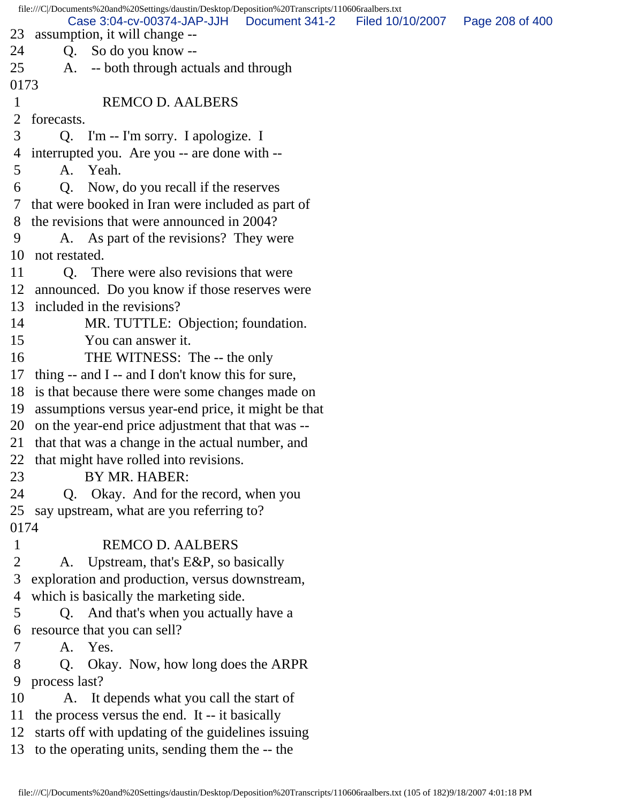file:///C|/Documents%20and%20Settings/daustin/Desktop/Deposition%20Transcripts/110606raalbers.txt 23 assumption, it will change -- 24 Q. So do you know -- 25 A. -- both through actuals and through 0173 1 REMCO D. AALBERS 2 forecasts. 3 Q. I'm -- I'm sorry. I apologize. I 4 interrupted you. Are you -- are done with -- 5 A. Yeah. 6 Q. Now, do you recall if the reserves 7 that were booked in Iran were included as part of 8 the revisions that were announced in 2004? 9 A. As part of the revisions? They were 10 not restated. 11 Q. There were also revisions that were 12 announced. Do you know if those reserves were 13 included in the revisions? 14 MR. TUTTLE: Objection; foundation. 15 You can answer it. 16 THE WITNESS: The -- the only 17 thing -- and I -- and I don't know this for sure, 18 is that because there were some changes made on 19 assumptions versus year-end price, it might be that 20 on the year-end price adjustment that that was -- 21 that that was a change in the actual number, and 22 that might have rolled into revisions. 23 BY MR. HABER: 24 Q. Okay. And for the record, when you 25 say upstream, what are you referring to? 0174 1 REMCO D. AALBERS 2 A. Upstream, that's E&P, so basically 3 exploration and production, versus downstream, 4 which is basically the marketing side. 5 Q. And that's when you actually have a 6 resource that you can sell? 7 A. Yes. 8 Q. Okay. Now, how long does the ARPR 9 process last? 10 A. It depends what you call the start of 11 the process versus the end. It -- it basically 12 starts off with updating of the guidelines issuing 13 to the operating units, sending them the -- the Case 3:04-cv-00374-JAP-JJH Document 341-2 Filed 10/10/2007 Page 208 of 400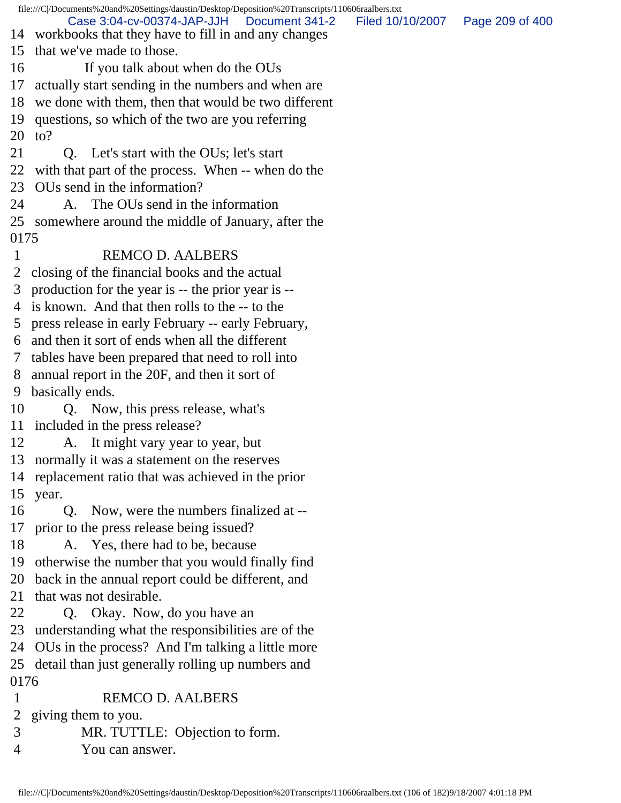file:///C|/Documents%20and%20Settings/daustin/Desktop/Deposition%20Transcripts/110606raalbers.txt 14 workbooks that they have to fill in and any changes 15 that we've made to those. 16 If you talk about when do the OUs 17 actually start sending in the numbers and when are 18 we done with them, then that would be two different 19 questions, so which of the two are you referring 20 to? 21 Q. Let's start with the OUs; let's start 22 with that part of the process. When -- when do the 23 OUs send in the information? 24 A. The OUs send in the information 25 somewhere around the middle of January, after the 0175 1 REMCO D. AALBERS 2 closing of the financial books and the actual 3 production for the year is -- the prior year is -- 4 is known. And that then rolls to the -- to the 5 press release in early February -- early February, 6 and then it sort of ends when all the different 7 tables have been prepared that need to roll into 8 annual report in the 20F, and then it sort of 9 basically ends. 10 Q. Now, this press release, what's 11 included in the press release? 12 A. It might vary year to year, but 13 normally it was a statement on the reserves 14 replacement ratio that was achieved in the prior 15 year. 16 Q. Now, were the numbers finalized at -- 17 prior to the press release being issued? 18 A. Yes, there had to be, because 19 otherwise the number that you would finally find 20 back in the annual report could be different, and 21 that was not desirable. 22 Q. Okay. Now, do you have an 23 understanding what the responsibilities are of the 24 OUs in the process? And I'm talking a little more 25 detail than just generally rolling up numbers and 0176 1 REMCO D. AALBERS 2 giving them to you. 3 MR. TUTTLE: Objection to form. 4 You can answer. Case 3:04-cv-00374-JAP-JJH Document 341-2 Filed 10/10/2007 Page 209 of 400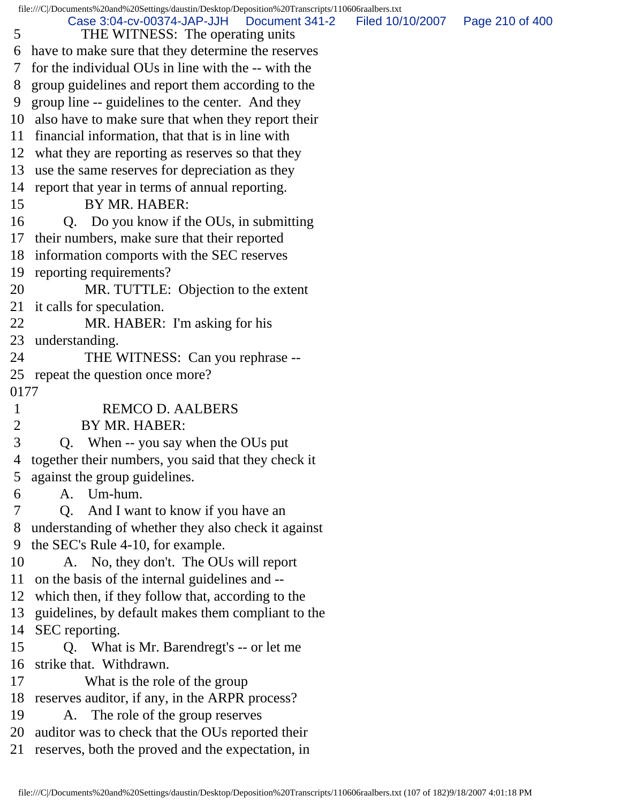file:///C|/Documents%20and%20Settings/daustin/Desktop/Deposition%20Transcripts/110606raalbers.txt 5 THE WITNESS: The operating units 6 have to make sure that they determine the reserves 7 for the individual OUs in line with the -- with the 8 group guidelines and report them according to the 9 group line -- guidelines to the center. And they 10 also have to make sure that when they report their 11 financial information, that that is in line with 12 what they are reporting as reserves so that they 13 use the same reserves for depreciation as they 14 report that year in terms of annual reporting. 15 BY MR. HABER: 16 Q. Do you know if the OUs, in submitting 17 their numbers, make sure that their reported 18 information comports with the SEC reserves 19 reporting requirements? 20 MR. TUTTLE: Objection to the extent 21 it calls for speculation. 22 MR. HABER: I'm asking for his 23 understanding. 24 THE WITNESS: Can you rephrase --25 repeat the question once more? 0177 1 REMCO D. AALBERS 2 BY MR. HABER: 3 Q. When -- you say when the OUs put 4 together their numbers, you said that they check it 5 against the group guidelines. 6 A. Um-hum. 7 Q. And I want to know if you have an 8 understanding of whether they also check it against 9 the SEC's Rule 4-10, for example. 10 A. No, they don't. The OUs will report 11 on the basis of the internal guidelines and -- 12 which then, if they follow that, according to the 13 guidelines, by default makes them compliant to the 14 SEC reporting. 15 Q. What is Mr. Barendregt's -- or let me 16 strike that. Withdrawn. 17 What is the role of the group 18 reserves auditor, if any, in the ARPR process? 19 A. The role of the group reserves 20 auditor was to check that the OUs reported their 21 reserves, both the proved and the expectation, in Case 3:04-cv-00374-JAP-JJH Document 341-2 Filed 10/10/2007 Page 210 of 400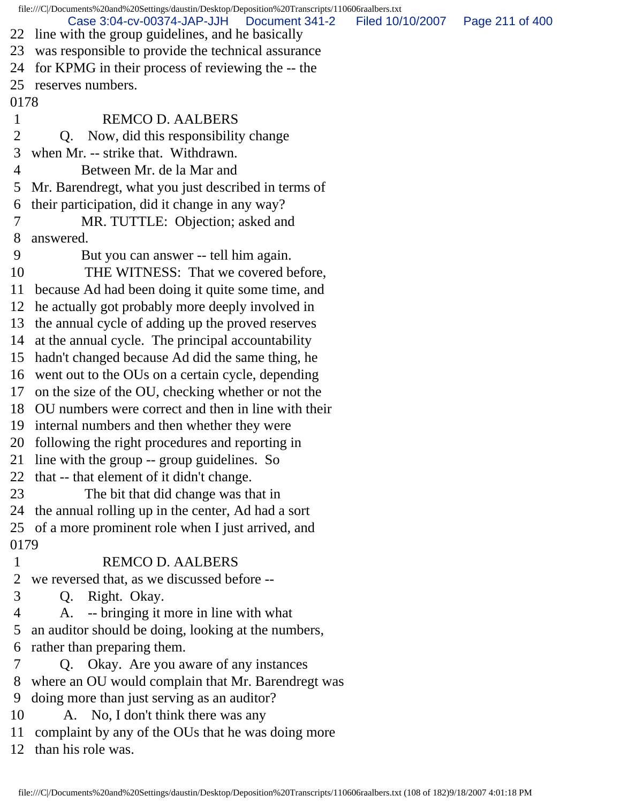file:///C|/Documents%20and%20Settings/daustin/Desktop/Deposition%20Transcripts/110606raalbers.txt 22 line with the group guidelines, and he basically 23 was responsible to provide the technical assurance 24 for KPMG in their process of reviewing the -- the 25 reserves numbers. 0178 1 REMCO D. AALBERS 2 Q. Now, did this responsibility change 3 when Mr. -- strike that. Withdrawn. 4 Between Mr. de la Mar and 5 Mr. Barendregt, what you just described in terms of 6 their participation, did it change in any way? 7 MR. TUTTLE: Objection; asked and 8 answered. 9 But you can answer -- tell him again. 10 THE WITNESS: That we covered before, 11 because Ad had been doing it quite some time, and 12 he actually got probably more deeply involved in 13 the annual cycle of adding up the proved reserves 14 at the annual cycle. The principal accountability 15 hadn't changed because Ad did the same thing, he 16 went out to the OUs on a certain cycle, depending 17 on the size of the OU, checking whether or not the 18 OU numbers were correct and then in line with their 19 internal numbers and then whether they were 20 following the right procedures and reporting in 21 line with the group -- group guidelines. So 22 that -- that element of it didn't change. 23 The bit that did change was that in 24 the annual rolling up in the center, Ad had a sort 25 of a more prominent role when I just arrived, and 0179 1 REMCO D. AALBERS 2 we reversed that, as we discussed before -- 3 Q. Right. Okay. 4 A. -- bringing it more in line with what 5 an auditor should be doing, looking at the numbers, 6 rather than preparing them. 7 Q. Okay. Are you aware of any instances 8 where an OU would complain that Mr. Barendregt was 9 doing more than just serving as an auditor? 10 A. No, I don't think there was any 11 complaint by any of the OUs that he was doing more 12 than his role was. Case 3:04-cv-00374-JAP-JJH Document 341-2 Filed 10/10/2007 Page 211 of 400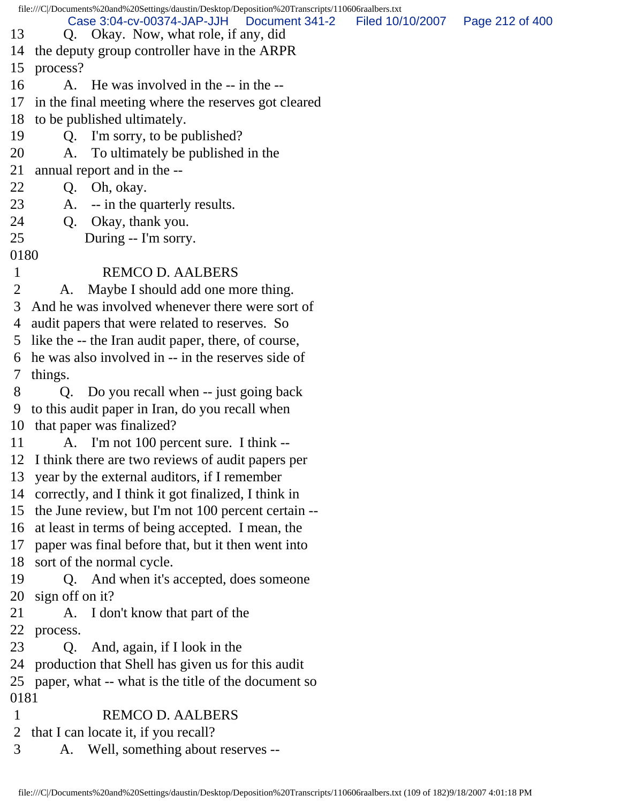file:///C|/Documents%20and%20Settings/daustin/Desktop/Deposition%20Transcripts/110606raalbers.txt 13 Q. Okay. Now, what role, if any, did 14 the deputy group controller have in the ARPR 15 process? 16 A. He was involved in the -- in the -- 17 in the final meeting where the reserves got cleared 18 to be published ultimately. 19 Q. I'm sorry, to be published? 20 A. To ultimately be published in the 21 annual report and in the -- 22 Q. Oh, okay. 23 A. -- in the quarterly results. 24 Q. Okay, thank you. 25 During -- I'm sorry. 0180 1 REMCO D. AALBERS 2 A. Maybe I should add one more thing. 3 And he was involved whenever there were sort of 4 audit papers that were related to reserves. So 5 like the -- the Iran audit paper, there, of course, 6 he was also involved in -- in the reserves side of 7 things. 8 Q. Do you recall when -- just going back 9 to this audit paper in Iran, do you recall when 10 that paper was finalized? 11 A. I'm not 100 percent sure. I think -- 12 I think there are two reviews of audit papers per 13 year by the external auditors, if I remember 14 correctly, and I think it got finalized, I think in 15 the June review, but I'm not 100 percent certain -- 16 at least in terms of being accepted. I mean, the 17 paper was final before that, but it then went into 18 sort of the normal cycle. 19 Q. And when it's accepted, does someone 20 sign off on it? 21 A. I don't know that part of the 22 process. 23 Q. And, again, if I look in the 24 production that Shell has given us for this audit 25 paper, what -- what is the title of the document so 0181 1 REMCO D. AALBERS 2 that I can locate it, if you recall? 3 A. Well, something about reserves -- Case 3:04-cv-00374-JAP-JJH Document 341-2 Filed 10/10/2007 Page 212 of 400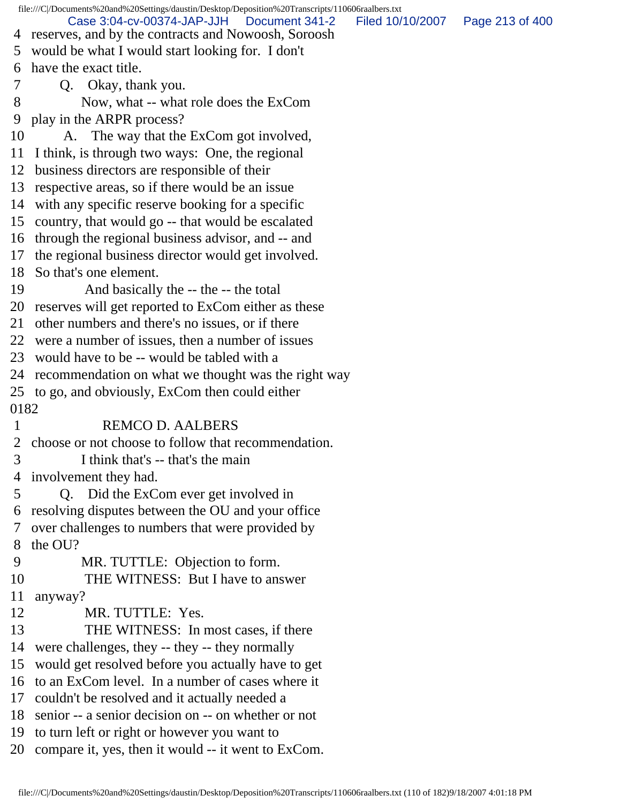file:///C|/Documents%20and%20Settings/daustin/Desktop/Deposition%20Transcripts/110606raalbers.txt 4 reserves, and by the contracts and Nowoosh, Soroosh 5 would be what I would start looking for. I don't 6 have the exact title. 7 Q. Okay, thank you. 8 Now, what -- what role does the ExCom 9 play in the ARPR process? 10 A. The way that the ExCom got involved, 11 I think, is through two ways: One, the regional 12 business directors are responsible of their 13 respective areas, so if there would be an issue 14 with any specific reserve booking for a specific 15 country, that would go -- that would be escalated 16 through the regional business advisor, and -- and 17 the regional business director would get involved. 18 So that's one element. 19 And basically the -- the -- the total 20 reserves will get reported to ExCom either as these 21 other numbers and there's no issues, or if there 22 were a number of issues, then a number of issues 23 would have to be -- would be tabled with a 24 recommendation on what we thought was the right way 25 to go, and obviously, ExCom then could either 0182 1 REMCO D. AALBERS 2 choose or not choose to follow that recommendation. 3 I think that's -- that's the main 4 involvement they had. 5 Q. Did the ExCom ever get involved in 6 resolving disputes between the OU and your office 7 over challenges to numbers that were provided by 8 the OU? 9 MR. TUTTLE: Objection to form. 10 THE WITNESS: But I have to answer 11 anyway? 12 MR. TUTTLE: Yes. 13 THE WITNESS: In most cases, if there 14 were challenges, they -- they -- they normally 15 would get resolved before you actually have to get 16 to an ExCom level. In a number of cases where it 17 couldn't be resolved and it actually needed a 18 senior -- a senior decision on -- on whether or not 19 to turn left or right or however you want to 20 compare it, yes, then it would -- it went to ExCom. Case 3:04-cv-00374-JAP-JJH Document 341-2 Filed 10/10/2007 Page 213 of 400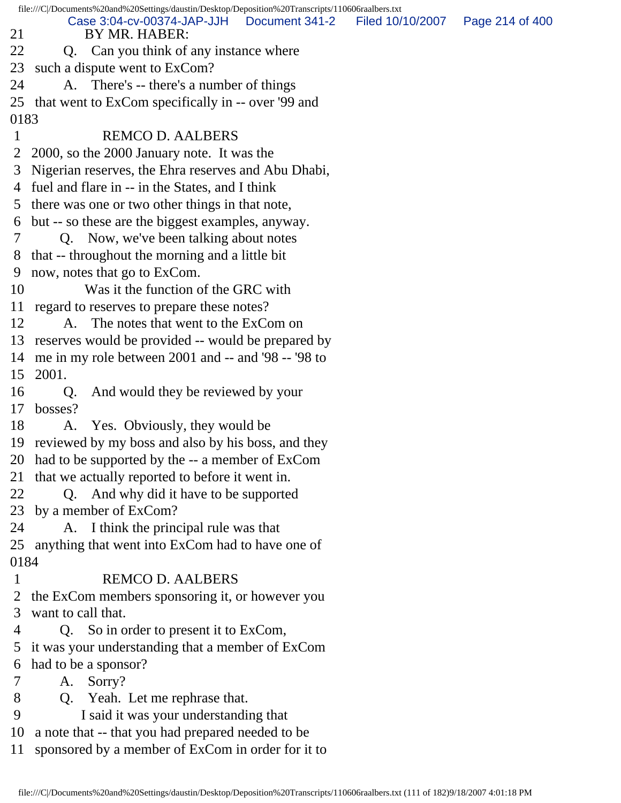file:///C|/Documents%20and%20Settings/daustin/Desktop/Deposition%20Transcripts/110606raalbers.txt 21 BY MR. HABER: 22 Q. Can you think of any instance where 23 such a dispute went to ExCom? 24 A. There's -- there's a number of things 25 that went to ExCom specifically in -- over '99 and 0183 1 REMCO D. AALBERS 2 2000, so the 2000 January note. It was the 3 Nigerian reserves, the Ehra reserves and Abu Dhabi, 4 fuel and flare in -- in the States, and I think 5 there was one or two other things in that note, 6 but -- so these are the biggest examples, anyway. 7 Q. Now, we've been talking about notes 8 that -- throughout the morning and a little bit 9 now, notes that go to ExCom. 10 Was it the function of the GRC with 11 regard to reserves to prepare these notes? 12 A. The notes that went to the ExCom on 13 reserves would be provided -- would be prepared by 14 me in my role between 2001 and -- and '98 -- '98 to 15 2001. 16 Q. And would they be reviewed by your 17 bosses? 18 A. Yes. Obviously, they would be 19 reviewed by my boss and also by his boss, and they 20 had to be supported by the -- a member of ExCom 21 that we actually reported to before it went in. 22 Q. And why did it have to be supported 23 by a member of ExCom? 24 A. I think the principal rule was that 25 anything that went into ExCom had to have one of 0184 1 REMCO D. AALBERS 2 the ExCom members sponsoring it, or however you 3 want to call that. 4 Q. So in order to present it to ExCom, 5 it was your understanding that a member of ExCom 6 had to be a sponsor? 7 A. Sorry? 8 Q. Yeah. Let me rephrase that. 9 I said it was your understanding that 10 a note that -- that you had prepared needed to be 11 sponsored by a member of ExCom in order for it to Case 3:04-cv-00374-JAP-JJH Document 341-2 Filed 10/10/2007 Page 214 of 400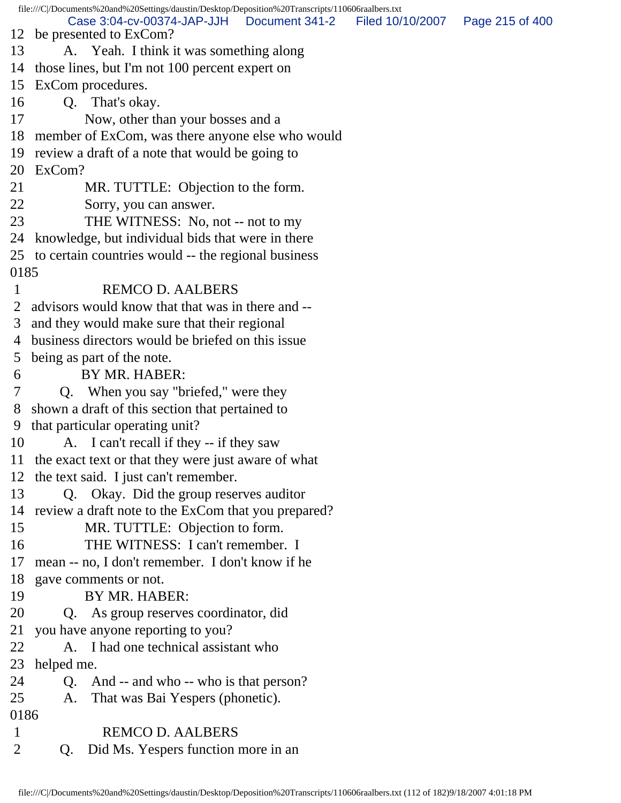file:///C|/Documents%20and%20Settings/daustin/Desktop/Deposition%20Transcripts/110606raalbers.txt 12 be presented to ExCom? 13 A. Yeah. I think it was something along 14 those lines, but I'm not 100 percent expert on 15 ExCom procedures. 16 Q. That's okay. 17 Now, other than your bosses and a 18 member of ExCom, was there anyone else who would 19 review a draft of a note that would be going to 20 ExCom? 21 MR. TUTTLE: Objection to the form. 22 Sorry, you can answer. 23 THE WITNESS: No, not -- not to my 24 knowledge, but individual bids that were in there 25 to certain countries would -- the regional business 0185 1 REMCO D. AALBERS 2 advisors would know that that was in there and -- 3 and they would make sure that their regional 4 business directors would be briefed on this issue 5 being as part of the note. 6 BY MR. HABER: 7 Q. When you say "briefed," were they 8 shown a draft of this section that pertained to 9 that particular operating unit? 10 A. I can't recall if they -- if they saw 11 the exact text or that they were just aware of what 12 the text said. I just can't remember. 13 Q. Okay. Did the group reserves auditor 14 review a draft note to the ExCom that you prepared? 15 MR. TUTTLE: Objection to form. 16 THE WITNESS: I can't remember. I 17 mean -- no, I don't remember. I don't know if he 18 gave comments or not. 19 BY MR. HABER: 20 Q. As group reserves coordinator, did 21 you have anyone reporting to you? 22 A. I had one technical assistant who 23 helped me. 24 Q. And -- and who -- who is that person? 25 A. That was Bai Yespers (phonetic). 0186 1 REMCO D. AALBERS 2 Q. Did Ms. Yespers function more in an Case 3:04-cv-00374-JAP-JJH Document 341-2 Filed 10/10/2007 Page 215 of 400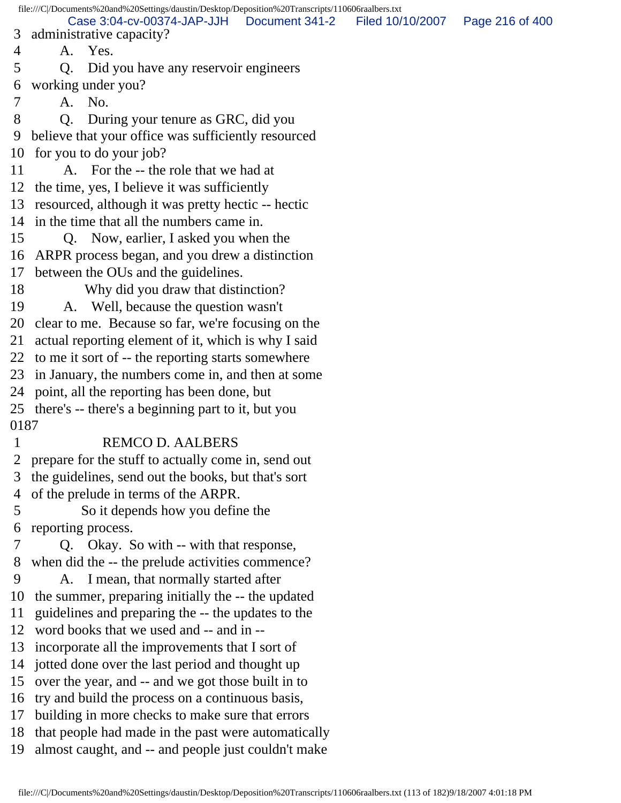file:///C|/Documents%20and%20Settings/daustin/Desktop/Deposition%20Transcripts/110606raalbers.txt 3 administrative capacity? 4 A. Yes. 5 Q. Did you have any reservoir engineers 6 working under you? 7 A. No. 8 Q. During your tenure as GRC, did you 9 believe that your office was sufficiently resourced 10 for you to do your job? 11 A. For the -- the role that we had at 12 the time, yes, I believe it was sufficiently 13 resourced, although it was pretty hectic -- hectic 14 in the time that all the numbers came in. 15 Q. Now, earlier, I asked you when the 16 ARPR process began, and you drew a distinction 17 between the OUs and the guidelines. 18 Why did you draw that distinction? 19 A. Well, because the question wasn't 20 clear to me. Because so far, we're focusing on the 21 actual reporting element of it, which is why I said 22 to me it sort of -- the reporting starts somewhere 23 in January, the numbers come in, and then at some 24 point, all the reporting has been done, but 25 there's -- there's a beginning part to it, but you 0187 1 REMCO D. AALBERS 2 prepare for the stuff to actually come in, send out 3 the guidelines, send out the books, but that's sort 4 of the prelude in terms of the ARPR. 5 So it depends how you define the 6 reporting process. 7 Q. Okay. So with -- with that response, 8 when did the -- the prelude activities commence? 9 A. I mean, that normally started after 10 the summer, preparing initially the -- the updated 11 guidelines and preparing the -- the updates to the 12 word books that we used and -- and in -- 13 incorporate all the improvements that I sort of 14 jotted done over the last period and thought up 15 over the year, and -- and we got those built in to 16 try and build the process on a continuous basis, 17 building in more checks to make sure that errors 18 that people had made in the past were automatically 19 almost caught, and -- and people just couldn't make Case 3:04-cv-00374-JAP-JJH Document 341-2 Filed 10/10/2007 Page 216 of 400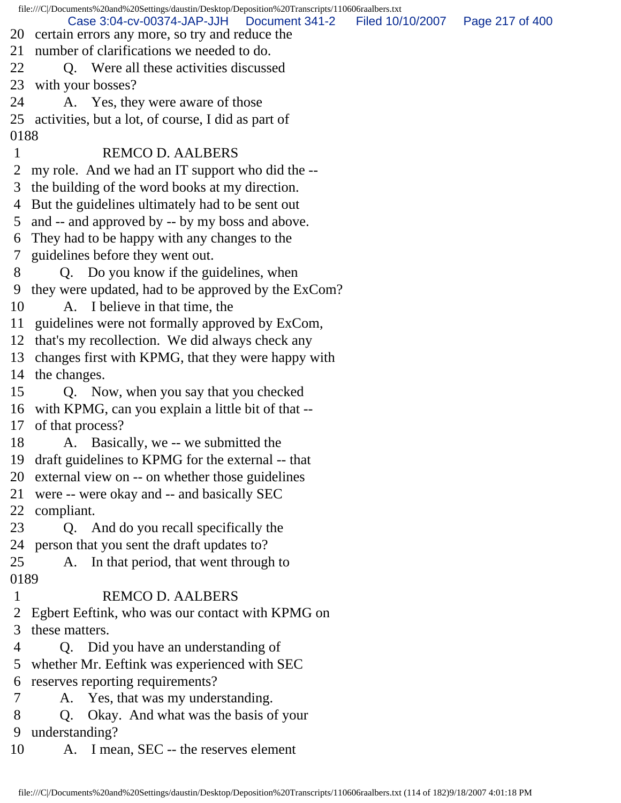file:///C|/Documents%20and%20Settings/daustin/Desktop/Deposition%20Transcripts/110606raalbers.txt 20 certain errors any more, so try and reduce the 21 number of clarifications we needed to do. 22 O. Were all these activities discussed 23 with your bosses? 24 A. Yes, they were aware of those 25 activities, but a lot, of course, I did as part of 0188 1 REMCO D. AALBERS 2 my role. And we had an IT support who did the -- 3 the building of the word books at my direction. 4 But the guidelines ultimately had to be sent out 5 and -- and approved by -- by my boss and above. 6 They had to be happy with any changes to the 7 guidelines before they went out. 8 Q. Do you know if the guidelines, when 9 they were updated, had to be approved by the ExCom? 10 A. I believe in that time, the 11 guidelines were not formally approved by ExCom, 12 that's my recollection. We did always check any 13 changes first with KPMG, that they were happy with 14 the changes. 15 Q. Now, when you say that you checked 16 with KPMG, can you explain a little bit of that -- 17 of that process? 18 A. Basically, we -- we submitted the 19 draft guidelines to KPMG for the external -- that 20 external view on -- on whether those guidelines 21 were -- were okay and -- and basically SEC 22 compliant. 23 Q. And do you recall specifically the 24 person that you sent the draft updates to? 25 A. In that period, that went through to 0189 1 REMCO D. AALBERS 2 Egbert Eeftink, who was our contact with KPMG on 3 these matters. 4 Q. Did you have an understanding of 5 whether Mr. Eeftink was experienced with SEC 6 reserves reporting requirements? 7 A. Yes, that was my understanding. 8 Q. Okay. And what was the basis of your 9 understanding? 10 A. I mean, SEC -- the reserves element Case 3:04-cv-00374-JAP-JJH Document 341-2 Filed 10/10/2007 Page 217 of 400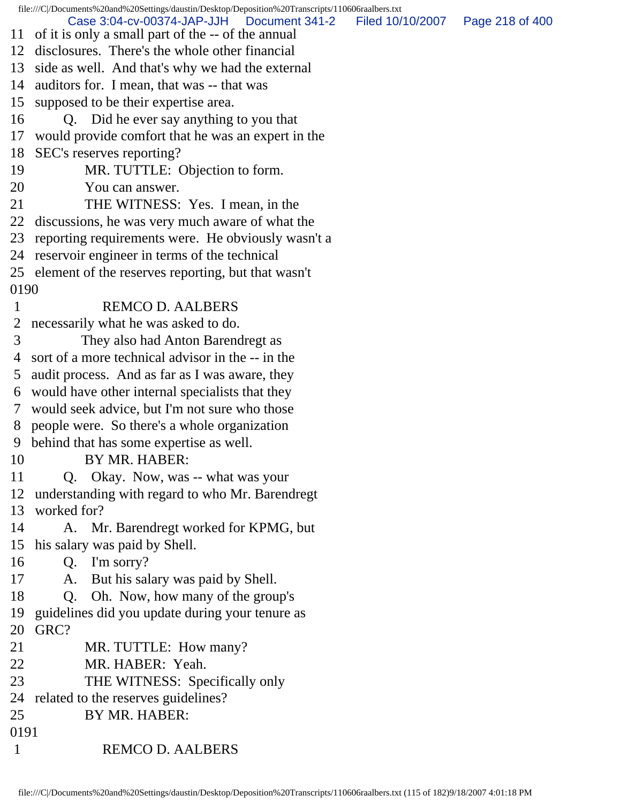file:///C|/Documents%20and%20Settings/daustin/Desktop/Deposition%20Transcripts/110606raalbers.txt 11 of it is only a small part of the -- of the annual 12 disclosures. There's the whole other financial 13 side as well. And that's why we had the external 14 auditors for. I mean, that was -- that was 15 supposed to be their expertise area. 16 Q. Did he ever say anything to you that 17 would provide comfort that he was an expert in the 18 SEC's reserves reporting? 19 MR. TUTTLE: Objection to form. 20 You can answer. 21 THE WITNESS: Yes. I mean, in the 22 discussions, he was very much aware of what the 23 reporting requirements were. He obviously wasn't a 24 reservoir engineer in terms of the technical 25 element of the reserves reporting, but that wasn't 0190 1 REMCO D. AALBERS 2 necessarily what he was asked to do. 3 They also had Anton Barendregt as 4 sort of a more technical advisor in the -- in the 5 audit process. And as far as I was aware, they 6 would have other internal specialists that they 7 would seek advice, but I'm not sure who those 8 people were. So there's a whole organization 9 behind that has some expertise as well. 10 BY MR. HABER: 11 Q. Okay. Now, was -- what was your 12 understanding with regard to who Mr. Barendregt 13 worked for? 14 A. Mr. Barendregt worked for KPMG, but 15 his salary was paid by Shell. 16 Q. I'm sorry? 17 A. But his salary was paid by Shell. 18 Q. Oh. Now, how many of the group's 19 guidelines did you update during your tenure as 20 GRC? 21 MR. TUTTLE: How many? 22 MR. HABER: Yeah. 23 THE WITNESS: Specifically only 24 related to the reserves guidelines? 25 BY MR. HABER: 0191 1 REMCO D. AALBERS Case 3:04-cv-00374-JAP-JJH Document 341-2 Filed 10/10/2007 Page 218 of 400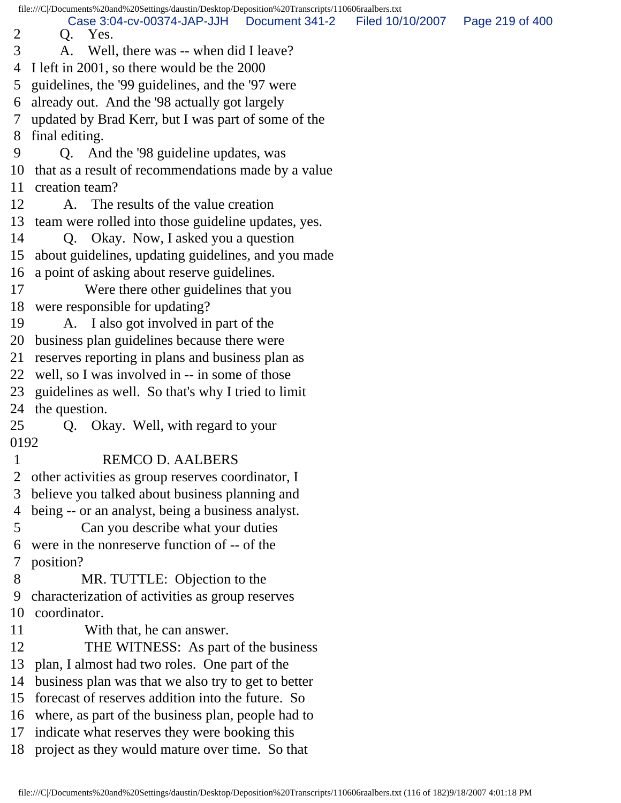file:///C|/Documents%20and%20Settings/daustin/Desktop/Deposition%20Transcripts/110606raalbers.txt 2 Q. Yes. 3 A. Well, there was -- when did I leave? 4 I left in 2001, so there would be the 2000 5 guidelines, the '99 guidelines, and the '97 were 6 already out. And the '98 actually got largely 7 updated by Brad Kerr, but I was part of some of the 8 final editing. 9 Q. And the '98 guideline updates, was 10 that as a result of recommendations made by a value 11 creation team? 12 A. The results of the value creation 13 team were rolled into those guideline updates, yes. 14 Q. Okay. Now, I asked you a question 15 about guidelines, updating guidelines, and you made 16 a point of asking about reserve guidelines. 17 Were there other guidelines that you 18 were responsible for updating? 19 A. I also got involved in part of the 20 business plan guidelines because there were 21 reserves reporting in plans and business plan as 22 well, so I was involved in -- in some of those 23 guidelines as well. So that's why I tried to limit 24 the question. 25 Q. Okay. Well, with regard to your 0192 1 REMCO D. AALBERS 2 other activities as group reserves coordinator, I 3 believe you talked about business planning and 4 being -- or an analyst, being a business analyst. 5 Can you describe what your duties 6 were in the nonreserve function of -- of the 7 position? 8 MR. TUTTLE: Objection to the 9 characterization of activities as group reserves 10 coordinator. 11 With that, he can answer. 12 THE WITNESS: As part of the business 13 plan, I almost had two roles. One part of the 14 business plan was that we also try to get to better 15 forecast of reserves addition into the future. So 16 where, as part of the business plan, people had to 17 indicate what reserves they were booking this 18 project as they would mature over time. So that Case 3:04-cv-00374-JAP-JJH Document 341-2 Filed 10/10/2007 Page 219 of 400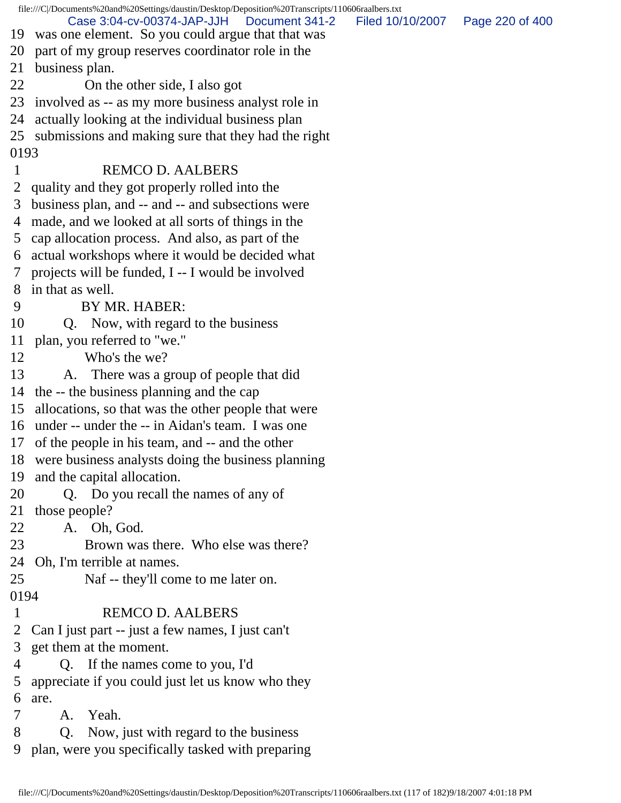|                | file:///C//Documents%20and%20Settings/daustin/Desktop/Deposition%20Transcripts/110606raalbers.txt    |                  |                 |
|----------------|------------------------------------------------------------------------------------------------------|------------------|-----------------|
|                | Case 3:04-cv-00374-JAP-JJH<br>Document 341-2<br>19 was one element. So you could argue that that was | Filed 10/10/2007 | Page 220 of 400 |
| 20             | part of my group reserves coordinator role in the                                                    |                  |                 |
| 21             | business plan.                                                                                       |                  |                 |
| 22             | On the other side, I also got                                                                        |                  |                 |
|                | 23 involved as -- as my more business analyst role in                                                |                  |                 |
| 24             | actually looking at the individual business plan                                                     |                  |                 |
|                | 25 submissions and making sure that they had the right                                               |                  |                 |
| 0193           |                                                                                                      |                  |                 |
| 1              | <b>REMCO D. AALBERS</b>                                                                              |                  |                 |
| $\overline{2}$ | quality and they got properly rolled into the                                                        |                  |                 |
| 3              | business plan, and -- and -- and subsections were                                                    |                  |                 |
|                | 4 made, and we looked at all sorts of things in the                                                  |                  |                 |
| 5 <sup>5</sup> | cap allocation process. And also, as part of the                                                     |                  |                 |
| 6              | actual workshops where it would be decided what                                                      |                  |                 |
| 7              | projects will be funded, I -- I would be involved                                                    |                  |                 |
|                | 8 in that as well.                                                                                   |                  |                 |
| 9              | BY MR. HABER:                                                                                        |                  |                 |
| 10             | Q. Now, with regard to the business                                                                  |                  |                 |
| 11             | plan, you referred to "we."                                                                          |                  |                 |
| 12             | Who's the we?                                                                                        |                  |                 |
| 13             | A. There was a group of people that did                                                              |                  |                 |
| 14             | the -- the business planning and the cap                                                             |                  |                 |
| 15             | allocations, so that was the other people that were                                                  |                  |                 |
|                | 16 under -- under the -- in Aidan's team. I was one                                                  |                  |                 |
| 17             | of the people in his team, and -- and the other                                                      |                  |                 |
|                | 18 were business analysts doing the business planning                                                |                  |                 |
| 19             | and the capital allocation.                                                                          |                  |                 |
| 20             | Q. Do you recall the names of any of                                                                 |                  |                 |
| 21             | those people?                                                                                        |                  |                 |
| 22             | Oh, God.<br>A.                                                                                       |                  |                 |
| 23             | Brown was there. Who else was there?                                                                 |                  |                 |
| 24             | Oh, I'm terrible at names.                                                                           |                  |                 |
| 25             | Naf -- they'll come to me later on.                                                                  |                  |                 |
| 0194           |                                                                                                      |                  |                 |
| $\mathbf{1}$   | <b>REMCO D. AALBERS</b>                                                                              |                  |                 |
| 2              | Can I just part -- just a few names, I just can't                                                    |                  |                 |
| 3              | get them at the moment.                                                                              |                  |                 |
| 4              | Q. If the names come to you, I'd                                                                     |                  |                 |
| 5              | appreciate if you could just let us know who they                                                    |                  |                 |
| 6              | are.                                                                                                 |                  |                 |
| 7              | Yeah.<br>A.                                                                                          |                  |                 |
| 8              | Now, just with regard to the business<br>Q.                                                          |                  |                 |
| 9              | plan, were you specifically tasked with preparing                                                    |                  |                 |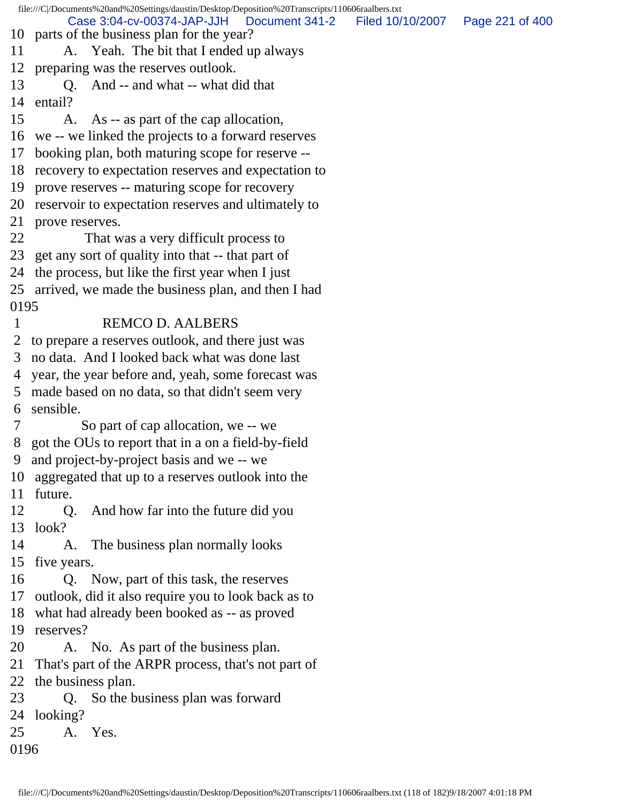file:///C|/Documents%20and%20Settings/daustin/Desktop/Deposition%20Transcripts/110606raalbers.txt 10 parts of the business plan for the year? 11 A. Yeah. The bit that I ended up always 12 preparing was the reserves outlook. 13 Q. And -- and what -- what did that 14 entail? 15 A. As -- as part of the cap allocation, 16 we -- we linked the projects to a forward reserves 17 booking plan, both maturing scope for reserve -- 18 recovery to expectation reserves and expectation to 19 prove reserves -- maturing scope for recovery 20 reservoir to expectation reserves and ultimately to 21 prove reserves. 22 That was a very difficult process to 23 get any sort of quality into that -- that part of 24 the process, but like the first year when I just 25 arrived, we made the business plan, and then I had 0195 1 REMCO D. AALBERS 2 to prepare a reserves outlook, and there just was 3 no data. And I looked back what was done last 4 year, the year before and, yeah, some forecast was 5 made based on no data, so that didn't seem very 6 sensible. 7 So part of cap allocation, we -- we 8 got the OUs to report that in a on a field-by-field 9 and project-by-project basis and we -- we 10 aggregated that up to a reserves outlook into the 11 future. 12 Q. And how far into the future did you 13 look? 14 A. The business plan normally looks 15 five years. 16 Q. Now, part of this task, the reserves 17 outlook, did it also require you to look back as to 18 what had already been booked as -- as proved 19 reserves? 20 A. No. As part of the business plan. 21 That's part of the ARPR process, that's not part of 22 the business plan. 23 Q. So the business plan was forward 24 looking? 25 A. Yes. 0196 Case 3:04-cv-00374-JAP-JJH Document 341-2 Filed 10/10/2007 Page 221 of 400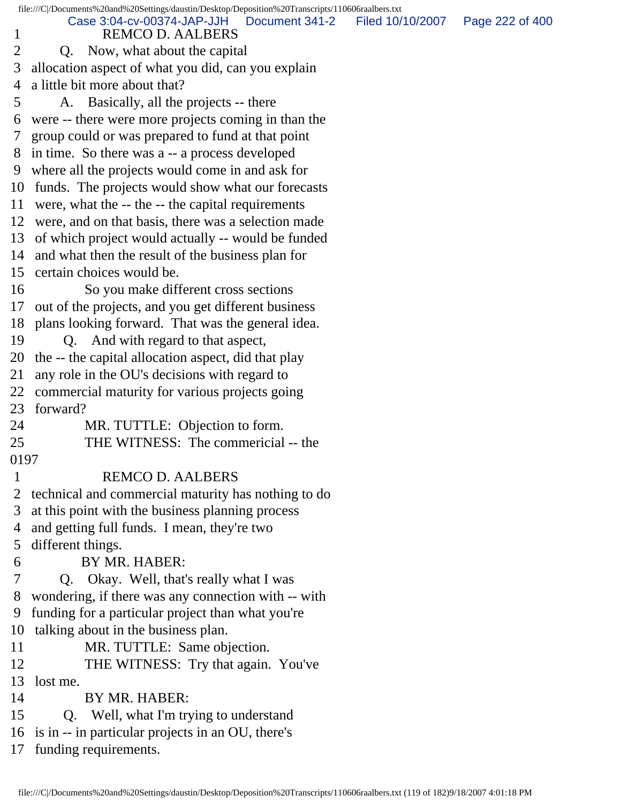|                | file:///C /Documents%20and%20Settings/daustin/Desktop/Deposition%20Transcripts/110606raalbers.txt |                  |                 |
|----------------|---------------------------------------------------------------------------------------------------|------------------|-----------------|
| $\mathbf{1}$   | Case 3:04-cv-00374-JAP-JJH<br>Document 341-2<br><b>REMCO D. AALBERS</b>                           | Filed 10/10/2007 | Page 222 of 400 |
| 2              | Q. Now, what about the capital                                                                    |                  |                 |
| 3              | allocation aspect of what you did, can you explain                                                |                  |                 |
| 4              | a little bit more about that?                                                                     |                  |                 |
| 5              | A. Basically, all the projects -- there                                                           |                  |                 |
| 6              | were -- there were more projects coming in than the                                               |                  |                 |
| $\mathcal{T}$  | group could or was prepared to fund at that point                                                 |                  |                 |
|                | 8 in time. So there was a -- a process developed                                                  |                  |                 |
|                | 9 where all the projects would come in and ask for                                                |                  |                 |
|                | 10 funds. The projects would show what our forecasts                                              |                  |                 |
|                | 11 were, what the -- the -- the capital requirements                                              |                  |                 |
|                | 12 were, and on that basis, there was a selection made                                            |                  |                 |
|                | 13 of which project would actually -- would be funded                                             |                  |                 |
|                | 14 and what then the result of the business plan for                                              |                  |                 |
|                | 15 certain choices would be.                                                                      |                  |                 |
| 16             | So you make different cross sections                                                              |                  |                 |
|                | 17 out of the projects, and you get different business                                            |                  |                 |
|                | 18 plans looking forward. That was the general idea.                                              |                  |                 |
| 19             | Q. And with regard to that aspect,                                                                |                  |                 |
|                | 20 the -- the capital allocation aspect, did that play                                            |                  |                 |
| 21             | any role in the OU's decisions with regard to                                                     |                  |                 |
| 22             | commercial maturity for various projects going                                                    |                  |                 |
| 23             | forward?                                                                                          |                  |                 |
| 24             | MR. TUTTLE: Objection to form.                                                                    |                  |                 |
| 25             | THE WITNESS: The commericial -- the                                                               |                  |                 |
| 0197           |                                                                                                   |                  |                 |
| $\mathbf{1}$   | <b>REMCO D. AALBERS</b>                                                                           |                  |                 |
| $\overline{2}$ | technical and commercial maturity has nothing to do                                               |                  |                 |
| 3              | at this point with the business planning process                                                  |                  |                 |
| 4              | and getting full funds. I mean, they're two                                                       |                  |                 |
| 5              | different things.                                                                                 |                  |                 |
| 6              | BY MR. HABER:                                                                                     |                  |                 |
| 7              | Q. Okay. Well, that's really what I was                                                           |                  |                 |
| 8              | wondering, if there was any connection with -- with                                               |                  |                 |
| 9              | funding for a particular project than what you're                                                 |                  |                 |
| 10             | talking about in the business plan.                                                               |                  |                 |
| 11             | MR. TUTTLE: Same objection.                                                                       |                  |                 |
| 12             | THE WITNESS: Try that again. You've                                                               |                  |                 |
| 13             | lost me.                                                                                          |                  |                 |
| 14             | BY MR. HABER:                                                                                     |                  |                 |
| 15             | Well, what I'm trying to understand<br>Q.                                                         |                  |                 |
| 16             | is in -- in particular projects in an OU, there's                                                 |                  |                 |
| 17             | funding requirements.                                                                             |                  |                 |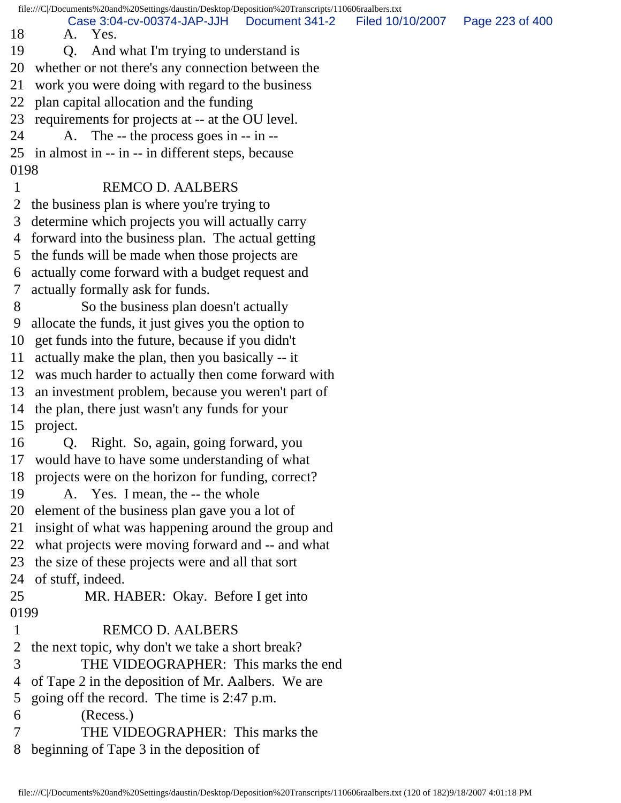file:///C|/Documents%20and%20Settings/daustin/Desktop/Deposition%20Transcripts/110606raalbers.txt 18 A. Yes. 19 Q. And what I'm trying to understand is 20 whether or not there's any connection between the 21 work you were doing with regard to the business 22 plan capital allocation and the funding 23 requirements for projects at -- at the OU level. 24 A. The -- the process goes in -- in -- 25 in almost in -- in -- in different steps, because 0198 1 REMCO D. AALBERS 2 the business plan is where you're trying to 3 determine which projects you will actually carry 4 forward into the business plan. The actual getting 5 the funds will be made when those projects are 6 actually come forward with a budget request and 7 actually formally ask for funds. 8 So the business plan doesn't actually 9 allocate the funds, it just gives you the option to 10 get funds into the future, because if you didn't 11 actually make the plan, then you basically -- it 12 was much harder to actually then come forward with 13 an investment problem, because you weren't part of 14 the plan, there just wasn't any funds for your 15 project. 16 Q. Right. So, again, going forward, you 17 would have to have some understanding of what 18 projects were on the horizon for funding, correct? 19 A. Yes. I mean, the -- the whole 20 element of the business plan gave you a lot of 21 insight of what was happening around the group and 22 what projects were moving forward and -- and what 23 the size of these projects were and all that sort 24 of stuff, indeed. 25 MR. HABER: Okay. Before I get into 0199 1 REMCO D. AALBERS 2 the next topic, why don't we take a short break? 3 THE VIDEOGRAPHER: This marks the end 4 of Tape 2 in the deposition of Mr. Aalbers. We are 5 going off the record. The time is 2:47 p.m. 6 (Recess.) 7 THE VIDEOGRAPHER: This marks the 8 beginning of Tape 3 in the deposition of Case 3:04-cv-00374-JAP-JJH Document 341-2 Filed 10/10/2007 Page 223 of 400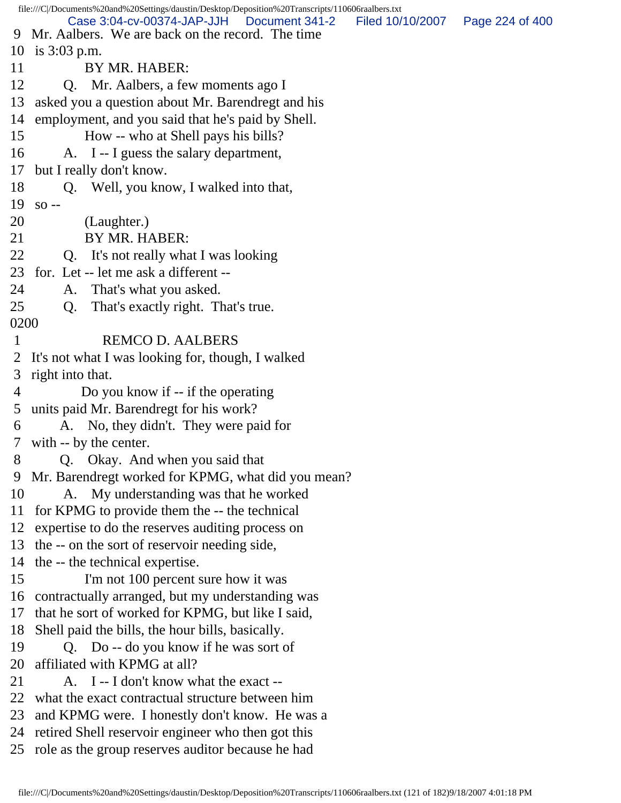file:///C|/Documents%20and%20Settings/daustin/Desktop/Deposition%20Transcripts/110606raalbers.txt 9 Mr. Aalbers. We are back on the record. The time 10 is 3:03 p.m. 11 BY MR. HABER: 12 Q. Mr. Aalbers, a few moments ago I 13 asked you a question about Mr. Barendregt and his 14 employment, and you said that he's paid by Shell. 15 How -- who at Shell pays his bills? 16 A. I -- I guess the salary department, 17 but I really don't know. 18 Q. Well, you know, I walked into that, 19 so -- 20 (Laughter.) 21 BY MR. HABER: 22 Q. It's not really what I was looking 23 for. Let -- let me ask a different -- 24 A. That's what you asked. 25 Q. That's exactly right. That's true. 0200 1 REMCO D. AALBERS 2 It's not what I was looking for, though, I walked 3 right into that. 4 Do you know if -- if the operating 5 units paid Mr. Barendregt for his work? 6 A. No, they didn't. They were paid for 7 with -- by the center. 8 Q. Okay. And when you said that 9 Mr. Barendregt worked for KPMG, what did you mean? 10 A. My understanding was that he worked 11 for KPMG to provide them the -- the technical 12 expertise to do the reserves auditing process on 13 the -- on the sort of reservoir needing side, 14 the -- the technical expertise. 15 I'm not 100 percent sure how it was 16 contractually arranged, but my understanding was 17 that he sort of worked for KPMG, but like I said, 18 Shell paid the bills, the hour bills, basically. 19 Q. Do -- do you know if he was sort of 20 affiliated with KPMG at all? 21 A. I -- I don't know what the exact --22 what the exact contractual structure between him 23 and KPMG were. I honestly don't know. He was a 24 retired Shell reservoir engineer who then got this 25 role as the group reserves auditor because he had Case 3:04-cv-00374-JAP-JJH Document 341-2 Filed 10/10/2007 Page 224 of 400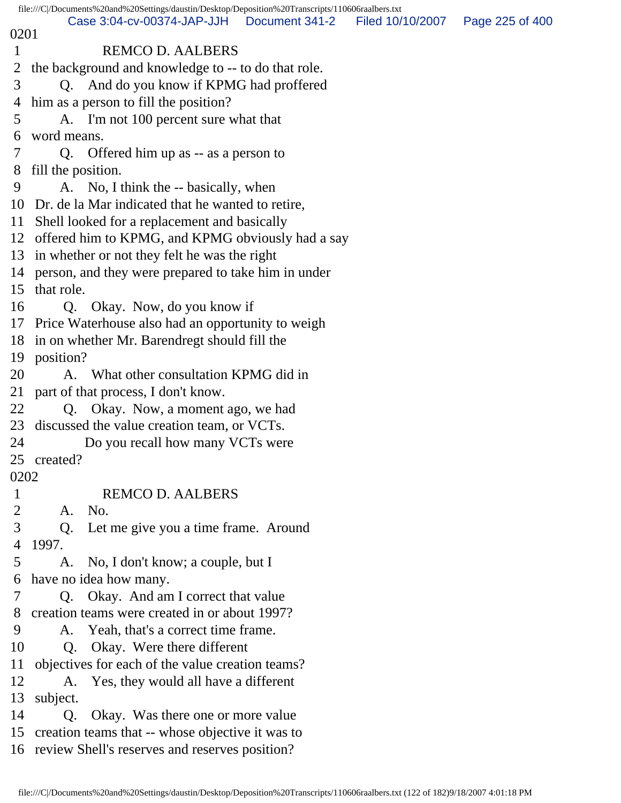|              | file:///C//Documents%20and%20Settings/daustin/Desktop/Deposition%20Transcripts/110606raalbers.txt |                |                                   |  |
|--------------|---------------------------------------------------------------------------------------------------|----------------|-----------------------------------|--|
| 0201         | Case 3:04-cv-00374-JAP-JJH                                                                        | Document 341-2 | Filed 10/10/2007  Page 225 of 400 |  |
| $\mathbf{1}$ | <b>REMCO D. AALBERS</b>                                                                           |                |                                   |  |
| 2            | the background and knowledge to -- to do that role.                                               |                |                                   |  |
| 3            | Q. And do you know if KPMG had proffered                                                          |                |                                   |  |
| 4            | him as a person to fill the position?                                                             |                |                                   |  |
| 5            | A. I'm not 100 percent sure what that                                                             |                |                                   |  |
| 6            | word means.                                                                                       |                |                                   |  |
| 7            | Q. Offered him up as -- as a person to                                                            |                |                                   |  |
| 8            | fill the position.                                                                                |                |                                   |  |
| 9            | A. No, I think the -- basically, when                                                             |                |                                   |  |
|              | 10 Dr. de la Mar indicated that he wanted to retire,                                              |                |                                   |  |
|              | 11 Shell looked for a replacement and basically                                                   |                |                                   |  |
|              | 12 offered him to KPMG, and KPMG obviously had a say                                              |                |                                   |  |
|              | 13 in whether or not they felt he was the right                                                   |                |                                   |  |
|              | 14 person, and they were prepared to take him in under                                            |                |                                   |  |
|              | 15 that role.                                                                                     |                |                                   |  |
| 16           | Q. Okay. Now, do you know if                                                                      |                |                                   |  |
|              | 17 Price Waterhouse also had an opportunity to weigh                                              |                |                                   |  |
|              | 18 in on whether Mr. Barendregt should fill the                                                   |                |                                   |  |
|              | 19 position?                                                                                      |                |                                   |  |
| 20           | A. What other consultation KPMG did in                                                            |                |                                   |  |
|              | 21 part of that process, I don't know.                                                            |                |                                   |  |
| 22           | Q. Okay. Now, a moment ago, we had                                                                |                |                                   |  |
|              | 23 discussed the value creation team, or VCTs.                                                    |                |                                   |  |
| 24           | Do you recall how many VCTs were                                                                  |                |                                   |  |
|              | 25 created?                                                                                       |                |                                   |  |
| 0202         |                                                                                                   |                |                                   |  |
| $\mathbf{1}$ | <b>REMCO D. AALBERS</b>                                                                           |                |                                   |  |
| 2            | No.<br>A.                                                                                         |                |                                   |  |
| 3            | Let me give you a time frame. Around<br>Q.                                                        |                |                                   |  |
| 4            | 1997.                                                                                             |                |                                   |  |
| 5            | A. No, I don't know; a couple, but I                                                              |                |                                   |  |
| 6<br>7       | have no idea how many.<br>Q. Okay. And am I correct that value                                    |                |                                   |  |
| 8            | creation teams were created in or about 1997?                                                     |                |                                   |  |
| 9            | A. Yeah, that's a correct time frame.                                                             |                |                                   |  |
| 10           | Okay. Were there different<br>Q.                                                                  |                |                                   |  |
| 11           | objectives for each of the value creation teams?                                                  |                |                                   |  |
| 12           | Yes, they would all have a different<br>A.                                                        |                |                                   |  |
| 13           | subject.                                                                                          |                |                                   |  |
| 14           | Okay. Was there one or more value<br>Q.                                                           |                |                                   |  |
| 15           | creation teams that -- whose objective it was to                                                  |                |                                   |  |
|              | 16 review Shell's reserves and reserves position?                                                 |                |                                   |  |
|              |                                                                                                   |                |                                   |  |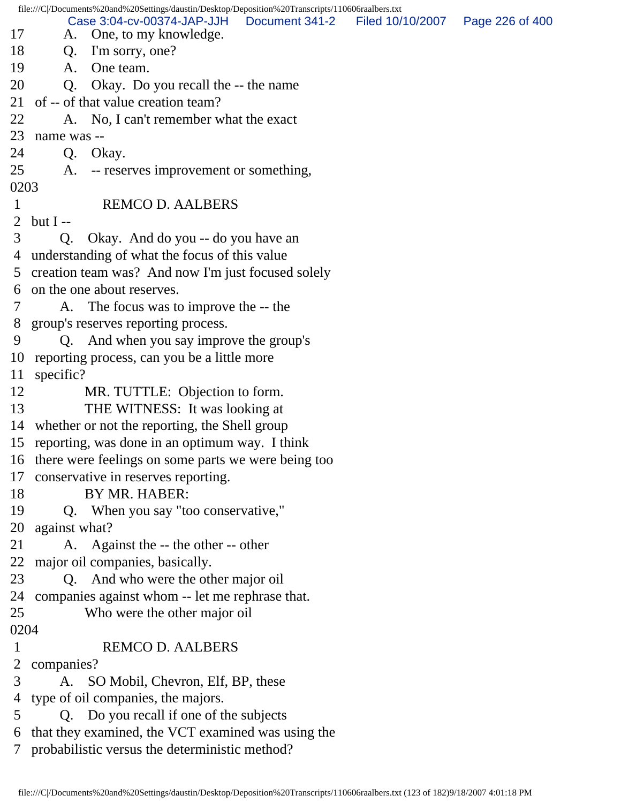file:///C|/Documents%20and%20Settings/daustin/Desktop/Deposition%20Transcripts/110606raalbers.txt 17 A. One, to my knowledge. 18 Q. I'm sorry, one? 19 A. One team. 20 Q. Okay. Do you recall the -- the name 21 of -- of that value creation team? 22 A. No, I can't remember what the exact 23 name was -- 24 Q. Okay. 25 A. -- reserves improvement or something, 0203 1 REMCO D. AALBERS 2 but I $-$  3 Q. Okay. And do you -- do you have an 4 understanding of what the focus of this value 5 creation team was? And now I'm just focused solely 6 on the one about reserves. 7 A. The focus was to improve the -- the 8 group's reserves reporting process. 9 Q. And when you say improve the group's 10 reporting process, can you be a little more 11 specific? 12 MR. TUTTLE: Objection to form. 13 THE WITNESS: It was looking at 14 whether or not the reporting, the Shell group 15 reporting, was done in an optimum way. I think 16 there were feelings on some parts we were being too 17 conservative in reserves reporting. 18 BY MR. HABER: 19 Q. When you say "too conservative," 20 against what? 21 A. Against the -- the other -- other 22 major oil companies, basically. 23 Q. And who were the other major oil 24 companies against whom -- let me rephrase that. 25 Who were the other major oil 0204 1 REMCO D. AALBERS 2 companies? 3 A. SO Mobil, Chevron, Elf, BP, these 4 type of oil companies, the majors. 5 Q. Do you recall if one of the subjects 6 that they examined, the VCT examined was using the 7 probabilistic versus the deterministic method? Case 3:04-cv-00374-JAP-JJH Document 341-2 Filed 10/10/2007 Page 226 of 400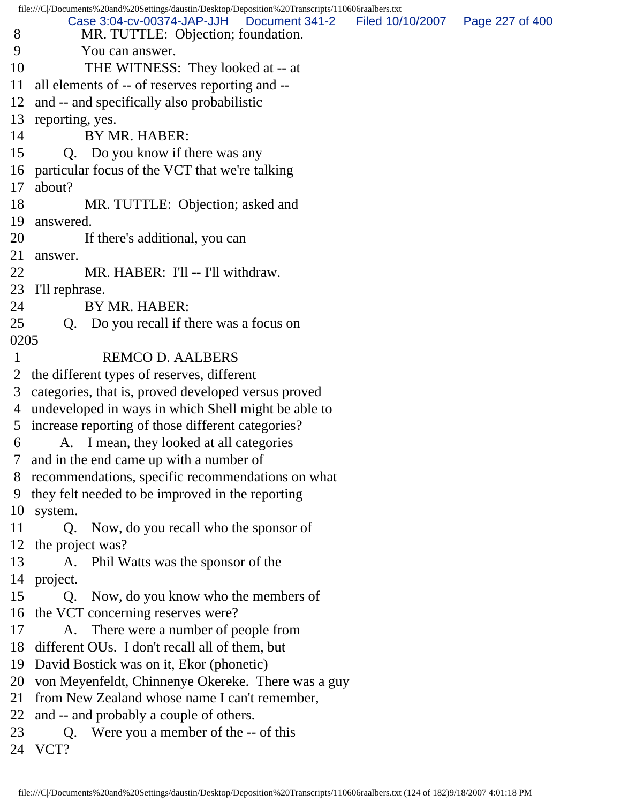file:///C|/Documents%20and%20Settings/daustin/Desktop/Deposition%20Transcripts/110606raalbers.txt 8 MR. TUTTLE: Objection; foundation. 9 You can answer. 10 THE WITNESS: They looked at -- at 11 all elements of -- of reserves reporting and -- 12 and -- and specifically also probabilistic 13 reporting, yes. 14 BY MR. HABER: 15 Q. Do you know if there was any 16 particular focus of the VCT that we're talking 17 about? 18 MR. TUTTLE: Objection; asked and 19 answered. 20 If there's additional, you can 21 answer. 22 MR. HABER: I'll -- I'll withdraw. 23 I'll rephrase. 24 BY MR. HABER: 25 Q. Do you recall if there was a focus on 0205 1 REMCO D. AALBERS 2 the different types of reserves, different 3 categories, that is, proved developed versus proved 4 undeveloped in ways in which Shell might be able to 5 increase reporting of those different categories? 6 A. I mean, they looked at all categories 7 and in the end came up with a number of 8 recommendations, specific recommendations on what 9 they felt needed to be improved in the reporting 10 system. 11 Q. Now, do you recall who the sponsor of 12 the project was? 13 A. Phil Watts was the sponsor of the 14 project. 15 Q. Now, do you know who the members of 16 the VCT concerning reserves were? 17 A. There were a number of people from 18 different OUs. I don't recall all of them, but 19 David Bostick was on it, Ekor (phonetic) 20 von Meyenfeldt, Chinnenye Okereke. There was a guy 21 from New Zealand whose name I can't remember, 22 and -- and probably a couple of others. 23 Q. Were you a member of the -- of this 24 VCT? Case 3:04-cv-00374-JAP-JJH Document 341-2 Filed 10/10/2007 Page 227 of 400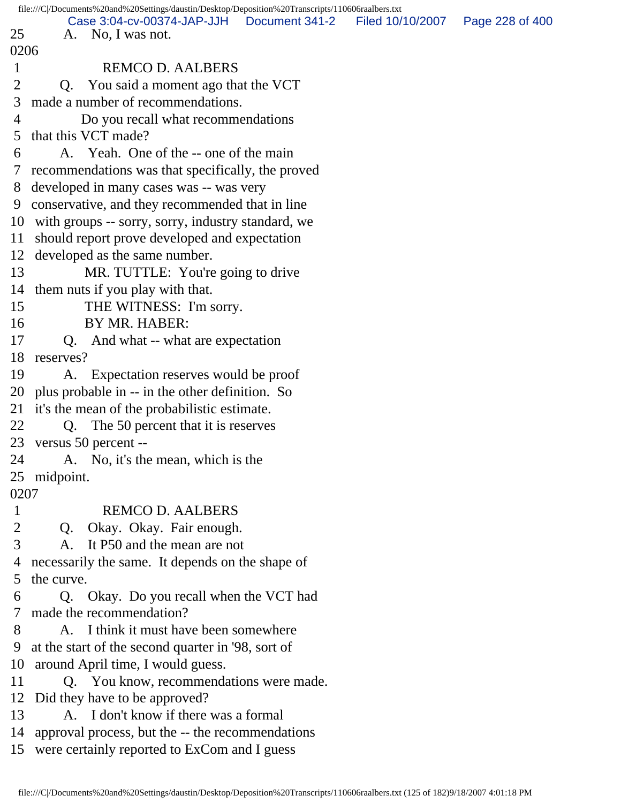|                | file:///C//Documents%20and%20Settings/daustin/Desktop/Deposition%20Transcripts/110606raalbers.txt |                  |                 |
|----------------|---------------------------------------------------------------------------------------------------|------------------|-----------------|
| 25             | Case 3:04-cv-00374-JAP-JJH Document 341-2<br>A. No, I was not.                                    | Filed 10/10/2007 | Page 228 of 400 |
| 0206           |                                                                                                   |                  |                 |
| $\mathbf{1}$   | <b>REMCO D. AALBERS</b>                                                                           |                  |                 |
| $\overline{2}$ | Q. You said a moment ago that the VCT                                                             |                  |                 |
| 3              | made a number of recommendations.                                                                 |                  |                 |
| $\overline{4}$ | Do you recall what recommendations                                                                |                  |                 |
| 5              | that this VCT made?                                                                               |                  |                 |
| 6              | A. Yeah. One of the -- one of the main                                                            |                  |                 |
| $\tau$         | recommendations was that specifically, the proved                                                 |                  |                 |
| 8              | developed in many cases was -- was very                                                           |                  |                 |
|                | 9 conservative, and they recommended that in line                                                 |                  |                 |
|                | 10 with groups -- sorry, sorry, industry standard, we                                             |                  |                 |
| 11             | should report prove developed and expectation                                                     |                  |                 |
|                | 12 developed as the same number.                                                                  |                  |                 |
| 13             | MR. TUTTLE: You're going to drive                                                                 |                  |                 |
|                | 14 them nuts if you play with that.                                                               |                  |                 |
| 15             | THE WITNESS: I'm sorry.                                                                           |                  |                 |
| 16             | BY MR. HABER:                                                                                     |                  |                 |
| 17             | Q. And what -- what are expectation                                                               |                  |                 |
| 18             | reserves?                                                                                         |                  |                 |
| 19             | A. Expectation reserves would be proof                                                            |                  |                 |
|                | 20 plus probable in -- in the other definition. So                                                |                  |                 |
| 21             | it's the mean of the probabilistic estimate.                                                      |                  |                 |
| 22             | Q. The 50 percent that it is reserves                                                             |                  |                 |
|                | 23 versus 50 percent --                                                                           |                  |                 |
| 24             | A. No, it's the mean, which is the                                                                |                  |                 |
|                | 25 midpoint.                                                                                      |                  |                 |
| 0207           |                                                                                                   |                  |                 |
| $\mathbf{1}$   | <b>REMCO D. AALBERS</b>                                                                           |                  |                 |
| $\overline{2}$ | Q. Okay. Okay. Fair enough.                                                                       |                  |                 |
| 3              | A. It P50 and the mean are not                                                                    |                  |                 |
| 4              | necessarily the same. It depends on the shape of                                                  |                  |                 |
| 5              | the curve.                                                                                        |                  |                 |
| 6              | Q. Okay. Do you recall when the VCT had                                                           |                  |                 |
| 7              | made the recommendation?                                                                          |                  |                 |
| 8              | A. I think it must have been somewhere                                                            |                  |                 |
| 9              | at the start of the second quarter in '98, sort of                                                |                  |                 |
|                | 10 around April time, I would guess.                                                              |                  |                 |
| 11             | Q. You know, recommendations were made.                                                           |                  |                 |
|                | 12 Did they have to be approved?                                                                  |                  |                 |
| 13             | A. I don't know if there was a formal                                                             |                  |                 |
| 14             | approval process, but the -- the recommendations                                                  |                  |                 |
|                | 15 were certainly reported to ExCom and I guess                                                   |                  |                 |
|                |                                                                                                   |                  |                 |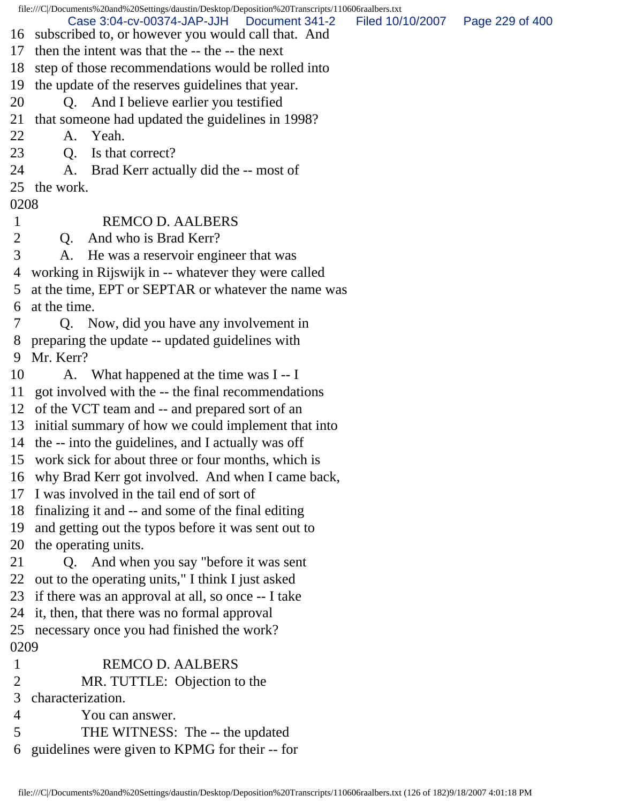file:///C|/Documents%20and%20Settings/daustin/Desktop/Deposition%20Transcripts/110606raalbers.txt

- Case 3:04-cv-00374-JAP-JJH Document 341-2 Filed 10/10/2007 Page 229 of 400
- 16 subscribed to, or however you would call that. And
- 17 then the intent was that the -- the -- the next
- 18 step of those recommendations would be rolled into
- 19 the update of the reserves guidelines that year.
- 20 Q. And I believe earlier you testified
- 21 that someone had updated the guidelines in 1998?
- 22 A. Yeah.
- 23 Q. Is that correct?
- 24 A. Brad Kerr actually did the -- most of
- 25 the work.

## 0208

- 1 REMCO D. AALBERS
- 2 Q. And who is Brad Kerr?
- 3 A. He was a reservoir engineer that was
- 4 working in Rijswijk in -- whatever they were called
- 5 at the time, EPT or SEPTAR or whatever the name was 6 at the time.
- 7 Q. Now, did you have any involvement in
- 8 preparing the update -- updated guidelines with

9 Mr. Kerr?

- 10 A. What happened at the time was I -- I
- 11 got involved with the -- the final recommendations
- 12 of the VCT team and -- and prepared sort of an
- 13 initial summary of how we could implement that into
- 14 the -- into the guidelines, and I actually was off
- 15 work sick for about three or four months, which is
- 16 why Brad Kerr got involved. And when I came back,
- 17 I was involved in the tail end of sort of
- 18 finalizing it and -- and some of the final editing
- 19 and getting out the typos before it was sent out to
- 20 the operating units.
- 21 Q. And when you say "before it was sent
- 22 out to the operating units," I think I just asked
- 23 if there was an approval at all, so once -- I take
- 24 it, then, that there was no formal approval

25 necessary once you had finished the work? 0209

- 1 REMCO D. AALBERS
- 2 MR. TUTTLE: Objection to the
- 3 characterization.
- 4 You can answer.
- 5 THE WITNESS: The -- the updated
- 6 guidelines were given to KPMG for their -- for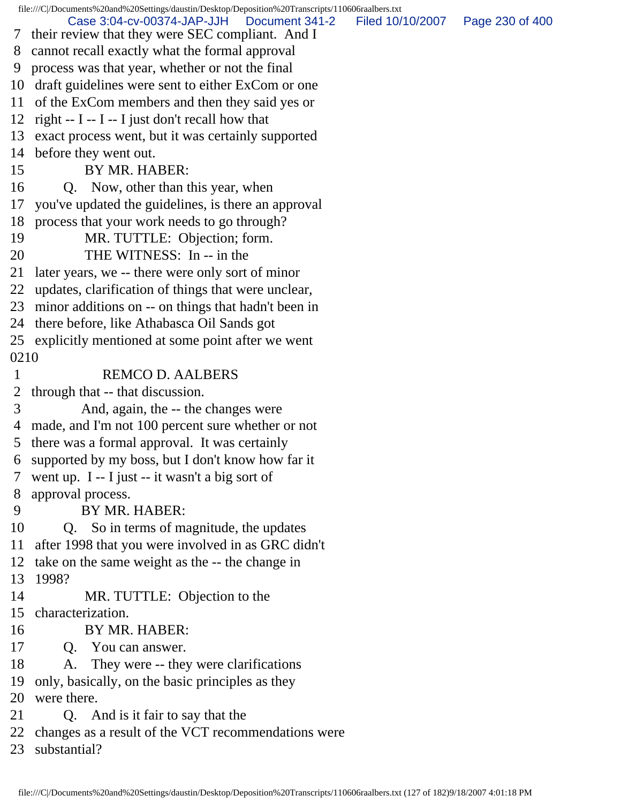file:///C|/Documents%20and%20Settings/daustin/Desktop/Deposition%20Transcripts/110606raalbers.txt 7 their review that they were SEC compliant. And I 8 cannot recall exactly what the formal approval 9 process was that year, whether or not the final 10 draft guidelines were sent to either ExCom or one 11 of the ExCom members and then they said yes or 12 right  $- I - I - I$  just don't recall how that 13 exact process went, but it was certainly supported 14 before they went out. 15 BY MR. HABER: 16 Q. Now, other than this year, when 17 you've updated the guidelines, is there an approval 18 process that your work needs to go through? 19 MR. TUTTLE: Objection; form. 20 THE WITNESS: In -- in the 21 later years, we -- there were only sort of minor 22 updates, clarification of things that were unclear, 23 minor additions on -- on things that hadn't been in 24 there before, like Athabasca Oil Sands got 25 explicitly mentioned at some point after we went 0210 1 REMCO D. AALBERS 2 through that -- that discussion. 3 And, again, the -- the changes were 4 made, and I'm not 100 percent sure whether or not 5 there was a formal approval. It was certainly 6 supported by my boss, but I don't know how far it 7 went up. I -- I just -- it wasn't a big sort of 8 approval process. 9 BY MR. HABER: 10 Q. So in terms of magnitude, the updates 11 after 1998 that you were involved in as GRC didn't 12 take on the same weight as the -- the change in 13 1998? 14 MR. TUTTLE: Objection to the 15 characterization. 16 BY MR. HABER: 17 Q. You can answer. 18 A. They were -- they were clarifications 19 only, basically, on the basic principles as they 20 were there. 21 Q. And is it fair to say that the 22 changes as a result of the VCT recommendations were 23 substantial? Case 3:04-cv-00374-JAP-JJH Document 341-2 Filed 10/10/2007 Page 230 of 400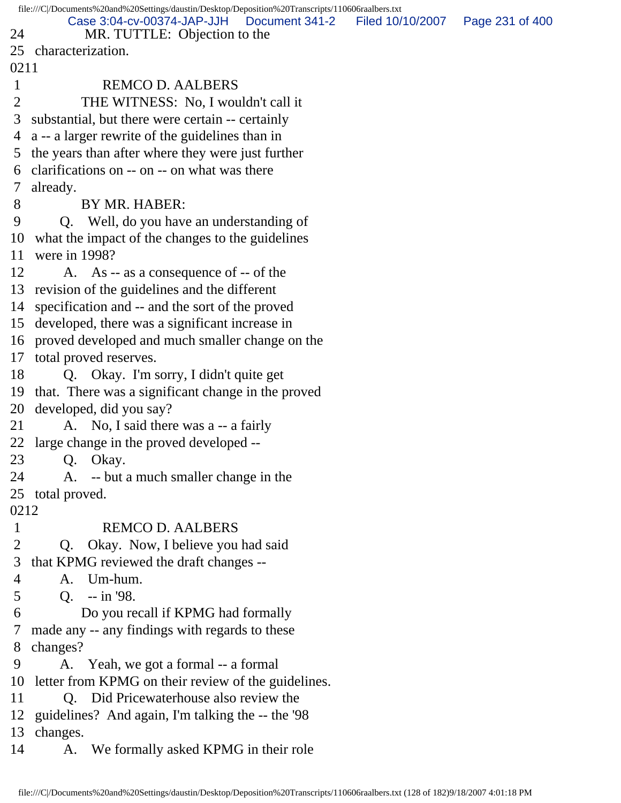file:///C|/Documents%20and%20Settings/daustin/Desktop/Deposition%20Transcripts/110606raalbers.txt 24 MR. TUTTLE: Objection to the 25 characterization. 0211 1 REMCO D. AALBERS 2 THE WITNESS: No, I wouldn't call it 3 substantial, but there were certain -- certainly 4 a -- a larger rewrite of the guidelines than in 5 the years than after where they were just further 6 clarifications on -- on -- on what was there 7 already. 8 BY MR. HABER: 9 Q. Well, do you have an understanding of 10 what the impact of the changes to the guidelines 11 were in 1998? 12 A. As -- as a consequence of -- of the 13 revision of the guidelines and the different 14 specification and -- and the sort of the proved 15 developed, there was a significant increase in 16 proved developed and much smaller change on the 17 total proved reserves. 18 Q. Okay. I'm sorry, I didn't quite get 19 that. There was a significant change in the proved 20 developed, did you say? 21 A. No, I said there was a -- a fairly 22 large change in the proved developed -- 23 Q. Okay. 24 A. -- but a much smaller change in the 25 total proved. 0212 1 REMCO D. AALBERS 2 Q. Okay. Now, I believe you had said 3 that KPMG reviewed the draft changes -- 4 A. Um-hum. 5 Q. -- in '98. 6 Do you recall if KPMG had formally 7 made any -- any findings with regards to these 8 changes? 9 A. Yeah, we got a formal -- a formal 10 letter from KPMG on their review of the guidelines. 11 Q. Did Pricewaterhouse also review the 12 guidelines? And again, I'm talking the -- the '98 13 changes. 14 A. We formally asked KPMG in their role Case 3:04-cv-00374-JAP-JJH Document 341-2 Filed 10/10/2007 Page 231 of 400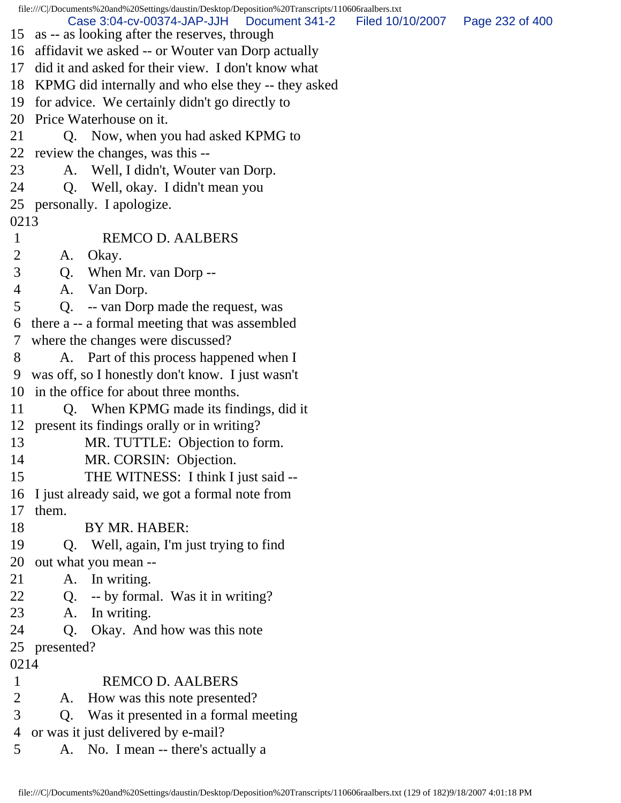file:///C|/Documents%20and%20Settings/daustin/Desktop/Deposition%20Transcripts/110606raalbers.txt 15 as -- as looking after the reserves, through 16 affidavit we asked -- or Wouter van Dorp actually 17 did it and asked for their view. I don't know what 18 KPMG did internally and who else they -- they asked 19 for advice. We certainly didn't go directly to 20 Price Waterhouse on it. 21 Q. Now, when you had asked KPMG to 22 review the changes, was this -- 23 A. Well, I didn't, Wouter van Dorp. 24 Q. Well, okay. I didn't mean you 25 personally. I apologize. 0213 1 REMCO D. AALBERS 2 A. Okay. 3 Q. When Mr. van Dorp -- 4 A. Van Dorp. 5 Q. -- van Dorp made the request, was 6 there a -- a formal meeting that was assembled 7 where the changes were discussed? 8 A. Part of this process happened when I 9 was off, so I honestly don't know. I just wasn't 10 in the office for about three months. 11 Q. When KPMG made its findings, did it 12 present its findings orally or in writing? 13 MR. TUTTLE: Objection to form. 14 MR. CORSIN: Objection. 15 THE WITNESS: I think I just said -- 16 I just already said, we got a formal note from 17 them. 18 BY MR. HABER: 19 Q. Well, again, I'm just trying to find 20 out what you mean -- 21 A. In writing. 22 Q. -- by formal. Was it in writing? 23 A. In writing. 24 Q. Okay. And how was this note 25 presented? 0214 1 REMCO D. AALBERS 2 A. How was this note presented? 3 Q. Was it presented in a formal meeting 4 or was it just delivered by e-mail? 5 A. No. I mean -- there's actually a Case 3:04-cv-00374-JAP-JJH Document 341-2 Filed 10/10/2007 Page 232 of 400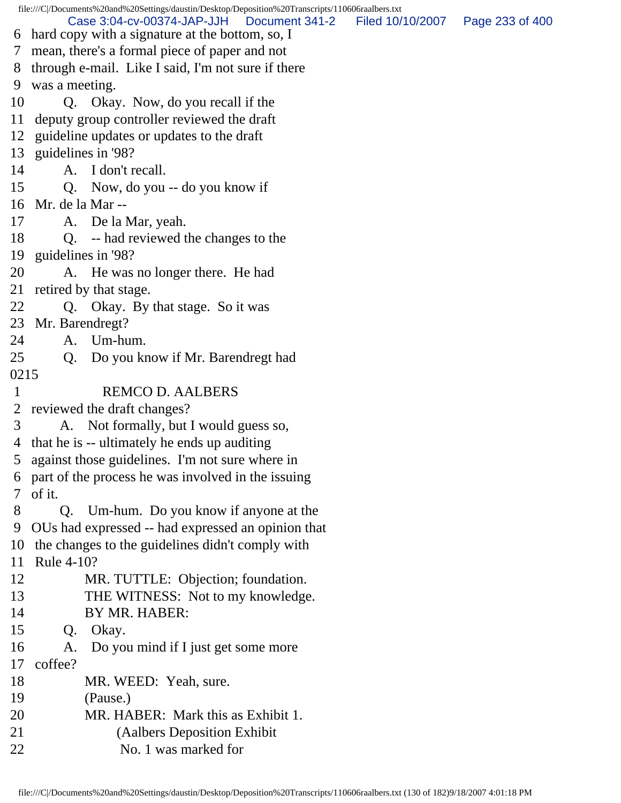file:///C|/Documents%20and%20Settings/daustin/Desktop/Deposition%20Transcripts/110606raalbers.txt 6 hard copy with a signature at the bottom, so, I 7 mean, there's a formal piece of paper and not 8 through e-mail. Like I said, I'm not sure if there 9 was a meeting. 10 Q. Okay. Now, do you recall if the 11 deputy group controller reviewed the draft 12 guideline updates or updates to the draft 13 guidelines in '98? 14 A. I don't recall. 15 Q. Now, do you -- do you know if 16 Mr. de la Mar -- 17 A. De la Mar, yeah. 18 Q. -- had reviewed the changes to the 19 guidelines in '98? 20 A. He was no longer there. He had 21 retired by that stage. 22 Q. Okay. By that stage. So it was 23 Mr. Barendregt? 24 A. Um-hum. 25 Q. Do you know if Mr. Barendregt had 0215 1 REMCO D. AALBERS 2 reviewed the draft changes? 3 A. Not formally, but I would guess so, 4 that he is -- ultimately he ends up auditing 5 against those guidelines. I'm not sure where in 6 part of the process he was involved in the issuing 7 of it. 8 Q. Um-hum. Do you know if anyone at the 9 OUs had expressed -- had expressed an opinion that 10 the changes to the guidelines didn't comply with 11 Rule 4-10? 12 MR. TUTTLE: Objection; foundation. 13 THE WITNESS: Not to my knowledge. 14 BY MR. HABER: 15 Q. Okay. 16 A. Do you mind if I just get some more 17 coffee? 18 MR. WEED: Yeah, sure. 19 (Pause.) 20 MR. HABER: Mark this as Exhibit 1. 21 (Aalbers Deposition Exhibit 22 No. 1 was marked for Case 3:04-cv-00374-JAP-JJH Document 341-2 Filed 10/10/2007 Page 233 of 400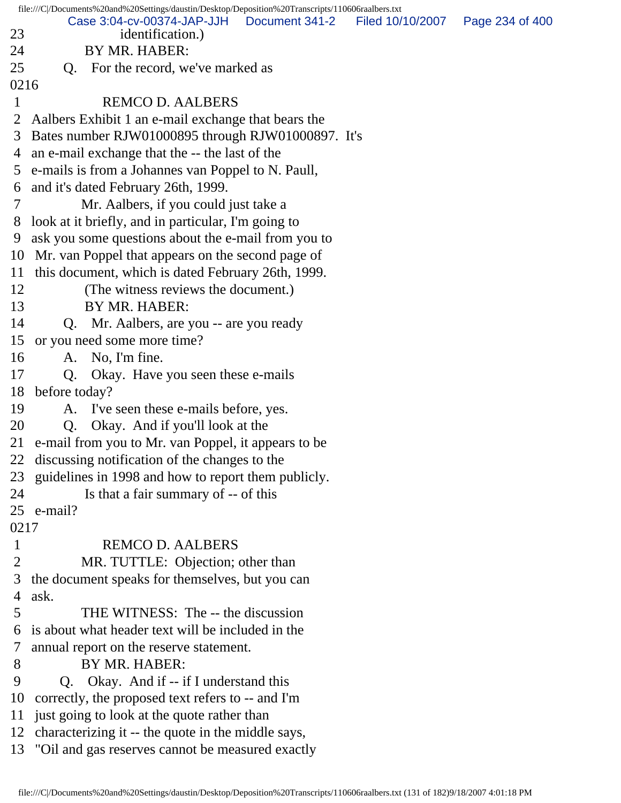file:///C|/Documents%20and%20Settings/daustin/Desktop/Deposition%20Transcripts/110606raalbers.txt 23 identification.) 24 BY MR. HABER: 25 O. For the record, we've marked as 0216 1 REMCO D. AALBERS 2 Aalbers Exhibit 1 an e-mail exchange that bears the 3 Bates number RJW01000895 through RJW01000897. It's 4 an e-mail exchange that the -- the last of the 5 e-mails is from a Johannes van Poppel to N. Paull, 6 and it's dated February 26th, 1999. 7 Mr. Aalbers, if you could just take a 8 look at it briefly, and in particular, I'm going to 9 ask you some questions about the e-mail from you to 10 Mr. van Poppel that appears on the second page of 11 this document, which is dated February 26th, 1999. 12 (The witness reviews the document.) 13 BY MR. HABER: 14 Q. Mr. Aalbers, are you -- are you ready 15 or you need some more time? 16 A. No, I'm fine. 17 Q. Okay. Have you seen these e-mails 18 before today? 19 A. I've seen these e-mails before, yes. 20 Q. Okay. And if you'll look at the 21 e-mail from you to Mr. van Poppel, it appears to be 22 discussing notification of the changes to the 23 guidelines in 1998 and how to report them publicly. 24 Is that a fair summary of -- of this 25 e-mail? 0217 1 REMCO D. AALBERS 2 MR. TUTTLE: Objection; other than 3 the document speaks for themselves, but you can 4 ask. 5 THE WITNESS: The -- the discussion 6 is about what header text will be included in the 7 annual report on the reserve statement. 8 BY MR. HABER: 9 Q. Okay. And if -- if I understand this 10 correctly, the proposed text refers to -- and I'm 11 just going to look at the quote rather than 12 characterizing it -- the quote in the middle says, 13 "Oil and gas reserves cannot be measured exactly Case 3:04-cv-00374-JAP-JJH Document 341-2 Filed 10/10/2007 Page 234 of 400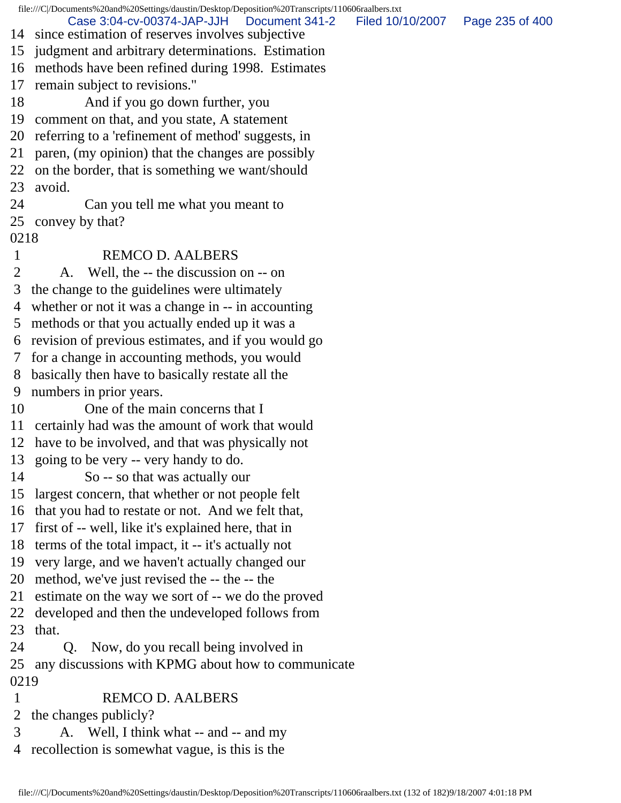file:///C|/Documents%20and%20Settings/daustin/Desktop/Deposition%20Transcripts/110606raalbers.txt 14 since estimation of reserves involves subjective 15 judgment and arbitrary determinations. Estimation 16 methods have been refined during 1998. Estimates 17 remain subject to revisions." 18 And if you go down further, you 19 comment on that, and you state, A statement 20 referring to a 'refinement of method' suggests, in 21 paren, (my opinion) that the changes are possibly 22 on the border, that is something we want/should 23 avoid. 24 Can you tell me what you meant to 25 convey by that? 0218 1 REMCO D. AALBERS 2 A. Well, the -- the discussion on -- on 3 the change to the guidelines were ultimately 4 whether or not it was a change in -- in accounting 5 methods or that you actually ended up it was a 6 revision of previous estimates, and if you would go 7 for a change in accounting methods, you would 8 basically then have to basically restate all the 9 numbers in prior years. 10 One of the main concerns that I 11 certainly had was the amount of work that would 12 have to be involved, and that was physically not 13 going to be very -- very handy to do. 14 So -- so that was actually our 15 largest concern, that whether or not people felt 16 that you had to restate or not. And we felt that, 17 first of -- well, like it's explained here, that in 18 terms of the total impact, it -- it's actually not 19 very large, and we haven't actually changed our 20 method, we've just revised the -- the -- the 21 estimate on the way we sort of -- we do the proved 22 developed and then the undeveloped follows from 23 that. 24 Q. Now, do you recall being involved in 25 any discussions with KPMG about how to communicate 0219 1 REMCO D. AALBERS 2 the changes publicly? 3 A. Well, I think what -- and -- and my 4 recollection is somewhat vague, is this is the Case 3:04-cv-00374-JAP-JJH Document 341-2 Filed 10/10/2007 Page 235 of 400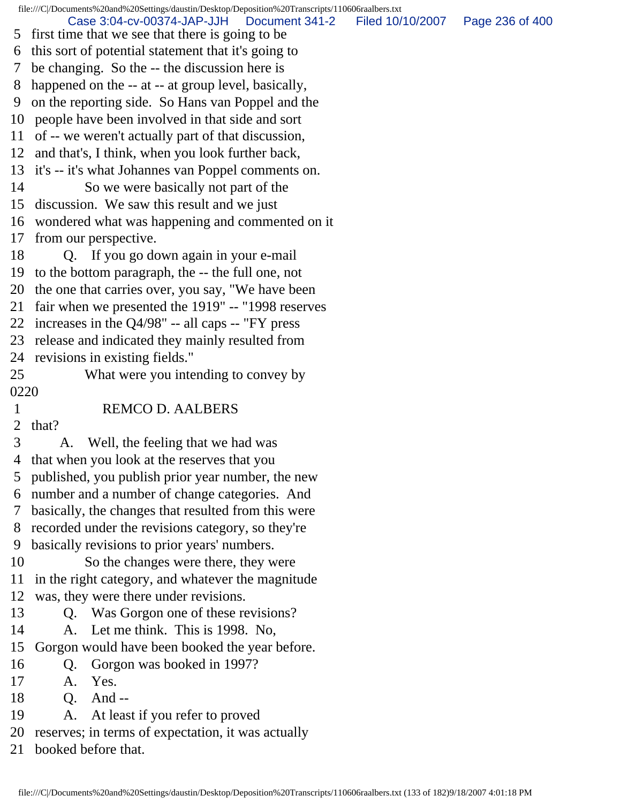file:///C|/Documents%20and%20Settings/daustin/Desktop/Deposition%20Transcripts/110606raalbers.txt 5 first time that we see that there is going to be 6 this sort of potential statement that it's going to 7 be changing. So the -- the discussion here is 8 happened on the -- at -- at group level, basically, 9 on the reporting side. So Hans van Poppel and the 10 people have been involved in that side and sort 11 of -- we weren't actually part of that discussion, 12 and that's, I think, when you look further back, 13 it's -- it's what Johannes van Poppel comments on. 14 So we were basically not part of the 15 discussion. We saw this result and we just 16 wondered what was happening and commented on it 17 from our perspective. 18 Q. If you go down again in your e-mail 19 to the bottom paragraph, the -- the full one, not 20 the one that carries over, you say, "We have been 21 fair when we presented the 1919" -- "1998 reserves 22 increases in the Q4/98" -- all caps -- "FY press 23 release and indicated they mainly resulted from 24 revisions in existing fields." 25 What were you intending to convey by 0220 1 REMCO D. AALBERS 2 that? 3 A. Well, the feeling that we had was 4 that when you look at the reserves that you 5 published, you publish prior year number, the new 6 number and a number of change categories. And 7 basically, the changes that resulted from this were 8 recorded under the revisions category, so they're 9 basically revisions to prior years' numbers. 10 So the changes were there, they were 11 in the right category, and whatever the magnitude 12 was, they were there under revisions. 13 Q. Was Gorgon one of these revisions? 14 A. Let me think. This is 1998. No, 15 Gorgon would have been booked the year before. 16 Q. Gorgon was booked in 1997? 17 A. Yes. 18 O. And --19 A. At least if you refer to proved 20 reserves; in terms of expectation, it was actually 21 booked before that. Case 3:04-cv-00374-JAP-JJH Document 341-2 Filed 10/10/2007 Page 236 of 400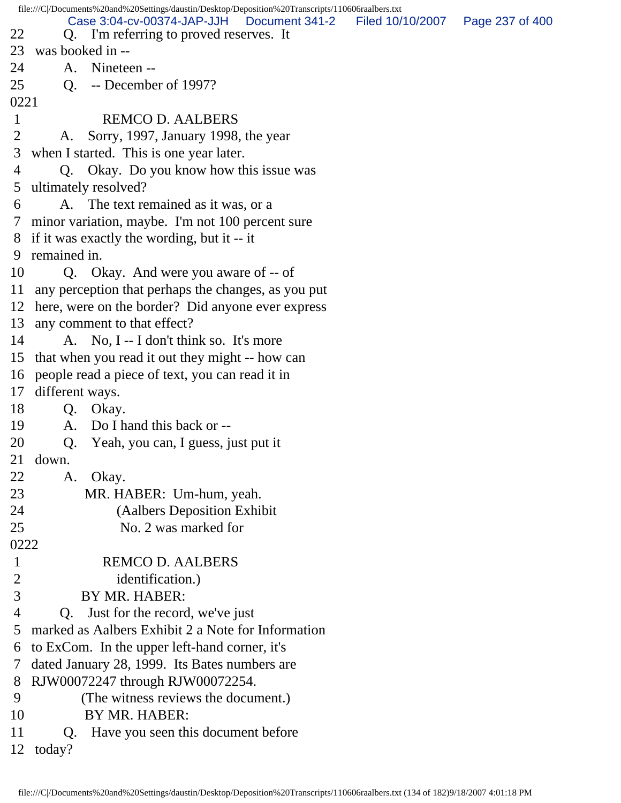file:///C|/Documents%20and%20Settings/daustin/Desktop/Deposition%20Transcripts/110606raalbers.txt 22 Q. I'm referring to proved reserves. It 23 was booked in -- 24 A. Nineteen -- 25 Q. -- December of 1997? 0221 1 REMCO D. AALBERS 2 A. Sorry, 1997, January 1998, the year 3 when I started. This is one year later. 4 Q. Okay. Do you know how this issue was 5 ultimately resolved? 6 A. The text remained as it was, or a 7 minor variation, maybe. I'm not 100 percent sure 8 if it was exactly the wording, but it -- it 9 remained in. 10 Q. Okay. And were you aware of -- of 11 any perception that perhaps the changes, as you put 12 here, were on the border? Did anyone ever express 13 any comment to that effect? 14 A. No, I -- I don't think so. It's more 15 that when you read it out they might -- how can 16 people read a piece of text, you can read it in 17 different ways. 18 Q. Okay. 19 A. Do I hand this back or -- 20 Q. Yeah, you can, I guess, just put it 21 down. 22 A. Okay. 23 MR. HABER: Um-hum, yeah. 24 (Aalbers Deposition Exhibit 25 No. 2 was marked for 0222 1 REMCO D. AALBERS 2 identification.) 3 BY MR. HABER: 4 Q. Just for the record, we've just 5 marked as Aalbers Exhibit 2 a Note for Information 6 to ExCom. In the upper left-hand corner, it's 7 dated January 28, 1999. Its Bates numbers are 8 RJW00072247 through RJW00072254. 9 (The witness reviews the document.) 10 BY MR. HABER: 11 Q. Have you seen this document before 12 today? Case 3:04-cv-00374-JAP-JJH Document 341-2 Filed 10/10/2007 Page 237 of 400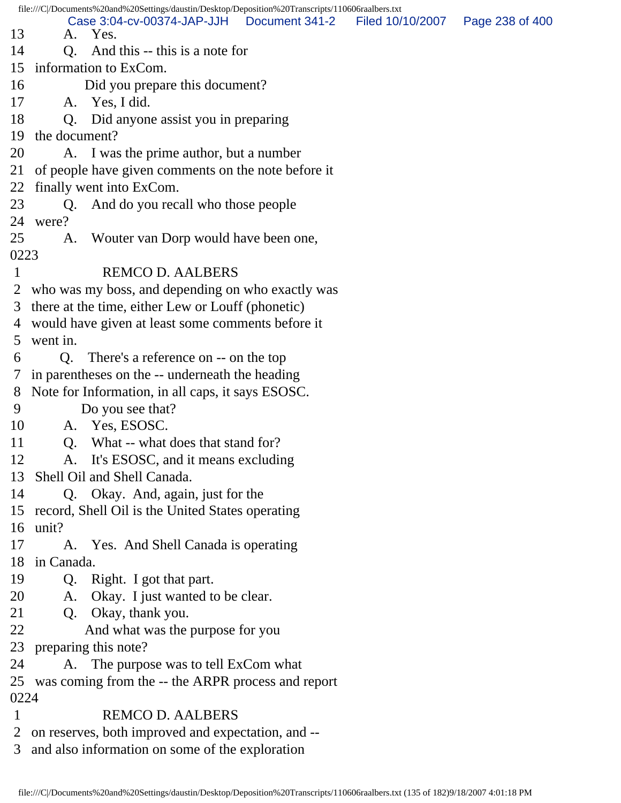file:///C|/Documents%20and%20Settings/daustin/Desktop/Deposition%20Transcripts/110606raalbers.txt 13 A. Yes. 14 O. And this -- this is a note for 15 information to ExCom. 16 Did you prepare this document? 17 A. Yes, I did. 18 Q. Did anyone assist you in preparing 19 the document? 20 A. I was the prime author, but a number 21 of people have given comments on the note before it 22 finally went into ExCom. 23 Q. And do you recall who those people 24 were? 25 A. Wouter van Dorp would have been one, 0223 1 REMCO D. AALBERS 2 who was my boss, and depending on who exactly was 3 there at the time, either Lew or Louff (phonetic) 4 would have given at least some comments before it 5 went in. 6 Q. There's a reference on -- on the top 7 in parentheses on the -- underneath the heading 8 Note for Information, in all caps, it says ESOSC. 9 Do you see that? 10 A. Yes, ESOSC. 11 O. What -- what does that stand for? 12 A. It's ESOSC, and it means excluding 13 Shell Oil and Shell Canada. 14 Q. Okay. And, again, just for the 15 record, Shell Oil is the United States operating 16 unit? 17 A. Yes. And Shell Canada is operating 18 in Canada. 19 Q. Right. I got that part. 20 A. Okay. I just wanted to be clear. 21 Q. Okay, thank you. 22 And what was the purpose for you 23 preparing this note? 24 A. The purpose was to tell ExCom what 25 was coming from the -- the ARPR process and report 0224 1 REMCO D. AALBERS 2 on reserves, both improved and expectation, and -- Case 3:04-cv-00374-JAP-JJH Document 341-2 Filed 10/10/2007 Page 238 of 400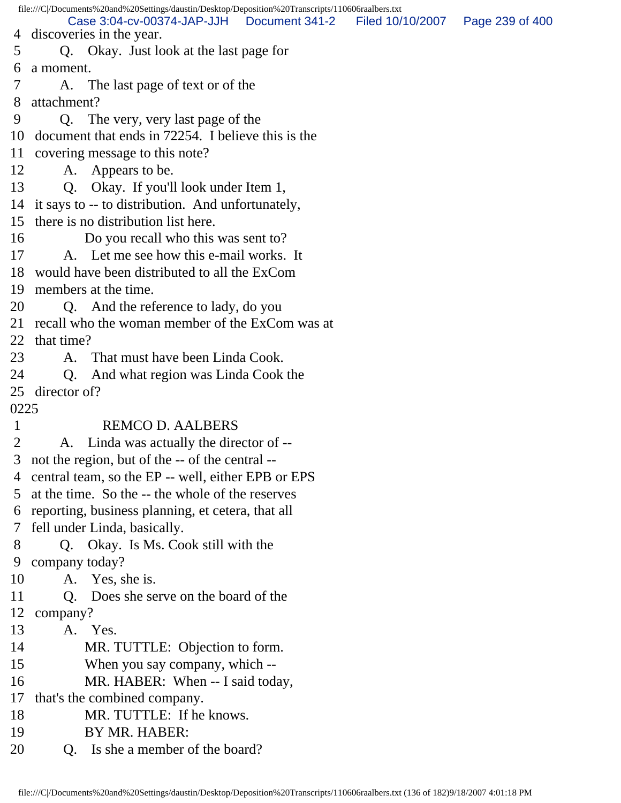file:///C|/Documents%20and%20Settings/daustin/Desktop/Deposition%20Transcripts/110606raalbers.txt 4 discoveries in the year. 5 Q. Okay. Just look at the last page for 6 a moment. 7 A. The last page of text or of the 8 attachment? 9 Q. The very, very last page of the 10 document that ends in 72254. I believe this is the 11 covering message to this note? 12 A. Appears to be. 13 Q. Okay. If you'll look under Item 1, 14 it says to -- to distribution. And unfortunately, 15 there is no distribution list here. 16 Do you recall who this was sent to? 17 A. Let me see how this e-mail works. It 18 would have been distributed to all the ExCom 19 members at the time. 20 Q. And the reference to lady, do you 21 recall who the woman member of the ExCom was at 22 that time? 23 A. That must have been Linda Cook. 24 Q. And what region was Linda Cook the 25 director of? 0225 1 REMCO D. AALBERS 2 A. Linda was actually the director of -- 3 not the region, but of the -- of the central -- 4 central team, so the EP -- well, either EPB or EPS 5 at the time. So the -- the whole of the reserves 6 reporting, business planning, et cetera, that all 7 fell under Linda, basically. 8 Q. Okay. Is Ms. Cook still with the 9 company today? 10 A. Yes, she is. 11 Q. Does she serve on the board of the 12 company? 13 A. Yes. 14 MR. TUTTLE: Objection to form. 15 When you say company, which -- 16 MR. HABER: When -- I said today, 17 that's the combined company. 18 MR. TUTTLE: If he knows. 19 BY MR. HABER: Case 3:04-cv-00374-JAP-JJH Document 341-2 Filed 10/10/2007 Page 239 of 400

20 O. Is she a member of the board?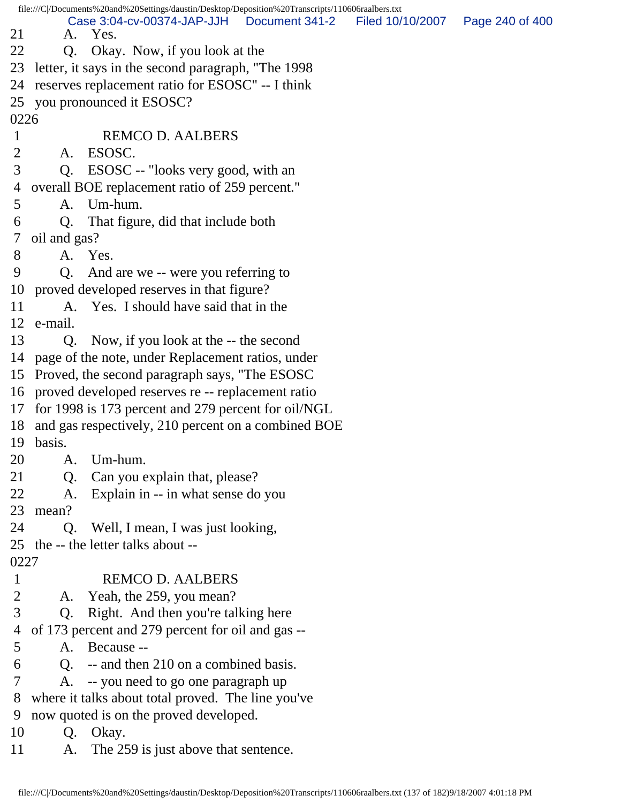file:///C|/Documents%20and%20Settings/daustin/Desktop/Deposition%20Transcripts/110606raalbers.txt 21 A. Yes. 22 Q. Okay. Now, if you look at the 23 letter, it says in the second paragraph, "The 1998 24 reserves replacement ratio for ESOSC" -- I think 25 you pronounced it ESOSC? 0226 1 REMCO D. AALBERS 2 A. ESOSC. 3 Q. ESOSC -- "looks very good, with an 4 overall BOE replacement ratio of 259 percent." 5 A. Um-hum. 6 Q. That figure, did that include both 7 oil and gas? 8 A. Yes. 9 Q. And are we -- were you referring to 10 proved developed reserves in that figure? 11 A. Yes. I should have said that in the 12 e-mail. 13 Q. Now, if you look at the -- the second 14 page of the note, under Replacement ratios, under 15 Proved, the second paragraph says, "The ESOSC 16 proved developed reserves re -- replacement ratio 17 for 1998 is 173 percent and 279 percent for oil/NGL 18 and gas respectively, 210 percent on a combined BOE 19 basis. 20 A. Um-hum. 21 Q. Can you explain that, please? 22 A. Explain in -- in what sense do you 23 mean? 24 Q. Well, I mean, I was just looking, 25 the -- the letter talks about -- 0227 1 REMCO D. AALBERS 2 A. Yeah, the 259, you mean? 3 Q. Right. And then you're talking here 4 of 173 percent and 279 percent for oil and gas -- 5 A. Because -- 6 Q. -- and then 210 on a combined basis. 7 A. -- you need to go one paragraph up 8 where it talks about total proved. The line you've 9 now quoted is on the proved developed. 10 Q. Okay. 11 A. The 259 is just above that sentence. Case 3:04-cv-00374-JAP-JJH Document 341-2 Filed 10/10/2007 Page 240 of 400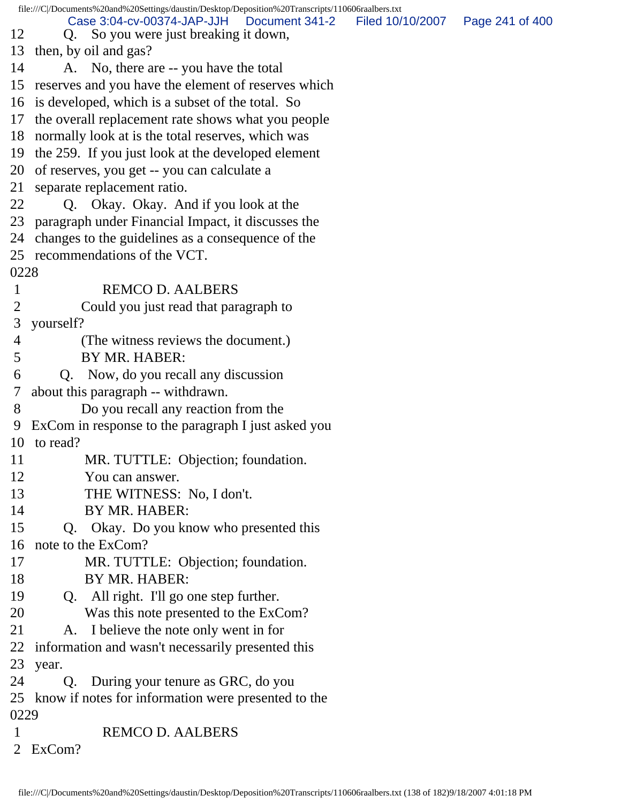|                | file:///C /Documents%20and%20Settings/daustin/Desktop/Deposition%20Transcripts/110606raalbers.txt |                                   |
|----------------|---------------------------------------------------------------------------------------------------|-----------------------------------|
| 12             | Case 3:04-cv-00374-JAP-JJH   Document 341-2<br>Q. So you were just breaking it down,              | Filed 10/10/2007  Page 241 of 400 |
|                | 13 then, by oil and gas?                                                                          |                                   |
| 14             | A. No, there are -- you have the total                                                            |                                   |
|                | 15 reserves and you have the element of reserves which                                            |                                   |
|                | 16 is developed, which is a subset of the total. So                                               |                                   |
|                | 17 the overall replacement rate shows what you people                                             |                                   |
|                | 18 normally look at is the total reserves, which was                                              |                                   |
|                | 19 the 259. If you just look at the developed element                                             |                                   |
|                | 20 of reserves, you get -- you can calculate a                                                    |                                   |
|                | 21 separate replacement ratio.                                                                    |                                   |
| 22             | Q. Okay. Okay. And if you look at the                                                             |                                   |
|                | 23 paragraph under Financial Impact, it discusses the                                             |                                   |
|                | 24 changes to the guidelines as a consequence of the                                              |                                   |
|                | 25 recommendations of the VCT.                                                                    |                                   |
| 0228           |                                                                                                   |                                   |
| $\mathbf{1}$   | <b>REMCO D. AALBERS</b>                                                                           |                                   |
| $\overline{2}$ | Could you just read that paragraph to                                                             |                                   |
| 3              | yourself?                                                                                         |                                   |
| 4              | (The witness reviews the document.)                                                               |                                   |
| 5              | BY MR. HABER:                                                                                     |                                   |
| 6              | Q. Now, do you recall any discussion                                                              |                                   |
| 7              | about this paragraph -- withdrawn.                                                                |                                   |
| 8              | Do you recall any reaction from the                                                               |                                   |
| 9              | ExCom in response to the paragraph I just asked you                                               |                                   |
|                | 10 to read?                                                                                       |                                   |
| 11             | MR. TUTTLE: Objection; foundation.                                                                |                                   |
| 12             | You can answer.                                                                                   |                                   |
| 13             | THE WITNESS: No, I don't.                                                                         |                                   |
| 14             | BY MR. HABER:                                                                                     |                                   |
| 15             | Q. Okay. Do you know who presented this                                                           |                                   |
| 16             | note to the ExCom?                                                                                |                                   |
| 17             | MR. TUTTLE: Objection; foundation.                                                                |                                   |
| 18             | BY MR. HABER:                                                                                     |                                   |
| 19             | All right. I'll go one step further.<br>Q.                                                        |                                   |
| 20             | Was this note presented to the ExCom?                                                             |                                   |
| 21             | I believe the note only went in for<br>A.                                                         |                                   |
| 22             | information and wasn't necessarily presented this                                                 |                                   |
| 23             | year.                                                                                             |                                   |
| 24             | During your tenure as GRC, do you<br>Q.                                                           |                                   |
|                | 25 know if notes for information were presented to the                                            |                                   |
| 0229           |                                                                                                   |                                   |
| $\mathbf{1}$   | <b>REMCO D. AALBERS</b>                                                                           |                                   |
| $\overline{2}$ | ExCom?                                                                                            |                                   |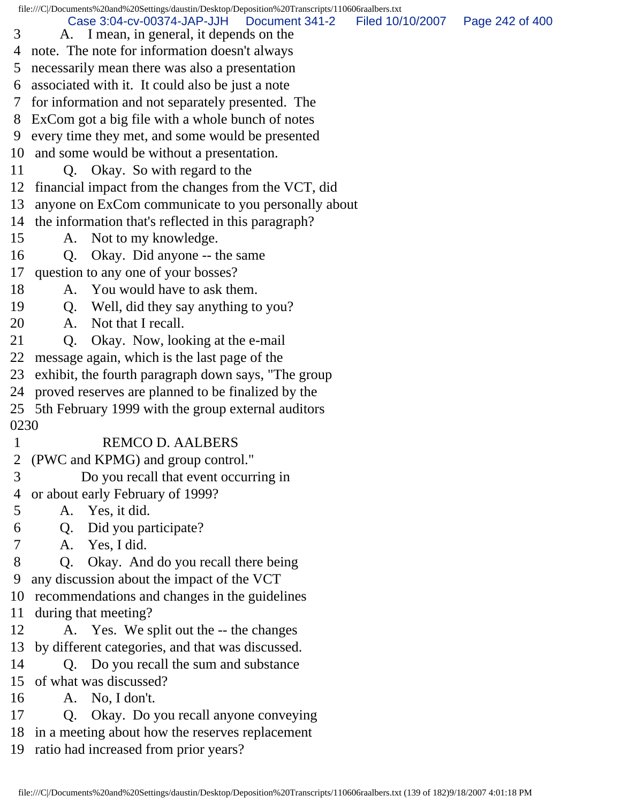|      | file:///C /Documents%20and%20Settings/daustin/Desktop/Deposition%20Transcripts/110606raalbers.txt            |                 |
|------|--------------------------------------------------------------------------------------------------------------|-----------------|
| 3    | Case 3:04-cv-00374-JAP-JJH<br>Document 341-2<br>Filed 10/10/2007<br>A. I mean, in general, it depends on the | Page 242 of 400 |
| 4    | note. The note for information doesn't always                                                                |                 |
| 5    | necessarily mean there was also a presentation                                                               |                 |
| 6    | associated with it. It could also be just a note                                                             |                 |
| 7    | for information and not separately presented. The                                                            |                 |
| 8    | ExCom got a big file with a whole bunch of notes                                                             |                 |
| 9    | every time they met, and some would be presented                                                             |                 |
| 10   | and some would be without a presentation.                                                                    |                 |
| 11   | Q. Okay. So with regard to the                                                                               |                 |
| 12   | financial impact from the changes from the VCT, did                                                          |                 |
| 13   | anyone on ExCom communicate to you personally about                                                          |                 |
| 14   | the information that's reflected in this paragraph?                                                          |                 |
| 15   | A. Not to my knowledge.                                                                                      |                 |
| 16   | Okay. Did anyone -- the same<br>Q.                                                                           |                 |
| 17   | question to any one of your bosses?                                                                          |                 |
| 18   | You would have to ask them.<br>A.                                                                            |                 |
| 19   | Q. Well, did they say anything to you?                                                                       |                 |
| 20   | Not that I recall.<br>A.                                                                                     |                 |
| 21   | Okay. Now, looking at the e-mail<br>Q.                                                                       |                 |
| 22   | message again, which is the last page of the                                                                 |                 |
| 23   | exhibit, the fourth paragraph down says, "The group                                                          |                 |
| 24   | proved reserves are planned to be finalized by the                                                           |                 |
| 25   | 5th February 1999 with the group external auditors                                                           |                 |
| 0230 |                                                                                                              |                 |
| 1    | <b>REMCO D. AALBERS</b>                                                                                      |                 |
| 2    | (PWC and KPMG) and group control."                                                                           |                 |
| 3    | Do you recall that event occurring in                                                                        |                 |
| 4    | or about early February of 1999?                                                                             |                 |
| 5    | Yes, it did.<br>A.                                                                                           |                 |
| 6    | Q. Did you participate?                                                                                      |                 |
| 7    | A. Yes, I did.                                                                                               |                 |
| 8    | Okay. And do you recall there being<br>Q.                                                                    |                 |
| 9    | any discussion about the impact of the VCT                                                                   |                 |
| 10   | recommendations and changes in the guidelines                                                                |                 |
| 11   | during that meeting?                                                                                         |                 |
| 12   | A. Yes. We split out the -- the changes                                                                      |                 |
| 13   | by different categories, and that was discussed.                                                             |                 |
| 14   | Q. Do you recall the sum and substance                                                                       |                 |
| 15   | of what was discussed?                                                                                       |                 |
| 16   | A. No, I don't.                                                                                              |                 |
| 17   | Okay. Do you recall anyone conveying<br>Q.                                                                   |                 |
| 18   | in a meeting about how the reserves replacement                                                              |                 |
| 19   | ratio had increased from prior years?                                                                        |                 |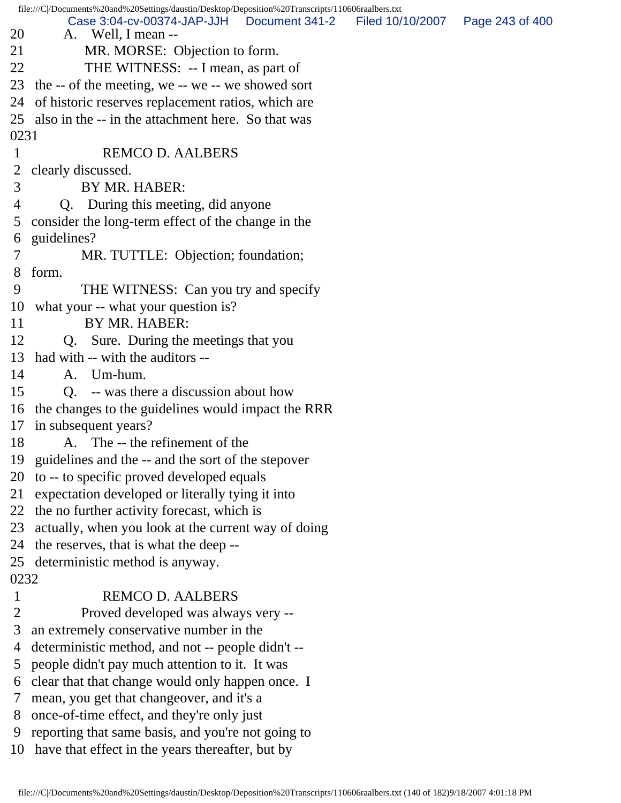|                | file:///C /Documents%20and%20Settings/daustin/Desktop/Deposition%20Transcripts/110606raalbers.txt |                                   |  |
|----------------|---------------------------------------------------------------------------------------------------|-----------------------------------|--|
| 20             | Case 3:04-cv-00374-JAP-JJH   Document 341-2<br>A. Well, I mean --                                 | Filed 10/10/2007  Page 243 of 400 |  |
| 21             | MR. MORSE: Objection to form.                                                                     |                                   |  |
| 22             | THE WITNESS: -- I mean, as part of                                                                |                                   |  |
| 23             | the -- of the meeting, we -- we -- we showed sort                                                 |                                   |  |
| 24             | of historic reserves replacement ratios, which are                                                |                                   |  |
|                | 25 also in the -- in the attachment here. So that was                                             |                                   |  |
| 0231           |                                                                                                   |                                   |  |
| $\mathbf{1}$   | <b>REMCO D. AALBERS</b>                                                                           |                                   |  |
|                | 2 clearly discussed.                                                                              |                                   |  |
| 3              | BY MR. HABER:                                                                                     |                                   |  |
| $\overline{4}$ | Q. During this meeting, did anyone                                                                |                                   |  |
| 5              | consider the long-term effect of the change in the                                                |                                   |  |
| 6              | guidelines?                                                                                       |                                   |  |
| $\overline{7}$ | MR. TUTTLE: Objection; foundation;                                                                |                                   |  |
| 8              | form.                                                                                             |                                   |  |
| 9              | THE WITNESS: Can you try and specify                                                              |                                   |  |
| 10             | what your -- what your question is?                                                               |                                   |  |
| 11             | BY MR. HABER:                                                                                     |                                   |  |
| 12             | Q. Sure. During the meetings that you                                                             |                                   |  |
|                | 13 had with -- with the auditors --                                                               |                                   |  |
| 14             | A. Um-hum.                                                                                        |                                   |  |
| 15             | Q. -- was there a discussion about how                                                            |                                   |  |
|                | 16 the changes to the guidelines would impact the RRR                                             |                                   |  |
|                | 17 in subsequent years?                                                                           |                                   |  |
| 18             | A. The -- the refinement of the                                                                   |                                   |  |
|                | 19 guidelines and the -- and the sort of the stepover                                             |                                   |  |
| 20             | to -- to specific proved developed equals                                                         |                                   |  |
| 21             | expectation developed or literally tying it into                                                  |                                   |  |
| 22             | the no further activity forecast, which is                                                        |                                   |  |
| 23             | actually, when you look at the current way of doing                                               |                                   |  |
| 24             | the reserves, that is what the deep --                                                            |                                   |  |
|                | 25 deterministic method is anyway.                                                                |                                   |  |
| 0232           |                                                                                                   |                                   |  |
| $\mathbf{1}$   | <b>REMCO D. AALBERS</b>                                                                           |                                   |  |
| $\overline{2}$ | Proved developed was always very --                                                               |                                   |  |
| 3              | an extremely conservative number in the                                                           |                                   |  |
| 4              | deterministic method, and not -- people didn't --                                                 |                                   |  |
| 5              | people didn't pay much attention to it. It was                                                    |                                   |  |
| 6              | clear that that change would only happen once. I                                                  |                                   |  |
| 7              | mean, you get that changeover, and it's a                                                         |                                   |  |
| 8              | once-of-time effect, and they're only just                                                        |                                   |  |
| 9              | reporting that same basis, and you're not going to                                                |                                   |  |
| 10             | have that effect in the years thereafter, but by                                                  |                                   |  |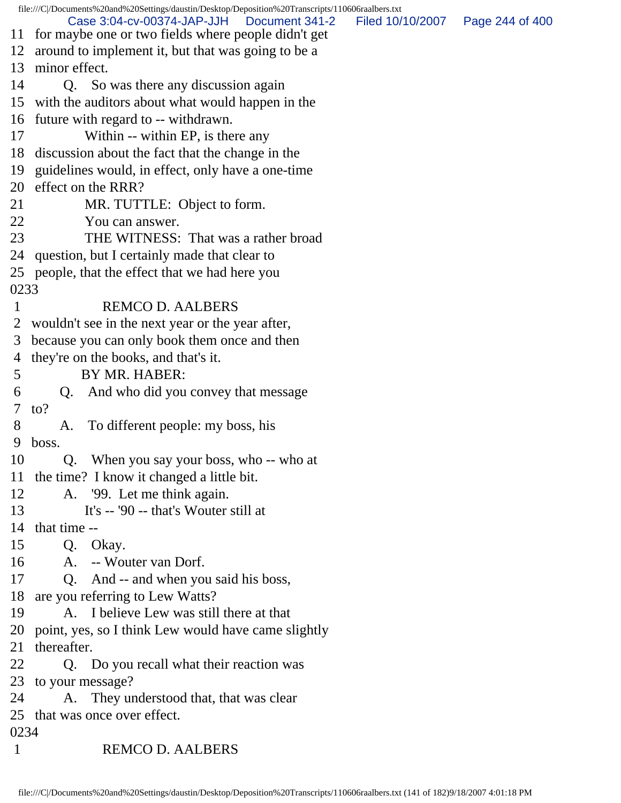|                       | file:///C /Documents%20and%20Settings/daustin/Desktop/Deposition%20Transcripts/110606raalbers.txt<br>Case 3:04-cv-00374-JAP-JJH<br>Document 341-2<br>11 for maybe one or two fields where people didn't get | Filed 10/10/2007  Page 244 of 400 |  |  |  |
|-----------------------|-------------------------------------------------------------------------------------------------------------------------------------------------------------------------------------------------------------|-----------------------------------|--|--|--|
|                       | 12 around to implement it, but that was going to be a                                                                                                                                                       |                                   |  |  |  |
| 13 minor effect.      |                                                                                                                                                                                                             |                                   |  |  |  |
| 14                    | Q. So was there any discussion again                                                                                                                                                                        |                                   |  |  |  |
|                       | 15 with the auditors about what would happen in the                                                                                                                                                         |                                   |  |  |  |
|                       | 16 future with regard to -- withdrawn.                                                                                                                                                                      |                                   |  |  |  |
| 17                    | Within -- within EP, is there any                                                                                                                                                                           |                                   |  |  |  |
|                       |                                                                                                                                                                                                             |                                   |  |  |  |
|                       | 18 discussion about the fact that the change in the                                                                                                                                                         |                                   |  |  |  |
|                       | 19 guidelines would, in effect, only have a one-time<br>effect on the RRR?                                                                                                                                  |                                   |  |  |  |
| 20                    |                                                                                                                                                                                                             |                                   |  |  |  |
| 21                    | MR. TUTTLE: Object to form.                                                                                                                                                                                 |                                   |  |  |  |
| 22                    | You can answer.                                                                                                                                                                                             |                                   |  |  |  |
| 23                    | THE WITNESS: That was a rather broad                                                                                                                                                                        |                                   |  |  |  |
|                       | 24 question, but I certainly made that clear to                                                                                                                                                             |                                   |  |  |  |
|                       | 25 people, that the effect that we had here you                                                                                                                                                             |                                   |  |  |  |
| 0233                  |                                                                                                                                                                                                             |                                   |  |  |  |
| $\mathbf{1}$          | <b>REMCO D. AALBERS</b>                                                                                                                                                                                     |                                   |  |  |  |
|                       | 2 wouldn't see in the next year or the year after,                                                                                                                                                          |                                   |  |  |  |
| 3                     | because you can only book them once and then                                                                                                                                                                |                                   |  |  |  |
| 4                     | they're on the books, and that's it.                                                                                                                                                                        |                                   |  |  |  |
| 5                     | BY MR. HABER:                                                                                                                                                                                               |                                   |  |  |  |
| 6<br>Q.               | And who did you convey that message                                                                                                                                                                         |                                   |  |  |  |
| 7<br>$\mathfrak{to}?$ |                                                                                                                                                                                                             |                                   |  |  |  |
| 8<br>A.               | To different people: my boss, his                                                                                                                                                                           |                                   |  |  |  |
| 9<br>boss.            |                                                                                                                                                                                                             |                                   |  |  |  |
| 10                    | Q. When you say your boss, who -- who at                                                                                                                                                                    |                                   |  |  |  |
|                       | 11 the time? I know it changed a little bit.                                                                                                                                                                |                                   |  |  |  |
| 12                    | A. '99. Let me think again.                                                                                                                                                                                 |                                   |  |  |  |
| 13                    | It's -- '90 -- that's Wouter still at                                                                                                                                                                       |                                   |  |  |  |
| 14 that time --       |                                                                                                                                                                                                             |                                   |  |  |  |
| 15                    | Q. Okay.                                                                                                                                                                                                    |                                   |  |  |  |
| 16                    | A. -- Wouter van Dorf.                                                                                                                                                                                      |                                   |  |  |  |
| 17                    | Q. And -- and when you said his boss,                                                                                                                                                                       |                                   |  |  |  |
|                       | 18 are you referring to Lew Watts?                                                                                                                                                                          |                                   |  |  |  |
| 19                    | A. I believe Lew was still there at that                                                                                                                                                                    |                                   |  |  |  |
|                       | 20 point, yes, so I think Lew would have came slightly                                                                                                                                                      |                                   |  |  |  |
| thereafter.<br>21     |                                                                                                                                                                                                             |                                   |  |  |  |
| 22                    | Q. Do you recall what their reaction was                                                                                                                                                                    |                                   |  |  |  |
|                       | 23 to your message?                                                                                                                                                                                         |                                   |  |  |  |
| 24                    | A. They understood that, that was clear                                                                                                                                                                     |                                   |  |  |  |
|                       | 25 that was once over effect.                                                                                                                                                                               |                                   |  |  |  |
| 0234                  |                                                                                                                                                                                                             |                                   |  |  |  |
| $\mathbf{1}$          | <b>REMCO D. AALBERS</b>                                                                                                                                                                                     |                                   |  |  |  |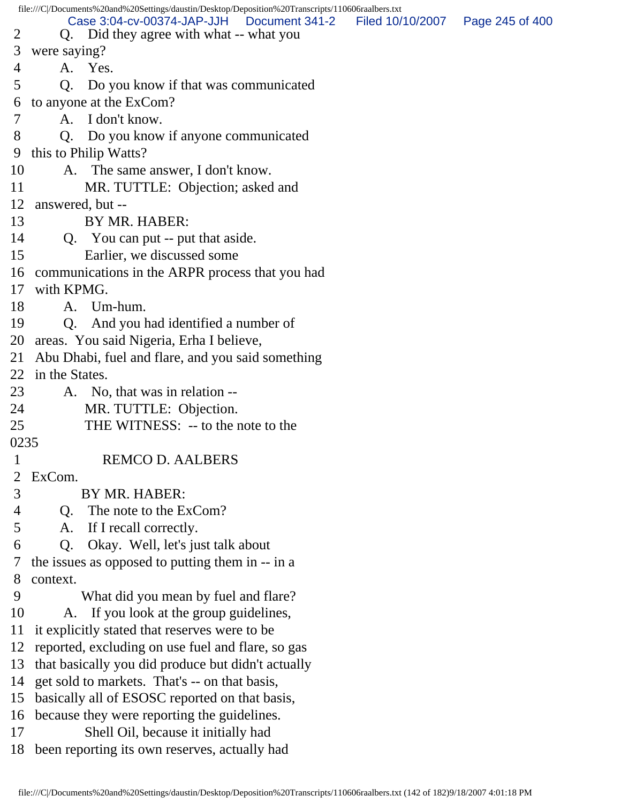file:///C|/Documents%20and%20Settings/daustin/Desktop/Deposition%20Transcripts/110606raalbers.txt 2 Q. Did they agree with what -- what you 3 were saying? 4 A. Yes. 5 Q. Do you know if that was communicated 6 to anyone at the ExCom? 7 A. I don't know. 8 Q. Do you know if anyone communicated 9 this to Philip Watts? 10 A. The same answer, I don't know. 11 MR. TUTTLE: Objection; asked and 12 answered, but -- 13 BY MR. HABER: 14 Q. You can put -- put that aside. 15 Earlier, we discussed some 16 communications in the ARPR process that you had 17 with KPMG. 18 A. Um-hum. 19 Q. And you had identified a number of 20 areas. You said Nigeria, Erha I believe, 21 Abu Dhabi, fuel and flare, and you said something 22 in the States. 23 A. No, that was in relation -- 24 MR. TUTTLE: Objection. 25 THE WITNESS: -- to the note to the 0235 1 REMCO D. AALBERS 2 ExCom. 3 BY MR. HABER: 4 Q. The note to the ExCom? 5 A. If I recall correctly. 6 Q. Okay. Well, let's just talk about 7 the issues as opposed to putting them in -- in a 8 context. 9 What did you mean by fuel and flare? 10 A. If you look at the group guidelines, 11 it explicitly stated that reserves were to be 12 reported, excluding on use fuel and flare, so gas 13 that basically you did produce but didn't actually 14 get sold to markets. That's -- on that basis, 15 basically all of ESOSC reported on that basis, 16 because they were reporting the guidelines. 17 Shell Oil, because it initially had 18 been reporting its own reserves, actually had Case 3:04-cv-00374-JAP-JJH Document 341-2 Filed 10/10/2007 Page 245 of 400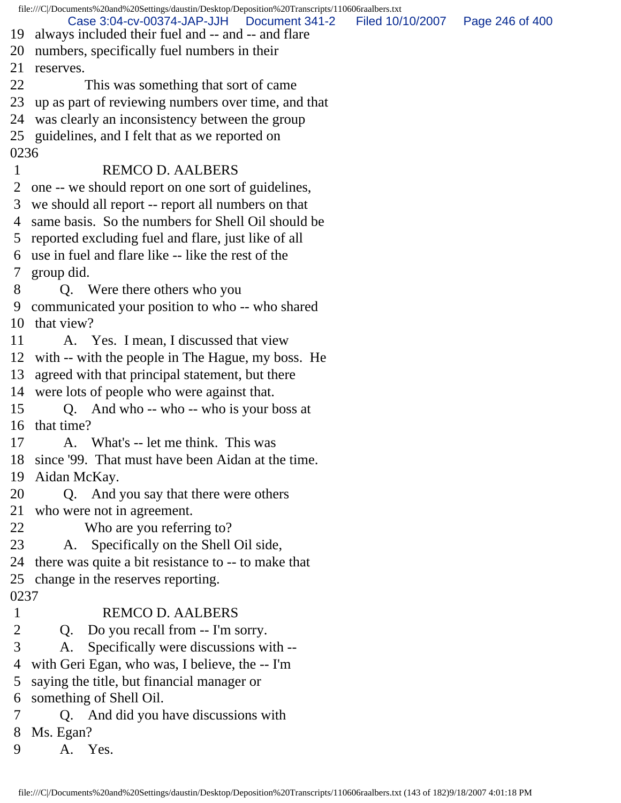|                | file:///C//Documents%20and%20Settings/daustin/Desktop/Deposition%20Transcripts/110606raalbers.txt  |                                   |  |
|----------------|----------------------------------------------------------------------------------------------------|-----------------------------------|--|
| 19             | Case 3:04-cv-00374-JAP-JJH<br>Document 341-2<br>always included their fuel and -- and -- and flare | Filed 10/10/2007  Page 246 of 400 |  |
| 20             | numbers, specifically fuel numbers in their                                                        |                                   |  |
| 21             | reserves.                                                                                          |                                   |  |
| 22             | This was something that sort of came                                                               |                                   |  |
| 23             | up as part of reviewing numbers over time, and that                                                |                                   |  |
| 24             | was clearly an inconsistency between the group                                                     |                                   |  |
|                | 25 guidelines, and I felt that as we reported on                                                   |                                   |  |
| 0236           |                                                                                                    |                                   |  |
| $\mathbf 1$    | <b>REMCO D. AALBERS</b>                                                                            |                                   |  |
| $\overline{2}$ | one -- we should report on one sort of guidelines,                                                 |                                   |  |
| 3              | we should all report -- report all numbers on that                                                 |                                   |  |
|                | 4 same basis. So the numbers for Shell Oil should be                                               |                                   |  |
|                | 5 reported excluding fuel and flare, just like of all                                              |                                   |  |
|                | 6 use in fuel and flare like -- like the rest of the                                               |                                   |  |
| 7 <sup>1</sup> | group did.                                                                                         |                                   |  |
| 8              | Q. Were there others who you                                                                       |                                   |  |
| 9              | communicated your position to who -- who shared                                                    |                                   |  |
|                | 10 that view?                                                                                      |                                   |  |
| 11             | A. Yes. I mean, I discussed that view                                                              |                                   |  |
|                | 12 with -- with the people in The Hague, my boss. He                                               |                                   |  |
| 13             | agreed with that principal statement, but there                                                    |                                   |  |
|                | 14 were lots of people who were against that.                                                      |                                   |  |
| 15             | Q. And who -- who -- who is your boss at                                                           |                                   |  |
|                | 16 that time?                                                                                      |                                   |  |
| 17             | A. What's -- let me think. This was                                                                |                                   |  |
|                | 18 since '99. That must have been Aidan at the time.                                               |                                   |  |
| 19             | Aidan McKay.                                                                                       |                                   |  |
| 20             | Q. And you say that there were others                                                              |                                   |  |
| 21             | who were not in agreement.                                                                         |                                   |  |
| 22             | Who are you referring to?                                                                          |                                   |  |
| 23             | Specifically on the Shell Oil side,<br>A.                                                          |                                   |  |
| 24             | there was quite a bit resistance to -- to make that                                                |                                   |  |
|                | 25 change in the reserves reporting.                                                               |                                   |  |
| 0237           |                                                                                                    |                                   |  |
| $\mathbf{1}$   | <b>REMCO D. AALBERS</b>                                                                            |                                   |  |
| 2              | Do you recall from -- I'm sorry.<br>Q.                                                             |                                   |  |
| 3              | Specifically were discussions with --<br>A.                                                        |                                   |  |
| 4              | with Geri Egan, who was, I believe, the -- I'm                                                     |                                   |  |
| 5              | saying the title, but financial manager or                                                         |                                   |  |
| 6              | something of Shell Oil.                                                                            |                                   |  |
| 7              | Q. And did you have discussions with                                                               |                                   |  |
| 8              | Ms. Egan?                                                                                          |                                   |  |
| 9              | A. Yes.                                                                                            |                                   |  |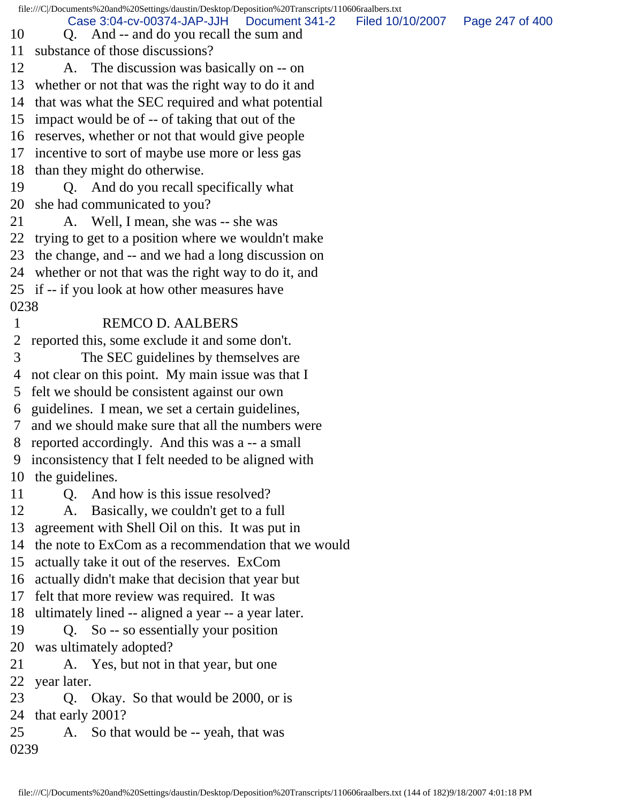file:///C|/Documents%20and%20Settings/daustin/Desktop/Deposition%20Transcripts/110606raalbers.txt 10 Q. And -- and do you recall the sum and 11 substance of those discussions? 12 A. The discussion was basically on -- on 13 whether or not that was the right way to do it and 14 that was what the SEC required and what potential 15 impact would be of -- of taking that out of the 16 reserves, whether or not that would give people 17 incentive to sort of maybe use more or less gas 18 than they might do otherwise. 19 Q. And do you recall specifically what 20 she had communicated to you? 21 A. Well, I mean, she was -- she was 22 trying to get to a position where we wouldn't make 23 the change, and -- and we had a long discussion on 24 whether or not that was the right way to do it, and 25 if -- if you look at how other measures have 0238 1 REMCO D. AALBERS 2 reported this, some exclude it and some don't. 3 The SEC guidelines by themselves are 4 not clear on this point. My main issue was that I 5 felt we should be consistent against our own 6 guidelines. I mean, we set a certain guidelines, 7 and we should make sure that all the numbers were 8 reported accordingly. And this was a -- a small 9 inconsistency that I felt needed to be aligned with 10 the guidelines. 11 Q. And how is this issue resolved? 12 A. Basically, we couldn't get to a full 13 agreement with Shell Oil on this. It was put in 14 the note to ExCom as a recommendation that we would 15 actually take it out of the reserves. ExCom 16 actually didn't make that decision that year but 17 felt that more review was required. It was 18 ultimately lined -- aligned a year -- a year later. 19 Q. So -- so essentially your position 20 was ultimately adopted? 21 A. Yes, but not in that year, but one 22 year later. 23 Q. Okay. So that would be 2000, or is 24 that early 2001? 25 A. So that would be -- yeah, that was 0239 Case 3:04-cv-00374-JAP-JJH Document 341-2 Filed 10/10/2007 Page 247 of 400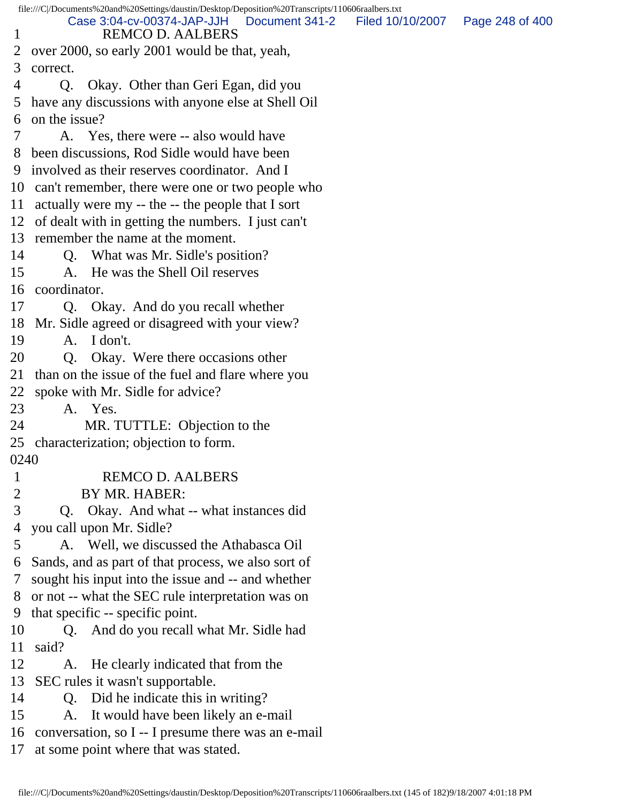file:///C|/Documents%20and%20Settings/daustin/Desktop/Deposition%20Transcripts/110606raalbers.txt 1 REMCO D. AALBERS 2 over 2000, so early 2001 would be that, yeah, 3 correct. 4 Q. Okay. Other than Geri Egan, did you 5 have any discussions with anyone else at Shell Oil 6 on the issue? 7 A. Yes, there were -- also would have 8 been discussions, Rod Sidle would have been 9 involved as their reserves coordinator. And I 10 can't remember, there were one or two people who 11 actually were my -- the -- the people that I sort 12 of dealt with in getting the numbers. I just can't 13 remember the name at the moment. 14 Q. What was Mr. Sidle's position? 15 A. He was the Shell Oil reserves 16 coordinator. 17 Q. Okay. And do you recall whether 18 Mr. Sidle agreed or disagreed with your view? 19 A. I don't. 20 Q. Okay. Were there occasions other 21 than on the issue of the fuel and flare where you 22 spoke with Mr. Sidle for advice? 23 A. Yes. 24 MR. TUTTLE: Objection to the 25 characterization; objection to form. 0240 1 REMCO D. AALBERS 2 BY MR. HABER: 3 Q. Okay. And what -- what instances did 4 you call upon Mr. Sidle? 5 A. Well, we discussed the Athabasca Oil 6 Sands, and as part of that process, we also sort of 7 sought his input into the issue and -- and whether 8 or not -- what the SEC rule interpretation was on 9 that specific -- specific point. 10 Q. And do you recall what Mr. Sidle had 11 said? 12 A. He clearly indicated that from the 13 SEC rules it wasn't supportable. 14 Q. Did he indicate this in writing? 15 A. It would have been likely an e-mail 16 conversation, so I -- I presume there was an e-mail 17 at some point where that was stated. Case 3:04-cv-00374-JAP-JJH Document 341-2 Filed 10/10/2007 Page 248 of 400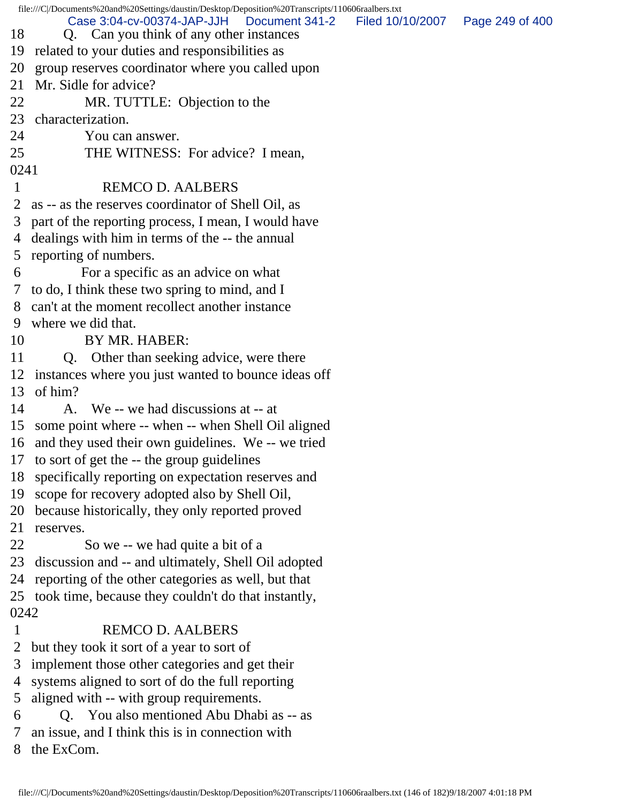file:///C|/Documents%20and%20Settings/daustin/Desktop/Deposition%20Transcripts/110606raalbers.txt 18 Q. Can you think of any other instances 19 related to your duties and responsibilities as 20 group reserves coordinator where you called upon 21 Mr. Sidle for advice? 22 MR. TUTTLE: Objection to the 23 characterization. 24 You can answer. 25 THE WITNESS: For advice? I mean, 0241 1 REMCO D. AALBERS 2 as -- as the reserves coordinator of Shell Oil, as 3 part of the reporting process, I mean, I would have 4 dealings with him in terms of the -- the annual 5 reporting of numbers. 6 For a specific as an advice on what 7 to do, I think these two spring to mind, and I 8 can't at the moment recollect another instance 9 where we did that. 10 BY MR. HABER: 11 Q. Other than seeking advice, were there 12 instances where you just wanted to bounce ideas off 13 of him? 14 A. We -- we had discussions at -- at 15 some point where -- when -- when Shell Oil aligned 16 and they used their own guidelines. We -- we tried 17 to sort of get the -- the group guidelines 18 specifically reporting on expectation reserves and 19 scope for recovery adopted also by Shell Oil, 20 because historically, they only reported proved 21 reserves. 22 So we -- we had quite a bit of a 23 discussion and -- and ultimately, Shell Oil adopted 24 reporting of the other categories as well, but that 25 took time, because they couldn't do that instantly, 0242 1 REMCO D. AALBERS 2 but they took it sort of a year to sort of 3 implement those other categories and get their 4 systems aligned to sort of do the full reporting 5 aligned with -- with group requirements. 6 Q. You also mentioned Abu Dhabi as -- as 7 an issue, and I think this is in connection with 8 the ExCom. Case 3:04-cv-00374-JAP-JJH Document 341-2 Filed 10/10/2007 Page 249 of 400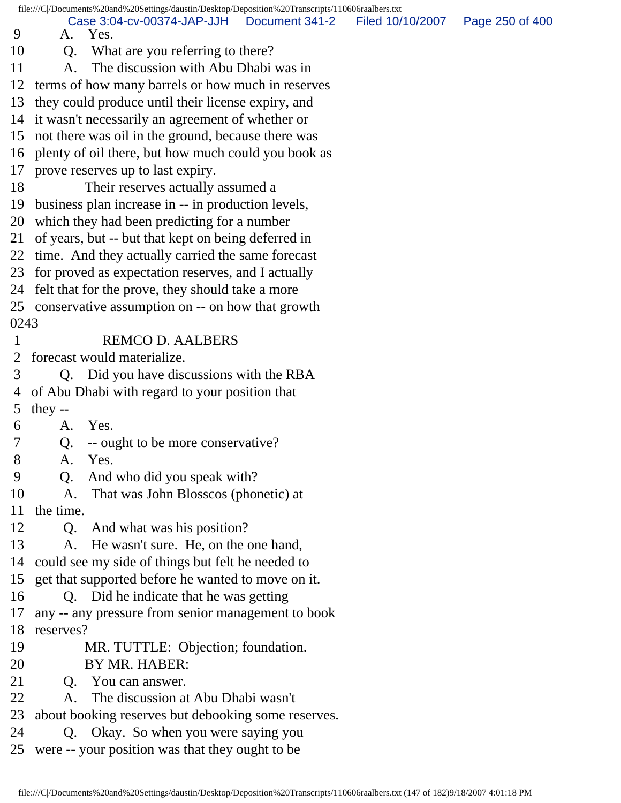|      | file:///C /Documents%20and%20Settings/daustin/Desktop/Deposition%20Transcripts/110606raalbers.txt |                |                  |                 |  |
|------|---------------------------------------------------------------------------------------------------|----------------|------------------|-----------------|--|
| 9    | Case 3:04-cv-00374-JAP-JJH<br>A. Yes.                                                             | Document 341-2 | Filed 10/10/2007 | Page 250 of 400 |  |
| 10   | What are you referring to there?<br>Q.                                                            |                |                  |                 |  |
| 11   | The discussion with Abu Dhabi was in<br>A.                                                        |                |                  |                 |  |
| 12   | terms of how many barrels or how much in reserves                                                 |                |                  |                 |  |
| 13   | they could produce until their license expiry, and                                                |                |                  |                 |  |
| 14   | it wasn't necessarily an agreement of whether or                                                  |                |                  |                 |  |
|      | 15 not there was oil in the ground, because there was                                             |                |                  |                 |  |
| 16   | plenty of oil there, but how much could you book as                                               |                |                  |                 |  |
| 17   | prove reserves up to last expiry.                                                                 |                |                  |                 |  |
| 18   | Their reserves actually assumed a                                                                 |                |                  |                 |  |
| 19   | business plan increase in -- in production levels,                                                |                |                  |                 |  |
| 20   | which they had been predicting for a number                                                       |                |                  |                 |  |
| 21   | of years, but -- but that kept on being deferred in                                               |                |                  |                 |  |
| 22   | time. And they actually carried the same forecast                                                 |                |                  |                 |  |
| 23   | for proved as expectation reserves, and I actually                                                |                |                  |                 |  |
| 24   | felt that for the prove, they should take a more                                                  |                |                  |                 |  |
|      | 25 conservative assumption on -- on how that growth                                               |                |                  |                 |  |
| 0243 |                                                                                                   |                |                  |                 |  |
| 1    | <b>REMCO D. AALBERS</b>                                                                           |                |                  |                 |  |
| 2    | forecast would materialize.                                                                       |                |                  |                 |  |
| 3    | Q. Did you have discussions with the RBA                                                          |                |                  |                 |  |
| 4    | of Abu Dhabi with regard to your position that                                                    |                |                  |                 |  |
| 5    | they $-$                                                                                          |                |                  |                 |  |
| 6    | Yes.<br>A.                                                                                        |                |                  |                 |  |
| 7    | -- ought to be more conservative?<br>Q.                                                           |                |                  |                 |  |
| 8    | Yes.<br>A.                                                                                        |                |                  |                 |  |
| 9    | And who did you speak with?<br>Q <sub>1</sub>                                                     |                |                  |                 |  |
| 10   | That was John Blosscos (phonetic) at<br>A.                                                        |                |                  |                 |  |
| 11   | the time.                                                                                         |                |                  |                 |  |
| 12   | And what was his position?<br>$Q_{\cdot}$                                                         |                |                  |                 |  |
| 13   | He wasn't sure. He, on the one hand,<br>A.                                                        |                |                  |                 |  |
| 14   | could see my side of things but felt he needed to                                                 |                |                  |                 |  |
| 15   | get that supported before he wanted to move on it.                                                |                |                  |                 |  |
| 16   | Q. Did he indicate that he was getting                                                            |                |                  |                 |  |
| 17   | any -- any pressure from senior management to book                                                |                |                  |                 |  |
| 18   | reserves?                                                                                         |                |                  |                 |  |
| 19   | MR. TUTTLE: Objection; foundation.                                                                |                |                  |                 |  |
| 20   | BY MR. HABER:                                                                                     |                |                  |                 |  |
| 21   | You can answer.<br>Q <sub>r</sub>                                                                 |                |                  |                 |  |
| 22   | The discussion at Abu Dhabi wasn't<br>A.                                                          |                |                  |                 |  |
| 23   | about booking reserves but debooking some reserves.                                               |                |                  |                 |  |
| 24   | Q. Okay. So when you were saying you                                                              |                |                  |                 |  |
| 25   | were -- your position was that they ought to be                                                   |                |                  |                 |  |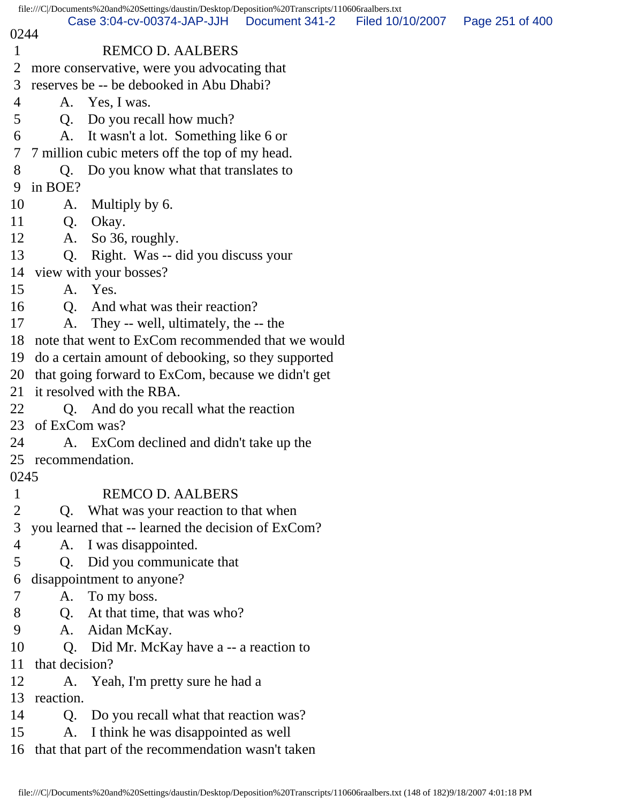|              |                    | file:///C /Documents%20and%20Settings/daustin/Desktop/Deposition%20Transcripts/110606raalbers.txt |                |                  |                 |
|--------------|--------------------|---------------------------------------------------------------------------------------------------|----------------|------------------|-----------------|
| 0244         |                    | Case 3:04-cv-00374-JAP-JJH                                                                        | Document 341-2 | Filed 10/10/2007 | Page 251 of 400 |
| $\mathbf{1}$ |                    | <b>REMCO D. AALBERS</b>                                                                           |                |                  |                 |
| 2            |                    | more conservative, were you advocating that                                                       |                |                  |                 |
| 3            |                    | reserves be -- be debooked in Abu Dhabi?                                                          |                |                  |                 |
| 4            |                    | A. Yes, I was.                                                                                    |                |                  |                 |
| 5            |                    | Q. Do you recall how much?                                                                        |                |                  |                 |
| 6            | A.                 | It wasn't a lot. Something like 6 or                                                              |                |                  |                 |
| 7            |                    | 7 million cubic meters off the top of my head.                                                    |                |                  |                 |
| 8            | Q.                 | Do you know what that translates to                                                               |                |                  |                 |
| 9            | in BOE?            |                                                                                                   |                |                  |                 |
| 10           | A.                 | Multiply by 6.                                                                                    |                |                  |                 |
| 11           | Q.                 | Okay.                                                                                             |                |                  |                 |
| 12           | A.                 | So 36, roughly.                                                                                   |                |                  |                 |
| 13           | Q.                 | Right. Was -- did you discuss your                                                                |                |                  |                 |
| 14           |                    | view with your bosses?                                                                            |                |                  |                 |
| 15           |                    | A. Yes.                                                                                           |                |                  |                 |
| 16           | Q <sub>1</sub>     | And what was their reaction?                                                                      |                |                  |                 |
| 17           | A.                 | They -- well, ultimately, the -- the                                                              |                |                  |                 |
| 18           |                    | note that went to ExCom recommended that we would                                                 |                |                  |                 |
| 19           |                    | do a certain amount of debooking, so they supported                                               |                |                  |                 |
| 20           |                    | that going forward to ExCom, because we didn't get                                                |                |                  |                 |
| 21           |                    | it resolved with the RBA.                                                                         |                |                  |                 |
| 22           |                    | Q. And do you recall what the reaction                                                            |                |                  |                 |
| 23           | of ExCom was?      |                                                                                                   |                |                  |                 |
| 24           |                    | A. ExCom declined and didn't take up the                                                          |                |                  |                 |
|              | 25 recommendation. |                                                                                                   |                |                  |                 |
| 0245         |                    |                                                                                                   |                |                  |                 |
| $\mathbf{1}$ |                    | <b>REMCO D. AALBERS</b>                                                                           |                |                  |                 |
| 2            | Q.                 | What was your reaction to that when                                                               |                |                  |                 |
| 3            |                    | you learned that -- learned the decision of ExCom?                                                |                |                  |                 |
| 4            | A.                 | I was disappointed.                                                                               |                |                  |                 |
| 5            | Q.                 | Did you communicate that                                                                          |                |                  |                 |
| 6            |                    | disappointment to anyone?                                                                         |                |                  |                 |
| 7            | A.                 | To my boss.                                                                                       |                |                  |                 |
| 8            | Q.                 | At that time, that was who?                                                                       |                |                  |                 |
| 9            | A.                 | Aidan McKay.                                                                                      |                |                  |                 |
| 10           | $Q_{\cdot}$        | Did Mr. McKay have a -- a reaction to                                                             |                |                  |                 |
| 11           | that decision?     |                                                                                                   |                |                  |                 |
| 12           | A.                 | Yeah, I'm pretty sure he had a                                                                    |                |                  |                 |
| 13           | reaction.          |                                                                                                   |                |                  |                 |
| 14           | Q.                 | Do you recall what that reaction was?                                                             |                |                  |                 |
| 15           |                    | A. I think he was disappointed as well                                                            |                |                  |                 |
| 16           |                    | that that part of the recommendation wasn't taken                                                 |                |                  |                 |
|              |                    |                                                                                                   |                |                  |                 |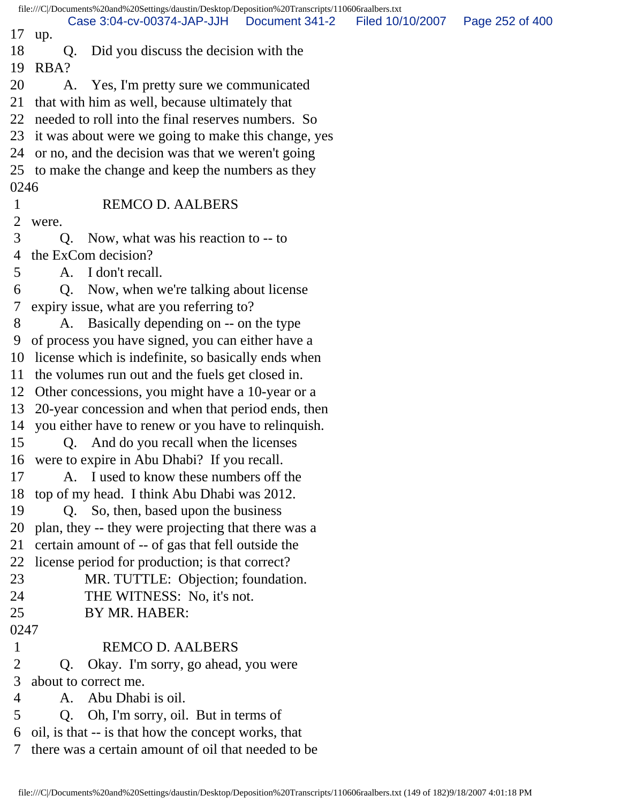file:///C|/Documents%20and%20Settings/daustin/Desktop/Deposition%20Transcripts/110606raalbers.txt 17 up. 18 Q. Did you discuss the decision with the 19 RBA? 20 A. Yes, I'm pretty sure we communicated 21 that with him as well, because ultimately that 22 needed to roll into the final reserves numbers. So 23 it was about were we going to make this change, yes 24 or no, and the decision was that we weren't going 25 to make the change and keep the numbers as they 0246 1 REMCO D. AALBERS 2 were. 3 Q. Now, what was his reaction to -- to 4 the ExCom decision? 5 A. I don't recall. 6 Q. Now, when we're talking about license 7 expiry issue, what are you referring to? 8 A. Basically depending on -- on the type 9 of process you have signed, you can either have a 10 license which is indefinite, so basically ends when 11 the volumes run out and the fuels get closed in. 12 Other concessions, you might have a 10-year or a 13 20-year concession and when that period ends, then 14 you either have to renew or you have to relinquish. 15 Q. And do you recall when the licenses 16 were to expire in Abu Dhabi? If you recall. 17 A. I used to know these numbers off the 18 top of my head. I think Abu Dhabi was 2012. 19 Q. So, then, based upon the business 20 plan, they -- they were projecting that there was a 21 certain amount of -- of gas that fell outside the 22 license period for production; is that correct? 23 MR. TUTTLE: Objection; foundation. 24 THE WITNESS: No, it's not. 25 BY MR. HABER: 0247 1 REMCO D. AALBERS 2 Q. Okay. I'm sorry, go ahead, you were 3 about to correct me. 4 A. Abu Dhabi is oil. 5 Q. Oh, I'm sorry, oil. But in terms of 6 oil, is that -- is that how the concept works, that 7 there was a certain amount of oil that needed to be Case 3:04-cv-00374-JAP-JJH Document 341-2 Filed 10/10/2007 Page 252 of 400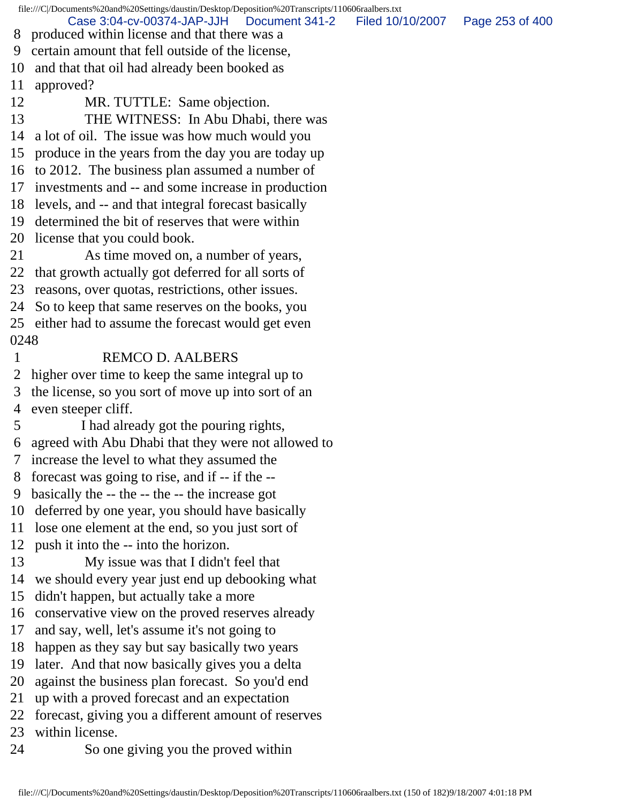file:///C|/Documents%20and%20Settings/daustin/Desktop/Deposition%20Transcripts/110606raalbers.txt 8 produced within license and that there was a 9 certain amount that fell outside of the license, 10 and that that oil had already been booked as 11 approved? 12 MR. TUTTLE: Same objection. 13 THE WITNESS: In Abu Dhabi, there was 14 a lot of oil. The issue was how much would you 15 produce in the years from the day you are today up 16 to 2012. The business plan assumed a number of 17 investments and -- and some increase in production 18 levels, and -- and that integral forecast basically 19 determined the bit of reserves that were within 20 license that you could book. 21 As time moved on, a number of years, 22 that growth actually got deferred for all sorts of 23 reasons, over quotas, restrictions, other issues. 24 So to keep that same reserves on the books, you 25 either had to assume the forecast would get even 0248 1 REMCO D. AALBERS 2 higher over time to keep the same integral up to 3 the license, so you sort of move up into sort of an 4 even steeper cliff. 5 I had already got the pouring rights, 6 agreed with Abu Dhabi that they were not allowed to 7 increase the level to what they assumed the 8 forecast was going to rise, and if -- if the -- 9 basically the -- the -- the -- the increase got 10 deferred by one year, you should have basically 11 lose one element at the end, so you just sort of 12 push it into the -- into the horizon. 13 My issue was that I didn't feel that 14 we should every year just end up debooking what 15 didn't happen, but actually take a more 16 conservative view on the proved reserves already 17 and say, well, let's assume it's not going to 18 happen as they say but say basically two years 19 later. And that now basically gives you a delta 20 against the business plan forecast. So you'd end 21 up with a proved forecast and an expectation 22 forecast, giving you a different amount of reserves 23 within license. 24 So one giving you the proved within Case 3:04-cv-00374-JAP-JJH Document 341-2 Filed 10/10/2007 Page 253 of 400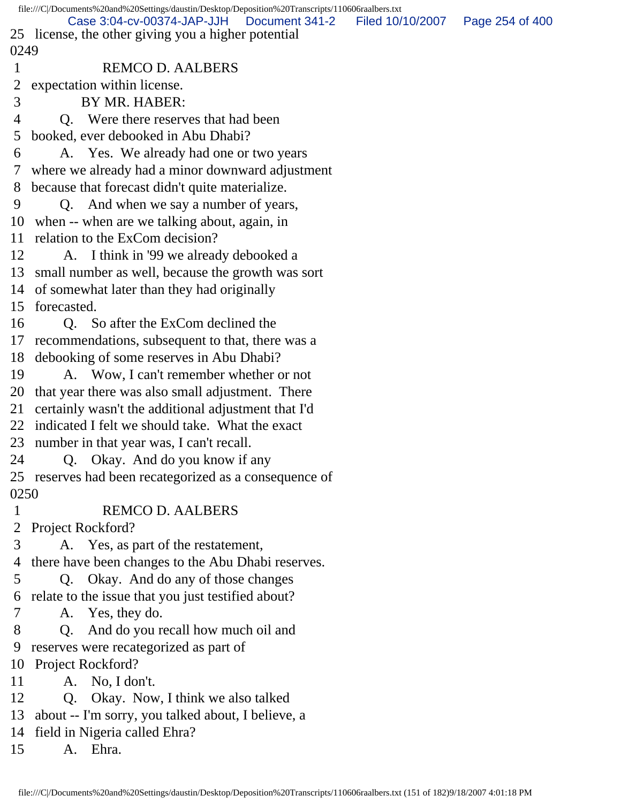|                | file:///C /Documents%20and%20Settings/daustin/Desktop/Deposition%20Transcripts/110606raalbers.txt   |                  |                 |
|----------------|-----------------------------------------------------------------------------------------------------|------------------|-----------------|
|                | Case 3:04-cv-00374-JAP-JJH<br>Document 341-2<br>25 license, the other giving you a higher potential | Filed 10/10/2007 | Page 254 of 400 |
| 0249           |                                                                                                     |                  |                 |
| $\mathbf 1$    | <b>REMCO D. AALBERS</b>                                                                             |                  |                 |
|                |                                                                                                     |                  |                 |
| $\overline{2}$ | expectation within license.                                                                         |                  |                 |
| 3              | BY MR. HABER:                                                                                       |                  |                 |
| 4              | Q. Were there reserves that had been                                                                |                  |                 |
| 5              | booked, ever debooked in Abu Dhabi?                                                                 |                  |                 |
| 6              | A. Yes. We already had one or two years                                                             |                  |                 |
| 7 <sup>7</sup> | where we already had a minor downward adjustment                                                    |                  |                 |
| 8              | because that forecast didn't quite materialize.                                                     |                  |                 |
| 9              | Q. And when we say a number of years,                                                               |                  |                 |
| 10             | when -- when are we talking about, again, in                                                        |                  |                 |
|                | 11 relation to the ExCom decision?                                                                  |                  |                 |
| 12             | A. I think in '99 we already debooked a                                                             |                  |                 |
|                | 13 small number as well, because the growth was sort                                                |                  |                 |
|                | 14 of somewhat later than they had originally                                                       |                  |                 |
|                | 15 forecasted.                                                                                      |                  |                 |
| 16             | Q. So after the ExCom declined the                                                                  |                  |                 |
|                | 17 recommendations, subsequent to that, there was a                                                 |                  |                 |
|                | 18 debooking of some reserves in Abu Dhabi?                                                         |                  |                 |
| 19             | A. Wow, I can't remember whether or not                                                             |                  |                 |
| 20             | that year there was also small adjustment. There                                                    |                  |                 |
| 21             | certainly wasn't the additional adjustment that I'd                                                 |                  |                 |
|                | 22 indicated I felt we should take. What the exact                                                  |                  |                 |
|                | 23 number in that year was, I can't recall.                                                         |                  |                 |
| 24             | Q. Okay. And do you know if any                                                                     |                  |                 |
|                | 25 reserves had been recategorized as a consequence of                                              |                  |                 |
| 0250           |                                                                                                     |                  |                 |
| $\mathbf 1$    | <b>REMCO D. AALBERS</b>                                                                             |                  |                 |
| 2              | Project Rockford?                                                                                   |                  |                 |
| 3              | A. Yes, as part of the restatement,                                                                 |                  |                 |
| 4              | there have been changes to the Abu Dhabi reserves.                                                  |                  |                 |
| 5              | Q. Okay. And do any of those changes                                                                |                  |                 |
| 6              | relate to the issue that you just testified about?                                                  |                  |                 |
| 7              | A. Yes, they do.                                                                                    |                  |                 |
| 8              | And do you recall how much oil and<br>Q.                                                            |                  |                 |
| 9              | reserves were recategorized as part of                                                              |                  |                 |
| 10             | Project Rockford?                                                                                   |                  |                 |
| 11             | A. No, I don't.                                                                                     |                  |                 |
| 12             | Q. Okay. Now, I think we also talked                                                                |                  |                 |
| 13             | about -- I'm sorry, you talked about, I believe, a                                                  |                  |                 |
|                | 14 field in Nigeria called Ehra?                                                                    |                  |                 |
| 15             | A. Ehra.                                                                                            |                  |                 |
|                |                                                                                                     |                  |                 |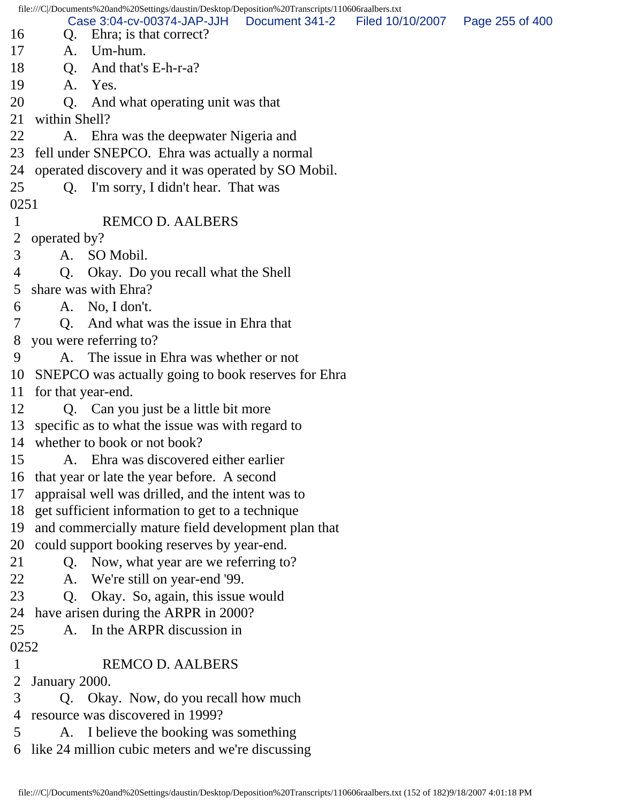file:///C|/Documents%20and%20Settings/daustin/Desktop/Deposition%20Transcripts/110606raalbers.txt 16 Q. Ehra; is that correct? 17 A. Um-hum. 18 O. And that's E-h-r-a? 19 A. Yes. 20 Q. And what operating unit was that 21 within Shell? 22 A. Ehra was the deepwater Nigeria and 23 fell under SNEPCO. Ehra was actually a normal 24 operated discovery and it was operated by SO Mobil. 25 Q. I'm sorry, I didn't hear. That was 0251 1 REMCO D. AALBERS 2 operated by? 3 A. SO Mobil. 4 Q. Okay. Do you recall what the Shell 5 share was with Ehra? 6 A. No, I don't. 7 Q. And what was the issue in Ehra that 8 you were referring to? 9 A. The issue in Ehra was whether or not 10 SNEPCO was actually going to book reserves for Ehra 11 for that year-end. 12 Q. Can you just be a little bit more 13 specific as to what the issue was with regard to 14 whether to book or not book? 15 A. Ehra was discovered either earlier 16 that year or late the year before. A second 17 appraisal well was drilled, and the intent was to 18 get sufficient information to get to a technique 19 and commercially mature field development plan that 20 could support booking reserves by year-end. 21 Q. Now, what year are we referring to? 22 A. We're still on year-end '99. 23 Q. Okay. So, again, this issue would 24 have arisen during the ARPR in 2000? 25 A. In the ARPR discussion in 0252 1 REMCO D. AALBERS 2 January 2000. 3 Q. Okay. Now, do you recall how much 4 resource was discovered in 1999? 5 A. I believe the booking was something 6 like 24 million cubic meters and we're discussing Case 3:04-cv-00374-JAP-JJH Document 341-2 Filed 10/10/2007 Page 255 of 400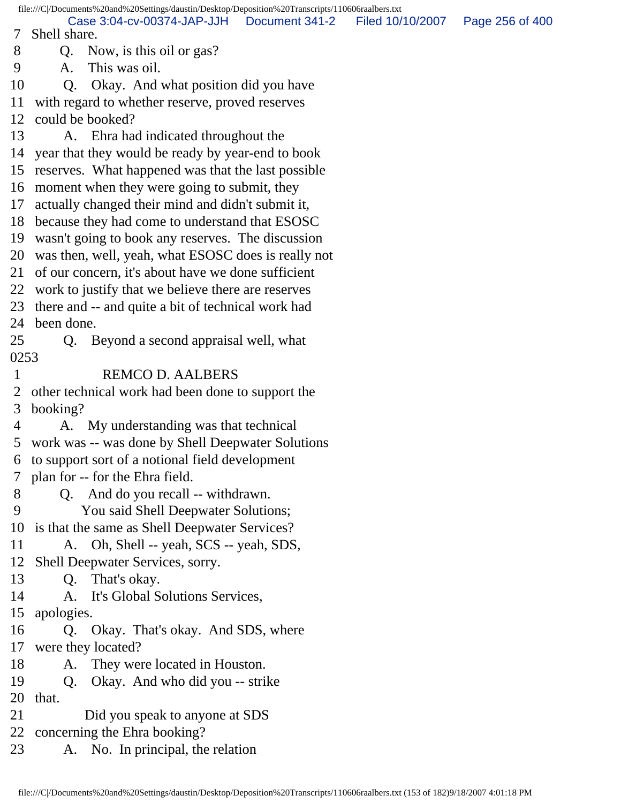file:///C|/Documents%20and%20Settings/daustin/Desktop/Deposition%20Transcripts/110606raalbers.txt 7 Shell share. 8 Q. Now, is this oil or gas? 9 A. This was oil. 10 Q. Okay. And what position did you have 11 with regard to whether reserve, proved reserves 12 could be booked? 13 A. Ehra had indicated throughout the 14 year that they would be ready by year-end to book 15 reserves. What happened was that the last possible 16 moment when they were going to submit, they 17 actually changed their mind and didn't submit it, 18 because they had come to understand that ESOSC 19 wasn't going to book any reserves. The discussion 20 was then, well, yeah, what ESOSC does is really not 21 of our concern, it's about have we done sufficient 22 work to justify that we believe there are reserves 23 there and -- and quite a bit of technical work had 24 been done. 25 Q. Beyond a second appraisal well, what 0253 1 REMCO D. AALBERS 2 other technical work had been done to support the 3 booking? 4 A. My understanding was that technical 5 work was -- was done by Shell Deepwater Solutions 6 to support sort of a notional field development 7 plan for -- for the Ehra field. 8 Q. And do you recall -- withdrawn. 9 You said Shell Deepwater Solutions; 10 is that the same as Shell Deepwater Services? 11 A. Oh, Shell -- yeah, SCS -- yeah, SDS, 12 Shell Deepwater Services, sorry. 13 Q. That's okay. 14 A. It's Global Solutions Services, 15 apologies. 16 Q. Okay. That's okay. And SDS, where 17 were they located? 18 A. They were located in Houston. 19 Q. Okay. And who did you -- strike 20 that. 21 Did you speak to anyone at SDS 22 concerning the Ehra booking? 23 A. No. In principal, the relation Case 3:04-cv-00374-JAP-JJH Document 341-2 Filed 10/10/2007 Page 256 of 400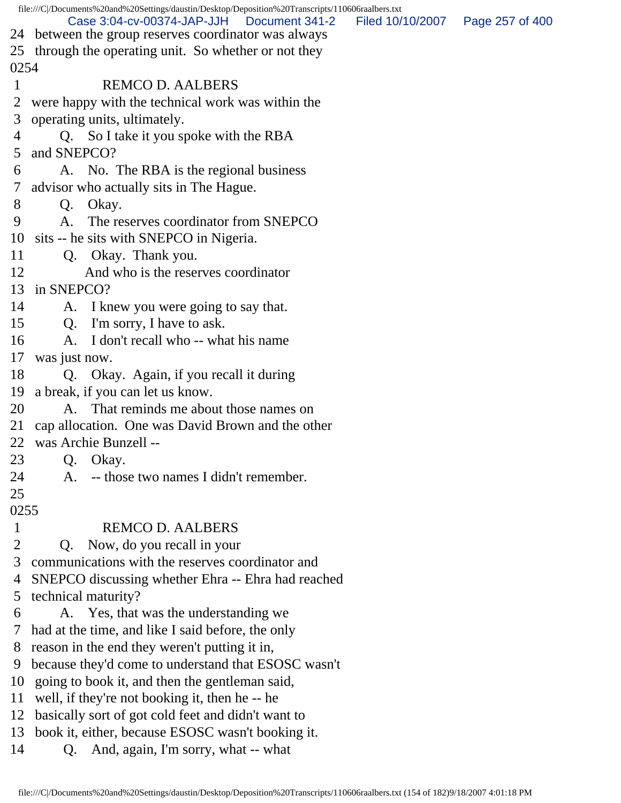|                | file:///C /Documents%20and%20Settings/daustin/Desktop/Deposition%20Transcripts/110606raalbers.txt          |                  |                 |  |  |
|----------------|------------------------------------------------------------------------------------------------------------|------------------|-----------------|--|--|
|                | Case 3:04-cv-00374-JAP-JJH<br>Document 341-2                                                               | Filed 10/10/2007 | Page 257 of 400 |  |  |
| 25             | 24 between the group reserves coordinator was always<br>through the operating unit. So whether or not they |                  |                 |  |  |
| 0254           |                                                                                                            |                  |                 |  |  |
| 1              | <b>REMCO D. AALBERS</b>                                                                                    |                  |                 |  |  |
| 2              | were happy with the technical work was within the                                                          |                  |                 |  |  |
| 3              | operating units, ultimately.                                                                               |                  |                 |  |  |
| 4              | Q. So I take it you spoke with the RBA                                                                     |                  |                 |  |  |
| 5              | and SNEPCO?                                                                                                |                  |                 |  |  |
| 6              | A. No. The RBA is the regional business                                                                    |                  |                 |  |  |
| 7              | advisor who actually sits in The Hague.                                                                    |                  |                 |  |  |
| 8              | Okay.<br>Q.                                                                                                |                  |                 |  |  |
| 9              | The reserves coordinator from SNEPCO<br>A.                                                                 |                  |                 |  |  |
| 10             | sits -- he sits with SNEPCO in Nigeria.                                                                    |                  |                 |  |  |
| 11             | Q. Okay. Thank you.                                                                                        |                  |                 |  |  |
| 12             | And who is the reserves coordinator                                                                        |                  |                 |  |  |
| 13             | in SNEPCO?                                                                                                 |                  |                 |  |  |
| 14             | A. I knew you were going to say that.                                                                      |                  |                 |  |  |
| 15             | Q. I'm sorry, I have to ask.                                                                               |                  |                 |  |  |
| 16             | A. I don't recall who -- what his name                                                                     |                  |                 |  |  |
| 17             | was just now.                                                                                              |                  |                 |  |  |
| 18             | Q. Okay. Again, if you recall it during                                                                    |                  |                 |  |  |
| 19             | a break, if you can let us know.                                                                           |                  |                 |  |  |
| 20             | That reminds me about those names on<br>A.                                                                 |                  |                 |  |  |
| 21             | cap allocation. One was David Brown and the other                                                          |                  |                 |  |  |
| 22.            | was Archie Bunzell --                                                                                      |                  |                 |  |  |
| 23             | Okay.<br>Q.                                                                                                |                  |                 |  |  |
| 24             | -- those two names I didn't remember.<br>A.                                                                |                  |                 |  |  |
| 25             |                                                                                                            |                  |                 |  |  |
| 0255           |                                                                                                            |                  |                 |  |  |
| $\mathbf{1}$   | <b>REMCO D. AALBERS</b>                                                                                    |                  |                 |  |  |
| $\overline{2}$ | Now, do you recall in your<br>Q.                                                                           |                  |                 |  |  |
| 3              | communications with the reserves coordinator and                                                           |                  |                 |  |  |
| 4              | SNEPCO discussing whether Ehra -- Ehra had reached                                                         |                  |                 |  |  |
| 5              | technical maturity?                                                                                        |                  |                 |  |  |
| 6              | A. Yes, that was the understanding we                                                                      |                  |                 |  |  |
| 7              | had at the time, and like I said before, the only                                                          |                  |                 |  |  |
| 8              | reason in the end they weren't putting it in,                                                              |                  |                 |  |  |
| 9              | because they'd come to understand that ESOSC wasn't                                                        |                  |                 |  |  |
| 10             | going to book it, and then the gentleman said,                                                             |                  |                 |  |  |
| 11             | well, if they're not booking it, then he -- he                                                             |                  |                 |  |  |
| 12             | basically sort of got cold feet and didn't want to                                                         |                  |                 |  |  |
| 13             | book it, either, because ESOSC wasn't booking it.                                                          |                  |                 |  |  |
| 14             | And, again, I'm sorry, what -- what<br>Q.                                                                  |                  |                 |  |  |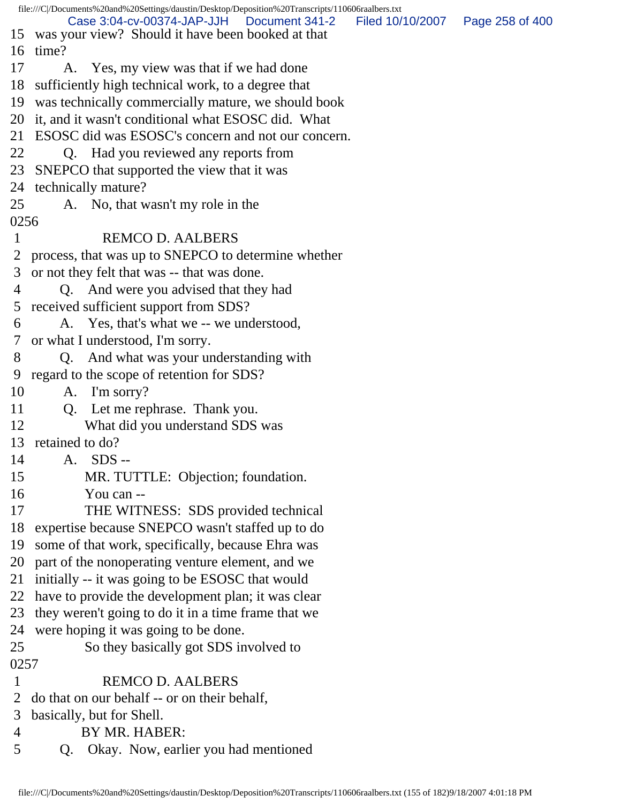|            | file:///C /Documents%20and%20Settings/daustin/Desktop/Deposition%20Transcripts/110606raalbers.txt         |                  |                 |
|------------|-----------------------------------------------------------------------------------------------------------|------------------|-----------------|
|            | Case 3:04-cv-00374-JAP-JJH<br>Document 341-2                                                              | Filed 10/10/2007 | Page 258 of 400 |
| 16         | 15 was your view? Should it have been booked at that<br>time?                                             |                  |                 |
| 17         | A. Yes, my view was that if we had done                                                                   |                  |                 |
| 18         | sufficiently high technical work, to a degree that                                                        |                  |                 |
| 19         |                                                                                                           |                  |                 |
| 20         | was technically commercially mature, we should book<br>it, and it wasn't conditional what ESOSC did. What |                  |                 |
|            | ESOSC did was ESOSC's concern and not our concern.                                                        |                  |                 |
| 21         |                                                                                                           |                  |                 |
| 22         | Q. Had you reviewed any reports from                                                                      |                  |                 |
| 23         | SNEPCO that supported the view that it was                                                                |                  |                 |
| 24         | technically mature?                                                                                       |                  |                 |
| 25<br>0256 | A. No, that wasn't my role in the                                                                         |                  |                 |
| 1          | <b>REMCO D. AALBERS</b>                                                                                   |                  |                 |
| 2          | process, that was up to SNEPCO to determine whether                                                       |                  |                 |
| 3          |                                                                                                           |                  |                 |
|            | or not they felt that was -- that was done.                                                               |                  |                 |
| 4          | Q. And were you advised that they had                                                                     |                  |                 |
| 5          | received sufficient support from SDS?                                                                     |                  |                 |
| 6          | A. Yes, that's what we -- we understood,                                                                  |                  |                 |
| 7          | or what I understood, I'm sorry.                                                                          |                  |                 |
| 8          | Q. And what was your understanding with                                                                   |                  |                 |
| 9          | regard to the scope of retention for SDS?                                                                 |                  |                 |
| 10         | A. I'm sorry?                                                                                             |                  |                 |
| 11         | Q. Let me rephrase. Thank you.                                                                            |                  |                 |
| 12         | What did you understand SDS was                                                                           |                  |                 |
| 13         | retained to do?                                                                                           |                  |                 |
| 14         | A. SDS --                                                                                                 |                  |                 |
| 15         | MR. TUTTLE: Objection; foundation.                                                                        |                  |                 |
| 16         | You can --                                                                                                |                  |                 |
| 17         | THE WITNESS: SDS provided technical                                                                       |                  |                 |
| 18         | expertise because SNEPCO wasn't staffed up to do                                                          |                  |                 |
| 19         | some of that work, specifically, because Ehra was                                                         |                  |                 |
| 20         | part of the nonoperating venture element, and we                                                          |                  |                 |
| 21         | initially -- it was going to be ESOSC that would                                                          |                  |                 |
| 22         | have to provide the development plan; it was clear                                                        |                  |                 |
| 23         | they weren't going to do it in a time frame that we                                                       |                  |                 |
| 24         | were hoping it was going to be done.                                                                      |                  |                 |
| 25         | So they basically got SDS involved to                                                                     |                  |                 |
| 0257       |                                                                                                           |                  |                 |
| 1          | <b>REMCO D. AALBERS</b>                                                                                   |                  |                 |
| 2          | do that on our behalf -- or on their behalf,                                                              |                  |                 |
| 3          | basically, but for Shell.                                                                                 |                  |                 |
| 4          | BY MR. HABER:                                                                                             |                  |                 |
| 5          | Okay. Now, earlier you had mentioned<br>Q.                                                                |                  |                 |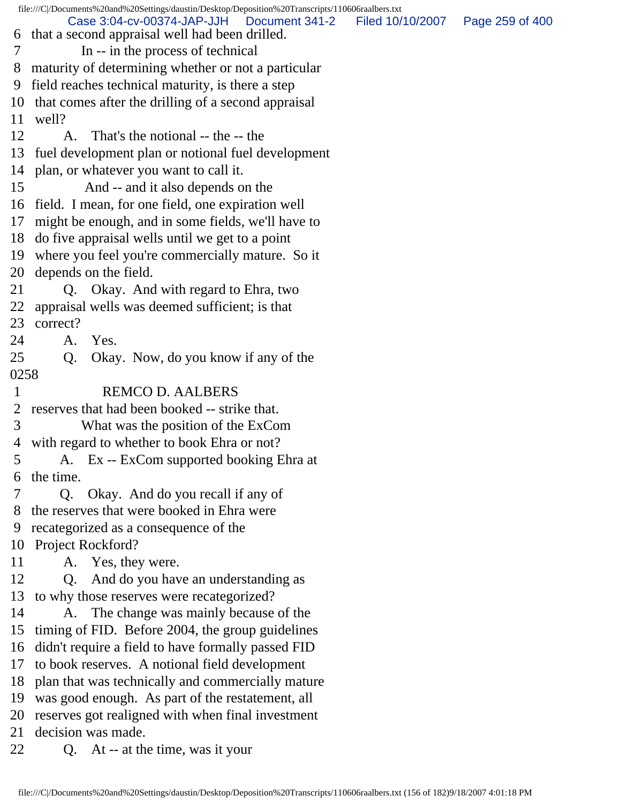file:///C|/Documents%20and%20Settings/daustin/Desktop/Deposition%20Transcripts/110606raalbers.txt 6 that a second appraisal well had been drilled. 7 In -- in the process of technical 8 maturity of determining whether or not a particular 9 field reaches technical maturity, is there a step 10 that comes after the drilling of a second appraisal 11 well? 12 A. That's the notional -- the -- the 13 fuel development plan or notional fuel development 14 plan, or whatever you want to call it. 15 And -- and it also depends on the 16 field. I mean, for one field, one expiration well 17 might be enough, and in some fields, we'll have to 18 do five appraisal wells until we get to a point 19 where you feel you're commercially mature. So it 20 depends on the field. 21 Q. Okay. And with regard to Ehra, two 22 appraisal wells was deemed sufficient; is that 23 correct? 24 A. Yes. 25 Q. Okay. Now, do you know if any of the 0258 1 REMCO D. AALBERS 2 reserves that had been booked -- strike that. 3 What was the position of the ExCom 4 with regard to whether to book Ehra or not? 5 A. Ex -- ExCom supported booking Ehra at 6 the time. 7 Q. Okay. And do you recall if any of 8 the reserves that were booked in Ehra were 9 recategorized as a consequence of the 10 Project Rockford? 11 A. Yes, they were. 12 Q. And do you have an understanding as 13 to why those reserves were recategorized? 14 A. The change was mainly because of the 15 timing of FID. Before 2004, the group guidelines 16 didn't require a field to have formally passed FID 17 to book reserves. A notional field development 18 plan that was technically and commercially mature 19 was good enough. As part of the restatement, all 20 reserves got realigned with when final investment 21 decision was made. 22 Q. At -- at the time, was it your Case 3:04-cv-00374-JAP-JJH Document 341-2 Filed 10/10/2007 Page 259 of 400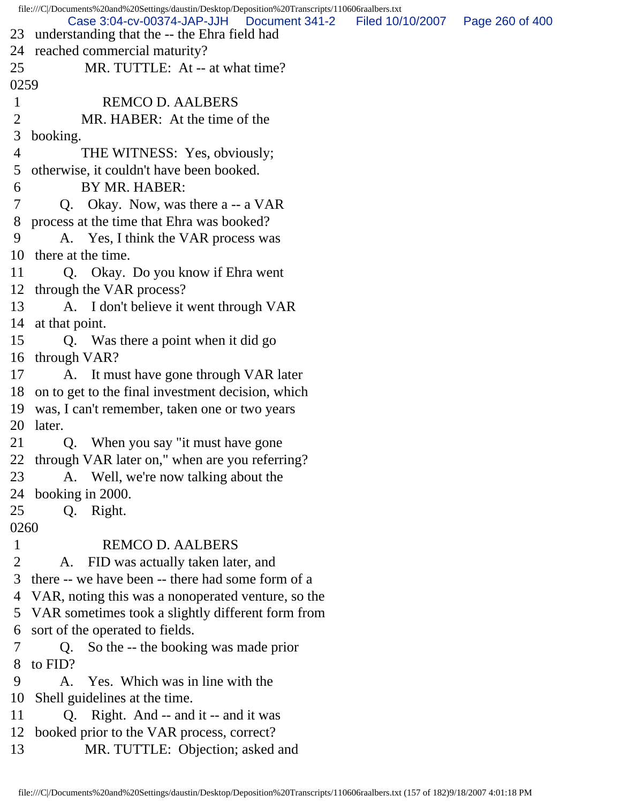file:///C|/Documents%20and%20Settings/daustin/Desktop/Deposition%20Transcripts/110606raalbers.txt 23 understanding that the -- the Ehra field had 24 reached commercial maturity? 25 MR. TUTTLE: At -- at what time? 0259 1 REMCO D. AALBERS 2 MR. HABER: At the time of the 3 booking. 4 THE WITNESS: Yes, obviously; 5 otherwise, it couldn't have been booked. 6 BY MR. HABER: 7 Q. Okay. Now, was there a -- a VAR 8 process at the time that Ehra was booked? 9 A. Yes, I think the VAR process was 10 there at the time. 11 Q. Okay. Do you know if Ehra went 12 through the VAR process? 13 A. I don't believe it went through VAR 14 at that point. 15 Q. Was there a point when it did go 16 through VAR? 17 A. It must have gone through VAR later 18 on to get to the final investment decision, which 19 was, I can't remember, taken one or two years 20 later. 21 Q. When you say "it must have gone 22 through VAR later on," when are you referring? 23 A. Well, we're now talking about the 24 booking in 2000. 25 Q. Right. 0260 1 REMCO D. AALBERS 2 A. FID was actually taken later, and 3 there -- we have been -- there had some form of a 4 VAR, noting this was a nonoperated venture, so the 5 VAR sometimes took a slightly different form from 6 sort of the operated to fields. 7 Q. So the -- the booking was made prior 8 to FID? 9 A. Yes. Which was in line with the 10 Shell guidelines at the time. 11 Q. Right. And -- and it -- and it was 12 booked prior to the VAR process, correct? 13 MR. TUTTLE: Objection; asked and Case 3:04-cv-00374-JAP-JJH Document 341-2 Filed 10/10/2007 Page 260 of 400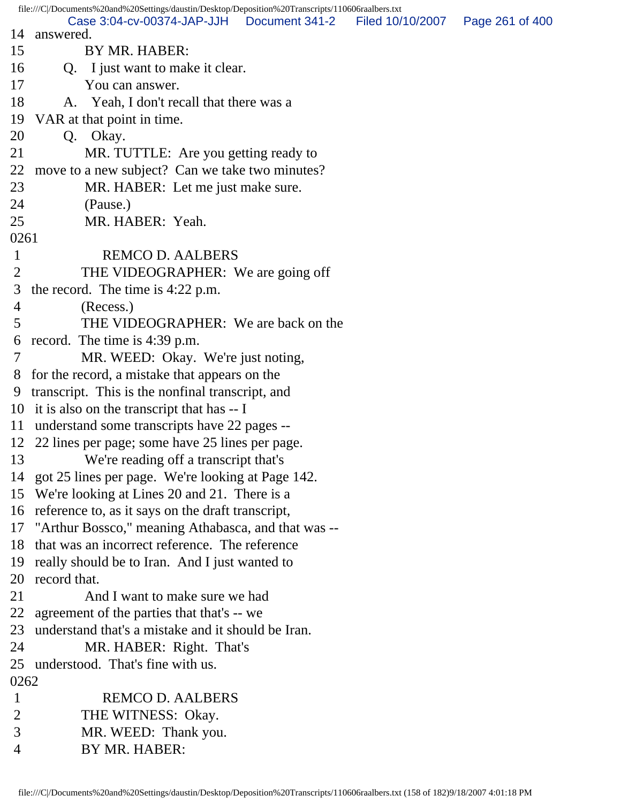file:///C|/Documents%20and%20Settings/daustin/Desktop/Deposition%20Transcripts/110606raalbers.txt 14 answered. 15 BY MR. HABER: 16 Q. I just want to make it clear. 17 You can answer. 18 A. Yeah, I don't recall that there was a 19 VAR at that point in time. 20 Q. Okay. 21 MR. TUTTLE: Are you getting ready to 22 move to a new subject? Can we take two minutes? 23 MR. HABER: Let me just make sure. 24 (Pause.) 25 MR. HABER: Yeah. 0261 1 REMCO D. AALBERS 2 THE VIDEOGRAPHER: We are going off 3 the record. The time is 4:22 p.m. 4 (Recess.) 5 THE VIDEOGRAPHER: We are back on the 6 record. The time is 4:39 p.m. 7 MR. WEED: Okay. We're just noting, 8 for the record, a mistake that appears on the 9 transcript. This is the nonfinal transcript, and 10 it is also on the transcript that has -- I 11 understand some transcripts have 22 pages -- 12 22 lines per page; some have 25 lines per page. 13 We're reading off a transcript that's 14 got 25 lines per page. We're looking at Page 142. 15 We're looking at Lines 20 and 21. There is a 16 reference to, as it says on the draft transcript, 17 "Arthur Bossco," meaning Athabasca, and that was -- 18 that was an incorrect reference. The reference 19 really should be to Iran. And I just wanted to 20 record that. 21 And I want to make sure we had 22 agreement of the parties that that's -- we 23 understand that's a mistake and it should be Iran. 24 MR. HABER: Right. That's 25 understood. That's fine with us. 0262 1 REMCO D. AALBERS 2 THE WITNESS: Okay. 3 MR. WEED: Thank you. 4 BY MR. HABER: Case 3:04-cv-00374-JAP-JJH Document 341-2 Filed 10/10/2007 Page 261 of 400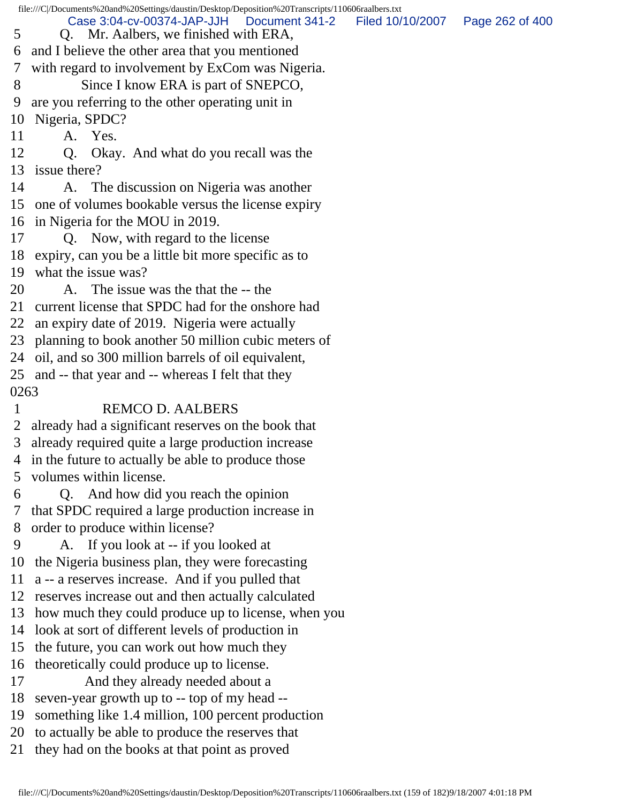|                | file:///C /Documents%20and%20Settings/daustin/Desktop/Deposition%20Transcripts/110606raalbers.txt |                                   |
|----------------|---------------------------------------------------------------------------------------------------|-----------------------------------|
| 5              | Case 3:04-cv-00374-JAP-JJH<br>Document 341-2<br>Q. Mr. Aalbers, we finished with ERA,             | Filed 10/10/2007  Page 262 of 400 |
| 6              | and I believe the other area that you mentioned                                                   |                                   |
| 7              | with regard to involvement by ExCom was Nigeria.                                                  |                                   |
| 8              | Since I know ERA is part of SNEPCO,                                                               |                                   |
| 9              | are you referring to the other operating unit in                                                  |                                   |
| 10             | Nigeria, SPDC?                                                                                    |                                   |
| 11             | A. Yes.                                                                                           |                                   |
| 12             | Q. Okay. And what do you recall was the                                                           |                                   |
|                | 13 issue there?                                                                                   |                                   |
| 14             | A. The discussion on Nigeria was another                                                          |                                   |
|                | 15 one of volumes bookable versus the license expiry                                              |                                   |
|                | 16 in Nigeria for the MOU in 2019.                                                                |                                   |
| 17             | Q. Now, with regard to the license                                                                |                                   |
|                | 18 expiry, can you be a little bit more specific as to                                            |                                   |
|                | 19 what the issue was?                                                                            |                                   |
| 20             | A. The issue was the that the -- the                                                              |                                   |
|                | 21 current license that SPDC had for the onshore had                                              |                                   |
|                | 22 an expiry date of 2019. Nigeria were actually                                                  |                                   |
|                | 23 planning to book another 50 million cubic meters of                                            |                                   |
|                | 24 oil, and so 300 million barrels of oil equivalent,                                             |                                   |
|                | 25 and -- that year and -- whereas I felt that they                                               |                                   |
| 0263           |                                                                                                   |                                   |
| $\mathbf{1}$   | <b>REMCO D. AALBERS</b>                                                                           |                                   |
|                | 2 already had a significant reserves on the book that                                             |                                   |
| 3 <sup>7</sup> | already required quite a large production increase                                                |                                   |
|                | 4 in the future to actually be able to produce those                                              |                                   |
| 5              | volumes within license.                                                                           |                                   |
| 6              | Q. And how did you reach the opinion                                                              |                                   |
| 7              | that SPDC required a large production increase in                                                 |                                   |
| 8              | order to produce within license?                                                                  |                                   |
| 9              | A. If you look at -- if you looked at                                                             |                                   |
| 10             | the Nigeria business plan, they were forecasting                                                  |                                   |
| 11             | a -- a reserves increase. And if you pulled that                                                  |                                   |
|                | 12 reserves increase out and then actually calculated                                             |                                   |
| 13             | how much they could produce up to license, when you                                               |                                   |
|                | 14 look at sort of different levels of production in                                              |                                   |
| 15             | the future, you can work out how much they                                                        |                                   |
| 16             | theoretically could produce up to license.                                                        |                                   |
| 17             | And they already needed about a                                                                   |                                   |
| 18             | seven-year growth up to -- top of my head --                                                      |                                   |
| 19             | something like 1.4 million, 100 percent production                                                |                                   |
| 20             | to actually be able to produce the reserves that                                                  |                                   |
|                | 21 they had on the books at that point as proved                                                  |                                   |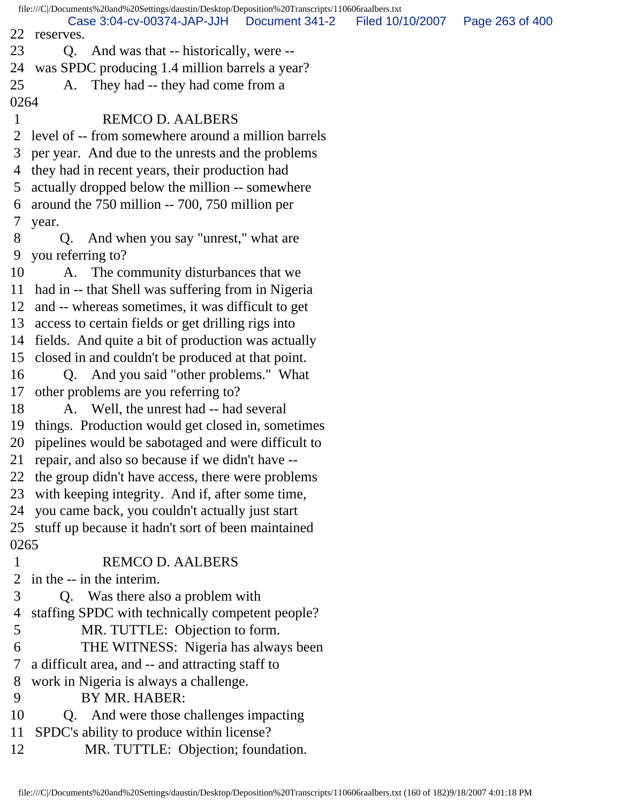file:///C|/Documents%20and%20Settings/daustin/Desktop/Deposition%20Transcripts/110606raalbers.txt 22 reserves. 23 Q. And was that -- historically, were -- 24 was SPDC producing 1.4 million barrels a year? 25 A. They had -- they had come from a 0264 1 REMCO D. AALBERS 2 level of -- from somewhere around a million barrels 3 per year. And due to the unrests and the problems 4 they had in recent years, their production had 5 actually dropped below the million -- somewhere 6 around the 750 million -- 700, 750 million per 7 year. 8 Q. And when you say "unrest," what are 9 you referring to? 10 A. The community disturbances that we 11 had in -- that Shell was suffering from in Nigeria 12 and -- whereas sometimes, it was difficult to get 13 access to certain fields or get drilling rigs into 14 fields. And quite a bit of production was actually 15 closed in and couldn't be produced at that point. 16 Q. And you said "other problems." What 17 other problems are you referring to? 18 A. Well, the unrest had -- had several 19 things. Production would get closed in, sometimes 20 pipelines would be sabotaged and were difficult to 21 repair, and also so because if we didn't have -- 22 the group didn't have access, there were problems 23 with keeping integrity. And if, after some time, 24 you came back, you couldn't actually just start 25 stuff up because it hadn't sort of been maintained 0265 1 REMCO D. AALBERS 2 in the -- in the interim. 3 Q. Was there also a problem with 4 staffing SPDC with technically competent people? 5 MR. TUTTLE: Objection to form. 6 THE WITNESS: Nigeria has always been 7 a difficult area, and -- and attracting staff to 8 work in Nigeria is always a challenge. 9 BY MR. HABER: 10 Q. And were those challenges impacting 11 SPDC's ability to produce within license? 12 MR. TUTTLE: Objection; foundation. Case 3:04-cv-00374-JAP-JJH Document 341-2 Filed 10/10/2007 Page 263 of 400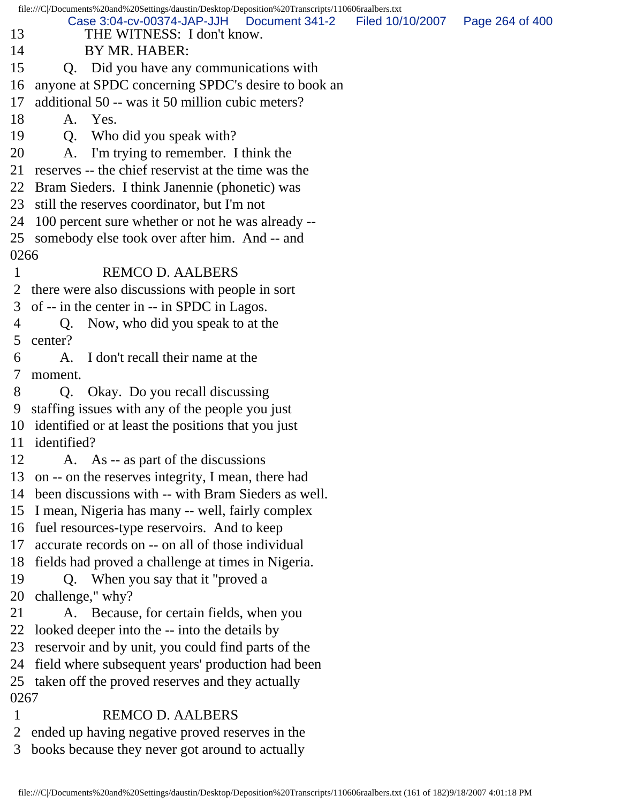file:///C|/Documents%20and%20Settings/daustin/Desktop/Deposition%20Transcripts/110606raalbers.txt 13 THE WITNESS: I don't know. 14 BY MR. HABER: 15 Q. Did you have any communications with 16 anyone at SPDC concerning SPDC's desire to book an 17 additional 50 -- was it 50 million cubic meters? 18 A. Yes. 19 Q. Who did you speak with? 20 A. I'm trying to remember. I think the 21 reserves -- the chief reservist at the time was the 22 Bram Sieders. I think Janennie (phonetic) was 23 still the reserves coordinator, but I'm not 24 100 percent sure whether or not he was already -- 25 somebody else took over after him. And -- and 0266 1 REMCO D. AALBERS 2 there were also discussions with people in sort 3 of -- in the center in -- in SPDC in Lagos. 4 Q. Now, who did you speak to at the 5 center? 6 A. I don't recall their name at the 7 moment. 8 Q. Okay. Do you recall discussing 9 staffing issues with any of the people you just 10 identified or at least the positions that you just 11 identified? 12 A. As -- as part of the discussions 13 on -- on the reserves integrity, I mean, there had 14 been discussions with -- with Bram Sieders as well. 15 I mean, Nigeria has many -- well, fairly complex 16 fuel resources-type reservoirs. And to keep 17 accurate records on -- on all of those individual 18 fields had proved a challenge at times in Nigeria. 19 Q. When you say that it "proved a 20 challenge," why? 21 A. Because, for certain fields, when you 22 looked deeper into the -- into the details by 23 reservoir and by unit, you could find parts of the 24 field where subsequent years' production had been 25 taken off the proved reserves and they actually 0267 1 REMCO D. AALBERS Case 3:04-cv-00374-JAP-JJH Document 341-2 Filed 10/10/2007 Page 264 of 400

 2 ended up having negative proved reserves in the 3 books because they never got around to actually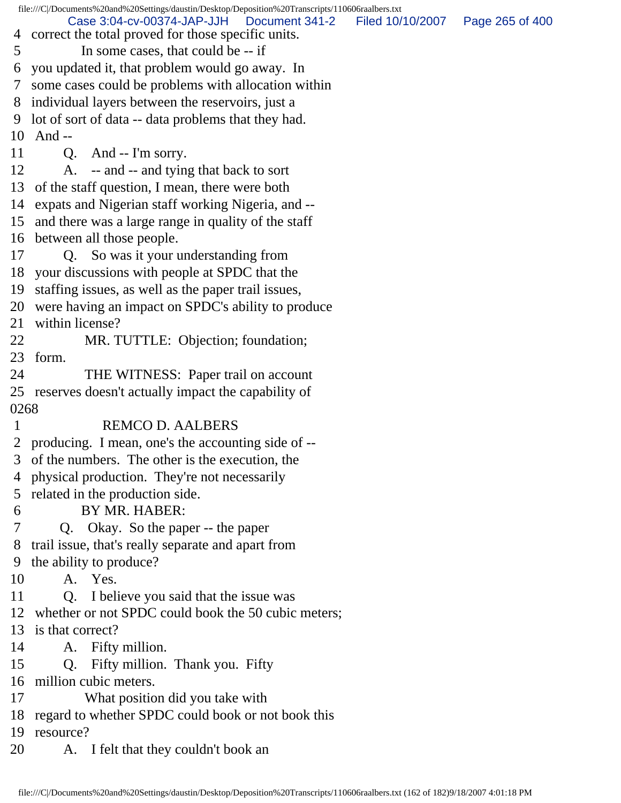file:///C|/Documents%20and%20Settings/daustin/Desktop/Deposition%20Transcripts/110606raalbers.txt 4 correct the total proved for those specific units. 5 In some cases, that could be -- if 6 you updated it, that problem would go away. In 7 some cases could be problems with allocation within 8 individual layers between the reservoirs, just a 9 lot of sort of data -- data problems that they had. 10 And -- 11 Q. And -- I'm sorry. 12 A. -- and -- and tying that back to sort 13 of the staff question, I mean, there were both 14 expats and Nigerian staff working Nigeria, and -- 15 and there was a large range in quality of the staff 16 between all those people. 17 Q. So was it your understanding from 18 your discussions with people at SPDC that the 19 staffing issues, as well as the paper trail issues, 20 were having an impact on SPDC's ability to produce 21 within license? 22 MR. TUTTLE: Objection; foundation; 23 form. 24 THE WITNESS: Paper trail on account 25 reserves doesn't actually impact the capability of 0268 1 REMCO D. AALBERS 2 producing. I mean, one's the accounting side of -- 3 of the numbers. The other is the execution, the 4 physical production. They're not necessarily 5 related in the production side. 6 BY MR. HABER: 7 Q. Okay. So the paper -- the paper 8 trail issue, that's really separate and apart from 9 the ability to produce? 10 A. Yes. 11 Q. I believe you said that the issue was 12 whether or not SPDC could book the 50 cubic meters; 13 is that correct? 14 A. Fifty million. 15 Q. Fifty million. Thank you. Fifty 16 million cubic meters. 17 What position did you take with 18 regard to whether SPDC could book or not book this 19 resource? 20 A. I felt that they couldn't book an Case 3:04-cv-00374-JAP-JJH Document 341-2 Filed 10/10/2007 Page 265 of 400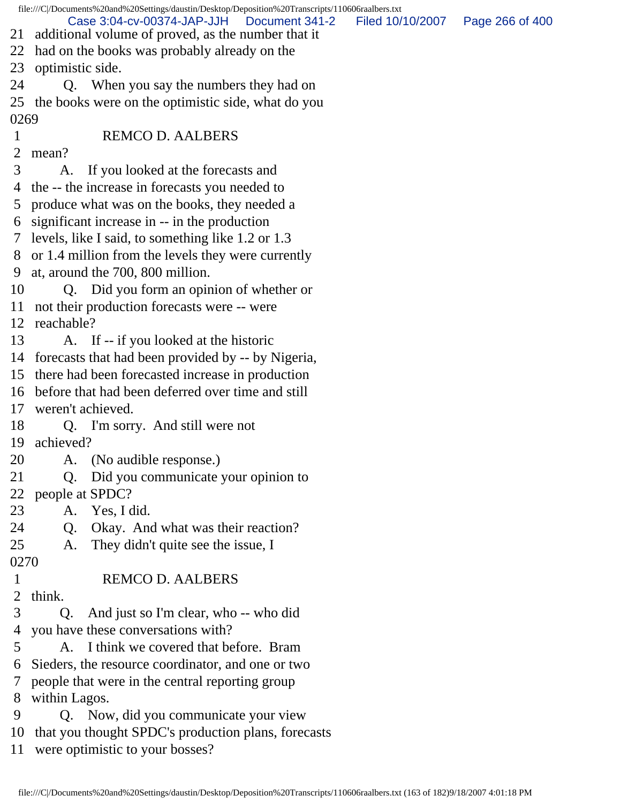|               | file:///C /Documents%20and%20Settings/daustin/Desktop/Deposition%20Transcripts/110606raalbers.txt    |                  |                 |  |  |  |
|---------------|------------------------------------------------------------------------------------------------------|------------------|-----------------|--|--|--|
|               | Case 3:04-cv-00374-JAP-JJH   Document 341-2<br>21 additional volume of proved, as the number that it | Filed 10/10/2007 | Page 266 of 400 |  |  |  |
| 22            | had on the books was probably already on the                                                         |                  |                 |  |  |  |
| 23            | optimistic side.                                                                                     |                  |                 |  |  |  |
| 24            | Q. When you say the numbers they had on                                                              |                  |                 |  |  |  |
| 25            | the books were on the optimistic side, what do you                                                   |                  |                 |  |  |  |
| 0269          |                                                                                                      |                  |                 |  |  |  |
| $\mathbf{1}$  | <b>REMCO D. AALBERS</b>                                                                              |                  |                 |  |  |  |
| 2             | mean?                                                                                                |                  |                 |  |  |  |
| 3             | If you looked at the forecasts and<br>A.                                                             |                  |                 |  |  |  |
| 4             | the -- the increase in forecasts you needed to                                                       |                  |                 |  |  |  |
| 5             | produce what was on the books, they needed a                                                         |                  |                 |  |  |  |
| 6             | significant increase in -- in the production                                                         |                  |                 |  |  |  |
| $\mathcal{T}$ | levels, like I said, to something like 1.2 or 1.3                                                    |                  |                 |  |  |  |
|               | 8 or 1.4 million from the levels they were currently                                                 |                  |                 |  |  |  |
| 9             | at, around the 700, 800 million.                                                                     |                  |                 |  |  |  |
| 10            | Q. Did you form an opinion of whether or                                                             |                  |                 |  |  |  |
| 11            | not their production forecasts were -- were                                                          |                  |                 |  |  |  |
|               | 12 reachable?                                                                                        |                  |                 |  |  |  |
| 13            | A. If -- if you looked at the historic                                                               |                  |                 |  |  |  |
|               | 14 forecasts that had been provided by -- by Nigeria,                                                |                  |                 |  |  |  |
|               | 15 there had been forecasted increase in production                                                  |                  |                 |  |  |  |
|               | 16 before that had been deferred over time and still                                                 |                  |                 |  |  |  |
| 17            | weren't achieved.                                                                                    |                  |                 |  |  |  |
| 18            | Q. I'm sorry. And still were not                                                                     |                  |                 |  |  |  |
| 19            | achieved?                                                                                            |                  |                 |  |  |  |
| 20            | (No audible response.)<br>A.                                                                         |                  |                 |  |  |  |
| 21            | Did you communicate your opinion to<br>Q.                                                            |                  |                 |  |  |  |
| 22            | people at SPDC?                                                                                      |                  |                 |  |  |  |
| 23            | Yes, I did.<br>A.                                                                                    |                  |                 |  |  |  |
| 24            | Okay. And what was their reaction?<br>Q.                                                             |                  |                 |  |  |  |
| 25            | They didn't quite see the issue, I<br>A.                                                             |                  |                 |  |  |  |
| 0270          |                                                                                                      |                  |                 |  |  |  |
| 1             | <b>REMCO D. AALBERS</b>                                                                              |                  |                 |  |  |  |
| 2             | think.                                                                                               |                  |                 |  |  |  |
| 3             | And just so I'm clear, who -- who did<br>Q.                                                          |                  |                 |  |  |  |
| 4             | you have these conversations with?                                                                   |                  |                 |  |  |  |
| 5             | I think we covered that before. Bram<br>A.                                                           |                  |                 |  |  |  |
| 6             | Sieders, the resource coordinator, and one or two                                                    |                  |                 |  |  |  |
| 7             | people that were in the central reporting group                                                      |                  |                 |  |  |  |
| 8             | within Lagos.                                                                                        |                  |                 |  |  |  |
| 9             | Q. Now, did you communicate your view                                                                |                  |                 |  |  |  |
| 10            | that you thought SPDC's production plans, forecasts                                                  |                  |                 |  |  |  |
| 11            | were optimistic to your bosses?                                                                      |                  |                 |  |  |  |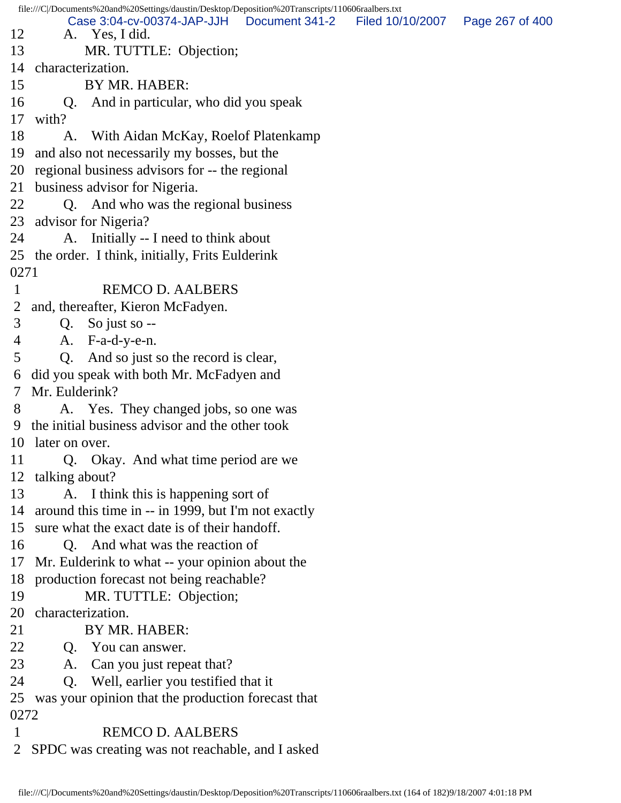file:///C|/Documents%20and%20Settings/daustin/Desktop/Deposition%20Transcripts/110606raalbers.txt 12 A. Yes, I did. 13 MR. TUTTLE: Objection; 14 characterization. 15 BY MR. HABER: 16 Q. And in particular, who did you speak 17 with? 18 A. With Aidan McKay, Roel of Platenkamp 19 and also not necessarily my bosses, but the 20 regional business advisors for -- the regional 21 business advisor for Nigeria. 22 Q. And who was the regional business 23 advisor for Nigeria? 24 A. Initially -- I need to think about 25 the order. I think, initially, Frits Eulderink 0271 1 REMCO D. AALBERS 2 and, thereafter, Kieron McFadyen. 3 Q. So just so -- 4 A. F-a-d-y-e-n. 5 Q. And so just so the record is clear, 6 did you speak with both Mr. McFadyen and 7 Mr. Eulderink? 8 A. Yes. They changed jobs, so one was 9 the initial business advisor and the other took 10 later on over. 11 Q. Okay. And what time period are we 12 talking about? 13 A. I think this is happening sort of 14 around this time in -- in 1999, but I'm not exactly 15 sure what the exact date is of their handoff. 16 Q. And what was the reaction of 17 Mr. Eulderink to what -- your opinion about the 18 production forecast not being reachable? 19 MR. TUTTLE: Objection; 20 characterization. 21 BY MR. HABER: 22 Q. You can answer. 23 A. Can you just repeat that? 24 Q. Well, earlier you testified that it 25 was your opinion that the production forecast that 0272 1 REMCO D. AALBERS 2 SPDC was creating was not reachable, and I asked Case 3:04-cv-00374-JAP-JJH Document 341-2 Filed 10/10/2007 Page 267 of 400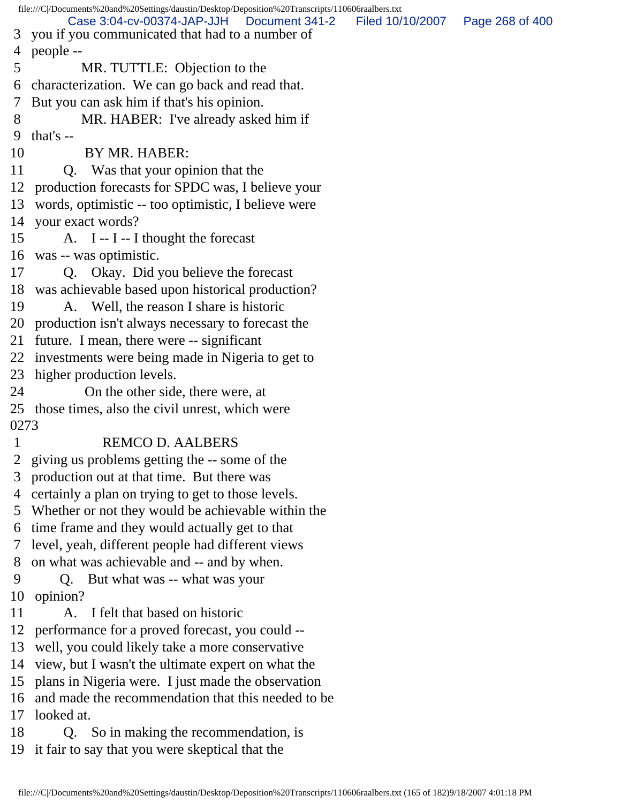file:///C|/Documents%20and%20Settings/daustin/Desktop/Deposition%20Transcripts/110606raalbers.txt 3 you if you communicated that had to a number of 4 people -- 5 MR. TUTTLE: Objection to the 6 characterization. We can go back and read that. 7 But you can ask him if that's his opinion. 8 MR. HABER: I've already asked him if 9 that's -- 10 BY MR. HABER: 11 Q. Was that your opinion that the 12 production forecasts for SPDC was, I believe your 13 words, optimistic -- too optimistic, I believe were 14 your exact words? 15 A. I -- I -- I thought the forecast 16 was -- was optimistic. 17 Q. Okay. Did you believe the forecast 18 was achievable based upon historical production? 19 A. Well, the reason I share is historic 20 production isn't always necessary to forecast the 21 future. I mean, there were -- significant 22 investments were being made in Nigeria to get to 23 higher production levels. 24 On the other side, there were, at 25 those times, also the civil unrest, which were 0273 1 REMCO D. AALBERS 2 giving us problems getting the -- some of the 3 production out at that time. But there was 4 certainly a plan on trying to get to those levels. 5 Whether or not they would be achievable within the 6 time frame and they would actually get to that 7 level, yeah, different people had different views 8 on what was achievable and -- and by when. 9 Q. But what was -- what was your 10 opinion? 11 A. I felt that based on historic 12 performance for a proved forecast, you could -- 13 well, you could likely take a more conservative 14 view, but I wasn't the ultimate expert on what the 15 plans in Nigeria were. I just made the observation 16 and made the recommendation that this needed to be 17 looked at. 18 Q. So in making the recommendation, is 19 it fair to say that you were skeptical that the Case 3:04-cv-00374-JAP-JJH Document 341-2 Filed 10/10/2007 Page 268 of 400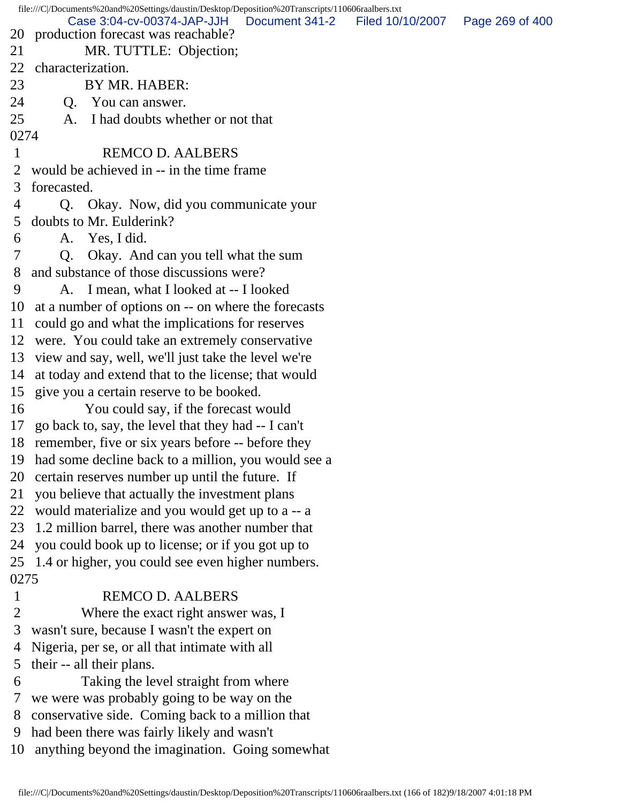file:///C|/Documents%20and%20Settings/daustin/Desktop/Deposition%20Transcripts/110606raalbers.txt 20 production forecast was reachable? 21 MR. TUTTLE: Objection; 22 characterization. 23 BY MR. HABER: 24 Q. You can answer. 25 A. I had doubts whether or not that 0274 1 REMCO D. AALBERS 2 would be achieved in -- in the time frame 3 forecasted. 4 Q. Okay. Now, did you communicate your 5 doubts to Mr. Eulderink? 6 A. Yes, I did. 7 Q. Okay. And can you tell what the sum 8 and substance of those discussions were? 9 A. I mean, what I looked at -- I looked 10 at a number of options on -- on where the forecasts 11 could go and what the implications for reserves 12 were. You could take an extremely conservative 13 view and say, well, we'll just take the level we're 14 at today and extend that to the license; that would 15 give you a certain reserve to be booked. 16 You could say, if the forecast would 17 go back to, say, the level that they had -- I can't 18 remember, five or six years before -- before they 19 had some decline back to a million, you would see a 20 certain reserves number up until the future. If 21 you believe that actually the investment plans 22 would materialize and you would get up to a -- a 23 1.2 million barrel, there was another number that 24 you could book up to license; or if you got up to 25 1.4 or higher, you could see even higher numbers. 0275 1 REMCO D. AALBERS 2 Where the exact right answer was, I 3 wasn't sure, because I wasn't the expert on 4 Nigeria, per se, or all that intimate with all 5 their -- all their plans. 6 Taking the level straight from where 7 we were was probably going to be way on the 8 conservative side. Coming back to a million that 9 had been there was fairly likely and wasn't Case 3:04-cv-00374-JAP-JJH Document 341-2 Filed 10/10/2007 Page 269 of 400

10 anything beyond the imagination. Going somewhat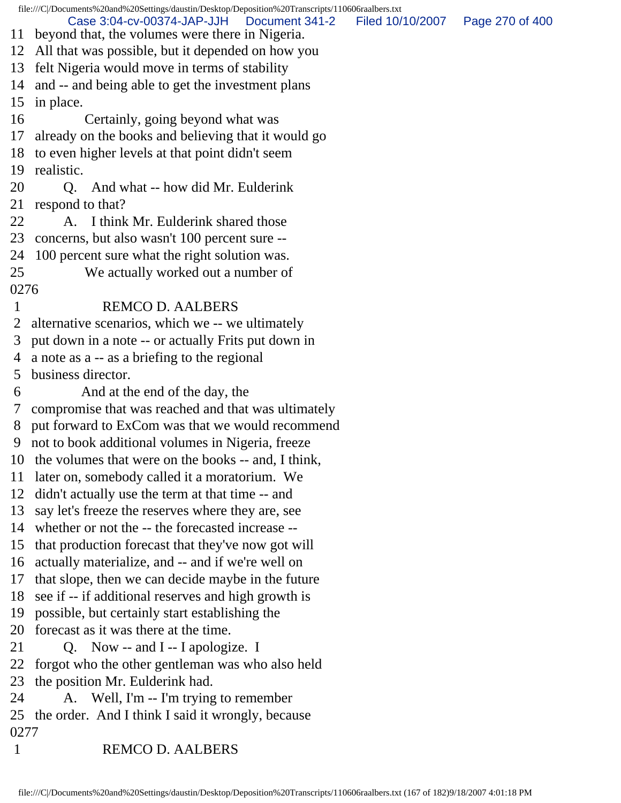file:///C|/Documents%20and%20Settings/daustin/Desktop/Deposition%20Transcripts/110606raalbers.txt 11 beyond that, the volumes were there in Nigeria. 12 All that was possible, but it depended on how you 13 felt Nigeria would move in terms of stability 14 and -- and being able to get the investment plans 15 in place. 16 Certainly, going beyond what was 17 already on the books and believing that it would go 18 to even higher levels at that point didn't seem 19 realistic. 20 Q. And what -- how did Mr. Eulderink 21 respond to that? 22 A. I think Mr. Eulderink shared those 23 concerns, but also wasn't 100 percent sure -- 24 100 percent sure what the right solution was. 25 We actually worked out a number of 0276 1 REMCO D. AALBERS 2 alternative scenarios, which we -- we ultimately 3 put down in a note -- or actually Frits put down in 4 a note as a -- as a briefing to the regional 5 business director. 6 And at the end of the day, the 7 compromise that was reached and that was ultimately 8 put forward to ExCom was that we would recommend 9 not to book additional volumes in Nigeria, freeze 10 the volumes that were on the books -- and, I think, 11 later on, somebody called it a moratorium. We 12 didn't actually use the term at that time -- and 13 say let's freeze the reserves where they are, see 14 whether or not the -- the forecasted increase -- 15 that production forecast that they've now got will 16 actually materialize, and -- and if we're well on 17 that slope, then we can decide maybe in the future 18 see if -- if additional reserves and high growth is 19 possible, but certainly start establishing the 20 forecast as it was there at the time. 21 Q. Now -- and I -- I apologize. I 22 forgot who the other gentleman was who also held 23 the position Mr. Eulderink had. 24 A. Well, I'm -- I'm trying to remember 25 the order. And I think I said it wrongly, because 0277 1 REMCO D. AALBERS Case 3:04-cv-00374-JAP-JJH Document 341-2 Filed 10/10/2007 Page 270 of 400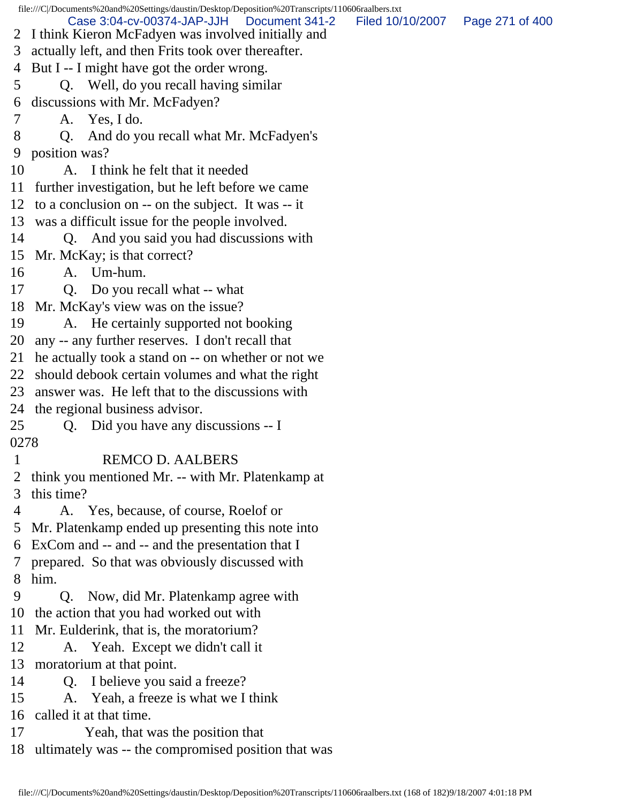file:///C|/Documents%20and%20Settings/daustin/Desktop/Deposition%20Transcripts/110606raalbers.txt 2 I think Kieron McFadyen was involved initially and 3 actually left, and then Frits took over thereafter. 4 But I -- I might have got the order wrong. 5 Q. Well, do you recall having similar 6 discussions with Mr. McFadyen? 7 A. Yes, I do. 8 Q. And do you recall what Mr. McFadyen's 9 position was? 10 A. I think he felt that it needed 11 further investigation, but he left before we came 12 to a conclusion on -- on the subject. It was -- it 13 was a difficult issue for the people involved. 14 Q. And you said you had discussions with 15 Mr. McKay; is that correct? 16 A. Um-hum. 17 Q. Do you recall what -- what 18 Mr. McKay's view was on the issue? 19 A. He certainly supported not booking 20 any -- any further reserves. I don't recall that 21 he actually took a stand on -- on whether or not we 22 should debook certain volumes and what the right 23 answer was. He left that to the discussions with 24 the regional business advisor. 25 Q. Did you have any discussions -- I 0278 1 REMCO D. AALBERS 2 think you mentioned Mr. -- with Mr. Platenkamp at 3 this time? 4 A. Yes, because, of course, Roelof or 5 Mr. Platenkamp ended up presenting this note into 6 ExCom and -- and -- and the presentation that I 7 prepared. So that was obviously discussed with 8 him. 9 Q. Now, did Mr. Platenkamp agree with 10 the action that you had worked out with 11 Mr. Eulderink, that is, the moratorium? 12 A. Yeah. Except we didn't call it 13 moratorium at that point. 14 Q. I believe you said a freeze? 15 A. Yeah, a freeze is what we I think 16 called it at that time. 17 Yeah, that was the position that 18 ultimately was -- the compromised position that was Case 3:04-cv-00374-JAP-JJH Document 341-2 Filed 10/10/2007 Page 271 of 400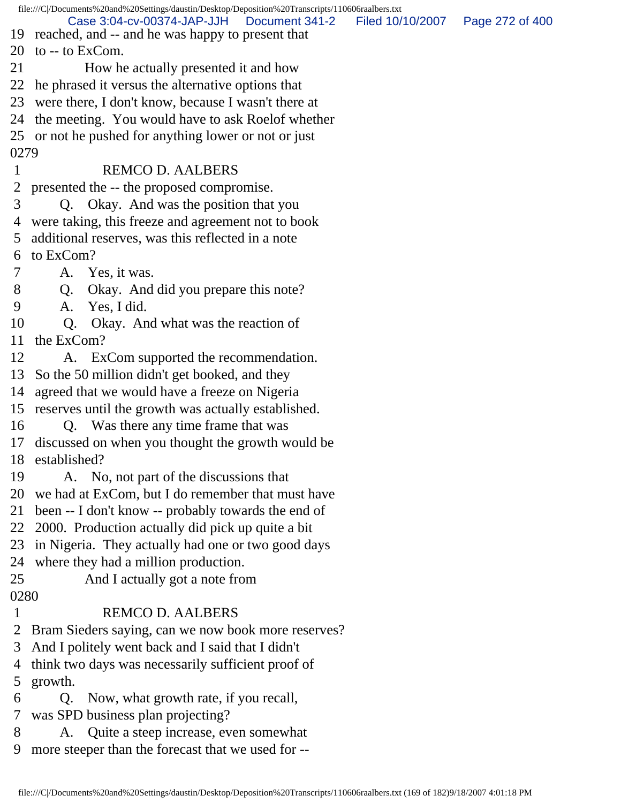|      | file:///C /Documents%20and%20Settings/daustin/Desktop/Deposition%20Transcripts/110606raalbers.txt |                                   |  |
|------|---------------------------------------------------------------------------------------------------|-----------------------------------|--|
|      | Case 3:04-cv-00374-JAP-JJH<br>Document 341-2                                                      | Filed 10/10/2007  Page 272 of 400 |  |
|      | 19 reached, and -- and he was happy to present that<br>20 to $-$ to ExCom.                        |                                   |  |
| 21   |                                                                                                   |                                   |  |
|      | How he actually presented it and how                                                              |                                   |  |
| 22   | he phrased it versus the alternative options that                                                 |                                   |  |
| 23   | were there, I don't know, because I wasn't there at                                               |                                   |  |
| 24   | the meeting. You would have to ask Roel of whether                                                |                                   |  |
|      | 25 or not he pushed for anything lower or not or just                                             |                                   |  |
| 0279 |                                                                                                   |                                   |  |
| 1    | <b>REMCO D. AALBERS</b>                                                                           |                                   |  |
| 2    | presented the -- the proposed compromise.                                                         |                                   |  |
| 3    | Q. Okay. And was the position that you                                                            |                                   |  |
| 4    | were taking, this freeze and agreement not to book                                                |                                   |  |
| 5    | additional reserves, was this reflected in a note                                                 |                                   |  |
| 6    | to ExCom?                                                                                         |                                   |  |
| 7    | A. Yes, it was.                                                                                   |                                   |  |
| 8    | Okay. And did you prepare this note?<br>Q.                                                        |                                   |  |
| 9    | Yes, I did.<br>A.                                                                                 |                                   |  |
| 10   | Q. Okay. And what was the reaction of                                                             |                                   |  |
| 11   | the ExCom?                                                                                        |                                   |  |
| 12   | A. ExCom supported the recommendation.                                                            |                                   |  |
| 13   | So the 50 million didn't get booked, and they                                                     |                                   |  |
| 14   | agreed that we would have a freeze on Nigeria                                                     |                                   |  |
| 15   | reserves until the growth was actually established.                                               |                                   |  |
| 16   | Q. Was there any time frame that was                                                              |                                   |  |
| 17   | discussed on when you thought the growth would be                                                 |                                   |  |
| 18   | established?                                                                                      |                                   |  |
| 19   | No, not part of the discussions that<br>A.                                                        |                                   |  |
| 20   | we had at ExCom, but I do remember that must have                                                 |                                   |  |
| 21   | been -- I don't know -- probably towards the end of                                               |                                   |  |
| 22   | 2000. Production actually did pick up quite a bit                                                 |                                   |  |
| 23   | in Nigeria. They actually had one or two good days                                                |                                   |  |
| 24   | where they had a million production.                                                              |                                   |  |
| 25   | And I actually got a note from                                                                    |                                   |  |
| 0280 |                                                                                                   |                                   |  |
| 1    | <b>REMCO D. AALBERS</b>                                                                           |                                   |  |
| 2    | Bram Sieders saying, can we now book more reserves?                                               |                                   |  |
| 3    | And I politely went back and I said that I didn't                                                 |                                   |  |
| 4    | think two days was necessarily sufficient proof of                                                |                                   |  |
| 5    | growth.                                                                                           |                                   |  |
| 6    | Now, what growth rate, if you recall,<br>Q.                                                       |                                   |  |
| 7    | was SPD business plan projecting?                                                                 |                                   |  |
| 8    | A. Quite a steep increase, even somewhat                                                          |                                   |  |
| 9    | more steeper than the forecast that we used for --                                                |                                   |  |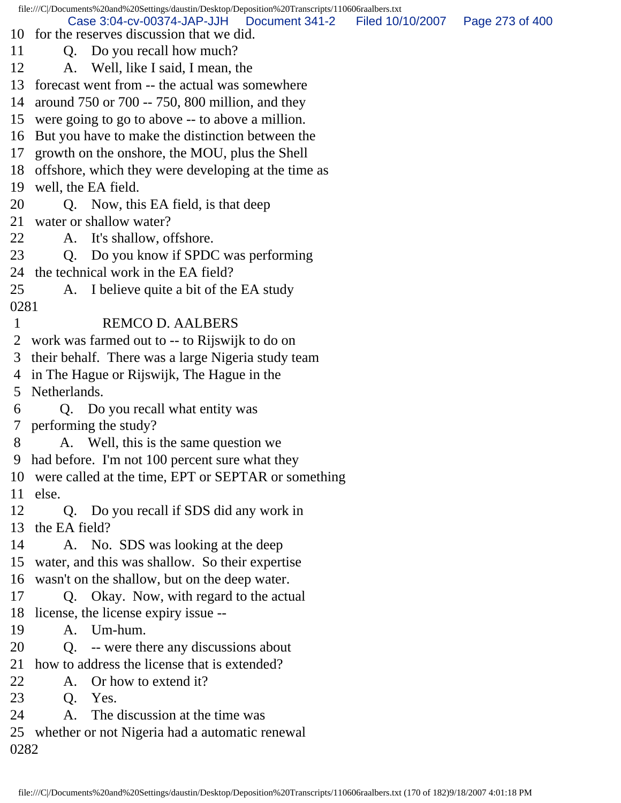file:///C|/Documents%20and%20Settings/daustin/Desktop/Deposition%20Transcripts/110606raalbers.txt 10 for the reserves discussion that we did. 11 Q. Do you recall how much? 12 A. Well, like I said, I mean, the 13 forecast went from -- the actual was somewhere 14 around 750 or 700 -- 750, 800 million, and they 15 were going to go to above -- to above a million. 16 But you have to make the distinction between the 17 growth on the onshore, the MOU, plus the Shell 18 offshore, which they were developing at the time as 19 well, the EA field. 20 Q. Now, this EA field, is that deep 21 water or shallow water? 22 A. It's shallow, offshore. 23 Q. Do you know if SPDC was performing 24 the technical work in the EA field? 25 A. I believe quite a bit of the EA study 0281 1 REMCO D. AALBERS 2 work was farmed out to -- to Rijswijk to do on 3 their behalf. There was a large Nigeria study team 4 in The Hague or Rijswijk, The Hague in the 5 Netherlands. 6 Q. Do you recall what entity was 7 performing the study? 8 A. Well, this is the same question we 9 had before. I'm not 100 percent sure what they 10 were called at the time, EPT or SEPTAR or something 11 else. 12 Q. Do you recall if SDS did any work in 13 the EA field? 14 A. No. SDS was looking at the deep 15 water, and this was shallow. So their expertise 16 wasn't on the shallow, but on the deep water. 17 Q. Okay. Now, with regard to the actual 18 license, the license expiry issue -- 19 A. Um-hum. 20 Q. -- were there any discussions about 21 how to address the license that is extended? 22 A. Or how to extend it? 23 Q. Yes. 24 A. The discussion at the time was 25 whether or not Nigeria had a automatic renewal 0282 Case 3:04-cv-00374-JAP-JJH Document 341-2 Filed 10/10/2007 Page 273 of 400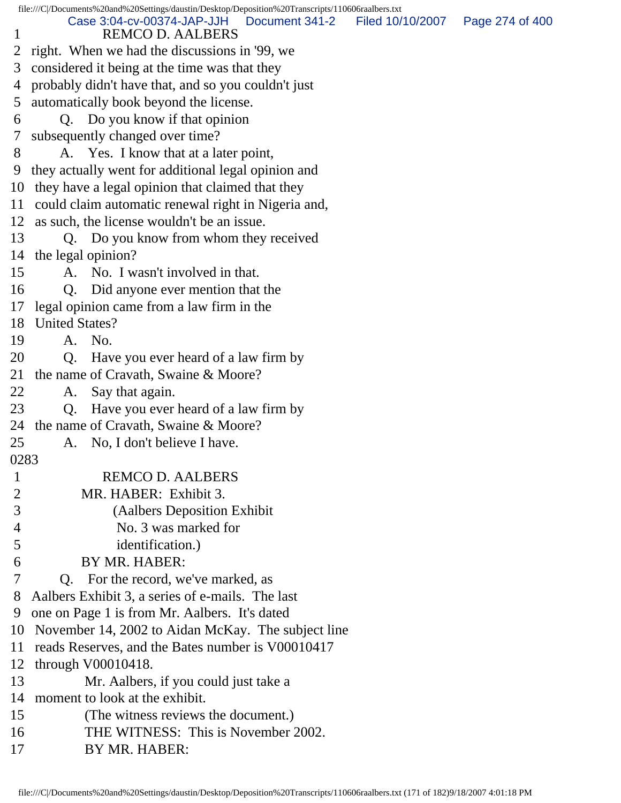|                | file:///C//Documents%20and%20Settings/daustin/Desktop/Deposition%20Transcripts/110606raalbers.txt |                  |                 |
|----------------|---------------------------------------------------------------------------------------------------|------------------|-----------------|
| 1              | Case 3:04-cv-00374-JAP-JJH<br>Document 341-2<br><b>REMCO D. AALBERS</b>                           | Filed 10/10/2007 | Page 274 of 400 |
|                | 2 right. When we had the discussions in '99, we                                                   |                  |                 |
| 3              | considered it being at the time was that they                                                     |                  |                 |
| 4              | probably didn't have that, and so you couldn't just                                               |                  |                 |
| 5              | automatically book beyond the license.                                                            |                  |                 |
| 6              | Q. Do you know if that opinion                                                                    |                  |                 |
| $\tau$         | subsequently changed over time?                                                                   |                  |                 |
| 8              | A. Yes. I know that at a later point,                                                             |                  |                 |
| 9              | they actually went for additional legal opinion and                                               |                  |                 |
|                | 10 they have a legal opinion that claimed that they                                               |                  |                 |
|                | 11 could claim automatic renewal right in Nigeria and,                                            |                  |                 |
|                | 12 as such, the license wouldn't be an issue.                                                     |                  |                 |
| 13             | Q. Do you know from whom they received                                                            |                  |                 |
|                | 14 the legal opinion?                                                                             |                  |                 |
| 15             | A. No. I wasn't involved in that.                                                                 |                  |                 |
| 16             | Q. Did anyone ever mention that the                                                               |                  |                 |
| 17             | legal opinion came from a law firm in the                                                         |                  |                 |
|                | 18 United States?                                                                                 |                  |                 |
| 19             | A. No.                                                                                            |                  |                 |
| 20             | Have you ever heard of a law firm by<br>O.                                                        |                  |                 |
| 21             | the name of Cravath, Swaine & Moore?                                                              |                  |                 |
| 22             | Say that again.<br>A.                                                                             |                  |                 |
| 23             | Q. Have you ever heard of a law firm by                                                           |                  |                 |
|                | 24 the name of Cravath, Swaine & Moore?                                                           |                  |                 |
| 25             | No, I don't believe I have.<br>A.                                                                 |                  |                 |
| 0283           |                                                                                                   |                  |                 |
| $\mathbf{1}$   | <b>REMCO D. AALBERS</b>                                                                           |                  |                 |
| $\overline{2}$ | MR. HABER: Exhibit 3.                                                                             |                  |                 |
| 3              | (Aalbers Deposition Exhibit)                                                                      |                  |                 |
| 4              | No. 3 was marked for                                                                              |                  |                 |
| 5              | identification.)                                                                                  |                  |                 |
| 6              | BY MR. HABER:                                                                                     |                  |                 |
| 7              | Q. For the record, we've marked, as                                                               |                  |                 |
| 8              | Aalbers Exhibit 3, a series of e-mails. The last                                                  |                  |                 |
| 9              | one on Page 1 is from Mr. Aalbers. It's dated                                                     |                  |                 |
| 10             | November 14, 2002 to Aidan McKay. The subject line                                                |                  |                 |
| 11             | reads Reserves, and the Bates number is V00010417                                                 |                  |                 |
| 12             | through $V00010418$ .                                                                             |                  |                 |
| 13             | Mr. Aalbers, if you could just take a                                                             |                  |                 |
| 14             | moment to look at the exhibit.                                                                    |                  |                 |
| 15             | (The witness reviews the document.)                                                               |                  |                 |
| 16             | THE WITNESS: This is November 2002.                                                               |                  |                 |
| 17             | BY MR. HABER:                                                                                     |                  |                 |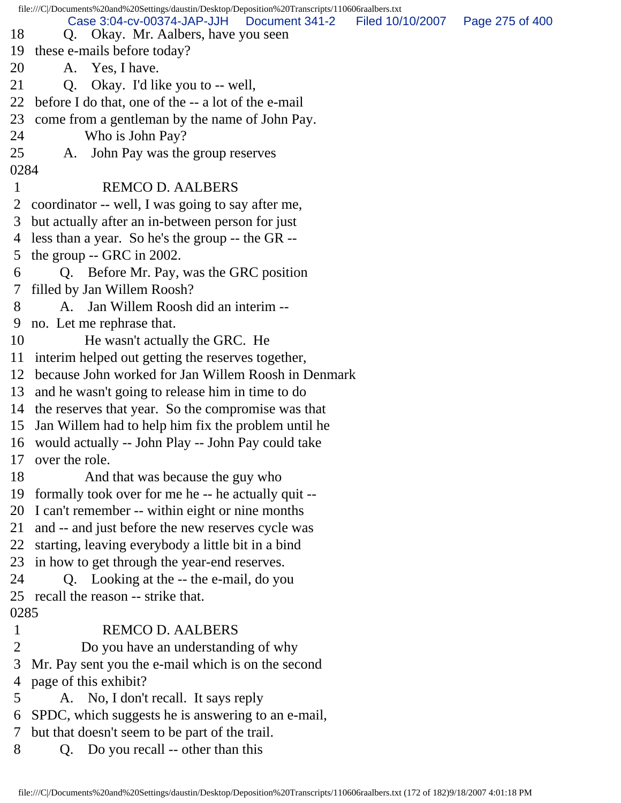file:///C|/Documents%20and%20Settings/daustin/Desktop/Deposition%20Transcripts/110606raalbers.txt 18 Q. Okay. Mr. Aalbers, have you seen 19 these e-mails before today? 20 A. Yes, I have. 21 Q. Okay. I'd like you to -- well, 22 before I do that, one of the -- a lot of the e-mail 23 come from a gentleman by the name of John Pay. 24 Who is John Pay? 25 A. John Pay was the group reserves 0284 1 REMCO D. AALBERS 2 coordinator -- well, I was going to say after me, 3 but actually after an in-between person for just 4 less than a year. So he's the group -- the GR -- 5 the group -- GRC in 2002. 6 Q. Before Mr. Pay, was the GRC position 7 filled by Jan Willem Roosh? 8 A. Jan Willem Roosh did an interim -- 9 no. Let me rephrase that. 10 He wasn't actually the GRC. He 11 interim helped out getting the reserves together, 12 because John worked for Jan Willem Roosh in Denmark 13 and he wasn't going to release him in time to do 14 the reserves that year. So the compromise was that 15 Jan Willem had to help him fix the problem until he 16 would actually -- John Play -- John Pay could take 17 over the role. 18 And that was because the guy who 19 formally took over for me he -- he actually quit -- 20 I can't remember -- within eight or nine months 21 and -- and just before the new reserves cycle was 22 starting, leaving everybody a little bit in a bind 23 in how to get through the year-end reserves. 24 Q. Looking at the -- the e-mail, do you 25 recall the reason -- strike that. 0285 1 REMCO D. AALBERS 2 Do you have an understanding of why 3 Mr. Pay sent you the e-mail which is on the second 4 page of this exhibit? 5 A. No, I don't recall. It says reply 6 SPDC, which suggests he is answering to an e-mail, 7 but that doesn't seem to be part of the trail. 8 Q. Do you recall -- other than this Case 3:04-cv-00374-JAP-JJH Document 341-2 Filed 10/10/2007 Page 275 of 400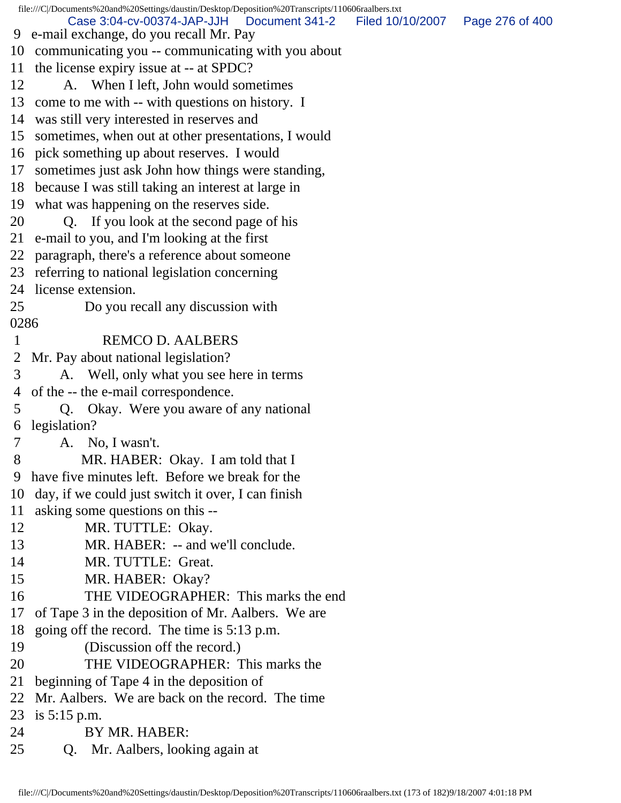file:///C|/Documents%20and%20Settings/daustin/Desktop/Deposition%20Transcripts/110606raalbers.txt 9 e-mail exchange, do you recall Mr. Pay 10 communicating you -- communicating with you about 11 the license expiry issue at -- at SPDC? 12 A. When I left, John would sometimes 13 come to me with -- with questions on history. I 14 was still very interested in reserves and 15 sometimes, when out at other presentations, I would 16 pick something up about reserves. I would 17 sometimes just ask John how things were standing, 18 because I was still taking an interest at large in 19 what was happening on the reserves side. 20 Q. If you look at the second page of his 21 e-mail to you, and I'm looking at the first 22 paragraph, there's a reference about someone 23 referring to national legislation concerning 24 license extension. 25 Do you recall any discussion with 0286 1 REMCO D. AALBERS 2 Mr. Pay about national legislation? 3 A. Well, only what you see here in terms 4 of the -- the e-mail correspondence. 5 Q. Okay. Were you aware of any national 6 legislation? 7 A. No, I wasn't. 8 MR. HABER: Okay. I am told that I 9 have five minutes left. Before we break for the 10 day, if we could just switch it over, I can finish 11 asking some questions on this -- 12 MR. TUTTLE: Okay. 13 MR. HABER: -- and we'll conclude. 14 MR. TUTTLE: Great. 15 MR. HABER: Okay? 16 THE VIDEOGRAPHER: This marks the end 17 of Tape 3 in the deposition of Mr. Aalbers. We are 18 going off the record. The time is 5:13 p.m. 19 (Discussion off the record.) 20 THE VIDEOGRAPHER: This marks the 21 beginning of Tape 4 in the deposition of 22 Mr. Aalbers. We are back on the record. The time 23 is 5:15 p.m. 24 BY MR. HABER: 25 Q. Mr. Aalbers, looking again at Case 3:04-cv-00374-JAP-JJH Document 341-2 Filed 10/10/2007 Page 276 of 400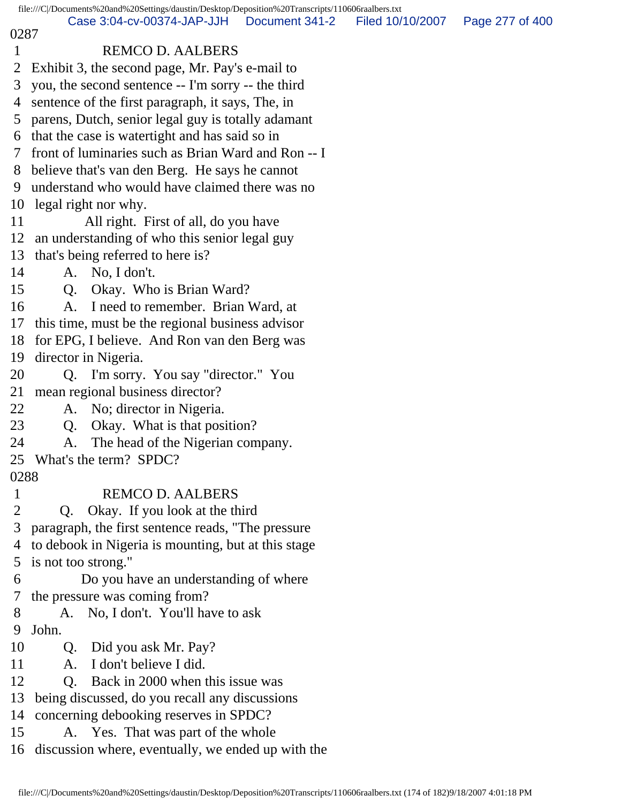file:///C|/Documents%20and%20Settings/daustin/Desktop/Deposition%20Transcripts/110606raalbers.txt 0287 1 REMCO D. AALBERS 2 Exhibit 3, the second page, Mr. Pay's e-mail to 3 you, the second sentence -- I'm sorry -- the third 4 sentence of the first paragraph, it says, The, in 5 parens, Dutch, senior legal guy is totally adamant 6 that the case is watertight and has said so in 7 front of luminaries such as Brian Ward and Ron -- I 8 believe that's van den Berg. He says he cannot 9 understand who would have claimed there was no 10 legal right nor why. 11 All right. First of all, do you have 12 an understanding of who this senior legal guy 13 that's being referred to here is? 14 A. No, I don't. 15 Q. Okay. Who is Brian Ward? 16 A. I need to remember. Brian Ward, at 17 this time, must be the regional business advisor 18 for EPG, I believe. And Ron van den Berg was 19 director in Nigeria. 20 Q. I'm sorry. You say "director." You 21 mean regional business director? 22 A. No; director in Nigeria. 23 Q. Okay. What is that position? 24 A. The head of the Nigerian company. 25 What's the term? SPDC? 0288 1 REMCO D. AALBERS 2 Q. Okay. If you look at the third 3 paragraph, the first sentence reads, "The pressure 4 to debook in Nigeria is mounting, but at this stage 5 is not too strong." 6 Do you have an understanding of where 7 the pressure was coming from? 8 A. No, I don't. You'll have to ask 9 John. 10 Q. Did you ask Mr. Pay? 11 A. I don't believe I did. 12 Q. Back in 2000 when this issue was 13 being discussed, do you recall any discussions 14 concerning debooking reserves in SPDC? 15 A. Yes. That was part of the whole 16 discussion where, eventually, we ended up with the Case 3:04-cv-00374-JAP-JJH Document 341-2 Filed 10/10/2007 Page 277 of 400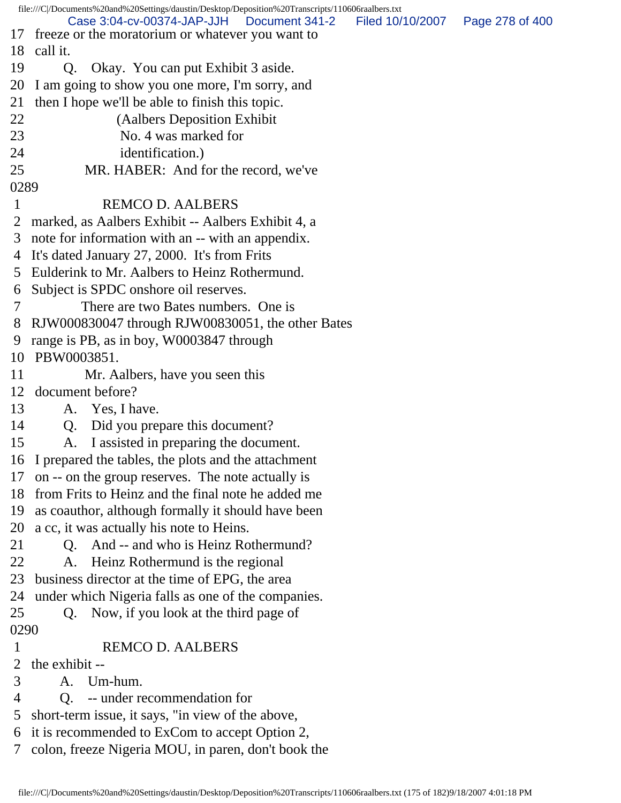|              | file:///C//Documents%20and%20Settings/daustin/Desktop/Deposition%20Transcripts/110606raalbers.txt          |                                   |  |
|--------------|------------------------------------------------------------------------------------------------------------|-----------------------------------|--|
| 17           | Case 3:04-cv-00374-JAP-JJH<br>Document 341-2<br>freeze or the moratorium or whatever you want to           | Filed 10/10/2007  Page 278 of 400 |  |
| 18           | call it.                                                                                                   |                                   |  |
| 19           | Okay. You can put Exhibit 3 aside.<br>Q.                                                                   |                                   |  |
| 20           | I am going to show you one more, I'm sorry, and                                                            |                                   |  |
| 21           | then I hope we'll be able to finish this topic.                                                            |                                   |  |
| 22           | (Aalbers Deposition Exhibit)                                                                               |                                   |  |
| 23           | No. 4 was marked for                                                                                       |                                   |  |
| 24           | identification.)                                                                                           |                                   |  |
| 25           | MR. HABER: And for the record, we've                                                                       |                                   |  |
| 0289         |                                                                                                            |                                   |  |
| $\mathbf{1}$ | <b>REMCO D. AALBERS</b>                                                                                    |                                   |  |
| 2            | marked, as Aalbers Exhibit -- Aalbers Exhibit 4, a                                                         |                                   |  |
| 3            | note for information with an -- with an appendix.                                                          |                                   |  |
| 4            | It's dated January 27, 2000. It's from Frits                                                               |                                   |  |
| 5            | Eulderink to Mr. Aalbers to Heinz Rothermund.                                                              |                                   |  |
|              |                                                                                                            |                                   |  |
| 6<br>7       | Subject is SPDC onshore oil reserves.<br>There are two Bates numbers. One is                               |                                   |  |
| 8            |                                                                                                            |                                   |  |
| 9            | RJW000830047 through RJW00830051, the other Bates                                                          |                                   |  |
| 10           | range is PB, as in boy, W0003847 through<br>PBW0003851.                                                    |                                   |  |
| 11           |                                                                                                            |                                   |  |
| 12           | Mr. Aalbers, have you seen this<br>document before?                                                        |                                   |  |
| 13           |                                                                                                            |                                   |  |
|              | A. Yes, I have.                                                                                            |                                   |  |
| 14           | Q. Did you prepare this document?                                                                          |                                   |  |
| 15           | A. I assisted in preparing the document.                                                                   |                                   |  |
|              | 16 I prepared the tables, the plots and the attachment                                                     |                                   |  |
| 17           | on -- on the group reserves. The note actually is<br>18 from Frits to Heinz and the final note he added me |                                   |  |
|              |                                                                                                            |                                   |  |
| 19           | as coauthor, although formally it should have been                                                         |                                   |  |
|              | 20 a cc, it was actually his note to Heins.                                                                |                                   |  |
| 21           | And -- and who is Heinz Rothermund?<br>Q.                                                                  |                                   |  |
| 22           | Heinz Rothermund is the regional<br>A.                                                                     |                                   |  |
| 23           | business director at the time of EPG, the area                                                             |                                   |  |
| 24           | under which Nigeria falls as one of the companies.                                                         |                                   |  |
| 25           | Now, if you look at the third page of<br>Q.                                                                |                                   |  |
| 0290         |                                                                                                            |                                   |  |
| $\mathbf{1}$ | <b>REMCO D. AALBERS</b>                                                                                    |                                   |  |
| 2            | the exhibit --                                                                                             |                                   |  |
| 3            | A. Um-hum.                                                                                                 |                                   |  |
| 4            | -- under recommendation for<br>Q <sub>r</sub>                                                              |                                   |  |
| 5            | short-term issue, it says, "in view of the above,                                                          |                                   |  |
| 6            | it is recommended to ExCom to accept Option 2,                                                             |                                   |  |
| 7            | colon, freeze Nigeria MOU, in paren, don't book the                                                        |                                   |  |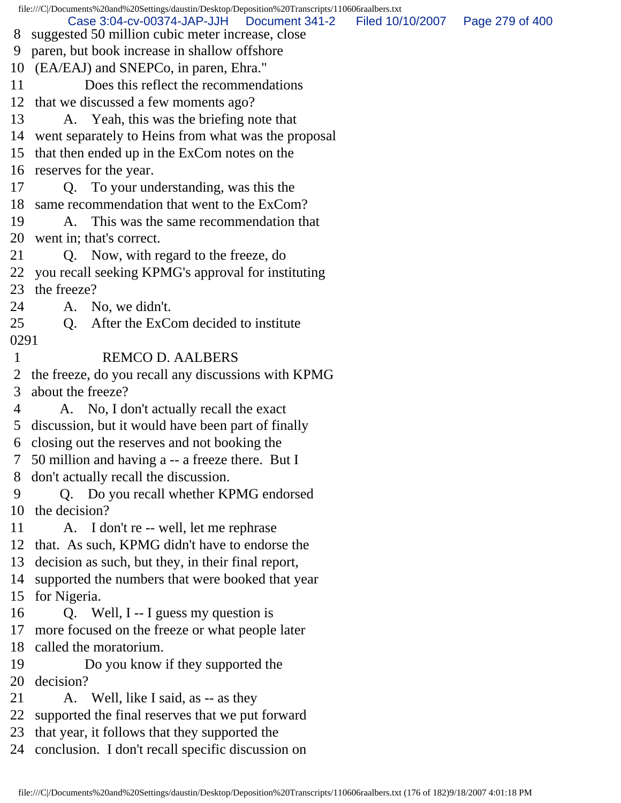file:///C|/Documents%20and%20Settings/daustin/Desktop/Deposition%20Transcripts/110606raalbers.txt 8 suggested 50 million cubic meter increase, close 9 paren, but book increase in shallow offshore 10 (EA/EAJ) and SNEPCo, in paren, Ehra." 11 Does this reflect the recommendations 12 that we discussed a few moments ago? 13 A. Yeah, this was the briefing note that 14 went separately to Heins from what was the proposal 15 that then ended up in the ExCom notes on the 16 reserves for the year. 17 Q. To your understanding, was this the 18 same recommendation that went to the ExCom? 19 A. This was the same recommendation that 20 went in; that's correct. 21 Q. Now, with regard to the freeze, do 22 you recall seeking KPMG's approval for instituting 23 the freeze? 24 A. No, we didn't. 25 O. After the ExCom decided to institute 0291 1 REMCO D. AALBERS 2 the freeze, do you recall any discussions with KPMG 3 about the freeze? 4 A. No, I don't actually recall the exact 5 discussion, but it would have been part of finally 6 closing out the reserves and not booking the 7 50 million and having a -- a freeze there. But I 8 don't actually recall the discussion. 9 Q. Do you recall whether KPMG endorsed 10 the decision? 11 A. I don't re -- well, let me rephrase 12 that. As such, KPMG didn't have to endorse the 13 decision as such, but they, in their final report, 14 supported the numbers that were booked that year 15 for Nigeria. 16 Q. Well, I -- I guess my question is 17 more focused on the freeze or what people later 18 called the moratorium. 19 Do you know if they supported the 20 decision? 21 A. Well, like I said, as -- as they 22 supported the final reserves that we put forward 23 that year, it follows that they supported the 24 conclusion. I don't recall specific discussion on Case 3:04-cv-00374-JAP-JJH Document 341-2 Filed 10/10/2007 Page 279 of 400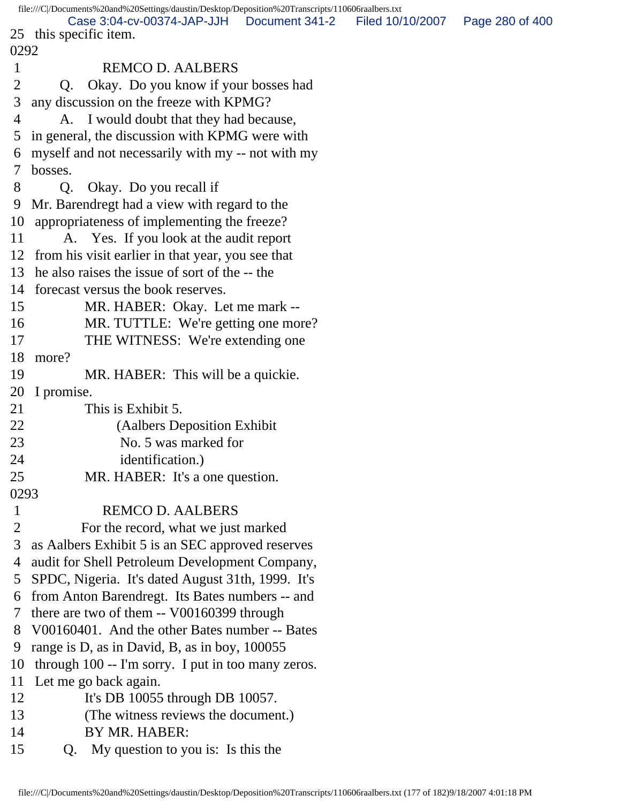file:///C|/Documents%20and%20Settings/daustin/Desktop/Deposition%20Transcripts/110606raalbers.txt 25 this specific item. 0292 1 REMCO D. AALBERS 2 Q. Okay. Do you know if your bosses had 3 any discussion on the freeze with KPMG? 4 A. I would doubt that they had because, 5 in general, the discussion with KPMG were with 6 myself and not necessarily with my -- not with my 7 bosses. 8 Q. Okay. Do you recall if 9 Mr. Barendregt had a view with regard to the 10 appropriateness of implementing the freeze? 11 A. Yes. If you look at the audit report 12 from his visit earlier in that year, you see that 13 he also raises the issue of sort of the -- the 14 forecast versus the book reserves. 15 MR. HABER: Okay. Let me mark -- 16 MR. TUTTLE: We're getting one more? 17 THE WITNESS: We're extending one 18 more? 19 MR. HABER: This will be a quickie. 20 I promise. 21 This is Exhibit 5. 22 (Aalbers Deposition Exhibit 23 No. 5 was marked for 24 identification.) 25 MR. HABER: It's a one question. 0293 1 REMCO D. AALBERS 2 For the record, what we just marked 3 as Aalbers Exhibit 5 is an SEC approved reserves 4 audit for Shell Petroleum Development Company, 5 SPDC, Nigeria. It's dated August 31th, 1999. It's 6 from Anton Barendregt. Its Bates numbers -- and 7 there are two of them -- V00160399 through 8 V00160401. And the other Bates number -- Bates 9 range is D, as in David, B, as in boy, 100055 10 through 100 -- I'm sorry. I put in too many zeros. 11 Let me go back again. 12 It's DB 10055 through DB 10057. 13 (The witness reviews the document.) 14 BY MR. HABER: 15 Q. My question to you is: Is this the Case 3:04-cv-00374-JAP-JJH Document 341-2 Filed 10/10/2007 Page 280 of 400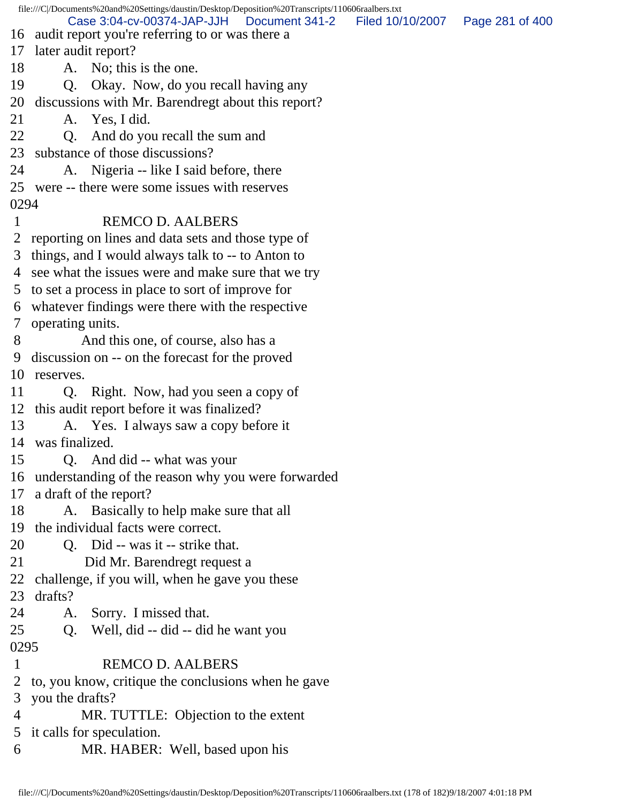file:///C|/Documents%20and%20Settings/daustin/Desktop/Deposition%20Transcripts/110606raalbers.txt 16 audit report you're referring to or was there a 17 later audit report? 18 A. No; this is the one. 19 Q. Okay. Now, do you recall having any 20 discussions with Mr. Barendregt about this report? 21 A. Yes, I did. 22 Q. And do you recall the sum and 23 substance of those discussions? 24 A. Nigeria -- like I said before, there 25 were -- there were some issues with reserves 0294 1 REMCO D. AALBERS 2 reporting on lines and data sets and those type of 3 things, and I would always talk to -- to Anton to 4 see what the issues were and make sure that we try 5 to set a process in place to sort of improve for 6 whatever findings were there with the respective 7 operating units. 8 And this one, of course, also has a 9 discussion on -- on the forecast for the proved 10 reserves. 11 Q. Right. Now, had you seen a copy of 12 this audit report before it was finalized? 13 A. Yes. I always saw a copy before it 14 was finalized. 15 Q. And did -- what was your 16 understanding of the reason why you were forwarded 17 a draft of the report? 18 A. Basically to help make sure that all 19 the individual facts were correct. 20 Q. Did -- was it -- strike that. 21 Did Mr. Barendregt request a 22 challenge, if you will, when he gave you these 23 drafts? 24 A. Sorry. I missed that. 25 Q. Well, did -- did -- did he want you 0295 1 REMCO D. AALBERS 2 to, you know, critique the conclusions when he gave 3 you the drafts? 4 MR. TUTTLE: Objection to the extent 5 it calls for speculation. 6 MR. HABER: Well, based upon his Case 3:04-cv-00374-JAP-JJH Document 341-2 Filed 10/10/2007 Page 281 of 400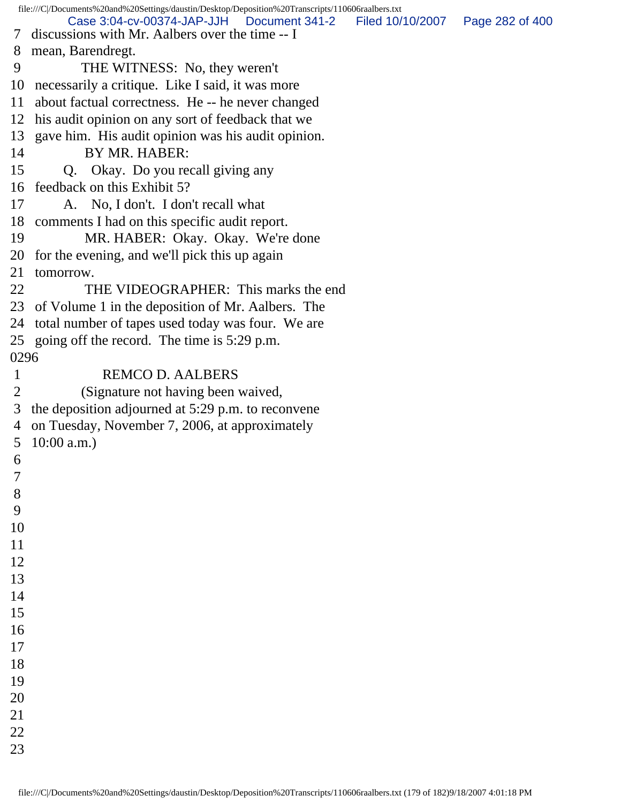file:///C|/Documents%20and%20Settings/daustin/Desktop/Deposition%20Transcripts/110606raalbers.txt 7 discussions with Mr. Aalbers over the time -- I 8 mean, Barendregt. 9 THE WITNESS: No, they weren't 10 necessarily a critique. Like I said, it was more 11 about factual correctness. He -- he never changed 12 his audit opinion on any sort of feedback that we 13 gave him. His audit opinion was his audit opinion. 14 BY MR. HABER: 15 Q. Okay. Do you recall giving any 16 feedback on this Exhibit 5? 17 A. No, I don't. I don't recall what 18 comments I had on this specific audit report. 19 MR. HABER: Okay. Okay. We're done 20 for the evening, and we'll pick this up again 21 tomorrow. 22 THE VIDEOGRAPHER: This marks the end 23 of Volume 1 in the deposition of Mr. Aalbers. The 24 total number of tapes used today was four. We are 25 going off the record. The time is 5:29 p.m. 0296 1 REMCO D. AALBERS 2 (Signature not having been waived, 3 the deposition adjourned at 5:29 p.m. to reconvene 4 on Tuesday, November 7, 2006, at approximately 5 10:00 a.m.) 6 7 8 9 10 11 12 13 14 15 16 17 18 19 20 21 22 23 Case 3:04-cv-00374-JAP-JJH Document 341-2 Filed 10/10/2007 Page 282 of 400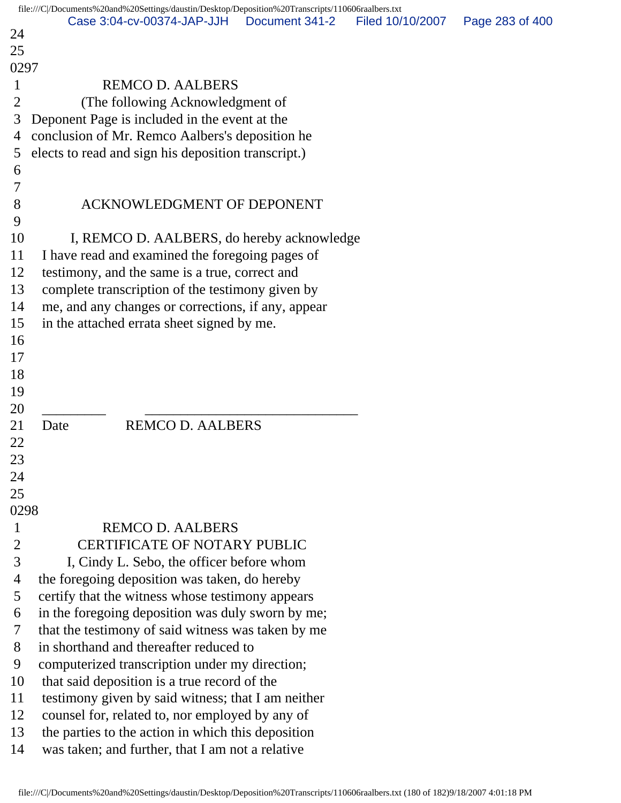|                | file:///C /Documents%20and%20Settings/daustin/Desktop/Deposition%20Transcripts/110606raalbers.txt |                |                  |                 |
|----------------|---------------------------------------------------------------------------------------------------|----------------|------------------|-----------------|
| 24             | Case 3:04-cv-00374-JAP-JJH                                                                        | Document 341-2 | Filed 10/10/2007 | Page 283 of 400 |
| 25             |                                                                                                   |                |                  |                 |
| 0297           |                                                                                                   |                |                  |                 |
| $\mathbf{1}$   | <b>REMCO D. AALBERS</b>                                                                           |                |                  |                 |
| $\overline{2}$ | (The following Acknowledgment of                                                                  |                |                  |                 |
| 3              | Deponent Page is included in the event at the                                                     |                |                  |                 |
| 4              | conclusion of Mr. Remco Aalbers's deposition he                                                   |                |                  |                 |
| 5              | elects to read and sign his deposition transcript.)                                               |                |                  |                 |
| 6              |                                                                                                   |                |                  |                 |
| 7              |                                                                                                   |                |                  |                 |
| 8              | <b>ACKNOWLEDGMENT OF DEPONENT</b>                                                                 |                |                  |                 |
| 9              |                                                                                                   |                |                  |                 |
| 10             | I, REMCO D. AALBERS, do hereby acknowledge                                                        |                |                  |                 |
| 11             | I have read and examined the foregoing pages of                                                   |                |                  |                 |
| 12             | testimony, and the same is a true, correct and                                                    |                |                  |                 |
| 13             | complete transcription of the testimony given by                                                  |                |                  |                 |
| 14             | me, and any changes or corrections, if any, appear                                                |                |                  |                 |
| 15             | in the attached errata sheet signed by me.                                                        |                |                  |                 |
| 16             |                                                                                                   |                |                  |                 |
| 17             |                                                                                                   |                |                  |                 |
| 18             |                                                                                                   |                |                  |                 |
| 19             |                                                                                                   |                |                  |                 |
| 20             |                                                                                                   |                |                  |                 |
| 21             | <b>REMCO D. AALBERS</b><br>Date                                                                   |                |                  |                 |
| 22             |                                                                                                   |                |                  |                 |
| 23             |                                                                                                   |                |                  |                 |
| 24             |                                                                                                   |                |                  |                 |
| 25             |                                                                                                   |                |                  |                 |
| 0298           |                                                                                                   |                |                  |                 |
| $\mathbf{1}$   | <b>REMCO D. AALBERS</b>                                                                           |                |                  |                 |
| $\overline{2}$ | <b>CERTIFICATE OF NOTARY PUBLIC</b>                                                               |                |                  |                 |
| 3              | I, Cindy L. Sebo, the officer before whom                                                         |                |                  |                 |
| 4              | the foregoing deposition was taken, do hereby                                                     |                |                  |                 |
| 5              | certify that the witness whose testimony appears                                                  |                |                  |                 |
| 6              | in the foregoing deposition was duly sworn by me;                                                 |                |                  |                 |
| 7              | that the testimony of said witness was taken by me                                                |                |                  |                 |
| 8              | in shorthand and thereafter reduced to                                                            |                |                  |                 |
| 9              | computerized transcription under my direction;                                                    |                |                  |                 |
| 10             | that said deposition is a true record of the                                                      |                |                  |                 |
| 11             | testimony given by said witness; that I am neither                                                |                |                  |                 |
| 12             | counsel for, related to, nor employed by any of                                                   |                |                  |                 |
| 13             | the parties to the action in which this deposition                                                |                |                  |                 |
| 14             | was taken; and further, that I am not a relative                                                  |                |                  |                 |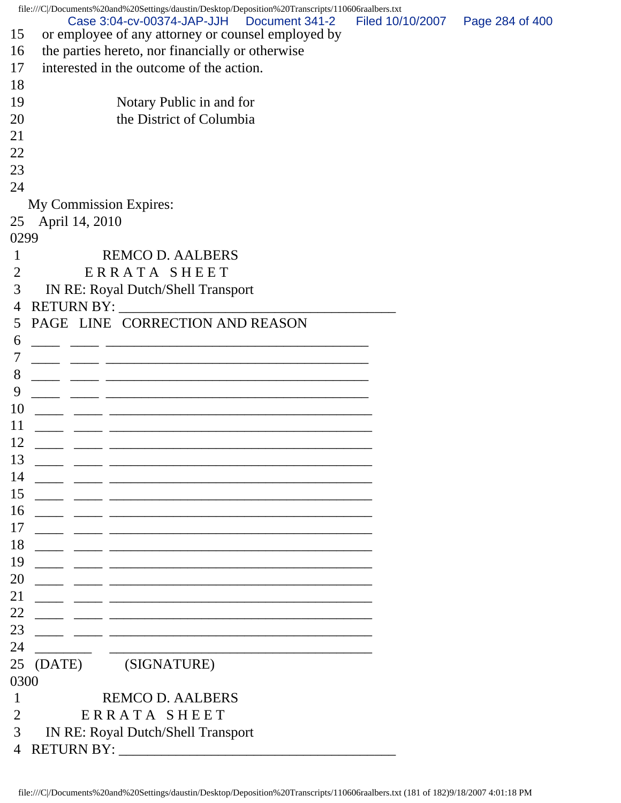|                | file:///C /Documents%20and%20Settings/daustin/Desktop/Deposition%20Transcripts/110606raalbers.txt                    |                  |                 |
|----------------|----------------------------------------------------------------------------------------------------------------------|------------------|-----------------|
| 15             | Case 3:04-cv-00374-JAP-JJH   Document 341-2<br>or employee of any attorney or counsel employed by                    | Filed 10/10/2007 | Page 284 of 400 |
| 16             | the parties hereto, nor financially or otherwise                                                                     |                  |                 |
| 17             | interested in the outcome of the action.                                                                             |                  |                 |
| 18             |                                                                                                                      |                  |                 |
| 19             | Notary Public in and for                                                                                             |                  |                 |
| 20             | the District of Columbia                                                                                             |                  |                 |
| 21             |                                                                                                                      |                  |                 |
| 22             |                                                                                                                      |                  |                 |
| 23             |                                                                                                                      |                  |                 |
| 24             |                                                                                                                      |                  |                 |
|                | My Commission Expires:                                                                                               |                  |                 |
| 25             | April 14, 2010                                                                                                       |                  |                 |
| 0299           |                                                                                                                      |                  |                 |
| 1              | <b>REMCO D. AALBERS</b>                                                                                              |                  |                 |
| 2              | ERRATA SHEET                                                                                                         |                  |                 |
| 3              | <b>IN RE: Royal Dutch/Shell Transport</b>                                                                            |                  |                 |
| 4              |                                                                                                                      |                  |                 |
| 5              | PAGE LINE CORRECTION AND REASON                                                                                      |                  |                 |
| 6              |                                                                                                                      |                  |                 |
| 7              |                                                                                                                      |                  |                 |
| 8              |                                                                                                                      |                  |                 |
| 9              |                                                                                                                      |                  |                 |
| 10             | <u> 2000 - Jan James James James James James James James James James James James James James James James James J</u> |                  |                 |
| 11             |                                                                                                                      |                  |                 |
| 12             |                                                                                                                      |                  |                 |
| 13             |                                                                                                                      |                  |                 |
|                |                                                                                                                      |                  |                 |
| 14             | <u> 1980 - Johann Stein, marwolaethau a bhann an t-Amhair ann an t-Amhair an t-Amhair an t-Amhair an t-Amhair an</u> |                  |                 |
| 15             | the control of the control of the control of the control of the control of the control of                            |                  |                 |
| 16             | <u> 1989 - Johann Stein, marwolaethau a bhann an t-Amhair an t-Amhair an t-Amhair an t-Amhair an t-Amhair an t-A</u> |                  |                 |
| 17             |                                                                                                                      |                  |                 |
| 18             |                                                                                                                      |                  |                 |
| 19             | <u> 1980 - Johann Stein, marwolaethau a bhann an t-Amhair an t-Amhair an t-Amhair an t-Amhair an t-Amhair an t-A</u> |                  |                 |
| 20             | the control of the control of the control of the control of the control of the control of                            |                  |                 |
| 21             |                                                                                                                      |                  |                 |
| 22             |                                                                                                                      |                  |                 |
| 23             | the control of the control of the control of the control of the control of the control of                            |                  |                 |
| 24             |                                                                                                                      |                  |                 |
| 25             | (SIGNATURE)<br>(DATE)                                                                                                |                  |                 |
| 0300           |                                                                                                                      |                  |                 |
| 1              | <b>REMCO D. AALBERS</b>                                                                                              |                  |                 |
| 2              | ERRATA SHEET                                                                                                         |                  |                 |
| 3              | <b>IN RE: Royal Dutch/Shell Transport</b>                                                                            |                  |                 |
| $\overline{4}$ | <b>RETURN BY:</b>                                                                                                    |                  |                 |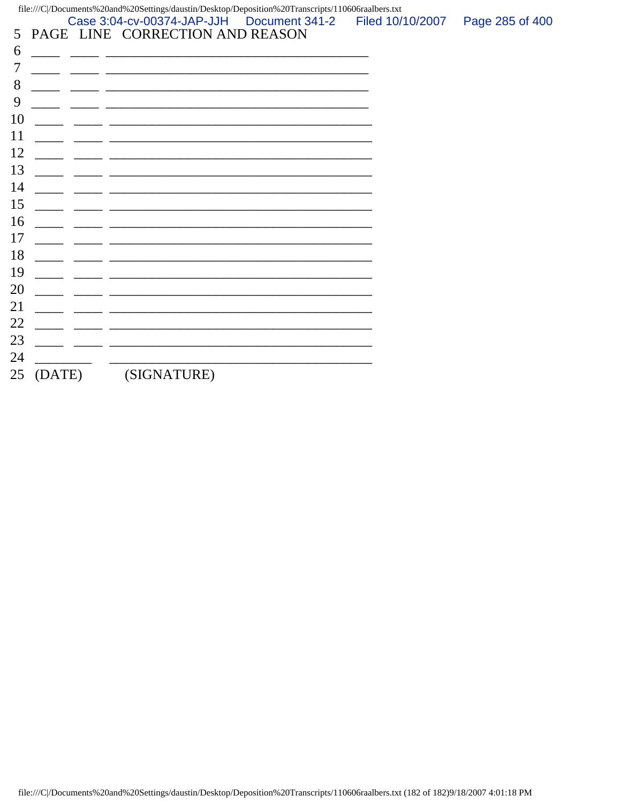$file://C|/Documents\%20 and\%20Settings/daustin/Desktop/Deposition\%20Transcripts/110606 raalbers.txt$ 

Case 3:04-cv-00374-JAP-JJH Document 341-2 Filed 10/10/2007 Page 285 of 400 5 PAGE LINE CORRECTION AND REASON

| 6  |        |             |
|----|--------|-------------|
| 7  |        |             |
| 8  |        |             |
| 9  |        |             |
| 10 |        |             |
| 11 |        |             |
| 12 |        |             |
| 13 |        |             |
| 14 |        |             |
| 15 |        |             |
| 16 |        |             |
| 17 |        |             |
| 18 |        |             |
| 19 |        |             |
| 20 |        |             |
| 21 |        |             |
| 22 |        |             |
| 23 |        |             |
| 24 |        |             |
| 25 | (DATE) | (SIGNATURE) |
|    |        |             |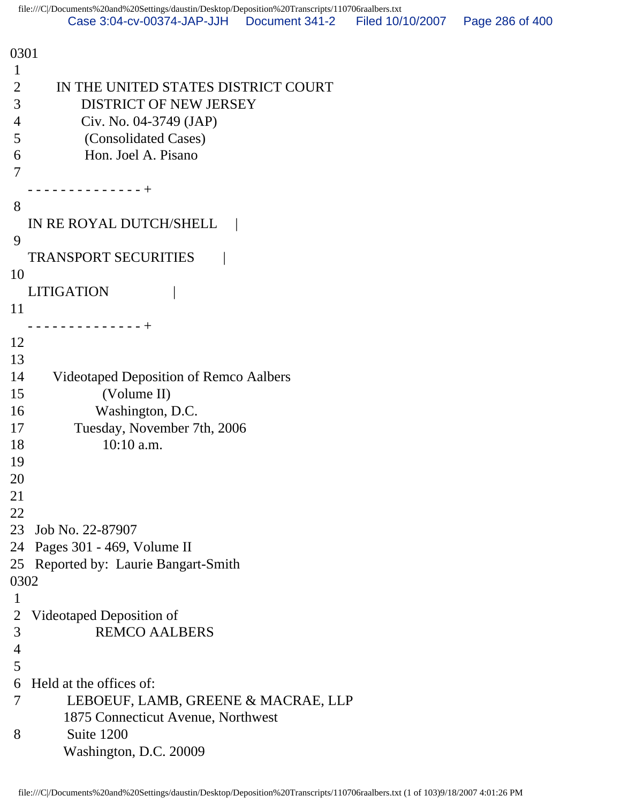0301 1 2 IN THE UNITED STATES DISTRICT COURT 3 DISTRICT OF NEW JERSEY 4 Civ. No. 04-3749 (JAP) 5 (Consolidated Cases) 6 Hon. Joel A. Pisano 7 - - - - - - - - - - - - - - + 8 IN RE ROYAL DUTCH/SHELL 9 TRANSPORT SECURITIES | 10 LITIGATION | 11 - - - - - - - - - - - - - - + 12 13 14 Videotaped Deposition of Remco Aalbers 15 (Volume II) 16 Washington, D.C. 17 Tuesday, November 7th, 2006 18 10:10 a.m. 19 20 21 22 23 Job No. 22-87907 24 Pages 301 - 469, Volume II 25 Reported by: Laurie Bangart-Smith 0302 1 2 Videotaped Deposition of 3 REMCO AALBERS 4 5 6 Held at the offices of: 7 LEBOEUF, LAMB, GREENE & MACRAE, LLP 1875 Connecticut Avenue, Northwest 8 Suite 1200 Washington, D.C. 20009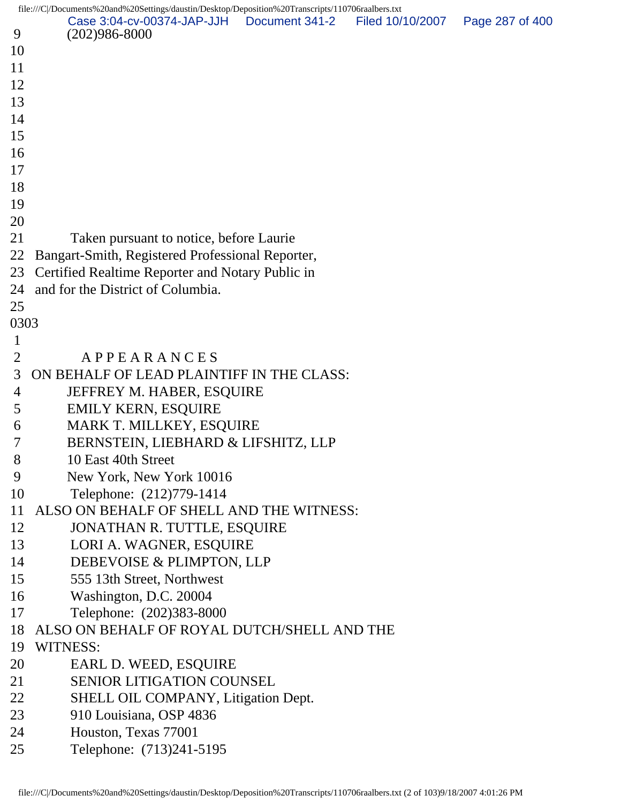file:///C|/Documents%20and%20Settings/daustin/Desktop/Deposition%20Transcripts/110706raalbers.txt 9 (202)986-8000 10 11 12 13 14 15 16 17 18 19 20 21 Taken pursuant to notice, before Laurie 22 Bangart-Smith, Registered Professional Reporter, 23 Certified Realtime Reporter and Notary Public in 24 and for the District of Columbia. 25 0303 1 2 A P P E A R A N C E S 3 ON BEHALF OF LEAD PLAINTIFF IN THE CLASS: 4 JEFFREY M. HABER, ESQUIRE 5 EMILY KERN, ESQUIRE 6 MARK T. MILLKEY, ESQUIRE 7 BERNSTEIN, LIEBHARD & LIFSHITZ, LLP 8 10 East 40th Street 9 New York, New York 10016 10 Telephone: (212)779-1414 11 ALSO ON BEHALF OF SHELL AND THE WITNESS: 12 JONATHAN R. TUTTLE, ESQUIRE 13 LORI A. WAGNER, ESQUIRE 14 DEBEVOISE & PLIMPTON, LLP 15 555 13th Street, Northwest 16 Washington, D.C. 20004 17 Telephone: (202)383-8000 18 ALSO ON BEHALF OF ROYAL DUTCH/SHELL AND THE 19 WITNESS: 20 EARL D. WEED, ESOUIRE 21 SENIOR LITIGATION COUNSEL 22 SHELL OIL COMPANY, Litigation Dept. 23 910 Louisiana, OSP 4836 24 Houston, Texas 77001 25 Telephone: (713)241-5195 Case 3:04-cv-00374-JAP-JJH Document 341-2 Filed 10/10/2007 Page 287 of 400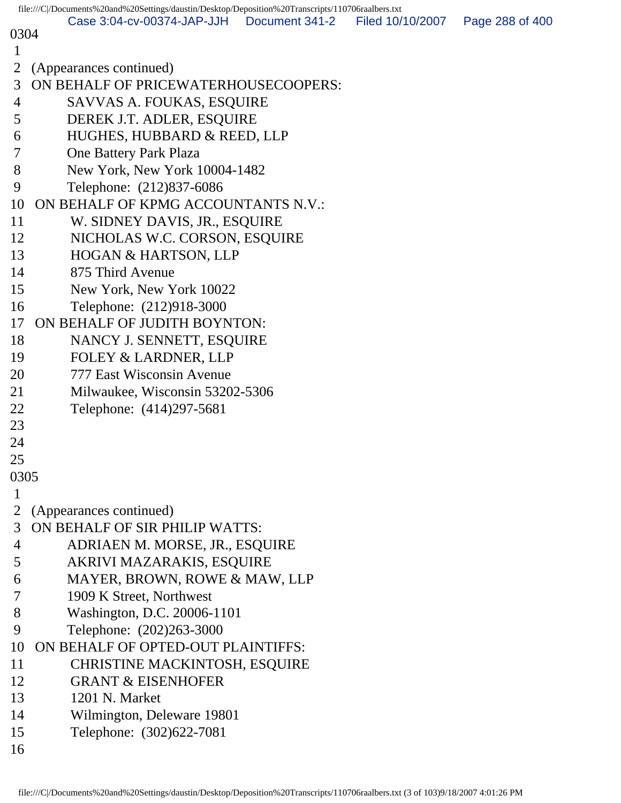|        | file:///C /Documents%20and%20Settings/daustin/Desktop/Deposition%20Transcripts/110706raalbers.txt |                |                  |                 |
|--------|---------------------------------------------------------------------------------------------------|----------------|------------------|-----------------|
| 0304   | Case 3:04-cv-00374-JAP-JJH                                                                        | Document 341-2 | Filed 10/10/2007 | Page 288 of 400 |
| 1      |                                                                                                   |                |                  |                 |
| 2      | (Appearances continued)                                                                           |                |                  |                 |
| 3      | ON BEHALF OF PRICEWATERHOUSECOOPERS:                                                              |                |                  |                 |
| 4      | SAVVAS A. FOUKAS, ESQUIRE                                                                         |                |                  |                 |
| 5      | DEREK J.T. ADLER, ESQUIRE                                                                         |                |                  |                 |
| 6      | HUGHES, HUBBARD & REED, LLP                                                                       |                |                  |                 |
| 7      | <b>One Battery Park Plaza</b>                                                                     |                |                  |                 |
| 8      | New York, New York 10004-1482                                                                     |                |                  |                 |
| 9      | Telephone: (212)837-6086                                                                          |                |                  |                 |
| 10     | ON BEHALF OF KPMG ACCOUNTANTS N.V.:                                                               |                |                  |                 |
| 11     | W. SIDNEY DAVIS, JR., ESQUIRE                                                                     |                |                  |                 |
| 12     | NICHOLAS W.C. CORSON, ESQUIRE                                                                     |                |                  |                 |
| 13     | <b>HOGAN &amp; HARTSON, LLP</b>                                                                   |                |                  |                 |
| 14     | 875 Third Avenue                                                                                  |                |                  |                 |
| 15     | New York, New York 10022                                                                          |                |                  |                 |
| 16     | Telephone: (212)918-3000                                                                          |                |                  |                 |
| 17     | ON BEHALF OF JUDITH BOYNTON:                                                                      |                |                  |                 |
| 18     | NANCY J. SENNETT, ESQUIRE                                                                         |                |                  |                 |
| 19     | FOLEY & LARDNER, LLP                                                                              |                |                  |                 |
| 20     | 777 East Wisconsin Avenue                                                                         |                |                  |                 |
| 21     | Milwaukee, Wisconsin 53202-5306                                                                   |                |                  |                 |
| 22     | Telephone: (414)297-5681                                                                          |                |                  |                 |
| 23     |                                                                                                   |                |                  |                 |
| 24     |                                                                                                   |                |                  |                 |
| 25     |                                                                                                   |                |                  |                 |
| 0305   |                                                                                                   |                |                  |                 |
| 1      |                                                                                                   |                |                  |                 |
| 3      | (Appearances continued)<br>ON BEHALF OF SIR PHILIP WATTS:                                         |                |                  |                 |
| 4      | ADRIAEN M. MORSE, JR., ESQUIRE                                                                    |                |                  |                 |
| 5      | AKRIVI MAZARAKIS, ESQUIRE                                                                         |                |                  |                 |
| 6      | MAYER, BROWN, ROWE & MAW, LLP                                                                     |                |                  |                 |
| $\tau$ | 1909 K Street, Northwest                                                                          |                |                  |                 |
| 8      | Washington, D.C. 20006-1101                                                                       |                |                  |                 |
| 9      | Telephone: (202)263-3000                                                                          |                |                  |                 |
| 10     | ON BEHALF OF OPTED-OUT PLAINTIFFS:                                                                |                |                  |                 |
| 11     | <b>CHRISTINE MACKINTOSH, ESQUIRE</b>                                                              |                |                  |                 |
| 12     | <b>GRANT &amp; EISENHOFER</b>                                                                     |                |                  |                 |
| 13     | 1201 N. Market                                                                                    |                |                  |                 |
| 14     | Wilmington, Deleware 19801                                                                        |                |                  |                 |
| 15     | Telephone: (302)622-7081                                                                          |                |                  |                 |
| 16     |                                                                                                   |                |                  |                 |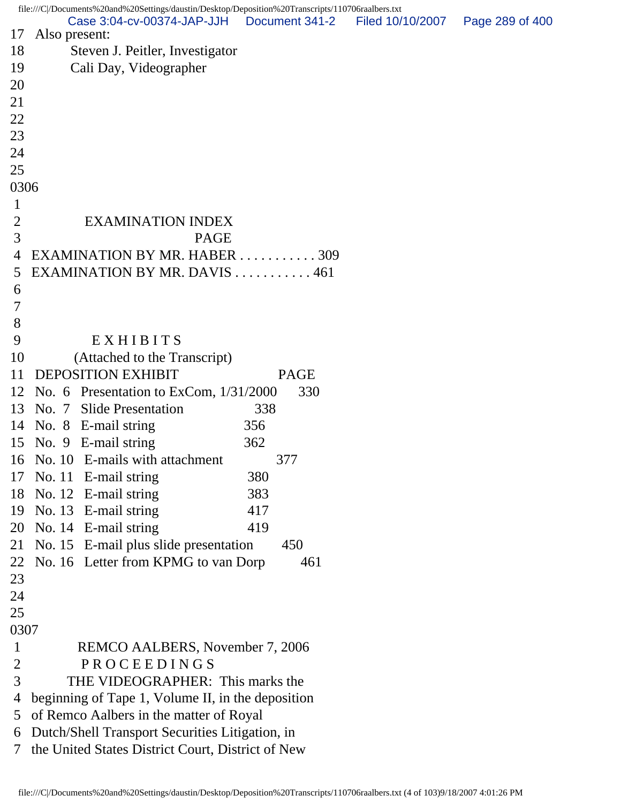file:///C|/Documents%20and%20Settings/daustin/Desktop/Deposition%20Transcripts/110706raalbers.txt 17 Also present: 18 Steven J. Peitler, Investigator 19 Cali Day, Videographer 20 21 22 23 24 25 0306 1 2 EXAMINATION INDEX 3 PAGE 4 EXAMINATION BY MR. HABER . . . . . . . . . . . 309 5 EXAMINATION BY MR. DAVIS . . . . . . . . . . . 461 6 7 8 9 EXHIBITS 10 (Attached to the Transcript) 11 DEPOSITION EXHIBIT PAGE 12 No. 6 Presentation to ExCom, 1/31/2000 330 13 No. 7 Slide Presentation 338 14 No. 8 E-mail string 356 15 No. 9 E-mail string 362 16 No. 10 E-mails with attachment 377 17 No. 11 E-mail string 380 18 No. 12 E-mail string 383 19 No. 13 E-mail string 417 20 No. 14 E-mail string 419 21 No. 15 E-mail plus slide presentation 450 22 No. 16 Letter from KPMG to van Dorp 461 23 24 25 0307 1 REMCO AALBERS, November 7, 2006 2 PROCEEDINGS 3 THE VIDEOGRAPHER: This marks the 4 beginning of Tape 1, Volume II, in the deposition 5 of Remco Aalbers in the matter of Royal 6 Dutch/Shell Transport Securities Litigation, in 7 the United States District Court, District of New Case 3:04-cv-00374-JAP-JJH Document 341-2 Filed 10/10/2007 Page 289 of 400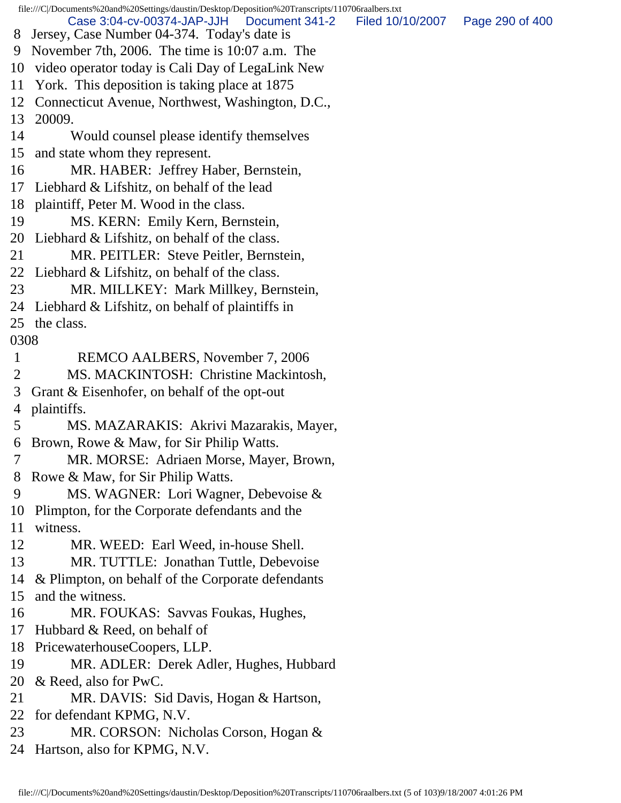file:///C|/Documents%20and%20Settings/daustin/Desktop/Deposition%20Transcripts/110706raalbers.txt 8 Jersey, Case Number 04-374. Today's date is 9 November 7th, 2006. The time is 10:07 a.m. The 10 video operator today is Cali Day of LegaLink New 11 York. This deposition is taking place at 1875 12 Connecticut Avenue, Northwest, Washington, D.C., 13 20009. 14 Would counsel please identify themselves 15 and state whom they represent. 16 MR. HABER: Jeffrey Haber, Bernstein, 17 Liebhard & Lifshitz, on behalf of the lead 18 plaintiff, Peter M. Wood in the class. 19 MS. KERN: Emily Kern, Bernstein, 20 Liebhard & Lifshitz, on behalf of the class. 21 MR. PEITLER: Steve Peitler, Bernstein, 22 Liebhard & Lifshitz, on behalf of the class. 23 MR. MILLKEY: Mark Millkey, Bernstein, 24 Liebhard & Lifshitz, on behalf of plaintiffs in 25 the class. 0308 1 REMCO AALBERS, November 7, 2006 2 MS. MACKINTOSH: Christine Mackintosh, 3 Grant & Eisenhofer, on behalf of the opt-out 4 plaintiffs. 5 MS. MAZARAKIS: Akrivi Mazarakis, Mayer, 6 Brown, Rowe & Maw, for Sir Philip Watts. 7 MR. MORSE: Adriaen Morse, Mayer, Brown, 8 Rowe & Maw, for Sir Philip Watts. 9 MS. WAGNER: Lori Wagner, Debevoise & 10 Plimpton, for the Corporate defendants and the 11 witness. 12 MR. WEED: Earl Weed, in-house Shell. 13 MR. TUTTLE: Jonathan Tuttle, Debevoise 14 & Plimpton, on behalf of the Corporate defendants 15 and the witness. 16 MR. FOUKAS: Savvas Foukas, Hughes, 17 Hubbard & Reed, on behalf of 18 PricewaterhouseCoopers, LLP. 19 MR. ADLER: Derek Adler, Hughes, Hubbard 20 & Reed, also for PwC. 21 MR. DAVIS: Sid Davis, Hogan & Hartson, 22 for defendant KPMG, N.V. 23 MR. CORSON: Nicholas Corson, Hogan & 24 Hartson, also for KPMG, N.V. Case 3:04-cv-00374-JAP-JJH Document 341-2 Filed 10/10/2007 Page 290 of 400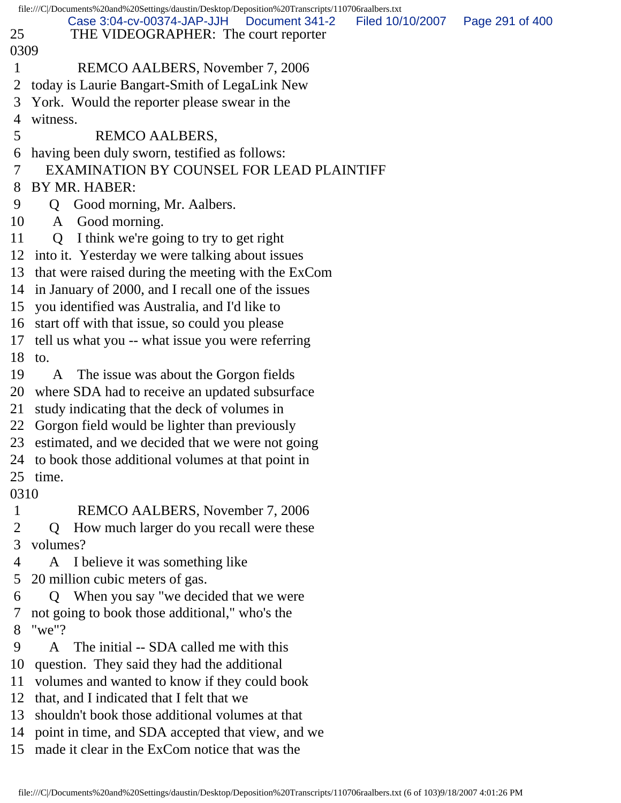| file:///C /Documents%20and%20Settings/daustin/Desktop/Deposition%20Transcripts/110706raalbers.txt |                                                                                                          |                 |  |  |  |
|---------------------------------------------------------------------------------------------------|----------------------------------------------------------------------------------------------------------|-----------------|--|--|--|
| 25                                                                                                | Case 3:04-cv-00374-JAP-JJH<br>Document 341-2<br>Filed 10/10/2007<br>THE VIDEOGRAPHER: The court reporter | Page 291 of 400 |  |  |  |
|                                                                                                   | 0309                                                                                                     |                 |  |  |  |
| 1                                                                                                 | REMCO AALBERS, November 7, 2006                                                                          |                 |  |  |  |
| 2                                                                                                 | today is Laurie Bangart-Smith of LegaLink New                                                            |                 |  |  |  |
| 3                                                                                                 | York. Would the reporter please swear in the                                                             |                 |  |  |  |
| 4                                                                                                 | witness.                                                                                                 |                 |  |  |  |
| 5                                                                                                 | REMCO AALBERS,                                                                                           |                 |  |  |  |
| 6                                                                                                 | having been duly sworn, testified as follows:                                                            |                 |  |  |  |
| 7                                                                                                 | EXAMINATION BY COUNSEL FOR LEAD PLAINTIFF                                                                |                 |  |  |  |
| 8                                                                                                 | BY MR. HABER:                                                                                            |                 |  |  |  |
| 9                                                                                                 | Good morning, Mr. Aalbers.<br>Q.                                                                         |                 |  |  |  |
| 10                                                                                                | A Good morning.                                                                                          |                 |  |  |  |
| 11                                                                                                | Q I think we're going to try to get right                                                                |                 |  |  |  |
| 12                                                                                                | into it. Yesterday we were talking about issues                                                          |                 |  |  |  |
| 13                                                                                                | that were raised during the meeting with the ExCom                                                       |                 |  |  |  |
| 14                                                                                                | in January of 2000, and I recall one of the issues                                                       |                 |  |  |  |
| 15                                                                                                | you identified was Australia, and I'd like to                                                            |                 |  |  |  |
| 16                                                                                                | start off with that issue, so could you please                                                           |                 |  |  |  |
| 17                                                                                                | tell us what you -- what issue you were referring                                                        |                 |  |  |  |
| 18                                                                                                | to.                                                                                                      |                 |  |  |  |
| 19                                                                                                | The issue was about the Gorgon fields<br>A                                                               |                 |  |  |  |
| 20                                                                                                | where SDA had to receive an updated subsurface                                                           |                 |  |  |  |
| 21                                                                                                | study indicating that the deck of volumes in                                                             |                 |  |  |  |
| 22                                                                                                | Gorgon field would be lighter than previously                                                            |                 |  |  |  |
| 23                                                                                                | estimated, and we decided that we were not going                                                         |                 |  |  |  |
|                                                                                                   | 24 to book those additional volumes at that point in                                                     |                 |  |  |  |
|                                                                                                   | 25 time.                                                                                                 |                 |  |  |  |
| 0310                                                                                              |                                                                                                          |                 |  |  |  |
| $\mathbf{1}$                                                                                      | REMCO AALBERS, November 7, 2006                                                                          |                 |  |  |  |
| 2                                                                                                 | How much larger do you recall were these<br>$\mathbf 0$                                                  |                 |  |  |  |
| 3                                                                                                 | volumes?                                                                                                 |                 |  |  |  |
| 4                                                                                                 | I believe it was something like<br>A                                                                     |                 |  |  |  |
| 5                                                                                                 | 20 million cubic meters of gas.                                                                          |                 |  |  |  |
| 6                                                                                                 | When you say "we decided that we were<br>Q                                                               |                 |  |  |  |
| 7                                                                                                 | not going to book those additional," who's the                                                           |                 |  |  |  |
| 8                                                                                                 | " $we$ "?                                                                                                |                 |  |  |  |
| 9                                                                                                 | The initial -- SDA called me with this<br>A                                                              |                 |  |  |  |
| 10                                                                                                | question. They said they had the additional                                                              |                 |  |  |  |
| 11                                                                                                | volumes and wanted to know if they could book                                                            |                 |  |  |  |
| 12                                                                                                | that, and I indicated that I felt that we                                                                |                 |  |  |  |
| 13                                                                                                | shouldn't book those additional volumes at that                                                          |                 |  |  |  |
| 14                                                                                                | point in time, and SDA accepted that view, and we<br>made it clear in the ExCom notice that was the      |                 |  |  |  |
| 15                                                                                                |                                                                                                          |                 |  |  |  |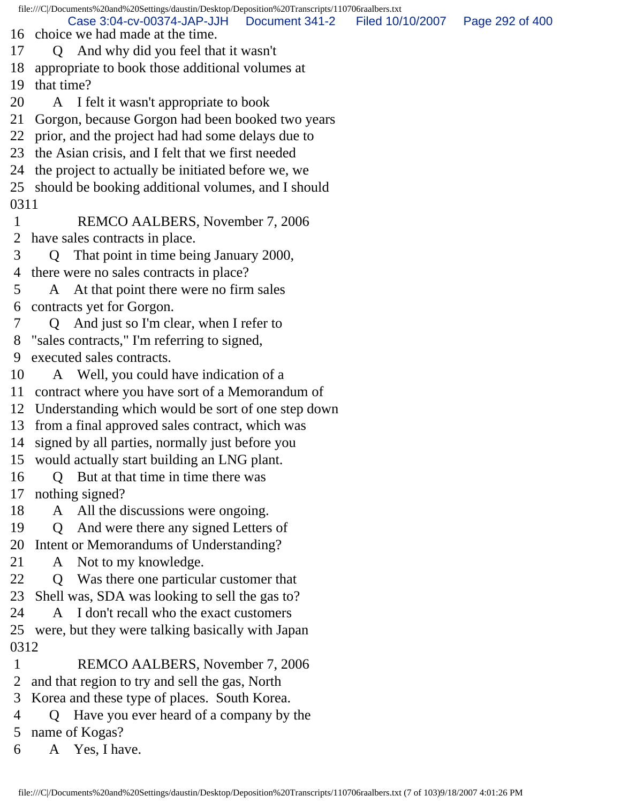file:///C|/Documents%20and%20Settings/daustin/Desktop/Deposition%20Transcripts/110706raalbers.txt

Case 3:04-cv-00374-JAP-JJH Document 341-2 Filed 10/10/2007 Page 292 of 400

- 16 choice we had made at the time.
- 17 Q And why did you feel that it wasn't
- 18 appropriate to book those additional volumes at

19 that time?

- 20 A I felt it wasn't appropriate to book
- 21 Gorgon, because Gorgon had been booked two years
- 22 prior, and the project had had some delays due to
- 23 the Asian crisis, and I felt that we first needed
- 24 the project to actually be initiated before we, we
- 25 should be booking additional volumes, and I should 0311
- 1 REMCO AALBERS, November 7, 2006 2 have sales contracts in place.
- 3 Q That point in time being January 2000,
- 4 there were no sales contracts in place?
- 5 A At that point there were no firm sales 6 contracts yet for Gorgon.
- 7 Q And just so I'm clear, when I refer to
- 8 "sales contracts," I'm referring to signed,
- 9 executed sales contracts.
- 10 A Well, you could have indication of a
- 11 contract where you have sort of a Memorandum of
- 12 Understanding which would be sort of one step down
- 13 from a final approved sales contract, which was
- 14 signed by all parties, normally just before you
- 15 would actually start building an LNG plant.
- 16 Q But at that time in time there was 17 nothing signed?
- 18 A All the discussions were ongoing.
- 19 Q And were there any signed Letters of
- 20 Intent or Memorandums of Understanding?
- 21 A Not to my knowledge.
- 22 Q Was there one particular customer that
- 23 Shell was, SDA was looking to sell the gas to?
- 24 A I don't recall who the exact customers
- 25 were, but they were talking basically with Japan 0312
- 1 REMCO AALBERS, November 7, 2006
- 2 and that region to try and sell the gas, North
- 3 Korea and these type of places. South Korea.
- 4 Q Have you ever heard of a company by the 5 name of Kogas?
- 6 A Yes, I have.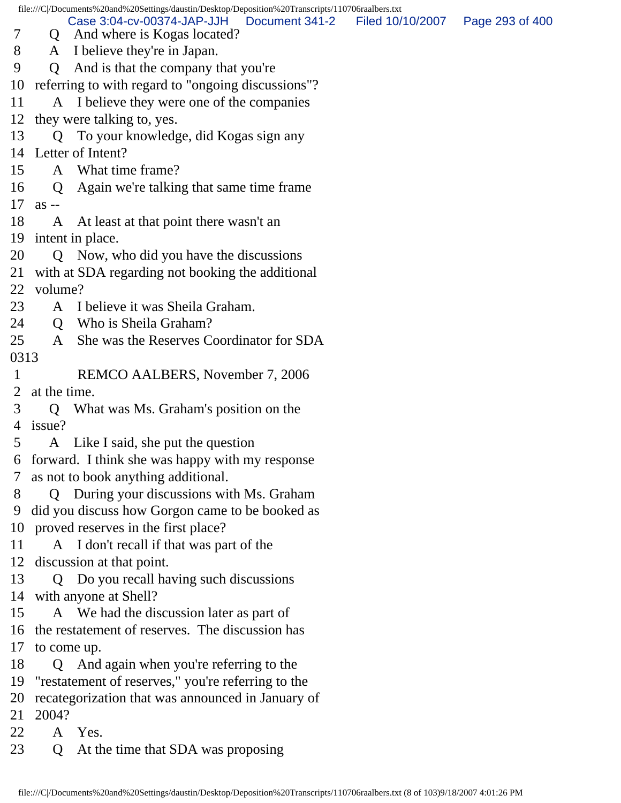file:///C|/Documents%20and%20Settings/daustin/Desktop/Deposition%20Transcripts/110706raalbers.txt 7 Q And where is Kogas located? 8 A I believe they're in Japan. 9 Q And is that the company that you're 10 referring to with regard to "ongoing discussions"? 11 A I believe they were one of the companies 12 they were talking to, yes. 13 Q To your knowledge, did Kogas sign any 14 Letter of Intent? 15 A What time frame? 16 Q Again we're talking that same time frame 17 as -- 18 A At least at that point there wasn't an 19 intent in place. 20 Q Now, who did you have the discussions 21 with at SDA regarding not booking the additional 22 volume? 23 A I believe it was Sheila Graham. 24 O Who is Sheila Graham? 25 A She was the Reserves Coordinator for SDA 0313 1 REMCO AALBERS, November 7, 2006 2 at the time. 3 Q What was Ms. Graham's position on the 4 issue? 5 A Like I said, she put the question 6 forward. I think she was happy with my response 7 as not to book anything additional. 8 Q During your discussions with Ms. Graham 9 did you discuss how Gorgon came to be booked as 10 proved reserves in the first place? 11 A I don't recall if that was part of the 12 discussion at that point. 13 Q Do you recall having such discussions 14 with anyone at Shell? 15 A We had the discussion later as part of 16 the restatement of reserves. The discussion has 17 to come up. 18 Q And again when you're referring to the 19 "restatement of reserves," you're referring to the 20 recategorization that was announced in January of 21 2004? 22 A Yes. 23 Q At the time that SDA was proposing Case 3:04-cv-00374-JAP-JJH Document 341-2 Filed 10/10/2007 Page 293 of 400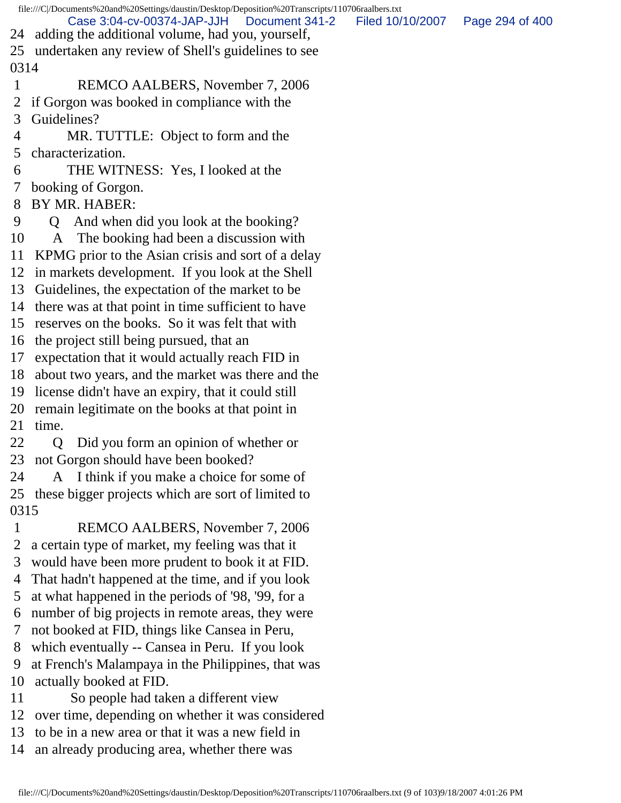|      | file:///C /Documents%20and%20Settings/daustin/Desktop/Deposition%20Transcripts/110706raalbers.txt |                  |                 |  |  |  |
|------|---------------------------------------------------------------------------------------------------|------------------|-----------------|--|--|--|
| 24   | Case 3:04-cv-00374-JAP-JJH<br>Document 341-2<br>adding the additional volume, had you, yourself,  | Filed 10/10/2007 | Page 294 of 400 |  |  |  |
|      | 25 undertaken any review of Shell's guidelines to see                                             |                  |                 |  |  |  |
| 0314 |                                                                                                   |                  |                 |  |  |  |
| 1    | REMCO AALBERS, November 7, 2006                                                                   |                  |                 |  |  |  |
| 2    | if Gorgon was booked in compliance with the                                                       |                  |                 |  |  |  |
| 3    | Guidelines?                                                                                       |                  |                 |  |  |  |
| 4    | MR. TUTTLE: Object to form and the                                                                |                  |                 |  |  |  |
| 5    | characterization.                                                                                 |                  |                 |  |  |  |
| 6    | THE WITNESS: Yes, I looked at the                                                                 |                  |                 |  |  |  |
| 7    | booking of Gorgon.                                                                                |                  |                 |  |  |  |
| 8    | BY MR. HABER:                                                                                     |                  |                 |  |  |  |
| 9    | And when did you look at the booking?<br>$\Omega$                                                 |                  |                 |  |  |  |
| 10   | A The booking had been a discussion with                                                          |                  |                 |  |  |  |
| 11   | KPMG prior to the Asian crisis and sort of a delay                                                |                  |                 |  |  |  |
|      | 12 in markets development. If you look at the Shell                                               |                  |                 |  |  |  |
| 13   | Guidelines, the expectation of the market to be                                                   |                  |                 |  |  |  |
| 14   | there was at that point in time sufficient to have                                                |                  |                 |  |  |  |
| 15   | reserves on the books. So it was felt that with                                                   |                  |                 |  |  |  |
| 16   | the project still being pursued, that an                                                          |                  |                 |  |  |  |
| 17   | expectation that it would actually reach FID in                                                   |                  |                 |  |  |  |
| 18   | about two years, and the market was there and the                                                 |                  |                 |  |  |  |
|      | 19 license didn't have an expiry, that it could still                                             |                  |                 |  |  |  |
|      | 20 remain legitimate on the books at that point in                                                |                  |                 |  |  |  |
| 21   | time.                                                                                             |                  |                 |  |  |  |
| 22   | Q Did you form an opinion of whether or                                                           |                  |                 |  |  |  |
|      | 23 not Gorgon should have been booked?                                                            |                  |                 |  |  |  |
| 24   | A I think if you make a choice for some of                                                        |                  |                 |  |  |  |
|      | 25 these bigger projects which are sort of limited to                                             |                  |                 |  |  |  |
| 0315 |                                                                                                   |                  |                 |  |  |  |
| 1    | REMCO AALBERS, November 7, 2006                                                                   |                  |                 |  |  |  |
| 2    | a certain type of market, my feeling was that it                                                  |                  |                 |  |  |  |
| 3    | would have been more prudent to book it at FID.                                                   |                  |                 |  |  |  |
| 4    | That hadn't happened at the time, and if you look                                                 |                  |                 |  |  |  |
| 5    | at what happened in the periods of '98, '99, for a                                                |                  |                 |  |  |  |
| 6    | number of big projects in remote areas, they were                                                 |                  |                 |  |  |  |
| 7    | not booked at FID, things like Cansea in Peru,                                                    |                  |                 |  |  |  |
| 8    | which eventually -- Cansea in Peru. If you look                                                   |                  |                 |  |  |  |
| 9    | at French's Malampaya in the Philippines, that was                                                |                  |                 |  |  |  |
| 10   | actually booked at FID.                                                                           |                  |                 |  |  |  |
| 11   | So people had taken a different view                                                              |                  |                 |  |  |  |
| 12   | over time, depending on whether it was considered                                                 |                  |                 |  |  |  |
| 13   | to be in a new area or that it was a new field in                                                 |                  |                 |  |  |  |
| 14   | an already producing area, whether there was                                                      |                  |                 |  |  |  |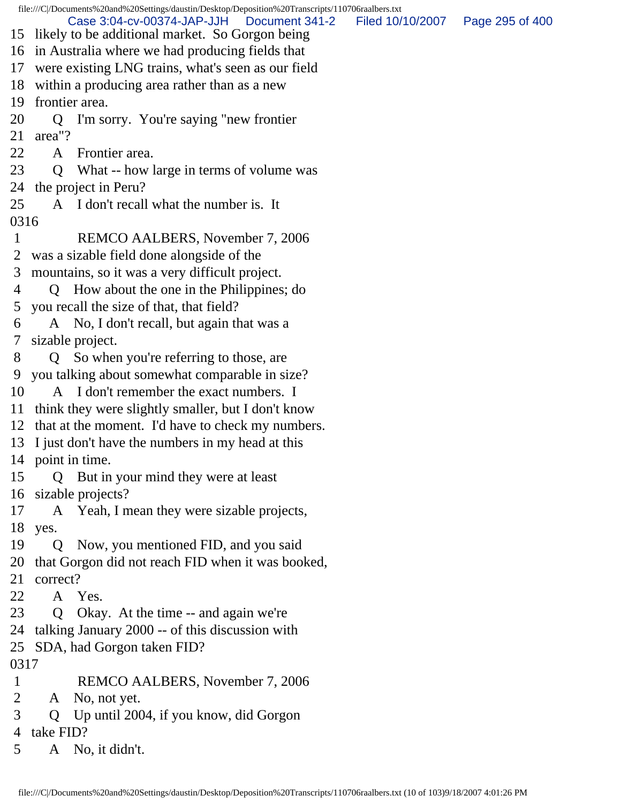file:///C|/Documents%20and%20Settings/daustin/Desktop/Deposition%20Transcripts/110706raalbers.txt 15 likely to be additional market. So Gorgon being 16 in Australia where we had producing fields that 17 were existing LNG trains, what's seen as our field 18 within a producing area rather than as a new 19 frontier area. 20 Q I'm sorry. You're saying "new frontier 21 area"? 22 A Frontier area. 23 Q What -- how large in terms of volume was 24 the project in Peru? 25 A I don't recall what the number is. It 0316 1 REMCO AALBERS, November 7, 2006 2 was a sizable field done alongside of the 3 mountains, so it was a very difficult project. 4 Q How about the one in the Philippines; do 5 you recall the size of that, that field? 6 A No, I don't recall, but again that was a 7 sizable project. 8 Q So when you're referring to those, are 9 you talking about somewhat comparable in size? 10 A I don't remember the exact numbers. I 11 think they were slightly smaller, but I don't know 12 that at the moment. I'd have to check my numbers. 13 I just don't have the numbers in my head at this 14 point in time. 15 Q But in your mind they were at least 16 sizable projects? 17 A Yeah, I mean they were sizable projects, 18 yes. 19 Q Now, you mentioned FID, and you said 20 that Gorgon did not reach FID when it was booked, 21 correct? 22 A Yes. 23 Q Okay. At the time -- and again we're 24 talking January 2000 -- of this discussion with 25 SDA, had Gorgon taken FID? 0317 1 REMCO AALBERS, November 7, 2006 2 A No, not yet. 3 Q Up until 2004, if you know, did Gorgon 4 take FID? Case 3:04-cv-00374-JAP-JJH Document 341-2 Filed 10/10/2007 Page 295 of 400

5 A No, it didn't.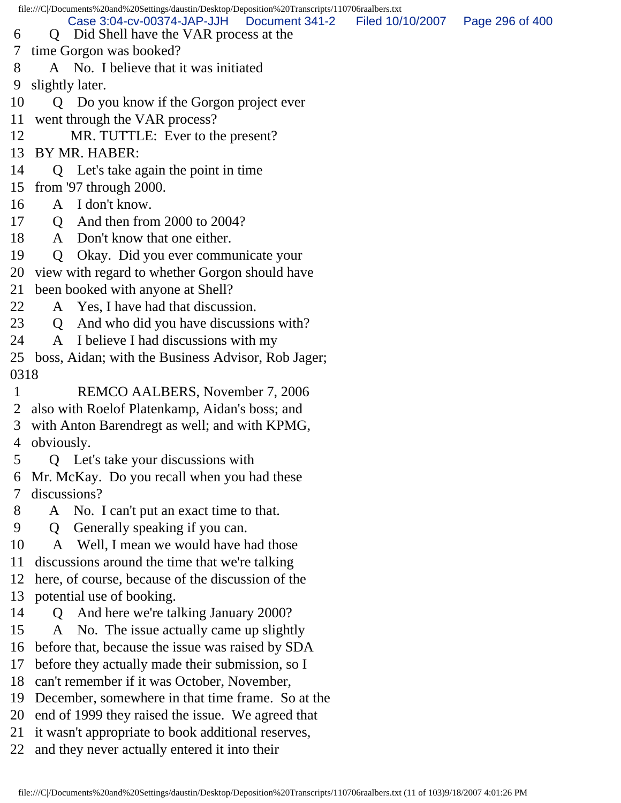file:///C|/Documents%20and%20Settings/daustin/Desktop/Deposition%20Transcripts/110706raalbers.txt

Case 3:04-cv-00374-JAP-JJH Document 341-2 Filed 10/10/2007 Page 296 of 400

- 6 Q Did Shell have the VAR process at the
- 7 time Gorgon was booked?
- 8 A No. I believe that it was initiated
- 9 slightly later.
- 10 Q Do you know if the Gorgon project ever
- 11 went through the VAR process?
- 12 MR. TUTTLE: Ever to the present?
- 13 BY MR. HABER:
- 14 Q Let's take again the point in time
- 15 from '97 through 2000.
- 16 A I don't know.
- 17 **O** And then from 2000 to 2004?
- 18 A Don't know that one either.
- 19 Q Okay. Did you ever communicate your
- 20 view with regard to whether Gorgon should have
- 21 been booked with anyone at Shell?
- 22 A Yes, I have had that discussion.
- 23 Q And who did you have discussions with?
- 24 A I believe I had discussions with my
- 25 boss, Aidan; with the Business Advisor, Rob Jager; 0318
- 1 REMCO AALBERS, November 7, 2006
- 2 also with Roelof Platenkamp, Aidan's boss; and
- 3 with Anton Barendregt as well; and with KPMG, 4 obviously.
- 5 Q Let's take your discussions with
- 6 Mr. McKay. Do you recall when you had these 7 discussions?
- 8 A No. I can't put an exact time to that.
- 9 Q Generally speaking if you can.
- 10 A Well, I mean we would have had those
- 11 discussions around the time that we're talking
- 12 here, of course, because of the discussion of the
- 13 potential use of booking.
- 14 Q And here we're talking January 2000?
- 15 A No. The issue actually came up slightly
- 16 before that, because the issue was raised by SDA
- 17 before they actually made their submission, so I
- 18 can't remember if it was October, November,
- 19 December, somewhere in that time frame. So at the
- 20 end of 1999 they raised the issue. We agreed that
- 21 it wasn't appropriate to book additional reserves,
- 22 and they never actually entered it into their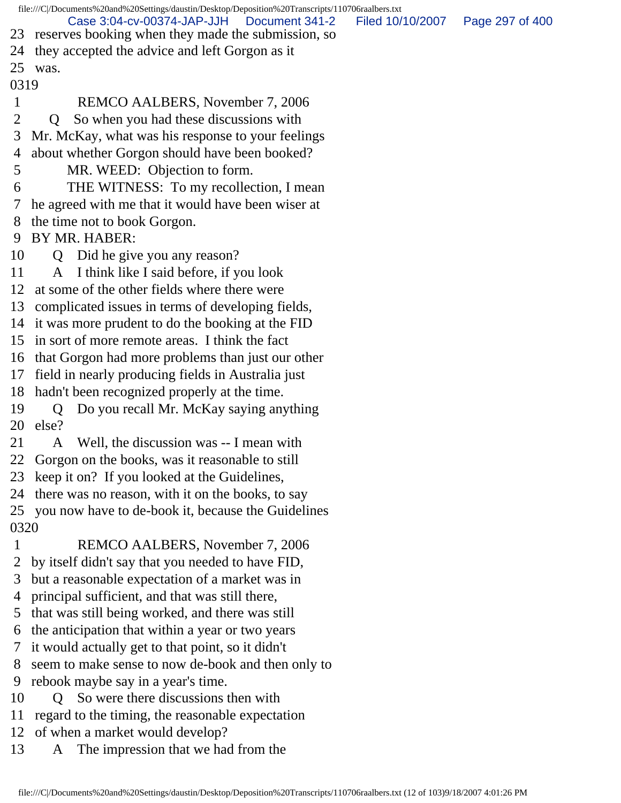file:///C|/Documents%20and%20Settings/daustin/Desktop/Deposition%20Transcripts/110706raalbers.txt 23 reserves booking when they made the submission, so 24 they accepted the advice and left Gorgon as it 25 was. 0319 1 REMCO AALBERS, November 7, 2006 2 Q So when you had these discussions with 3 Mr. McKay, what was his response to your feelings 4 about whether Gorgon should have been booked? 5 MR. WEED: Objection to form. 6 THE WITNESS: To my recollection, I mean 7 he agreed with me that it would have been wiser at 8 the time not to book Gorgon. 9 BY MR. HABER: 10 Q Did he give you any reason? 11 A I think like I said before, if you look 12 at some of the other fields where there were 13 complicated issues in terms of developing fields, 14 it was more prudent to do the booking at the FID 15 in sort of more remote areas. I think the fact 16 that Gorgon had more problems than just our other 17 field in nearly producing fields in Australia just 18 hadn't been recognized properly at the time. 19 Q Do you recall Mr. McKay saying anything 20 else? 21 A Well, the discussion was -- I mean with 22 Gorgon on the books, was it reasonable to still 23 keep it on? If you looked at the Guidelines, 24 there was no reason, with it on the books, to say 25 you now have to de-book it, because the Guidelines 0320 1 REMCO AALBERS, November 7, 2006 2 by itself didn't say that you needed to have FID, 3 but a reasonable expectation of a market was in 4 principal sufficient, and that was still there, 5 that was still being worked, and there was still 6 the anticipation that within a year or two years 7 it would actually get to that point, so it didn't 8 seem to make sense to now de-book and then only to 9 rebook maybe say in a year's time. 10 Q So were there discussions then with 11 regard to the timing, the reasonable expectation 12 of when a market would develop? 13 A The impression that we had from the Case 3:04-cv-00374-JAP-JJH Document 341-2 Filed 10/10/2007 Page 297 of 400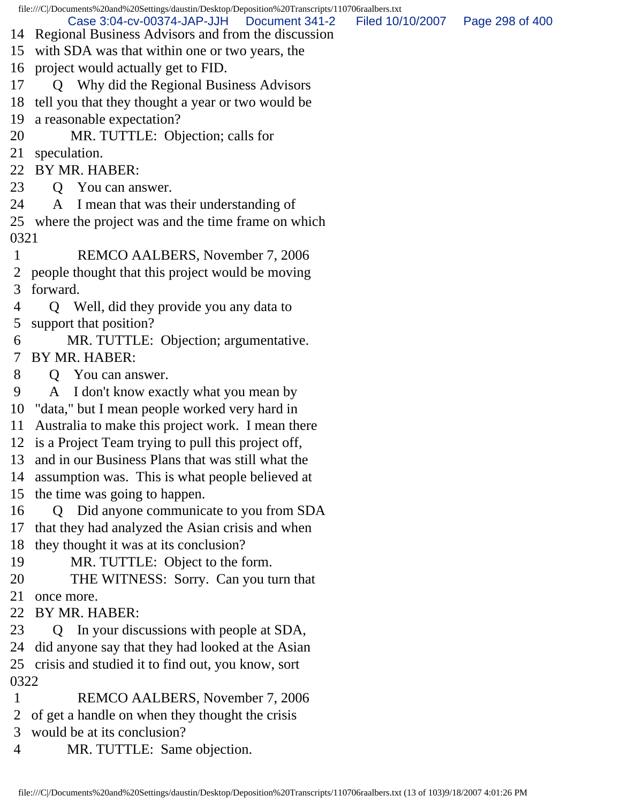file:///C|/Documents%20and%20Settings/daustin/Desktop/Deposition%20Transcripts/110706raalbers.txt

Case 3:04-cv-00374-JAP-JJH Document 341-2 Filed 10/10/2007 Page 298 of 400

- 14 Regional Business Advisors and from the discussion
- 15 with SDA was that within one or two years, the
- 16 project would actually get to FID.

17 Q Why did the Regional Business Advisors

18 tell you that they thought a year or two would be

19 a reasonable expectation?

20 MR. TUTTLE: Objection; calls for

21 speculation.

22 BY MR. HABER:

23 O You can answer.

24 A I mean that was their understanding of

25 where the project was and the time frame on which 0321

- 1 REMCO AALBERS, November 7, 2006 2 people thought that this project would be moving 3 forward.
- 4 Q Well, did they provide you any data to 5 support that position?
- 6 MR. TUTTLE: Objection; argumentative. 7 BY MR. HABER:
- 8 Q You can answer.
- 9 A I don't know exactly what you mean by

10 "data," but I mean people worked very hard in

11 Australia to make this project work. I mean there

12 is a Project Team trying to pull this project off,

13 and in our Business Plans that was still what the

14 assumption was. This is what people believed at

15 the time was going to happen.

16 Q Did anyone communicate to you from SDA

17 that they had analyzed the Asian crisis and when

- 18 they thought it was at its conclusion?
- 19 MR. TUTTLE: Object to the form.

20 THE WITNESS: Sorry. Can you turn that

21 once more.

22 BY MR. HABER:

23 Q In your discussions with people at SDA,

24 did anyone say that they had looked at the Asian

25 crisis and studied it to find out, you know, sort 0322

- 1 REMCO AALBERS, November 7, 2006
- 2 of get a handle on when they thought the crisis
- 3 would be at its conclusion?
- 4 MR. TUTTLE: Same objection.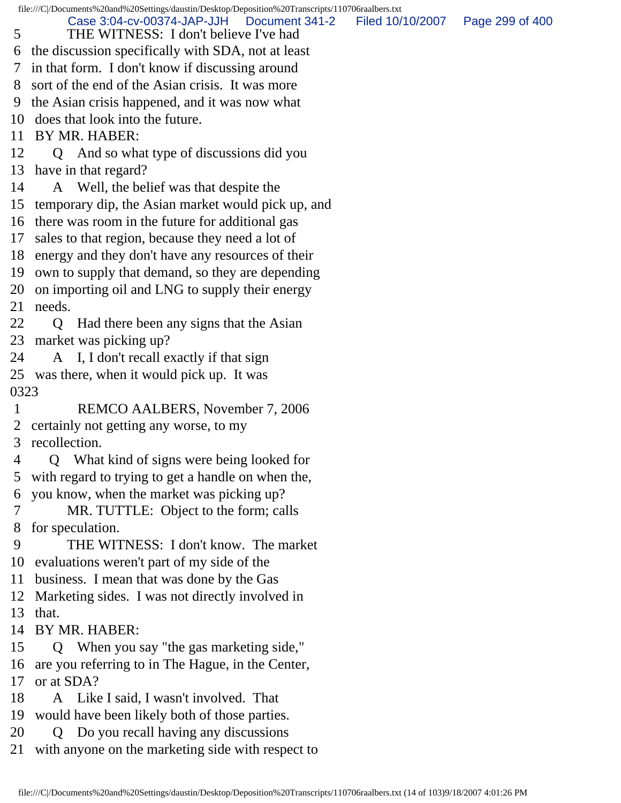file:///C|/Documents%20and%20Settings/daustin/Desktop/Deposition%20Transcripts/110706raalbers.txt 5 THE WITNESS: I don't believe I've had 6 the discussion specifically with SDA, not at least 7 in that form. I don't know if discussing around 8 sort of the end of the Asian crisis. It was more 9 the Asian crisis happened, and it was now what 10 does that look into the future. 11 BY MR. HABER: 12 Q And so what type of discussions did you 13 have in that regard? 14 A Well, the belief was that despite the 15 temporary dip, the Asian market would pick up, and 16 there was room in the future for additional gas 17 sales to that region, because they need a lot of 18 energy and they don't have any resources of their 19 own to supply that demand, so they are depending 20 on importing oil and LNG to supply their energy 21 needs. 22 Q Had there been any signs that the Asian 23 market was picking up? 24 A I, I don't recall exactly if that sign 25 was there, when it would pick up. It was 0323 1 REMCO AALBERS, November 7, 2006 2 certainly not getting any worse, to my 3 recollection. 4 Q What kind of signs were being looked for 5 with regard to trying to get a handle on when the, 6 you know, when the market was picking up? 7 MR. TUTTLE: Object to the form; calls 8 for speculation. 9 THE WITNESS: I don't know. The market 10 evaluations weren't part of my side of the 11 business. I mean that was done by the Gas 12 Marketing sides. I was not directly involved in 13 that. 14 BY MR. HABER: 15 Q When you say "the gas marketing side," 16 are you referring to in The Hague, in the Center, 17 or at SDA? 18 A Like I said, I wasn't involved. That 19 would have been likely both of those parties. 20 Q Do you recall having any discussions 21 with anyone on the marketing side with respect to Case 3:04-cv-00374-JAP-JJH Document 341-2 Filed 10/10/2007 Page 299 of 400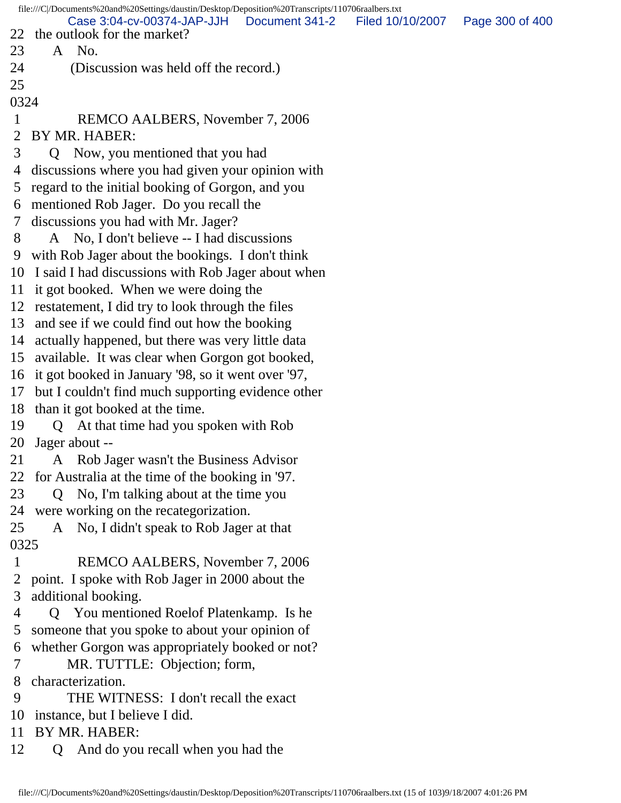file:///C|/Documents%20and%20Settings/daustin/Desktop/Deposition%20Transcripts/110706raalbers.txt 22 the outlook for the market? 23 A No. 24 (Discussion was held off the record.) 25 0324 1 REMCO AALBERS, November 7, 2006 2 BY MR. HABER: 3 Q Now, you mentioned that you had 4 discussions where you had given your opinion with 5 regard to the initial booking of Gorgon, and you 6 mentioned Rob Jager. Do you recall the 7 discussions you had with Mr. Jager? 8 A No, I don't believe -- I had discussions 9 with Rob Jager about the bookings. I don't think 10 I said I had discussions with Rob Jager about when 11 it got booked. When we were doing the 12 restatement, I did try to look through the files 13 and see if we could find out how the booking 14 actually happened, but there was very little data 15 available. It was clear when Gorgon got booked, 16 it got booked in January '98, so it went over '97, 17 but I couldn't find much supporting evidence other 18 than it got booked at the time. 19 Q At that time had you spoken with Rob 20 Jager about -- 21 A Rob Jager wasn't the Business Advisor 22 for Australia at the time of the booking in '97. 23 Q No, I'm talking about at the time you 24 were working on the recategorization. 25 A No, I didn't speak to Rob Jager at that 0325 1 REMCO AALBERS, November 7, 2006 2 point. I spoke with Rob Jager in 2000 about the 3 additional booking. 4 Q You mentioned Roelof Platenkamp. Is he 5 someone that you spoke to about your opinion of 6 whether Gorgon was appropriately booked or not? 7 MR. TUTTLE: Objection; form, 8 characterization. 9 THE WITNESS: I don't recall the exact 10 instance, but I believe I did. 11 BY MR. HABER: 12 Q And do you recall when you had the Case 3:04-cv-00374-JAP-JJH Document 341-2 Filed 10/10/2007 Page 300 of 400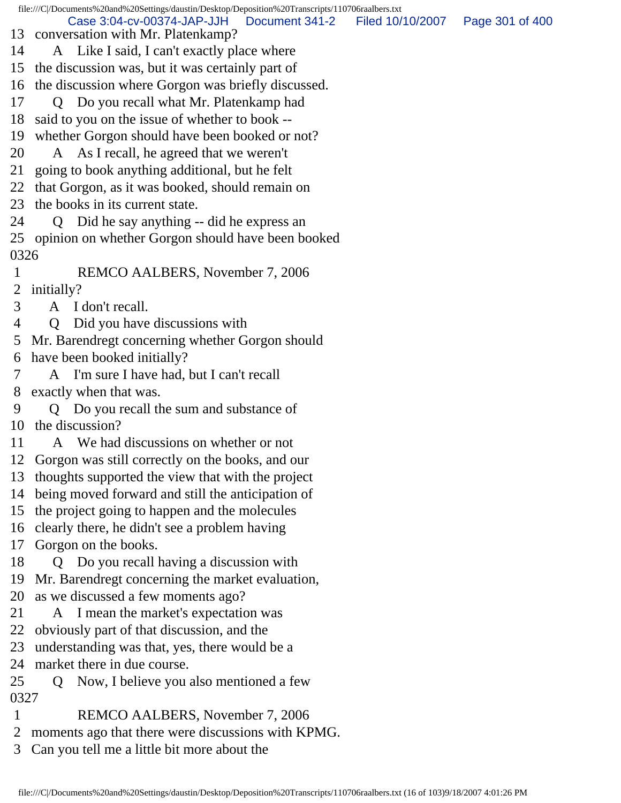file:///C|/Documents%20and%20Settings/daustin/Desktop/Deposition%20Transcripts/110706raalbers.txt 13 conversation with Mr. Platenkamp? 14 A Like I said, I can't exactly place where 15 the discussion was, but it was certainly part of 16 the discussion where Gorgon was briefly discussed. 17 Q Do you recall what Mr. Platenkamp had 18 said to you on the issue of whether to book -- 19 whether Gorgon should have been booked or not? 20 A As I recall, he agreed that we weren't 21 going to book anything additional, but he felt 22 that Gorgon, as it was booked, should remain on 23 the books in its current state. 24 Q Did he say anything -- did he express an 25 opinion on whether Gorgon should have been booked 0326 1 REMCO AALBERS, November 7, 2006 2 initially? 3 A I don't recall. 4 Q Did you have discussions with 5 Mr. Barendregt concerning whether Gorgon should 6 have been booked initially? 7 A I'm sure I have had, but I can't recall 8 exactly when that was. 9 Q Do you recall the sum and substance of 10 the discussion? 11 A We had discussions on whether or not 12 Gorgon was still correctly on the books, and our 13 thoughts supported the view that with the project 14 being moved forward and still the anticipation of 15 the project going to happen and the molecules 16 clearly there, he didn't see a problem having 17 Gorgon on the books. 18 Q Do you recall having a discussion with 19 Mr. Barendregt concerning the market evaluation, 20 as we discussed a few moments ago? 21 A I mean the market's expectation was 22 obviously part of that discussion, and the 23 understanding was that, yes, there would be a 24 market there in due course. 25 Q Now, I believe you also mentioned a few Case 3:04-cv-00374-JAP-JJH Document 341-2 Filed 10/10/2007 Page 301 of 400

- 0327
- 1 REMCO AALBERS, November 7, 2006
- 2 moments ago that there were discussions with KPMG.
- 3 Can you tell me a little bit more about the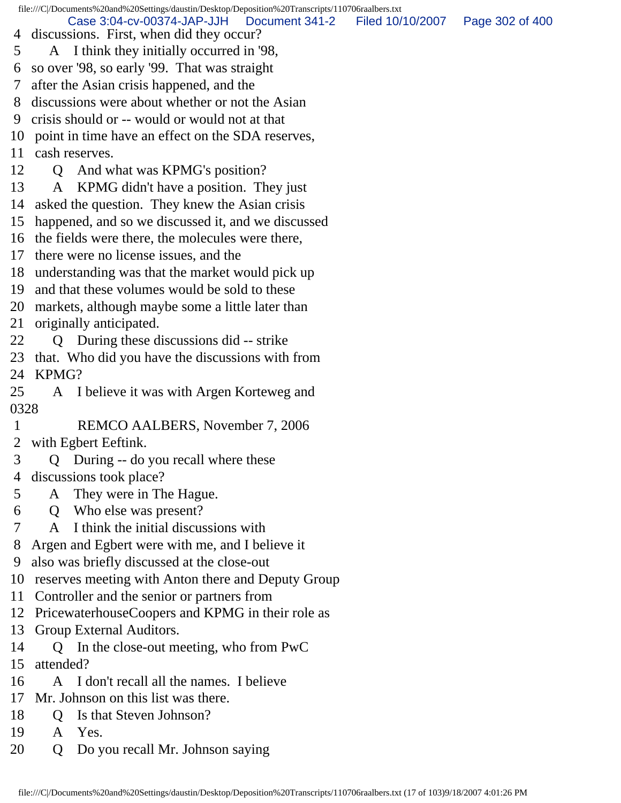file:///C|/Documents%20and%20Settings/daustin/Desktop/Deposition%20Transcripts/110706raalbers.txt 4 discussions. First, when did they occur? 5 A I think they initially occurred in '98, 6 so over '98, so early '99. That was straight 7 after the Asian crisis happened, and the 8 discussions were about whether or not the Asian 9 crisis should or -- would or would not at that 10 point in time have an effect on the SDA reserves, 11 cash reserves. 12 Q And what was KPMG's position? 13 A KPMG didn't have a position. They just 14 asked the question. They knew the Asian crisis 15 happened, and so we discussed it, and we discussed 16 the fields were there, the molecules were there, 17 there were no license issues, and the 18 understanding was that the market would pick up 19 and that these volumes would be sold to these 20 markets, although maybe some a little later than 21 originally anticipated. 22 Q During these discussions did -- strike 23 that. Who did you have the discussions with from 24 KPMG? 25 A I believe it was with Argen Korteweg and 0328 1 REMCO AALBERS, November 7, 2006 2 with Egbert Eeftink. 3 Q During -- do you recall where these 4 discussions took place? 5 A They were in The Hague. 6 Q Who else was present? 7 A I think the initial discussions with 8 Argen and Egbert were with me, and I believe it 9 also was briefly discussed at the close-out 10 reserves meeting with Anton there and Deputy Group 11 Controller and the senior or partners from 12 PricewaterhouseCoopers and KPMG in their role as 13 Group External Auditors. 14 Q In the close-out meeting, who from PwC 15 attended? 16 A I don't recall all the names. I believe 17 Mr. Johnson on this list was there. 18 Q Is that Steven Johnson? Case 3:04-cv-00374-JAP-JJH Document 341-2 Filed 10/10/2007 Page 302 of 400

- 19 A Yes.
- 20 Q Do you recall Mr. Johnson saying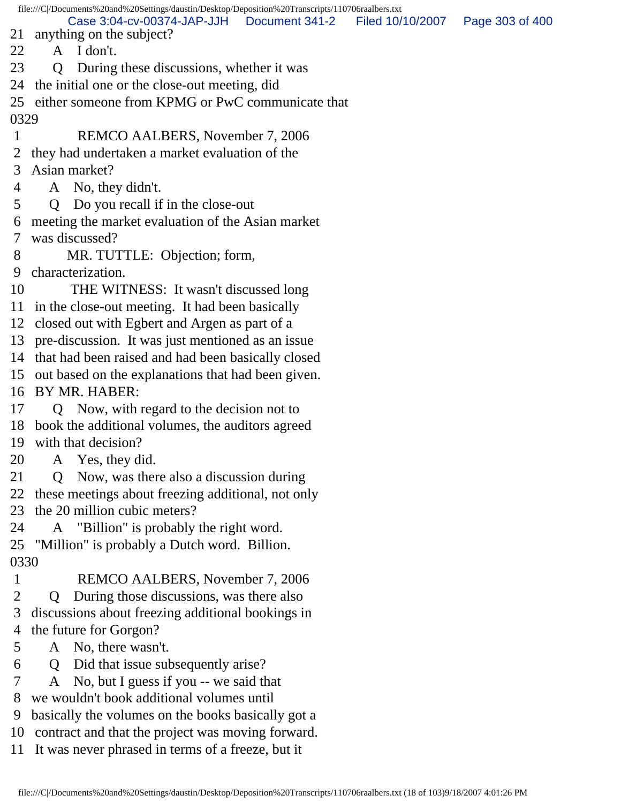file:///C|/Documents%20and%20Settings/daustin/Desktop/Deposition%20Transcripts/110706raalbers.txt 21 anything on the subject? 22 A I don't. 23 Q During these discussions, whether it was 24 the initial one or the close-out meeting, did 25 either someone from KPMG or PwC communicate that 0329 1 REMCO AALBERS, November 7, 2006 2 they had undertaken a market evaluation of the 3 Asian market? 4 A No, they didn't. 5 Q Do you recall if in the close-out 6 meeting the market evaluation of the Asian market 7 was discussed? 8 MR. TUTTLE: Objection; form, 9 characterization. 10 THE WITNESS: It wasn't discussed long 11 in the close-out meeting. It had been basically 12 closed out with Egbert and Argen as part of a 13 pre-discussion. It was just mentioned as an issue 14 that had been raised and had been basically closed 15 out based on the explanations that had been given. 16 BY MR. HABER: 17 Q Now, with regard to the decision not to 18 book the additional volumes, the auditors agreed 19 with that decision? 20 A Yes, they did. 21 Q Now, was there also a discussion during 22 these meetings about freezing additional, not only 23 the 20 million cubic meters? 24 A "Billion" is probably the right word. 25 "Million" is probably a Dutch word. Billion. 0330 1 REMCO AALBERS, November 7, 2006 2 Q During those discussions, was there also 3 discussions about freezing additional bookings in 4 the future for Gorgon? 5 A No, there wasn't. 6 Q Did that issue subsequently arise? 7 A No, but I guess if you -- we said that 8 we wouldn't book additional volumes until 9 basically the volumes on the books basically got a Case 3:04-cv-00374-JAP-JJH Document 341-2 Filed 10/10/2007 Page 303 of 400

10 contract and that the project was moving forward.

11 It was never phrased in terms of a freeze, but it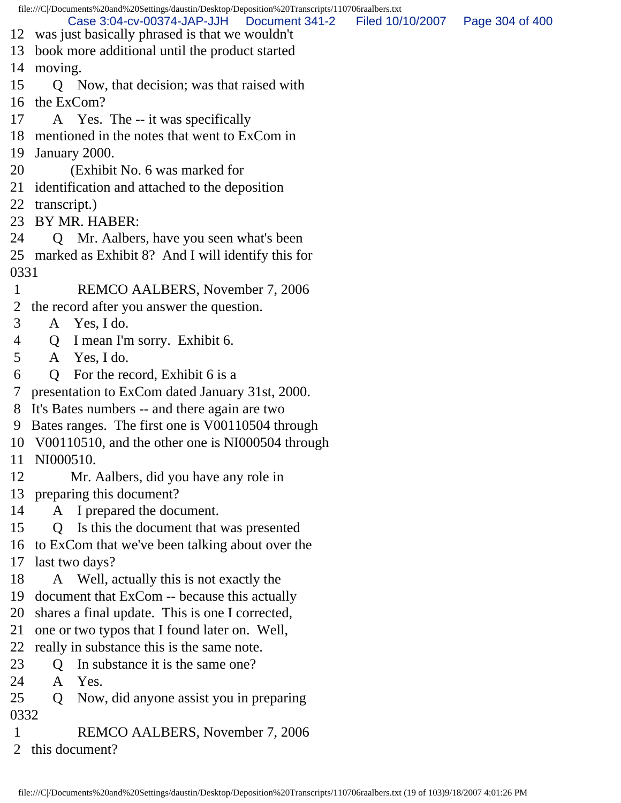file:///C|/Documents%20and%20Settings/daustin/Desktop/Deposition%20Transcripts/110706raalbers.txt 12 was just basically phrased is that we wouldn't 13 book more additional until the product started 14 moving. 15 Q Now, that decision; was that raised with 16 the ExCom? 17 A Yes. The -- it was specifically 18 mentioned in the notes that went to ExCom in 19 January 2000. 20 (Exhibit No. 6 was marked for 21 identification and attached to the deposition 22 transcript.) 23 BY MR. HABER: 24 Q Mr. Aalbers, have you seen what's been 25 marked as Exhibit 8? And I will identify this for 0331 1 REMCO AALBERS, November 7, 2006 2 the record after you answer the question. 3 A Yes, I do. 4 Q I mean I'm sorry. Exhibit 6. 5 A Yes, I do. 6 Q For the record, Exhibit 6 is a 7 presentation to ExCom dated January 31st, 2000. 8 It's Bates numbers -- and there again are two 9 Bates ranges. The first one is V00110504 through 10 V00110510, and the other one is NI000504 through 11 NI000510. 12 Mr. Aalbers, did you have any role in 13 preparing this document? 14 A I prepared the document. 15 Q Is this the document that was presented 16 to ExCom that we've been talking about over the 17 last two days? 18 A Well, actually this is not exactly the 19 document that ExCom -- because this actually 20 shares a final update. This is one I corrected, 21 one or two typos that I found later on. Well, 22 really in substance this is the same note. 23 O In substance it is the same one? 24 A Yes. 25 Q Now, did anyone assist you in preparing 0332 1 REMCO AALBERS, November 7, 2006 Case 3:04-cv-00374-JAP-JJH Document 341-2 Filed 10/10/2007 Page 304 of 400

2 this document?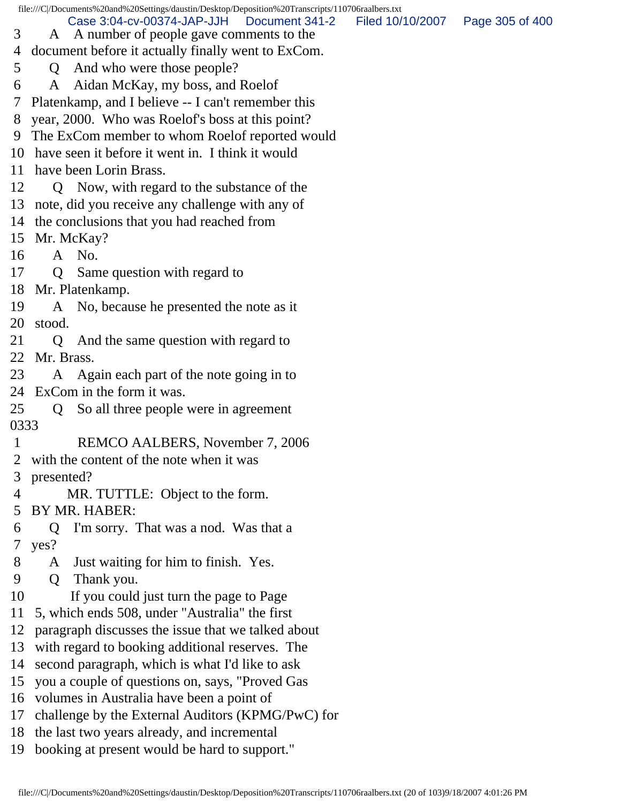file:///C|/Documents%20and%20Settings/daustin/Desktop/Deposition%20Transcripts/110706raalbers.txt

Case 3:04-cv-00374-JAP-JJH Document 341-2 Filed 10/10/2007 Page 305 of 400

- 3 A A number of people gave comments to the
- 4 document before it actually finally went to ExCom.
- 5 Q And who were those people?
- 6 A Aidan McKay, my boss, and Roelof
- 7 Platenkamp, and I believe -- I can't remember this
- 8 year, 2000. Who was Roelof's boss at this point?
- 9 The ExCom member to whom Roelof reported would
- 10 have seen it before it went in. I think it would
- 11 have been Lorin Brass.
- 12 Q Now, with regard to the substance of the
- 13 note, did you receive any challenge with any of
- 14 the conclusions that you had reached from
- 15 Mr. McKay?
- 16 A No.
- 17 Q Same question with regard to
- 18 Mr. Platenkamp.
- 19 A No, because he presented the note as it 20 stood.
- 21 Q And the same question with regard to 22 Mr. Brass.
- 23 A Again each part of the note going in to 24 ExCom in the form it was.
- 25 Q So all three people were in agreement 0333
- 1 REMCO AALBERS, November 7, 2006
- 2 with the content of the note when it was
- 3 presented?
- 4 MR. TUTTLE: Object to the form.
- 5 BY MR. HABER:
- 6 Q I'm sorry. That was a nod. Was that a 7 yes?
- 8 A Just waiting for him to finish. Yes.
- 9 Q Thank you.
- 10 If you could just turn the page to Page
- 11 5, which ends 508, under "Australia" the first
- 12 paragraph discusses the issue that we talked about
- 13 with regard to booking additional reserves. The
- 14 second paragraph, which is what I'd like to ask
- 15 you a couple of questions on, says, "Proved Gas
- 16 volumes in Australia have been a point of
- 17 challenge by the External Auditors (KPMG/PwC) for
- 18 the last two years already, and incremental
- 19 booking at present would be hard to support."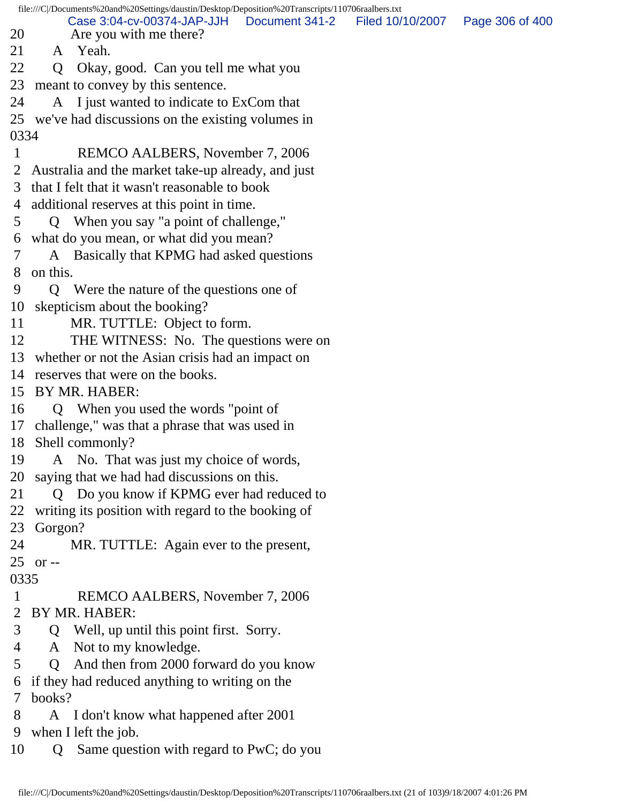file:///C|/Documents%20and%20Settings/daustin/Desktop/Deposition%20Transcripts/110706raalbers.txt 20 Are you with me there? 21 A Yeah. 22 Q Okay, good. Can you tell me what you 23 meant to convey by this sentence. 24 A I just wanted to indicate to ExCom that 25 we've had discussions on the existing volumes in 0334 1 REMCO AALBERS, November 7, 2006 2 Australia and the market take-up already, and just 3 that I felt that it wasn't reasonable to book 4 additional reserves at this point in time. 5 Q When you say "a point of challenge," 6 what do you mean, or what did you mean? 7 A Basically that KPMG had asked questions 8 on this. 9 Q Were the nature of the questions one of 10 skepticism about the booking? 11 MR. TUTTLE: Object to form. 12 THE WITNESS: No. The questions were on 13 whether or not the Asian crisis had an impact on 14 reserves that were on the books. 15 BY MR. HABER: 16 Q When you used the words "point of 17 challenge," was that a phrase that was used in 18 Shell commonly? 19 A No. That was just my choice of words, 20 saying that we had had discussions on this. 21 Q Do you know if KPMG ever had reduced to 22 writing its position with regard to the booking of 23 Gorgon? 24 MR. TUTTLE: Again ever to the present, 25 or -- 0335 1 REMCO AALBERS, November 7, 2006 2 BY MR. HABER: 3 Q Well, up until this point first. Sorry. 4 A Not to my knowledge. 5 Q And then from 2000 forward do you know 6 if they had reduced anything to writing on the 7 books? 8 A I don't know what happened after 2001 9 when I left the job. 10 Q Same question with regard to PwC; do you Case 3:04-cv-00374-JAP-JJH Document 341-2 Filed 10/10/2007 Page 306 of 400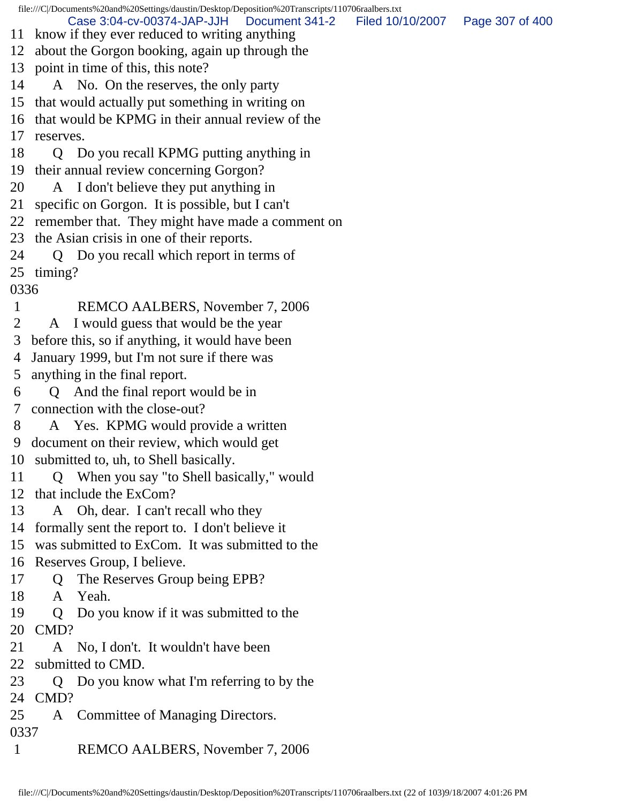file:///C|/Documents%20and%20Settings/daustin/Desktop/Deposition%20Transcripts/110706raalbers.txt 11 know if they ever reduced to writing anything 12 about the Gorgon booking, again up through the 13 point in time of this, this note? 14 A No. On the reserves, the only party 15 that would actually put something in writing on 16 that would be KPMG in their annual review of the 17 reserves. 18 Q Do you recall KPMG putting anything in 19 their annual review concerning Gorgon? 20 A I don't believe they put anything in 21 specific on Gorgon. It is possible, but I can't 22 remember that. They might have made a comment on 23 the Asian crisis in one of their reports. 24 Q Do you recall which report in terms of 25 timing? 0336 1 REMCO AALBERS, November 7, 2006 2 A I would guess that would be the year 3 before this, so if anything, it would have been 4 January 1999, but I'm not sure if there was 5 anything in the final report. 6 Q And the final report would be in 7 connection with the close-out? 8 A Yes. KPMG would provide a written 9 document on their review, which would get 10 submitted to, uh, to Shell basically. 11 Q When you say "to Shell basically," would 12 that include the ExCom? 13 A Oh, dear. I can't recall who they 14 formally sent the report to. I don't believe it 15 was submitted to ExCom. It was submitted to the 16 Reserves Group, I believe. 17 Q The Reserves Group being EPB? 18 A Yeah. 19 Q Do you know if it was submitted to the 20 CMD? 21 A No, I don't. It wouldn't have been 22 submitted to CMD. 23 Q Do you know what I'm referring to by the 24 CMD? 25 A Committee of Managing Directors. 0337 1 REMCO AALBERS, November 7, 2006 Case 3:04-cv-00374-JAP-JJH Document 341-2 Filed 10/10/2007 Page 307 of 400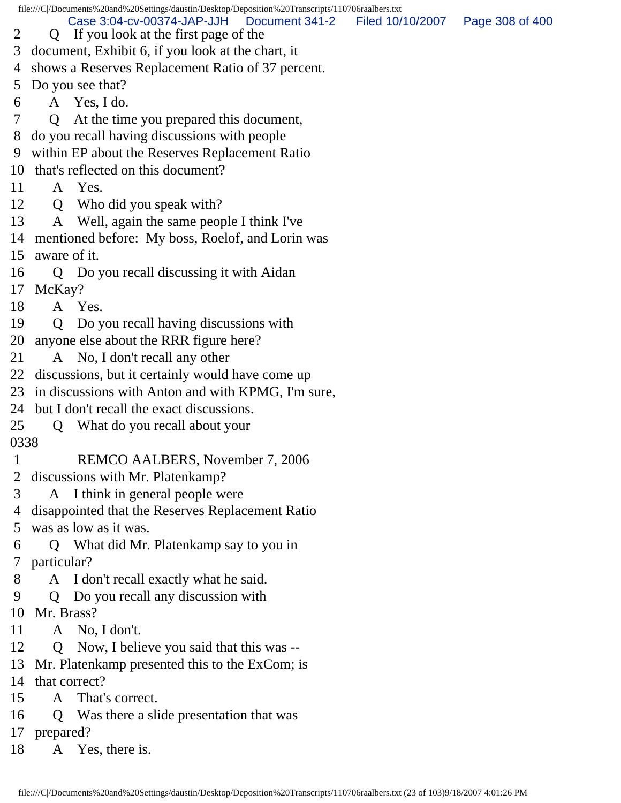file:///C|/Documents%20and%20Settings/daustin/Desktop/Deposition%20Transcripts/110706raalbers.txt 2 Q If you look at the first page of the 3 document, Exhibit 6, if you look at the chart, it 4 shows a Reserves Replacement Ratio of 37 percent. 5 Do you see that? 6 A Yes, I do. 7 Q At the time you prepared this document, 8 do you recall having discussions with people 9 within EP about the Reserves Replacement Ratio 10 that's reflected on this document? 11 A Yes. 12 Q Who did you speak with? 13 A Well, again the same people I think I've 14 mentioned before: My boss, Roelof, and Lorin was 15 aware of it. 16 Q Do you recall discussing it with Aidan 17 McKay? 18 A Yes. 19 Q Do you recall having discussions with 20 anyone else about the RRR figure here? 21 A No, I don't recall any other 22 discussions, but it certainly would have come up 23 in discussions with Anton and with KPMG, I'm sure, 24 but I don't recall the exact discussions. 25 Q What do you recall about your 0338 1 REMCO AALBERS, November 7, 2006 2 discussions with Mr. Platenkamp? 3 A I think in general people were 4 disappointed that the Reserves Replacement Ratio 5 was as low as it was. 6 Q What did Mr. Platenkamp say to you in 7 particular? 8 A I don't recall exactly what he said. 9 Q Do you recall any discussion with 10 Mr. Brass? 11 A No, I don't. 12 Q Now, I believe you said that this was -- 13 Mr. Platenkamp presented this to the ExCom; is 14 that correct? 15 A That's correct. 16 Q Was there a slide presentation that was 17 prepared? 18 A Yes, there is. Case 3:04-cv-00374-JAP-JJH Document 341-2 Filed 10/10/2007 Page 308 of 400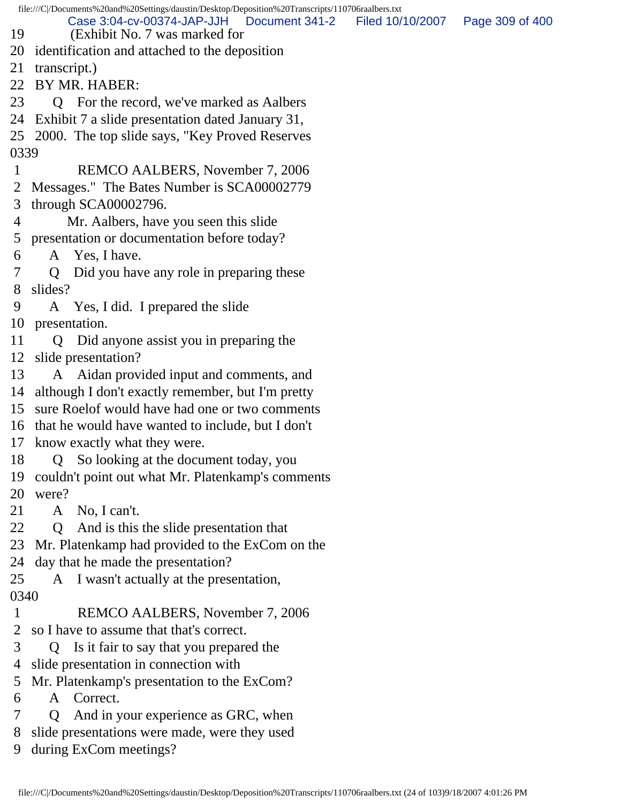file:///C|/Documents%20and%20Settings/daustin/Desktop/Deposition%20Transcripts/110706raalbers.txt 19 (Exhibit No. 7 was marked for 20 identification and attached to the deposition 21 transcript.) 22 BY MR. HABER: 23 Q For the record, we've marked as Aalbers 24 Exhibit 7 a slide presentation dated January 31, 25 2000. The top slide says, "Key Proved Reserves 0339 1 REMCO AALBERS, November 7, 2006 2 Messages." The Bates Number is SCA00002779 3 through SCA00002796. 4 Mr. Aalbers, have you seen this slide 5 presentation or documentation before today? 6 A Yes, I have. 7 Q Did you have any role in preparing these 8 slides? 9 A Yes, I did. I prepared the slide 10 presentation. 11 Q Did anyone assist you in preparing the 12 slide presentation? 13 A Aidan provided input and comments, and 14 although I don't exactly remember, but I'm pretty 15 sure Roelof would have had one or two comments 16 that he would have wanted to include, but I don't 17 know exactly what they were. 18 Q So looking at the document today, you 19 couldn't point out what Mr. Platenkamp's comments 20 were? 21 A No, I can't. 22 Q And is this the slide presentation that 23 Mr. Platenkamp had provided to the ExCom on the 24 day that he made the presentation? 25 A I wasn't actually at the presentation, 0340 1 REMCO AALBERS, November 7, 2006 2 so I have to assume that that's correct. 3 Q Is it fair to say that you prepared the 4 slide presentation in connection with 5 Mr. Platenkamp's presentation to the ExCom? 6 A Correct. 7 Q And in your experience as GRC, when Case 3:04-cv-00374-JAP-JJH Document 341-2 Filed 10/10/2007 Page 309 of 400

8 slide presentations were made, were they used

9 during ExCom meetings?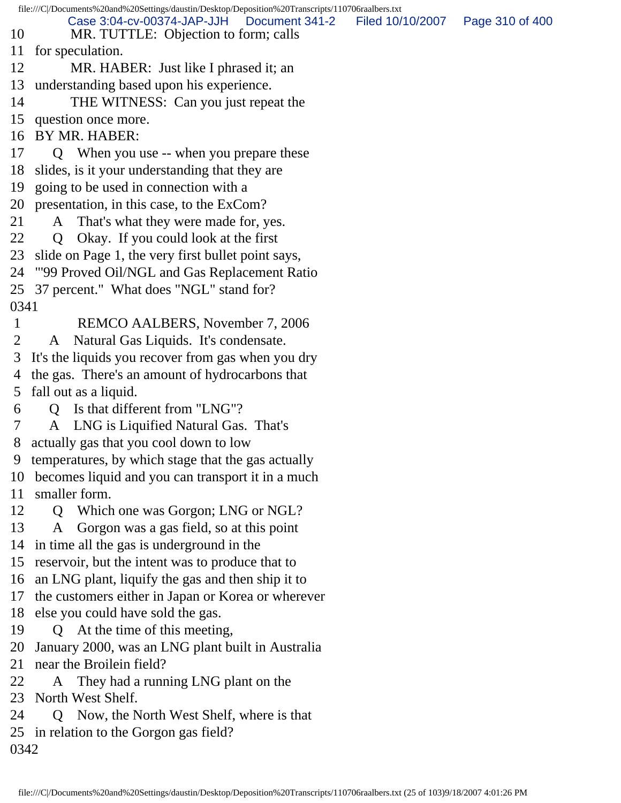file:///C|/Documents%20and%20Settings/daustin/Desktop/Deposition%20Transcripts/110706raalbers.txt 10 MR. TUTTLE: Objection to form; calls 11 for speculation. 12 MR. HABER: Just like I phrased it; an 13 understanding based upon his experience. 14 THE WITNESS: Can you just repeat the 15 question once more. 16 BY MR. HABER: 17 Q When you use -- when you prepare these 18 slides, is it your understanding that they are 19 going to be used in connection with a 20 presentation, in this case, to the ExCom? 21 A That's what they were made for, yes. 22 Q Okay. If you could look at the first 23 slide on Page 1, the very first bullet point says, 24 "'99 Proved Oil/NGL and Gas Replacement Ratio 25 37 percent." What does "NGL" stand for? 0341 1 REMCO AALBERS, November 7, 2006 2 A Natural Gas Liquids. It's condensate. 3 It's the liquids you recover from gas when you dry 4 the gas. There's an amount of hydrocarbons that 5 fall out as a liquid. 6 Q Is that different from "LNG"? 7 A LNG is Liquified Natural Gas. That's 8 actually gas that you cool down to low 9 temperatures, by which stage that the gas actually 10 becomes liquid and you can transport it in a much 11 smaller form. 12 Q Which one was Gorgon; LNG or NGL? 13 A Gorgon was a gas field, so at this point 14 in time all the gas is underground in the 15 reservoir, but the intent was to produce that to 16 an LNG plant, liquify the gas and then ship it to 17 the customers either in Japan or Korea or wherever 18 else you could have sold the gas. 19 Q At the time of this meeting, 20 January 2000, was an LNG plant built in Australia 21 near the Broilein field? 22 A They had a running LNG plant on the 23 North West Shelf. 24 Q Now, the North West Shelf, where is that 25 in relation to the Gorgon gas field? 0342 Case 3:04-cv-00374-JAP-JJH Document 341-2 Filed 10/10/2007 Page 310 of 400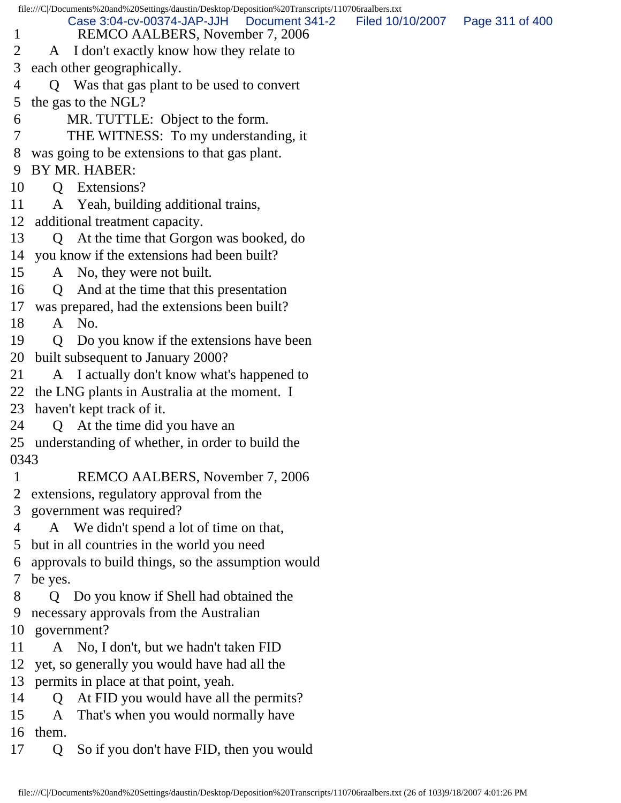file:///C|/Documents%20and%20Settings/daustin/Desktop/Deposition%20Transcripts/110706raalbers.txt 1 REMCO AALBERS, November 7, 2006 2 A I don't exactly know how they relate to 3 each other geographically. 4 Q Was that gas plant to be used to convert 5 the gas to the NGL? 6 MR. TUTTLE: Object to the form. 7 THE WITNESS: To my understanding, it 8 was going to be extensions to that gas plant. 9 BY MR. HABER: 10 Q Extensions? 11 A Yeah, building additional trains, 12 additional treatment capacity. 13 Q At the time that Gorgon was booked, do 14 you know if the extensions had been built? 15 A No, they were not built. 16 Q And at the time that this presentation 17 was prepared, had the extensions been built? 18 A No. 19 Q Do you know if the extensions have been 20 built subsequent to January 2000? 21 A I actually don't know what's happened to 22 the LNG plants in Australia at the moment. I 23 haven't kept track of it. 24 Q At the time did you have an 25 understanding of whether, in order to build the 0343 1 REMCO AALBERS, November 7, 2006 2 extensions, regulatory approval from the 3 government was required? 4 A We didn't spend a lot of time on that, 5 but in all countries in the world you need 6 approvals to build things, so the assumption would 7 be yes. 8 Q Do you know if Shell had obtained the 9 necessary approvals from the Australian 10 government? 11 A No, I don't, but we hadn't taken FID 12 yet, so generally you would have had all the 13 permits in place at that point, yeah. 14 Q At FID you would have all the permits? 15 A That's when you would normally have 16 them. 17 Q So if you don't have FID, then you would Case 3:04-cv-00374-JAP-JJH Document 341-2 Filed 10/10/2007 Page 311 of 400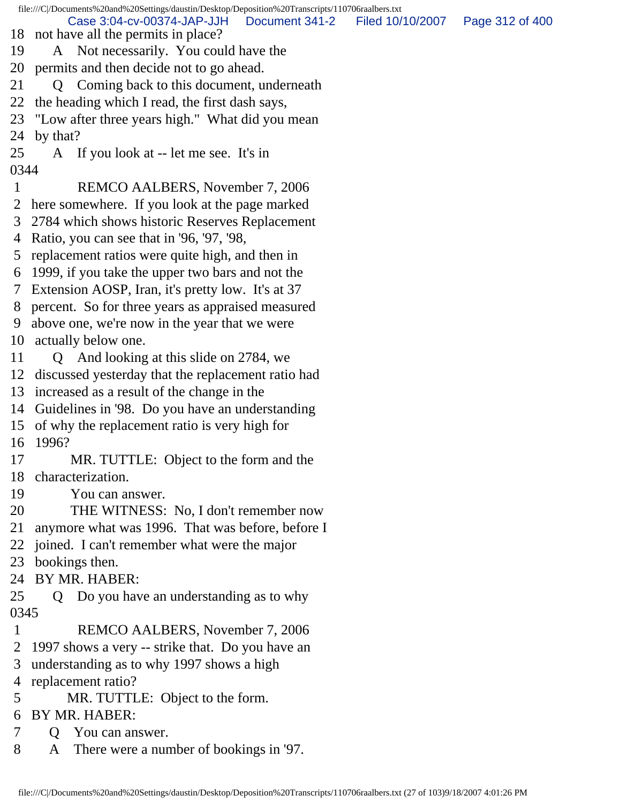file:///C|/Documents%20and%20Settings/daustin/Desktop/Deposition%20Transcripts/110706raalbers.txt 18 not have all the permits in place? 19 A Not necessarily. You could have the 20 permits and then decide not to go ahead. 21 Q Coming back to this document, underneath 22 the heading which I read, the first dash says, 23 "Low after three years high." What did you mean 24 by that? 25 A If you look at -- let me see. It's in 0344 1 REMCO AALBERS, November 7, 2006 2 here somewhere. If you look at the page marked 3 2784 which shows historic Reserves Replacement 4 Ratio, you can see that in '96, '97, '98, 5 replacement ratios were quite high, and then in 6 1999, if you take the upper two bars and not the 7 Extension AOSP, Iran, it's pretty low. It's at 37 8 percent. So for three years as appraised measured 9 above one, we're now in the year that we were 10 actually below one. 11 Q And looking at this slide on 2784, we 12 discussed yesterday that the replacement ratio had 13 increased as a result of the change in the 14 Guidelines in '98. Do you have an understanding 15 of why the replacement ratio is very high for 16 1996? 17 MR. TUTTLE: Object to the form and the 18 characterization. 19 You can answer. 20 THE WITNESS: No, I don't remember now 21 anymore what was 1996. That was before, before I 22 joined. I can't remember what were the major 23 bookings then. 24 BY MR. HABER: 25 Q Do you have an understanding as to why 0345 1 REMCO AALBERS, November 7, 2006 2 1997 shows a very -- strike that. Do you have an 3 understanding as to why 1997 shows a high 4 replacement ratio? 5 MR. TUTTLE: Object to the form. 6 BY MR. HABER: 7 Q You can answer. 8 A There were a number of bookings in '97. Case 3:04-cv-00374-JAP-JJH Document 341-2 Filed 10/10/2007 Page 312 of 400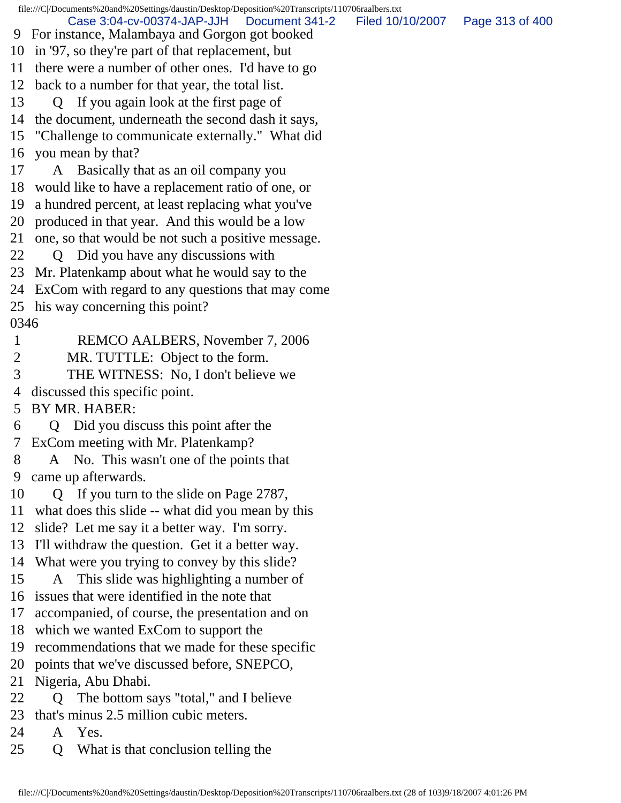file:///C|/Documents%20and%20Settings/daustin/Desktop/Deposition%20Transcripts/110706raalbers.txt 9 For instance, Malambaya and Gorgon got booked 10 in '97, so they're part of that replacement, but 11 there were a number of other ones. I'd have to go 12 back to a number for that year, the total list. 13 Q If you again look at the first page of 14 the document, underneath the second dash it says, 15 "Challenge to communicate externally." What did 16 you mean by that? 17 A Basically that as an oil company you 18 would like to have a replacement ratio of one, or 19 a hundred percent, at least replacing what you've 20 produced in that year. And this would be a low 21 one, so that would be not such a positive message. 22 Q Did you have any discussions with 23 Mr. Platenkamp about what he would say to the 24 ExCom with regard to any questions that may come 25 his way concerning this point? 0346 1 REMCO AALBERS, November 7, 2006 2 MR. TUTTLE: Object to the form. 3 THE WITNESS: No, I don't believe we 4 discussed this specific point. 5 BY MR. HABER: 6 Q Did you discuss this point after the 7 ExCom meeting with Mr. Platenkamp? 8 A No. This wasn't one of the points that 9 came up afterwards. 10 Q If you turn to the slide on Page 2787, 11 what does this slide -- what did you mean by this 12 slide? Let me say it a better way. I'm sorry. 13 I'll withdraw the question. Get it a better way. 14 What were you trying to convey by this slide? 15 A This slide was highlighting a number of 16 issues that were identified in the note that 17 accompanied, of course, the presentation and on 18 which we wanted ExCom to support the 19 recommendations that we made for these specific 20 points that we've discussed before, SNEPCO, 21 Nigeria, Abu Dhabi. 22 Q The bottom says "total," and I believe 23 that's minus 2.5 million cubic meters. 24 A Yes. 25 Q What is that conclusion telling the Case 3:04-cv-00374-JAP-JJH Document 341-2 Filed 10/10/2007 Page 313 of 400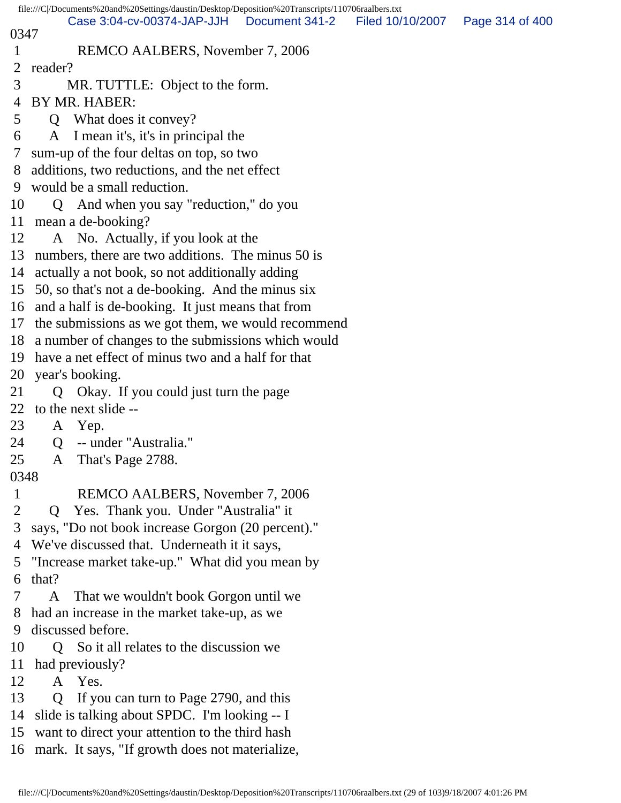| file:///C /Documents%20and%20Settings/daustin/Desktop/Deposition%20Transcripts/110706raalbers.txt |                                                        |  |  |  |
|---------------------------------------------------------------------------------------------------|--------------------------------------------------------|--|--|--|
| Case 3:04-cv-00374-JAP-JJH   Document 341-2<br>Filed 10/10/2007   Page 314 of 400<br>0347         |                                                        |  |  |  |
| 1                                                                                                 | REMCO AALBERS, November 7, 2006                        |  |  |  |
| $\overline{2}$                                                                                    | reader?                                                |  |  |  |
| 3                                                                                                 | MR. TUTTLE: Object to the form.                        |  |  |  |
| 4                                                                                                 | BY MR. HABER:                                          |  |  |  |
| 5                                                                                                 | Q What does it convey?                                 |  |  |  |
| 6                                                                                                 | A I mean it's, it's in principal the                   |  |  |  |
| 7                                                                                                 | sum-up of the four deltas on top, so two               |  |  |  |
| 8                                                                                                 | additions, two reductions, and the net effect          |  |  |  |
|                                                                                                   | 9 would be a small reduction.                          |  |  |  |
| 10                                                                                                | Q And when you say "reduction," do you                 |  |  |  |
| 11                                                                                                | mean a de-booking?                                     |  |  |  |
| 12                                                                                                | A No. Actually, if you look at the                     |  |  |  |
| 13                                                                                                | numbers, there are two additions. The minus 50 is      |  |  |  |
| 14                                                                                                | actually a not book, so not additionally adding        |  |  |  |
|                                                                                                   | 15 50, so that's not a de-booking. And the minus six   |  |  |  |
|                                                                                                   | 16 and a half is de-booking. It just means that from   |  |  |  |
| 17                                                                                                | the submissions as we got them, we would recommend     |  |  |  |
|                                                                                                   | 18 a number of changes to the submissions which would  |  |  |  |
|                                                                                                   | 19 have a net effect of minus two and a half for that  |  |  |  |
| 20                                                                                                | year's booking.                                        |  |  |  |
| 21                                                                                                | Q Okay. If you could just turn the page                |  |  |  |
| 22                                                                                                | to the next slide --                                   |  |  |  |
| 23                                                                                                | A Yep.                                                 |  |  |  |
| 24                                                                                                | -- under "Australia."<br>Q                             |  |  |  |
| 25                                                                                                | That's Page 2788.<br>A                                 |  |  |  |
| 0348                                                                                              |                                                        |  |  |  |
| $\mathbf{1}$                                                                                      | REMCO AALBERS, November 7, 2006                        |  |  |  |
| $\overline{2}$                                                                                    | Yes. Thank you. Under "Australia" it<br>$\mathbf{Q}$   |  |  |  |
| 3                                                                                                 | says, "Do not book increase Gorgon (20 percent)."      |  |  |  |
| 4                                                                                                 | We've discussed that. Underneath it it says,           |  |  |  |
| 5                                                                                                 | "Increase market take-up." What did you mean by        |  |  |  |
| 6                                                                                                 | that?                                                  |  |  |  |
|                                                                                                   | A<br>That we wouldn't book Gorgon until we             |  |  |  |
| 8                                                                                                 | had an increase in the market take-up, as we           |  |  |  |
| 9                                                                                                 | discussed before.                                      |  |  |  |
| 10                                                                                                | Q So it all relates to the discussion we               |  |  |  |
| 11                                                                                                | had previously?                                        |  |  |  |
| 12                                                                                                | Yes.<br>$\mathbf{A}$                                   |  |  |  |
| 13                                                                                                | If you can turn to Page 2790, and this<br>$\mathbf{O}$ |  |  |  |
| 14                                                                                                | slide is talking about SPDC. I'm looking -- I          |  |  |  |
| 15                                                                                                | want to direct your attention to the third hash        |  |  |  |
|                                                                                                   | 16 mark. It says, "If growth does not materialize,     |  |  |  |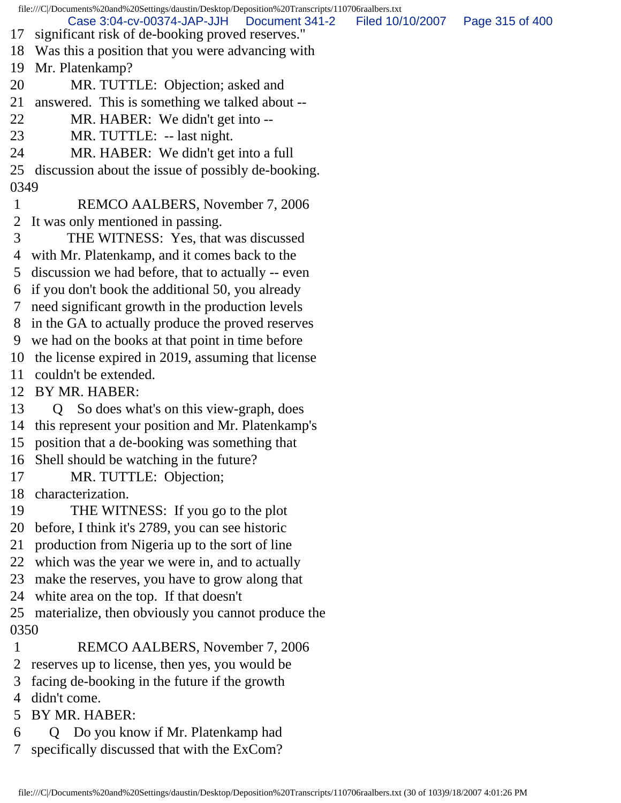file:///C|/Documents%20and%20Settings/daustin/Desktop/Deposition%20Transcripts/110706raalbers.txt 17 significant risk of de-booking proved reserves." 18 Was this a position that you were advancing with 19 Mr. Platenkamp? 20 MR. TUTTLE: Objection; asked and 21 answered. This is something we talked about -- 22 MR. HABER: We didn't get into -- 23 MR. TUTTLE: -- last night. 24 MR. HABER: We didn't get into a full 25 discussion about the issue of possibly de-booking. 0349 1 REMCO AALBERS, November 7, 2006 2 It was only mentioned in passing. 3 THE WITNESS: Yes, that was discussed 4 with Mr. Platenkamp, and it comes back to the 5 discussion we had before, that to actually -- even 6 if you don't book the additional 50, you already 7 need significant growth in the production levels 8 in the GA to actually produce the proved reserves 9 we had on the books at that point in time before 10 the license expired in 2019, assuming that license 11 couldn't be extended. 12 BY MR. HABER: 13 Q So does what's on this view-graph, does 14 this represent your position and Mr. Platenkamp's 15 position that a de-booking was something that 16 Shell should be watching in the future? 17 MR. TUTTLE: Objection; 18 characterization. 19 THE WITNESS: If you go to the plot 20 before, I think it's 2789, you can see historic 21 production from Nigeria up to the sort of line 22 which was the year we were in, and to actually 23 make the reserves, you have to grow along that 24 white area on the top. If that doesn't 25 materialize, then obviously you cannot produce the 0350 1 REMCO AALBERS, November 7, 2006 2 reserves up to license, then yes, you would be 3 facing de-booking in the future if the growth 4 didn't come. 5 BY MR. HABER: 6 Q Do you know if Mr. Platenkamp had 7 specifically discussed that with the ExCom? Case 3:04-cv-00374-JAP-JJH Document 341-2 Filed 10/10/2007 Page 315 of 400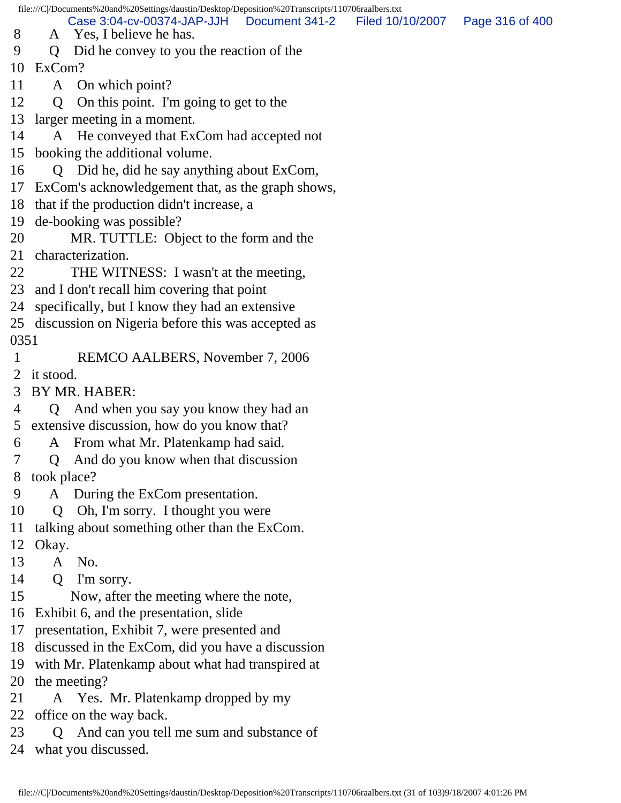file:///C|/Documents%20and%20Settings/daustin/Desktop/Deposition%20Transcripts/110706raalbers.txt

 8 A Yes, I believe he has. Case 3:04-cv-00374-JAP-JJH Document 341-2 Filed 10/10/2007 Page 316 of 400

9 Q Did he convey to you the reaction of the

10 ExCom?

- 11 A On which point?
- 12 Q On this point. I'm going to get to the
- 13 larger meeting in a moment.
- 14 A He conveyed that ExCom had accepted not
- 15 booking the additional volume.
- 16 Q Did he, did he say anything about ExCom,
- 17 ExCom's acknowledgement that, as the graph shows,
- 18 that if the production didn't increase, a
- 19 de-booking was possible?
- 20 MR. TUTTLE: Object to the form and the
- 21 characterization.
- 22 THE WITNESS: I wasn't at the meeting,
- 23 and I don't recall him covering that point
- 24 specifically, but I know they had an extensive
- 25 discussion on Nigeria before this was accepted as 0351
- 1 REMCO AALBERS, November 7, 2006
- 2 it stood.
- 3 BY MR. HABER:
- 4 Q And when you say you know they had an 5 extensive discussion, how do you know that?
- 6 A From what Mr. Platenkamp had said.
- 7 Q And do you know when that discussion
- 8 took place?
- 9 A During the ExCom presentation.
- 10 Q Oh, I'm sorry. I thought you were
- 11 talking about something other than the ExCom.
- 12 Okay.
- 13 A No.
- 14 Q I'm sorry.
- 15 Now, after the meeting where the note,
- 16 Exhibit 6, and the presentation, slide
- 17 presentation, Exhibit 7, were presented and
- 18 discussed in the ExCom, did you have a discussion
- 19 with Mr. Platenkamp about what had transpired at
- 20 the meeting?
- 21 A Yes. Mr. Platenkamp dropped by my
- 22 office on the way back.
- 23 Q And can you tell me sum and substance of
- 24 what you discussed.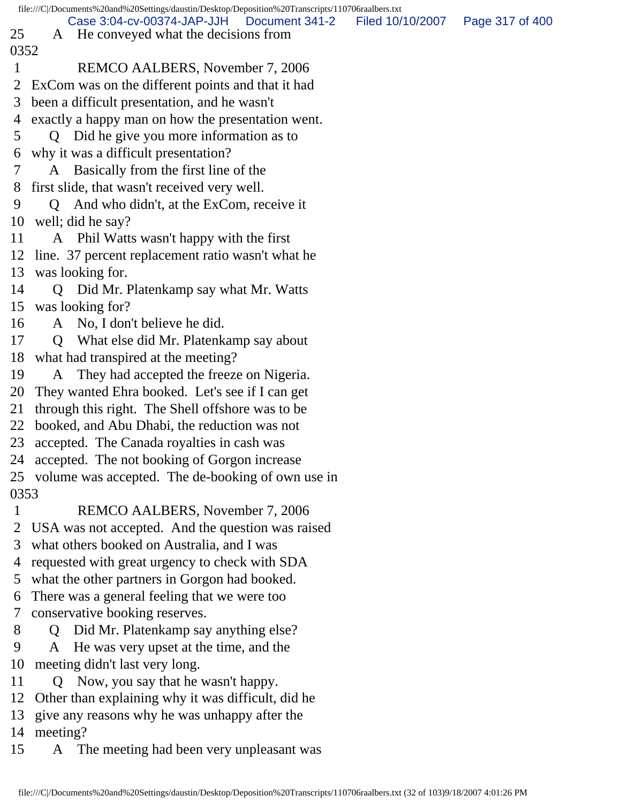| file:///C /Documents%20and%20Settings/daustin/Desktop/Deposition%20Transcripts/110706raalbers.txt |                                                |                                                                                      |                  |                 |
|---------------------------------------------------------------------------------------------------|------------------------------------------------|--------------------------------------------------------------------------------------|------------------|-----------------|
| 25                                                                                                |                                                | Case 3:04-cv-00374-JAP-JJH   Document 341-2<br>A He conveyed what the decisions from | Filed 10/10/2007 | Page 317 of 400 |
| 0352                                                                                              |                                                |                                                                                      |                  |                 |
| 1                                                                                                 |                                                | REMCO AALBERS, November 7, 2006                                                      |                  |                 |
| 2                                                                                                 |                                                | ExCom was on the different points and that it had                                    |                  |                 |
| 3                                                                                                 |                                                | been a difficult presentation, and he wasn't                                         |                  |                 |
| 4                                                                                                 |                                                | exactly a happy man on how the presentation went.                                    |                  |                 |
| 5                                                                                                 | $\overline{O}$                                 | Did he give you more information as to                                               |                  |                 |
| 6                                                                                                 |                                                | why it was a difficult presentation?                                                 |                  |                 |
| 7                                                                                                 |                                                | A Basically from the first line of the                                               |                  |                 |
| 8                                                                                                 |                                                | first slide, that wasn't received very well.                                         |                  |                 |
| 9                                                                                                 | $\overline{O}$                                 | And who didn't, at the ExCom, receive it                                             |                  |                 |
| 10                                                                                                |                                                | well; did he say?                                                                    |                  |                 |
| 11                                                                                                |                                                | A Phil Watts wasn't happy with the first                                             |                  |                 |
|                                                                                                   |                                                | 12 line. 37 percent replacement ratio wasn't what he                                 |                  |                 |
|                                                                                                   |                                                | 13 was looking for.                                                                  |                  |                 |
| 14                                                                                                |                                                | Q Did Mr. Platenkamp say what Mr. Watts                                              |                  |                 |
| 15                                                                                                |                                                | was looking for?                                                                     |                  |                 |
| 16                                                                                                |                                                | A No, I don't believe he did.                                                        |                  |                 |
| 17                                                                                                | $\overline{Q}$                                 | What else did Mr. Platenkamp say about                                               |                  |                 |
| 18                                                                                                |                                                | what had transpired at the meeting?                                                  |                  |                 |
| 19                                                                                                |                                                | A They had accepted the freeze on Nigeria.                                           |                  |                 |
| 20                                                                                                |                                                | They wanted Ehra booked. Let's see if I can get                                      |                  |                 |
| 21                                                                                                |                                                | through this right. The Shell offshore was to be                                     |                  |                 |
|                                                                                                   |                                                | 22 booked, and Abu Dhabi, the reduction was not                                      |                  |                 |
|                                                                                                   |                                                | 23 accepted. The Canada royalties in cash was                                        |                  |                 |
|                                                                                                   |                                                | 24 accepted. The not booking of Gorgon increase                                      |                  |                 |
|                                                                                                   |                                                | 25 volume was accepted. The de-booking of own use in                                 |                  |                 |
| 0353                                                                                              |                                                |                                                                                      |                  |                 |
| 1                                                                                                 |                                                | REMCO AALBERS, November 7, 2006                                                      |                  |                 |
|                                                                                                   |                                                | USA was not accepted. And the question was raised                                    |                  |                 |
| 3                                                                                                 | what others booked on Australia, and I was     |                                                                                      |                  |                 |
| 4                                                                                                 | requested with great urgency to check with SDA |                                                                                      |                  |                 |
| 5                                                                                                 | what the other partners in Gorgon had booked.  |                                                                                      |                  |                 |
| 6                                                                                                 | There was a general feeling that we were too   |                                                                                      |                  |                 |
| 7                                                                                                 |                                                | conservative booking reserves.                                                       |                  |                 |
| 8                                                                                                 | Q                                              | Did Mr. Platenkamp say anything else?                                                |                  |                 |
| 9                                                                                                 | A                                              | He was very upset at the time, and the                                               |                  |                 |
| 10                                                                                                | meeting didn't last very long.                 |                                                                                      |                  |                 |
| 11                                                                                                |                                                | Now, you say that he wasn't happy.                                                   |                  |                 |
| 12                                                                                                |                                                | Other than explaining why it was difficult, did he                                   |                  |                 |

13 give any reasons why he was unhappy after the

14 meeting?

15 A The meeting had been very unpleasant was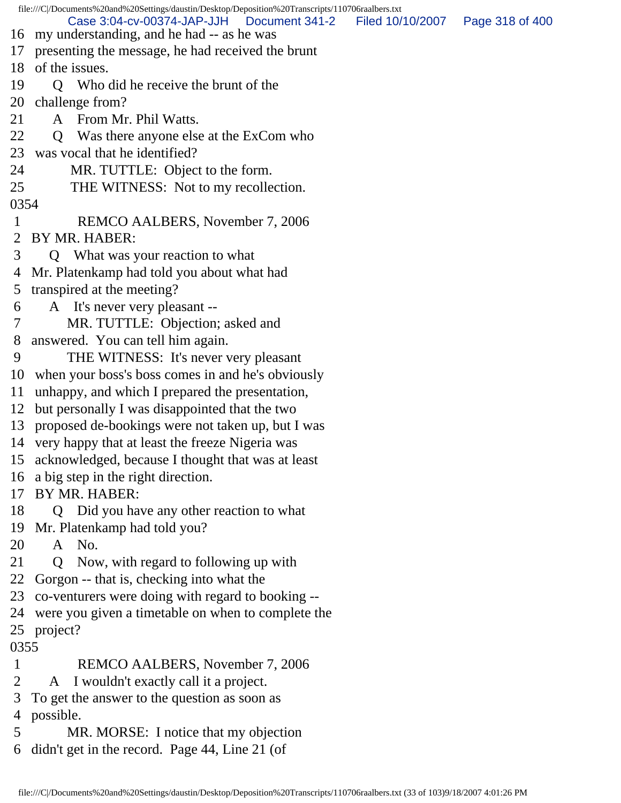file:///C|/Documents%20and%20Settings/daustin/Desktop/Deposition%20Transcripts/110706raalbers.txt 16 my understanding, and he had -- as he was 17 presenting the message, he had received the brunt 18 of the issues. 19 Q Who did he receive the brunt of the 20 challenge from? 21 A From Mr. Phil Watts. 22 Q Was there anyone else at the ExCom who 23 was vocal that he identified? 24 MR. TUTTLE: Object to the form. 25 THE WITNESS: Not to my recollection. 0354 1 REMCO AALBERS, November 7, 2006 2 BY MR. HABER: 3 Q What was your reaction to what 4 Mr. Platenkamp had told you about what had 5 transpired at the meeting? 6 A It's never very pleasant -- 7 MR. TUTTLE: Objection; asked and 8 answered. You can tell him again. 9 THE WITNESS: It's never very pleasant 10 when your boss's boss comes in and he's obviously 11 unhappy, and which I prepared the presentation, 12 but personally I was disappointed that the two 13 proposed de-bookings were not taken up, but I was 14 very happy that at least the freeze Nigeria was 15 acknowledged, because I thought that was at least 16 a big step in the right direction. 17 BY MR. HABER: 18 Q Did you have any other reaction to what 19 Mr. Platenkamp had told you? 20 A No. 21 Q Now, with regard to following up with 22 Gorgon -- that is, checking into what the 23 co-venturers were doing with regard to booking -- 24 were you given a timetable on when to complete the 25 project? 0355 1 REMCO AALBERS, November 7, 2006 2 A I wouldn't exactly call it a project. 3 To get the answer to the question as soon as 4 possible. Case 3:04-cv-00374-JAP-JJH Document 341-2 Filed 10/10/2007 Page 318 of 400

 5 MR. MORSE: I notice that my objection 6 didn't get in the record. Page 44, Line 21 (of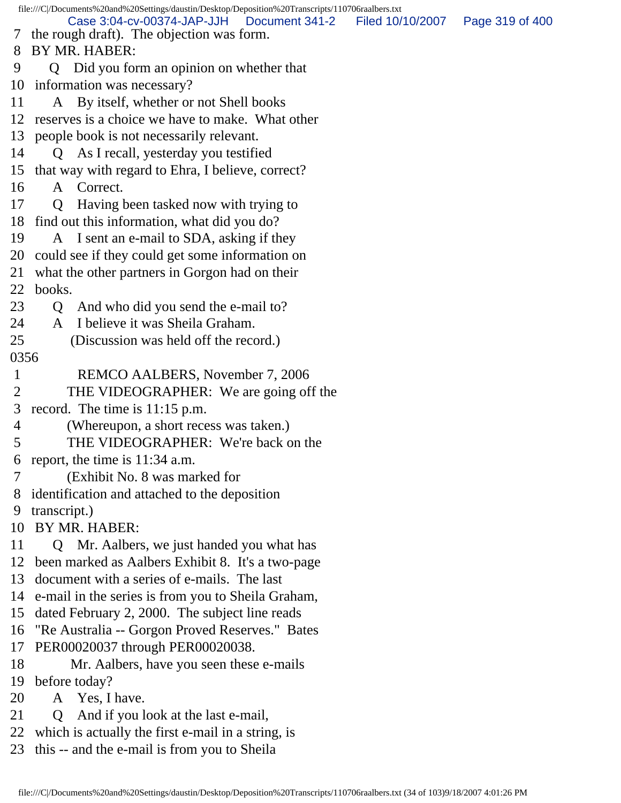file:///C|/Documents%20and%20Settings/daustin/Desktop/Deposition%20Transcripts/110706raalbers.txt 7 the rough draft). The objection was form. 8 BY MR. HABER: 9 Q Did you form an opinion on whether that 10 information was necessary? 11 A By itself, whether or not Shell books 12 reserves is a choice we have to make. What other 13 people book is not necessarily relevant. 14 Q As I recall, yesterday you testified 15 that way with regard to Ehra, I believe, correct? 16 A Correct. 17 Q Having been tasked now with trying to 18 find out this information, what did you do? 19 A I sent an e-mail to SDA, asking if they 20 could see if they could get some information on 21 what the other partners in Gorgon had on their 22 books. 23 Q And who did you send the e-mail to? 24 A I believe it was Sheila Graham. 25 (Discussion was held off the record.) 0356 1 REMCO AALBERS, November 7, 2006 2 THE VIDEOGRAPHER: We are going off the 3 record. The time is 11:15 p.m. 4 (Whereupon, a short recess was taken.) 5 THE VIDEOGRAPHER: We're back on the 6 report, the time is 11:34 a.m. 7 (Exhibit No. 8 was marked for 8 identification and attached to the deposition 9 transcript.) 10 BY MR. HABER: 11 Q Mr. Aalbers, we just handed you what has 12 been marked as Aalbers Exhibit 8. It's a two-page 13 document with a series of e-mails. The last 14 e-mail in the series is from you to Sheila Graham, 15 dated February 2, 2000. The subject line reads 16 "Re Australia -- Gorgon Proved Reserves." Bates 17 PER00020037 through PER00020038. 18 Mr. Aalbers, have you seen these e-mails 19 before today? 20 A Yes, I have. 21 Q And if you look at the last e-mail, 22 which is actually the first e-mail in a string, is 23 this -- and the e-mail is from you to Sheila Case 3:04-cv-00374-JAP-JJH Document 341-2 Filed 10/10/2007 Page 319 of 400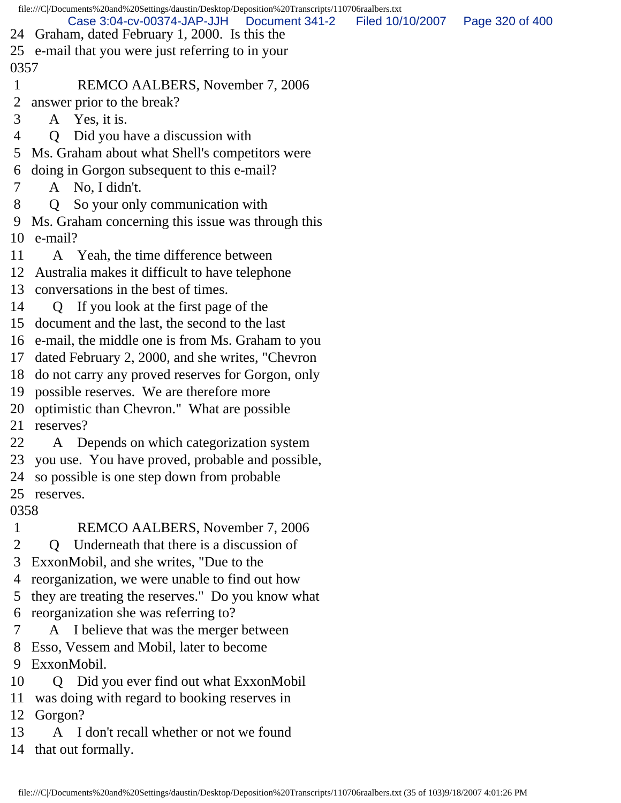file:///C|/Documents%20and%20Settings/daustin/Desktop/Deposition%20Transcripts/110706raalbers.txt 24 Graham, dated February 1, 2000. Is this the 25 e-mail that you were just referring to in your 0357 1 REMCO AALBERS, November 7, 2006 2 answer prior to the break? 3 A Yes, it is. 4 Q Did you have a discussion with 5 Ms. Graham about what Shell's competitors were 6 doing in Gorgon subsequent to this e-mail? 7 A No, I didn't. 8 Q So your only communication with 9 Ms. Graham concerning this issue was through this 10 e-mail? 11 A Yeah, the time difference between 12 Australia makes it difficult to have telephone 13 conversations in the best of times. 14 Q If you look at the first page of the 15 document and the last, the second to the last 16 e-mail, the middle one is from Ms. Graham to you 17 dated February 2, 2000, and she writes, "Chevron 18 do not carry any proved reserves for Gorgon, only 19 possible reserves. We are therefore more 20 optimistic than Chevron." What are possible 21 reserves? 22 A Depends on which categorization system 23 you use. You have proved, probable and possible, 24 so possible is one step down from probable 25 reserves. 0358 1 REMCO AALBERS, November 7, 2006 2 Q Underneath that there is a discussion of 3 ExxonMobil, and she writes, "Due to the 4 reorganization, we were unable to find out how 5 they are treating the reserves." Do you know what 6 reorganization she was referring to? 7 A I believe that was the merger between 8 Esso, Vessem and Mobil, later to become 9 ExxonMobil. 10 Q Did you ever find out what ExxonMobil 11 was doing with regard to booking reserves in 12 Gorgon? Case 3:04-cv-00374-JAP-JJH Document 341-2 Filed 10/10/2007 Page 320 of 400

13 A I don't recall whether or not we found

14 that out formally.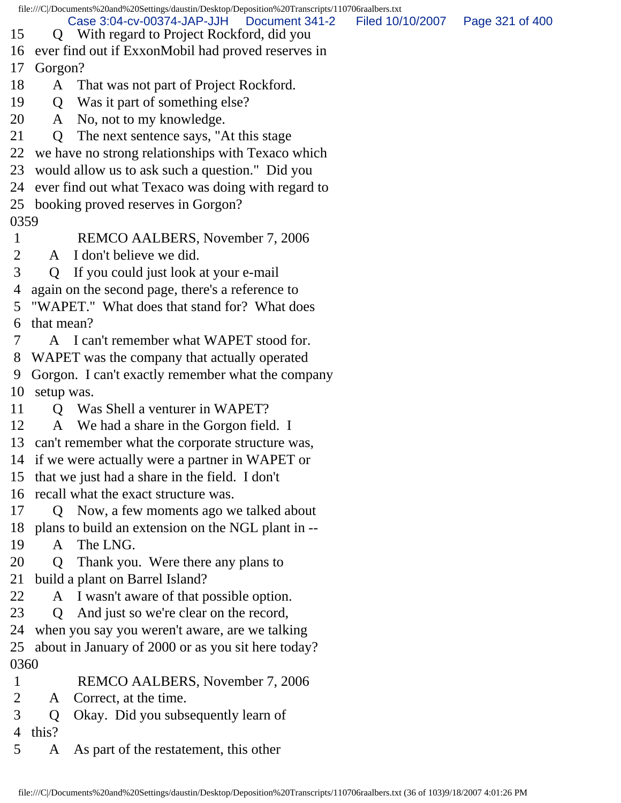| file:///C /Documents%20and%20Settings/daustin/Desktop/Deposition%20Transcripts/110706raalbers.txt |                                                    |                                                                                            |                  |                 |  |
|---------------------------------------------------------------------------------------------------|----------------------------------------------------|--------------------------------------------------------------------------------------------|------------------|-----------------|--|
| 15                                                                                                |                                                    | Case 3:04-cv-00374-JAP-JJH<br>Document 341-2<br>Q With regard to Project Rockford, did you | Filed 10/10/2007 | Page 321 of 400 |  |
| 16                                                                                                |                                                    | ever find out if ExxonMobil had proved reserves in                                         |                  |                 |  |
| 17                                                                                                | Gorgon?                                            |                                                                                            |                  |                 |  |
| 18                                                                                                |                                                    | A That was not part of Project Rockford.                                                   |                  |                 |  |
| 19                                                                                                |                                                    | Q Was it part of something else?                                                           |                  |                 |  |
| 20                                                                                                |                                                    | A No, not to my knowledge.                                                                 |                  |                 |  |
| 21                                                                                                | $\overline{Q}$                                     | The next sentence says, "At this stage"                                                    |                  |                 |  |
| 22                                                                                                | we have no strong relationships with Texaco which  |                                                                                            |                  |                 |  |
| 23                                                                                                | would allow us to ask such a question." Did you    |                                                                                            |                  |                 |  |
|                                                                                                   |                                                    | 24 ever find out what Texaco was doing with regard to                                      |                  |                 |  |
|                                                                                                   |                                                    | 25 booking proved reserves in Gorgon?                                                      |                  |                 |  |
| 0359                                                                                              |                                                    |                                                                                            |                  |                 |  |
| $\mathbf{1}$                                                                                      |                                                    | REMCO AALBERS, November 7, 2006                                                            |                  |                 |  |
| $\overline{2}$                                                                                    | $\mathsf{A}$                                       | I don't believe we did.                                                                    |                  |                 |  |
| 3                                                                                                 | Q                                                  | If you could just look at your e-mail                                                      |                  |                 |  |
| 4                                                                                                 |                                                    | again on the second page, there's a reference to                                           |                  |                 |  |
| 5                                                                                                 | "WAPET." What does that stand for? What does       |                                                                                            |                  |                 |  |
| 6                                                                                                 | that mean?                                         |                                                                                            |                  |                 |  |
|                                                                                                   |                                                    | A I can't remember what WAPET stood for.                                                   |                  |                 |  |
| 8                                                                                                 |                                                    | WAPET was the company that actually operated                                               |                  |                 |  |
| 9                                                                                                 |                                                    | Gorgon. I can't exactly remember what the company                                          |                  |                 |  |
| 10                                                                                                | setup was.                                         |                                                                                            |                  |                 |  |
| 11                                                                                                |                                                    | Q Was Shell a venturer in WAPET?                                                           |                  |                 |  |
| 12                                                                                                | A                                                  | We had a share in the Gorgon field. I                                                      |                  |                 |  |
|                                                                                                   |                                                    | 13 can't remember what the corporate structure was,                                        |                  |                 |  |
|                                                                                                   |                                                    | 14 if we were actually were a partner in WAPET or                                          |                  |                 |  |
|                                                                                                   |                                                    | 15 that we just had a share in the field. I don't                                          |                  |                 |  |
|                                                                                                   | 16 recall what the exact structure was.            |                                                                                            |                  |                 |  |
| 17                                                                                                | Q                                                  | Now, a few moments ago we talked about                                                     |                  |                 |  |
| 18                                                                                                |                                                    | plans to build an extension on the NGL plant in --                                         |                  |                 |  |
| 19                                                                                                | A                                                  | The LNG.                                                                                   |                  |                 |  |
| 20                                                                                                | $\Omega$                                           | Thank you. Were there any plans to                                                         |                  |                 |  |
| 21                                                                                                |                                                    | build a plant on Barrel Island?                                                            |                  |                 |  |
| 22                                                                                                |                                                    | A I wasn't aware of that possible option.                                                  |                  |                 |  |
| 23                                                                                                | $\overline{O}$                                     | And just so we're clear on the record,                                                     |                  |                 |  |
| 24                                                                                                |                                                    | when you say you weren't aware, are we talking                                             |                  |                 |  |
| 25                                                                                                | about in January of 2000 or as you sit here today? |                                                                                            |                  |                 |  |
| 0360                                                                                              |                                                    |                                                                                            |                  |                 |  |
| $\mathbf{1}$                                                                                      |                                                    | REMCO AALBERS, November 7, 2006                                                            |                  |                 |  |
| 2                                                                                                 | A                                                  | Correct, at the time.                                                                      |                  |                 |  |
| 3                                                                                                 | Q                                                  | Okay. Did you subsequently learn of                                                        |                  |                 |  |
| 4                                                                                                 | this?                                              |                                                                                            |                  |                 |  |
| 5                                                                                                 | A                                                  | As part of the restatement, this other                                                     |                  |                 |  |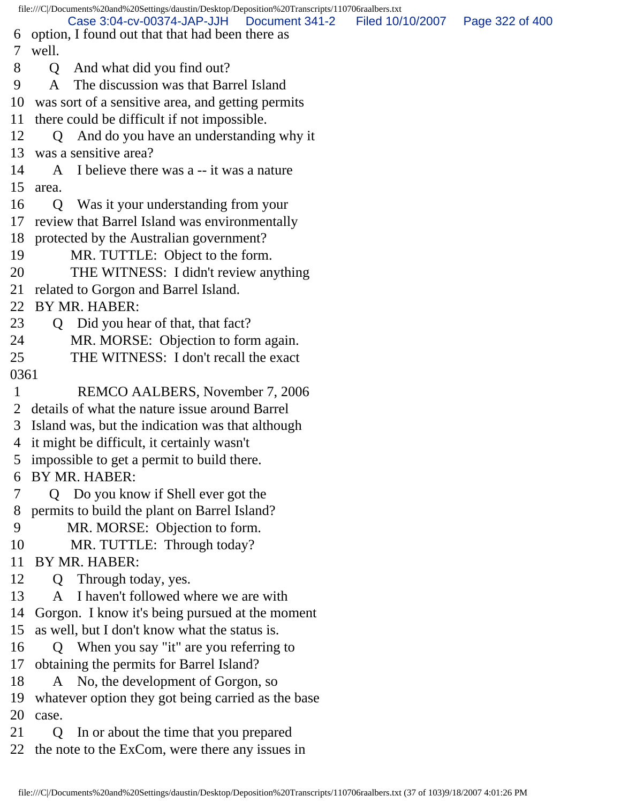file:///C|/Documents%20and%20Settings/daustin/Desktop/Deposition%20Transcripts/110706raalbers.txt 6 option, I found out that that had been there as 7 well. 8 Q And what did you find out? 9 A The discussion was that Barrel Island 10 was sort of a sensitive area, and getting permits 11 there could be difficult if not impossible. 12 Q And do you have an understanding why it 13 was a sensitive area? 14 A I believe there was a -- it was a nature 15 area. 16 Q Was it your understanding from your 17 review that Barrel Island was environmentally 18 protected by the Australian government? 19 MR. TUTTLE: Object to the form. 20 THE WITNESS: I didn't review anything 21 related to Gorgon and Barrel Island. 22 BY MR. HABER: 23 Q Did you hear of that, that fact? 24 MR. MORSE: Objection to form again. 25 THE WITNESS: I don't recall the exact 0361 1 REMCO AALBERS, November 7, 2006 2 details of what the nature issue around Barrel 3 Island was, but the indication was that although 4 it might be difficult, it certainly wasn't 5 impossible to get a permit to build there. 6 BY MR. HABER: 7 Q Do you know if Shell ever got the 8 permits to build the plant on Barrel Island? 9 MR. MORSE: Objection to form. 10 MR. TUTTLE: Through today? 11 BY MR. HABER: 12 Q Through today, yes. 13 A I haven't followed where we are with 14 Gorgon. I know it's being pursued at the moment 15 as well, but I don't know what the status is. 16 Q When you say "it" are you referring to 17 obtaining the permits for Barrel Island? 18 A No, the development of Gorgon, so 19 whatever option they got being carried as the base 20 case. 21 Q In or about the time that you prepared Case 3:04-cv-00374-JAP-JJH Document 341-2 Filed 10/10/2007 Page 322 of 400

22 the note to the ExCom, were there any issues in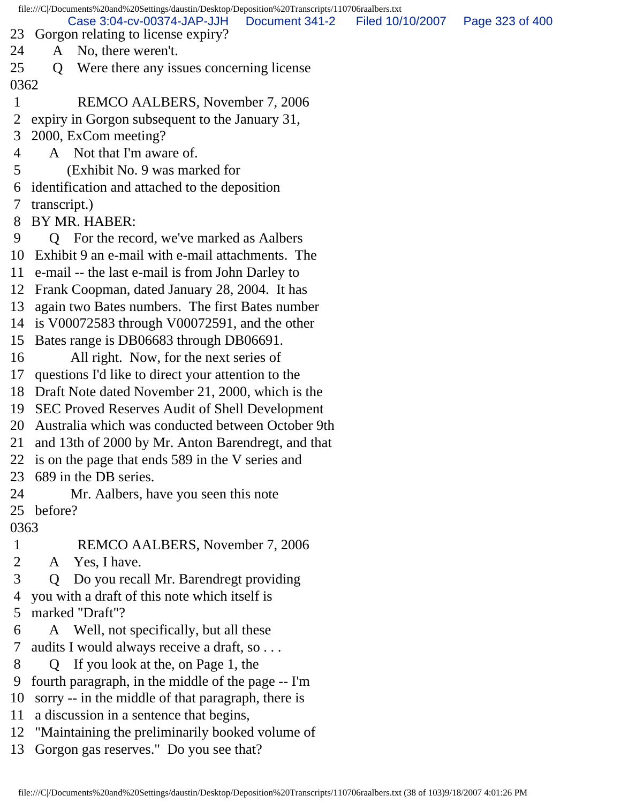file:///C|/Documents%20and%20Settings/daustin/Desktop/Deposition%20Transcripts/110706raalbers.txt 23 Gorgon relating to license expiry? 24 A No, there weren't. 25 Q Were there any issues concerning license 0362 1 REMCO AALBERS, November 7, 2006 2 expiry in Gorgon subsequent to the January 31, 3 2000, ExCom meeting? 4 A Not that I'm aware of. 5 (Exhibit No. 9 was marked for 6 identification and attached to the deposition 7 transcript.) 8 BY MR. HABER: 9 Q For the record, we've marked as Aalbers 10 Exhibit 9 an e-mail with e-mail attachments. The 11 e-mail -- the last e-mail is from John Darley to 12 Frank Coopman, dated January 28, 2004. It has 13 again two Bates numbers. The first Bates number 14 is V00072583 through V00072591, and the other 15 Bates range is DB06683 through DB06691. 16 All right. Now, for the next series of 17 questions I'd like to direct your attention to the 18 Draft Note dated November 21, 2000, which is the 19 SEC Proved Reserves Audit of Shell Development 20 Australia which was conducted between October 9th 21 and 13th of 2000 by Mr. Anton Barendregt, and that 22 is on the page that ends 589 in the V series and 23 689 in the DB series. 24 Mr. Aalbers, have you seen this note 25 before? 0363 1 REMCO AALBERS, November 7, 2006 2 A Yes, I have. 3 Q Do you recall Mr. Barendregt providing 4 you with a draft of this note which itself is 5 marked "Draft"? 6 A Well, not specifically, but all these 7 audits I would always receive a draft, so . . . 8 Q If you look at the, on Page 1, the 9 fourth paragraph, in the middle of the page -- I'm 10 sorry -- in the middle of that paragraph, there is 11 a discussion in a sentence that begins, 12 "Maintaining the preliminarily booked volume of Case 3:04-cv-00374-JAP-JJH Document 341-2 Filed 10/10/2007 Page 323 of 400

13 Gorgon gas reserves." Do you see that?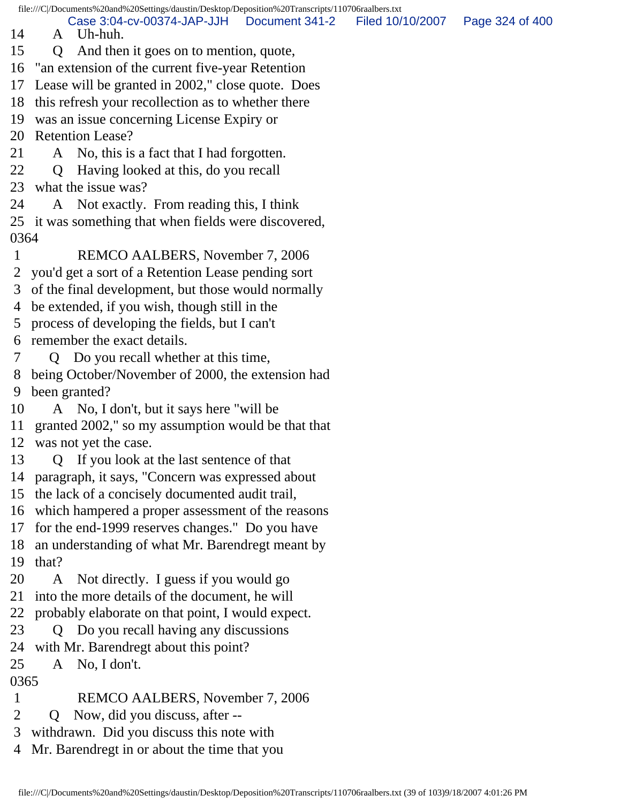file:///C|/Documents%20and%20Settings/daustin/Desktop/Deposition%20Transcripts/110706raalbers.txt

14 A Uh-huh. Case 3:04-cv-00374-JAP-JJH Document 341-2 Filed 10/10/2007 Page 324 of 400

- 
- 15 Q And then it goes on to mention, quote, 16 "an extension of the current five-year Retention
- 17 Lease will be granted in 2002," close quote. Does
- 18 this refresh your recollection as to whether there
- 19 was an issue concerning License Expiry or
- 20 Retention Lease?
- 21 A No, this is a fact that I had forgotten.
- 22 Q Having looked at this, do you recall
- 23 what the issue was?
- 24 A Not exactly. From reading this, I think
- 25 it was something that when fields were discovered, 0364
- 1 REMCO AALBERS, November 7, 2006
- 2 you'd get a sort of a Retention Lease pending sort
- 3 of the final development, but those would normally
- 4 be extended, if you wish, though still in the
- 5 process of developing the fields, but I can't
- 6 remember the exact details.
- 7 Q Do you recall whether at this time,
- 8 being October/November of 2000, the extension had 9 been granted?
- 10 A No, I don't, but it says here "will be
- 11 granted 2002," so my assumption would be that that
- 12 was not yet the case.
- 13 Q If you look at the last sentence of that
- 14 paragraph, it says, "Concern was expressed about
- 15 the lack of a concisely documented audit trail,
- 16 which hampered a proper assessment of the reasons
- 17 for the end-1999 reserves changes." Do you have
- 18 an understanding of what Mr. Barendregt meant by
- 19 that?
- 20 A Not directly. I guess if you would go
- 21 into the more details of the document, he will
- 22 probably elaborate on that point, I would expect.
- 23 Q Do you recall having any discussions
- 24 with Mr. Barendregt about this point?
- 25 A No, I don't.

## 0365

- 1 REMCO AALBERS, November 7, 2006
- 2 Q Now, did you discuss, after --
- 3 withdrawn. Did you discuss this note with
- 4 Mr. Barendregt in or about the time that you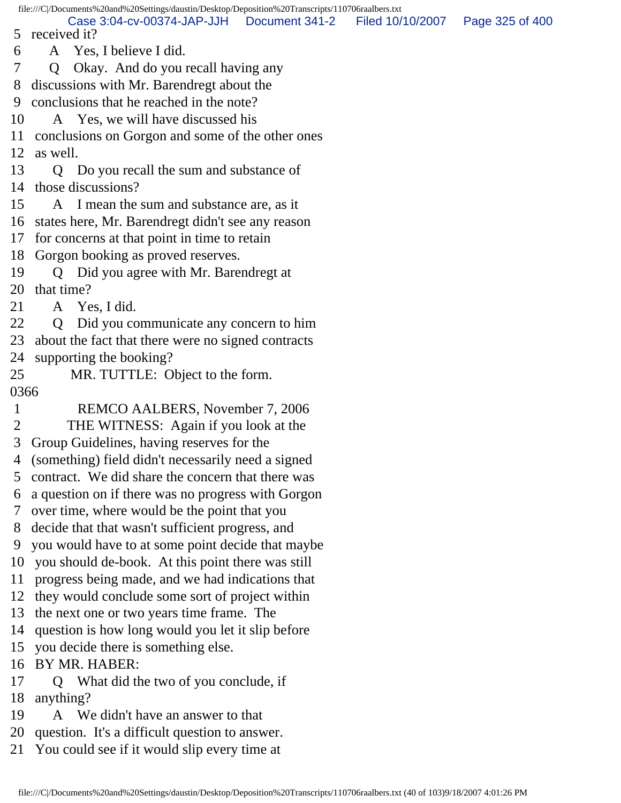5 received it? Case 3:04-cv-00374-JAP-JJH Document 341-2 Filed 10/10/2007 Page 325 of 400

6 A Yes, I believe I did.

7 Q Okay. And do you recall having any

8 discussions with Mr. Barendregt about the

9 conclusions that he reached in the note?

10 A Yes, we will have discussed his

11 conclusions on Gorgon and some of the other ones

12 as well.

13 Q Do you recall the sum and substance of 14 those discussions?

15 A I mean the sum and substance are, as it

16 states here, Mr. Barendregt didn't see any reason

17 for concerns at that point in time to retain

18 Gorgon booking as proved reserves.

19 Q Did you agree with Mr. Barendregt at 20 that time?

21 A Yes, I did.

22 Q Did you communicate any concern to him 23 about the fact that there were no signed contracts

24 supporting the booking?

25 MR. TUTTLE: Object to the form.

0366

1 REMCO AALBERS, November 7, 2006

2 THE WITNESS: Again if you look at the

3 Group Guidelines, having reserves for the

4 (something) field didn't necessarily need a signed

5 contract. We did share the concern that there was

6 a question on if there was no progress with Gorgon

7 over time, where would be the point that you

8 decide that that wasn't sufficient progress, and

9 you would have to at some point decide that maybe

10 you should de-book. At this point there was still

11 progress being made, and we had indications that

12 they would conclude some sort of project within

13 the next one or two years time frame. The

14 question is how long would you let it slip before

15 you decide there is something else.

16 BY MR. HABER:

17 Q What did the two of you conclude, if 18 anything?

19 A We didn't have an answer to that

20 question. It's a difficult question to answer.

21 You could see if it would slip every time at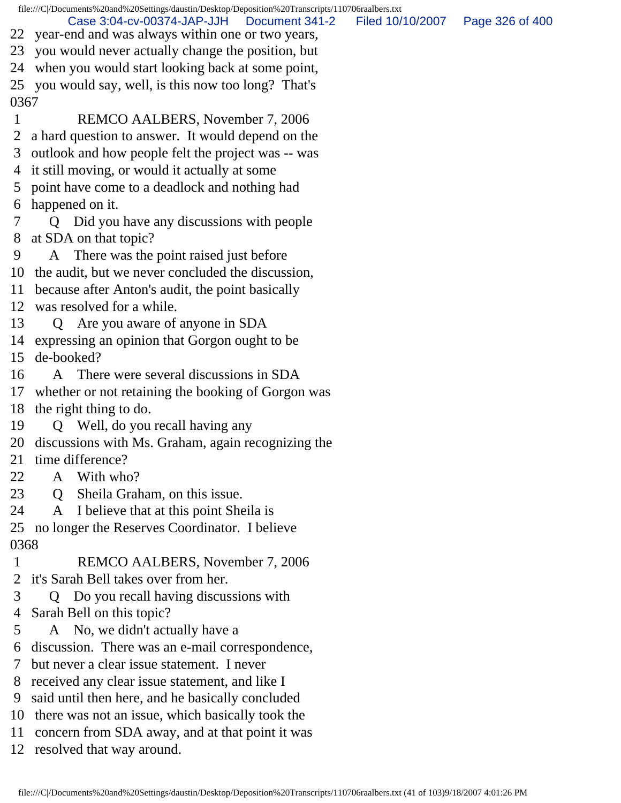file:///C|/Documents%20and%20Settings/daustin/Desktop/Deposition%20Transcripts/110706raalbers.txt 22 year-end and was always within one or two years, 23 you would never actually change the position, but 24 when you would start looking back at some point, 25 you would say, well, is this now too long? That's 0367 1 REMCO AALBERS, November 7, 2006 2 a hard question to answer. It would depend on the 3 outlook and how people felt the project was -- was 4 it still moving, or would it actually at some 5 point have come to a deadlock and nothing had 6 happened on it. 7 Q Did you have any discussions with people 8 at SDA on that topic? 9 A There was the point raised just before 10 the audit, but we never concluded the discussion, 11 because after Anton's audit, the point basically 12 was resolved for a while. 13 Q Are you aware of anyone in SDA 14 expressing an opinion that Gorgon ought to be 15 de-booked? 16 A There were several discussions in SDA 17 whether or not retaining the booking of Gorgon was 18 the right thing to do. 19 Q Well, do you recall having any 20 discussions with Ms. Graham, again recognizing the 21 time difference? 22 A With who? 23 Q Sheila Graham, on this issue. 24 A I believe that at this point Sheila is 25 no longer the Reserves Coordinator. I believe 0368 1 REMCO AALBERS, November 7, 2006 2 it's Sarah Bell takes over from her. 3 Q Do you recall having discussions with 4 Sarah Bell on this topic? 5 A No, we didn't actually have a 6 discussion. There was an e-mail correspondence, 7 but never a clear issue statement. I never 8 received any clear issue statement, and like I 9 said until then here, and he basically concluded 10 there was not an issue, which basically took the Case 3:04-cv-00374-JAP-JJH Document 341-2 Filed 10/10/2007 Page 326 of 400

- 11 concern from SDA away, and at that point it was
- 12 resolved that way around.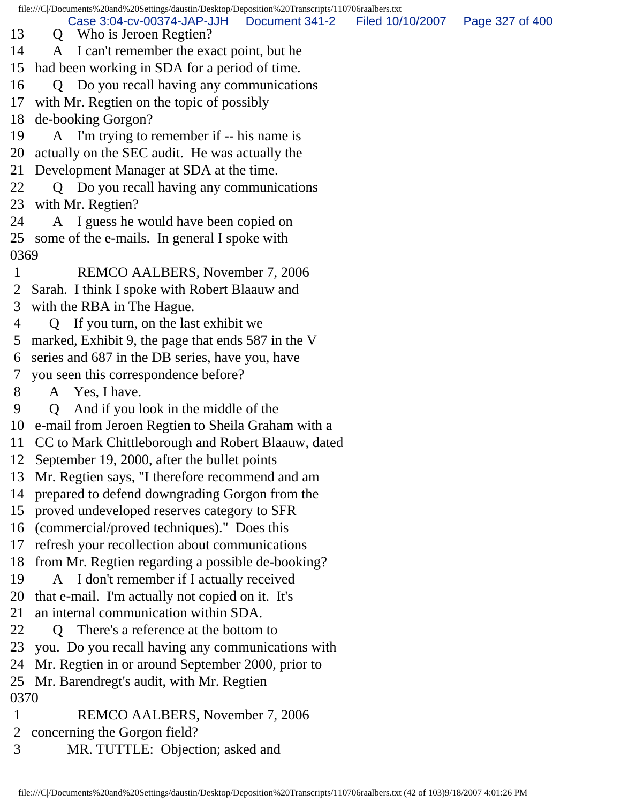file:///C|/Documents%20and%20Settings/daustin/Desktop/Deposition%20Transcripts/110706raalbers.txt 13 Q Who is Jeroen Regtien? 14 A I can't remember the exact point, but he 15 had been working in SDA for a period of time. 16 Q Do you recall having any communications 17 with Mr. Regtien on the topic of possibly 18 de-booking Gorgon? 19 A I'm trying to remember if -- his name is 20 actually on the SEC audit. He was actually the 21 Development Manager at SDA at the time. 22 Q Do you recall having any communications 23 with Mr. Regtien? 24 A I guess he would have been copied on 25 some of the e-mails. In general I spoke with 0369 1 REMCO AALBERS, November 7, 2006 2 Sarah. I think I spoke with Robert Blaauw and 3 with the RBA in The Hague. 4 Q If you turn, on the last exhibit we 5 marked, Exhibit 9, the page that ends 587 in the V 6 series and 687 in the DB series, have you, have 7 you seen this correspondence before? 8 A Yes, I have. 9 Q And if you look in the middle of the 10 e-mail from Jeroen Regtien to Sheila Graham with a 11 CC to Mark Chittleborough and Robert Blaauw, dated 12 September 19, 2000, after the bullet points 13 Mr. Regtien says, "I therefore recommend and am 14 prepared to defend downgrading Gorgon from the 15 proved undeveloped reserves category to SFR 16 (commercial/proved techniques)." Does this 17 refresh your recollection about communications 18 from Mr. Regtien regarding a possible de-booking? 19 A I don't remember if I actually received 20 that e-mail. I'm actually not copied on it. It's 21 an internal communication within SDA. 22 Q There's a reference at the bottom to 23 you. Do you recall having any communications with 24 Mr. Regtien in or around September 2000, prior to 25 Mr. Barendregt's audit, with Mr. Regtien 0370 1 REMCO AALBERS, November 7, 2006 2 concerning the Gorgon field? Case 3:04-cv-00374-JAP-JJH Document 341-2 Filed 10/10/2007 Page 327 of 400

3 MR. TUTTLE: Objection; asked and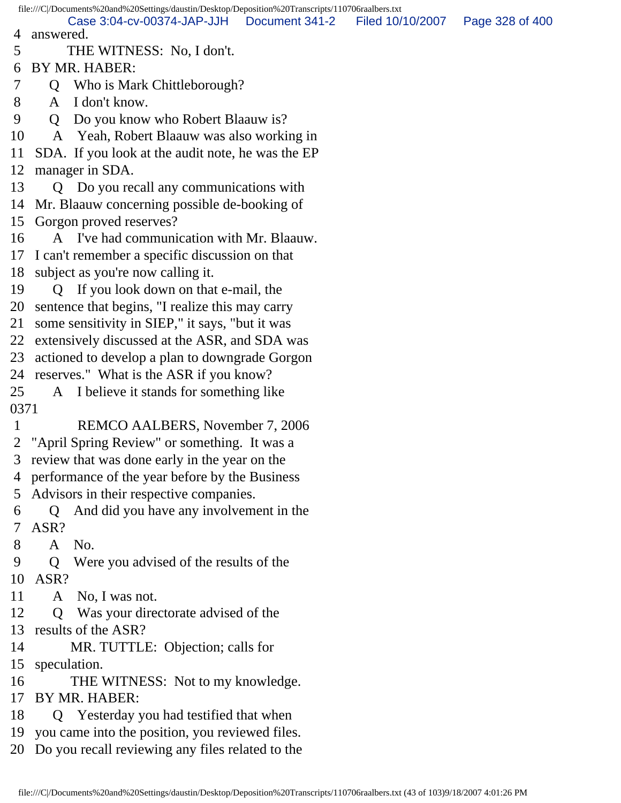file:///C|/Documents%20and%20Settings/daustin/Desktop/Deposition%20Transcripts/110706raalbers.txt 4 answered. 5 THE WITNESS: No, I don't. 6 BY MR. HABER: 7 Q Who is Mark Chittleborough? 8 A I don't know. 9 Q Do you know who Robert Blaauw is? 10 A Yeah, Robert Blaauw was also working in 11 SDA. If you look at the audit note, he was the EP 12 manager in SDA. 13 Q Do you recall any communications with 14 Mr. Blaauw concerning possible de-booking of 15 Gorgon proved reserves? 16 A I've had communication with Mr. Blaauw. 17 I can't remember a specific discussion on that 18 subject as you're now calling it. 19 Q If you look down on that e-mail, the 20 sentence that begins, "I realize this may carry 21 some sensitivity in SIEP," it says, "but it was 22 extensively discussed at the ASR, and SDA was 23 actioned to develop a plan to downgrade Gorgon 24 reserves." What is the ASR if you know? 25 A I believe it stands for something like 0371 1 REMCO AALBERS, November 7, 2006 2 "April Spring Review" or something. It was a 3 review that was done early in the year on the 4 performance of the year before by the Business 5 Advisors in their respective companies. 6 Q And did you have any involvement in the 7 ASR? 8 A No. 9 Q Were you advised of the results of the 10 ASR? 11 A No, I was not. 12 Q Was your directorate advised of the 13 results of the ASR? 14 MR. TUTTLE: Objection; calls for 15 speculation. 16 THE WITNESS: Not to my knowledge. 17 BY MR. HABER: 18 Q Yesterday you had testified that when 19 you came into the position, you reviewed files. 20 Do you recall reviewing any files related to the Case 3:04-cv-00374-JAP-JJH Document 341-2 Filed 10/10/2007 Page 328 of 400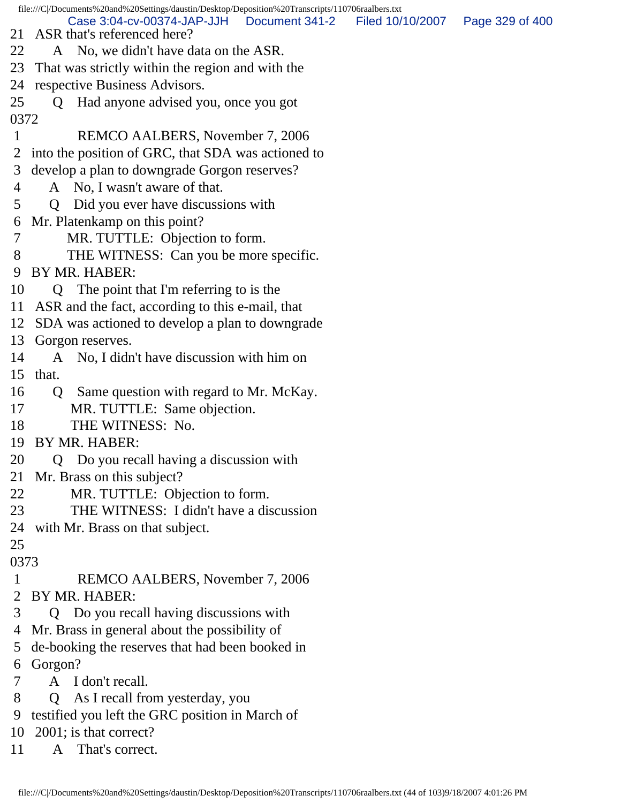file:///C|/Documents%20and%20Settings/daustin/Desktop/Deposition%20Transcripts/110706raalbers.txt 21 ASR that's referenced here? 22 A No, we didn't have data on the ASR. 23 That was strictly within the region and with the 24 respective Business Advisors. 25 Q Had anyone advised you, once you got 0372 1 REMCO AALBERS, November 7, 2006 2 into the position of GRC, that SDA was actioned to 3 develop a plan to downgrade Gorgon reserves? 4 A No, I wasn't aware of that. 5 Q Did you ever have discussions with 6 Mr. Platenkamp on this point? 7 MR. TUTTLE: Objection to form. 8 THE WITNESS: Can you be more specific. 9 BY MR. HABER: 10 Q The point that I'm referring to is the 11 ASR and the fact, according to this e-mail, that 12 SDA was actioned to develop a plan to downgrade 13 Gorgon reserves. 14 A No, I didn't have discussion with him on 15 that. 16 Q Same question with regard to Mr. McKay. 17 MR. TUTTLE: Same objection. 18 THE WITNESS: No. 19 BY MR. HABER: 20 Q Do you recall having a discussion with 21 Mr. Brass on this subject? 22 MR. TUTTLE: Objection to form. 23 THE WITNESS: I didn't have a discussion 24 with Mr. Brass on that subject. 25 0373 1 REMCO AALBERS, November 7, 2006 2 BY MR. HABER: 3 Q Do you recall having discussions with 4 Mr. Brass in general about the possibility of 5 de-booking the reserves that had been booked in 6 Gorgon? 7 A I don't recall. 8 Q As I recall from yesterday, you 9 testified you left the GRC position in March of 10 2001; is that correct? 11 A That's correct. Case 3:04-cv-00374-JAP-JJH Document 341-2 Filed 10/10/2007 Page 329 of 400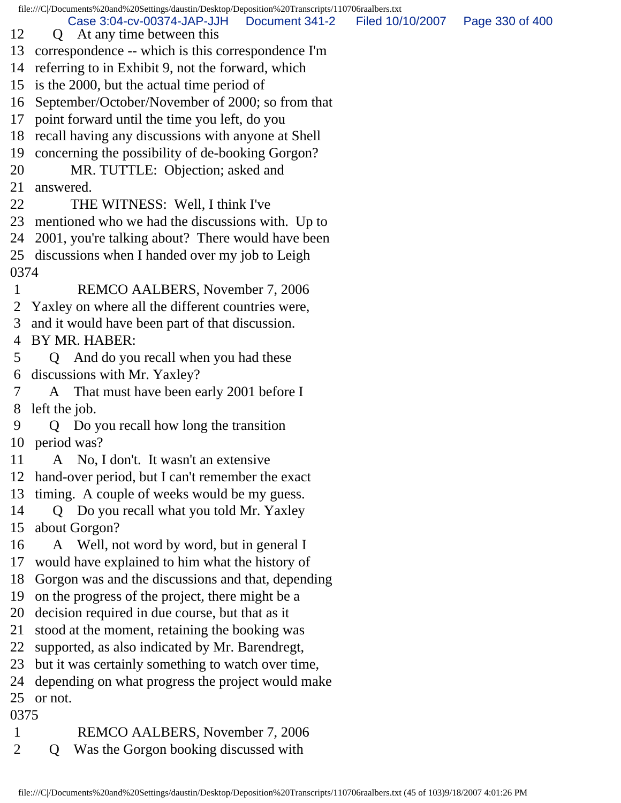Case 3:04-cv-00374-JAP-JJH Document 341-2 Filed 10/10/2007 Page 330 of 400

- 12 Q At any time between this
- 13 correspondence -- which is this correspondence I'm
- 14 referring to in Exhibit 9, not the forward, which
- 15 is the 2000, but the actual time period of
- 16 September/October/November of 2000; so from that
- 17 point forward until the time you left, do you
- 18 recall having any discussions with anyone at Shell
- 19 concerning the possibility of de-booking Gorgon?
- 20 MR. TUTTLE: Objection; asked and
- 21 answered.
- 22 THE WITNESS: Well, I think I've
- 23 mentioned who we had the discussions with. Up to
- 24 2001, you're talking about? There would have been
- 25 discussions when I handed over my job to Leigh 0374
- 1 REMCO AALBERS, November 7, 2006
- 2 Yaxley on where all the different countries were,
- 3 and it would have been part of that discussion.
- 4 BY MR. HABER:
- 5 Q And do you recall when you had these 6 discussions with Mr. Yaxley?
- 7 A That must have been early 2001 before I 8 left the job.
- 9 Q Do you recall how long the transition 10 period was?
- 11 A No, I don't. It wasn't an extensive
- 12 hand-over period, but I can't remember the exact
- 13 timing. A couple of weeks would be my guess.
- 14 Q Do you recall what you told Mr. Yaxley 15 about Gorgon?
- 16 A Well, not word by word, but in general I
- 17 would have explained to him what the history of
- 18 Gorgon was and the discussions and that, depending
- 19 on the progress of the project, there might be a
- 20 decision required in due course, but that as it
- 21 stood at the moment, retaining the booking was
- 22 supported, as also indicated by Mr. Barendregt,
- 23 but it was certainly something to watch over time,
- 24 depending on what progress the project would make
- 25 or not.

0375

- 1 REMCO AALBERS, November 7, 2006
- 2 Q Was the Gorgon booking discussed with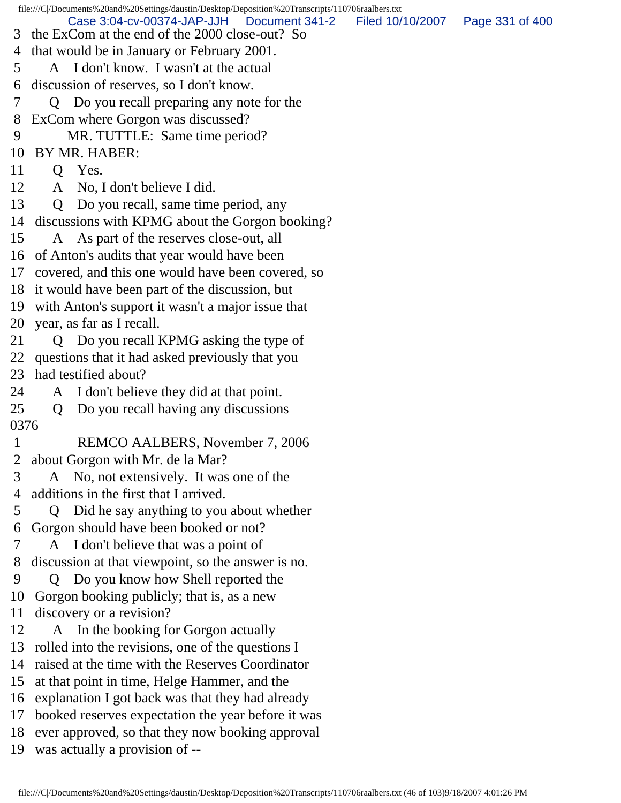file:///C|/Documents%20and%20Settings/daustin/Desktop/Deposition%20Transcripts/110706raalbers.txt 3 the ExCom at the end of the 2000 close-out? So 4 that would be in January or February 2001. 5 A I don't know. I wasn't at the actual 6 discussion of reserves, so I don't know. 7 Q Do you recall preparing any note for the 8 ExCom where Gorgon was discussed? 9 MR. TUTTLE: Same time period? 10 BY MR. HABER: 11 Q Yes. 12 A No, I don't believe I did. 13 Q Do you recall, same time period, any 14 discussions with KPMG about the Gorgon booking? 15 A As part of the reserves close-out, all 16 of Anton's audits that year would have been 17 covered, and this one would have been covered, so 18 it would have been part of the discussion, but 19 with Anton's support it wasn't a major issue that 20 year, as far as I recall. 21 Q Do you recall KPMG asking the type of 22 questions that it had asked previously that you 23 had testified about? 24 A I don't believe they did at that point. 25 Q Do you recall having any discussions 0376 1 REMCO AALBERS, November 7, 2006 2 about Gorgon with Mr. de la Mar? 3 A No, not extensively. It was one of the 4 additions in the first that I arrived. 5 Q Did he say anything to you about whether 6 Gorgon should have been booked or not? 7 A I don't believe that was a point of 8 discussion at that viewpoint, so the answer is no. 9 Q Do you know how Shell reported the 10 Gorgon booking publicly; that is, as a new 11 discovery or a revision? 12 A In the booking for Gorgon actually 13 rolled into the revisions, one of the questions I 14 raised at the time with the Reserves Coordinator 15 at that point in time, Helge Hammer, and the 16 explanation I got back was that they had already 17 booked reserves expectation the year before it was 18 ever approved, so that they now booking approval 19 was actually a provision of -- Case 3:04-cv-00374-JAP-JJH Document 341-2 Filed 10/10/2007 Page 331 of 400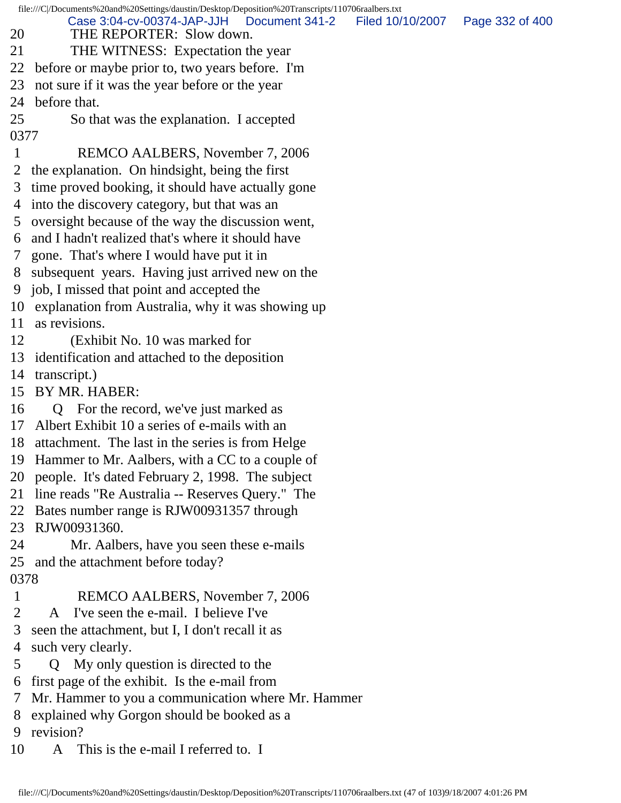file:///C|/Documents%20and%20Settings/daustin/Desktop/Deposition%20Transcripts/110706raalbers.txt 20 THE REPORTER: Slow down. 21 THE WITNESS: Expectation the year 22 before or maybe prior to, two years before. I'm 23 not sure if it was the year before or the year 24 before that. 25 So that was the explanation. I accepted 0377 1 REMCO AALBERS, November 7, 2006 2 the explanation. On hindsight, being the first 3 time proved booking, it should have actually gone 4 into the discovery category, but that was an 5 oversight because of the way the discussion went, 6 and I hadn't realized that's where it should have 7 gone. That's where I would have put it in 8 subsequent years. Having just arrived new on the 9 job, I missed that point and accepted the 10 explanation from Australia, why it was showing up 11 as revisions. 12 (Exhibit No. 10 was marked for 13 identification and attached to the deposition 14 transcript.) 15 BY MR. HABER: 16 Q For the record, we've just marked as 17 Albert Exhibit 10 a series of e-mails with an 18 attachment. The last in the series is from Helge 19 Hammer to Mr. Aalbers, with a CC to a couple of 20 people. It's dated February 2, 1998. The subject 21 line reads "Re Australia -- Reserves Query." The 22 Bates number range is RJW00931357 through 23 RJW00931360. 24 Mr. Aalbers, have you seen these e-mails 25 and the attachment before today? 0378 1 REMCO AALBERS, November 7, 2006 2 A I've seen the e-mail. I believe I've 3 seen the attachment, but I, I don't recall it as 4 such very clearly. 5 Q My only question is directed to the 6 first page of the exhibit. Is the e-mail from 7 Mr. Hammer to you a communication where Mr. Hammer 8 explained why Gorgon should be booked as a 9 revision? 10 A This is the e-mail I referred to. I Case 3:04-cv-00374-JAP-JJH Document 341-2 Filed 10/10/2007 Page 332 of 400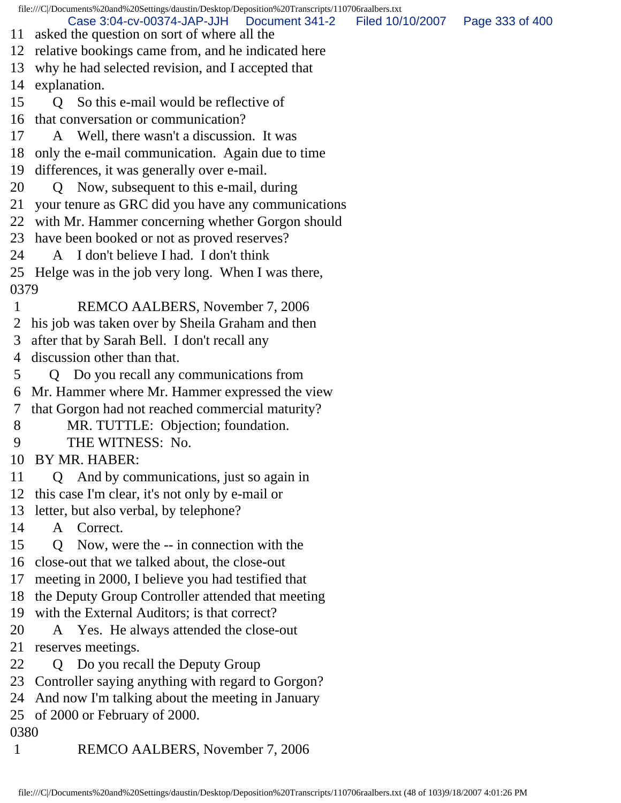file:///C|/Documents%20and%20Settings/daustin/Desktop/Deposition%20Transcripts/110706raalbers.txt 11 asked the question on sort of where all the 12 relative bookings came from, and he indicated here 13 why he had selected revision, and I accepted that 14 explanation. 15 Q So this e-mail would be reflective of 16 that conversation or communication? 17 A Well, there wasn't a discussion. It was 18 only the e-mail communication. Again due to time 19 differences, it was generally over e-mail. 20 Q Now, subsequent to this e-mail, during 21 your tenure as GRC did you have any communications 22 with Mr. Hammer concerning whether Gorgon should 23 have been booked or not as proved reserves? 24 A I don't believe I had. I don't think 25 Helge was in the job very long. When I was there, 0379 1 REMCO AALBERS, November 7, 2006 2 his job was taken over by Sheila Graham and then 3 after that by Sarah Bell. I don't recall any 4 discussion other than that. 5 Q Do you recall any communications from 6 Mr. Hammer where Mr. Hammer expressed the view 7 that Gorgon had not reached commercial maturity? 8 MR. TUTTLE: Objection; foundation. 9 THE WITNESS: No. 10 BY MR. HABER: 11 Q And by communications, just so again in 12 this case I'm clear, it's not only by e-mail or 13 letter, but also verbal, by telephone? 14 A Correct. 15 Q Now, were the -- in connection with the 16 close-out that we talked about, the close-out 17 meeting in 2000, I believe you had testified that 18 the Deputy Group Controller attended that meeting 19 with the External Auditors; is that correct? 20 A Yes. He always attended the close-out 21 reserves meetings. 22 Q Do you recall the Deputy Group 23 Controller saying anything with regard to Gorgon? 24 And now I'm talking about the meeting in January 25 of 2000 or February of 2000. 0380 1 REMCO AALBERS, November 7, 2006 Case 3:04-cv-00374-JAP-JJH Document 341-2 Filed 10/10/2007 Page 333 of 400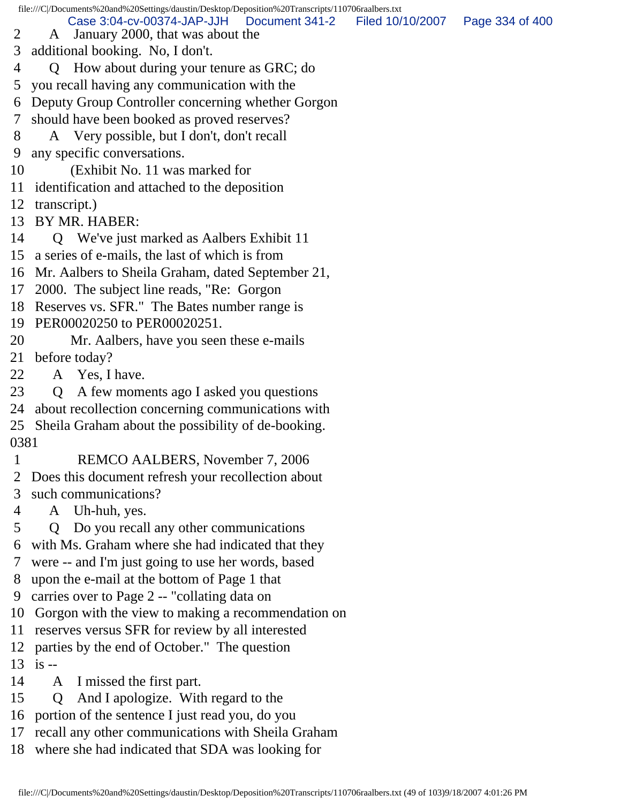- Case 3:04-cv-00374-JAP-JJH Document 341-2 Filed 10/10/2007 Page 334 of 400
- 2 A January 2000, that was about the
- 3 additional booking. No, I don't.
- 4 Q How about during your tenure as GRC; do
- 5 you recall having any communication with the
- 6 Deputy Group Controller concerning whether Gorgon
- 7 should have been booked as proved reserves?
- 8 A Very possible, but I don't, don't recall
- 9 any specific conversations.
- 10 (Exhibit No. 11 was marked for
- 11 identification and attached to the deposition
- 12 transcript.)
- 13 BY MR. HABER:
- 14 Q We've just marked as Aalbers Exhibit 11
- 15 a series of e-mails, the last of which is from
- 16 Mr. Aalbers to Sheila Graham, dated September 21,
- 17 2000. The subject line reads, "Re: Gorgon
- 18 Reserves vs. SFR." The Bates number range is
- 19 PER00020250 to PER00020251.
- 20 Mr. Aalbers, have you seen these e-mails

21 before today?

- 22 A Yes, I have.
- 23 Q A few moments ago I asked you questions
- 24 about recollection concerning communications with
- 25 Sheila Graham about the possibility of de-booking.
- 0381
- 1 REMCO AALBERS, November 7, 2006
- 2 Does this document refresh your recollection about
- 3 such communications?
- 4 A Uh-huh, yes.
- 5 Q Do you recall any other communications
- 6 with Ms. Graham where she had indicated that they
- 7 were -- and I'm just going to use her words, based
- 8 upon the e-mail at the bottom of Page 1 that
- 9 carries over to Page 2 -- "collating data on
- 10 Gorgon with the view to making a recommendation on
- 11 reserves versus SFR for review by all interested
- 12 parties by the end of October." The question
- 13 is --
- 14 A I missed the first part.
- 15 Q And I apologize. With regard to the
- 16 portion of the sentence I just read you, do you
- 17 recall any other communications with Sheila Graham
- 18 where she had indicated that SDA was looking for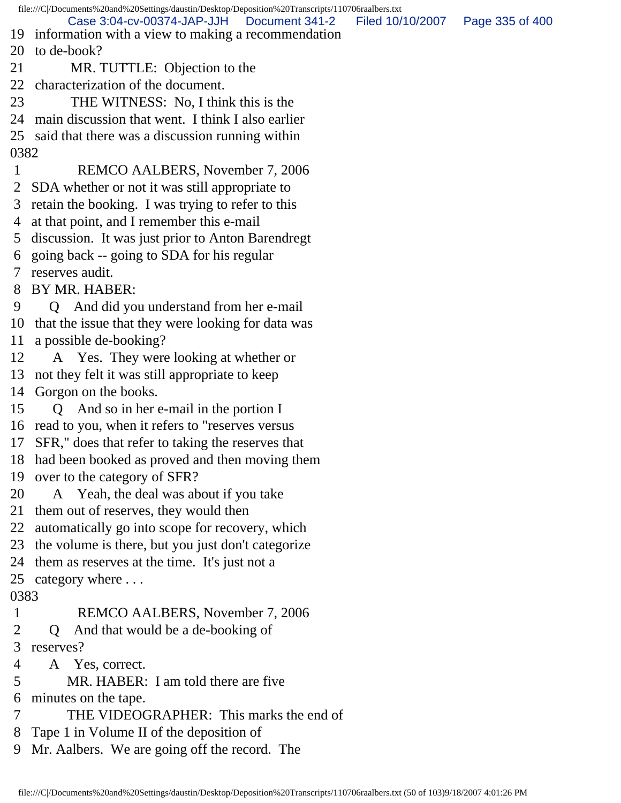file:///C|/Documents%20and%20Settings/daustin/Desktop/Deposition%20Transcripts/110706raalbers.txt 19 information with a view to making a recommendation 20 to de-book? 21 MR. TUTTLE: Objection to the 22 characterization of the document. 23 THE WITNESS: No, I think this is the 24 main discussion that went. I think I also earlier 25 said that there was a discussion running within 0382 1 REMCO AALBERS, November 7, 2006 2 SDA whether or not it was still appropriate to 3 retain the booking. I was trying to refer to this 4 at that point, and I remember this e-mail 5 discussion. It was just prior to Anton Barendregt 6 going back -- going to SDA for his regular 7 reserves audit. 8 BY MR. HABER: 9 Q And did you understand from her e-mail 10 that the issue that they were looking for data was 11 a possible de-booking? 12 A Yes. They were looking at whether or 13 not they felt it was still appropriate to keep 14 Gorgon on the books. 15 Q And so in her e-mail in the portion I 16 read to you, when it refers to "reserves versus 17 SFR," does that refer to taking the reserves that 18 had been booked as proved and then moving them 19 over to the category of SFR? 20 A Yeah, the deal was about if you take 21 them out of reserves, they would then 22 automatically go into scope for recovery, which 23 the volume is there, but you just don't categorize 24 them as reserves at the time. It's just not a 25 category where . . . 0383 1 REMCO AALBERS, November 7, 2006 2 Q And that would be a de-booking of 3 reserves? 4 A Yes, correct. 5 MR. HABER: I am told there are five 6 minutes on the tape. 7 THE VIDEOGRAPHER: This marks the end of 8 Tape 1 in Volume II of the deposition of 9 Mr. Aalbers. We are going off the record. The Case 3:04-cv-00374-JAP-JJH Document 341-2 Filed 10/10/2007 Page 335 of 400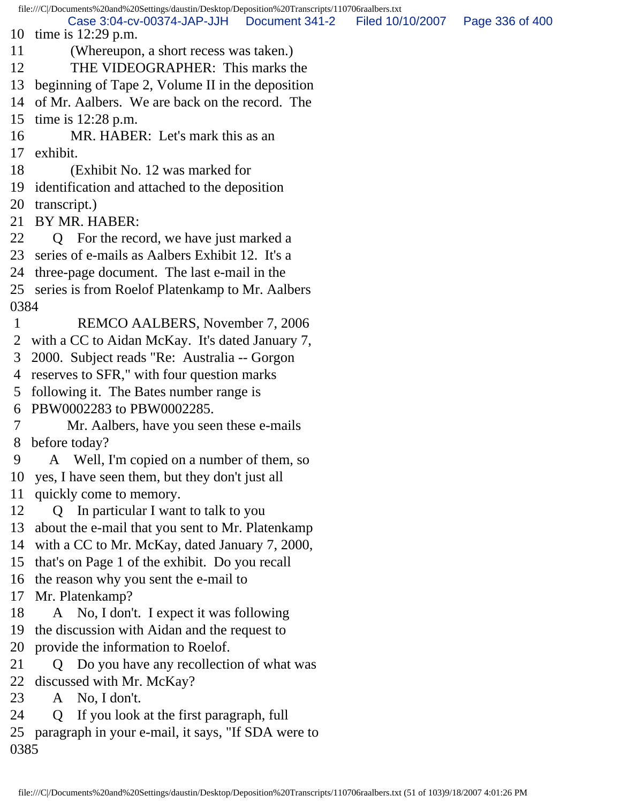file:///C|/Documents%20and%20Settings/daustin/Desktop/Deposition%20Transcripts/110706raalbers.txt 10 time is 12:29 p.m. 11 (Whereupon, a short recess was taken.) 12 THE VIDEOGRAPHER: This marks the 13 beginning of Tape 2, Volume II in the deposition 14 of Mr. Aalbers. We are back on the record. The 15 time is 12:28 p.m. 16 MR. HABER: Let's mark this as an 17 exhibit. 18 (Exhibit No. 12 was marked for 19 identification and attached to the deposition 20 transcript.) 21 BY MR. HABER: 22 Q For the record, we have just marked a 23 series of e-mails as Aalbers Exhibit 12. It's a 24 three-page document. The last e-mail in the 25 series is from Roelof Platenkamp to Mr. Aalbers 0384 1 REMCO AALBERS, November 7, 2006 2 with a CC to Aidan McKay. It's dated January 7, 3 2000. Subject reads "Re: Australia -- Gorgon 4 reserves to SFR," with four question marks 5 following it. The Bates number range is 6 PBW0002283 to PBW0002285. 7 Mr. Aalbers, have you seen these e-mails 8 before today? 9 A Well, I'm copied on a number of them, so 10 yes, I have seen them, but they don't just all 11 quickly come to memory. 12 Q In particular I want to talk to you 13 about the e-mail that you sent to Mr. Platenkamp 14 with a CC to Mr. McKay, dated January 7, 2000, 15 that's on Page 1 of the exhibit. Do you recall 16 the reason why you sent the e-mail to 17 Mr. Platenkamp? 18 A No, I don't. I expect it was following 19 the discussion with Aidan and the request to 20 provide the information to Roelof. 21 Q Do you have any recollection of what was 22 discussed with Mr. McKay? 23 A No, I don't. 24 Q If you look at the first paragraph, full 25 paragraph in your e-mail, it says, "If SDA were to 0385 Case 3:04-cv-00374-JAP-JJH Document 341-2 Filed 10/10/2007 Page 336 of 400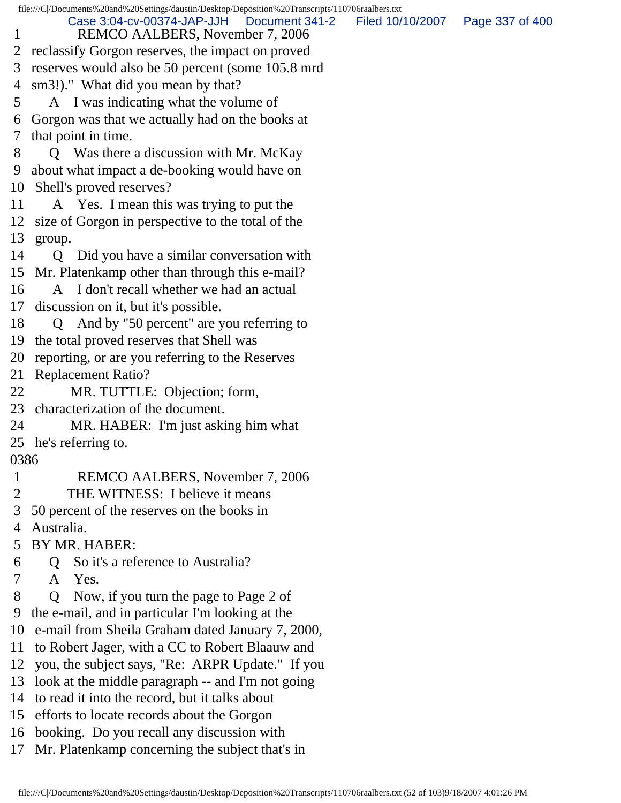file:///C|/Documents%20and%20Settings/daustin/Desktop/Deposition%20Transcripts/110706raalbers.txt 1 REMCO AALBERS, November 7, 2006 2 reclassify Gorgon reserves, the impact on proved 3 reserves would also be 50 percent (some 105.8 mrd 4 sm3!)." What did you mean by that? 5 A I was indicating what the volume of 6 Gorgon was that we actually had on the books at 7 that point in time. 8 Q Was there a discussion with Mr. McKay 9 about what impact a de-booking would have on 10 Shell's proved reserves? 11 A Yes. I mean this was trying to put the 12 size of Gorgon in perspective to the total of the 13 group. 14 Q Did you have a similar conversation with 15 Mr. Platenkamp other than through this e-mail? 16 A I don't recall whether we had an actual 17 discussion on it, but it's possible. 18 Q And by "50 percent" are you referring to 19 the total proved reserves that Shell was 20 reporting, or are you referring to the Reserves 21 Replacement Ratio? 22 MR. TUTTLE: Objection; form, 23 characterization of the document. 24 MR. HABER: I'm just asking him what 25 he's referring to. 0386 1 REMCO AALBERS, November 7, 2006 2 THE WITNESS: I believe it means 3 50 percent of the reserves on the books in 4 Australia. 5 BY MR. HABER: 6 Q So it's a reference to Australia? 7 A Yes. 8 Q Now, if you turn the page to Page 2 of 9 the e-mail, and in particular I'm looking at the 10 e-mail from Sheila Graham dated January 7, 2000, 11 to Robert Jager, with a CC to Robert Blaauw and 12 you, the subject says, "Re: ARPR Update." If you 13 look at the middle paragraph -- and I'm not going 14 to read it into the record, but it talks about 15 efforts to locate records about the Gorgon 16 booking. Do you recall any discussion with 17 Mr. Platenkamp concerning the subject that's in Case 3:04-cv-00374-JAP-JJH Document 341-2 Filed 10/10/2007 Page 337 of 400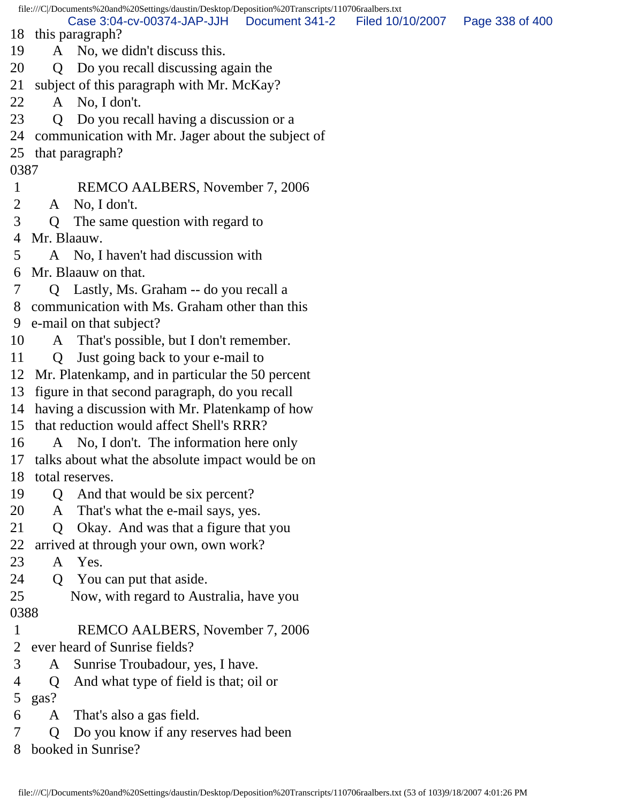file:///C|/Documents%20and%20Settings/daustin/Desktop/Deposition%20Transcripts/110706raalbers.txt 18 this paragraph? 19 A No, we didn't discuss this. 20 Q Do you recall discussing again the 21 subject of this paragraph with Mr. McKay? 22 A No, I don't. 23 Q Do you recall having a discussion or a 24 communication with Mr. Jager about the subject of 25 that paragraph? 0387 1 REMCO AALBERS, November 7, 2006 2 A No, I don't. 3 Q The same question with regard to 4 Mr. Blaauw. 5 A No, I haven't had discussion with 6 Mr. Blaauw on that. 7 Q Lastly, Ms. Graham -- do you recall a 8 communication with Ms. Graham other than this 9 e-mail on that subject? 10 A That's possible, but I don't remember. 11 Q Just going back to your e-mail to 12 Mr. Platenkamp, and in particular the 50 percent 13 figure in that second paragraph, do you recall 14 having a discussion with Mr. Platenkamp of how 15 that reduction would affect Shell's RRR? 16 A No, I don't. The information here only 17 talks about what the absolute impact would be on 18 total reserves. 19 Q And that would be six percent? 20 A That's what the e-mail says, yes. 21 Q Okay. And was that a figure that you 22 arrived at through your own, own work? 23 A Yes. 24 Q You can put that aside. 25 Now, with regard to Australia, have you 0388 1 REMCO AALBERS, November 7, 2006 2 ever heard of Sunrise fields? 3 A Sunrise Troubadour, yes, I have. 4 Q And what type of field is that; oil or 5 gas? 6 A That's also a gas field. 7 Q Do you know if any reserves had been 8 booked in Sunrise? Case 3:04-cv-00374-JAP-JJH Document 341-2 Filed 10/10/2007 Page 338 of 400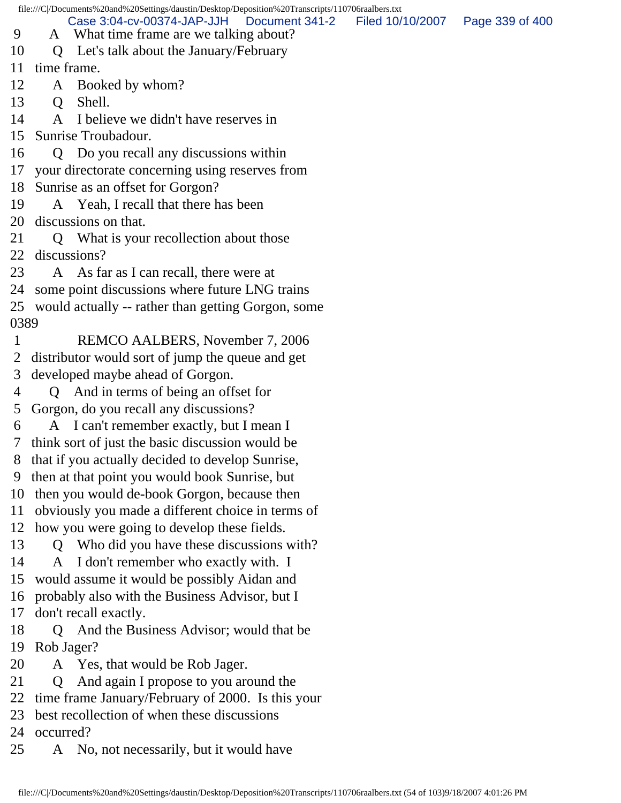file:///C|/Documents%20and%20Settings/daustin/Desktop/Deposition%20Transcripts/110706raalbers.txt 9 A What time frame are we talking about? 10 Q Let's talk about the January/February 11 time frame. 12 A Booked by whom? 13 O Shell. 14 A I believe we didn't have reserves in 15 Sunrise Troubadour. 16 Q Do you recall any discussions within 17 your directorate concerning using reserves from 18 Sunrise as an offset for Gorgon? 19 A Yeah, I recall that there has been 20 discussions on that. 21 Q What is your recollection about those 22 discussions? 23 A As far as I can recall, there were at 24 some point discussions where future LNG trains 25 would actually -- rather than getting Gorgon, some 0389 1 REMCO AALBERS, November 7, 2006 2 distributor would sort of jump the queue and get 3 developed maybe ahead of Gorgon. 4 Q And in terms of being an offset for 5 Gorgon, do you recall any discussions? 6 A I can't remember exactly, but I mean I 7 think sort of just the basic discussion would be 8 that if you actually decided to develop Sunrise, 9 then at that point you would book Sunrise, but 10 then you would de-book Gorgon, because then 11 obviously you made a different choice in terms of 12 how you were going to develop these fields. 13 Q Who did you have these discussions with? 14 A I don't remember who exactly with. I 15 would assume it would be possibly Aidan and 16 probably also with the Business Advisor, but I 17 don't recall exactly. 18 Q And the Business Advisor; would that be 19 Rob Jager? 20 A Yes, that would be Rob Jager. 21 Q And again I propose to you around the 22 time frame January/February of 2000. Is this your 23 best recollection of when these discussions 24 occurred? 25 A No, not necessarily, but it would have Case 3:04-cv-00374-JAP-JJH Document 341-2 Filed 10/10/2007 Page 339 of 400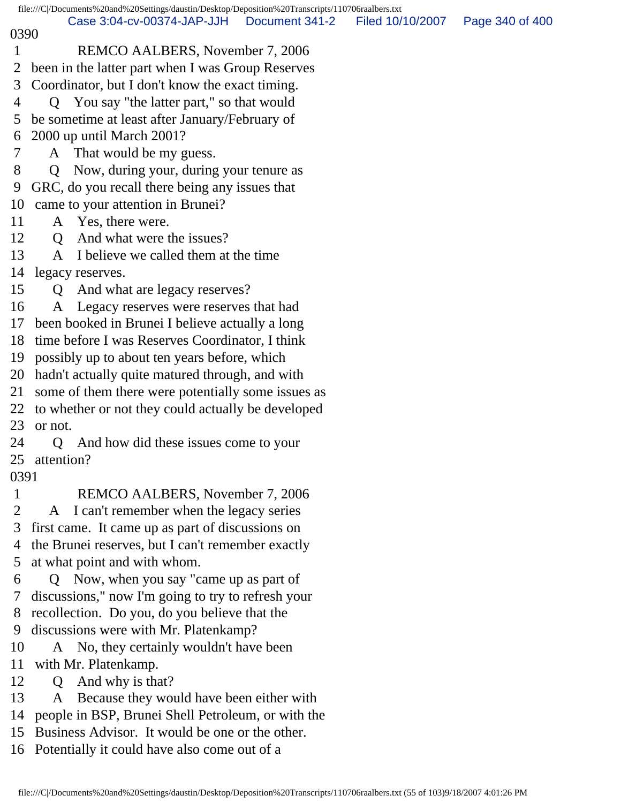file:///C|/Documents%20and%20Settings/daustin/Desktop/Deposition%20Transcripts/110706raalbers.txt 0390 1 REMCO AALBERS, November 7, 2006 2 been in the latter part when I was Group Reserves 3 Coordinator, but I don't know the exact timing. 4 Q You say "the latter part," so that would 5 be sometime at least after January/February of 6 2000 up until March 2001? 7 A That would be my guess. 8 Q Now, during your, during your tenure as 9 GRC, do you recall there being any issues that 10 came to your attention in Brunei? 11 A Yes, there were. 12 O And what were the issues? 13 A I believe we called them at the time 14 legacy reserves. 15 Q And what are legacy reserves? 16 A Legacy reserves were reserves that had 17 been booked in Brunei I believe actually a long 18 time before I was Reserves Coordinator, I think 19 possibly up to about ten years before, which 20 hadn't actually quite matured through, and with 21 some of them there were potentially some issues as 22 to whether or not they could actually be developed 23 or not. 24 Q And how did these issues come to your 25 attention? 0391 1 REMCO AALBERS, November 7, 2006 2 A I can't remember when the legacy series 3 first came. It came up as part of discussions on 4 the Brunei reserves, but I can't remember exactly 5 at what point and with whom. 6 Q Now, when you say "came up as part of 7 discussions," now I'm going to try to refresh your 8 recollection. Do you, do you believe that the 9 discussions were with Mr. Platenkamp? 10 A No, they certainly wouldn't have been 11 with Mr. Platenkamp. 12 Q And why is that? 13 A Because they would have been either with 14 people in BSP, Brunei Shell Petroleum, or with the Case 3:04-cv-00374-JAP-JJH Document 341-2 Filed 10/10/2007 Page 340 of 400

15 Business Advisor. It would be one or the other.

16 Potentially it could have also come out of a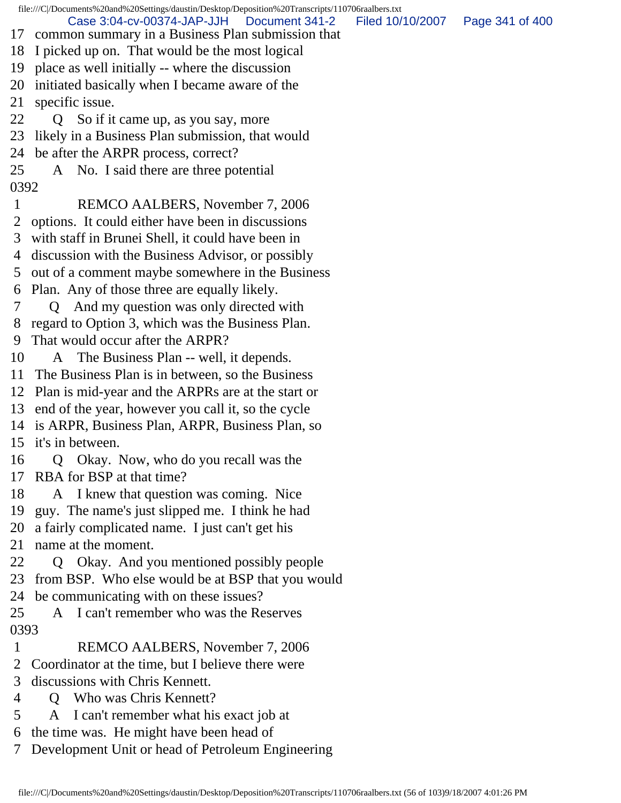file:///C|/Documents%20and%20Settings/daustin/Desktop/Deposition%20Transcripts/110706raalbers.txt 17 common summary in a Business Plan submission that 18 I picked up on. That would be the most logical 19 place as well initially -- where the discussion 20 initiated basically when I became aware of the 21 specific issue. 22 Q So if it came up, as you say, more 23 likely in a Business Plan submission, that would 24 be after the ARPR process, correct? 25 A No. I said there are three potential 0392 1 REMCO AALBERS, November 7, 2006 2 options. It could either have been in discussions 3 with staff in Brunei Shell, it could have been in 4 discussion with the Business Advisor, or possibly 5 out of a comment maybe somewhere in the Business 6 Plan. Any of those three are equally likely. 7 Q And my question was only directed with 8 regard to Option 3, which was the Business Plan. 9 That would occur after the ARPR? 10 A The Business Plan -- well, it depends. 11 The Business Plan is in between, so the Business 12 Plan is mid-year and the ARPRs are at the start or 13 end of the year, however you call it, so the cycle 14 is ARPR, Business Plan, ARPR, Business Plan, so 15 it's in between. 16 Q Okay. Now, who do you recall was the 17 RBA for BSP at that time? 18 A I knew that question was coming. Nice 19 guy. The name's just slipped me. I think he had 20 a fairly complicated name. I just can't get his 21 name at the moment. 22 Q Okay. And you mentioned possibly people 23 from BSP. Who else would be at BSP that you would 24 be communicating with on these issues? 25 A I can't remember who was the Reserves 0393 1 REMCO AALBERS, November 7, 2006 2 Coordinator at the time, but I believe there were 3 discussions with Chris Kennett. 4 Q Who was Chris Kennett? 5 A I can't remember what his exact job at 6 the time was. He might have been head of Case 3:04-cv-00374-JAP-JJH Document 341-2 Filed 10/10/2007 Page 341 of 400

7 Development Unit or head of Petroleum Engineering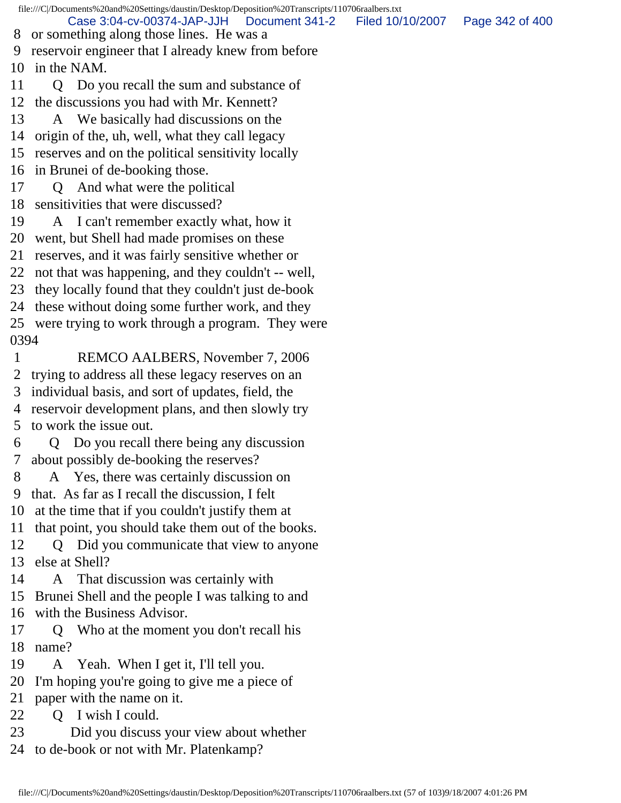file:///C|/Documents%20and%20Settings/daustin/Desktop/Deposition%20Transcripts/110706raalbers.txt 8 or something along those lines. He was a 9 reservoir engineer that I already knew from before 10 in the NAM. 11 Q Do you recall the sum and substance of 12 the discussions you had with Mr. Kennett? 13 A We basically had discussions on the 14 origin of the, uh, well, what they call legacy 15 reserves and on the political sensitivity locally 16 in Brunei of de-booking those. 17 Q And what were the political 18 sensitivities that were discussed? 19 A I can't remember exactly what, how it 20 went, but Shell had made promises on these 21 reserves, and it was fairly sensitive whether or 22 not that was happening, and they couldn't -- well, 23 they locally found that they couldn't just de-book 24 these without doing some further work, and they 25 were trying to work through a program. They were 0394 1 REMCO AALBERS, November 7, 2006 2 trying to address all these legacy reserves on an 3 individual basis, and sort of updates, field, the 4 reservoir development plans, and then slowly try 5 to work the issue out. 6 Q Do you recall there being any discussion 7 about possibly de-booking the reserves? 8 A Yes, there was certainly discussion on 9 that. As far as I recall the discussion, I felt 10 at the time that if you couldn't justify them at 11 that point, you should take them out of the books. 12 Q Did you communicate that view to anyone 13 else at Shell? 14 A That discussion was certainly with 15 Brunei Shell and the people I was talking to and 16 with the Business Advisor. 17 Q Who at the moment you don't recall his 18 name? 19 A Yeah. When I get it, I'll tell you. 20 I'm hoping you're going to give me a piece of 21 paper with the name on it. 22 Q I wish I could. 23 Did you discuss your view about whether 24 to de-book or not with Mr. Platenkamp? Case 3:04-cv-00374-JAP-JJH Document 341-2 Filed 10/10/2007 Page 342 of 400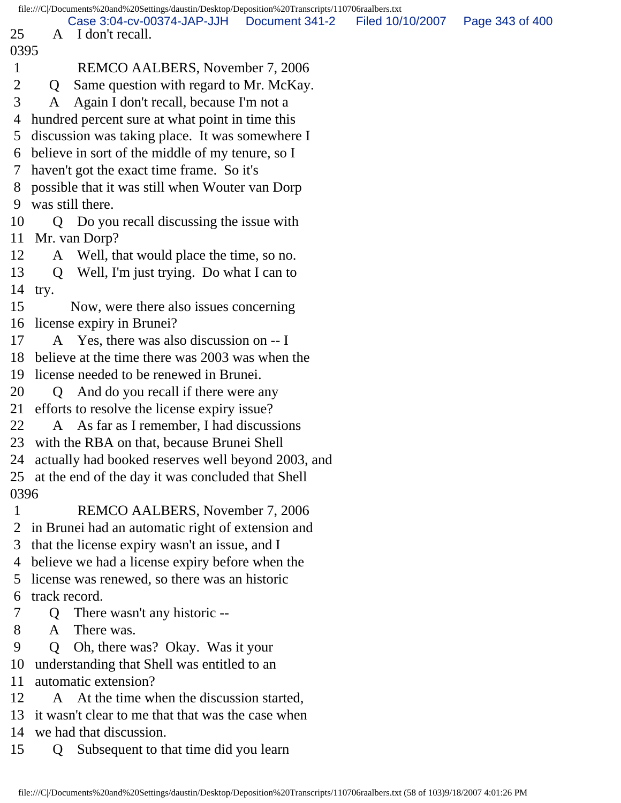|                |                                                    | file:///C/Documents%20and%20Settings/daustin/Desktop/Deposition%20Transcripts/110706raalbers.txt |  |  |                                   |  |
|----------------|----------------------------------------------------|--------------------------------------------------------------------------------------------------|--|--|-----------------------------------|--|
| 25             |                                                    | Case 3:04-cv-00374-JAP-JJH   Document 341-2<br>A I don't recall.                                 |  |  | Filed 10/10/2007  Page 343 of 400 |  |
| 0395           |                                                    |                                                                                                  |  |  |                                   |  |
| $\mathbf{1}$   |                                                    | REMCO AALBERS, November 7, 2006                                                                  |  |  |                                   |  |
| $\overline{2}$ | Q                                                  | Same question with regard to Mr. McKay.                                                          |  |  |                                   |  |
| 3              | A                                                  | Again I don't recall, because I'm not a                                                          |  |  |                                   |  |
| 4              |                                                    | hundred percent sure at what point in time this                                                  |  |  |                                   |  |
| 5 <sup>5</sup> |                                                    | discussion was taking place. It was somewhere I                                                  |  |  |                                   |  |
|                | 6 believe in sort of the middle of my tenure, so I |                                                                                                  |  |  |                                   |  |
| 7 <sup>7</sup> |                                                    | haven't got the exact time frame. So it's                                                        |  |  |                                   |  |
|                |                                                    | 8 possible that it was still when Wouter van Dorp                                                |  |  |                                   |  |
| 9              |                                                    | was still there.                                                                                 |  |  |                                   |  |
| 10             |                                                    | Q Do you recall discussing the issue with                                                        |  |  |                                   |  |
|                |                                                    | 11 Mr. van Dorp?                                                                                 |  |  |                                   |  |
| 12             |                                                    | A Well, that would place the time, so no.                                                        |  |  |                                   |  |
| 13             |                                                    | Q Well, I'm just trying. Do what I can to                                                        |  |  |                                   |  |
| 14             | try.                                               |                                                                                                  |  |  |                                   |  |
| 15             |                                                    | Now, were there also issues concerning                                                           |  |  |                                   |  |
|                |                                                    | 16 license expiry in Brunei?                                                                     |  |  |                                   |  |
| 17             |                                                    | A Yes, there was also discussion on -- I                                                         |  |  |                                   |  |
|                |                                                    | 18 believe at the time there was 2003 was when the                                               |  |  |                                   |  |
| 19             |                                                    | license needed to be renewed in Brunei.                                                          |  |  |                                   |  |
| 20             | Q                                                  | And do you recall if there were any                                                              |  |  |                                   |  |
| 21             |                                                    | efforts to resolve the license expiry issue?                                                     |  |  |                                   |  |
| 22             |                                                    | A As far as I remember, I had discussions                                                        |  |  |                                   |  |
|                |                                                    | 23 with the RBA on that, because Brunei Shell                                                    |  |  |                                   |  |
|                |                                                    | 24 actually had booked reserves well beyond 2003, and                                            |  |  |                                   |  |
|                |                                                    | 25 at the end of the day it was concluded that Shell                                             |  |  |                                   |  |
| 0396           |                                                    |                                                                                                  |  |  |                                   |  |
| $\mathbf{1}$   |                                                    | REMCO AALBERS, November 7, 2006                                                                  |  |  |                                   |  |
| 2              |                                                    | in Brunei had an automatic right of extension and                                                |  |  |                                   |  |
| 3              |                                                    | that the license expiry wasn't an issue, and I                                                   |  |  |                                   |  |
|                |                                                    | 4 believe we had a license expiry before when the                                                |  |  |                                   |  |
| 5              |                                                    | license was renewed, so there was an historic                                                    |  |  |                                   |  |
| 6              |                                                    | track record.                                                                                    |  |  |                                   |  |
| 7              | $\mathbf{Q}$                                       | There wasn't any historic --                                                                     |  |  |                                   |  |
| 8              | A                                                  | There was.                                                                                       |  |  |                                   |  |
| 9              | $\overline{O}$                                     | Oh, there was? Okay. Was it your                                                                 |  |  |                                   |  |
| 10             |                                                    | understanding that Shell was entitled to an                                                      |  |  |                                   |  |
| 11             | automatic extension?                               |                                                                                                  |  |  |                                   |  |
| 12             |                                                    | A At the time when the discussion started,                                                       |  |  |                                   |  |
| 13             | it wasn't clear to me that that was the case when  |                                                                                                  |  |  |                                   |  |
| 14             |                                                    | we had that discussion.                                                                          |  |  |                                   |  |
| 15             | Q                                                  | Subsequent to that time did you learn                                                            |  |  |                                   |  |
|                |                                                    |                                                                                                  |  |  |                                   |  |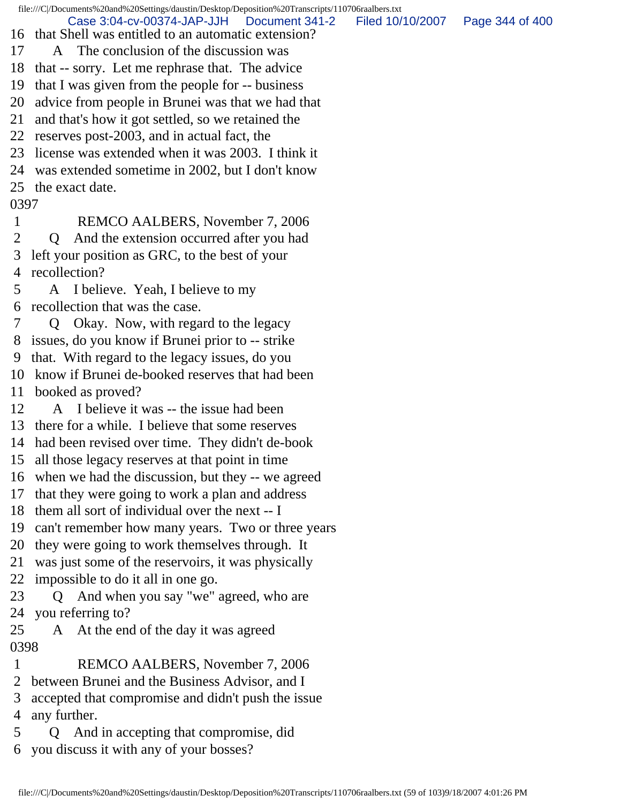Case 3:04-cv-00374-JAP-JJH Document 341-2 Filed 10/10/2007 Page 344 of 400

- 16 that Shell was entitled to an automatic extension?
- 17 A The conclusion of the discussion was
- 18 that -- sorry. Let me rephrase that. The advice
- 19 that I was given from the people for -- business
- 20 advice from people in Brunei was that we had that
- 21 and that's how it got settled, so we retained the
- 22 reserves post-2003, and in actual fact, the
- 23 license was extended when it was 2003. I think it
- 24 was extended sometime in 2002, but I don't know
- 25 the exact date.

## 0397

- 1 REMCO AALBERS, November 7, 2006
- 2 Q And the extension occurred after you had 3 left your position as GRC, to the best of your 4 recollection?
- 5 A I believe. Yeah, I believe to my 6 recollection that was the case.
- 7 Q Okay. Now, with regard to the legacy
- 8 issues, do you know if Brunei prior to -- strike
- 9 that. With regard to the legacy issues, do you
- 10 know if Brunei de-booked reserves that had been
- 11 booked as proved?
- 12 A I believe it was -- the issue had been
- 13 there for a while. I believe that some reserves
- 14 had been revised over time. They didn't de-book
- 15 all those legacy reserves at that point in time
- 16 when we had the discussion, but they -- we agreed
- 17 that they were going to work a plan and address
- 18 them all sort of individual over the next -- I
- 19 can't remember how many years. Two or three years
- 20 they were going to work themselves through. It
- 21 was just some of the reservoirs, it was physically
- 22 impossible to do it all in one go.
- 23 Q And when you say "we" agreed, who are 24 you referring to?
- 25 A At the end of the day it was agreed 0398
- 1 REMCO AALBERS, November 7, 2006
- 2 between Brunei and the Business Advisor, and I
- 3 accepted that compromise and didn't push the issue 4 any further.
- 5 Q And in accepting that compromise, did 6 you discuss it with any of your bosses?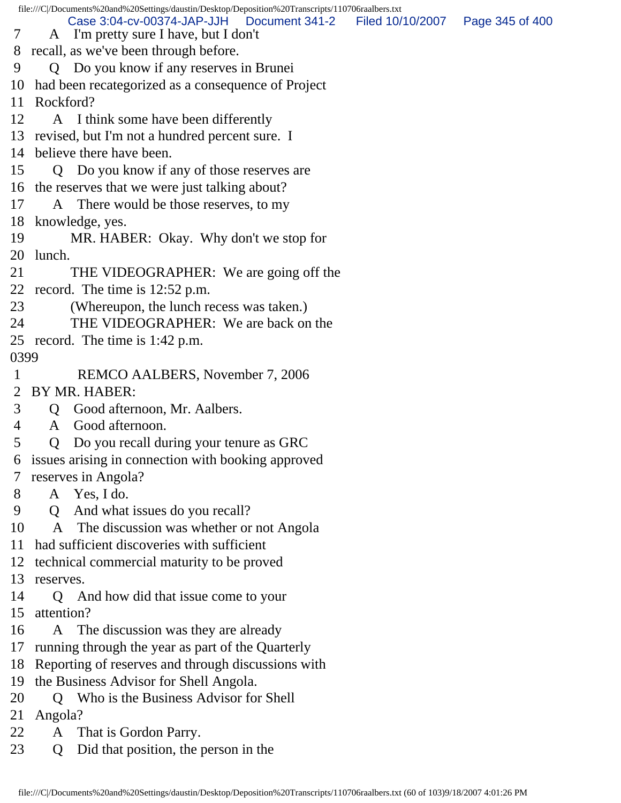|              | file:///C /Documents%20and%20Settings/daustin/Desktop/Deposition%20Transcripts/110706raalbers.txt |                                   |  |  |  |  |
|--------------|---------------------------------------------------------------------------------------------------|-----------------------------------|--|--|--|--|
| 7            | Case 3:04-cv-00374-JAP-JJH   Document 341-2<br>A I'm pretty sure I have, but I don't              | Filed 10/10/2007  Page 345 of 400 |  |  |  |  |
|              | 8 recall, as we've been through before.                                                           |                                   |  |  |  |  |
| 9            | Q Do you know if any reserves in Brunei                                                           |                                   |  |  |  |  |
| 10           | had been recategorized as a consequence of Project                                                |                                   |  |  |  |  |
|              | 11 Rockford?                                                                                      |                                   |  |  |  |  |
| 12           | A I think some have been differently                                                              |                                   |  |  |  |  |
|              | 13 revised, but I'm not a hundred percent sure. I                                                 |                                   |  |  |  |  |
|              | 14 believe there have been.                                                                       |                                   |  |  |  |  |
| 15           | Q Do you know if any of those reserves are                                                        |                                   |  |  |  |  |
|              | 16 the reserves that we were just talking about?                                                  |                                   |  |  |  |  |
| 17           | A There would be those reserves, to my                                                            |                                   |  |  |  |  |
|              | 18 knowledge, yes.                                                                                |                                   |  |  |  |  |
| 19           | MR. HABER: Okay. Why don't we stop for                                                            |                                   |  |  |  |  |
| 20           | lunch.                                                                                            |                                   |  |  |  |  |
| 21           | THE VIDEOGRAPHER: We are going off the                                                            |                                   |  |  |  |  |
|              | 22 record. The time is $12:52$ p.m.                                                               |                                   |  |  |  |  |
| 23           | (Whereupon, the lunch recess was taken.)                                                          |                                   |  |  |  |  |
| 24           | THE VIDEOGRAPHER: We are back on the                                                              |                                   |  |  |  |  |
|              | 25 record. The time is 1:42 p.m.                                                                  |                                   |  |  |  |  |
| 0399         |                                                                                                   |                                   |  |  |  |  |
| $\mathbf{1}$ | REMCO AALBERS, November 7, 2006                                                                   |                                   |  |  |  |  |
| 2            | BY MR. HABER:                                                                                     |                                   |  |  |  |  |
| 3            | Good afternoon, Mr. Aalbers.<br>Q                                                                 |                                   |  |  |  |  |
| 4            | Good afternoon.<br>$\mathbf{A}$                                                                   |                                   |  |  |  |  |
| 5            | Do you recall during your tenure as GRC<br>Q                                                      |                                   |  |  |  |  |
|              | 6 issues arising in connection with booking approved                                              |                                   |  |  |  |  |
|              | 7 reserves in Angola?                                                                             |                                   |  |  |  |  |
| 8            | A Yes, I do.                                                                                      |                                   |  |  |  |  |
| 9            | And what issues do you recall?<br>Q                                                               |                                   |  |  |  |  |
| 10           | The discussion was whether or not Angola<br>$\mathbf{A}$                                          |                                   |  |  |  |  |
| 11           | had sufficient discoveries with sufficient                                                        |                                   |  |  |  |  |
| 12           | technical commercial maturity to be proved                                                        |                                   |  |  |  |  |
| 13           | reserves.                                                                                         |                                   |  |  |  |  |
| 14           | And how did that issue come to your<br>Q                                                          |                                   |  |  |  |  |
| 15           | attention?                                                                                        |                                   |  |  |  |  |
| 16           | The discussion was they are already<br>A                                                          |                                   |  |  |  |  |
| 17           | running through the year as part of the Quarterly                                                 |                                   |  |  |  |  |
| 18           | Reporting of reserves and through discussions with                                                |                                   |  |  |  |  |
| 19           | the Business Advisor for Shell Angola.                                                            |                                   |  |  |  |  |
| 20           | Who is the Business Advisor for Shell<br>O                                                        |                                   |  |  |  |  |
| 21           | Angola?                                                                                           |                                   |  |  |  |  |
| 22           | That is Gordon Parry.<br>A                                                                        |                                   |  |  |  |  |
| 23           | Did that position, the person in the<br>Q                                                         |                                   |  |  |  |  |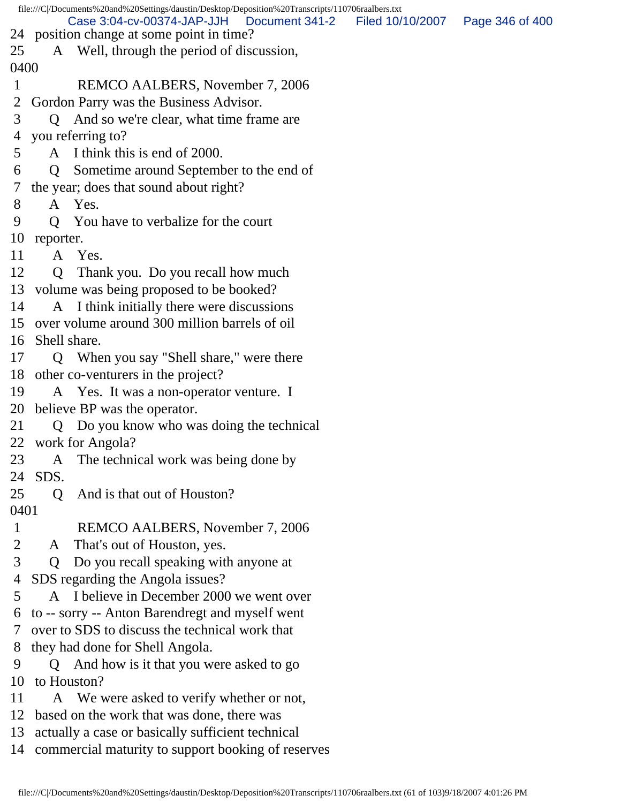file:///C|/Documents%20and%20Settings/daustin/Desktop/Deposition%20Transcripts/110706raalbers.txt 24 position change at some point in time? 25 A Well, through the period of discussion, 0400 1 REMCO AALBERS, November 7, 2006 2 Gordon Parry was the Business Advisor. 3 Q And so we're clear, what time frame are 4 you referring to? 5 A I think this is end of 2000. 6 Q Sometime around September to the end of 7 the year; does that sound about right? 8 A Yes. 9 Q You have to verbalize for the court 10 reporter. 11 A Yes. 12 Q Thank you. Do you recall how much 13 volume was being proposed to be booked? 14 A I think initially there were discussions 15 over volume around 300 million barrels of oil 16 Shell share. 17 Q When you say "Shell share," were there 18 other co-venturers in the project? 19 A Yes. It was a non-operator venture. I 20 believe BP was the operator. 21 Q Do you know who was doing the technical 22 work for Angola? 23 A The technical work was being done by 24 SDS. 25 O And is that out of Houston? 0401 1 REMCO AALBERS, November 7, 2006 2 A That's out of Houston, yes. 3 Q Do you recall speaking with anyone at 4 SDS regarding the Angola issues? 5 A I believe in December 2000 we went over 6 to -- sorry -- Anton Barendregt and myself went 7 over to SDS to discuss the technical work that 8 they had done for Shell Angola. 9 Q And how is it that you were asked to go 10 to Houston? 11 A We were asked to verify whether or not, 12 based on the work that was done, there was 13 actually a case or basically sufficient technical Case 3:04-cv-00374-JAP-JJH Document 341-2 Filed 10/10/2007 Page 346 of 400

14 commercial maturity to support booking of reserves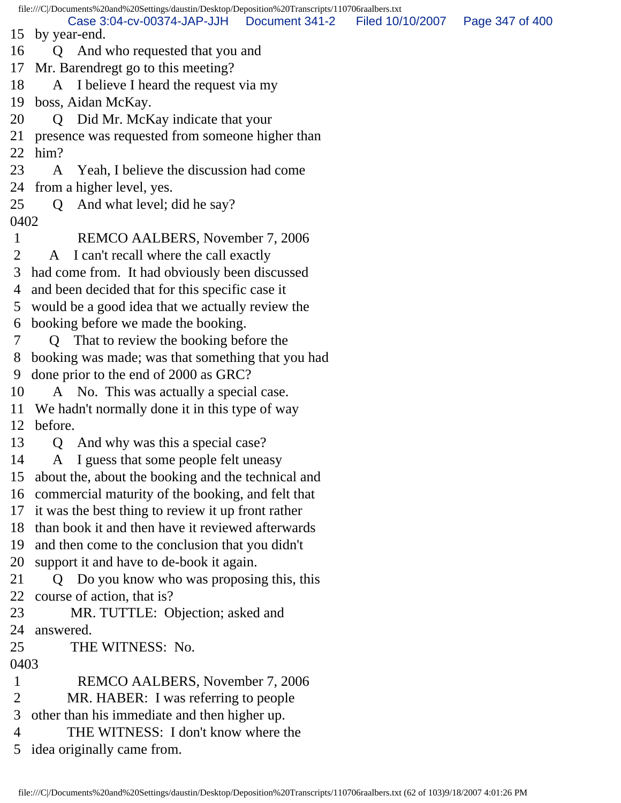file:///C|/Documents%20and%20Settings/daustin/Desktop/Deposition%20Transcripts/110706raalbers.txt 15 by year-end. 16 Q And who requested that you and 17 Mr. Barendregt go to this meeting? 18 A I believe I heard the request via my 19 boss, Aidan McKay. 20 Q Did Mr. McKay indicate that your 21 presence was requested from someone higher than 22 him? 23 A Yeah, I believe the discussion had come 24 from a higher level, yes. 25 Q And what level; did he say? 0402 1 REMCO AALBERS, November 7, 2006 2 A I can't recall where the call exactly 3 had come from. It had obviously been discussed 4 and been decided that for this specific case it 5 would be a good idea that we actually review the 6 booking before we made the booking. 7 Q That to review the booking before the 8 booking was made; was that something that you had 9 done prior to the end of 2000 as GRC? 10 A No. This was actually a special case. 11 We hadn't normally done it in this type of way 12 before. 13 Q And why was this a special case? 14 A I guess that some people felt uneasy 15 about the, about the booking and the technical and 16 commercial maturity of the booking, and felt that 17 it was the best thing to review it up front rather 18 than book it and then have it reviewed afterwards 19 and then come to the conclusion that you didn't 20 support it and have to de-book it again. 21 Q Do you know who was proposing this, this 22 course of action, that is? 23 MR. TUTTLE: Objection; asked and 24 answered. 25 THE WITNESS: No. 0403 1 REMCO AALBERS, November 7, 2006 2 MR. HABER: I was referring to people 3 other than his immediate and then higher up. 4 THE WITNESS: I don't know where the 5 idea originally came from. Case 3:04-cv-00374-JAP-JJH Document 341-2 Filed 10/10/2007 Page 347 of 400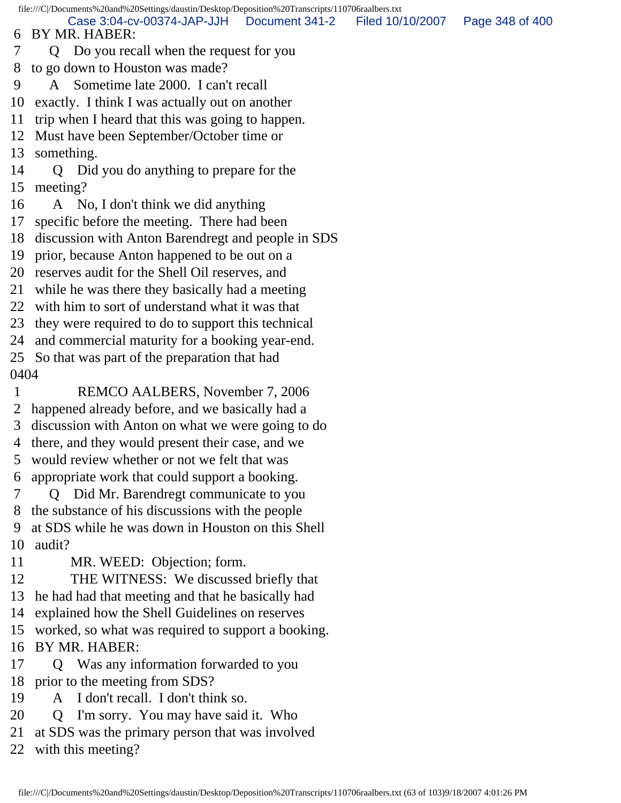Case 3:04-cv-00374-JAP-JJH Document 341-2 Filed 10/10/2007 Page 348 of 400

6 BY MR. HABER:

- 7 Q Do you recall when the request for you
- 8 to go down to Houston was made?
- 9 A Sometime late 2000. I can't recall
- 10 exactly. I think I was actually out on another
- 11 trip when I heard that this was going to happen.
- 12 Must have been September/October time or
- 13 something.
- 14 Q Did you do anything to prepare for the 15 meeting?
- 16 A No, I don't think we did anything
- 17 specific before the meeting. There had been
- 18 discussion with Anton Barendregt and people in SDS
- 19 prior, because Anton happened to be out on a
- 20 reserves audit for the Shell Oil reserves, and
- 21 while he was there they basically had a meeting
- 22 with him to sort of understand what it was that
- 23 they were required to do to support this technical
- 24 and commercial maturity for a booking year-end.
- 25 So that was part of the preparation that had 0404
- 1 REMCO AALBERS, November 7, 2006
- 2 happened already before, and we basically had a
- 3 discussion with Anton on what we were going to do
- 4 there, and they would present their case, and we
- 5 would review whether or not we felt that was
- 6 appropriate work that could support a booking.
- 7 Q Did Mr. Barendregt communicate to you 8 the substance of his discussions with the people 9 at SDS while he was down in Houston on this Shell
- 10 audit?
- 11 MR. WEED: Objection; form.
- 12 THE WITNESS: We discussed briefly that
- 13 he had had that meeting and that he basically had
- 14 explained how the Shell Guidelines on reserves
- 15 worked, so what was required to support a booking.
- 16 BY MR. HABER:
- 17 Q Was any information forwarded to you
- 18 prior to the meeting from SDS?
- 19 A I don't recall. I don't think so.
- 20 Q I'm sorry. You may have said it. Who
- 21 at SDS was the primary person that was involved
- 22 with this meeting?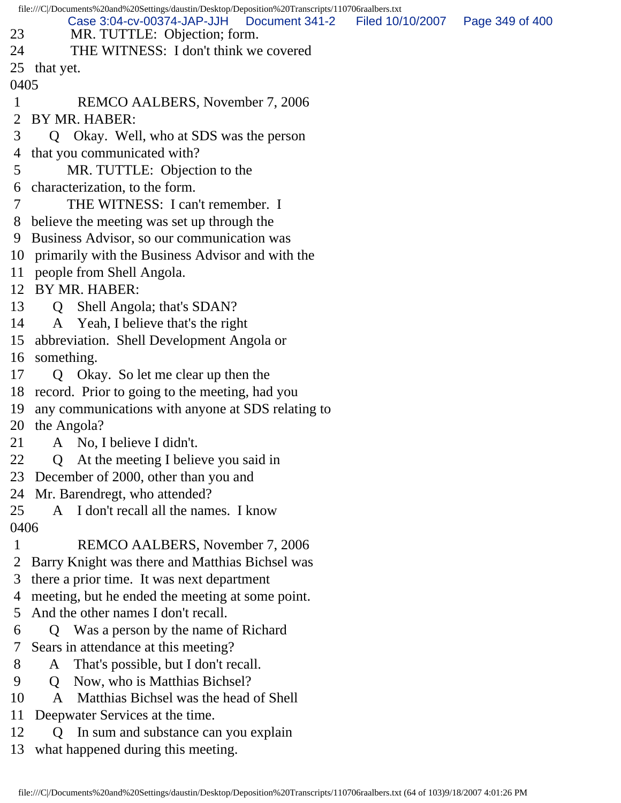| file:///C /Documents%20and%20Settings/daustin/Desktop/Deposition%20Transcripts/110706raalbers.txt |                                                                  |                 |  |  |  |  |  |
|---------------------------------------------------------------------------------------------------|------------------------------------------------------------------|-----------------|--|--|--|--|--|
|                                                                                                   | Case 3:04-cv-00374-JAP-JJH<br>Filed 10/10/2007<br>Document 341-2 | Page 349 of 400 |  |  |  |  |  |
| 23                                                                                                | MR. TUTTLE: Objection; form.                                     |                 |  |  |  |  |  |
| 24                                                                                                | THE WITNESS: I don't think we covered                            |                 |  |  |  |  |  |
|                                                                                                   | 25<br>that yet.<br>0405                                          |                 |  |  |  |  |  |
| 1                                                                                                 | REMCO AALBERS, November 7, 2006                                  |                 |  |  |  |  |  |
| 2                                                                                                 | BY MR. HABER:                                                    |                 |  |  |  |  |  |
| 3                                                                                                 | Q Okay. Well, who at SDS was the person                          |                 |  |  |  |  |  |
| 4                                                                                                 | that you communicated with?                                      |                 |  |  |  |  |  |
| 5                                                                                                 | MR. TUTTLE: Objection to the                                     |                 |  |  |  |  |  |
| 6                                                                                                 | characterization, to the form.                                   |                 |  |  |  |  |  |
|                                                                                                   | THE WITNESS: I can't remember. I                                 |                 |  |  |  |  |  |
| 8                                                                                                 | believe the meeting was set up through the                       |                 |  |  |  |  |  |
| 9                                                                                                 | Business Advisor, so our communication was                       |                 |  |  |  |  |  |
| 10                                                                                                | primarily with the Business Advisor and with the                 |                 |  |  |  |  |  |
| 11                                                                                                | people from Shell Angola.                                        |                 |  |  |  |  |  |
| 12                                                                                                | BY MR. HABER:                                                    |                 |  |  |  |  |  |
| 13                                                                                                | Q Shell Angola; that's SDAN?                                     |                 |  |  |  |  |  |
| 14                                                                                                | A Yeah, I believe that's the right                               |                 |  |  |  |  |  |
| 15                                                                                                | abbreviation. Shell Development Angola or                        |                 |  |  |  |  |  |
| 16                                                                                                | something.                                                       |                 |  |  |  |  |  |
| 17                                                                                                | Q Okay. So let me clear up then the                              |                 |  |  |  |  |  |
| 18                                                                                                | record. Prior to going to the meeting, had you                   |                 |  |  |  |  |  |
| 19                                                                                                | any communications with anyone at SDS relating to                |                 |  |  |  |  |  |
| 20                                                                                                | the Angola?                                                      |                 |  |  |  |  |  |
| 21                                                                                                | A No, I believe I didn't.                                        |                 |  |  |  |  |  |
| 22                                                                                                | At the meeting I believe you said in<br>$\mathsf{Q}$             |                 |  |  |  |  |  |
| 23                                                                                                | December of 2000, other than you and                             |                 |  |  |  |  |  |
| 24                                                                                                | Mr. Barendregt, who attended?                                    |                 |  |  |  |  |  |
| 25                                                                                                | A I don't recall all the names. I know                           |                 |  |  |  |  |  |
| 0406                                                                                              |                                                                  |                 |  |  |  |  |  |
| 1                                                                                                 | REMCO AALBERS, November 7, 2006                                  |                 |  |  |  |  |  |
| 2                                                                                                 | Barry Knight was there and Matthias Bichsel was                  |                 |  |  |  |  |  |
| 3                                                                                                 | there a prior time. It was next department                       |                 |  |  |  |  |  |
| 4                                                                                                 | meeting, but he ended the meeting at some point.                 |                 |  |  |  |  |  |
| 5                                                                                                 | And the other names I don't recall.                              |                 |  |  |  |  |  |
| 6                                                                                                 | Was a person by the name of Richard<br>Q.                        |                 |  |  |  |  |  |
| 7                                                                                                 | Sears in attendance at this meeting?                             |                 |  |  |  |  |  |
| 8                                                                                                 | That's possible, but I don't recall.<br>A                        |                 |  |  |  |  |  |
| 9                                                                                                 | Now, who is Matthias Bichsel?<br>Q                               |                 |  |  |  |  |  |
| 10                                                                                                | Matthias Bichsel was the head of Shell<br>A                      |                 |  |  |  |  |  |
| 11                                                                                                | Deepwater Services at the time.                                  |                 |  |  |  |  |  |

- 12 Q In sum and substance can you explain
- 13 what happened during this meeting.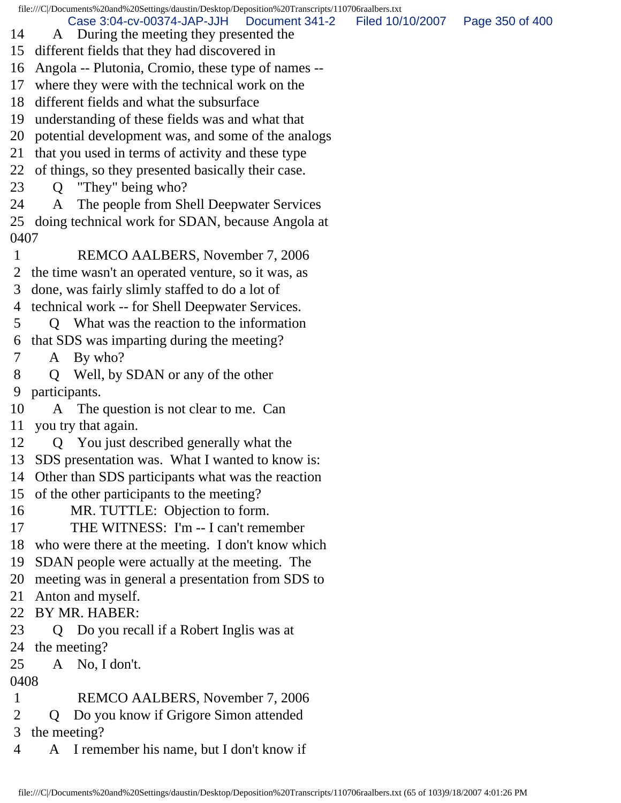- Case 3:04-cv-00374-JAP-JJH Document 341-2 Filed 10/10/2007 Page 350 of 400
- 14 A During the meeting they presented the 15 different fields that they had discovered in
- 16 Angola -- Plutonia, Cromio, these type of names --
- 17 where they were with the technical work on the
- 18 different fields and what the subsurface
- 19 understanding of these fields was and what that
- 20 potential development was, and some of the analogs
- 21 that you used in terms of activity and these type
- 22 of things, so they presented basically their case.
- 23 Q "They" being who?
- 24 A The people from Shell Deepwater Services 25 doing technical work for SDAN, because Angola at 0407
- 1 REMCO AALBERS, November 7, 2006
- 2 the time wasn't an operated venture, so it was, as
- 3 done, was fairly slimly staffed to do a lot of
- 4 technical work -- for Shell Deepwater Services.
- 5 Q What was the reaction to the information
- 6 that SDS was imparting during the meeting?
- 7 A By who?
- 8 Q Well, by SDAN or any of the other 9 participants.
- 10 A The question is not clear to me. Can 11 you try that again.
- 12 Q You just described generally what the
- 13 SDS presentation was. What I wanted to know is:
- 14 Other than SDS participants what was the reaction
- 15 of the other participants to the meeting?
- 16 MR. TUTTLE: Objection to form.
- 17 THE WITNESS: I'm -- I can't remember
- 18 who were there at the meeting. I don't know which
- 19 SDAN people were actually at the meeting. The
- 20 meeting was in general a presentation from SDS to
- 21 Anton and myself.
- 22 BY MR. HABER:
- 23 Q Do you recall if a Robert Inglis was at
- 24 the meeting?
- 25 A No, I don't.
- 0408
- 1 REMCO AALBERS, November 7, 2006
- 2 Q Do you know if Grigore Simon attended
- 3 the meeting?
- 4 A I remember his name, but I don't know if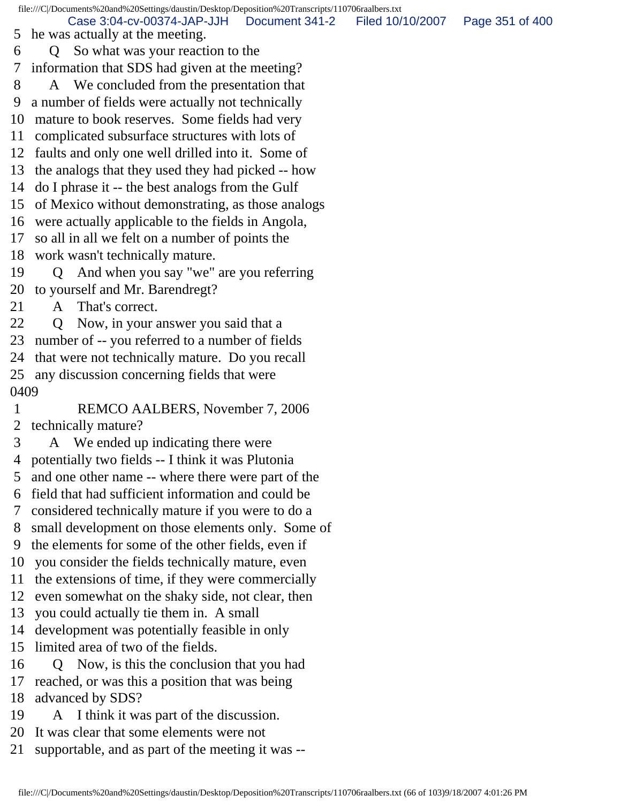file:///C|/Documents%20and%20Settings/daustin/Desktop/Deposition%20Transcripts/110706raalbers.txt 5 he was actually at the meeting. 6 Q So what was your reaction to the 7 information that SDS had given at the meeting? 8 A We concluded from the presentation that 9 a number of fields were actually not technically 10 mature to book reserves. Some fields had very 11 complicated subsurface structures with lots of 12 faults and only one well drilled into it. Some of 13 the analogs that they used they had picked -- how 14 do I phrase it -- the best analogs from the Gulf 15 of Mexico without demonstrating, as those analogs 16 were actually applicable to the fields in Angola, 17 so all in all we felt on a number of points the 18 work wasn't technically mature. 19 Q And when you say "we" are you referring 20 to yourself and Mr. Barendregt? 21 A That's correct. 22 Q Now, in your answer you said that a 23 number of -- you referred to a number of fields 24 that were not technically mature. Do you recall 25 any discussion concerning fields that were 0409 1 REMCO AALBERS, November 7, 2006 2 technically mature? 3 A We ended up indicating there were 4 potentially two fields -- I think it was Plutonia 5 and one other name -- where there were part of the 6 field that had sufficient information and could be 7 considered technically mature if you were to do a 8 small development on those elements only. Some of 9 the elements for some of the other fields, even if 10 you consider the fields technically mature, even 11 the extensions of time, if they were commercially 12 even somewhat on the shaky side, not clear, then 13 you could actually tie them in. A small 14 development was potentially feasible in only 15 limited area of two of the fields. 16 Q Now, is this the conclusion that you had 17 reached, or was this a position that was being 18 advanced by SDS? 19 A I think it was part of the discussion. Case 3:04-cv-00374-JAP-JJH Document 341-2 Filed 10/10/2007 Page 351 of 400

- 20 It was clear that some elements were not
- 21 supportable, and as part of the meeting it was --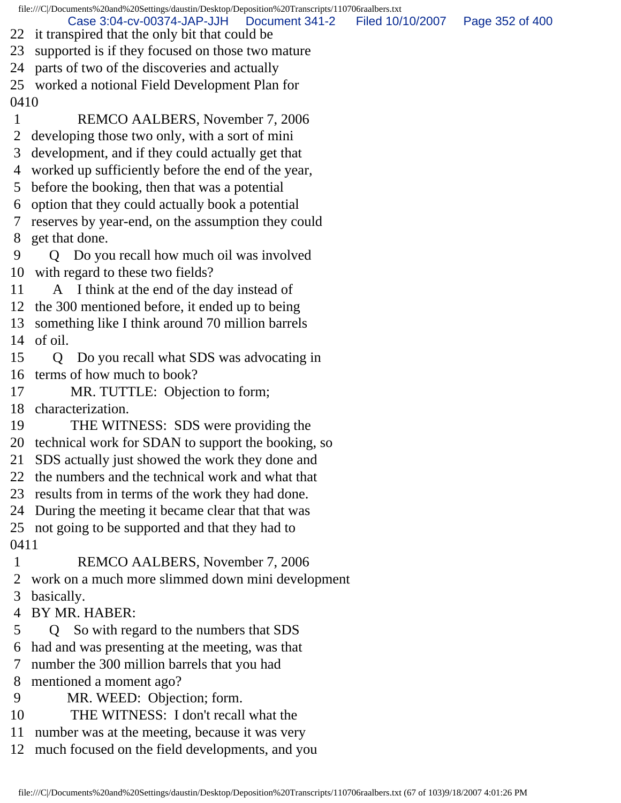file:///C|/Documents%20and%20Settings/daustin/Desktop/Deposition%20Transcripts/110706raalbers.txt Case 3:04-cv-00374-JAP-JJH Document 341-2 Filed 10/10/2007 Page 352 of 400

- 22 it transpired that the only bit that could be
- 23 supported is if they focused on those two mature
- 24 parts of two of the discoveries and actually

25 worked a notional Field Development Plan for 0410

- 1 REMCO AALBERS, November 7, 2006
- 2 developing those two only, with a sort of mini
- 3 development, and if they could actually get that
- 4 worked up sufficiently before the end of the year,
- 5 before the booking, then that was a potential
- 6 option that they could actually book a potential
- 7 reserves by year-end, on the assumption they could 8 get that done.
- 9 Q Do you recall how much oil was involved 10 with regard to these two fields?
- 11 A I think at the end of the day instead of
- 12 the 300 mentioned before, it ended up to being
- 13 something like I think around 70 million barrels 14 of oil.
- 15 Q Do you recall what SDS was advocating in 16 terms of how much to book?
- 17 MR. TUTTLE: Objection to form;
- 18 characterization.
- 19 THE WITNESS: SDS were providing the
- 20 technical work for SDAN to support the booking, so
- 21 SDS actually just showed the work they done and
- 22 the numbers and the technical work and what that
- 23 results from in terms of the work they had done.
- 24 During the meeting it became clear that that was
- 25 not going to be supported and that they had to 0411
- 
- 1 REMCO AALBERS, November 7, 2006
- 2 work on a much more slimmed down mini development
- 3 basically.
- 4 BY MR. HABER:
- 5 Q So with regard to the numbers that SDS
- 6 had and was presenting at the meeting, was that
- 7 number the 300 million barrels that you had
- 8 mentioned a moment ago?
- 9 MR. WEED: Objection; form.
- 10 THE WITNESS: I don't recall what the
- 11 number was at the meeting, because it was very
- 12 much focused on the field developments, and you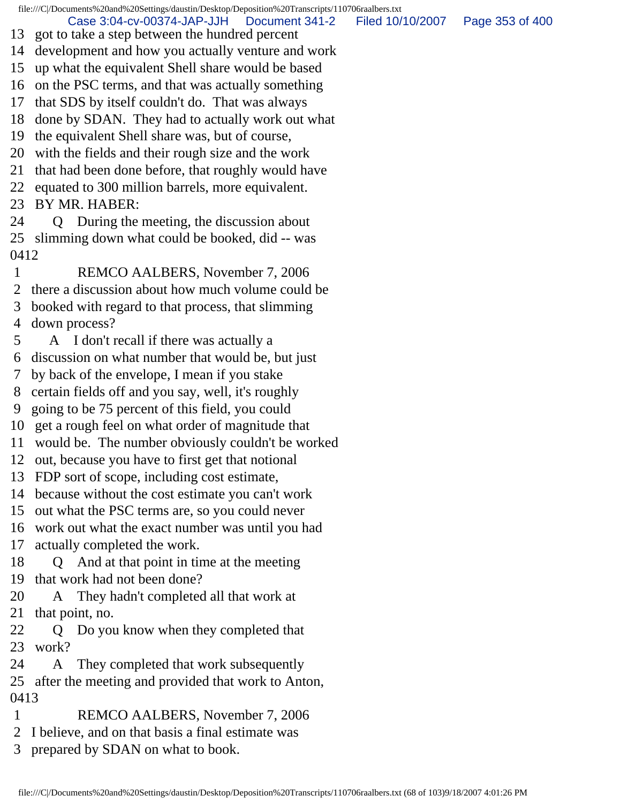Case 3:04-cv-00374-JAP-JJH Document 341-2 Filed 10/10/2007 Page 353 of 400

- 13 got to take a step between the hundred percent
- 14 development and how you actually venture and work
- 15 up what the equivalent Shell share would be based
- 16 on the PSC terms, and that was actually something
- 17 that SDS by itself couldn't do. That was always
- 18 done by SDAN. They had to actually work out what
- 19 the equivalent Shell share was, but of course,
- 20 with the fields and their rough size and the work
- 21 that had been done before, that roughly would have
- 22 equated to 300 million barrels, more equivalent.
- 23 BY MR. HABER:
- 24 Q During the meeting, the discussion about 25 slimming down what could be booked, did -- was 0412
- 1 REMCO AALBERS, November 7, 2006
- 2 there a discussion about how much volume could be
- 3 booked with regard to that process, that slimming
- 4 down process?
- 5 A I don't recall if there was actually a
- 6 discussion on what number that would be, but just
- 7 by back of the envelope, I mean if you stake
- 8 certain fields off and you say, well, it's roughly
- 9 going to be 75 percent of this field, you could
- 10 get a rough feel on what order of magnitude that
- 11 would be. The number obviously couldn't be worked
- 12 out, because you have to first get that notional
- 13 FDP sort of scope, including cost estimate,
- 14 because without the cost estimate you can't work
- 15 out what the PSC terms are, so you could never
- 16 work out what the exact number was until you had
- 17 actually completed the work.
- 18 Q And at that point in time at the meeting 19 that work had not been done?
- 20 A They hadn't completed all that work at 21 that point, no.
- 22 Q Do you know when they completed that 23 work?
- 24 A They completed that work subsequently 25 after the meeting and provided that work to Anton,
- 0413
- 1 REMCO AALBERS, November 7, 2006
- 2 I believe, and on that basis a final estimate was
- 3 prepared by SDAN on what to book.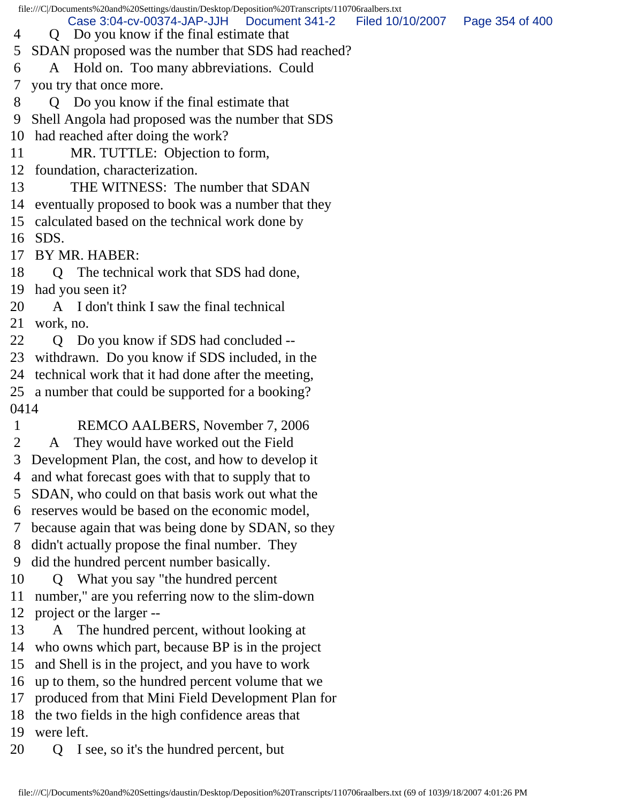file:///C|/Documents%20and%20Settings/daustin/Desktop/Deposition%20Transcripts/110706raalbers.txt 4 Q Do you know if the final estimate that 5 SDAN proposed was the number that SDS had reached? 6 A Hold on. Too many abbreviations. Could 7 you try that once more. 8 Q Do you know if the final estimate that 9 Shell Angola had proposed was the number that SDS 10 had reached after doing the work? 11 MR. TUTTLE: Objection to form, 12 foundation, characterization. 13 THE WITNESS: The number that SDAN 14 eventually proposed to book was a number that they 15 calculated based on the technical work done by 16 SDS. 17 BY MR. HABER: 18 Q The technical work that SDS had done, 19 had you seen it? 20 A I don't think I saw the final technical 21 work, no. 22 Q Do you know if SDS had concluded --23 withdrawn. Do you know if SDS included, in the 24 technical work that it had done after the meeting, 25 a number that could be supported for a booking? 0414 1 REMCO AALBERS, November 7, 2006 2 A They would have worked out the Field 3 Development Plan, the cost, and how to develop it 4 and what forecast goes with that to supply that to 5 SDAN, who could on that basis work out what the 6 reserves would be based on the economic model, 7 because again that was being done by SDAN, so they 8 didn't actually propose the final number. They 9 did the hundred percent number basically. 10 Q What you say "the hundred percent 11 number," are you referring now to the slim-down 12 project or the larger -- 13 A The hundred percent, without looking at 14 who owns which part, because BP is in the project 15 and Shell is in the project, and you have to work 16 up to them, so the hundred percent volume that we 17 produced from that Mini Field Development Plan for 18 the two fields in the high confidence areas that 19 were left. 20 Q I see, so it's the hundred percent, but Case 3:04-cv-00374-JAP-JJH Document 341-2 Filed 10/10/2007 Page 354 of 400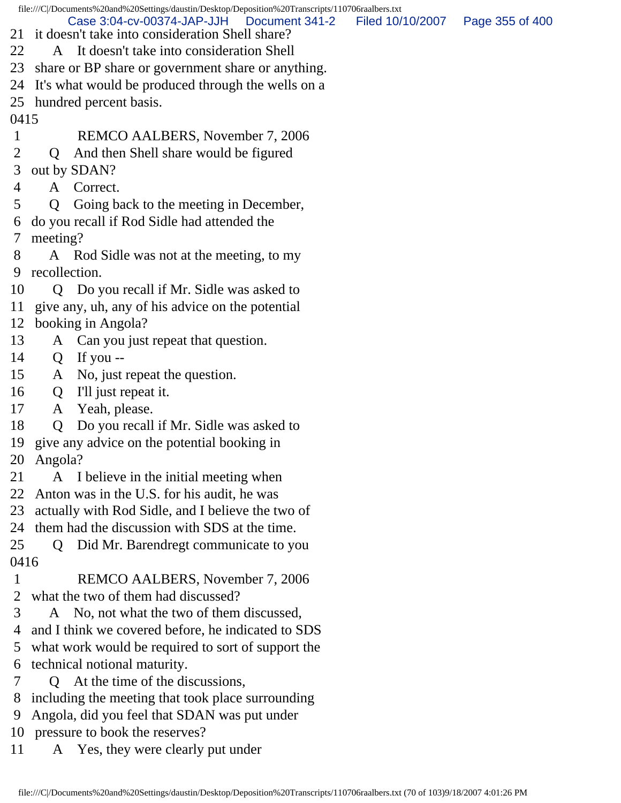file:///C|/Documents%20and%20Settings/daustin/Desktop/Deposition%20Transcripts/110706raalbers.txt 21 it doesn't take into consideration Shell share? 22 A It doesn't take into consideration Shell 23 share or BP share or government share or anything. 24 It's what would be produced through the wells on a 25 hundred percent basis. 0415 1 REMCO AALBERS, November 7, 2006 2 Q And then Shell share would be figured 3 out by SDAN? 4 A Correct. 5 Q Going back to the meeting in December, 6 do you recall if Rod Sidle had attended the 7 meeting? 8 A Rod Sidle was not at the meeting, to my 9 recollection. 10 Q Do you recall if Mr. Sidle was asked to 11 give any, uh, any of his advice on the potential 12 booking in Angola? 13 A Can you just repeat that question. 14 Q If you -- 15 A No, just repeat the question. 16 Q I'll just repeat it. 17 A Yeah, please. 18 Q Do you recall if Mr. Sidle was asked to 19 give any advice on the potential booking in 20 Angola? 21 A I believe in the initial meeting when 22 Anton was in the U.S. for his audit, he was 23 actually with Rod Sidle, and I believe the two of 24 them had the discussion with SDS at the time. 25 Q Did Mr. Barendregt communicate to you 0416 1 REMCO AALBERS, November 7, 2006 2 what the two of them had discussed? 3 A No, not what the two of them discussed, 4 and I think we covered before, he indicated to SDS 5 what work would be required to sort of support the 6 technical notional maturity. 7 Q At the time of the discussions, 8 including the meeting that took place surrounding 9 Angola, did you feel that SDAN was put under 10 pressure to book the reserves? Case 3:04-cv-00374-JAP-JJH Document 341-2 Filed 10/10/2007 Page 355 of 400

11 A Yes, they were clearly put under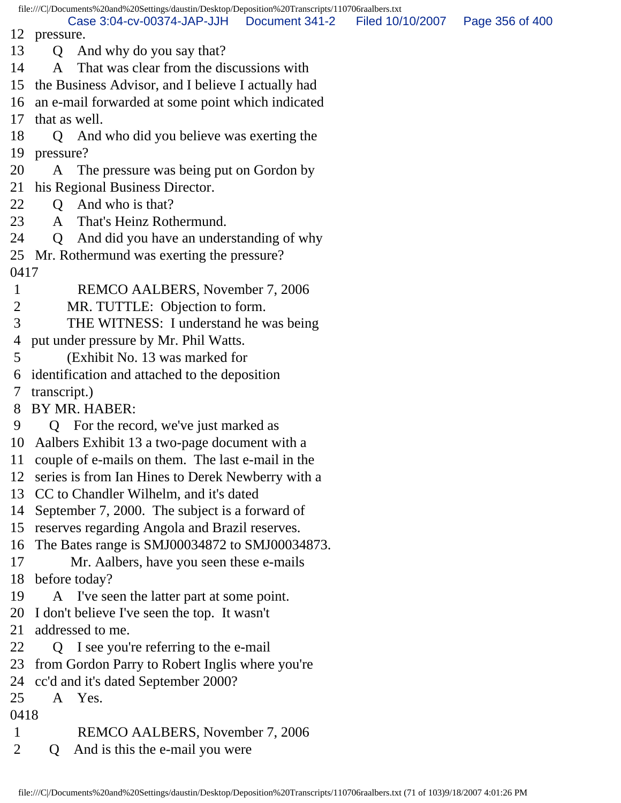Case 3:04-cv-00374-JAP-JJH Document 341-2 Filed 10/10/2007 Page 356 of 400

12 pressure.

- 13 Q And why do you say that?
- 14 A That was clear from the discussions with

15 the Business Advisor, and I believe I actually had

16 an e-mail forwarded at some point which indicated

17 that as well.

- 18 Q And who did you believe was exerting the 19 pressure?
- 20 A The pressure was being put on Gordon by
- 21 his Regional Business Director.
- 22 Q And who is that?
- 23 A That's Heinz Rothermund.
- 24 Q And did you have an understanding of why
- 25 Mr. Rothermund was exerting the pressure? 0417
- 1 REMCO AALBERS, November 7, 2006
- 2 MR. TUTTLE: Objection to form.
- 3 THE WITNESS: I understand he was being
- 4 put under pressure by Mr. Phil Watts.
- 5 (Exhibit No. 13 was marked for
- 6 identification and attached to the deposition
- 7 transcript.)
- 8 BY MR. HABER:
- 9 Q For the record, we've just marked as
- 10 Aalbers Exhibit 13 a two-page document with a
- 11 couple of e-mails on them. The last e-mail in the
- 12 series is from Ian Hines to Derek Newberry with a
- 13 CC to Chandler Wilhelm, and it's dated
- 14 September 7, 2000. The subject is a forward of
- 15 reserves regarding Angola and Brazil reserves.
- 16 The Bates range is SMJ00034872 to SMJ00034873.
- 17 Mr. Aalbers, have you seen these e-mails
- 18 before today?
- 19 A I've seen the latter part at some point.
- 20 I don't believe I've seen the top. It wasn't
- 21 addressed to me.
- 22 Q I see you're referring to the e-mail
- 23 from Gordon Parry to Robert Inglis where you're
- 24 cc'd and it's dated September 2000?
- 25 A Yes.
- 0418
- 1 REMCO AALBERS, November 7, 2006
- 2 Q And is this the e-mail you were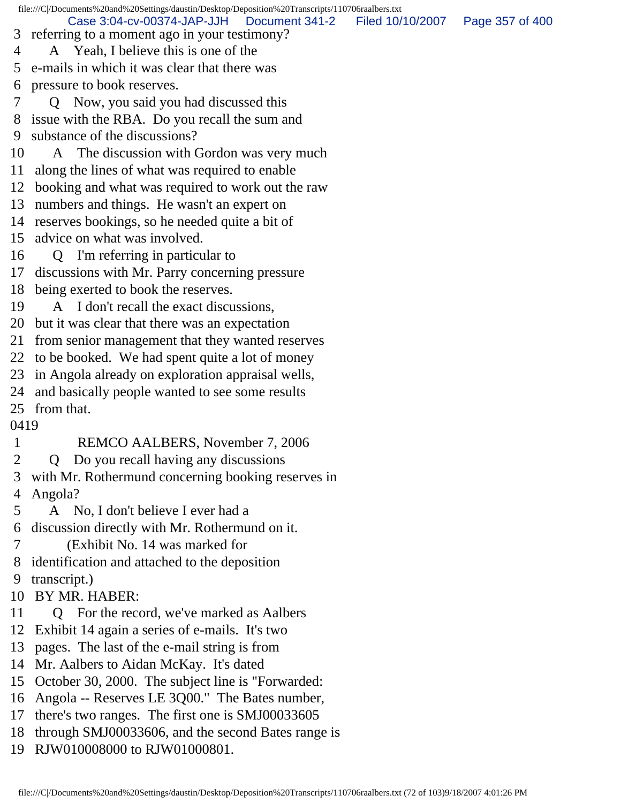file:///C|/Documents%20and%20Settings/daustin/Desktop/Deposition%20Transcripts/110706raalbers.txt 3 referring to a moment ago in your testimony? 4 A Yeah, I believe this is one of the 5 e-mails in which it was clear that there was 6 pressure to book reserves. 7 Q Now, you said you had discussed this 8 issue with the RBA. Do you recall the sum and 9 substance of the discussions? 10 A The discussion with Gordon was very much 11 along the lines of what was required to enable 12 booking and what was required to work out the raw 13 numbers and things. He wasn't an expert on 14 reserves bookings, so he needed quite a bit of 15 advice on what was involved. 16 Q I'm referring in particular to 17 discussions with Mr. Parry concerning pressure 18 being exerted to book the reserves. 19 A I don't recall the exact discussions, 20 but it was clear that there was an expectation 21 from senior management that they wanted reserves 22 to be booked. We had spent quite a lot of money 23 in Angola already on exploration appraisal wells, 24 and basically people wanted to see some results 25 from that. 0419 1 REMCO AALBERS, November 7, 2006 2 Q Do you recall having any discussions 3 with Mr. Rothermund concerning booking reserves in 4 Angola? 5 A No, I don't believe I ever had a 6 discussion directly with Mr. Rothermund on it. 7 (Exhibit No. 14 was marked for 8 identification and attached to the deposition 9 transcript.) 10 BY MR. HABER: 11 Q For the record, we've marked as Aalbers 12 Exhibit 14 again a series of e-mails. It's two 13 pages. The last of the e-mail string is from 14 Mr. Aalbers to Aidan McKay. It's dated 15 October 30, 2000. The subject line is "Forwarded: 16 Angola -- Reserves LE 3Q00." The Bates number, 17 there's two ranges. The first one is SMJ00033605 18 through SMJ00033606, and the second Bates range is 19 RJW010008000 to RJW01000801. Case 3:04-cv-00374-JAP-JJH Document 341-2 Filed 10/10/2007 Page 357 of 400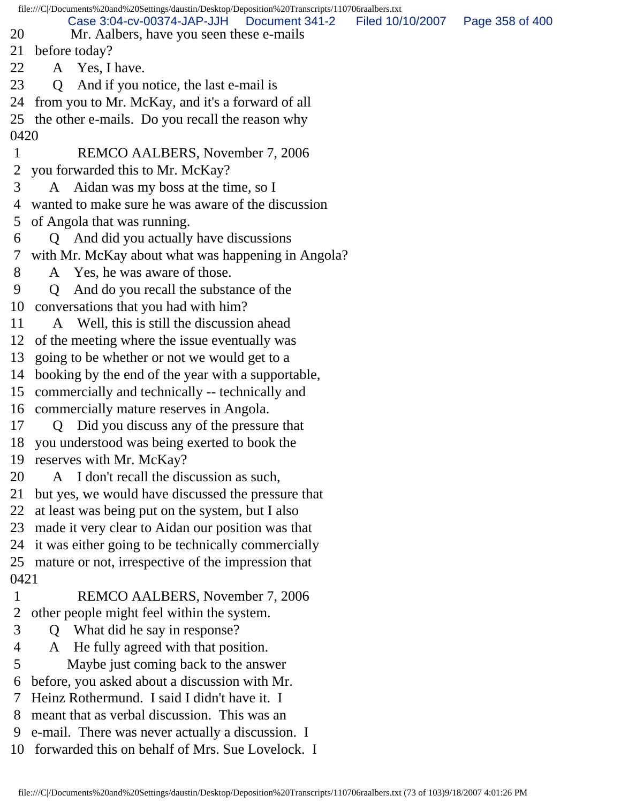file:///C|/Documents%20and%20Settings/daustin/Desktop/Deposition%20Transcripts/110706raalbers.txt 20 Mr. Aalbers, have you seen these e-mails 21 before today? 22 A Yes, I have. 23 Q And if you notice, the last e-mail is 24 from you to Mr. McKay, and it's a forward of all 25 the other e-mails. Do you recall the reason why 0420 1 REMCO AALBERS, November 7, 2006 2 you forwarded this to Mr. McKay? 3 A Aidan was my boss at the time, so I 4 wanted to make sure he was aware of the discussion 5 of Angola that was running. 6 Q And did you actually have discussions 7 with Mr. McKay about what was happening in Angola? 8 A Yes, he was aware of those. 9 Q And do you recall the substance of the 10 conversations that you had with him? 11 A Well, this is still the discussion ahead 12 of the meeting where the issue eventually was 13 going to be whether or not we would get to a 14 booking by the end of the year with a supportable, 15 commercially and technically -- technically and 16 commercially mature reserves in Angola. 17 Q Did you discuss any of the pressure that 18 you understood was being exerted to book the 19 reserves with Mr. McKay? 20 A I don't recall the discussion as such, 21 but yes, we would have discussed the pressure that 22 at least was being put on the system, but I also 23 made it very clear to Aidan our position was that 24 it was either going to be technically commercially 25 mature or not, irrespective of the impression that 0421 1 REMCO AALBERS, November 7, 2006 2 other people might feel within the system. 3 Q What did he say in response? 4 A He fully agreed with that position. 5 Maybe just coming back to the answer 6 before, you asked about a discussion with Mr. 7 Heinz Rothermund. I said I didn't have it. I 8 meant that as verbal discussion. This was an 9 e-mail. There was never actually a discussion. I Case 3:04-cv-00374-JAP-JJH Document 341-2 Filed 10/10/2007 Page 358 of 400

10 forwarded this on behalf of Mrs. Sue Lovelock. I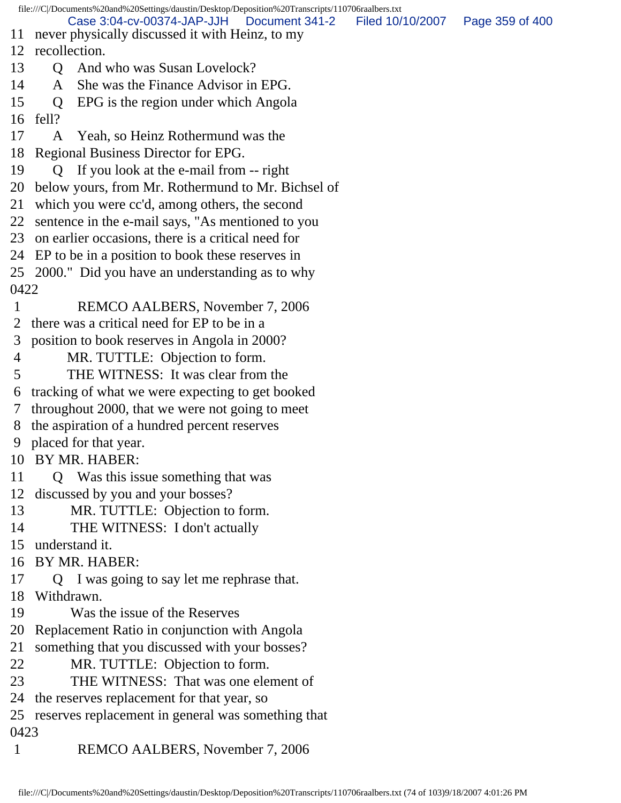file:///C|/Documents%20and%20Settings/daustin/Desktop/Deposition%20Transcripts/110706raalbers.txt 11 never physically discussed it with Heinz, to my 12 recollection. 13 O And who was Susan Lovelock? 14 A She was the Finance Advisor in EPG. 15 Q EPG is the region under which Angola 16 fell? 17 A Yeah, so Heinz Rothermund was the 18 Regional Business Director for EPG. 19 Q If you look at the e-mail from -- right 20 below yours, from Mr. Rothermund to Mr. Bichsel of 21 which you were cc'd, among others, the second 22 sentence in the e-mail says, "As mentioned to you 23 on earlier occasions, there is a critical need for 24 EP to be in a position to book these reserves in 25 2000." Did you have an understanding as to why 0422 1 REMCO AALBERS, November 7, 2006 2 there was a critical need for EP to be in a 3 position to book reserves in Angola in 2000? 4 MR. TUTTLE: Objection to form. 5 THE WITNESS: It was clear from the 6 tracking of what we were expecting to get booked 7 throughout 2000, that we were not going to meet 8 the aspiration of a hundred percent reserves 9 placed for that year. 10 BY MR. HABER: 11 Q Was this issue something that was 12 discussed by you and your bosses? 13 MR. TUTTLE: Objection to form. 14 THE WITNESS: I don't actually 15 understand it. 16 BY MR. HABER: 17 Q I was going to say let me rephrase that. 18 Withdrawn. 19 Was the issue of the Reserves 20 Replacement Ratio in conjunction with Angola 21 something that you discussed with your bosses? 22 MR. TUTTLE: Objection to form. 23 THE WITNESS: That was one element of 24 the reserves replacement for that year, so 25 reserves replacement in general was something that 0423 1 REMCO AALBERS, November 7, 2006 Case 3:04-cv-00374-JAP-JJH Document 341-2 Filed 10/10/2007 Page 359 of 400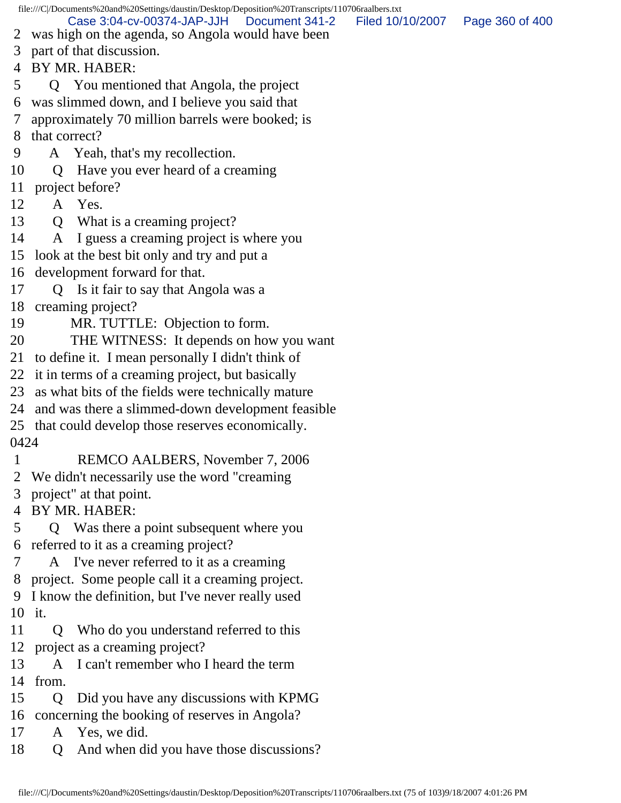file:///C|/Documents%20and%20Settings/daustin/Desktop/Deposition%20Transcripts/110706raalbers.txt 2 was high on the agenda, so Angola would have been 3 part of that discussion. 4 BY MR. HABER: 5 Q You mentioned that Angola, the project 6 was slimmed down, and I believe you said that 7 approximately 70 million barrels were booked; is 8 that correct? 9 A Yeah, that's my recollection. 10 Q Have you ever heard of a creaming 11 project before? 12 A Yes. 13 Q What is a creaming project? 14 A I guess a creaming project is where you 15 look at the best bit only and try and put a 16 development forward for that. 17 Q Is it fair to say that Angola was a 18 creaming project? 19 MR. TUTTLE: Objection to form. 20 THE WITNESS: It depends on how you want 21 to define it. I mean personally I didn't think of 22 it in terms of a creaming project, but basically 23 as what bits of the fields were technically mature 24 and was there a slimmed-down development feasible 25 that could develop those reserves economically. 0424 1 REMCO AALBERS, November 7, 2006 2 We didn't necessarily use the word "creaming 3 project" at that point. 4 BY MR. HABER: 5 Q Was there a point subsequent where you 6 referred to it as a creaming project? 7 A I've never referred to it as a creaming 8 project. Some people call it a creaming project. 9 I know the definition, but I've never really used 10 it. 11 Q Who do you understand referred to this 12 project as a creaming project? 13 A I can't remember who I heard the term 14 from. 15 Q Did you have any discussions with KPMG 16 concerning the booking of reserves in Angola? 17 A Yes, we did. 18 Q And when did you have those discussions? Case 3:04-cv-00374-JAP-JJH Document 341-2 Filed 10/10/2007 Page 360 of 400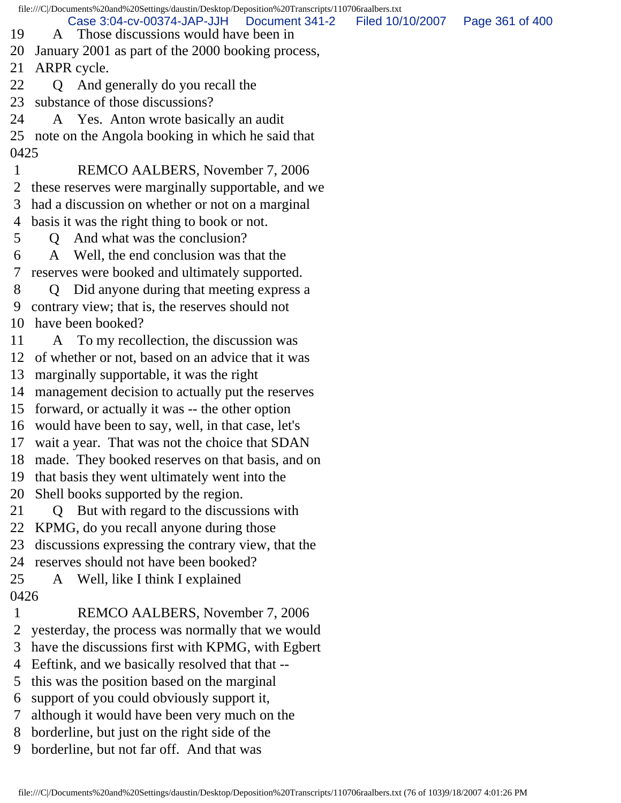file:///C|/Documents%20and%20Settings/daustin/Desktop/Deposition%20Transcripts/110706raalbers.txt

Case 3:04-cv-00374-JAP-JJH Document 341-2 Filed 10/10/2007 Page 361 of 400

- 19 A Those discussions would have been in
- 20 January 2001 as part of the 2000 booking process,

21 ARPR cycle.

- 22 Q And generally do you recall the
- 23 substance of those discussions?
- 24 A Yes. Anton wrote basically an audit

25 note on the Angola booking in which he said that 0425

- 1 REMCO AALBERS, November 7, 2006
- 2 these reserves were marginally supportable, and we
- 3 had a discussion on whether or not on a marginal
- 4 basis it was the right thing to book or not.
- 5 Q And what was the conclusion?
- 6 A Well, the end conclusion was that the 7 reserves were booked and ultimately supported.
- 8 Q Did anyone during that meeting express a 9 contrary view; that is, the reserves should not 10 have been booked?
- 11 A To my recollection, the discussion was
- 12 of whether or not, based on an advice that it was
- 13 marginally supportable, it was the right
- 14 management decision to actually put the reserves
- 15 forward, or actually it was -- the other option
- 16 would have been to say, well, in that case, let's
- 17 wait a year. That was not the choice that SDAN
- 18 made. They booked reserves on that basis, and on
- 19 that basis they went ultimately went into the
- 20 Shell books supported by the region.
- 21 Q But with regard to the discussions with
- 22 KPMG, do you recall anyone during those
- 23 discussions expressing the contrary view, that the
- 24 reserves should not have been booked?
- 25 A Well, like I think I explained
- 0426
- 1 REMCO AALBERS, November 7, 2006
- 2 yesterday, the process was normally that we would
- 3 have the discussions first with KPMG, with Egbert
- 4 Eeftink, and we basically resolved that that --
- 5 this was the position based on the marginal
- 6 support of you could obviously support it,
- 7 although it would have been very much on the
- 8 borderline, but just on the right side of the
- 9 borderline, but not far off. And that was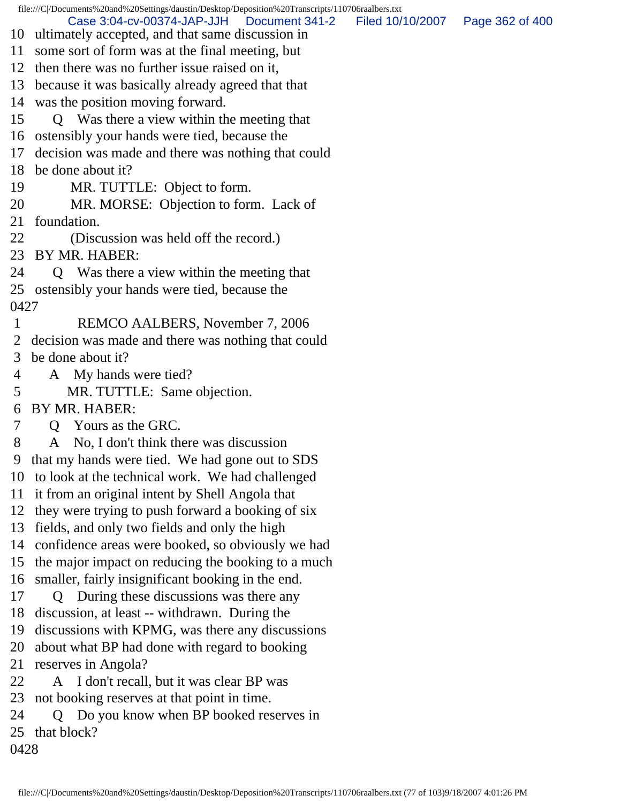file:///C|/Documents%20and%20Settings/daustin/Desktop/Deposition%20Transcripts/110706raalbers.txt 10 ultimately accepted, and that same discussion in 11 some sort of form was at the final meeting, but 12 then there was no further issue raised on it, 13 because it was basically already agreed that that 14 was the position moving forward. 15 Q Was there a view within the meeting that 16 ostensibly your hands were tied, because the 17 decision was made and there was nothing that could 18 be done about it? 19 MR. TUTTLE: Object to form. 20 MR. MORSE: Objection to form. Lack of 21 foundation. 22 (Discussion was held off the record.) 23 BY MR. HABER: 24 Q Was there a view within the meeting that 25 ostensibly your hands were tied, because the 0427 1 REMCO AALBERS, November 7, 2006 2 decision was made and there was nothing that could 3 be done about it? 4 A My hands were tied? 5 MR. TUTTLE: Same objection. 6 BY MR. HABER: 7 Q Yours as the GRC. 8 A No, I don't think there was discussion 9 that my hands were tied. We had gone out to SDS 10 to look at the technical work. We had challenged 11 it from an original intent by Shell Angola that 12 they were trying to push forward a booking of six 13 fields, and only two fields and only the high 14 confidence areas were booked, so obviously we had 15 the major impact on reducing the booking to a much 16 smaller, fairly insignificant booking in the end. 17 Q During these discussions was there any 18 discussion, at least -- withdrawn. During the 19 discussions with KPMG, was there any discussions 20 about what BP had done with regard to booking 21 reserves in Angola? 22 A I don't recall, but it was clear BP was 23 not booking reserves at that point in time. 24 Q Do you know when BP booked reserves in 25 that block? 0428 Case 3:04-cv-00374-JAP-JJH Document 341-2 Filed 10/10/2007 Page 362 of 400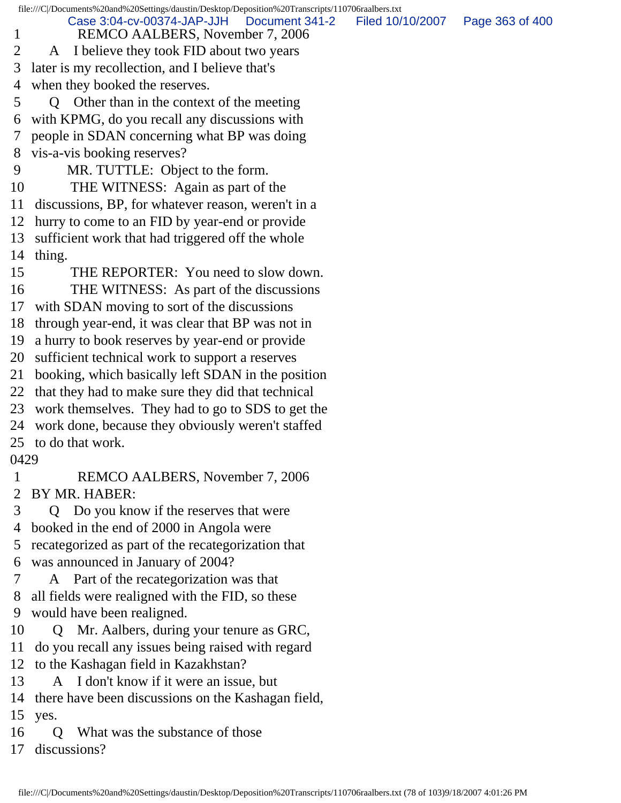file:///C|/Documents%20and%20Settings/daustin/Desktop/Deposition%20Transcripts/110706raalbers.txt 1 REMCO AALBERS, November 7, 2006 2 A I believe they took FID about two years 3 later is my recollection, and I believe that's 4 when they booked the reserves. 5 Q Other than in the context of the meeting 6 with KPMG, do you recall any discussions with 7 people in SDAN concerning what BP was doing 8 vis-a-vis booking reserves? 9 MR. TUTTLE: Object to the form. 10 THE WITNESS: Again as part of the 11 discussions, BP, for whatever reason, weren't in a 12 hurry to come to an FID by year-end or provide 13 sufficient work that had triggered off the whole 14 thing. 15 THE REPORTER: You need to slow down. 16 THE WITNESS: As part of the discussions 17 with SDAN moving to sort of the discussions 18 through year-end, it was clear that BP was not in 19 a hurry to book reserves by year-end or provide 20 sufficient technical work to support a reserves 21 booking, which basically left SDAN in the position 22 that they had to make sure they did that technical 23 work themselves. They had to go to SDS to get the 24 work done, because they obviously weren't staffed 25 to do that work. 0429 1 REMCO AALBERS, November 7, 2006 2 BY MR. HABER: 3 Q Do you know if the reserves that were 4 booked in the end of 2000 in Angola were 5 recategorized as part of the recategorization that 6 was announced in January of 2004? 7 A Part of the recategorization was that 8 all fields were realigned with the FID, so these 9 would have been realigned. 10 Q Mr. Aalbers, during your tenure as GRC, 11 do you recall any issues being raised with regard 12 to the Kashagan field in Kazakhstan? 13 A I don't know if it were an issue, but 14 there have been discussions on the Kashagan field, 15 yes. 16 Q What was the substance of those Case 3:04-cv-00374-JAP-JJH Document 341-2 Filed 10/10/2007 Page 363 of 400

17 discussions?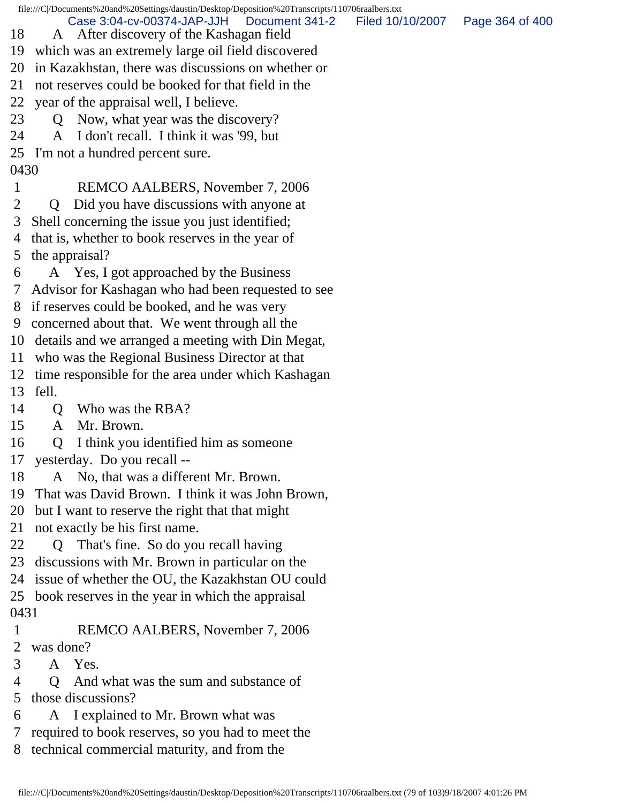file:///C|/Documents%20and%20Settings/daustin/Desktop/Deposition%20Transcripts/110706raalbers.txt 18 A After discovery of the Kashagan field 19 which was an extremely large oil field discovered 20 in Kazakhstan, there was discussions on whether or 21 not reserves could be booked for that field in the 22 year of the appraisal well, I believe. 23 Q Now, what year was the discovery? 24 A I don't recall. I think it was '99, but 25 I'm not a hundred percent sure. 0430 1 REMCO AALBERS, November 7, 2006 2 Q Did you have discussions with anyone at 3 Shell concerning the issue you just identified; 4 that is, whether to book reserves in the year of 5 the appraisal? 6 A Yes, I got approached by the Business 7 Advisor for Kashagan who had been requested to see 8 if reserves could be booked, and he was very 9 concerned about that. We went through all the 10 details and we arranged a meeting with Din Megat, 11 who was the Regional Business Director at that 12 time responsible for the area under which Kashagan 13 fell. 14 Q Who was the RBA? 15 A Mr. Brown. 16 Q I think you identified him as someone 17 yesterday. Do you recall -- 18 A No, that was a different Mr. Brown. 19 That was David Brown. I think it was John Brown, 20 but I want to reserve the right that that might 21 not exactly be his first name. 22 Q That's fine. So do you recall having 23 discussions with Mr. Brown in particular on the 24 issue of whether the OU, the Kazakhstan OU could 25 book reserves in the year in which the appraisal 0431 1 REMCO AALBERS, November 7, 2006 2 was done? 3 A Yes. 4 Q And what was the sum and substance of 5 those discussions? 6 A I explained to Mr. Brown what was 7 required to book reserves, so you had to meet the Case 3:04-cv-00374-JAP-JJH Document 341-2 Filed 10/10/2007 Page 364 of 400

8 technical commercial maturity, and from the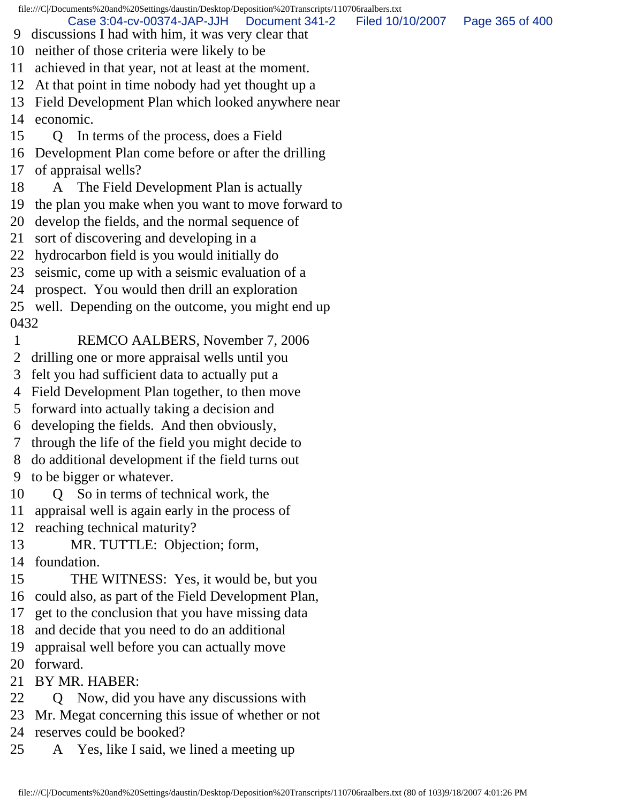file:///C|/Documents%20and%20Settings/daustin/Desktop/Deposition%20Transcripts/110706raalbers.txt 9 discussions I had with him, it was very clear that 10 neither of those criteria were likely to be 11 achieved in that year, not at least at the moment. 12 At that point in time nobody had yet thought up a 13 Field Development Plan which looked anywhere near 14 economic. 15 Q In terms of the process, does a Field 16 Development Plan come before or after the drilling 17 of appraisal wells? 18 A The Field Development Plan is actually 19 the plan you make when you want to move forward to 20 develop the fields, and the normal sequence of 21 sort of discovering and developing in a 22 hydrocarbon field is you would initially do 23 seismic, come up with a seismic evaluation of a 24 prospect. You would then drill an exploration 25 well. Depending on the outcome, you might end up 0432 1 REMCO AALBERS, November 7, 2006 2 drilling one or more appraisal wells until you 3 felt you had sufficient data to actually put a 4 Field Development Plan together, to then move 5 forward into actually taking a decision and 6 developing the fields. And then obviously, 7 through the life of the field you might decide to 8 do additional development if the field turns out 9 to be bigger or whatever. 10 Q So in terms of technical work, the 11 appraisal well is again early in the process of 12 reaching technical maturity? 13 MR. TUTTLE: Objection; form, 14 foundation. 15 THE WITNESS: Yes, it would be, but you 16 could also, as part of the Field Development Plan, 17 get to the conclusion that you have missing data 18 and decide that you need to do an additional 19 appraisal well before you can actually move 20 forward. 21 BY MR. HABER: Case 3:04-cv-00374-JAP-JJH Document 341-2 Filed 10/10/2007 Page 365 of 400

- 22 Q Now, did you have any discussions with
- 23 Mr. Megat concerning this issue of whether or not
- 24 reserves could be booked?
- 25 A Yes, like I said, we lined a meeting up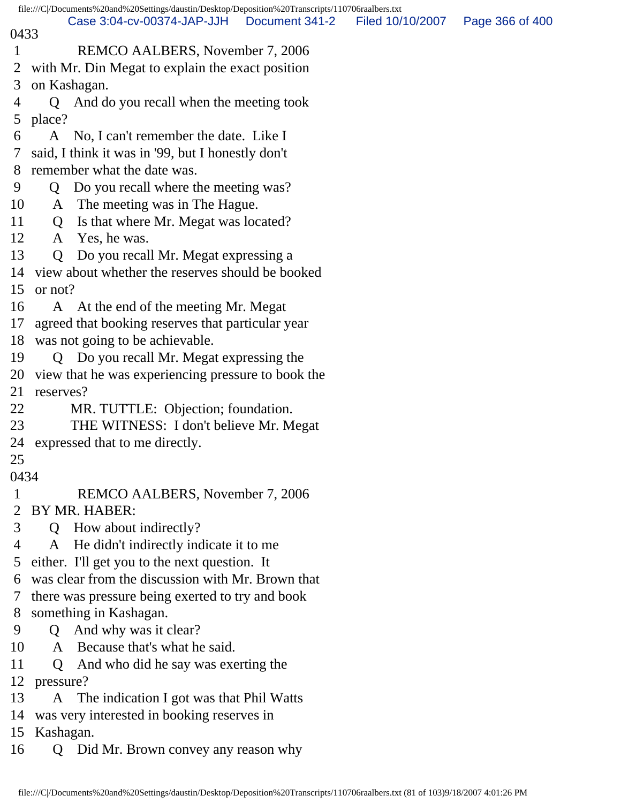|              |                | file:///C /Documents%20and%20Settings/daustin/Desktop/Deposition%20Transcripts/110706raalbers.txt |                |                  |                 |
|--------------|----------------|---------------------------------------------------------------------------------------------------|----------------|------------------|-----------------|
| 0433         |                | Case 3:04-cv-00374-JAP-JJH                                                                        | Document 341-2 | Filed 10/10/2007 | Page 366 of 400 |
| $\mathbf{1}$ |                | REMCO AALBERS, November 7, 2006                                                                   |                |                  |                 |
| 2            |                | with Mr. Din Megat to explain the exact position                                                  |                |                  |                 |
| 3            |                | on Kashagan.                                                                                      |                |                  |                 |
| 4            | Q              | And do you recall when the meeting took                                                           |                |                  |                 |
| 5            | place?         |                                                                                                   |                |                  |                 |
| 6            | A              | No, I can't remember the date. Like I                                                             |                |                  |                 |
| 7            |                | said, I think it was in '99, but I honestly don't                                                 |                |                  |                 |
| 8            |                | remember what the date was.                                                                       |                |                  |                 |
| 9            | Q              | Do you recall where the meeting was?                                                              |                |                  |                 |
| 10           | A              | The meeting was in The Hague.                                                                     |                |                  |                 |
| 11           | Q              | Is that where Mr. Megat was located?                                                              |                |                  |                 |
| 12           |                | A Yes, he was.                                                                                    |                |                  |                 |
| 13           | $\overline{Q}$ | Do you recall Mr. Megat expressing a                                                              |                |                  |                 |
| 14           |                | view about whether the reserves should be booked                                                  |                |                  |                 |
| 15           | or not?        |                                                                                                   |                |                  |                 |
| 16           |                | A At the end of the meeting Mr. Megat                                                             |                |                  |                 |
| 17           |                | agreed that booking reserves that particular year                                                 |                |                  |                 |
| 18           |                | was not going to be achievable.                                                                   |                |                  |                 |
| 19           | Q              | Do you recall Mr. Megat expressing the                                                            |                |                  |                 |
| 20           |                | view that he was experiencing pressure to book the                                                |                |                  |                 |
| 21           | reserves?      |                                                                                                   |                |                  |                 |
| 22           |                | MR. TUTTLE: Objection; foundation.                                                                |                |                  |                 |
| 23           |                | THE WITNESS: I don't believe Mr. Megat                                                            |                |                  |                 |
|              |                | 24 expressed that to me directly.                                                                 |                |                  |                 |
| 25           |                |                                                                                                   |                |                  |                 |
| 0434         |                |                                                                                                   |                |                  |                 |
| $\mathbf{1}$ |                | REMCO AALBERS, November 7, 2006                                                                   |                |                  |                 |
| 2            |                | BY MR. HABER:                                                                                     |                |                  |                 |
| 3<br>4       |                | Q How about indirectly?                                                                           |                |                  |                 |
| 5            | A              | He didn't indirectly indicate it to me<br>either. I'll get you to the next question. It           |                |                  |                 |
| 6            |                | was clear from the discussion with Mr. Brown that                                                 |                |                  |                 |
| $\tau$       |                | there was pressure being exerted to try and book                                                  |                |                  |                 |
| 8            |                | something in Kashagan.                                                                            |                |                  |                 |
| 9            |                | Q And why was it clear?                                                                           |                |                  |                 |
| 10           |                | A Because that's what he said.                                                                    |                |                  |                 |
| 11           | Q              | And who did he say was exerting the                                                               |                |                  |                 |
| 12           | pressure?      |                                                                                                   |                |                  |                 |
| 13           |                | A The indication I got was that Phil Watts                                                        |                |                  |                 |
| 14           |                | was very interested in booking reserves in                                                        |                |                  |                 |
| 15           | Kashagan.      |                                                                                                   |                |                  |                 |
| 16           |                | Q Did Mr. Brown convey any reason why                                                             |                |                  |                 |
|              |                |                                                                                                   |                |                  |                 |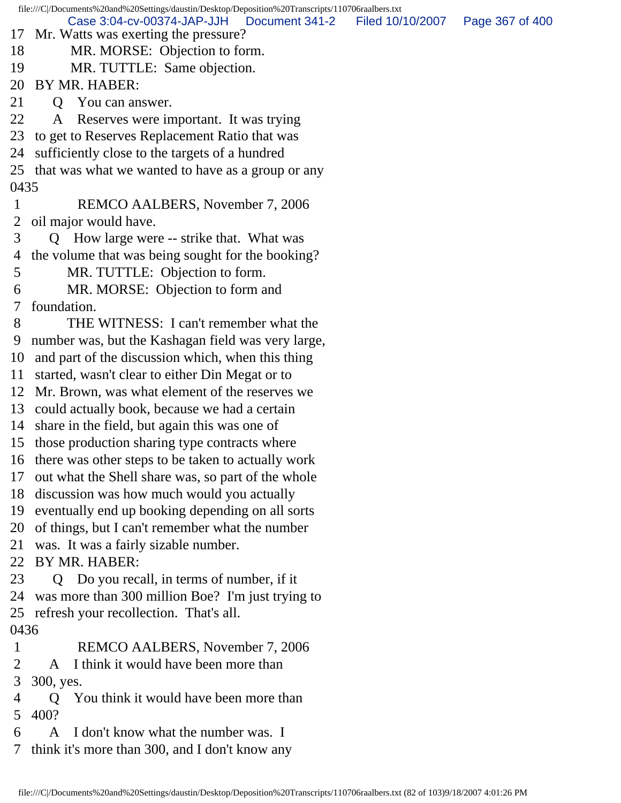file:///C|/Documents%20and%20Settings/daustin/Desktop/Deposition%20Transcripts/110706raalbers.txt 17 Mr. Watts was exerting the pressure? 18 MR. MORSE: Objection to form. 19 MR. TUTTLE: Same objection. 20 BY MR. HABER: 21 O You can answer. 22 A Reserves were important. It was trying 23 to get to Reserves Replacement Ratio that was 24 sufficiently close to the targets of a hundred 25 that was what we wanted to have as a group or any 0435 1 REMCO AALBERS, November 7, 2006 2 oil major would have. 3 Q How large were -- strike that. What was 4 the volume that was being sought for the booking? 5 MR. TUTTLE: Objection to form. 6 MR. MORSE: Objection to form and 7 foundation. 8 THE WITNESS: I can't remember what the 9 number was, but the Kashagan field was very large, 10 and part of the discussion which, when this thing 11 started, wasn't clear to either Din Megat or to 12 Mr. Brown, was what element of the reserves we 13 could actually book, because we had a certain 14 share in the field, but again this was one of 15 those production sharing type contracts where 16 there was other steps to be taken to actually work 17 out what the Shell share was, so part of the whole 18 discussion was how much would you actually 19 eventually end up booking depending on all sorts 20 of things, but I can't remember what the number 21 was. It was a fairly sizable number. 22 BY MR. HABER: 23 Q Do you recall, in terms of number, if it 24 was more than 300 million Boe? I'm just trying to 25 refresh your recollection. That's all. 0436 1 REMCO AALBERS, November 7, 2006 2 A I think it would have been more than 3 300, yes. 4 Q You think it would have been more than 5 400? 6 A I don't know what the number was. I 7 think it's more than 300, and I don't know any Case 3:04-cv-00374-JAP-JJH Document 341-2 Filed 10/10/2007 Page 367 of 400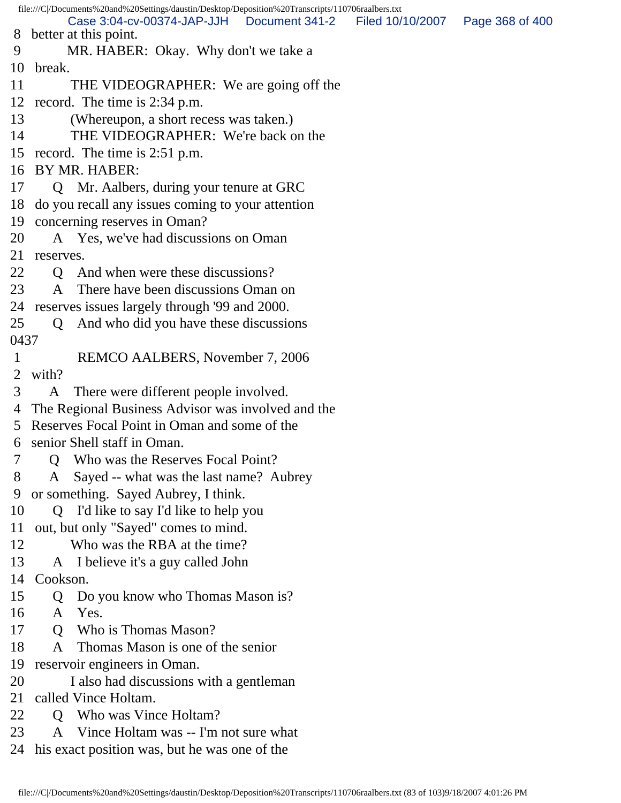file:///C|/Documents%20and%20Settings/daustin/Desktop/Deposition%20Transcripts/110706raalbers.txt 8 better at this point. 9 MR. HABER: Okay. Why don't we take a 10 break. 11 THE VIDEOGRAPHER: We are going off the 12 record. The time is 2:34 p.m. 13 (Whereupon, a short recess was taken.) 14 THE VIDEOGRAPHER: We're back on the 15 record. The time is 2:51 p.m. 16 BY MR. HABER: 17 Q Mr. Aalbers, during your tenure at GRC 18 do you recall any issues coming to your attention 19 concerning reserves in Oman? 20 A Yes, we've had discussions on Oman 21 reserves. 22 Q And when were these discussions? 23 A There have been discussions Oman on 24 reserves issues largely through '99 and 2000. 25 Q And who did you have these discussions 0437 1 REMCO AALBERS, November 7, 2006 2 with? 3 A There were different people involved. 4 The Regional Business Advisor was involved and the 5 Reserves Focal Point in Oman and some of the 6 senior Shell staff in Oman. 7 Q Who was the Reserves Focal Point? 8 A Sayed -- what was the last name? Aubrey 9 or something. Sayed Aubrey, I think. 10 Q I'd like to say I'd like to help you 11 out, but only "Sayed" comes to mind. 12 Who was the RBA at the time? 13 A I believe it's a guy called John 14 Cookson. 15 Q Do you know who Thomas Mason is? 16 A Yes. 17 Q Who is Thomas Mason? 18 A Thomas Mason is one of the senior 19 reservoir engineers in Oman. 20 I also had discussions with a gentleman 21 called Vince Holtam. 22 O Who was Vince Holtam? 23 A Vince Holtam was -- I'm not sure what 24 his exact position was, but he was one of the Case 3:04-cv-00374-JAP-JJH Document 341-2 Filed 10/10/2007 Page 368 of 400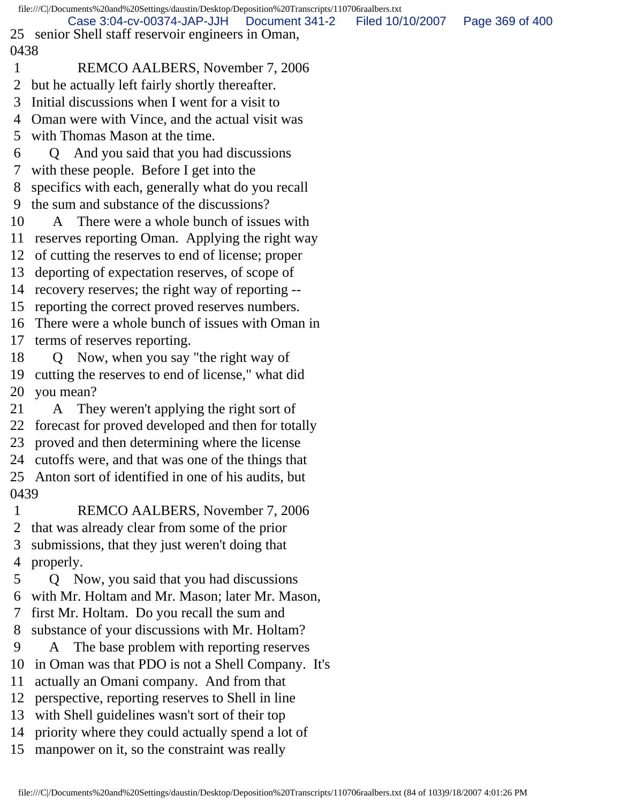file:///C|/Documents%20and%20Settings/daustin/Desktop/Deposition%20Transcripts/110706raalbers.txt 25 senior Shell staff reservoir engineers in Oman, 0438 1 REMCO AALBERS, November 7, 2006 2 but he actually left fairly shortly thereafter. 3 Initial discussions when I went for a visit to 4 Oman were with Vince, and the actual visit was 5 with Thomas Mason at the time. 6 Q And you said that you had discussions 7 with these people. Before I get into the 8 specifics with each, generally what do you recall 9 the sum and substance of the discussions? 10 A There were a whole bunch of issues with 11 reserves reporting Oman. Applying the right way 12 of cutting the reserves to end of license; proper 13 deporting of expectation reserves, of scope of 14 recovery reserves; the right way of reporting -- 15 reporting the correct proved reserves numbers. 16 There were a whole bunch of issues with Oman in 17 terms of reserves reporting. 18 Q Now, when you say "the right way of 19 cutting the reserves to end of license," what did 20 you mean? 21 A They weren't applying the right sort of 22 forecast for proved developed and then for totally 23 proved and then determining where the license 24 cutoffs were, and that was one of the things that 25 Anton sort of identified in one of his audits, but 0439 1 REMCO AALBERS, November 7, 2006 2 that was already clear from some of the prior 3 submissions, that they just weren't doing that 4 properly. 5 Q Now, you said that you had discussions 6 with Mr. Holtam and Mr. Mason; later Mr. Mason, 7 first Mr. Holtam. Do you recall the sum and 8 substance of your discussions with Mr. Holtam? 9 A The base problem with reporting reserves 10 in Oman was that PDO is not a Shell Company. It's 11 actually an Omani company. And from that 12 perspective, reporting reserves to Shell in line 13 with Shell guidelines wasn't sort of their top 14 priority where they could actually spend a lot of 15 manpower on it, so the constraint was really Case 3:04-cv-00374-JAP-JJH Document 341-2 Filed 10/10/2007 Page 369 of 400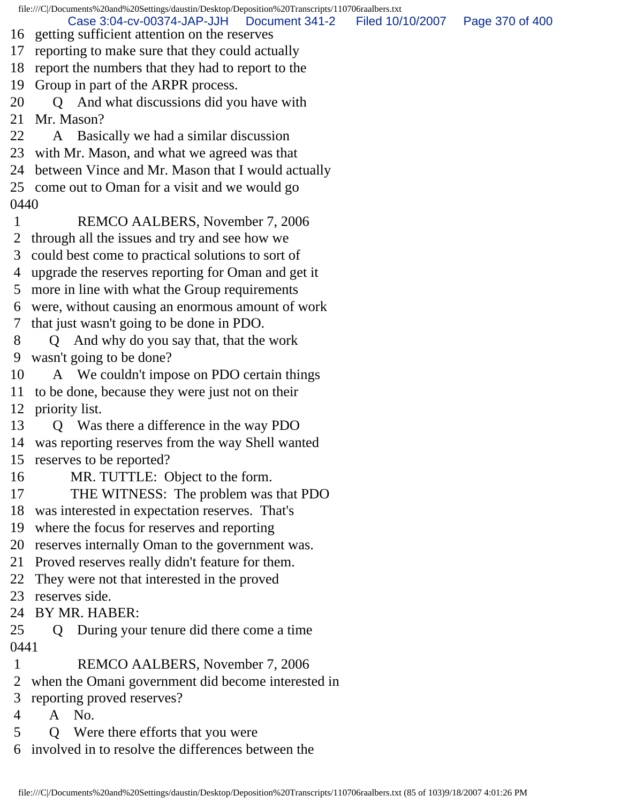file:///C|/Documents%20and%20Settings/daustin/Desktop/Deposition%20Transcripts/110706raalbers.txt 16 getting sufficient attention on the reserves 17 reporting to make sure that they could actually 18 report the numbers that they had to report to the 19 Group in part of the ARPR process. 20 Q And what discussions did you have with 21 Mr. Mason? 22 A Basically we had a similar discussion 23 with Mr. Mason, and what we agreed was that 24 between Vince and Mr. Mason that I would actually 25 come out to Oman for a visit and we would go 0440 1 REMCO AALBERS, November 7, 2006 2 through all the issues and try and see how we 3 could best come to practical solutions to sort of 4 upgrade the reserves reporting for Oman and get it 5 more in line with what the Group requirements 6 were, without causing an enormous amount of work 7 that just wasn't going to be done in PDO. 8 Q And why do you say that, that the work 9 wasn't going to be done? 10 A We couldn't impose on PDO certain things 11 to be done, because they were just not on their 12 priority list. 13 Q Was there a difference in the way PDO 14 was reporting reserves from the way Shell wanted 15 reserves to be reported? 16 MR. TUTTLE: Object to the form. 17 THE WITNESS: The problem was that PDO 18 was interested in expectation reserves. That's 19 where the focus for reserves and reporting 20 reserves internally Oman to the government was. 21 Proved reserves really didn't feature for them. 22 They were not that interested in the proved 23 reserves side. 24 BY MR. HABER: 25 Q During your tenure did there come a time 0441 1 REMCO AALBERS, November 7, 2006 2 when the Omani government did become interested in 3 reporting proved reserves? 4 A No. 5 Q Were there efforts that you were Case 3:04-cv-00374-JAP-JJH Document 341-2 Filed 10/10/2007 Page 370 of 400

6 involved in to resolve the differences between the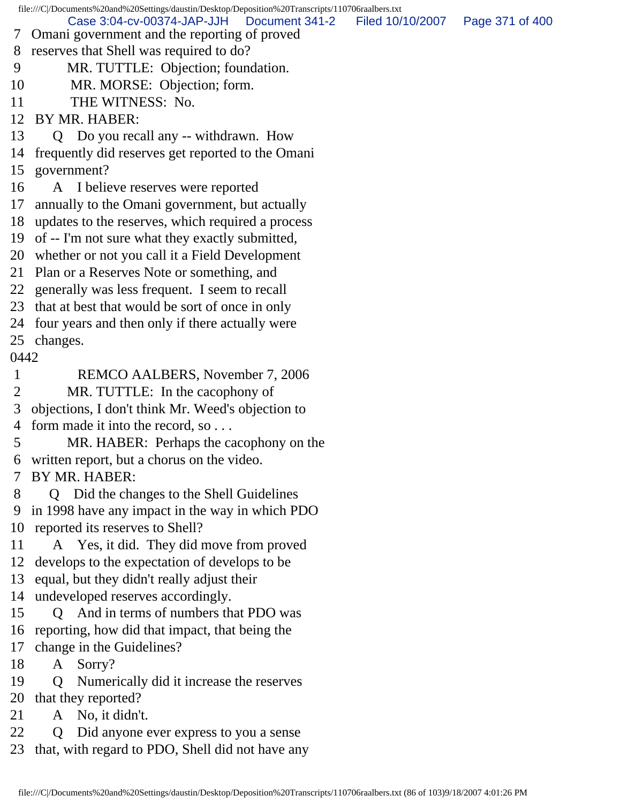file:///C|/Documents%20and%20Settings/daustin/Desktop/Deposition%20Transcripts/110706raalbers.txt 7 Omani government and the reporting of proved 8 reserves that Shell was required to do? 9 MR. TUTTLE: Objection; foundation. 10 MR. MORSE: Objection; form. 11 THE WITNESS: No. 12 BY MR. HABER: 13 Q Do you recall any -- withdrawn. How 14 frequently did reserves get reported to the Omani 15 government? 16 A I believe reserves were reported 17 annually to the Omani government, but actually 18 updates to the reserves, which required a process 19 of -- I'm not sure what they exactly submitted, 20 whether or not you call it a Field Development 21 Plan or a Reserves Note or something, and 22 generally was less frequent. I seem to recall 23 that at best that would be sort of once in only 24 four years and then only if there actually were 25 changes. 0442 1 REMCO AALBERS, November 7, 2006 2 MR. TUTTLE: In the cacophony of 3 objections, I don't think Mr. Weed's objection to 4 form made it into the record, so . . . 5 MR. HABER: Perhaps the cacophony on the 6 written report, but a chorus on the video. 7 BY MR. HABER: 8 Q Did the changes to the Shell Guidelines 9 in 1998 have any impact in the way in which PDO 10 reported its reserves to Shell? 11 A Yes, it did. They did move from proved 12 develops to the expectation of develops to be 13 equal, but they didn't really adjust their 14 undeveloped reserves accordingly. 15 Q And in terms of numbers that PDO was 16 reporting, how did that impact, that being the 17 change in the Guidelines? 18 A Sorry? 19 Q Numerically did it increase the reserves 20 that they reported? 21 A No, it didn't. 22 Q Did anyone ever express to you a sense 23 that, with regard to PDO, Shell did not have any Case 3:04-cv-00374-JAP-JJH Document 341-2 Filed 10/10/2007 Page 371 of 400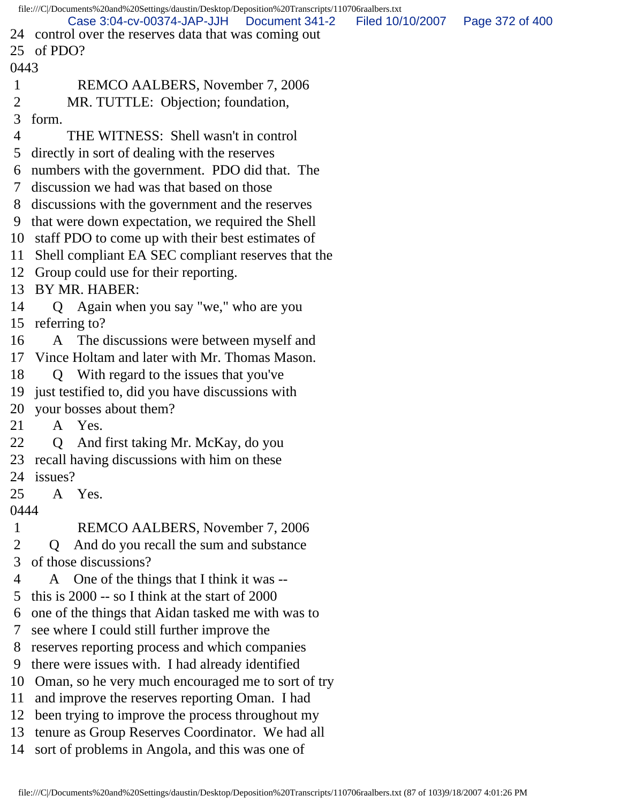|                | file:///C /Documents%20and%20Settings/daustin/Desktop/Deposition%20Transcripts/110706raalbers.txt<br>Case 3:04-cv-00374-JAP-JJH   Document 341-2        | Filed 10/10/2007 | Page 372 of 400 |
|----------------|---------------------------------------------------------------------------------------------------------------------------------------------------------|------------------|-----------------|
|                | 24 control over the reserves data that was coming out                                                                                                   |                  |                 |
| 25             | of PDO?                                                                                                                                                 |                  |                 |
| 0443           |                                                                                                                                                         |                  |                 |
| $\mathbf 1$    | REMCO AALBERS, November 7, 2006                                                                                                                         |                  |                 |
| 2              | MR. TUTTLE: Objection; foundation,                                                                                                                      |                  |                 |
| 3              | form.                                                                                                                                                   |                  |                 |
| 4              | THE WITNESS: Shell wasn't in control                                                                                                                    |                  |                 |
| 5              | directly in sort of dealing with the reserves                                                                                                           |                  |                 |
| 6              | numbers with the government. PDO did that. The                                                                                                          |                  |                 |
| 7              | discussion we had was that based on those                                                                                                               |                  |                 |
| 8              | discussions with the government and the reserves                                                                                                        |                  |                 |
| 9              | that were down expectation, we required the Shell                                                                                                       |                  |                 |
| 10             | staff PDO to come up with their best estimates of                                                                                                       |                  |                 |
| 11             | Shell compliant EA SEC compliant reserves that the                                                                                                      |                  |                 |
| 12             | Group could use for their reporting.                                                                                                                    |                  |                 |
| 13             | BY MR. HABER:                                                                                                                                           |                  |                 |
| 14             | Again when you say "we," who are you<br>$\mathbf Q$                                                                                                     |                  |                 |
| 15             | referring to?                                                                                                                                           |                  |                 |
| 16             | The discussions were between myself and<br>A                                                                                                            |                  |                 |
| 17             | Vince Holtam and later with Mr. Thomas Mason.                                                                                                           |                  |                 |
| 18             | With regard to the issues that you've<br>$\mathbf{Q}$                                                                                                   |                  |                 |
| 19             | just testified to, did you have discussions with                                                                                                        |                  |                 |
| 20             | your bosses about them?                                                                                                                                 |                  |                 |
| 21             | A Yes.                                                                                                                                                  |                  |                 |
| 22             | And first taking Mr. McKay, do you<br>Q                                                                                                                 |                  |                 |
| 23             | recall having discussions with him on these                                                                                                             |                  |                 |
| 24             | issues?                                                                                                                                                 |                  |                 |
| 25             | A Yes.                                                                                                                                                  |                  |                 |
| 0444           |                                                                                                                                                         |                  |                 |
| $\mathbf{1}$   | REMCO AALBERS, November 7, 2006                                                                                                                         |                  |                 |
| 2              | And do you recall the sum and substance<br>$\mathbf 0$                                                                                                  |                  |                 |
| 3              | of those discussions?                                                                                                                                   |                  |                 |
| 4              | One of the things that I think it was --<br>A                                                                                                           |                  |                 |
| 5              | this is 2000 -- so I think at the start of 2000                                                                                                         |                  |                 |
| 6              | one of the things that Aidan tasked me with was to                                                                                                      |                  |                 |
| 7              | see where I could still further improve the                                                                                                             |                  |                 |
| 8              | reserves reporting process and which companies                                                                                                          |                  |                 |
| 9              | there were issues with. I had already identified                                                                                                        |                  |                 |
| 10             | Oman, so he very much encouraged me to sort of try                                                                                                      |                  |                 |
| 11             | and improve the reserves reporting Oman. I had                                                                                                          |                  |                 |
|                |                                                                                                                                                         |                  |                 |
|                |                                                                                                                                                         |                  |                 |
| 12<br>13<br>14 | been trying to improve the process throughout my<br>tenure as Group Reserves Coordinator. We had all<br>sort of problems in Angola, and this was one of |                  |                 |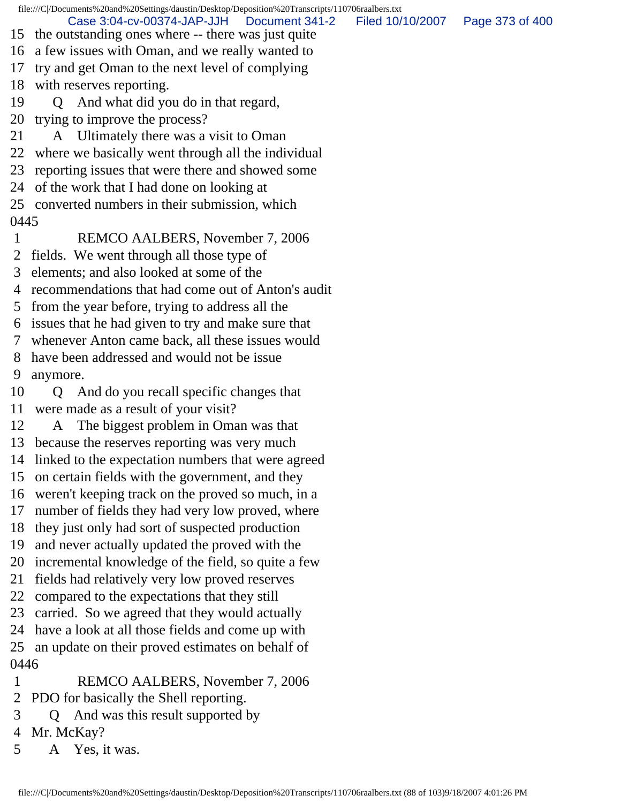file:///C|/Documents%20and%20Settings/daustin/Desktop/Deposition%20Transcripts/110706raalbers.txt 15 the outstanding ones where -- there was just quite 16 a few issues with Oman, and we really wanted to 17 try and get Oman to the next level of complying 18 with reserves reporting. 19 Q And what did you do in that regard, 20 trying to improve the process? 21 A Ultimately there was a visit to Oman 22 where we basically went through all the individual 23 reporting issues that were there and showed some 24 of the work that I had done on looking at 25 converted numbers in their submission, which 0445 1 REMCO AALBERS, November 7, 2006 2 fields. We went through all those type of 3 elements; and also looked at some of the 4 recommendations that had come out of Anton's audit 5 from the year before, trying to address all the 6 issues that he had given to try and make sure that 7 whenever Anton came back, all these issues would 8 have been addressed and would not be issue 9 anymore. 10 Q And do you recall specific changes that 11 were made as a result of your visit? 12 A The biggest problem in Oman was that 13 because the reserves reporting was very much 14 linked to the expectation numbers that were agreed 15 on certain fields with the government, and they 16 weren't keeping track on the proved so much, in a 17 number of fields they had very low proved, where 18 they just only had sort of suspected production 19 and never actually updated the proved with the 20 incremental knowledge of the field, so quite a few 21 fields had relatively very low proved reserves 22 compared to the expectations that they still 23 carried. So we agreed that they would actually 24 have a look at all those fields and come up with 25 an update on their proved estimates on behalf of 0446 1 REMCO AALBERS, November 7, 2006 2 PDO for basically the Shell reporting. Case 3:04-cv-00374-JAP-JJH Document 341-2 Filed 10/10/2007 Page 373 of 400

- 3 Q And was this result supported by
- 4 Mr. McKay?
- 5 A Yes, it was.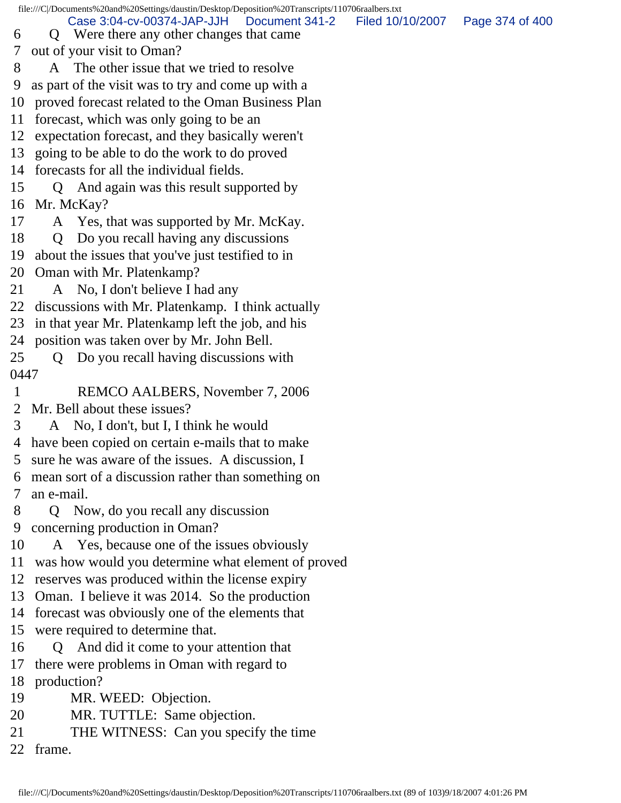file:///C|/Documents%20and%20Settings/daustin/Desktop/Deposition%20Transcripts/110706raalbers.txt 6 Q Were there any other changes that came 7 out of your visit to Oman? 8 A The other issue that we tried to resolve 9 as part of the visit was to try and come up with a 10 proved forecast related to the Oman Business Plan 11 forecast, which was only going to be an 12 expectation forecast, and they basically weren't 13 going to be able to do the work to do proved 14 forecasts for all the individual fields. 15 Q And again was this result supported by 16 Mr. McKay? 17 A Yes, that was supported by Mr. McKay. 18 Q Do you recall having any discussions 19 about the issues that you've just testified to in 20 Oman with Mr. Platenkamp? 21 A No, I don't believe I had any 22 discussions with Mr. Platenkamp. I think actually 23 in that year Mr. Platenkamp left the job, and his 24 position was taken over by Mr. John Bell. 25 Q Do you recall having discussions with 0447 1 REMCO AALBERS, November 7, 2006 2 Mr. Bell about these issues? 3 A No, I don't, but I, I think he would 4 have been copied on certain e-mails that to make 5 sure he was aware of the issues. A discussion, I 6 mean sort of a discussion rather than something on 7 an e-mail. 8 Q Now, do you recall any discussion 9 concerning production in Oman? 10 A Yes, because one of the issues obviously 11 was how would you determine what element of proved 12 reserves was produced within the license expiry 13 Oman. I believe it was 2014. So the production 14 forecast was obviously one of the elements that 15 were required to determine that. 16 Q And did it come to your attention that 17 there were problems in Oman with regard to 18 production? 19 MR. WEED: Objection. 20 MR. TUTTLE: Same objection. 21 THE WITNESS: Can you specify the time 22 frame. Case 3:04-cv-00374-JAP-JJH Document 341-2 Filed 10/10/2007 Page 374 of 400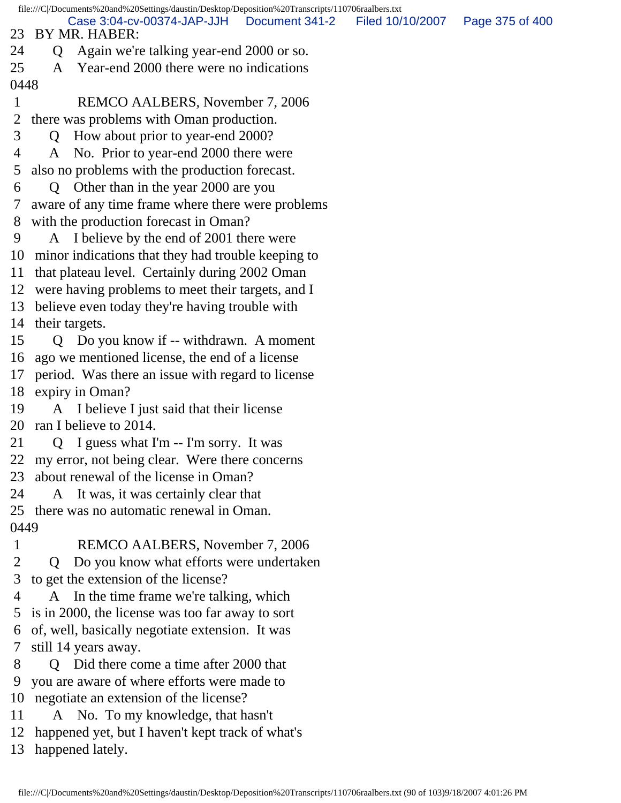file:///C|/Documents%20and%20Settings/daustin/Desktop/Deposition%20Transcripts/110706raalbers.txt 23 BY MR. HABER: 24 Q Again we're talking year-end 2000 or so. 25 A Year-end 2000 there were no indications 0448 1 REMCO AALBERS, November 7, 2006 2 there was problems with Oman production. 3 Q How about prior to year-end 2000? 4 A No. Prior to year-end 2000 there were 5 also no problems with the production forecast. 6 Q Other than in the year 2000 are you 7 aware of any time frame where there were problems 8 with the production forecast in Oman? 9 A I believe by the end of 2001 there were 10 minor indications that they had trouble keeping to 11 that plateau level. Certainly during 2002 Oman 12 were having problems to meet their targets, and I 13 believe even today they're having trouble with 14 their targets. 15 Q Do you know if -- withdrawn. A moment 16 ago we mentioned license, the end of a license 17 period. Was there an issue with regard to license 18 expiry in Oman? 19 A I believe I just said that their license 20 ran I believe to 2014. 21 Q I guess what I'm -- I'm sorry. It was 22 my error, not being clear. Were there concerns 23 about renewal of the license in Oman? 24 A It was, it was certainly clear that 25 there was no automatic renewal in Oman. 0449 1 REMCO AALBERS, November 7, 2006 2 Q Do you know what efforts were undertaken 3 to get the extension of the license? 4 A In the time frame we're talking, which 5 is in 2000, the license was too far away to sort 6 of, well, basically negotiate extension. It was 7 still 14 years away. 8 Q Did there come a time after 2000 that 9 you are aware of where efforts were made to 10 negotiate an extension of the license? 11 A No. To my knowledge, that hasn't 12 happened yet, but I haven't kept track of what's Case 3:04-cv-00374-JAP-JJH Document 341-2 Filed 10/10/2007 Page 375 of 400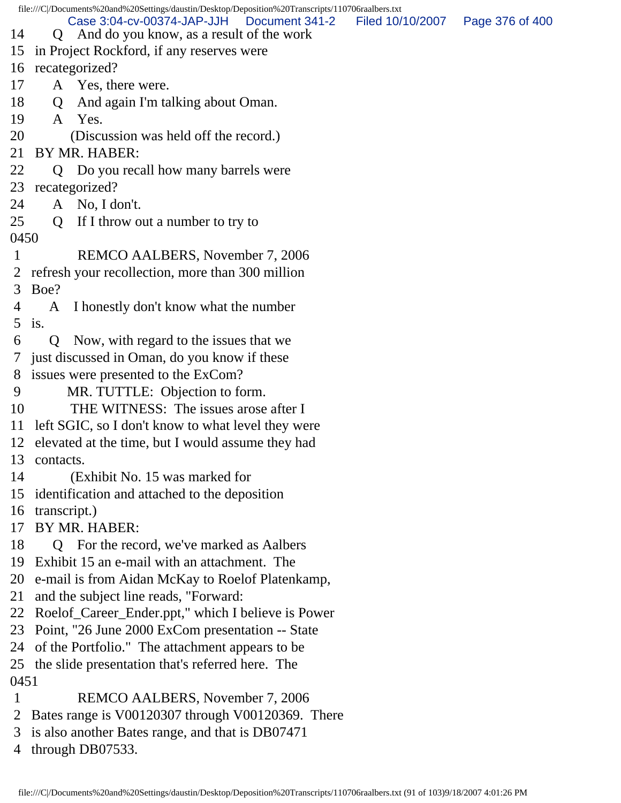file:///C|/Documents%20and%20Settings/daustin/Desktop/Deposition%20Transcripts/110706raalbers.txt 14 Q And do you know, as a result of the work 15 in Project Rockford, if any reserves were 16 recategorized? 17 A Yes, there were. 18 Q And again I'm talking about Oman. 19 A Yes. 20 (Discussion was held off the record.) 21 BY MR. HABER: 22 Q Do you recall how many barrels were 23 recategorized? 24 A No, I don't. 25 Q If I throw out a number to try to 0450 1 REMCO AALBERS, November 7, 2006 2 refresh your recollection, more than 300 million 3 Boe? 4 A I honestly don't know what the number 5 is. 6 Q Now, with regard to the issues that we 7 just discussed in Oman, do you know if these 8 issues were presented to the ExCom? 9 MR. TUTTLE: Objection to form. 10 THE WITNESS: The issues arose after I 11 left SGIC, so I don't know to what level they were 12 elevated at the time, but I would assume they had 13 contacts. 14 (Exhibit No. 15 was marked for 15 identification and attached to the deposition 16 transcript.) 17 BY MR. HABER: 18 Q For the record, we've marked as Aalbers 19 Exhibit 15 an e-mail with an attachment. The 20 e-mail is from Aidan McKay to Roelof Platenkamp, 21 and the subject line reads, "Forward: 22 Roelof\_Career\_Ender.ppt," which I believe is Power 23 Point, "26 June 2000 ExCom presentation -- State 24 of the Portfolio." The attachment appears to be 25 the slide presentation that's referred here. The 0451 1 REMCO AALBERS, November 7, 2006 2 Bates range is V00120307 through V00120369. There 3 is also another Bates range, and that is DB07471 Case 3:04-cv-00374-JAP-JJH Document 341-2 Filed 10/10/2007 Page 376 of 400

4 through DB07533.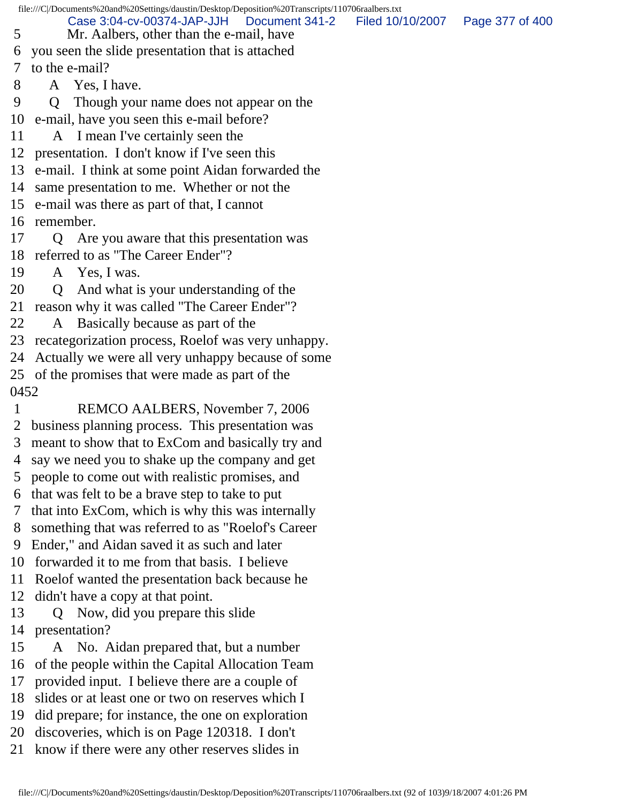file:///C|/Documents%20and%20Settings/daustin/Desktop/Deposition%20Transcripts/110706raalbers.txt 5 Mr. Aalbers, other than the e-mail, have 6 you seen the slide presentation that is attached 7 to the e-mail? 8 A Yes, I have. 9 Q Though your name does not appear on the 10 e-mail, have you seen this e-mail before? 11 A I mean I've certainly seen the 12 presentation. I don't know if I've seen this 13 e-mail. I think at some point Aidan forwarded the 14 same presentation to me. Whether or not the 15 e-mail was there as part of that, I cannot 16 remember. 17 Q Are you aware that this presentation was 18 referred to as "The Career Ender"? 19 A Yes, I was. 20 Q And what is your understanding of the 21 reason why it was called "The Career Ender"? 22 A Basically because as part of the 23 recategorization process, Roelof was very unhappy. 24 Actually we were all very unhappy because of some 25 of the promises that were made as part of the 0452 1 REMCO AALBERS, November 7, 2006 2 business planning process. This presentation was 3 meant to show that to ExCom and basically try and 4 say we need you to shake up the company and get 5 people to come out with realistic promises, and 6 that was felt to be a brave step to take to put 7 that into ExCom, which is why this was internally 8 something that was referred to as "Roelof's Career 9 Ender," and Aidan saved it as such and later 10 forwarded it to me from that basis. I believe 11 Roelof wanted the presentation back because he 12 didn't have a copy at that point. 13 Q Now, did you prepare this slide 14 presentation? 15 A No. Aidan prepared that, but a number 16 of the people within the Capital Allocation Team 17 provided input. I believe there are a couple of 18 slides or at least one or two on reserves which I 19 did prepare; for instance, the one on exploration 20 discoveries, which is on Page 120318. I don't 21 know if there were any other reserves slides in Case 3:04-cv-00374-JAP-JJH Document 341-2 Filed 10/10/2007 Page 377 of 400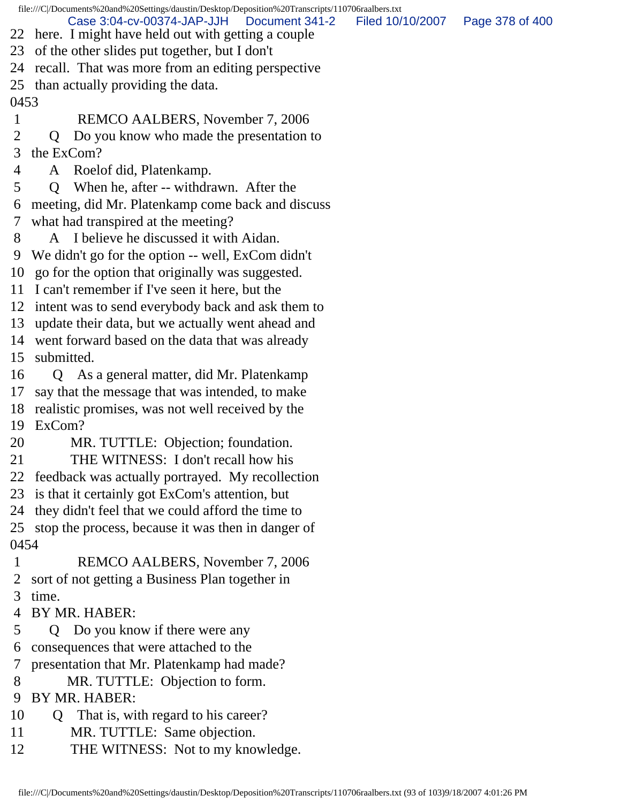file:///C|/Documents%20and%20Settings/daustin/Desktop/Deposition%20Transcripts/110706raalbers.txt 22 here. I might have held out with getting a couple 23 of the other slides put together, but I don't 24 recall. That was more from an editing perspective 25 than actually providing the data. 0453 1 REMCO AALBERS, November 7, 2006 2 Q Do you know who made the presentation to 3 the ExCom? 4 A Roelof did, Platenkamp. 5 Q When he, after -- withdrawn. After the 6 meeting, did Mr. Platenkamp come back and discuss 7 what had transpired at the meeting? 8 A I believe he discussed it with Aidan. 9 We didn't go for the option -- well, ExCom didn't 10 go for the option that originally was suggested. 11 I can't remember if I've seen it here, but the 12 intent was to send everybody back and ask them to 13 update their data, but we actually went ahead and 14 went forward based on the data that was already 15 submitted. 16 Q As a general matter, did Mr. Platenkamp 17 say that the message that was intended, to make 18 realistic promises, was not well received by the 19 ExCom? 20 MR. TUTTLE: Objection; foundation. 21 THE WITNESS: I don't recall how his 22 feedback was actually portrayed. My recollection 23 is that it certainly got ExCom's attention, but 24 they didn't feel that we could afford the time to 25 stop the process, because it was then in danger of 0454 1 REMCO AALBERS, November 7, 2006 2 sort of not getting a Business Plan together in 3 time. 4 BY MR. HABER: 5 Q Do you know if there were any 6 consequences that were attached to the 7 presentation that Mr. Platenkamp had made? 8 MR. TUTTLE: Objection to form. 9 BY MR. HABER: 10 Q That is, with regard to his career? 11 MR. TUTTLE: Same objection. 12 THE WITNESS: Not to my knowledge. Case 3:04-cv-00374-JAP-JJH Document 341-2 Filed 10/10/2007 Page 378 of 400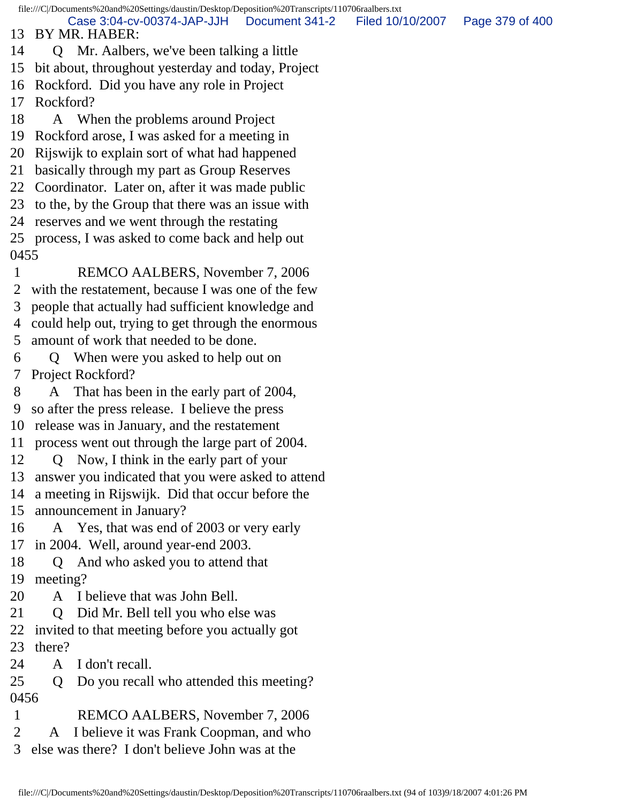file:///C|/Documents%20and%20Settings/daustin/Desktop/Deposition%20Transcripts/110706raalbers.txt 13 BY MR. HABER: 14 Q Mr. Aalbers, we've been talking a little 15 bit about, throughout yesterday and today, Project 16 Rockford. Did you have any role in Project 17 Rockford? 18 A When the problems around Project 19 Rockford arose, I was asked for a meeting in 20 Rijswijk to explain sort of what had happened 21 basically through my part as Group Reserves 22 Coordinator. Later on, after it was made public 23 to the, by the Group that there was an issue with 24 reserves and we went through the restating 25 process, I was asked to come back and help out 0455 1 REMCO AALBERS, November 7, 2006 2 with the restatement, because I was one of the few 3 people that actually had sufficient knowledge and 4 could help out, trying to get through the enormous 5 amount of work that needed to be done. 6 Q When were you asked to help out on 7 Project Rockford? 8 A That has been in the early part of 2004, 9 so after the press release. I believe the press 10 release was in January, and the restatement 11 process went out through the large part of 2004. 12 Q Now, I think in the early part of your 13 answer you indicated that you were asked to attend 14 a meeting in Rijswijk. Did that occur before the 15 announcement in January? 16 A Yes, that was end of 2003 or very early 17 in 2004. Well, around year-end 2003. 18 Q And who asked you to attend that 19 meeting? 20 A I believe that was John Bell. 21 Q Did Mr. Bell tell you who else was 22 invited to that meeting before you actually got 23 there? 24 A I don't recall. 25 Q Do you recall who attended this meeting? 0456 1 REMCO AALBERS, November 7, 2006 2 A I believe it was Frank Coopman, and who 3 else was there? I don't believe John was at the Case 3:04-cv-00374-JAP-JJH Document 341-2 Filed 10/10/2007 Page 379 of 400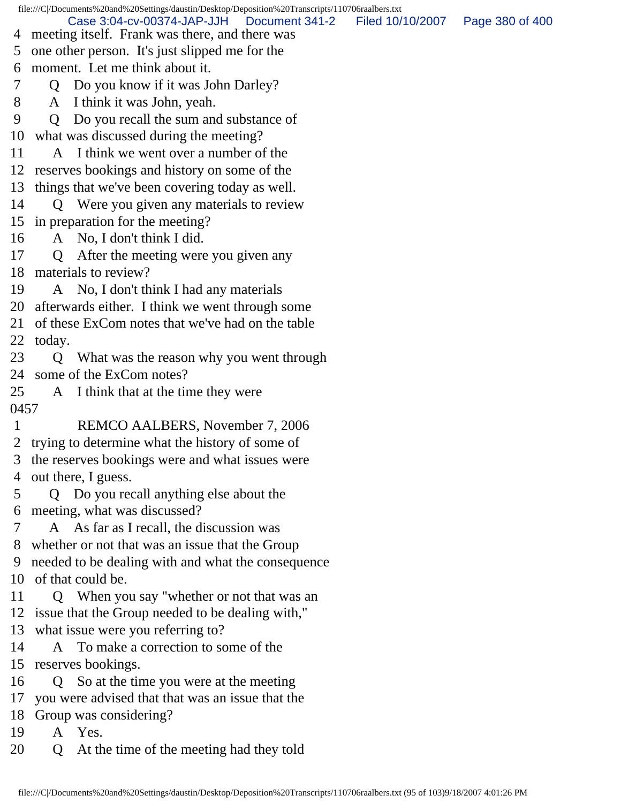file:///C|/Documents%20and%20Settings/daustin/Desktop/Deposition%20Transcripts/110706raalbers.txt 4 meeting itself. Frank was there, and there was 5 one other person. It's just slipped me for the 6 moment. Let me think about it. 7 Q Do you know if it was John Darley? 8 A I think it was John, yeah. 9 Q Do you recall the sum and substance of 10 what was discussed during the meeting? 11 A I think we went over a number of the 12 reserves bookings and history on some of the 13 things that we've been covering today as well. 14 Q Were you given any materials to review 15 in preparation for the meeting? 16 A No, I don't think I did. 17 Q After the meeting were you given any 18 materials to review? 19 A No, I don't think I had any materials 20 afterwards either. I think we went through some 21 of these ExCom notes that we've had on the table 22 today. 23 Q What was the reason why you went through 24 some of the ExCom notes? 25 A I think that at the time they were 0457 1 REMCO AALBERS, November 7, 2006 2 trying to determine what the history of some of 3 the reserves bookings were and what issues were 4 out there, I guess. 5 Q Do you recall anything else about the 6 meeting, what was discussed? 7 A As far as I recall, the discussion was 8 whether or not that was an issue that the Group 9 needed to be dealing with and what the consequence 10 of that could be. 11 Q When you say "whether or not that was an 12 issue that the Group needed to be dealing with," 13 what issue were you referring to? 14 A To make a correction to some of the 15 reserves bookings. 16 Q So at the time you were at the meeting 17 you were advised that that was an issue that the 18 Group was considering? 19 A Yes. 20 Q At the time of the meeting had they told Case 3:04-cv-00374-JAP-JJH Document 341-2 Filed 10/10/2007 Page 380 of 400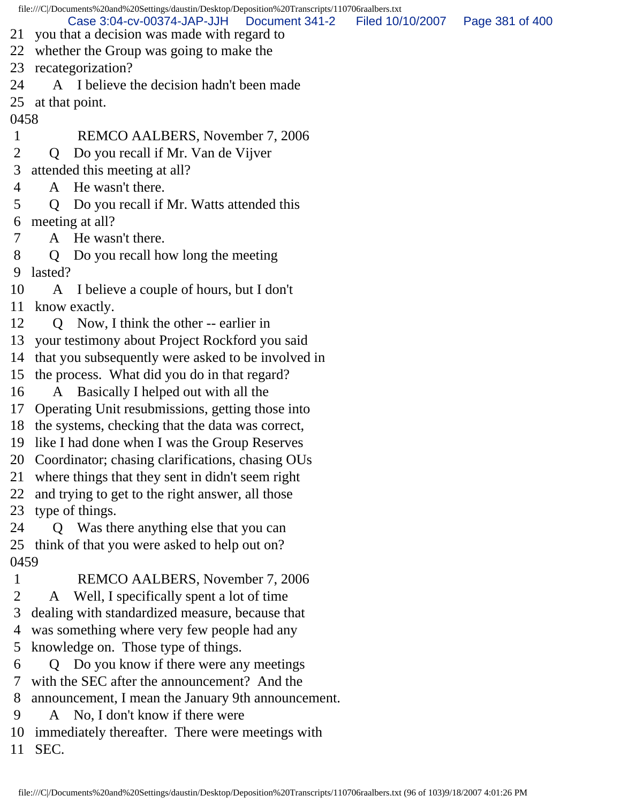file:///C|/Documents%20and%20Settings/daustin/Desktop/Deposition%20Transcripts/110706raalbers.txt 21 you that a decision was made with regard to 22 whether the Group was going to make the 23 recategorization? 24 A I believe the decision hadn't been made 25 at that point. 0458 1 REMCO AALBERS, November 7, 2006 2 Q Do you recall if Mr. Van de Vijver 3 attended this meeting at all? 4 A He wasn't there. 5 Q Do you recall if Mr. Watts attended this 6 meeting at all? 7 A He wasn't there. 8 Q Do you recall how long the meeting 9 lasted? 10 A I believe a couple of hours, but I don't 11 know exactly. 12 Q Now, I think the other -- earlier in 13 your testimony about Project Rockford you said 14 that you subsequently were asked to be involved in 15 the process. What did you do in that regard? 16 A Basically I helped out with all the 17 Operating Unit resubmissions, getting those into 18 the systems, checking that the data was correct, 19 like I had done when I was the Group Reserves 20 Coordinator; chasing clarifications, chasing OUs 21 where things that they sent in didn't seem right 22 and trying to get to the right answer, all those 23 type of things. 24 Q Was there anything else that you can 25 think of that you were asked to help out on? 0459 1 REMCO AALBERS, November 7, 2006 2 A Well, I specifically spent a lot of time 3 dealing with standardized measure, because that 4 was something where very few people had any 5 knowledge on. Those type of things. 6 Q Do you know if there were any meetings 7 with the SEC after the announcement? And the 8 announcement, I mean the January 9th announcement. 9 A No, I don't know if there were 10 immediately thereafter. There were meetings with Case 3:04-cv-00374-JAP-JJH Document 341-2 Filed 10/10/2007 Page 381 of 400

11 SEC.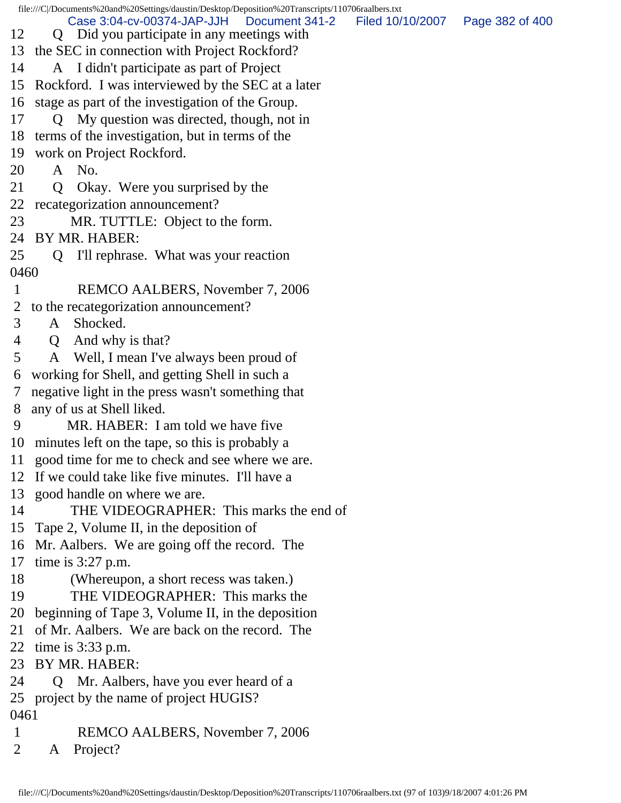file:///C|/Documents%20and%20Settings/daustin/Desktop/Deposition%20Transcripts/110706raalbers.txt 12 Q Did you participate in any meetings with 13 the SEC in connection with Project Rockford? 14 A I didn't participate as part of Project 15 Rockford. I was interviewed by the SEC at a later 16 stage as part of the investigation of the Group. 17 Q My question was directed, though, not in 18 terms of the investigation, but in terms of the 19 work on Project Rockford. 20 A No. 21 Q Okay. Were you surprised by the 22 recategorization announcement? 23 MR. TUTTLE: Object to the form. 24 BY MR. HABER: 25 Q I'll rephrase. What was your reaction 0460 1 REMCO AALBERS, November 7, 2006 2 to the recategorization announcement? 3 A Shocked. 4 Q And why is that? 5 A Well, I mean I've always been proud of 6 working for Shell, and getting Shell in such a 7 negative light in the press wasn't something that 8 any of us at Shell liked. 9 MR. HABER: I am told we have five 10 minutes left on the tape, so this is probably a 11 good time for me to check and see where we are. 12 If we could take like five minutes. I'll have a 13 good handle on where we are. 14 THE VIDEOGRAPHER: This marks the end of 15 Tape 2, Volume II, in the deposition of 16 Mr. Aalbers. We are going off the record. The 17 time is 3:27 p.m. 18 (Whereupon, a short recess was taken.) 19 THE VIDEOGRAPHER: This marks the 20 beginning of Tape 3, Volume II, in the deposition 21 of Mr. Aalbers. We are back on the record. The 22 time is 3:33 p.m. 23 BY MR. HABER: 24 Q Mr. Aalbers, have you ever heard of a 25 project by the name of project HUGIS? 0461 1 REMCO AALBERS, November 7, 2006 2 A Project? Case 3:04-cv-00374-JAP-JJH Document 341-2 Filed 10/10/2007 Page 382 of 400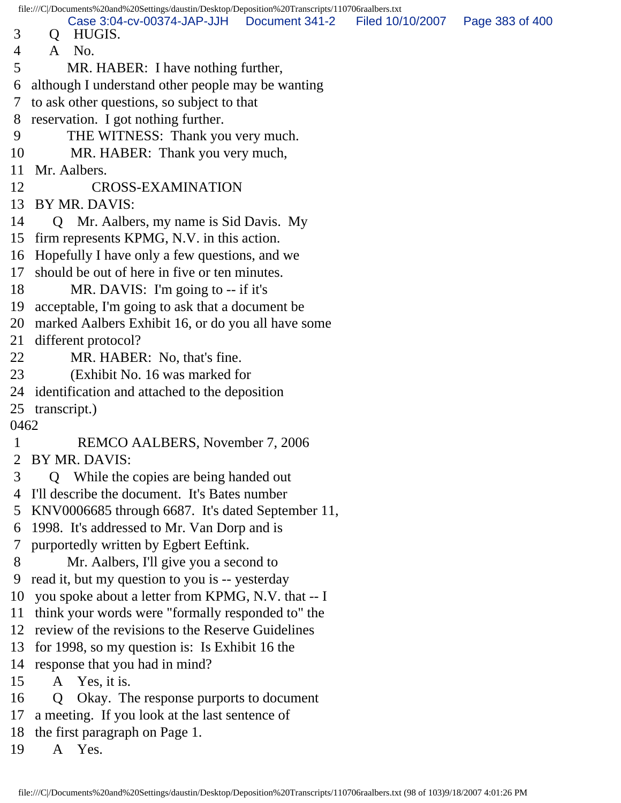|             |                | file:///C /Documents%20and%20Settings/daustin/Desktop/Deposition%20Transcripts/110706raalbers.txt |                  |                 |
|-------------|----------------|---------------------------------------------------------------------------------------------------|------------------|-----------------|
| 3           | $\mathsf{Q}$   | Case 3:04-cv-00374-JAP-JJH   Document 341-2<br>HUGIS.                                             | Filed 10/10/2007 | Page 383 of 400 |
| 4           | $\mathsf{A}$   | No.                                                                                               |                  |                 |
| 5           |                | MR. HABER: I have nothing further,                                                                |                  |                 |
| 6           |                | although I understand other people may be wanting                                                 |                  |                 |
| $\tau$      |                | to ask other questions, so subject to that                                                        |                  |                 |
| 8           |                | reservation. I got nothing further.                                                               |                  |                 |
| 9           |                | THE WITNESS: Thank you very much.                                                                 |                  |                 |
| 10          |                | MR. HABER: Thank you very much,                                                                   |                  |                 |
| 11          |                | Mr. Aalbers.                                                                                      |                  |                 |
| 12          |                | <b>CROSS-EXAMINATION</b>                                                                          |                  |                 |
| 13          |                | BY MR. DAVIS:                                                                                     |                  |                 |
| 14          |                | Q Mr. Aalbers, my name is Sid Davis. My                                                           |                  |                 |
|             |                | 15 firm represents KPMG, N.V. in this action.                                                     |                  |                 |
|             |                | 16 Hopefully I have only a few questions, and we                                                  |                  |                 |
| 17          |                | should be out of here in five or ten minutes.                                                     |                  |                 |
| 18          |                | MR. DAVIS: I'm going to $-$ if it's                                                               |                  |                 |
|             |                | 19 acceptable, I'm going to ask that a document be                                                |                  |                 |
|             |                | 20 marked Aalbers Exhibit 16, or do you all have some                                             |                  |                 |
| 21          |                | different protocol?                                                                               |                  |                 |
| 22          |                | MR. HABER: No, that's fine.                                                                       |                  |                 |
| 23          |                | (Exhibit No. 16 was marked for                                                                    |                  |                 |
|             |                | 24 identification and attached to the deposition                                                  |                  |                 |
|             |                | 25 transcript.)                                                                                   |                  |                 |
| 0462        |                |                                                                                                   |                  |                 |
| $\mathbf 1$ |                | REMCO AALBERS, November 7, 2006                                                                   |                  |                 |
|             |                | 2 BY MR. DAVIS:                                                                                   |                  |                 |
| 3           | $\overline{O}$ | While the copies are being handed out                                                             |                  |                 |
| 4           |                | I'll describe the document. It's Bates number                                                     |                  |                 |
| 5           |                | KNV0006685 through 6687. It's dated September 11,                                                 |                  |                 |
| 6           |                | 1998. It's addressed to Mr. Van Dorp and is                                                       |                  |                 |
| 7           |                | purportedly written by Egbert Eeftink.                                                            |                  |                 |
| 8           |                | Mr. Aalbers, I'll give you a second to                                                            |                  |                 |
| 9           |                | read it, but my question to you is -- yesterday                                                   |                  |                 |
| 10          |                | you spoke about a letter from KPMG, N.V. that -- I                                                |                  |                 |
| 11          |                | think your words were "formally responded to" the                                                 |                  |                 |
|             |                | 12 review of the revisions to the Reserve Guidelines                                              |                  |                 |
| 13          |                | for 1998, so my question is: Is Exhibit 16 the                                                    |                  |                 |
| 14          |                | response that you had in mind?                                                                    |                  |                 |
| 15          |                | A Yes, it is.                                                                                     |                  |                 |
| 16          | Q              | Okay. The response purports to document                                                           |                  |                 |
| 17          |                | a meeting. If you look at the last sentence of                                                    |                  |                 |
| 18          |                | the first paragraph on Page 1.                                                                    |                  |                 |
| 19          |                | A Yes.                                                                                            |                  |                 |
|             |                |                                                                                                   |                  |                 |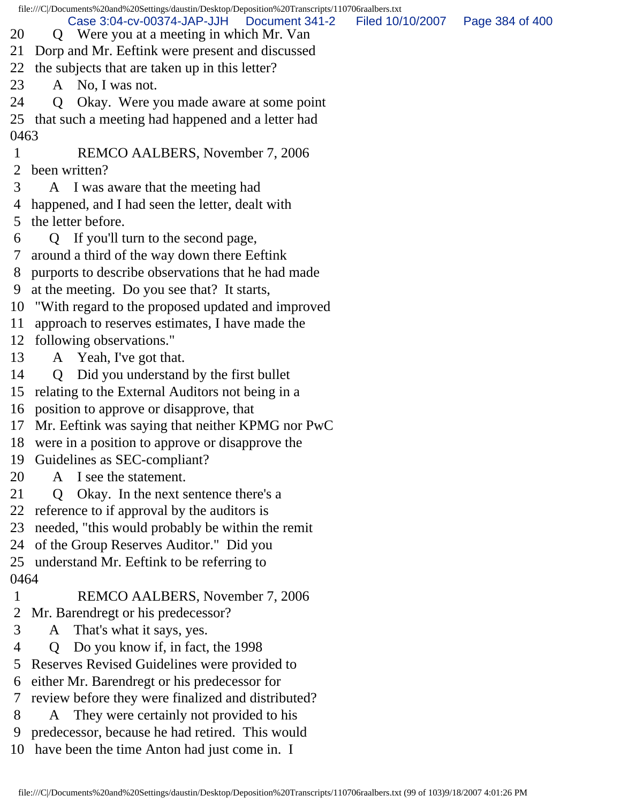file:///C|/Documents%20and%20Settings/daustin/Desktop/Deposition%20Transcripts/110706raalbers.txt 20 Q Were you at a meeting in which Mr. Van 21 Dorp and Mr. Eeftink were present and discussed 22 the subjects that are taken up in this letter? 23 A No, I was not. 24 Q Okay. Were you made aware at some point 25 that such a meeting had happened and a letter had 0463 1 REMCO AALBERS, November 7, 2006 2 been written? 3 A I was aware that the meeting had 4 happened, and I had seen the letter, dealt with 5 the letter before. 6 Q If you'll turn to the second page, 7 around a third of the way down there Eeftink 8 purports to describe observations that he had made 9 at the meeting. Do you see that? It starts, 10 "With regard to the proposed updated and improved 11 approach to reserves estimates, I have made the 12 following observations." 13 A Yeah, I've got that. 14 Q Did you understand by the first bullet 15 relating to the External Auditors not being in a 16 position to approve or disapprove, that 17 Mr. Eeftink was saying that neither KPMG nor PwC 18 were in a position to approve or disapprove the 19 Guidelines as SEC-compliant? 20 A I see the statement. 21 Q Okay. In the next sentence there's a 22 reference to if approval by the auditors is 23 needed, "this would probably be within the remit 24 of the Group Reserves Auditor." Did you 25 understand Mr. Eeftink to be referring to 0464 1 REMCO AALBERS, November 7, 2006 2 Mr. Barendregt or his predecessor? 3 A That's what it says, yes. 4 Q Do you know if, in fact, the 1998 5 Reserves Revised Guidelines were provided to 6 either Mr. Barendregt or his predecessor for 7 review before they were finalized and distributed? 8 A They were certainly not provided to his 9 predecessor, because he had retired. This would Case 3:04-cv-00374-JAP-JJH Document 341-2 Filed 10/10/2007 Page 384 of 400

10 have been the time Anton had just come in. I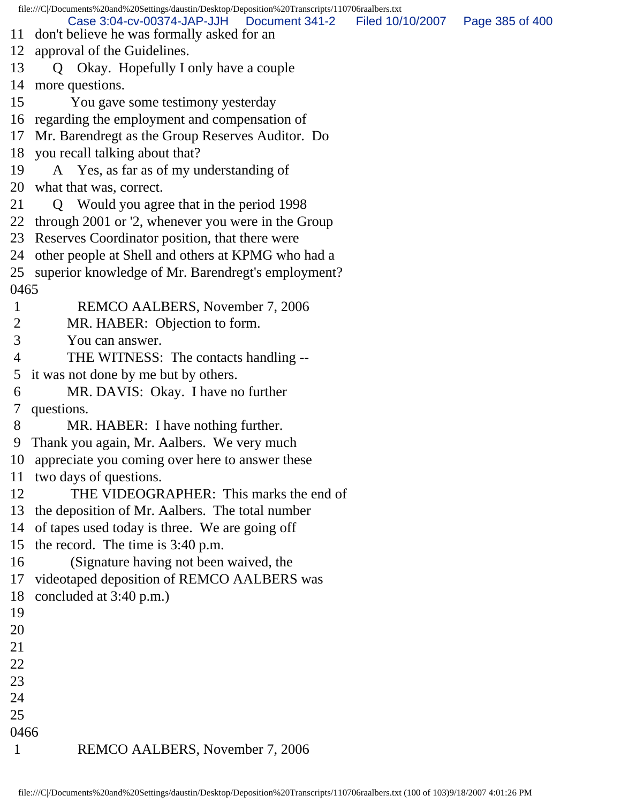file:///C|/Documents%20and%20Settings/daustin/Desktop/Deposition%20Transcripts/110706raalbers.txt 11 don't believe he was formally asked for an 12 approval of the Guidelines. 13 Q Okay. Hopefully I only have a couple 14 more questions. 15 You gave some testimony yesterday 16 regarding the employment and compensation of 17 Mr. Barendregt as the Group Reserves Auditor. Do 18 you recall talking about that? 19 A Yes, as far as of my understanding of 20 what that was, correct. 21 Q Would you agree that in the period 1998 22 through 2001 or '2, whenever you were in the Group 23 Reserves Coordinator position, that there were 24 other people at Shell and others at KPMG who had a 25 superior knowledge of Mr. Barendregt's employment? 0465 1 REMCO AALBERS, November 7, 2006 2 MR. HABER: Objection to form. 3 You can answer. 4 THE WITNESS: The contacts handling -- 5 it was not done by me but by others. 6 MR. DAVIS: Okay. I have no further 7 questions. 8 MR. HABER: I have nothing further. 9 Thank you again, Mr. Aalbers. We very much 10 appreciate you coming over here to answer these 11 two days of questions. 12 THE VIDEOGRAPHER: This marks the end of 13 the deposition of Mr. Aalbers. The total number 14 of tapes used today is three. We are going off 15 the record. The time is 3:40 p.m. 16 (Signature having not been waived, the 17 videotaped deposition of REMCO AALBERS was 18 concluded at 3:40 p.m.) 19 20 21 22 23 24 25 0466 1 REMCO AALBERS, November 7, 2006 Case 3:04-cv-00374-JAP-JJH Document 341-2 Filed 10/10/2007 Page 385 of 400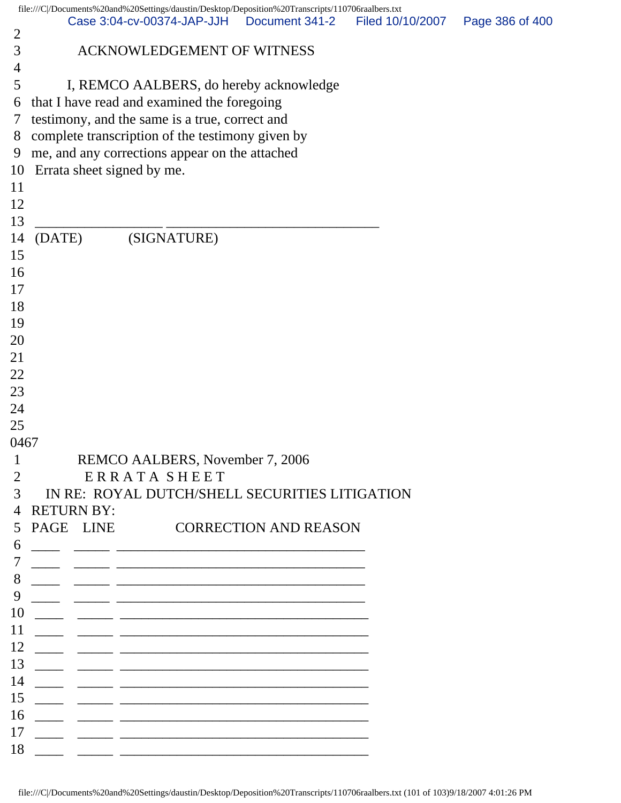|                | file:///C /Documents%20and%20Settings/daustin/Desktop/Deposition%20Transcripts/110706raalbers.txt                      |  |                  |                 |
|----------------|------------------------------------------------------------------------------------------------------------------------|--|------------------|-----------------|
| $\overline{2}$ | Case 3:04-cv-00374-JAP-JJH   Document 341-2                                                                            |  | Filed 10/10/2007 | Page 386 of 400 |
| 3              | <b>ACKNOWLEDGEMENT OF WITNESS</b>                                                                                      |  |                  |                 |
| 4              |                                                                                                                        |  |                  |                 |
| 5              | I, REMCO AALBERS, do hereby acknowledge                                                                                |  |                  |                 |
| 6              | that I have read and examined the foregoing                                                                            |  |                  |                 |
| 7              | testimony, and the same is a true, correct and                                                                         |  |                  |                 |
| 8              | complete transcription of the testimony given by                                                                       |  |                  |                 |
| 9              | me, and any corrections appear on the attached                                                                         |  |                  |                 |
| 10             | Errata sheet signed by me.                                                                                             |  |                  |                 |
| 11             |                                                                                                                        |  |                  |                 |
| 12             |                                                                                                                        |  |                  |                 |
| 13             |                                                                                                                        |  |                  |                 |
| 14             | (SIGNATURE)<br>(DATE)                                                                                                  |  |                  |                 |
| 15             |                                                                                                                        |  |                  |                 |
| 16             |                                                                                                                        |  |                  |                 |
| 17             |                                                                                                                        |  |                  |                 |
| 18             |                                                                                                                        |  |                  |                 |
| 19             |                                                                                                                        |  |                  |                 |
| 20             |                                                                                                                        |  |                  |                 |
| 21<br>22       |                                                                                                                        |  |                  |                 |
| 23             |                                                                                                                        |  |                  |                 |
| 24             |                                                                                                                        |  |                  |                 |
| 25             |                                                                                                                        |  |                  |                 |
| 0467           |                                                                                                                        |  |                  |                 |
| $\mathbf{1}$   | REMCO AALBERS, November 7, 2006                                                                                        |  |                  |                 |
| $\overline{2}$ | <b>ERRATA SHEET</b>                                                                                                    |  |                  |                 |
| 3              | IN RE: ROYAL DUTCH/SHELL SECURITIES LITIGATION                                                                         |  |                  |                 |
| $\overline{4}$ | <b>RETURN BY:</b>                                                                                                      |  |                  |                 |
| 5              | PAGE LINE<br><b>CORRECTION AND REASON</b>                                                                              |  |                  |                 |
| 6              |                                                                                                                        |  |                  |                 |
|                |                                                                                                                        |  |                  |                 |
| 8              |                                                                                                                        |  |                  |                 |
| 9              |                                                                                                                        |  |                  |                 |
| 10             | <u> 2000 - Jan James James Schwarzen, amerikanischer Schwarzen und der Schwarzen und der Schwarzen und der Schwarz</u> |  |                  |                 |
| 11             |                                                                                                                        |  |                  |                 |
| 12             |                                                                                                                        |  |                  |                 |
| 13             |                                                                                                                        |  |                  |                 |
| 14             |                                                                                                                        |  |                  |                 |
| 15<br>16       |                                                                                                                        |  |                  |                 |
| 17             |                                                                                                                        |  |                  |                 |
| 18             |                                                                                                                        |  |                  |                 |
|                |                                                                                                                        |  |                  |                 |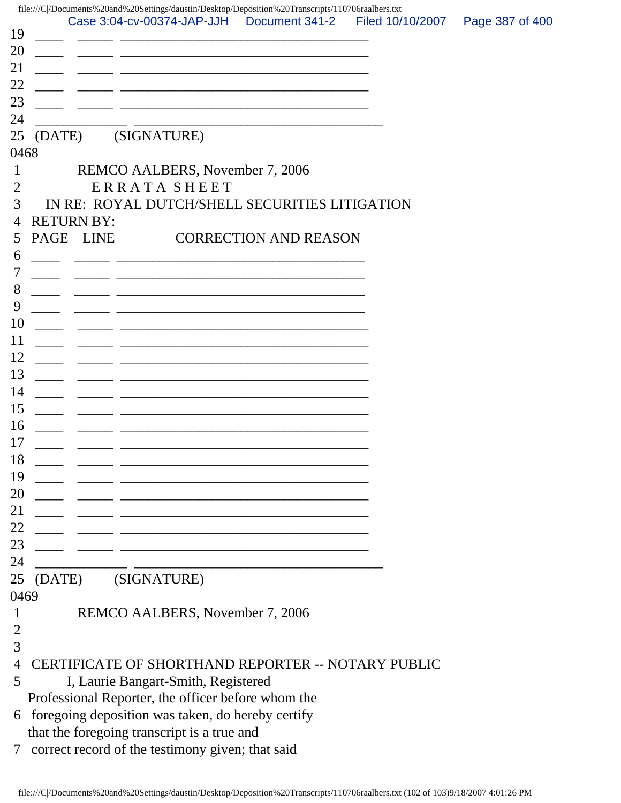| 19        |        |                   | file:///C /Documents%20and%20Settings/daustin/Desktop/Deposition%20Transcripts/110706raalbers.txt<br>Case 3:04-cv-00374-JAP-JJH  Document 341-2                                        |  |  | Filed 10/10/2007 | Page 387 of 400 |
|-----------|--------|-------------------|----------------------------------------------------------------------------------------------------------------------------------------------------------------------------------------|--|--|------------------|-----------------|
| 20        |        |                   | <u> 1980 - Johann Barn, mars ann an t-Amhain an t-Amhain an t-Amhain an t-Amhain an t-Amhain an t-Amhain an t-Amh</u>                                                                  |  |  |                  |                 |
| 21<br>22  |        |                   |                                                                                                                                                                                        |  |  |                  |                 |
| 23        |        |                   | <u> 1989 - Johann John Stein, mars an deutscher Stein († 1958)</u><br>and the control of the control of the control of the control of the control of the control of the control of the |  |  |                  |                 |
| 24        |        |                   |                                                                                                                                                                                        |  |  |                  |                 |
| 25        | (DATE) |                   | (SIGNATURE)                                                                                                                                                                            |  |  |                  |                 |
| 0468<br>1 |        |                   | REMCO AALBERS, November 7, 2006                                                                                                                                                        |  |  |                  |                 |
| 2         |        |                   | <b>ERRATA SHEET</b>                                                                                                                                                                    |  |  |                  |                 |
| 3         |        |                   | IN RE: ROYAL DUTCH/SHELL SECURITIES LITIGATION                                                                                                                                         |  |  |                  |                 |
| 4         |        | <b>RETURN BY:</b> |                                                                                                                                                                                        |  |  |                  |                 |
| 5         |        | PAGE LINE         | <b>CORRECTION AND REASON</b>                                                                                                                                                           |  |  |                  |                 |
| 6         |        |                   | <u> 1989 - Johann John Stone, market fan it ferskearre fan it ferskearre fan it ferskearre fan it ferskearre fan i</u>                                                                 |  |  |                  |                 |
| 7         |        |                   | <u> 1989 - Johann Harry Harry Harry Harry Harry Harry Harry Harry Harry Harry Harry Harry Harry Harry Harry Harry</u>                                                                  |  |  |                  |                 |
| 8         |        |                   |                                                                                                                                                                                        |  |  |                  |                 |
| 9         |        |                   |                                                                                                                                                                                        |  |  |                  |                 |
| 10        |        |                   |                                                                                                                                                                                        |  |  |                  |                 |
| 11        |        |                   | <u> 1989 - Johann John Harry, mars ar yw i ganwys y cynnwys y cynnwys y cynnwys y cynnwys y cynnwys y cynnwys y c</u>                                                                  |  |  |                  |                 |
| 12        |        |                   | <u> 1989 - Johann John Stone, mars et al. 1989 - John Stone, mars et al. 1989 - John Stone, mars et al. 1989 - John Stone</u>                                                          |  |  |                  |                 |
| 13        |        |                   | <u> 1980 - Johann Stein, marwolaethau a bhann an t-Amhair ann an t-Amhair an t-Amhair an t-Amhair an t-Amhair an</u>                                                                   |  |  |                  |                 |
| 14        |        |                   |                                                                                                                                                                                        |  |  |                  |                 |
| 15<br>16  |        |                   |                                                                                                                                                                                        |  |  |                  |                 |
| 17        |        |                   |                                                                                                                                                                                        |  |  |                  |                 |
| 18        |        |                   | <u> 1989 - Johann Stein, marwolaethau a bhann an t-Amhain ann an t-Amhain an t-Amhain an t-Amhain an t-Amhain an </u>                                                                  |  |  |                  |                 |
| 19        |        |                   |                                                                                                                                                                                        |  |  |                  |                 |
| 20        |        |                   | <u> 1980 - Jan James James James James James James James James James James James James James James James James J</u>                                                                   |  |  |                  |                 |
| 21        |        |                   | <u> 1989 - Johann Barn, mars ann an t-Amhain an t-Amhain an t-Amhain an t-Amhain an t-Amhain an t-Amhain an t-Amh</u>                                                                  |  |  |                  |                 |
| 22        |        |                   | <u> 1919 - Johann Stoff, amerikansk politiker (d. 1989)</u>                                                                                                                            |  |  |                  |                 |
| 23        |        |                   |                                                                                                                                                                                        |  |  |                  |                 |
| 24        |        |                   |                                                                                                                                                                                        |  |  |                  |                 |
| 25        | (DATE) |                   | (SIGNATURE)                                                                                                                                                                            |  |  |                  |                 |
| 0469      |        |                   |                                                                                                                                                                                        |  |  |                  |                 |
| 1         |        |                   | REMCO AALBERS, November 7, 2006                                                                                                                                                        |  |  |                  |                 |
| 2         |        |                   |                                                                                                                                                                                        |  |  |                  |                 |
| 3         |        |                   |                                                                                                                                                                                        |  |  |                  |                 |
| 4<br>5    |        |                   | CERTIFICATE OF SHORTHAND REPORTER -- NOTARY PUBLIC                                                                                                                                     |  |  |                  |                 |
|           |        |                   | I, Laurie Bangart-Smith, Registered<br>Professional Reporter, the officer before whom the                                                                                              |  |  |                  |                 |
| 6         |        |                   | foregoing deposition was taken, do hereby certify                                                                                                                                      |  |  |                  |                 |
|           |        |                   | that the foregoing transcript is a true and                                                                                                                                            |  |  |                  |                 |
| 7         |        |                   | correct record of the testimony given; that said                                                                                                                                       |  |  |                  |                 |
|           |        |                   |                                                                                                                                                                                        |  |  |                  |                 |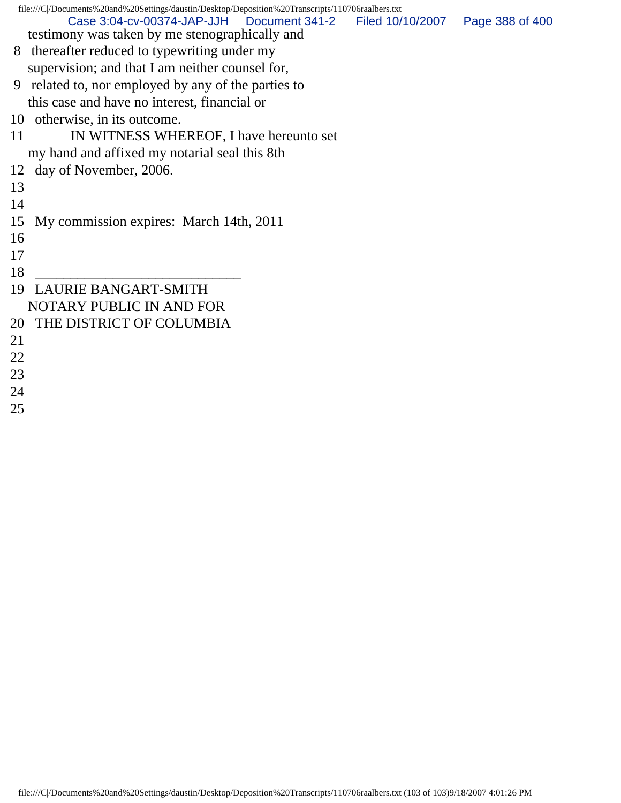|    | file:///C /Documents%20and%20Settings/daustin/Desktop/Deposition%20Transcripts/110706raalbers.txt |                 |  |  |  |  |  |
|----|---------------------------------------------------------------------------------------------------|-----------------|--|--|--|--|--|
|    | Case 3:04-cv-00374-JAP-JJH<br>Document 341-2<br>Filed 10/10/2007                                  | Page 388 of 400 |  |  |  |  |  |
|    | testimony was taken by me stenographically and                                                    |                 |  |  |  |  |  |
|    | 8 thereafter reduced to typewriting under my                                                      |                 |  |  |  |  |  |
|    | supervision; and that I am neither counsel for,                                                   |                 |  |  |  |  |  |
| 9  | related to, nor employed by any of the parties to                                                 |                 |  |  |  |  |  |
|    | this case and have no interest, financial or                                                      |                 |  |  |  |  |  |
| 10 | otherwise, in its outcome.                                                                        |                 |  |  |  |  |  |
| 11 | IN WITNESS WHEREOF, I have hereunto set                                                           |                 |  |  |  |  |  |
|    | my hand and affixed my notarial seal this 8th                                                     |                 |  |  |  |  |  |
| 12 | day of November, 2006.                                                                            |                 |  |  |  |  |  |
| 13 |                                                                                                   |                 |  |  |  |  |  |
| 14 |                                                                                                   |                 |  |  |  |  |  |
| 15 | My commission expires: March 14th, 2011                                                           |                 |  |  |  |  |  |
| 16 |                                                                                                   |                 |  |  |  |  |  |
| 17 |                                                                                                   |                 |  |  |  |  |  |
| 18 |                                                                                                   |                 |  |  |  |  |  |
| 19 | <b>LAURIE BANGART-SMITH</b>                                                                       |                 |  |  |  |  |  |
|    | NOTARY PUBLIC IN AND FOR                                                                          |                 |  |  |  |  |  |
| 20 | THE DISTRICT OF COLUMBIA                                                                          |                 |  |  |  |  |  |
| 21 |                                                                                                   |                 |  |  |  |  |  |
| 22 |                                                                                                   |                 |  |  |  |  |  |
| 23 |                                                                                                   |                 |  |  |  |  |  |
| 24 |                                                                                                   |                 |  |  |  |  |  |

25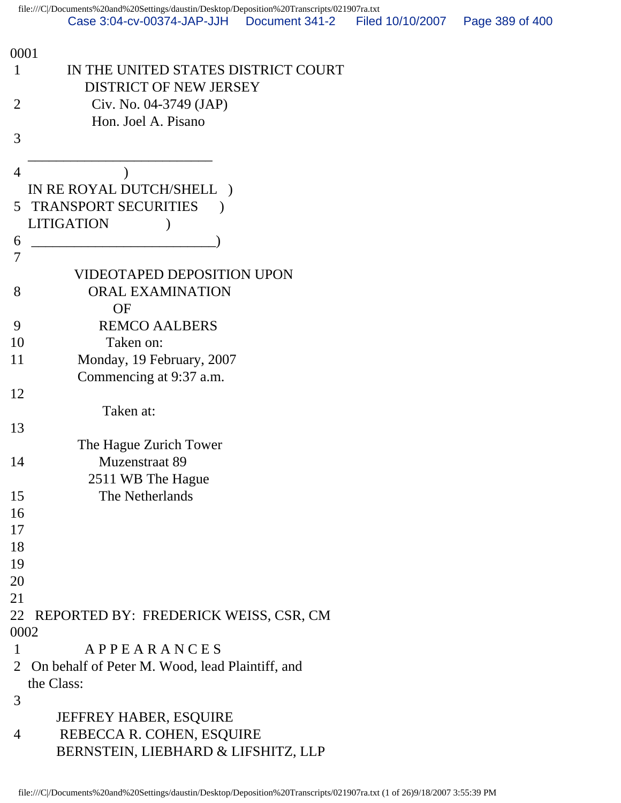| 0001           |                                                 |
|----------------|-------------------------------------------------|
| $\mathbf 1$    | IN THE UNITED STATES DISTRICT COURT             |
|                | <b>DISTRICT OF NEW JERSEY</b>                   |
| $\overline{2}$ | Civ. No. 04-3749 (JAP)                          |
|                | Hon. Joel A. Pisano                             |
| 3              |                                                 |
|                |                                                 |
| 4              |                                                 |
|                | IN RE ROYAL DUTCH/SHELL                         |
|                | 5 TRANSPORT SECURITIES                          |
|                | <b>LITIGATION</b>                               |
| 6              |                                                 |
| 7              |                                                 |
|                | <b>VIDEOTAPED DEPOSITION UPON</b>               |
| 8              | <b>ORAL EXAMINATION</b>                         |
|                | <b>OF</b>                                       |
| 9              | <b>REMCO AALBERS</b>                            |
| 10             | Taken on:                                       |
| 11             | Monday, 19 February, 2007                       |
|                | Commencing at 9:37 a.m.                         |
| 12             |                                                 |
|                | Taken at:                                       |
| 13             |                                                 |
|                | The Hague Zurich Tower                          |
| 14             | <b>Muzenstraat 89</b>                           |
|                | 2511 WB The Hague                               |
| 15             | The Netherlands                                 |
| 16             |                                                 |
| 17             |                                                 |
| 18             |                                                 |
| 19             |                                                 |
| 20             |                                                 |
| 21             |                                                 |
| 22             | REPORTED BY: FREDERICK WEISS, CSR, CM           |
| 0002           |                                                 |
| $\mathbf{1}$   | APPEARANCES                                     |
| $\overline{2}$ | On behalf of Peter M. Wood, lead Plaintiff, and |
|                | the Class:                                      |
| 3              |                                                 |
|                | JEFFREY HABER, ESQUIRE                          |
| $\overline{4}$ | REBECCA R. COHEN, ESQUIRE                       |
|                | BERNSTEIN, LIEBHARD & LIFSHITZ, LLP             |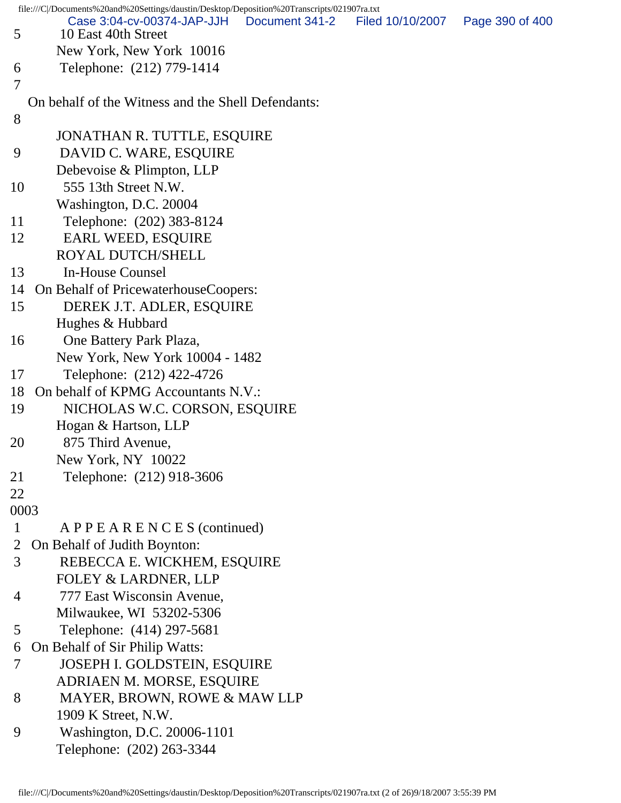|              | file:///C /Documents%20and%20Settings/daustin/Desktop/Deposition%20Transcripts/021907ra.txt |                |                  |                 |
|--------------|---------------------------------------------------------------------------------------------|----------------|------------------|-----------------|
| 5            | Case 3:04-cv-00374-JAP-JJH<br>10 East 40th Street                                           | Document 341-2 | Filed 10/10/2007 | Page 390 of 400 |
|              | New York, New York 10016                                                                    |                |                  |                 |
| 6            | Telephone: (212) 779-1414                                                                   |                |                  |                 |
| 7            |                                                                                             |                |                  |                 |
|              | On behalf of the Witness and the Shell Defendants:                                          |                |                  |                 |
| 8            |                                                                                             |                |                  |                 |
|              | JONATHAN R. TUTTLE, ESQUIRE                                                                 |                |                  |                 |
| 9            | DAVID C. WARE, ESQUIRE                                                                      |                |                  |                 |
|              | Debevoise & Plimpton, LLP                                                                   |                |                  |                 |
| 10           | 555 13th Street N.W.                                                                        |                |                  |                 |
|              | Washington, D.C. 20004                                                                      |                |                  |                 |
| 11           | Telephone: (202) 383-8124                                                                   |                |                  |                 |
| 12           | <b>EARL WEED, ESQUIRE</b>                                                                   |                |                  |                 |
|              | <b>ROYAL DUTCH/SHELL</b>                                                                    |                |                  |                 |
| 13           | In-House Counsel                                                                            |                |                  |                 |
| 14           | On Behalf of PricewaterhouseCoopers:                                                        |                |                  |                 |
| 15           | DEREK J.T. ADLER, ESQUIRE                                                                   |                |                  |                 |
|              | Hughes & Hubbard                                                                            |                |                  |                 |
| 16           | One Battery Park Plaza,                                                                     |                |                  |                 |
|              | New York, New York 10004 - 1482                                                             |                |                  |                 |
| 17           | Telephone: (212) 422-4726                                                                   |                |                  |                 |
| 18           | On behalf of KPMG Accountants N.V.:                                                         |                |                  |                 |
| 19           | NICHOLAS W.C. CORSON, ESQUIRE                                                               |                |                  |                 |
|              | Hogan & Hartson, LLP                                                                        |                |                  |                 |
| 20           | 875 Third Avenue,                                                                           |                |                  |                 |
|              | New York, NY 10022                                                                          |                |                  |                 |
| 21           | Telephone: (212) 918-3606                                                                   |                |                  |                 |
| 22           |                                                                                             |                |                  |                 |
| 0003         |                                                                                             |                |                  |                 |
| $\mathbf{1}$ | $A$ P P E A R E N C E S (continued)                                                         |                |                  |                 |
| 2            | On Behalf of Judith Boynton:                                                                |                |                  |                 |
| 3            | REBECCA E. WICKHEM, ESQUIRE                                                                 |                |                  |                 |
|              | <b>FOLEY &amp; LARDNER, LLP</b>                                                             |                |                  |                 |
| 4            | 777 East Wisconsin Avenue,                                                                  |                |                  |                 |
|              | Milwaukee, WI 53202-5306                                                                    |                |                  |                 |
| 5            | Telephone: (414) 297-5681                                                                   |                |                  |                 |
| 6            | On Behalf of Sir Philip Watts:                                                              |                |                  |                 |
| 7            | <b>JOSEPH I. GOLDSTEIN, ESQUIRE</b>                                                         |                |                  |                 |
|              | ADRIAEN M. MORSE, ESQUIRE                                                                   |                |                  |                 |
| 8            | MAYER, BROWN, ROWE & MAW LLP                                                                |                |                  |                 |
|              | 1909 K Street, N.W.                                                                         |                |                  |                 |
| 9            | Washington, D.C. 20006-1101                                                                 |                |                  |                 |
|              | Telephone: (202) 263-3344                                                                   |                |                  |                 |
|              |                                                                                             |                |                  |                 |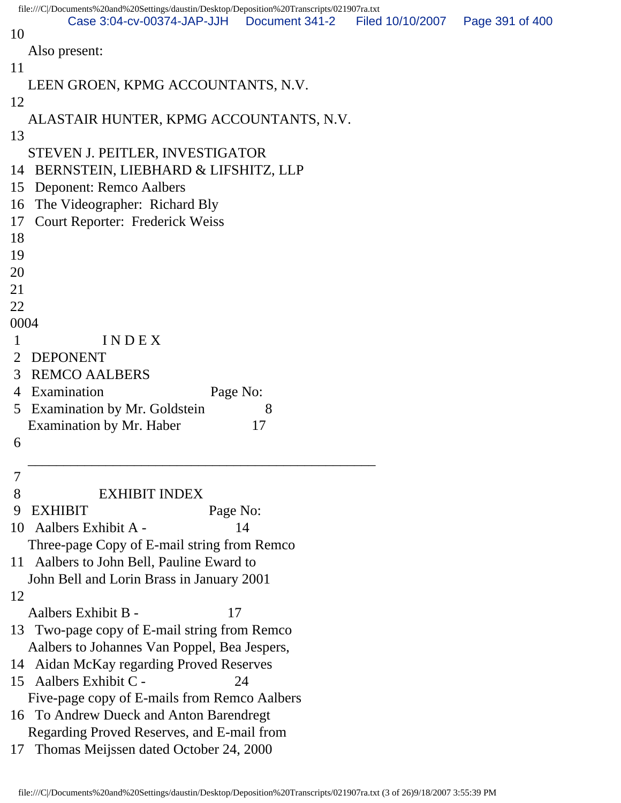|             | file:///C/Documents%20and%20Settings/daustin/Desktop/Deposition%20Transcripts/021907ra.txt |                |                                   |  |
|-------------|--------------------------------------------------------------------------------------------|----------------|-----------------------------------|--|
| 10          | Case 3:04-cv-00374-JAP-JJH                                                                 | Document 341-2 | Filed 10/10/2007  Page 391 of 400 |  |
|             | Also present:                                                                              |                |                                   |  |
| 11          |                                                                                            |                |                                   |  |
|             | LEEN GROEN, KPMG ACCOUNTANTS, N.V.                                                         |                |                                   |  |
| 12          |                                                                                            |                |                                   |  |
|             | ALASTAIR HUNTER, KPMG ACCOUNTANTS, N.V.                                                    |                |                                   |  |
| 13          |                                                                                            |                |                                   |  |
|             | STEVEN J. PEITLER, INVESTIGATOR                                                            |                |                                   |  |
| 14          | BERNSTEIN, LIEBHARD & LIFSHITZ, LLP                                                        |                |                                   |  |
| 15          | <b>Deponent: Remco Aalbers</b>                                                             |                |                                   |  |
| 16          | The Videographer: Richard Bly                                                              |                |                                   |  |
| 17          | <b>Court Reporter: Frederick Weiss</b>                                                     |                |                                   |  |
| 18          |                                                                                            |                |                                   |  |
| 19          |                                                                                            |                |                                   |  |
| 20          |                                                                                            |                |                                   |  |
| 21          |                                                                                            |                |                                   |  |
| 22          |                                                                                            |                |                                   |  |
| 0004        |                                                                                            |                |                                   |  |
| $\mathbf 1$ | INDEX                                                                                      |                |                                   |  |
| 2           | <b>DEPONENT</b>                                                                            |                |                                   |  |
| 3           | <b>REMCO AALBERS</b><br>4 Examination<br>Page No:                                          |                |                                   |  |
| 5           | <b>Examination by Mr. Goldstein</b>                                                        | 8              |                                   |  |
|             | Examination by Mr. Haber                                                                   | 17             |                                   |  |
| 6           |                                                                                            |                |                                   |  |
|             |                                                                                            |                |                                   |  |
| 7           |                                                                                            |                |                                   |  |
| 8           | <b>EXHIBIT INDEX</b>                                                                       |                |                                   |  |
| 9           | <b>EXHIBIT</b><br>Page No:                                                                 |                |                                   |  |
|             | 10 Aalbers Exhibit A -                                                                     | 14             |                                   |  |
|             | Three-page Copy of E-mail string from Remco                                                |                |                                   |  |
|             | 11 Aalbers to John Bell, Pauline Eward to                                                  |                |                                   |  |
|             | John Bell and Lorin Brass in January 2001                                                  |                |                                   |  |
| 12          |                                                                                            |                |                                   |  |
|             | Aalbers Exhibit B -<br>17                                                                  |                |                                   |  |
|             | 13 Two-page copy of E-mail string from Remco                                               |                |                                   |  |
|             | Aalbers to Johannes Van Poppel, Bea Jespers,                                               |                |                                   |  |
|             | 14 Aidan McKay regarding Proved Reserves<br>15 Aalbers Exhibit C -                         | 24             |                                   |  |
|             | Five-page copy of E-mails from Remco Aalbers                                               |                |                                   |  |
|             | 16 To Andrew Dueck and Anton Barendregt                                                    |                |                                   |  |
|             | Regarding Proved Reserves, and E-mail from                                                 |                |                                   |  |
| 17          | Thomas Meijssen dated October 24, 2000                                                     |                |                                   |  |
|             |                                                                                            |                |                                   |  |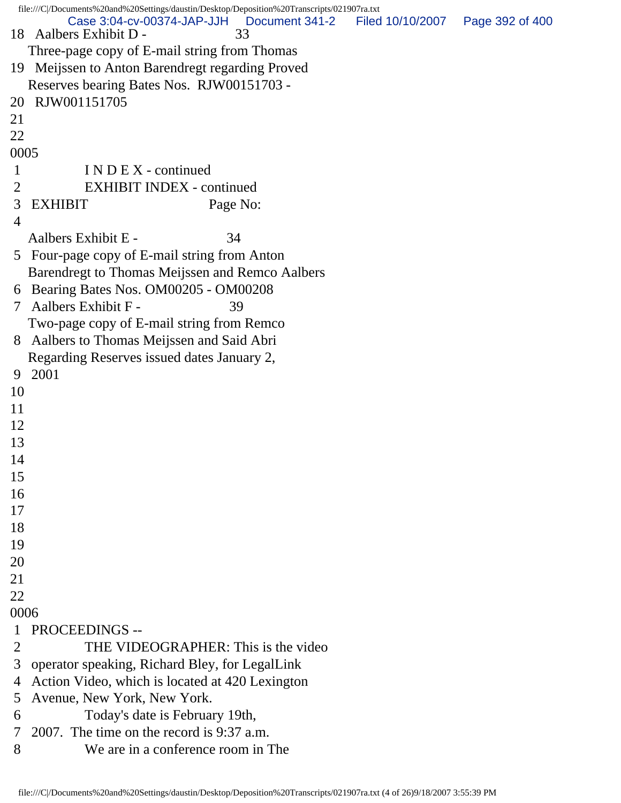file:///C|/Documents%20and%20Settings/daustin/Desktop/Deposition%20Transcripts/021907ra.txt 18 Aalbers Exhibit D - 33 Three-page copy of E-mail string from Thomas 19 Meijssen to Anton Barendregt regarding Proved Reserves bearing Bates Nos. RJW00151703 - 20 RJW001151705 21 22 0005 1 I N D E X - continued 2 EXHIBIT INDEX - continued 3 EXHIBIT Page No: 4 Aalbers Exhibit E - 34 5 Four-page copy of E-mail string from Anton Barendregt to Thomas Meijssen and Remco Aalbers 6 Bearing Bates Nos. OM00205 - OM00208 7 Aalbers Exhibit F - 39 Two-page copy of E-mail string from Remco 8 Aalbers to Thomas Meijssen and Said Abri Regarding Reserves issued dates January 2, 9 2001 10 11 12 13 14 15 16 17 18 19 20 21 22 0006 1 PROCEEDINGS -- 2 THE VIDEOGRAPHER: This is the video 3 operator speaking, Richard Bley, for LegalLink 4 Action Video, which is located at 420 Lexington 5 Avenue, New York, New York. 6 Today's date is February 19th, 7 2007. The time on the record is 9:37 a.m. 8 We are in a conference room in The Case 3:04-cv-00374-JAP-JJH Document 341-2 Filed 10/10/2007 Page 392 of 400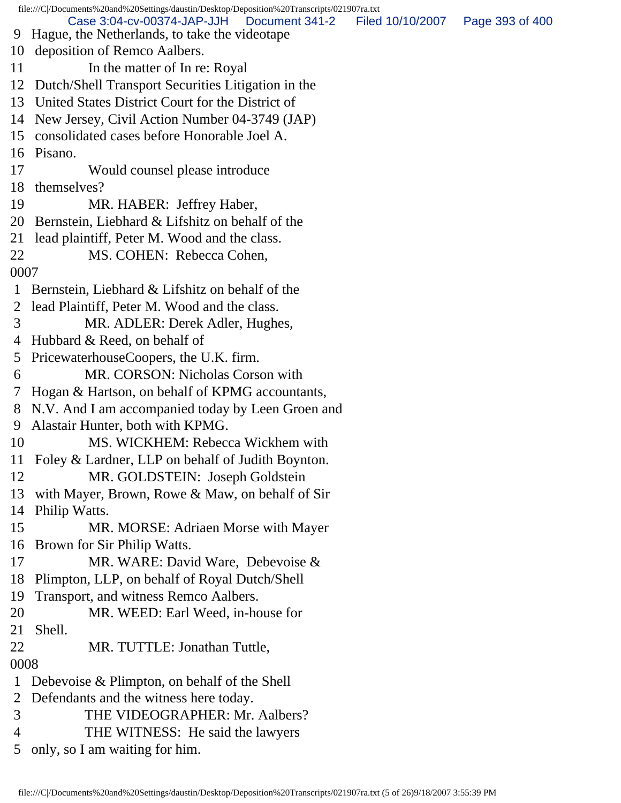file:///C|/Documents%20and%20Settings/daustin/Desktop/Deposition%20Transcripts/021907ra.txt 9 Hague, the Netherlands, to take the videotape 10 deposition of Remco Aalbers. 11 In the matter of In re: Royal 12 Dutch/Shell Transport Securities Litigation in the 13 United States District Court for the District of 14 New Jersey, Civil Action Number 04-3749 (JAP) 15 consolidated cases before Honorable Joel A. 16 Pisano. 17 Would counsel please introduce 18 themselves? 19 MR. HABER: Jeffrey Haber, 20 Bernstein, Liebhard & Lifshitz on behalf of the 21 lead plaintiff, Peter M. Wood and the class. 22 MS. COHEN: Rebecca Cohen, 0007 1 Bernstein, Liebhard & Lifshitz on behalf of the 2 lead Plaintiff, Peter M. Wood and the class. 3 MR. ADLER: Derek Adler, Hughes, 4 Hubbard & Reed, on behalf of 5 PricewaterhouseCoopers, the U.K. firm. 6 MR. CORSON: Nicholas Corson with 7 Hogan & Hartson, on behalf of KPMG accountants, 8 N.V. And I am accompanied today by Leen Groen and 9 Alastair Hunter, both with KPMG. 10 MS. WICKHEM: Rebecca Wickhem with 11 Foley & Lardner, LLP on behalf of Judith Boynton. 12 MR. GOLDSTEIN: Joseph Goldstein 13 with Mayer, Brown, Rowe & Maw, on behalf of Sir 14 Philip Watts. 15 MR. MORSE: Adriaen Morse with Mayer 16 Brown for Sir Philip Watts. 17 MR. WARE: David Ware, Debevoise & 18 Plimpton, LLP, on behalf of Royal Dutch/Shell 19 Transport, and witness Remco Aalbers. 20 MR. WEED: Earl Weed, in-house for 21 Shell. 22 MR. TUTTLE: Jonathan Tuttle, 0008 1 Debevoise & Plimpton, on behalf of the Shell 2 Defendants and the witness here today. 3 THE VIDEOGRAPHER: Mr. Aalbers? 4 THE WITNESS: He said the lawyers Case 3:04-cv-00374-JAP-JJH Document 341-2 Filed 10/10/2007 Page 393 of 400

5 only, so I am waiting for him.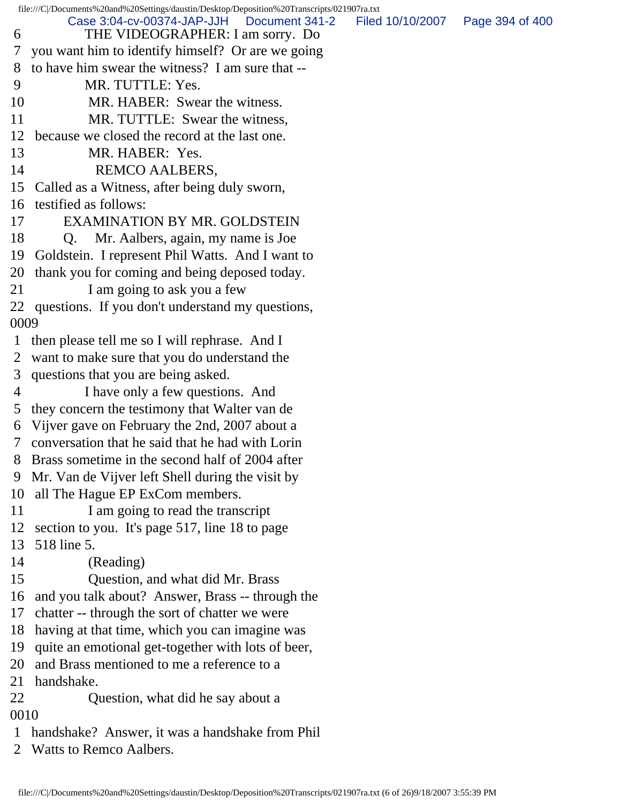file:///C|/Documents%20and%20Settings/daustin/Desktop/Deposition%20Transcripts/021907ra.txt 6 THE VIDEOGRAPHER: I am sorry. Do 7 you want him to identify himself? Or are we going 8 to have him swear the witness? I am sure that -- 9 MR. TUTTLE: Yes. 10 MR. HABER: Swear the witness. 11 MR. TUTTLE: Swear the witness, 12 because we closed the record at the last one. 13 MR. HABER: Yes. 14 REMCO AALBERS, 15 Called as a Witness, after being duly sworn, 16 testified as follows: 17 EXAMINATION BY MR. GOLDSTEIN 18 Q. Mr. Aalbers, again, my name is Joe 19 Goldstein. I represent Phil Watts. And I want to 20 thank you for coming and being deposed today. 21 I am going to ask you a few 22 questions. If you don't understand my questions, 0009 1 then please tell me so I will rephrase. And I 2 want to make sure that you do understand the 3 questions that you are being asked. 4 I have only a few questions. And 5 they concern the testimony that Walter van de 6 Vijver gave on February the 2nd, 2007 about a 7 conversation that he said that he had with Lorin 8 Brass sometime in the second half of 2004 after 9 Mr. Van de Vijver left Shell during the visit by 10 all The Hague EP ExCom members. 11 I am going to read the transcript 12 section to you. It's page 517, line 18 to page 13 518 line 5. 14 (Reading) 15 Question, and what did Mr. Brass 16 and you talk about? Answer, Brass -- through the 17 chatter -- through the sort of chatter we were 18 having at that time, which you can imagine was 19 quite an emotional get-together with lots of beer, 20 and Brass mentioned to me a reference to a 21 handshake. 22 Question, what did he say about a 0010 1 handshake? Answer, it was a handshake from Phil 2 Watts to Remco Aalbers. Case 3:04-cv-00374-JAP-JJH Document 341-2 Filed 10/10/2007 Page 394 of 400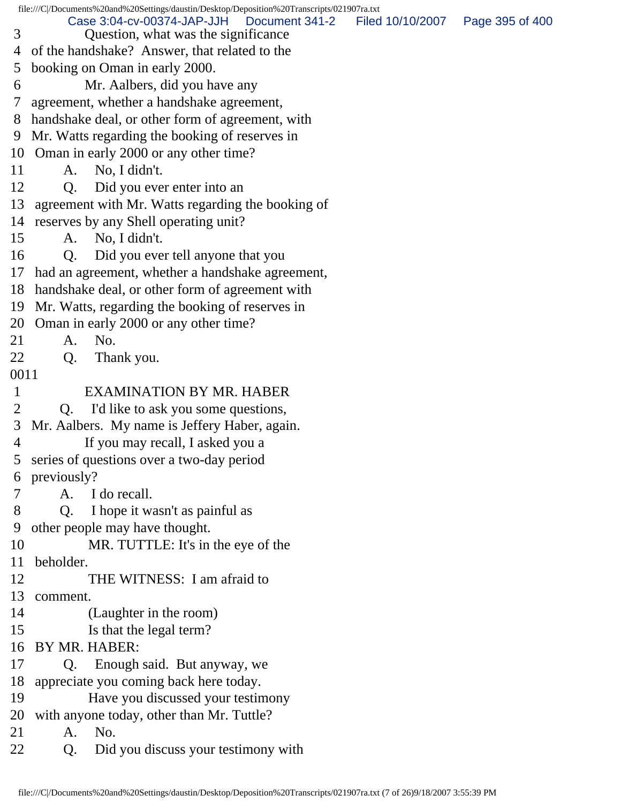|                | file:///C /Documents%20and%20Settings/daustin/Desktop/Deposition%20Transcripts/021907ra.txt |                                   |
|----------------|---------------------------------------------------------------------------------------------|-----------------------------------|
| 3              | Case 3:04-cv-00374-JAP-JJH<br>Document 341-2<br>Question, what was the significance         | Filed 10/10/2007  Page 395 of 400 |
| 4              | of the handshake? Answer, that related to the                                               |                                   |
| 5              | booking on Oman in early 2000.                                                              |                                   |
| 6              | Mr. Aalbers, did you have any                                                               |                                   |
| 7              | agreement, whether a handshake agreement,                                                   |                                   |
| 8              | handshake deal, or other form of agreement, with                                            |                                   |
| 9              | Mr. Watts regarding the booking of reserves in                                              |                                   |
|                | 10 Oman in early 2000 or any other time?                                                    |                                   |
| 11             | A. No, I didn't.                                                                            |                                   |
| 12             | Did you ever enter into an<br>Q <sub>r</sub>                                                |                                   |
| 13             | agreement with Mr. Watts regarding the booking of                                           |                                   |
|                | 14 reserves by any Shell operating unit?                                                    |                                   |
| 15             | A. No, I didn't.                                                                            |                                   |
| 16             | Did you ever tell anyone that you<br>Q.                                                     |                                   |
|                | 17 had an agreement, whether a handshake agreement,                                         |                                   |
|                | 18 handshake deal, or other form of agreement with                                          |                                   |
| 19             | Mr. Watts, regarding the booking of reserves in                                             |                                   |
| 20             | Oman in early 2000 or any other time?                                                       |                                   |
| 21             | No.<br>A.                                                                                   |                                   |
| 22             | Thank you.<br>Q.                                                                            |                                   |
| 0011           |                                                                                             |                                   |
| $\mathbf{1}$   | <b>EXAMINATION BY MR. HABER</b>                                                             |                                   |
| $\overline{2}$ | I'd like to ask you some questions,<br>Q.                                                   |                                   |
| 3              | Mr. Aalbers. My name is Jeffery Haber, again.                                               |                                   |
| $\overline{4}$ | If you may recall, I asked you a                                                            |                                   |
|                | 5 series of questions over a two-day period                                                 |                                   |
|                | 6 previously?                                                                               |                                   |
| 7              | A. I do recall.                                                                             |                                   |
| 8              | I hope it wasn't as painful as<br>Q.                                                        |                                   |
| 9              | other people may have thought.                                                              |                                   |
| 10             | MR. TUTTLE: It's in the eye of the                                                          |                                   |
| 11             | beholder.                                                                                   |                                   |
| 12             | THE WITNESS: I am afraid to                                                                 |                                   |
| 13             | comment.                                                                                    |                                   |
| 14             | (Laughter in the room)                                                                      |                                   |
| 15             | Is that the legal term?                                                                     |                                   |
| 16             | BY MR. HABER:                                                                               |                                   |
| 17             | Enough said. But anyway, we<br>Q.                                                           |                                   |
| 18             | appreciate you coming back here today.                                                      |                                   |
| 19             | Have you discussed your testimony                                                           |                                   |
| 20             | with anyone today, other than Mr. Tuttle?                                                   |                                   |
| 21             | No.<br>A.                                                                                   |                                   |
| 22             | Did you discuss your testimony with<br>Q.                                                   |                                   |
|                |                                                                                             |                                   |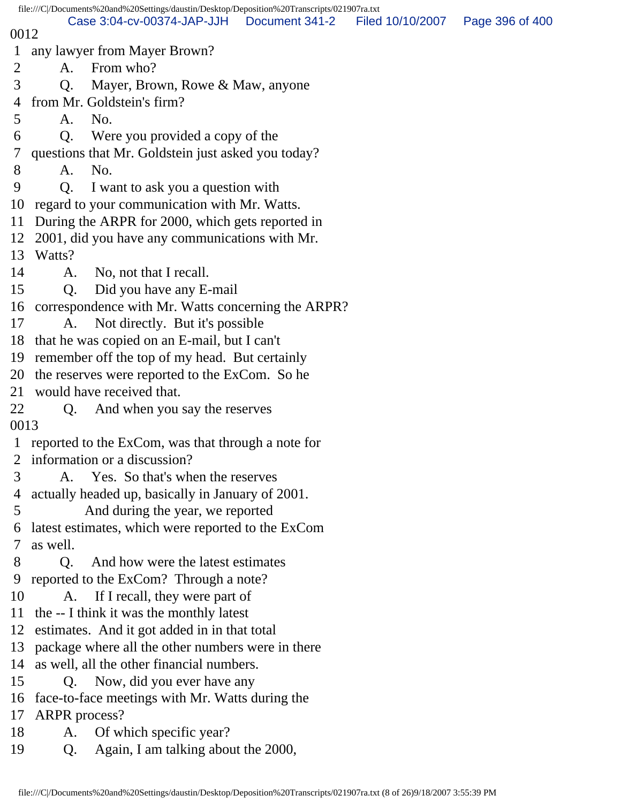|                |                      | file:///C /Documents%20and%20Settings/daustin/Desktop/Deposition%20Transcripts/021907ra.txt |                |                  |                 |
|----------------|----------------------|---------------------------------------------------------------------------------------------|----------------|------------------|-----------------|
| 0012           |                      | Case 3:04-cv-00374-JAP-JJH                                                                  | Document 341-2 | Filed 10/10/2007 | Page 396 of 400 |
| $\mathbf{1}$   |                      | any lawyer from Mayer Brown?                                                                |                |                  |                 |
| $\overline{2}$ | A.                   | From who?                                                                                   |                |                  |                 |
| 3              | Q.                   | Mayer, Brown, Rowe & Maw, anyone                                                            |                |                  |                 |
| 4              |                      | from Mr. Goldstein's firm?                                                                  |                |                  |                 |
| 5              | A.                   | No.                                                                                         |                |                  |                 |
| 6              | Q.                   | Were you provided a copy of the                                                             |                |                  |                 |
| 7              |                      | questions that Mr. Goldstein just asked you today?                                          |                |                  |                 |
| 8              | A.                   | No.                                                                                         |                |                  |                 |
| 9              | Q.                   | I want to ask you a question with                                                           |                |                  |                 |
| 10             |                      | regard to your communication with Mr. Watts.                                                |                |                  |                 |
| 11             |                      | During the ARPR for 2000, which gets reported in                                            |                |                  |                 |
| 12             |                      | 2001, did you have any communications with Mr.                                              |                |                  |                 |
| 13             | Watts?               |                                                                                             |                |                  |                 |
| 14             |                      | A. No, not that I recall.                                                                   |                |                  |                 |
| 15             | Q.                   | Did you have any E-mail                                                                     |                |                  |                 |
| 16             |                      | correspondence with Mr. Watts concerning the ARPR?                                          |                |                  |                 |
| 17             | A.                   | Not directly. But it's possible                                                             |                |                  |                 |
| 18             |                      | that he was copied on an E-mail, but I can't                                                |                |                  |                 |
| 19             |                      | remember off the top of my head. But certainly                                              |                |                  |                 |
| 20             |                      | the reserves were reported to the ExCom. So he                                              |                |                  |                 |
| 21             |                      | would have received that.                                                                   |                |                  |                 |
| 22             | Q.                   | And when you say the reserves                                                               |                |                  |                 |
| 0013           |                      |                                                                                             |                |                  |                 |
| $\mathbf{1}$   |                      | reported to the ExCom, was that through a note for                                          |                |                  |                 |
|                |                      | information or a discussion?                                                                |                |                  |                 |
| 3              | A.                   | Yes. So that's when the reserves                                                            |                |                  |                 |
| 4              |                      | actually headed up, basically in January of 2001.                                           |                |                  |                 |
| 5              |                      | And during the year, we reported                                                            |                |                  |                 |
| 6              |                      | latest estimates, which were reported to the ExCom                                          |                |                  |                 |
| 7              | as well.             |                                                                                             |                |                  |                 |
| 8              | Q.                   | And how were the latest estimates                                                           |                |                  |                 |
| 9              |                      | reported to the ExCom? Through a note?                                                      |                |                  |                 |
| 10             | A.                   | If I recall, they were part of                                                              |                |                  |                 |
| 11             |                      | the -- I think it was the monthly latest                                                    |                |                  |                 |
| 12             |                      | estimates. And it got added in in that total                                                |                |                  |                 |
| 13             |                      | package where all the other numbers were in there                                           |                |                  |                 |
| 14             |                      | as well, all the other financial numbers.                                                   |                |                  |                 |
| 15             | Q.                   | Now, did you ever have any                                                                  |                |                  |                 |
| 16             |                      | face-to-face meetings with Mr. Watts during the                                             |                |                  |                 |
| 17             | <b>ARPR</b> process? |                                                                                             |                |                  |                 |
| 18             | A.                   | Of which specific year?                                                                     |                |                  |                 |
| 19             | Q.                   | Again, I am talking about the 2000,                                                         |                |                  |                 |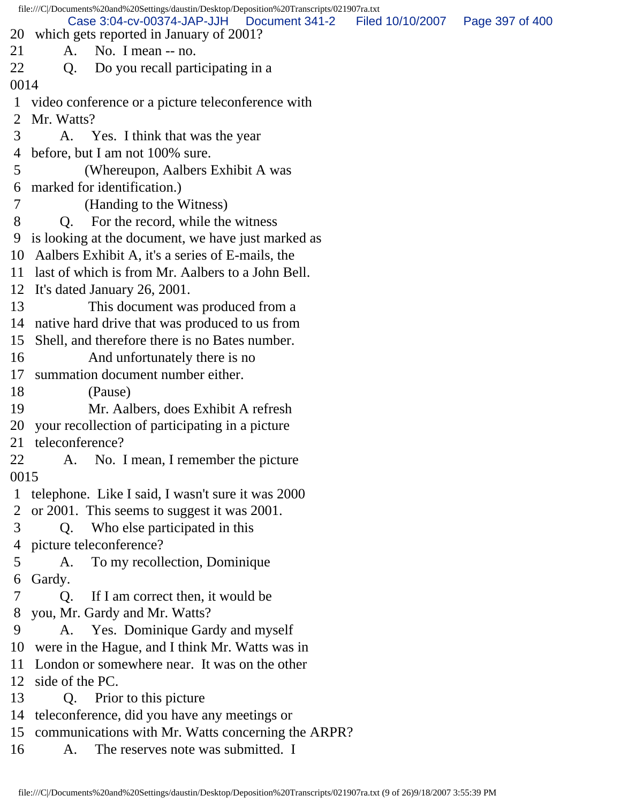file:///C|/Documents%20and%20Settings/daustin/Desktop/Deposition%20Transcripts/021907ra.txt 20 which gets reported in January of 2001? 21 A. No. I mean -- no. 22 Q. Do you recall participating in a 0014 1 video conference or a picture teleconference with 2 Mr. Watts? 3 A. Yes. I think that was the year 4 before, but I am not 100% sure. 5 (Whereupon, Aalbers Exhibit A was 6 marked for identification.) 7 (Handing to the Witness) 8 Q. For the record, while the witness 9 is looking at the document, we have just marked as 10 Aalbers Exhibit A, it's a series of E-mails, the 11 last of which is from Mr. Aalbers to a John Bell. 12 It's dated January 26, 2001. 13 This document was produced from a 14 native hard drive that was produced to us from 15 Shell, and therefore there is no Bates number. 16 And unfortunately there is no 17 summation document number either. 18 (Pause) 19 Mr. Aalbers, does Exhibit A refresh 20 your recollection of participating in a picture 21 teleconference? 22 A. No. I mean, I remember the picture 0015 1 telephone. Like I said, I wasn't sure it was 2000 2 or 2001. This seems to suggest it was 2001. 3 Q. Who else participated in this 4 picture teleconference? 5 A. To my recollection, Dominique 6 Gardy. 7 Q. If I am correct then, it would be 8 you, Mr. Gardy and Mr. Watts? 9 A. Yes. Dominique Gardy and myself 10 were in the Hague, and I think Mr. Watts was in 11 London or somewhere near. It was on the other 12 side of the PC. 13 Q. Prior to this picture 14 teleconference, did you have any meetings or 15 communications with Mr. Watts concerning the ARPR? 16 A. The reserves note was submitted. I Case 3:04-cv-00374-JAP-JJH Document 341-2 Filed 10/10/2007 Page 397 of 400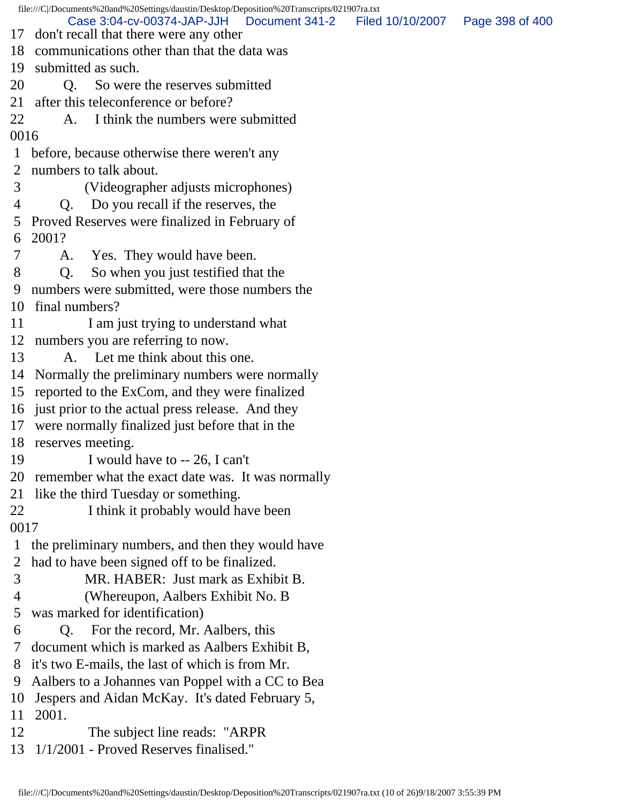file:///C|/Documents%20and%20Settings/daustin/Desktop/Deposition%20Transcripts/021907ra.txt 17 don't recall that there were any other 18 communications other than that the data was 19 submitted as such. 20 O. So were the reserves submitted 21 after this teleconference or before? 22 A. I think the numbers were submitted 0016 1 before, because otherwise there weren't any 2 numbers to talk about. 3 (Videographer adjusts microphones) 4 Q. Do you recall if the reserves, the 5 Proved Reserves were finalized in February of 6 2001? 7 A. Yes. They would have been. 8 Q. So when you just testified that the 9 numbers were submitted, were those numbers the 10 final numbers? 11 I am just trying to understand what 12 numbers you are referring to now. 13 A. Let me think about this one. 14 Normally the preliminary numbers were normally 15 reported to the ExCom, and they were finalized 16 just prior to the actual press release. And they 17 were normally finalized just before that in the 18 reserves meeting. 19 I would have to -- 26, I can't 20 remember what the exact date was. It was normally 21 like the third Tuesday or something. 22 I think it probably would have been 0017 1 the preliminary numbers, and then they would have 2 had to have been signed off to be finalized. 3 MR. HABER: Just mark as Exhibit B. 4 (Whereupon, Aalbers Exhibit No. B 5 was marked for identification) 6 Q. For the record, Mr. Aalbers, this 7 document which is marked as Aalbers Exhibit B, 8 it's two E-mails, the last of which is from Mr. 9 Aalbers to a Johannes van Poppel with a CC to Bea 10 Jespers and Aidan McKay. It's dated February 5, 11 2001. 12 The subject line reads: "ARPR 13 1/1/2001 - Proved Reserves finalised." Case 3:04-cv-00374-JAP-JJH Document 341-2 Filed 10/10/2007 Page 398 of 400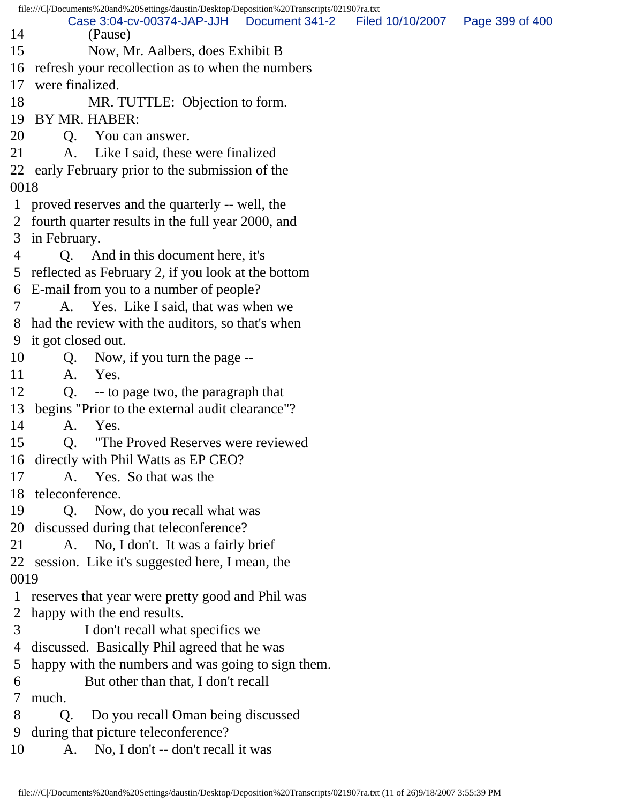file:///C|/Documents%20and%20Settings/daustin/Desktop/Deposition%20Transcripts/021907ra.txt 14 (Pause) 15 Now, Mr. Aalbers, does Exhibit B 16 refresh your recollection as to when the numbers 17 were finalized. 18 MR. TUTTLE: Objection to form. 19 BY MR. HABER: 20 Q. You can answer. 21 A. Like I said, these were finalized 22 early February prior to the submission of the 0018 1 proved reserves and the quarterly -- well, the 2 fourth quarter results in the full year 2000, and 3 in February. 4 Q. And in this document here, it's 5 reflected as February 2, if you look at the bottom 6 E-mail from you to a number of people? 7 A. Yes. Like I said, that was when we 8 had the review with the auditors, so that's when 9 it got closed out. 10 Q. Now, if you turn the page -- 11 A. Yes. 12 Q. -- to page two, the paragraph that 13 begins "Prior to the external audit clearance"? 14 A. Yes. 15 Q. "The Proved Reserves were reviewed 16 directly with Phil Watts as EP CEO? 17 A. Yes. So that was the 18 teleconference. 19 Q. Now, do you recall what was 20 discussed during that teleconference? 21 A. No, I don't. It was a fairly brief 22 session. Like it's suggested here, I mean, the 0019 1 reserves that year were pretty good and Phil was 2 happy with the end results. 3 I don't recall what specifics we 4 discussed. Basically Phil agreed that he was 5 happy with the numbers and was going to sign them. 6 But other than that, I don't recall 7 much. 8 Q. Do you recall Oman being discussed 9 during that picture teleconference? 10 A. No, I don't -- don't recall it was Case 3:04-cv-00374-JAP-JJH Document 341-2 Filed 10/10/2007 Page 399 of 400